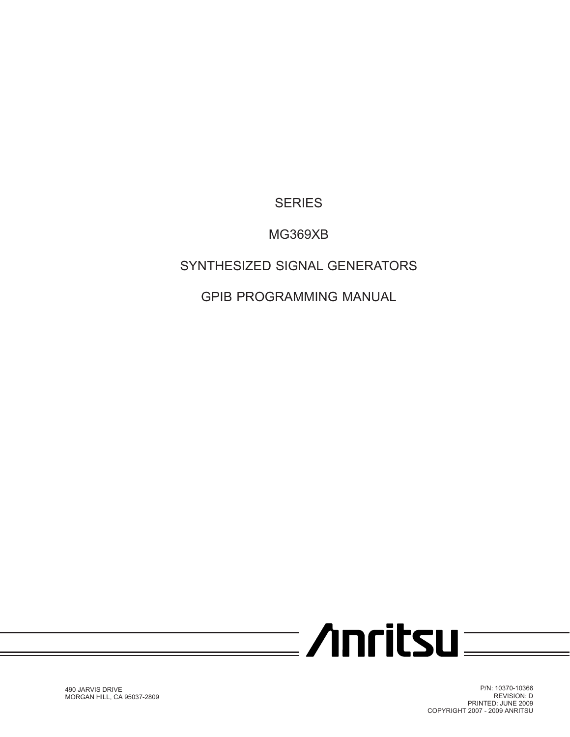**SERIES**

## **MG369XB**

## **SYNTHESIZED SIGNAL GENERATORS**

**GPIB PROGRAMMING MANUAL**

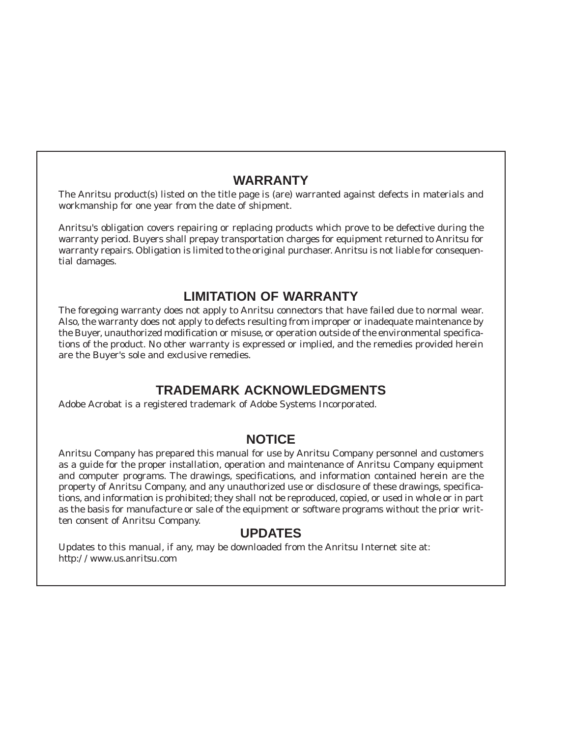### **WARRANTY**

The Anritsu product(s) listed on the title page is (are) warranted against defects in materials and workmanship for one year from the date of shipment.

Anritsu's obligation covers repairing or replacing products which prove to be defective during the warranty period. Buyers shall prepay transportation charges for equipment returned to Anritsu for warranty repairs. Obligation is limited to the original purchaser. Anritsu is not liable for consequential damages.

### **LIMITATION OF WARRANTY**

The foregoing warranty does not apply to Anritsu connectors that have failed due to normal wear. Also, the warranty does not apply to defects resulting from improper or inadequate maintenance by the Buyer, unauthorized modification or misuse, or operation outside of the environmental specifications of the product. No other warranty is expressed or implied, and the remedies provided herein are the Buyer's sole and exclusive remedies.

### **TRADEMARK ACKNOWLEDGMENTS**

Adobe Acrobat is a registered trademark of Adobe Systems Incorporated.

### **NOTICE**

Anritsu Company has prepared this manual for use by Anritsu Company personnel and customers as a guide for the proper installation, operation and maintenance of Anritsu Company equipment and computer programs. The drawings, specifications, and information contained herein are the property of Anritsu Company, and any unauthorized use or disclosure of these drawings, specifications, and information is prohibited; they shall not be reproduced, copied, or used in whole or in part as the basis for manufacture or sale of the equipment or software programs without the prior written consent of Anritsu Company.

### **UPDATES**

Updates to this manual, if any, may be downloaded from the Anritsu Internet site at: *http://www.us.anritsu.com*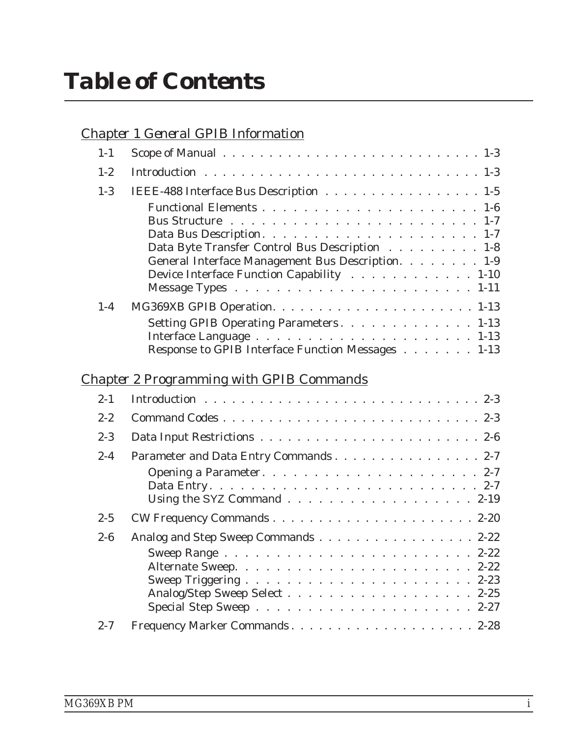# *Table of Contents*

|--|

| $1-1$   |                                                                                                                                                  |
|---------|--------------------------------------------------------------------------------------------------------------------------------------------------|
| $1 - 2$ |                                                                                                                                                  |
| $1-3$   | IEEE-488 Interface Bus Description 1-5                                                                                                           |
| $1-4$   | Data Byte Transfer Control Bus Description 1-8<br>General Interface Management Bus Description. 1-9<br>Device Interface Function Capability 1-10 |
|         | Setting GPIB Operating Parameters. 1-13                                                                                                          |
|         |                                                                                                                                                  |
|         | Response to GPIB Interface Function Messages 1-13                                                                                                |
|         | <b>Chapter 2 Programming with GPIB Commands</b>                                                                                                  |
| $2 - 1$ |                                                                                                                                                  |
| $2 - 2$ |                                                                                                                                                  |
| $2 - 3$ |                                                                                                                                                  |
| $2 - 4$ | Parameter and Data Entry Commands 2-7                                                                                                            |
|         | Using the SYZ Command $\ldots$ , $\ldots$ , $\ldots$ , $\ldots$ , $\ldots$ , $2-19$                                                              |
| $2 - 5$ |                                                                                                                                                  |
| $2 - 6$ | Analog and Step Sweep Commands 2-22                                                                                                              |
|         | Analog/Step Sweep Select 2-25                                                                                                                    |
| $2 - 7$ | Frequency Marker Commands2-28                                                                                                                    |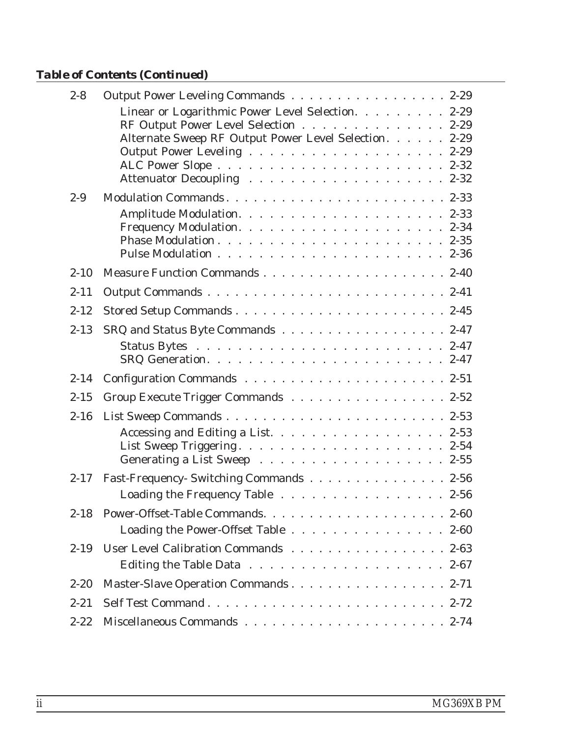## *Table of Contents (Continued)*

| $2 - 8$  | Output Power Leveling Commands 2-29                                                                                                                |
|----------|----------------------------------------------------------------------------------------------------------------------------------------------------|
|          | Linear or Logarithmic Power Level Selection. 2-29<br>RF Output Power Level Selection 2-29<br>Alternate Sweep RF Output Power Level Selection. 2-29 |
| $2 - 9$  |                                                                                                                                                    |
|          |                                                                                                                                                    |
| $2 - 10$ |                                                                                                                                                    |
| $2 - 11$ |                                                                                                                                                    |
| $2 - 12$ |                                                                                                                                                    |
| $2 - 13$ | SRQ and Status Byte Commands 2-47                                                                                                                  |
| $2 - 14$ |                                                                                                                                                    |
| $2 - 15$ | Group Execute Trigger Commands 2-52                                                                                                                |
| $2 - 16$ |                                                                                                                                                    |
|          | Accessing and Editing a List. 2-53                                                                                                                 |
| $2 - 17$ | Fast-Frequency- Switching Commands 2-56                                                                                                            |
|          | Loading the Frequency Table 2-56                                                                                                                   |
| $2 - 18$ | Power-Offset-Table Commands2-60<br>Loading the Power-Offset Table 2-60                                                                             |
| $2 - 19$ | User Level Calibration Commands 2-63<br>Editing the Table Data $\ldots \ldots \ldots \ldots \ldots \ldots \ldots 2-67$                             |
| $2 - 20$ | Master-Slave Operation Commands 2-71                                                                                                               |
| $2 - 21$ |                                                                                                                                                    |
| $2 - 22$ |                                                                                                                                                    |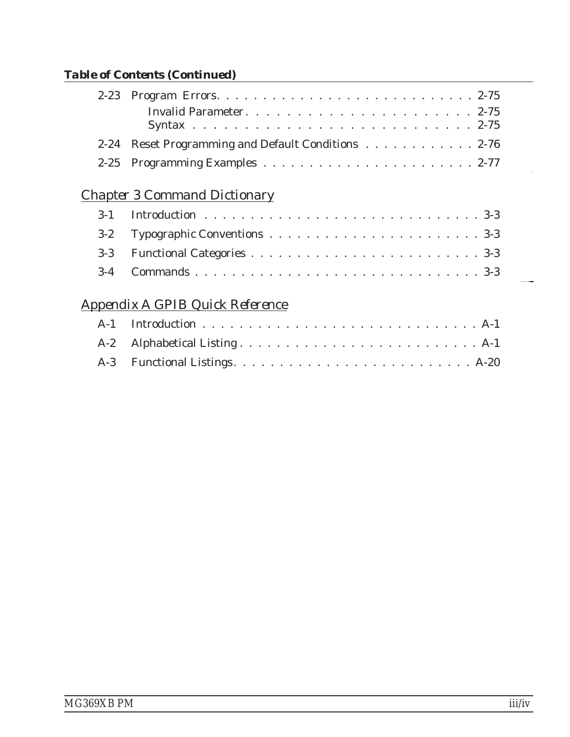## *Table of Contents (Continued)*

| 2-24 Reset Programming and Default Conditions 2-76 |  |
|----------------------------------------------------|--|
|                                                    |  |

## *[Chapter 3 Command Dictionary](#page-102-0)*

## *[Appendix A GPIB Quick Reference](#page-248-0)*

**[F](#page-115-0)LUID-MORT[E](#page-115-0)N**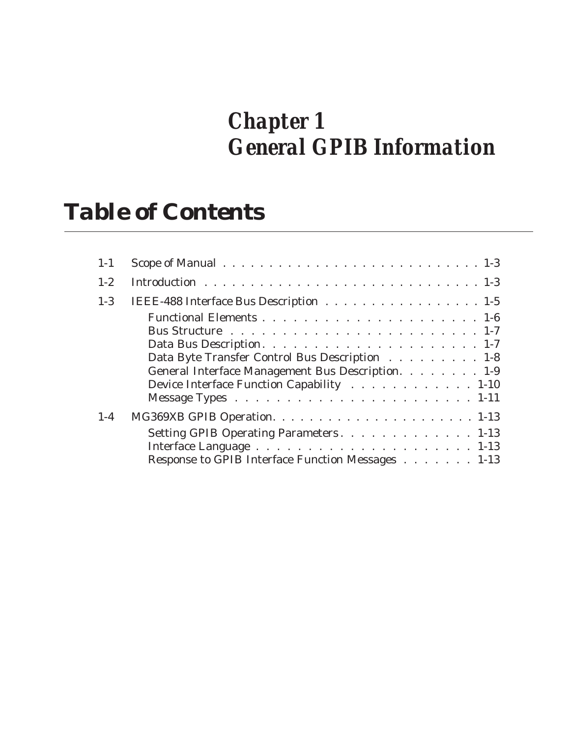## *Chapter 1 General GPIB Information*

## *Table of Contents*

| $1 - 1$ |                                                   |
|---------|---------------------------------------------------|
| $1-2$   |                                                   |
| $1 - 3$ | IEEE-488 Interface Bus Description 1-5            |
|         |                                                   |
|         |                                                   |
|         |                                                   |
|         | Data Byte Transfer Control Bus Description 1-8    |
|         | General Interface Management Bus Description. 1-9 |
|         | Device Interface Function Capability 1-10         |
|         |                                                   |
| $1 - 4$ |                                                   |
|         | Setting GPIB Operating Parameters1-13             |
|         |                                                   |
|         | Response to GPIB Interface Function Messages 1-13 |
|         |                                                   |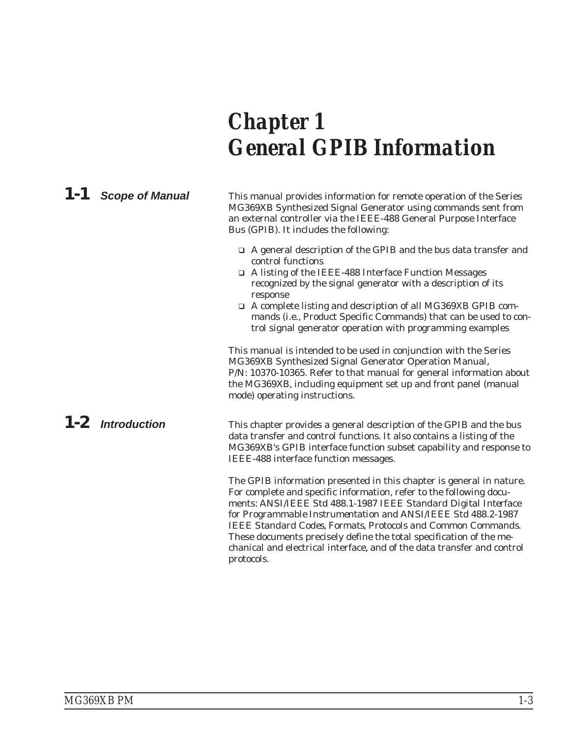# <span id="page-8-0"></span>*Chapter 1 General GPIB Information*

#### *1-1 Scope of Manual* This manual provides information for remote operation of the Series MG369XB Synthesized Signal Generator using commands sent from an external controller via the IEEE-488 General Purpose Interface Bus (GPIB). It includes the following:

- □ A general description of the GPIB and the bus data transfer and control functions
- □ A listing of the IEEE-488 Interface Function Messages recognized by the signal generator with a description of its response
- □ A complete listing and description of all MG369XB GPIB commands (i.e., Product Specific Commands) that can be used to control signal generator operation with programming examples

This manual is intended to be used in conjunction with the Series MG369XB Synthesized Signal Generator Operation Manual, P/N: 10370-10365. Refer to that manual for general information about the MG369XB, including equipment set up and front panel (manual mode) operating instructions.

*1-2 Introduction* This chapter provides a general description of the GPIB and the bus data transfer and control functions. It also contains a listing of the MG369XB's GPIB interface function subset capability and response to IEEE-488 interface function messages.

> The GPIB information presented in this chapter is general in nature. For complete and specific information, refer to the following documents: ANSI/IEEE Std 488.1-1987 *IEEE Standard Digital Interface for Programmable Instrumentation* and ANSI/IEEE Std 488.2-1987 *IEEE Standard Codes, Formats, Protocols and Common Commands*. These documents precisely define the total specification of the mechanical and electrical interface, and of the data transfer and control protocols.

*MG369XB PM 1-3*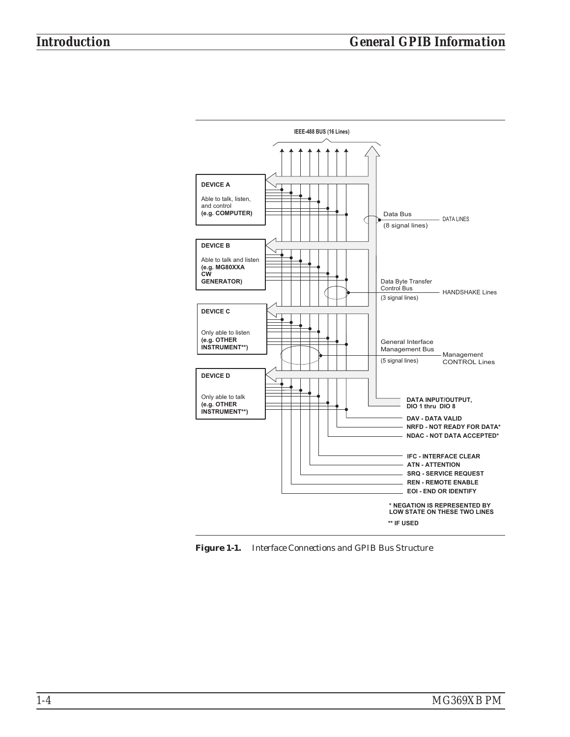

*Figure 1-1. Interface Connections and GPIB Bus Structure*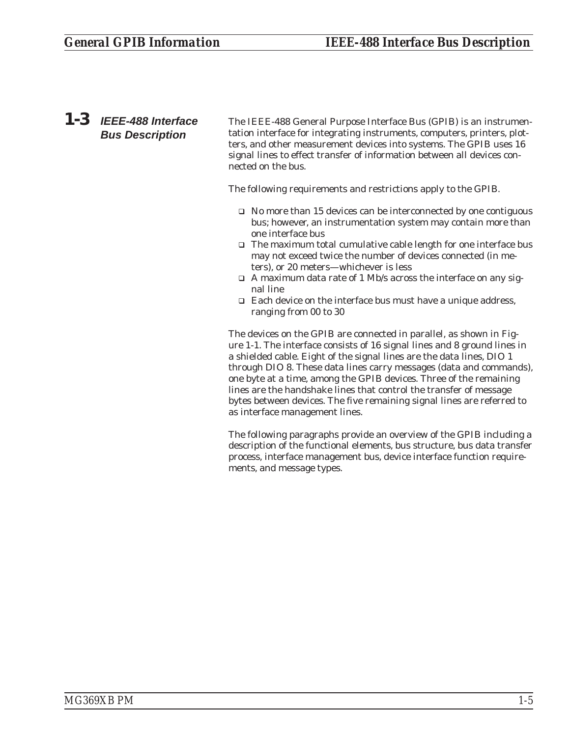<span id="page-10-0"></span>*1-3 IEEE-488 Interface Bus Description*

The IEEE-488 General Purpose Interface Bus (GPIB) is an instrumentation interface for integrating instruments, computers, printers, plotters, and other measurement devices into systems. The GPIB uses 16 signal lines to effect transfer of information between all devices connected on the bus.

The following requirements and restrictions apply to the GPIB.

- □ No more than 15 devices can be interconnected by one contiguous bus; however, an instrumentation system may contain more than one interface bus
- □ The maximum total cumulative cable length for one interface bus may not exceed twice the number of devices connected (in meters), or 20 meters—whichever is less
- □ A maximum data rate of 1 Mb/s across the interface on any signal line
- □ Each device on the interface bus must have a unique address, ranging from 00 to 30

The devices on the GPIB are connected in parallel, as shown in Figure 1-1. The interface consists of 16 signal lines and 8 ground lines in a shielded cable. Eight of the signal lines are the data lines, DIO 1 through DIO 8. These data lines carry messages (data and commands), one byte at a time, among the GPIB devices. Three of the remaining lines are the handshake lines that control the transfer of message bytes between devices. The five remaining signal lines are referred to as interface management lines.

The following paragraphs provide an overview of the GPIB including a description of the functional elements, bus structure, bus data transfer process, interface management bus, device interface function requirements, and message types.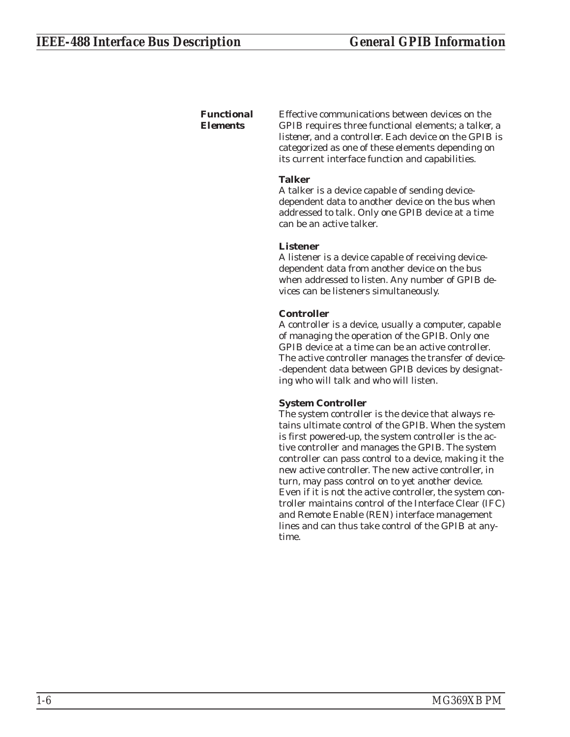#### <span id="page-11-0"></span>*Functional Elements*

Effective communications between devices on the GPIB requires three functional elements; a *talker*, a *listener*, and a *controller*. Each device on the GPIB is categorized as one of these elements depending on its current interface function and capabilities.

#### **Talker**

A talker is a device capable of sending devicedependent data to another device on the bus when addressed to talk. Only one GPIB device at a time can be an active talker.

#### **Listener**

A listener is a device capable of receiving devicedependent data from another device on the bus when addressed to listen. Any number of GPIB devices can be listeners simultaneously.

#### **Controller**

A controller is a device, usually a computer, capable of managing the operation of the GPIB. Only one GPIB device at a time can be an active controller. The active controller manages the transfer of device- -dependent data between GPIB devices by designating who will talk and who will listen.

#### **System Controller**

The system controller is the device that always retains ultimate control of the GPIB. When the system is first powered-up, the system controller is the active controller and manages the GPIB. The system controller can pass control to a device, making it the new active controller. The new active controller, in turn, may pass control on to yet another device. Even if it is not the active controller, the system controller maintains control of the Interface Clear (IFC) and Remote Enable (REN) interface management lines and can thus take control of the GPIB at anytime.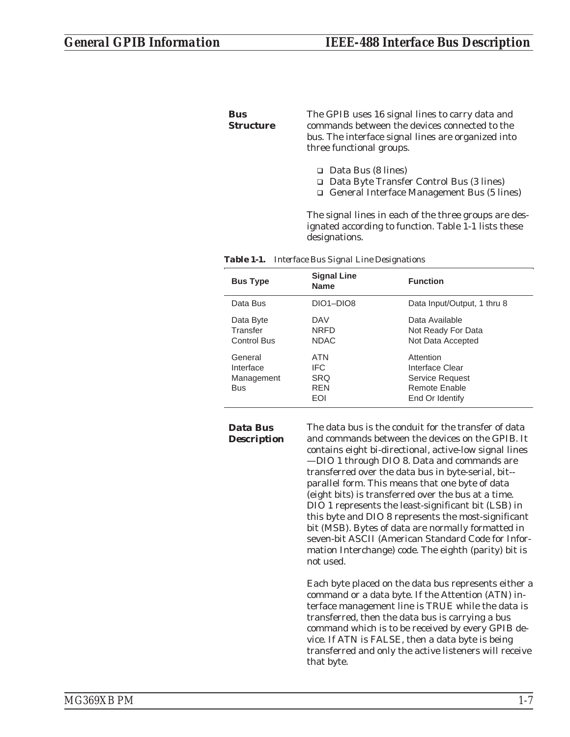#### <span id="page-12-0"></span>*Bus Structure*

The GPIB uses 16 signal lines to carry data and commands between the devices connected to the bus. The interface signal lines are organized into three functional groups.

- □ Data Bus (8 lines)
- □ Data Byte Transfer Control Bus (3 lines)
- □ General Interface Management Bus (5 lines)

The signal lines in each of the three groups are designated according to function. Table 1-1 lists these designations.

| <b>Bus Type</b>                                  | <b>Signal Line</b><br><b>Name</b>              | <b>Function</b>                                                                     |
|--------------------------------------------------|------------------------------------------------|-------------------------------------------------------------------------------------|
| Data Bus                                         | DIO1-DIO8                                      | Data Input/Output, 1 thru 8                                                         |
| Data Byte<br>Transfer<br><b>Control Bus</b>      | DAV<br><b>NRFD</b><br><b>NDAC</b>              | Data Available<br>Not Ready For Data<br>Not Data Accepted                           |
| General<br>Interface<br>Management<br><b>Bus</b> | ATN<br>IFC.<br><b>SRQ</b><br><b>RFN</b><br>EOI | Attention<br>Interface Clear<br>Service Request<br>Remote Enable<br>End Or Identify |

#### *Data Bus Description*

The data bus is the conduit for the transfer of data and commands between the devices on the GPIB. It contains eight bi-directional, active-low signal lines —DIO 1 through DIO 8. Data and commands are transferred over the data bus in byte-serial, bit- parallel form. This means that one byte of data (eight bits) is transferred over the bus at a time. DIO 1 represents the least-significant bit (LSB) in this byte and DIO 8 represents the most-significant bit (MSB). Bytes of data are normally formatted in seven-bit ASCII (American Standard Code for Information Interchange) code. The eighth (parity) bit is not used.

Each byte placed on the data bus represents either a command or a data byte. If the Attention (ATN) interface management line is TRUE while the data is transferred, then the data bus is carrying a bus command which is to be received by every GPIB device. If ATN is FALSE, then a data byte is being transferred and only the active listeners will receive that byte.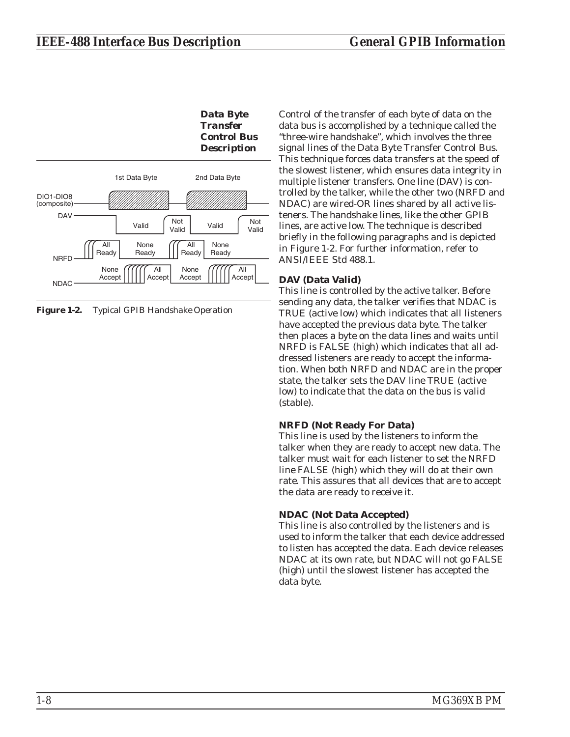<span id="page-13-0"></span>

*Figure 1-2. Typical GPIB Handshake Operation*

Control of the transfer of each byte of data on the data bus is accomplished by a technique called the "three-wire handshake", which involves the three signal lines of the Data Byte Transfer Control Bus. This technique forces data transfers at the speed of the slowest listener, which ensures data integrity in multiple listener transfers. One line (DAV) is controlled by the talker, while the other two (NRFD and NDAC) are wired-OR lines shared by all active listeners. The handshake lines, like the other GPIB lines, are active low. The technique is described briefly in the following paragraphs and is depicted in Figure 1-2. For further information, refer to ANSI/IEEE Std 488.1.

#### **DAV (Data Valid)**

This line is controlled by the active talker. Before sending any data, the talker verifies that NDAC is TRUE (active low) which indicates that all listeners have accepted the previous data byte. The talker then places a byte on the data lines and waits until NRFD is FALSE (high) which indicates that all addressed listeners are ready to accept the information. When both NRFD and NDAC are in the proper state, the talker sets the DAV line TRUE (active low) to indicate that the data on the bus is valid (stable).

#### **NRFD (Not Ready For Data)**

This line is used by the listeners to inform the talker when they are ready to accept new data. The talker must wait for each listener to set the NRFD line FALSE (high) which they will do at their own rate. This assures that all devices that are to accept the data are ready to receive it.

### **NDAC (Not Data Accepted)**

This line is also controlled by the listeners and is used to inform the talker that each device addressed to listen has accepted the data. Each device releases NDAC at its own rate, but NDAC will not go FALSE (high) until the slowest listener has accepted the data byte.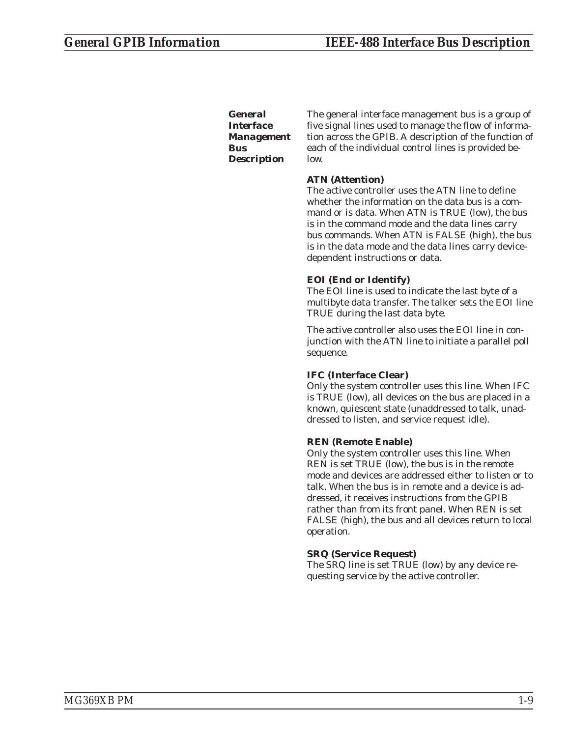<span id="page-14-0"></span>*General Interface Management Bus Description*

The general interface management bus is a group of five signal lines used to manage the flow of information across the GPIB. A description of the function of each of the individual control lines is provided below.

#### **ATN (Attention)**

The active controller uses the ATN line to define whether the information on the data bus is a command or is data. When ATN is TRUE (low), the bus is in the command mode and the data lines carry bus commands. When ATN is FALSE (high), the bus is in the data mode and the data lines carry devicedependent instructions or data.

#### **EOI (End or Identify)**

The EOI line is used to indicate the last byte of a multibyte data transfer. The talker sets the EOI line TRUE during the last data byte.

The active controller also uses the EOI line in conjunction with the ATN line to initiate a parallel poll sequence.

#### **IFC (Interface Clear)**

Only the system controller uses this line. When IFC is TRUE (low), all devices on the bus are placed in a known, quiescent state (unaddressed to talk, unaddressed to listen, and service request idle).

#### **REN (Remote Enable)**

Only the system controller uses this line. When REN is set TRUE (low), the bus is in the remote mode and devices are addressed either to listen or to talk. When the bus is in remote and a device is addressed, it receives instructions from the GPIB rather than from its front panel. When REN is set FALSE (high), the bus and all devices return to local operation.

#### **SRQ (Service Request)**

The SRQ line is set TRUE (low) by any device requesting service by the active controller.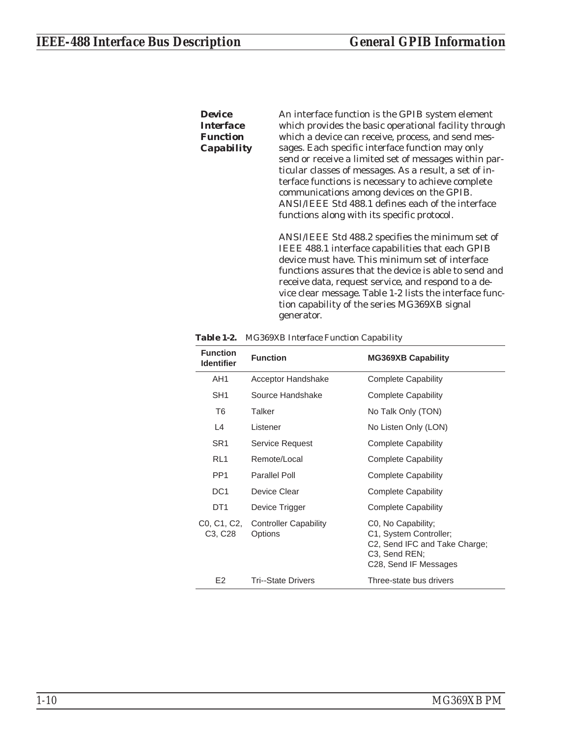#### <span id="page-15-0"></span>*Device Interface Function Capability*

An interface function is the GPIB system element which provides the basic operational facility through which a device can receive, process, and send messages. Each specific interface function may only send or receive a limited set of messages within particular classes of messages. As a result, a set of interface functions is necessary to achieve complete communications among devices on the GPIB. ANSI/IEEE Std 488.1 defines each of the interface functions along with its specific protocol.

ANSI/IEEE Std 488.2 specifies the minimum set of IEEE 488.1 interface capabilities that each GPIB device must have. This minimum set of interface functions assures that the device is able to send and receive data, request service, and respond to a device clear message. Table 1-2 lists the interface function capability of the series MG369XB signal generator.

| <b>Function</b><br><b>Identifier</b> | <b>Function</b>                         | <b>MG369XB Capability</b>                                                                                               |
|--------------------------------------|-----------------------------------------|-------------------------------------------------------------------------------------------------------------------------|
| AH1                                  | Acceptor Handshake                      | <b>Complete Capability</b>                                                                                              |
| SH <sub>1</sub>                      | Source Handshake                        | <b>Complete Capability</b>                                                                                              |
| T <sub>6</sub>                       | Talker                                  | No Talk Only (TON)                                                                                                      |
| L4                                   | Listener                                | No Listen Only (LON)                                                                                                    |
| SR1                                  | <b>Service Request</b>                  | <b>Complete Capability</b>                                                                                              |
| RL <sub>1</sub>                      | Remote/Local                            | <b>Complete Capability</b>                                                                                              |
| PP <sub>1</sub>                      | Parallel Poll                           | <b>Complete Capability</b>                                                                                              |
| DC <sub>1</sub>                      | Device Clear                            | <b>Complete Capability</b>                                                                                              |
| DT <sub>1</sub>                      | Device Trigger                          | <b>Complete Capability</b>                                                                                              |
| C0, C1, C2,<br>C3, C28               | <b>Controller Capability</b><br>Options | C0, No Capability;<br>C1, System Controller;<br>C2, Send IFC and Take Charge;<br>C3, Send REN;<br>C28, Send IF Messages |
| E <sub>2</sub>                       | Tri--State Drivers                      | Three-state bus drivers                                                                                                 |

*Table 1-2. MG369XB Interface Function Capability*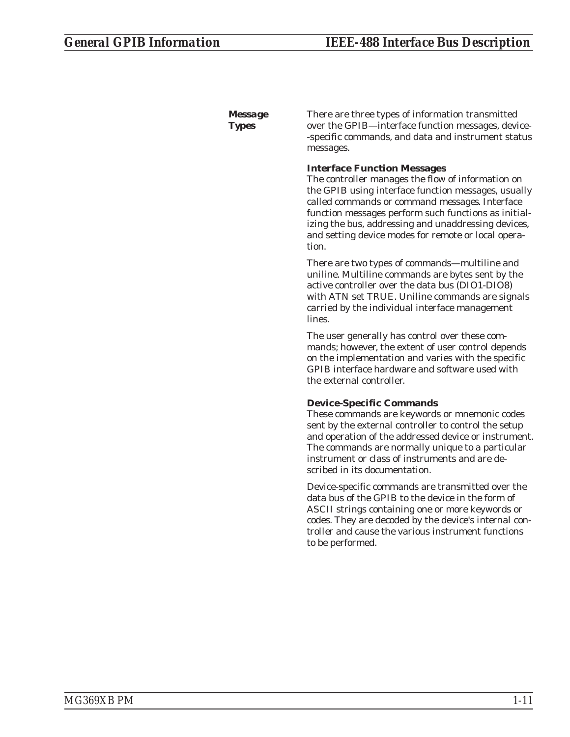<span id="page-16-0"></span>*Message Types*

There are three types of information transmitted over the GPIB—interface function messages, device- -specific commands, and data and instrument status messages.

#### **Interface Function Messages**

The controller manages the flow of information on the GPIB using interface function messages, usually called *commands* or *command messages*. Interface function messages perform such functions as initializing the bus, addressing and unaddressing devices, and setting device modes for remote or local operation.

There are two types of commands—multiline and uniline. Multiline commands are bytes sent by the active controller over the data bus (DIO1-DIO8) with ATN set TRUE. Uniline commands are signals carried by the individual interface management lines.

The user generally has control over these commands; however, the extent of user control depends on the implementation and varies with the specific GPIB interface hardware and software used with the external controller.

#### **Device-Specific Commands**

These commands are keywords or mnemonic codes sent by the external controller to control the setup and operation of the addressed device or instrument. The commands are normally unique to a particular instrument or class of instruments and are described in its documentation.

Device-specific commands are transmitted over the data bus of the GPIB to the device in the form of ASCII strings containing one or more keywords or codes. They are decoded by the device's *internal controller* and cause the various instrument functions to be performed.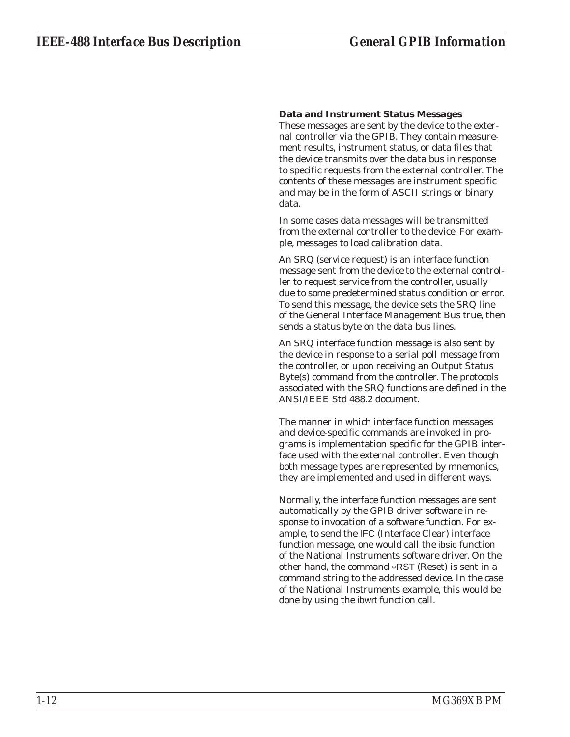#### **Data and Instrument Status Messages**

These messages are sent by the device to the external controller via the GPIB. They contain measurement results, instrument status, or data files that the device transmits over the data bus in response to specific requests from the external controller. The contents of these messages are instrument specific and may be in the form of ASCII strings or binary data.

In some cases data messages will be transmitted from the external controller to the device. For example, messages to load calibration data.

An SRQ (service request) is an interface function message sent *from the device* to the external controller to request service from the controller, usually due to some predetermined status condition or error. To send this message, the device sets the SRQ line of the General Interface Management Bus true, then sends a status byte on the data bus lines.

An SRQ interface function message is also sent by the device in response to a serial poll message from the controller, or upon receiving an Output Status Byte(s) command from the controller. The protocols associated with the SRQ functions are defined in the ANSI/IEEE Std 488.2 document.

The manner in which interface function messages and device-specific commands are invoked in programs is implementation specific for the GPIB interface used with the external controller. Even though both message types are represented by mnemonics, they are implemented and used in different ways.

Normally, the interface function messages are sent automatically by the GPIB driver software in response to invocation of a software function. For example, to send the IFC (Interface Clear) interface function message, one would call the ibsic function of the National Instruments software driver. On the other hand, the command \*RST (Reset) is sent in a command string to the addressed device. In the case of the National Instruments example, this would be done by using the ibwrt function call.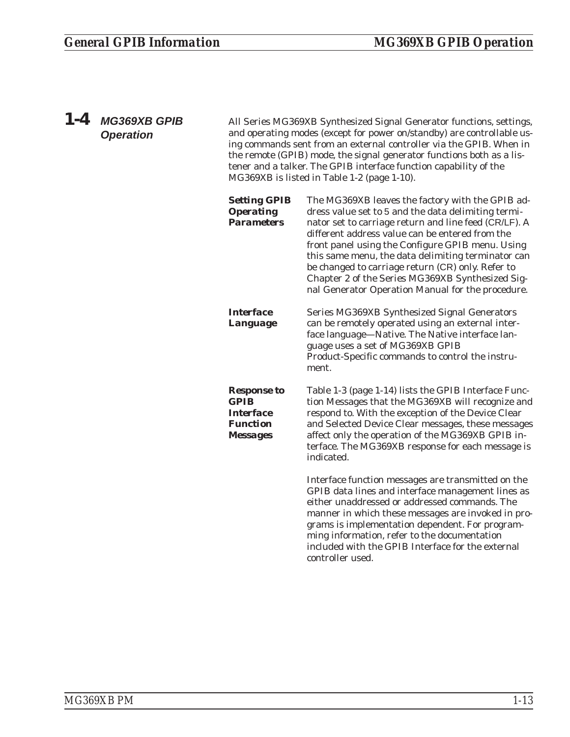<span id="page-18-0"></span>

| $1 - 4$ | <b>MG369XB GPIB</b><br><b>Operation</b> | All Series MG369XB Synthesized Signal Generator functions, settings,<br>and operating modes (except for power on/standby) are controllable us-<br>ing commands sent from an external controller via the GPIB. When in<br>the remote (GPIB) mode, the signal generator functions both as a lis-<br>tener and a talker. The GPIB interface function capability of the<br>MG369XB is listed in Table 1-2 (page 1-10). |                                                                                                                                                                                                                                                                                                                                                                                                                                                                                             |  |
|---------|-----------------------------------------|--------------------------------------------------------------------------------------------------------------------------------------------------------------------------------------------------------------------------------------------------------------------------------------------------------------------------------------------------------------------------------------------------------------------|---------------------------------------------------------------------------------------------------------------------------------------------------------------------------------------------------------------------------------------------------------------------------------------------------------------------------------------------------------------------------------------------------------------------------------------------------------------------------------------------|--|
|         |                                         | <b>Setting GPIB</b><br><b>Operating</b><br><b>Parameters</b>                                                                                                                                                                                                                                                                                                                                                       | The MG369XB leaves the factory with the GPIB ad-<br>dress value set to 5 and the data delimiting termi-<br>nator set to carriage return and line feed (CR/LF). A<br>different address value can be entered from the<br>front panel using the Configure GPIB menu. Using<br>this same menu, the data delimiting terminator can<br>be changed to carriage return (CR) only. Refer to<br>Chapter 2 of the Series MG369XB Synthesized Sig-<br>nal Generator Operation Manual for the procedure. |  |
|         |                                         | <b>Interface</b><br>Language                                                                                                                                                                                                                                                                                                                                                                                       | Series MG369XB Synthesized Signal Generators<br>can be remotely operated using an external inter-<br>face language-Native. The Native interface lan-<br>guage uses a set of MG369XB GPIB<br>Product-Specific commands to control the instru-<br>ment.                                                                                                                                                                                                                                       |  |
|         |                                         | <b>Response to</b><br><b>GPIB</b><br><b>Interface</b><br><b>Function</b><br><b>Messages</b>                                                                                                                                                                                                                                                                                                                        | Table 1-3 (page 1-14) lists the GPIB Interface Func-<br>tion Messages that the MG369XB will recognize and<br>respond to. With the exception of the Device Clear<br>and Selected Device Clear messages, these messages<br>affect only the operation of the MG369XB GPIB in-<br>terface. The MG369XB response for each message is<br>indicated.                                                                                                                                               |  |
|         |                                         |                                                                                                                                                                                                                                                                                                                                                                                                                    | Interface function messages are transmitted on the<br>GPIB data lines and interface management lines as<br>either unaddressed or addressed commands. The<br>manner in which these messages are invoked in pro-<br>grams is implementation dependent. For program-<br>ming information, refer to the documentation<br>included with the GPIB Interface for the external                                                                                                                      |  |

controller used.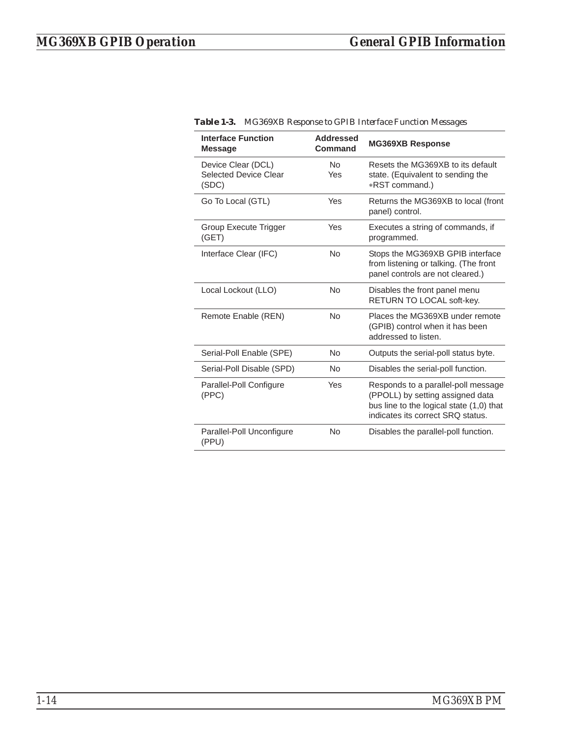| <b>Interface Function</b><br><b>Message</b>                 | <b>Addressed</b><br>Command | <b>MG369XB Response</b>                                                                                                                                  |
|-------------------------------------------------------------|-----------------------------|----------------------------------------------------------------------------------------------------------------------------------------------------------|
| Device Clear (DCL)<br><b>Selected Device Clear</b><br>(SDC) | No.<br>Yes                  | Resets the MG369XB to its default<br>state. (Equivalent to sending the<br>*RST command.)                                                                 |
| Go To Local (GTL)                                           | Yes                         | Returns the MG369XB to local (front<br>panel) control.                                                                                                   |
| Group Execute Trigger<br>(GET)                              | Yes                         | Executes a string of commands, if<br>programmed.                                                                                                         |
| Interface Clear (IFC)                                       | <b>No</b>                   | Stops the MG369XB GPIB interface<br>from listening or talking. (The front<br>panel controls are not cleared.)                                            |
| Local Lockout (LLO)                                         | No                          | Disables the front panel menu<br>RETURN TO LOCAL soft-key.                                                                                               |
| Remote Enable (REN)                                         | <b>No</b>                   | Places the MG369XB under remote<br>(GPIB) control when it has been<br>addressed to listen.                                                               |
| Serial-Poll Enable (SPE)                                    | <b>No</b>                   | Outputs the serial-poll status byte.                                                                                                                     |
| Serial-Poll Disable (SPD)                                   | <b>No</b>                   | Disables the serial-poll function.                                                                                                                       |
| Parallel-Poll Configure<br>(PPC)                            | Yes                         | Responds to a parallel-poll message<br>(PPOLL) by setting assigned data<br>bus line to the logical state (1,0) that<br>indicates its correct SRO status. |
| Parallel-Poll Unconfigure<br>(PPU)                          | <b>No</b>                   | Disables the parallel-poll function.                                                                                                                     |

*Table 1-3. MG369XB Response to GPIB Interface Function Messages*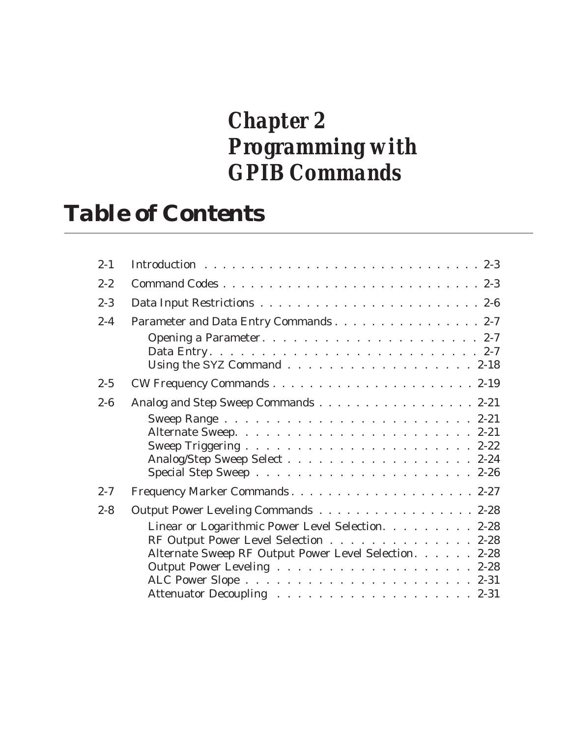## *Chapter 2 Programming with GPIB Commands*

## *Table of Contents*

| $2 - 1$ |                                                                                                                                                                                           |
|---------|-------------------------------------------------------------------------------------------------------------------------------------------------------------------------------------------|
| $2 - 2$ |                                                                                                                                                                                           |
| $2 - 3$ |                                                                                                                                                                                           |
| $2 - 4$ | Parameter and Data Entry Commands 2-7                                                                                                                                                     |
|         | Using the SYZ Command 2-18                                                                                                                                                                |
| $2 - 5$ |                                                                                                                                                                                           |
| $2 - 6$ | Analog and Step Sweep Commands 2-21<br>Analog/Step Sweep Select 2-24                                                                                                                      |
| $2 - 7$ | Frequency Marker Commands2-27                                                                                                                                                             |
| $2 - 8$ | Output Power Leveling Commands 2-28<br>Linear or Logarithmic Power Level Selection. 2-28<br>RF Output Power Level Selection 2-28<br>Alternate Sweep RF Output Power Level Selection. 2-28 |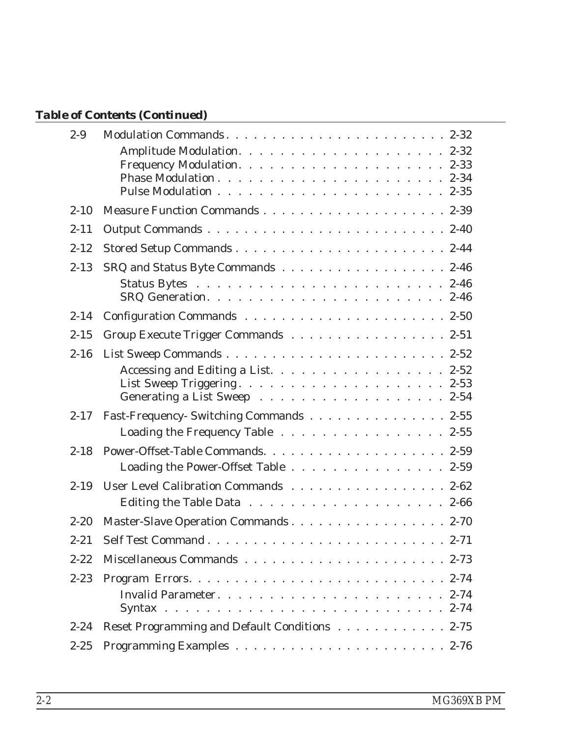## *Table of Contents (Continued)*

| $2 - 9$  |                                               |
|----------|-----------------------------------------------|
|          |                                               |
| $2 - 10$ |                                               |
| $2 - 11$ |                                               |
| $2 - 12$ |                                               |
| $2 - 13$ | SRQ and Status Byte Commands 2-46             |
|          |                                               |
| $2 - 14$ |                                               |
| $2 - 15$ | Group Execute Trigger Commands 2-51           |
| $2 - 16$ |                                               |
|          | Accessing and Editing a List. 2-52            |
| $2 - 17$ | Fast-Frequency- Switching Commands 2-55       |
|          | Loading the Frequency Table 2-55              |
| $2 - 18$ | Loading the Power-Offset Table 2-59           |
| $2 - 19$ | User Level Calibration Commands 2-62          |
| $2 - 20$ | Master-Slave Operation Commands 2-70          |
| $2 - 21$ |                                               |
| $2 - 22$ |                                               |
| $2 - 23$ |                                               |
| $2 - 24$ | Reset Programming and Default Conditions 2-75 |
| $2 - 25$ |                                               |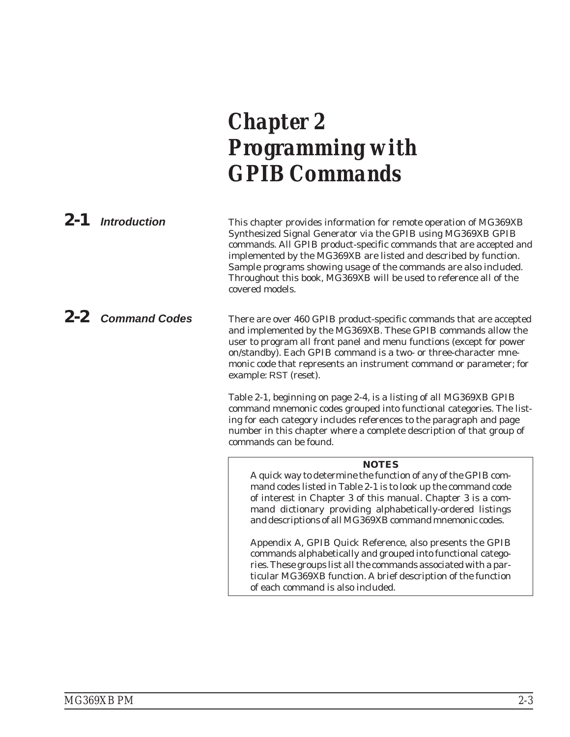# <span id="page-22-0"></span>*Chapter 2 Programming with GPIB Commands*

*2-1 Introduction* This chapter provides information for remote operation of MG369XB Synthesized Signal Generator via the GPIB using MG369XB GPIB commands. All GPIB product-specific commands that are accepted and implemented by the MG369XB are listed and described by function. Sample programs showing usage of the commands are also included. Throughout this book, MG369XB will be used to reference all of the covered models.

*2-2 Command Codes* There are over 460 GPIB product-specific commands that are accepted and implemented by the MG369XB. These GPIB commands allow the user to program all front panel and menu functions (except for power on/standby). Each GPIB command is a two- or three-character mnemonic code that represents an instrument command or parameter; for example: RST (reset).

> Table 2-1, beginning on page 2-4, is a listing of all MG369XB GPIB command mnemonic codes grouped into functional categories. The listing for each category includes references to the paragraph and page number in this chapter where a complete description of that group of commands can be found.

#### **NOTES**

A quick way to determine the function of any of the GPIB command codes listed in Table 2-1 is to look up the command code of interest in Chapter 3 of this manual. Chapter 3 is a command dictionary providing alphabetically-ordered listings and descriptions of all MG369XB command mnemonic codes.

Appendix A, GPIB Quick Reference, also presents the GPIB commands alphabetically and grouped into functional categories. These groups list all the commands associated with a particular MG369XB function. A brief description of the function of each command is also included.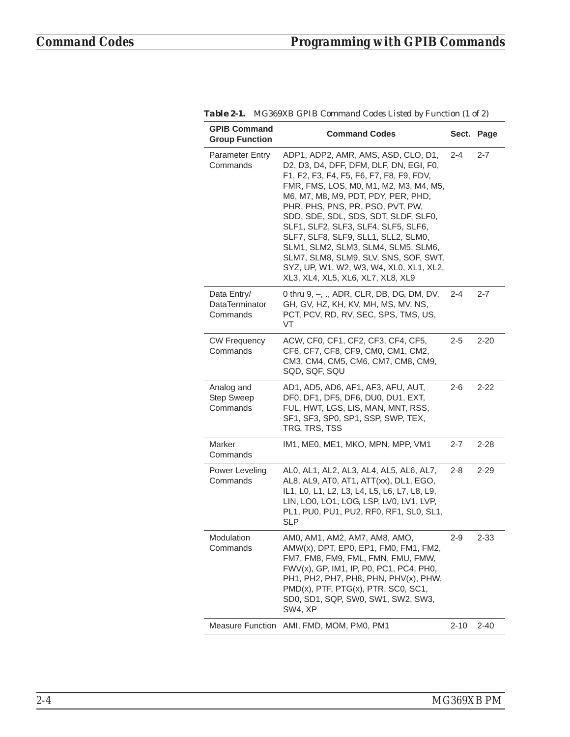| <b>GPIB Command</b><br><b>Group Function</b>     | <b>Command Codes</b>                                                                                                                                                                                                                                                                                                                                                                                                                                                                                                                  |         | Sect. Page |
|--------------------------------------------------|---------------------------------------------------------------------------------------------------------------------------------------------------------------------------------------------------------------------------------------------------------------------------------------------------------------------------------------------------------------------------------------------------------------------------------------------------------------------------------------------------------------------------------------|---------|------------|
| <b>Parameter Entry</b><br>Commands               | ADP1, ADP2, AMR, AMS, ASD, CLO, D1,<br>D2, D3, D4, DFF, DFM, DLF, DN, EGI, F0,<br>F1, F2, F3, F4, F5, F6, F7, F8, F9, FDV,<br>FMR, FMS, LOS, M0, M1, M2, M3, M4, M5,<br>M6, M7, M8, M9, PDT, PDY, PER, PHD,<br>PHR, PHS, PNS, PR, PSO, PVT, PW,<br>SDD, SDE, SDL, SDS, SDT, SLDF, SLF0,<br>SLF1, SLF2, SLF3, SLF4, SLF5, SLF6,<br>SLF7, SLF8, SLF9, SLL1, SLL2, SLM0,<br>SLM1, SLM2, SLM3, SLM4, SLM5, SLM6,<br>SLM7, SLM8, SLM9, SLV, SNS, SOF, SWT,<br>SYZ, UP, W1, W2, W3, W4, XL0, XL1, XL2,<br>XL3, XL4, XL5, XL6, XL7, XL8, XL9 | 2-4     | 2-7        |
| Data Entry/<br><b>DataTerminator</b><br>Commands | 0 thru 9, -, ., ADR, CLR, DB, DG, DM, DV,<br>GH, GV, HZ, KH, KV, MH, MS, MV, NS,<br>PCT, PCV, RD, RV, SEC, SPS, TMS, US,<br><b>VT</b>                                                                                                                                                                                                                                                                                                                                                                                                 | 2-4     | 2-7        |
| <b>CW Frequency</b><br>Commands                  | ACW, CF0, CF1, CF2, CF3, CF4, CF5,<br>CF6, CF7, CF8, CF9, CM0, CM1, CM2,<br>CM3, CM4, CM5, CM6, CM7, CM8, CM9,<br>SQD, SQF, SQU                                                                                                                                                                                                                                                                                                                                                                                                       | 2-5     | 2-20       |
| Analog and<br>Step Sweep<br>Commands             | AD1, AD5, AD6, AF1, AF3, AFU, AUT,<br>DF0, DF1, DF5, DF6, DU0, DU1, EXT,<br>FUL, HWT, LGS, LIS, MAN, MNT, RSS,<br>SF1, SF3, SP0, SP1, SSP, SWP, TEX,<br>TRG, TRS, TSS                                                                                                                                                                                                                                                                                                                                                                 | $2 - 6$ | 2-22       |
| Marker<br>Commands                               | IM1, ME0, ME1, MKO, MPN, MPP, VM1                                                                                                                                                                                                                                                                                                                                                                                                                                                                                                     | $2 - 7$ | $2 - 28$   |
| Power Leveling<br>Commands                       | AL0, AL1, AL2, AL3, AL4, AL5, AL6, AL7,<br>AL8, AL9, AT0, AT1, ATT(xx), DL1, EGO,<br>IL1, L0, L1, L2, L3, L4, L5, L6, L7, L8, L9,<br>LIN, LO0, LO1, LOG, LSP, LV0, LV1, LVP,<br>PL1, PU0, PU1, PU2, RF0, RF1, SL0, SL1,<br><b>SLP</b>                                                                                                                                                                                                                                                                                                 | 2-8     | 2-29       |
| Modulation<br>Commands                           | AM0, AM1, AM2, AM7, AM8, AMO,<br>AMW(x), DPT, EP0, EP1, FM0, FM1, FM2,<br>FM7, FM8, FM9, FML, FMN, FMU, FMW,<br>FWV(x), GP, IM1, IP, P0, PC1, PC4, PH0,<br>PH1, PH2, PH7, PH8, PHN, PHV(x), PHW,<br>PMD(x), PTF, PTG(x), PTR, SC0, SC1,<br>SD0, SD1, SQP, SW0, SW1, SW2, SW3,<br>SW4, XP                                                                                                                                                                                                                                              | $2 - 9$ | $2 - 33$   |
|                                                  | Measure Function AMI, FMD, MOM, PM0, PM1                                                                                                                                                                                                                                                                                                                                                                                                                                                                                              | 2-10    | $2 - 40$   |

*Table 2-1. MG369XB GPIB Command Codes Listed by Function (1 of 2)*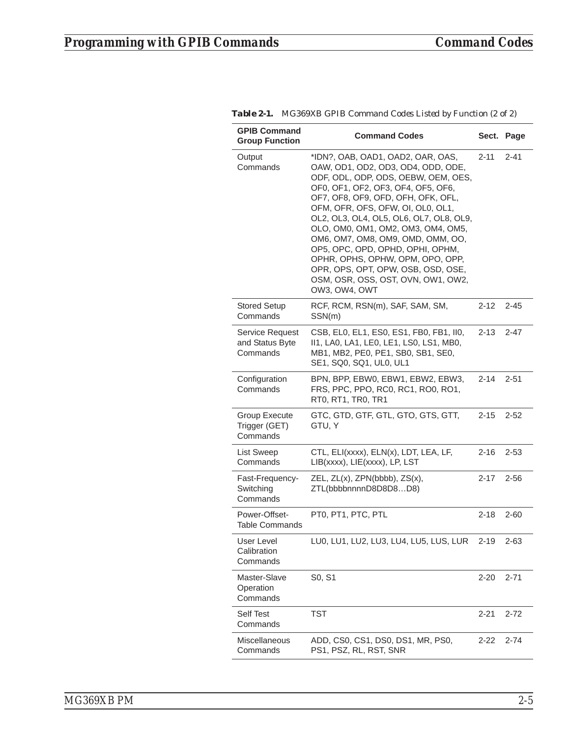| <b>GPIB Command</b><br><b>Group Function</b>   | <b>Command Codes</b>                                                                                                                                                                                                                                                                                                                                                                                                                                                                                                       |          | Sect. Page |
|------------------------------------------------|----------------------------------------------------------------------------------------------------------------------------------------------------------------------------------------------------------------------------------------------------------------------------------------------------------------------------------------------------------------------------------------------------------------------------------------------------------------------------------------------------------------------------|----------|------------|
| Output<br>Commands                             | *IDN?, OAB, OAD1, OAD2, OAR, OAS,<br>OAW, OD1, OD2, OD3, OD4, ODD, ODE,<br>ODF, ODL, ODP, ODS, OEBW, OEM, OES,<br>OF0, OF1, OF2, OF3, OF4, OF5, OF6,<br>OF7, OF8, OF9, OFD, OFH, OFK, OFL,<br>OFM, OFR, OFS, OFW, OI, OL0, OL1,<br>OL2, OL3, OL4, OL5, OL6, OL7, OL8, OL9,<br>OLO, OM0, OM1, OM2, OM3, OM4, OM5,<br>OM6, OM7, OM8, OM9, OMD, OMM, OO,<br>OP5, OPC, OPD, OPHD, OPHI, OPHM,<br>OPHR, OPHS, OPHW, OPM, OPO, OPP,<br>OPR, OPS, OPT, OPW, OSB, OSD, OSE,<br>OSM, OSR, OSS, OST, OVN, OW1, OW2,<br>OW3, OW4, OWT | $2 - 11$ | $2 - 41$   |
| <b>Stored Setup</b><br>Commands                | RCF, RCM, RSN(m), SAF, SAM, SM,<br>SSN(m)                                                                                                                                                                                                                                                                                                                                                                                                                                                                                  | $2 - 12$ | $2 - 45$   |
| Service Request<br>and Status Byte<br>Commands | CSB, EL0, EL1, ES0, ES1, FB0, FB1, II0,<br>II1, LA0, LA1, LE0, LE1, LS0, LS1, MB0,<br>MB1, MB2, PE0, PE1, SB0, SB1, SE0,<br>SE1, SQ0, SQ1, UL0, UL1                                                                                                                                                                                                                                                                                                                                                                        | $2 - 13$ | $2 - 47$   |
| Configuration<br>Commands                      | BPN, BPP, EBW0, EBW1, EBW2, EBW3,<br>FRS, PPC, PPO, RC0, RC1, RO0, RO1,<br>RT0, RT1, TR0, TR1                                                                                                                                                                                                                                                                                                                                                                                                                              | $2 - 14$ | $2 - 51$   |
| Group Execute<br>Trigger (GET)<br>Commands     | GTC, GTD, GTF, GTL, GTO, GTS, GTT,<br>GTU, Y                                                                                                                                                                                                                                                                                                                                                                                                                                                                               | $2 - 15$ | $2 - 52$   |
| List Sweep<br>Commands                         | CTL, ELI(xxxx), ELN(x), LDT, LEA, LF,<br>LIB(xxxx), LIE(xxxx), LP, LST                                                                                                                                                                                                                                                                                                                                                                                                                                                     | 2-16     | $2 - 53$   |
| Fast-Frequency-<br>Switching<br>Commands       | ZEL, ZL(x), ZPN(bbbb), ZS(x),<br>ZTL(bbbbnnnnD8D8D8D8)                                                                                                                                                                                                                                                                                                                                                                                                                                                                     | $2 - 17$ | $2 - 56$   |
| Power-Offset-<br><b>Table Commands</b>         | PT0, PT1, PTC, PTL                                                                                                                                                                                                                                                                                                                                                                                                                                                                                                         | $2 - 18$ | 2-60       |
| User Level<br>Calibration<br>Commands          | LU0, LU1, LU2, LU3, LU4, LU5, LUS, LUR                                                                                                                                                                                                                                                                                                                                                                                                                                                                                     | $2 - 19$ | $2 - 63$   |
| Master-Slave<br>Operation<br>Commands          | S0, S1                                                                                                                                                                                                                                                                                                                                                                                                                                                                                                                     | $2 - 20$ | $2 - 71$   |
| <b>Self Test</b><br>Commands                   | TST                                                                                                                                                                                                                                                                                                                                                                                                                                                                                                                        | $2 - 21$ | $2 - 72$   |
| <b>Miscellaneous</b><br>Commands               | ADD, CS0, CS1, DS0, DS1, MR, PS0,<br>PS1, PSZ, RL, RST, SNR                                                                                                                                                                                                                                                                                                                                                                                                                                                                | $2 - 22$ | $2 - 74$   |

| Table 2-1. MG369XB GPIB Command Codes Listed by Function (2 of 2) |  |  |
|-------------------------------------------------------------------|--|--|
|-------------------------------------------------------------------|--|--|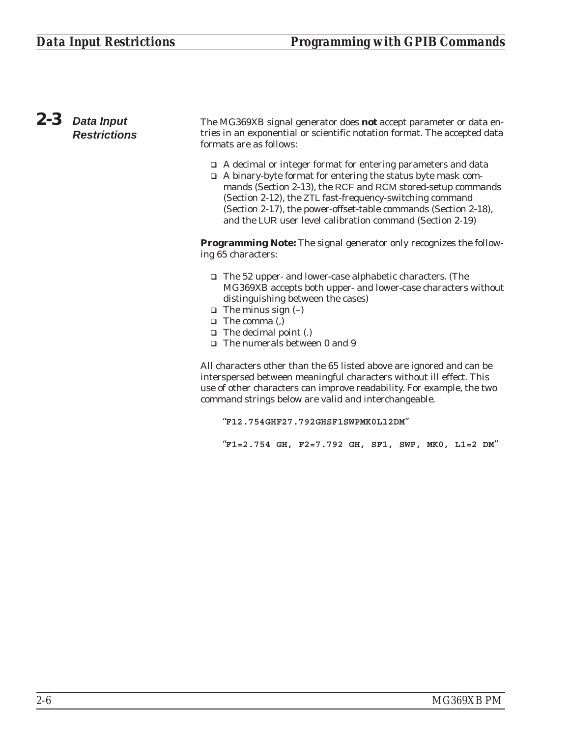#### <span id="page-25-0"></span>*2-3 Data Input Restrictions* The MG369XB signal generator does *not* accept parameter or data entries in an exponential or scientific notation format. The accepted data formats are as follows:

- □ A decimal or integer format for entering parameters and data
- □ A binary-byte format for entering the status byte mask commands (Section 2-13), the RCF and RCM stored-setup commands (Section 2-12), the ZTL fast-frequency-switching command (Section 2-17), the power-offset-table commands (Section 2-18), and the LUR user level calibration command (Section 2-19)

**Programming Note:** The signal generator only recognizes the following 65 characters:

- □ The 52 upper- and lower-case alphabetic characters. (The MG369XB accepts both upper- and lower-case characters without distinguishing between the cases)
- $\Box$  The minus sign  $(-)$
- □ The comma (,)
- □ The decimal point (.)
- □ The numerals between 0 and 9

All characters other than the 65 listed above are ignored and can be interspersed between meaningful characters without ill effect. This use of other characters can improve readability. For example, the two command strings below are valid and interchangeable.

"**F12.754GHF27.792GHSF1SWPMK0L12DM**"

"**F1=2.754 GH, F2=7.792 GH, SF1, SWP, MK0, L1=2 DM**"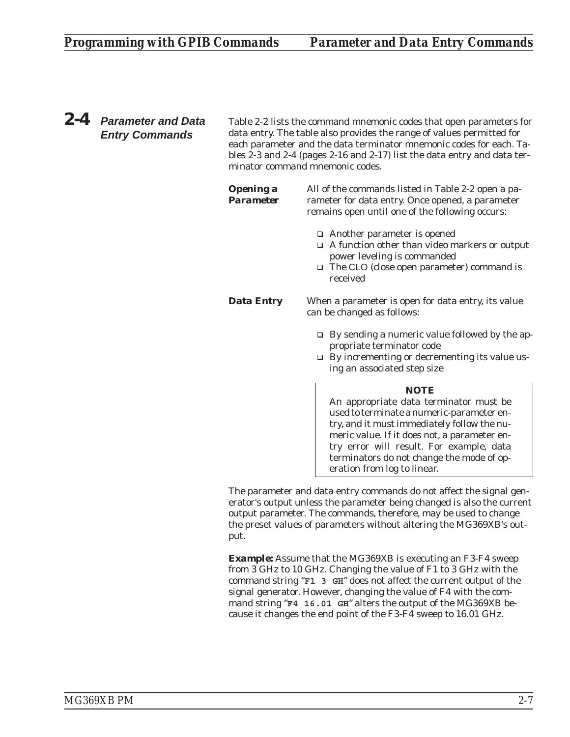<span id="page-26-0"></span>*2-4 Parameter and Data Entry Commands*

Table 2-2 lists the command mnemonic codes that open parameters for data entry. The table also provides the range of values permitted for each parameter and the data terminator mnemonic codes for each. Tables 2-3 and 2-4 (pages 2-16 and 2-17) list the data entry and data terminator command mnemonic codes.

|                                      | NOTE                                                                                                                                                                                      |
|--------------------------------------|-------------------------------------------------------------------------------------------------------------------------------------------------------------------------------------------|
|                                      | $\Box$ By incrementing or decrementing its value us-<br>ing an associated step size                                                                                                       |
|                                      | $\Box$ By sending a numeric value followed by the ap-<br>propriate terminator code                                                                                                        |
| <b>Data Entry</b>                    | When a parameter is open for data entry, its value<br>can be changed as follows:                                                                                                          |
|                                      | $\Box$ Another parameter is opened<br>$\Box$ A function other than video markers or output<br>power leveling is commanded<br>$\Box$ The CLO (close open parameter) command is<br>received |
| <b>Opening a</b><br><b>Parameter</b> | All of the commands listed in Table 2-2 open a pa-<br>rameter for data entry. Once opened, a parameter<br>remains open until one of the following occurs:                                 |

An appropriate data terminator *must* be used to terminate a numeric-parameter entry, and it *must* immediately follow the numeric value. If it does not, a parameter entry error will result. For example, data terminators do not change the mode of operation from log to linear.

The parameter and data entry commands do not affect the signal generator's output unless the parameter being changed is also the current output parameter. The commands, therefore, may be used to change the preset values of parameters without altering the MG369XB's output.

*Example:* Assume that the MG369XB is executing an F3-F4 sweep from 3 GHz to 10 GHz. Changing the value of F1 to 3 GHz with the command string "**F1 3 GH**" does not affect the current output of the signal generator. However, changing the value of F4 with the command string "**F4 16.01 GH**" alters the output of the MG369XB because it changes the end point of the F3-F4 sweep to 16.01 GHz.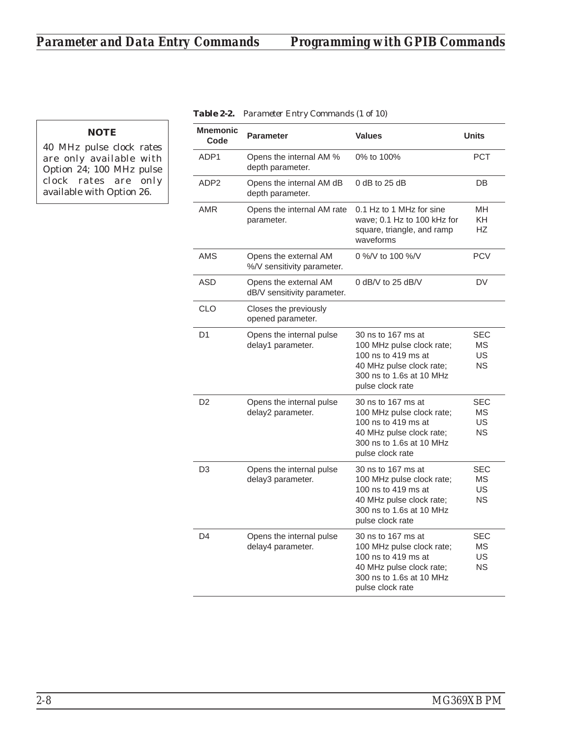**NOTE** 40 MHz pulse clock rates are only available with Option 24; 100 MHz pulse clock rates are only available with Option 26.

| <b>Mnemonic</b><br>Code | <b>Parameter</b>                                     | <b>Values</b>                                                                                                                                      | <b>Units</b>                               |
|-------------------------|------------------------------------------------------|----------------------------------------------------------------------------------------------------------------------------------------------------|--------------------------------------------|
| ADP1                    | Opens the internal AM %<br>depth parameter.          | 0% to 100%                                                                                                                                         | <b>PCT</b>                                 |
| ADP <sub>2</sub>        | Opens the internal AM dB<br>depth parameter.         | $0$ dB to 25 dB                                                                                                                                    | DB                                         |
| <b>AMR</b>              | Opens the internal AM rate<br>parameter.             | 0.1 Hz to 1 MHz for sine<br>wave; 0.1 Hz to 100 kHz for<br>square, triangle, and ramp<br>waveforms                                                 | <b>MH</b><br>KH.<br>HZ                     |
| AMS                     | Opens the external AM<br>%/V sensitivity parameter.  | 0 %/V to 100 %/V                                                                                                                                   | <b>PCV</b>                                 |
| <b>ASD</b>              | Opens the external AM<br>dB/V sensitivity parameter. | 0 dB/V to 25 dB/V                                                                                                                                  | <b>DV</b>                                  |
| CLO                     | Closes the previously<br>opened parameter.           |                                                                                                                                                    |                                            |
| D <sub>1</sub>          | Opens the internal pulse<br>delay1 parameter.        | 30 ns to 167 ms at<br>100 MHz pulse clock rate;<br>100 ns to 419 ms at<br>40 MHz pulse clock rate;<br>300 ns to 1.6s at 10 MHz<br>pulse clock rate | SEC<br>МS<br>US<br><b>NS</b>               |
| D <sub>2</sub>          | Opens the internal pulse<br>delay2 parameter.        | 30 ns to 167 ms at<br>100 MHz pulse clock rate;<br>100 ns to 419 ms at<br>40 MHz pulse clock rate;<br>300 ns to 1.6s at 10 MHz<br>pulse clock rate | <b>SEC</b><br>ΜS<br><b>US</b><br>NS.       |
| D3                      | Opens the internal pulse<br>delay3 parameter.        | 30 ns to 167 ms at<br>100 MHz pulse clock rate;<br>100 ns to 419 ms at<br>40 MHz pulse clock rate;<br>300 ns to 1.6s at 10 MHz<br>pulse clock rate | <b>SEC</b><br>МS<br><b>US</b><br><b>NS</b> |
| D <sub>4</sub>          | Opens the internal pulse<br>delay4 parameter.        | 30 ns to 167 ms at<br>100 MHz pulse clock rate;<br>100 ns to 419 ms at<br>40 MHz pulse clock rate;<br>300 ns to 1.6s at 10 MHz<br>pulse clock rate | SEC<br>ΜS<br>US<br><b>NS</b>               |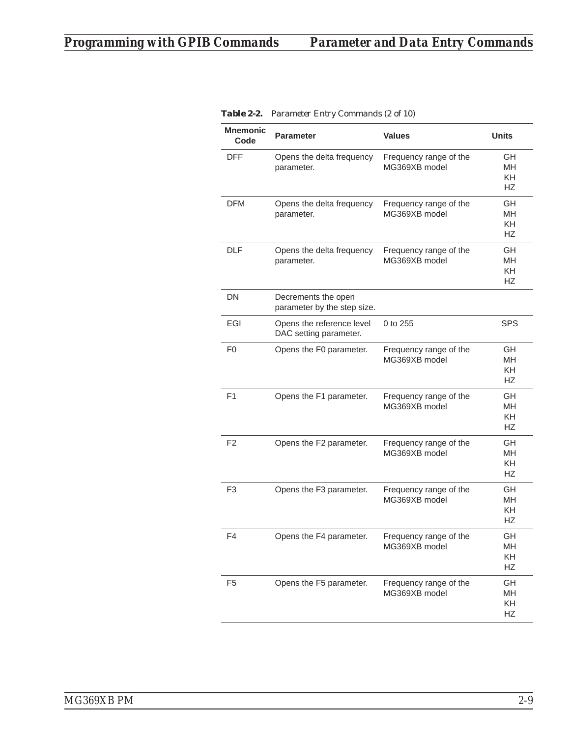| <b>Mnemonic</b><br>Code | <b>Parameter</b>                                    | <b>Values</b>                           | <b>Units</b>                              |
|-------------------------|-----------------------------------------------------|-----------------------------------------|-------------------------------------------|
| <b>DFF</b>              | Opens the delta frequency<br>parameter.             | Frequency range of the<br>MG369XB model | GH<br>MН<br>KH<br><b>HZ</b>               |
| <b>DFM</b>              | Opens the delta frequency<br>parameter.             | Frequency range of the<br>MG369XB model | GН<br><b>MH</b><br>KH<br><b>HZ</b>        |
| <b>DLF</b>              | Opens the delta frequency<br>parameter.             | Frequency range of the<br>MG369XB model | GH<br><b>MH</b><br>KH<br><b>HZ</b>        |
| <b>DN</b>               | Decrements the open<br>parameter by the step size.  |                                         |                                           |
| EGI                     | Opens the reference level<br>DAC setting parameter. | 0 to 255                                | <b>SPS</b>                                |
| F0                      | Opens the F0 parameter.                             | Frequency range of the<br>MG369XB model | GH<br><b>MH</b><br><b>KH</b><br><b>HZ</b> |
| F <sub>1</sub>          | Opens the F1 parameter.                             | Frequency range of the<br>MG369XB model | GH<br><b>MH</b><br>KH<br><b>HZ</b>        |
| F <sub>2</sub>          | Opens the F2 parameter.                             | Frequency range of the<br>MG369XB model | GН<br>MH<br>KH<br><b>HZ</b>               |
| F <sub>3</sub>          | Opens the F3 parameter.                             | Frequency range of the<br>MG369XB model | <b>GH</b><br><b>MH</b><br><b>KH</b><br>НZ |
| F4                      | Opens the F4 parameter.                             | Frequency range of the<br>MG369XB model | GH<br>MН<br>KH<br><b>HZ</b>               |
| F <sub>5</sub>          | Opens the F5 parameter.                             | Frequency range of the<br>MG369XB model | GH<br>MH<br>KH<br>HZ                      |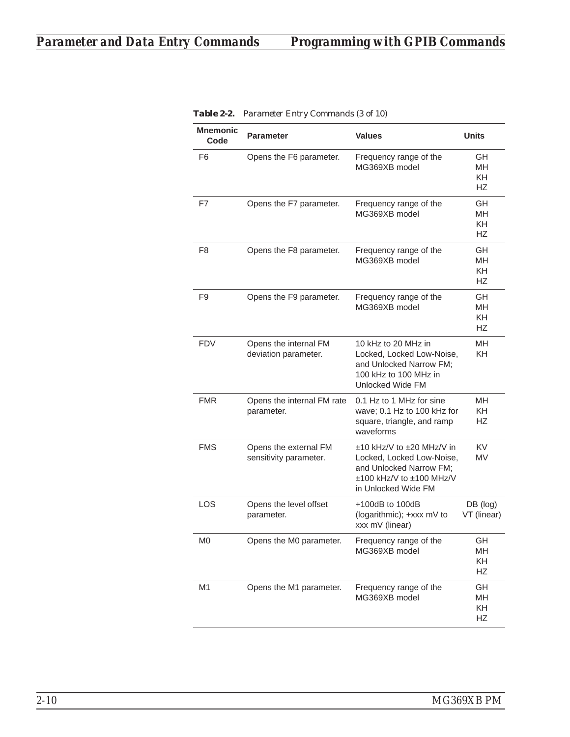| <b>Mnemonic</b><br>Code | <b>Parameter</b>                                | <b>Values</b>                                                                                                                        | <b>Units</b>                        |
|-------------------------|-------------------------------------------------|--------------------------------------------------------------------------------------------------------------------------------------|-------------------------------------|
| F6                      | Opens the F6 parameter.                         | Frequency range of the<br>MG369XB model                                                                                              | GH<br>MН<br>KH.<br>HZ               |
| F7                      | Opens the F7 parameter.                         | Frequency range of the<br>MG369XB model                                                                                              | GH<br><b>MH</b><br>KH.<br>НZ        |
| F8                      | Opens the F8 parameter.                         | Frequency range of the<br>MG369XB model                                                                                              | <b>GH</b><br><b>MH</b><br>KH.<br>HZ |
| F9                      | Opens the F9 parameter.                         | Frequency range of the<br>MG369XB model                                                                                              | GH<br>MН<br>KH.<br><b>HZ</b>        |
| <b>FDV</b>              | Opens the internal FM<br>deviation parameter.   | 10 kHz to 20 MHz in<br>Locked, Locked Low-Noise,<br>and Unlocked Narrow FM;<br>100 kHz to 100 MHz in<br>Unlocked Wide FM             | MН<br>KH.                           |
| <b>FMR</b>              | Opens the internal FM rate<br>parameter.        | 0.1 Hz to 1 MHz for sine<br>wave; 0.1 Hz to 100 kHz for<br>square, triangle, and ramp<br>waveforms                                   | MН<br>KH.<br>НZ                     |
| <b>FMS</b>              | Opens the external FM<br>sensitivity parameter. | ±10 kHz/V to ±20 MHz/V in<br>Locked, Locked Low-Noise,<br>and Unlocked Narrow FM;<br>±100 kHz/V to ±100 MHz/V<br>in Unlocked Wide FM | <b>KV</b><br>MV                     |
| <b>LOS</b>              | Opens the level offset<br>parameter.            | $+100$ dB to $100$ dB<br>(logarithmic); +xxx mV to<br>xxx mV (linear)                                                                | DB (log)<br>VT (linear)             |
| M0                      | Opens the M0 parameter.                         | Frequency range of the<br>MG369XB model                                                                                              | GH<br>MН<br>KH<br>HZ                |
| M <sub>1</sub>          | Opens the M1 parameter.                         | Frequency range of the<br>MG369XB model                                                                                              | <b>GH</b><br>MН<br>KH<br>HZ         |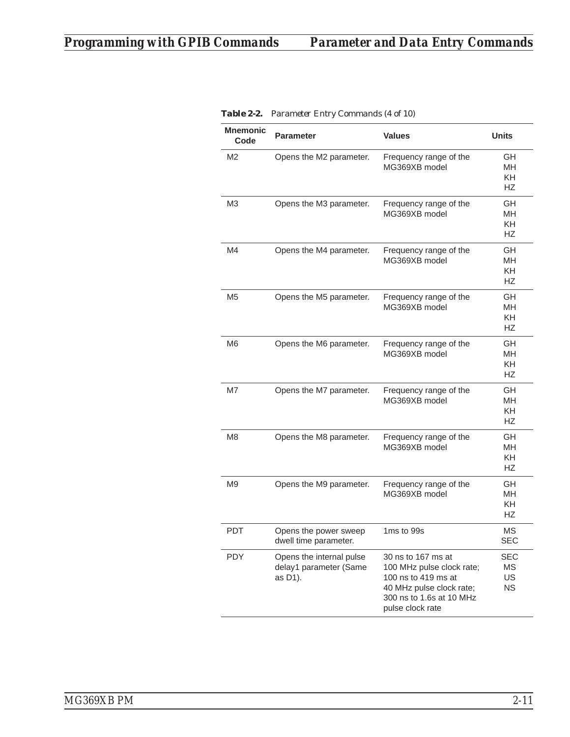| Mnemonic<br>Code | <b>Parameter</b>                                              | <b>Values</b>                                                                                                                                      | <b>Units</b>                              |
|------------------|---------------------------------------------------------------|----------------------------------------------------------------------------------------------------------------------------------------------------|-------------------------------------------|
| M2               | Opens the M2 parameter.                                       | Frequency range of the<br>MG369XB model                                                                                                            | GH<br><b>MH</b><br><b>KH</b><br><b>HZ</b> |
| M3               | Opens the M3 parameter.                                       | Frequency range of the<br>MG369XB model                                                                                                            | GН<br>MH<br><b>KH</b><br><b>HZ</b>        |
| M4               | Opens the M4 parameter.                                       | Frequency range of the<br>MG369XB model                                                                                                            | GH<br><b>MH</b><br><b>KH</b><br><b>HZ</b> |
| M5               | Opens the M5 parameter.                                       | Frequency range of the<br>MG369XB model                                                                                                            | GН<br><b>MH</b><br><b>KH</b><br><b>HZ</b> |
| M <sub>6</sub>   | Opens the M6 parameter.                                       | Frequency range of the<br>MG369XB model                                                                                                            | GН<br><b>MH</b><br><b>KH</b><br><b>HZ</b> |
| M7               | Opens the M7 parameter.                                       | Frequency range of the<br>MG369XB model                                                                                                            | GH<br><b>MH</b><br>KH<br>HZ               |
| M <sub>8</sub>   | Opens the M8 parameter.                                       | Frequency range of the<br>MG369XB model                                                                                                            | GH<br><b>MH</b><br><b>KH</b><br>НZ        |
| M9               | Opens the M9 parameter.                                       | Frequency range of the<br>MG369XB model                                                                                                            | GH<br><b>MH</b><br><b>KH</b><br><b>HZ</b> |
| PDT              | Opens the power sweep<br>dwell time parameter.                | 1ms to 99s                                                                                                                                         | ΜS<br><b>SEC</b>                          |
| <b>PDY</b>       | Opens the internal pulse<br>delay1 parameter (Same<br>as D1). | 30 ns to 167 ms at<br>100 MHz pulse clock rate;<br>100 ns to 419 ms at<br>40 MHz pulse clock rate;<br>300 ns to 1.6s at 10 MHz<br>pulse clock rate | <b>SEC</b><br>MS<br>US<br><b>NS</b>       |

|  |  |  | <b>Table 2-2.</b> Parameter Entry Commands (4 of 10) |  |  |
|--|--|--|------------------------------------------------------|--|--|
|--|--|--|------------------------------------------------------|--|--|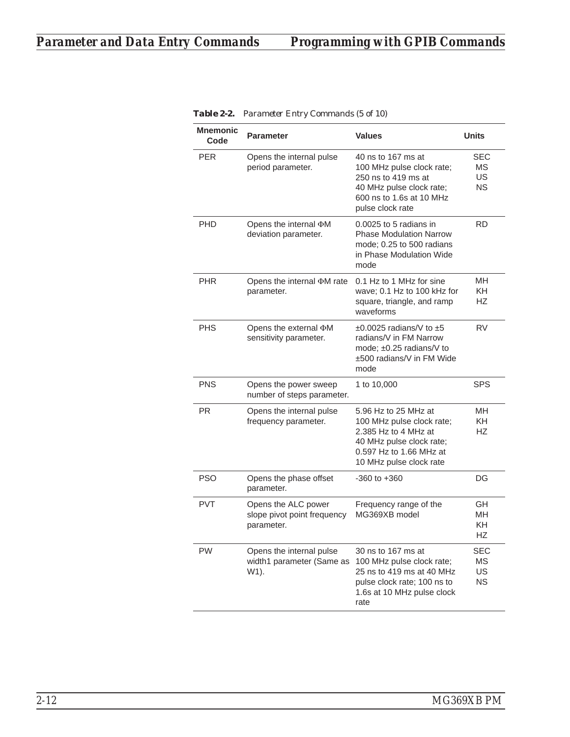| <b>Mnemonic</b><br>Code | <b>Parameter</b>                                                 | <b>Values</b>                                                                                                                                               | Units                               |
|-------------------------|------------------------------------------------------------------|-------------------------------------------------------------------------------------------------------------------------------------------------------------|-------------------------------------|
| <b>PER</b>              | Opens the internal pulse<br>period parameter.                    | 40 ns to 167 ms at<br>100 MHz pulse clock rate;<br>250 ns to 419 ms at<br>40 MHz pulse clock rate;<br>600 ns to 1.6s at 10 MHz<br>pulse clock rate          | SEC<br>MS.<br>US<br><b>NS</b>       |
| <b>PHD</b>              | Opens the internal <b>DM</b><br>deviation parameter.             | 0.0025 to 5 radians in<br><b>Phase Modulation Narrow</b><br>mode; 0.25 to 500 radians<br>in Phase Modulation Wide<br>mode                                   | RD                                  |
| <b>PHR</b>              | Opens the internal <b>DM</b> rate<br>parameter.                  | 0.1 Hz to 1 MHz for sine<br>wave; 0.1 Hz to 100 kHz for<br>square, triangle, and ramp<br>waveforms                                                          | MН<br>KH.<br>HZ                     |
| <b>PHS</b>              | Opens the external DM<br>sensitivity parameter.                  | $\pm 0.0025$ radians/V to $\pm 5$<br>radians/V in FM Narrow<br>mode: $\pm 0.25$ radians/V to<br>±500 radians/V in FM Wide<br>mode                           | <b>RV</b>                           |
| <b>PNS</b>              | Opens the power sweep<br>number of steps parameter.              | 1 to 10,000                                                                                                                                                 | SPS                                 |
| <b>PR</b>               | Opens the internal pulse<br>frequency parameter.                 | 5.96 Hz to 25 MHz at<br>100 MHz pulse clock rate;<br>2.385 Hz to 4 MHz at<br>40 MHz pulse clock rate;<br>0.597 Hz to 1.66 MHz at<br>10 MHz pulse clock rate | MН<br>KH.<br>HZ                     |
| <b>PSO</b>              | Opens the phase offset<br>parameter.                             | -360 to +360                                                                                                                                                | DG                                  |
| <b>PVT</b>              | Opens the ALC power<br>slope pivot point frequency<br>parameter. | Frequency range of the<br>MG369XB model                                                                                                                     | GH<br>MН<br>KΗ<br>НZ                |
| <b>PW</b>               | Opens the internal pulse<br>width1 parameter (Same as<br>W1).    | 30 ns to 167 ms at<br>100 MHz pulse clock rate;<br>25 ns to 419 ms at 40 MHz<br>pulse clock rate; 100 ns to<br>1.6s at 10 MHz pulse clock<br>rate           | <b>SEC</b><br>ΜS<br>US<br><b>NS</b> |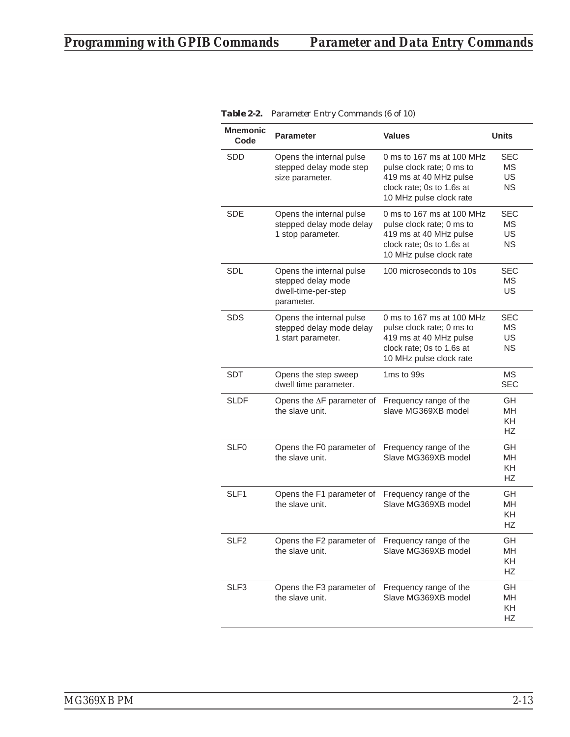| <b>Mnemonic</b><br>Code | <b>Parameter</b>                                                                    | <b>Values</b>                                                                                                                            | <b>Units</b>                               |
|-------------------------|-------------------------------------------------------------------------------------|------------------------------------------------------------------------------------------------------------------------------------------|--------------------------------------------|
| SDD                     | Opens the internal pulse<br>stepped delay mode step<br>size parameter.              | 0 ms to 167 ms at 100 MHz<br>pulse clock rate; 0 ms to<br>419 ms at 40 MHz pulse<br>clock rate; 0s to 1.6s at<br>10 MHz pulse clock rate | SEC<br>МS<br>US<br><b>NS</b>               |
| <b>SDE</b>              | Opens the internal pulse<br>stepped delay mode delay<br>1 stop parameter.           | 0 ms to 167 ms at 100 MHz<br>pulse clock rate; 0 ms to<br>419 ms at 40 MHz pulse<br>clock rate; 0s to 1.6s at<br>10 MHz pulse clock rate | <b>SEC</b><br><b>MS</b><br>US<br><b>NS</b> |
| <b>SDL</b>              | Opens the internal pulse<br>stepped delay mode<br>dwell-time-per-step<br>parameter. | 100 microseconds to 10s                                                                                                                  | <b>SEC</b><br><b>MS</b><br>US              |
| <b>SDS</b>              | Opens the internal pulse<br>stepped delay mode delay<br>1 start parameter.          | 0 ms to 167 ms at 100 MHz<br>pulse clock rate; 0 ms to<br>419 ms at 40 MHz pulse<br>clock rate; 0s to 1.6s at<br>10 MHz pulse clock rate | <b>SEC</b><br><b>MS</b><br>US<br><b>NS</b> |
| <b>SDT</b>              | Opens the step sweep<br>dwell time parameter.                                       | 1ms to 99s                                                                                                                               | MS<br><b>SEC</b>                           |
| <b>SLDF</b>             | Opens the ∆F parameter of<br>the slave unit.                                        | Frequency range of the<br>slave MG369XB model                                                                                            | GH<br><b>MH</b><br><b>KH</b><br>НZ         |
| SLF <sub>0</sub>        | Opens the F0 parameter of<br>the slave unit.                                        | Frequency range of the<br>Slave MG369XB model                                                                                            | GH<br>MH<br>KH<br><b>HZ</b>                |
| SLF <sub>1</sub>        | Opens the F1 parameter of<br>the slave unit.                                        | Frequency range of the<br>Slave MG369XB model                                                                                            | GH<br><b>MH</b><br><b>KH</b><br><b>HZ</b>  |
| SLF <sub>2</sub>        | Opens the F2 parameter of Frequency range of the<br>the slave unit.                 | Slave MG369XB model                                                                                                                      | GH<br>MН<br>KH<br>HZ                       |
| SLF3                    | Opens the F3 parameter of<br>the slave unit.                                        | Frequency range of the<br>Slave MG369XB model                                                                                            | GH<br>MH<br>KH<br>HZ                       |

| <b>Table 2-2.</b> Parameter Entry Commands (6 of 10) |
|------------------------------------------------------|
|------------------------------------------------------|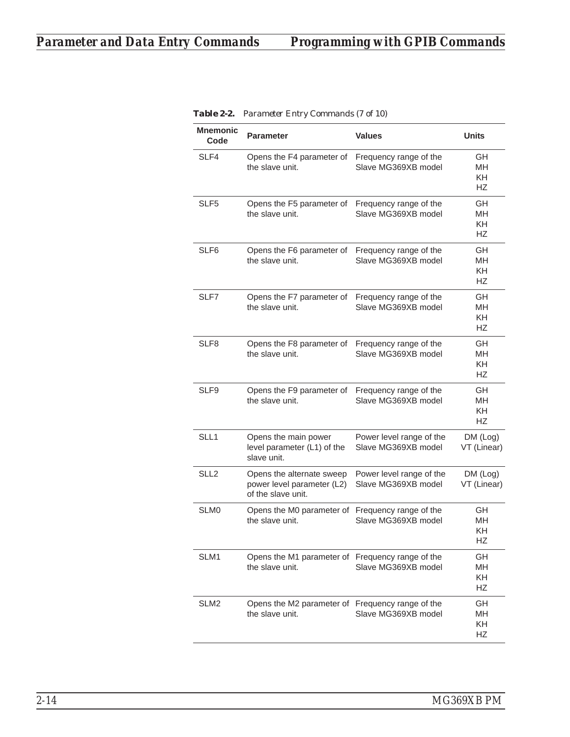| <b>Mnemonic</b><br>Code | <b>Parameter</b>                                                              | <b>Values</b>                                   | <b>Units</b>                              |
|-------------------------|-------------------------------------------------------------------------------|-------------------------------------------------|-------------------------------------------|
| SLF4                    | Opens the F4 parameter of Frequency range of the<br>the slave unit.           | Slave MG369XB model                             | GH.<br><b>MH</b><br>KH.<br><b>HZ</b>      |
| SLF <sub>5</sub>        | Opens the F5 parameter of<br>the slave unit.                                  | Frequency range of the<br>Slave MG369XB model   | GH<br><b>MH</b><br>KH.<br><b>HZ</b>       |
| SLF <sub>6</sub>        | Opens the F6 parameter of<br>the slave unit.                                  | Frequency range of the<br>Slave MG369XB model   | GH<br><b>MH</b><br>KH.<br><b>HZ</b>       |
| SLF7                    | Opens the F7 parameter of<br>the slave unit.                                  | Frequency range of the<br>Slave MG369XB model   | GH<br>MН<br><b>KH</b><br><b>HZ</b>        |
| SLF8                    | Opens the F8 parameter of<br>the slave unit.                                  | Frequency range of the<br>Slave MG369XB model   | GH<br><b>MH</b><br><b>KH</b><br><b>HZ</b> |
| SLF9                    | Opens the F9 parameter of<br>the slave unit.                                  | Frequency range of the<br>Slave MG369XB model   | GH<br>MН<br><b>KH</b><br>НZ               |
| SLL1                    | Opens the main power<br>level parameter (L1) of the<br>slave unit.            | Power level range of the<br>Slave MG369XB model | DM (Log)<br>VT (Linear)                   |
| SLL <sub>2</sub>        | Opens the alternate sweep<br>power level parameter (L2)<br>of the slave unit. | Power level range of the<br>Slave MG369XB model | DM (Log)<br>VT (Linear)                   |
| SLM <sub>0</sub>        | Opens the M0 parameter of<br>the slave unit.                                  | Frequency range of the<br>Slave MG369XB model   | GH<br>MН<br>KΗ<br>HZ                      |
| SLM1                    | Opens the M1 parameter of Frequency range of the<br>the slave unit.           | Slave MG369XB model                             | GH<br>MH<br>KH<br>HZ                      |
| SLM <sub>2</sub>        | Opens the M2 parameter of Frequency range of the<br>the slave unit.           | Slave MG369XB model                             | GH<br>MН<br>KH<br>HZ                      |

*Table 2-2. Parameter Entry Commands (7 of 10)*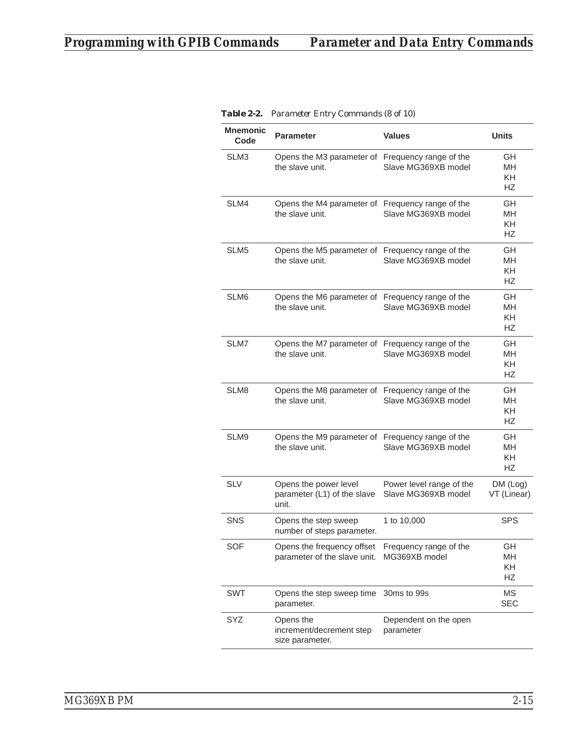| <b>Mnemonic</b><br>Code | <b>Parameter</b>                                                    | <b>Values</b>                                   | <b>Units</b>                       |
|-------------------------|---------------------------------------------------------------------|-------------------------------------------------|------------------------------------|
| SLM3                    | Opens the M3 parameter of Frequency range of the<br>the slave unit. | Slave MG369XB model                             | GН<br>MН<br><b>KH</b><br>HZ        |
| SLM4                    | Opens the M4 parameter of Frequency range of the<br>the slave unit. | Slave MG369XB model                             | GН<br><b>MH</b><br><b>KH</b><br>HZ |
| SLM <sub>5</sub>        | Opens the M5 parameter of Frequency range of the<br>the slave unit. | Slave MG369XB model                             | GН<br>MН<br>KH<br>HZ               |
| SLM6                    | Opens the M6 parameter of Frequency range of the<br>the slave unit. | Slave MG369XB model                             | GН<br>MН<br><b>KH</b><br><b>HZ</b> |
| SLM7                    | Opens the M7 parameter of Frequency range of the<br>the slave unit. | Slave MG369XB model                             | GH<br>MН<br><b>KH</b><br>HZ        |
| SLM8                    | Opens the M8 parameter of Frequency range of the<br>the slave unit. | Slave MG369XB model                             | GН<br><b>MH</b><br>KH<br>HZ        |
| SLM9                    | Opens the M9 parameter of Frequency range of the<br>the slave unit. | Slave MG369XB model                             | GH<br><b>MH</b><br>KH<br><b>HZ</b> |
| <b>SLV</b>              | Opens the power level<br>parameter (L1) of the slave<br>unit.       | Power level range of the<br>Slave MG369XB model | DM (Log)<br>VT (Linear)            |
| <b>SNS</b>              | Opens the step sweep<br>number of steps parameter.                  | 1 to 10,000                                     | <b>SPS</b>                         |
| <b>SOF</b>              | Opens the frequency offset<br>parameter of the slave unit.          | Frequency range of the<br>MG369XB model         | GΗ<br>MΗ<br>KH<br>HZ               |
| <b>SWT</b>              | Opens the step sweep time<br>parameter.                             | 30ms to 99s                                     | MS<br><b>SEC</b>                   |
| SYZ                     | Opens the<br>increment/decrement step<br>size parameter.            | Dependent on the open<br>parameter              |                                    |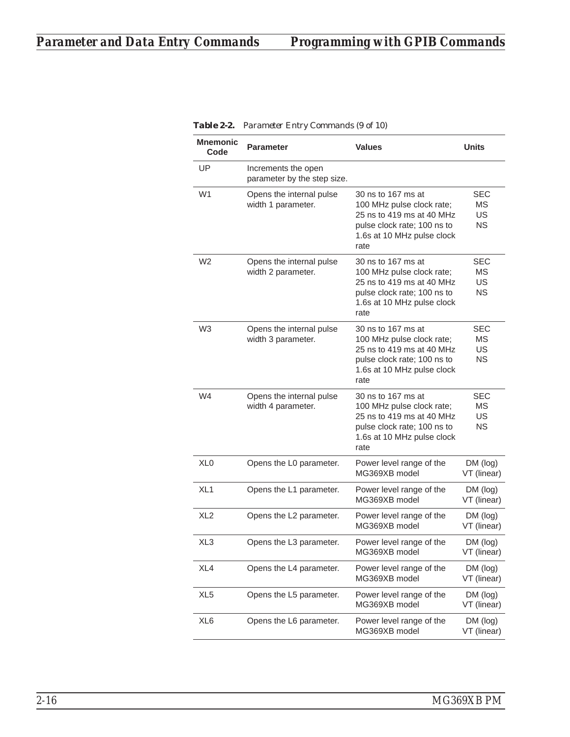| <b>Mnemonic</b><br>Code | <b>Parameter</b>                                   | <b>Values</b>                                                                                                                                     | <b>Units</b>                        |
|-------------------------|----------------------------------------------------|---------------------------------------------------------------------------------------------------------------------------------------------------|-------------------------------------|
| UP                      | Increments the open<br>parameter by the step size. |                                                                                                                                                   |                                     |
| W1                      | Opens the internal pulse<br>width 1 parameter.     | 30 ns to 167 ms at<br>100 MHz pulse clock rate;<br>25 ns to 419 ms at 40 MHz<br>pulse clock rate; 100 ns to<br>1.6s at 10 MHz pulse clock<br>rate | SEC<br>ΜS<br>US<br><b>NS</b>        |
| W2                      | Opens the internal pulse<br>width 2 parameter.     | 30 ns to 167 ms at<br>100 MHz pulse clock rate;<br>25 ns to 419 ms at 40 MHz<br>pulse clock rate; 100 ns to<br>1.6s at 10 MHz pulse clock<br>rate | SEC<br>МS<br>US<br>ΝS               |
| W <sub>3</sub>          | Opens the internal pulse<br>width 3 parameter.     | 30 ns to 167 ms at<br>100 MHz pulse clock rate;<br>25 ns to 419 ms at 40 MHz<br>pulse clock rate; 100 ns to<br>1.6s at 10 MHz pulse clock<br>rate | SEC<br>МS<br>US<br><b>NS</b>        |
| W4                      | Opens the internal pulse<br>width 4 parameter.     | 30 ns to 167 ms at<br>100 MHz pulse clock rate;<br>25 ns to 419 ms at 40 MHz<br>pulse clock rate; 100 ns to<br>1.6s at 10 MHz pulse clock<br>rate | <b>SEC</b><br>МS<br>US<br><b>NS</b> |
| XL <sub>0</sub>         | Opens the L0 parameter.                            | Power level range of the<br>MG369XB model                                                                                                         | DM (log)<br>VT (linear)             |
| XL1                     | Opens the L1 parameter.                            | Power level range of the<br>MG369XB model                                                                                                         | DM (log)<br>VT (linear)             |
| XL <sub>2</sub>         | Opens the L2 parameter.                            | Power level range of the<br>MG369XB model                                                                                                         | DM (log)<br>VT (linear)             |
| XL3                     | Opens the L3 parameter.                            | Power level range of the<br>MG369XB model                                                                                                         | DM (log)<br>VT (linear)             |
| XL4                     | Opens the L4 parameter.                            | Power level range of the<br>MG369XB model                                                                                                         | DM (log)<br>VT (linear)             |
| XL <sub>5</sub>         | Opens the L5 parameter.                            | Power level range of the<br>MG369XB model                                                                                                         | DM (log)<br>VT (linear)             |
| XL6                     | Opens the L6 parameter.                            | Power level range of the<br>MG369XB model                                                                                                         | DM (log)<br>VT (linear)             |

*Table 2-2. Parameter Entry Commands (9 of 10)*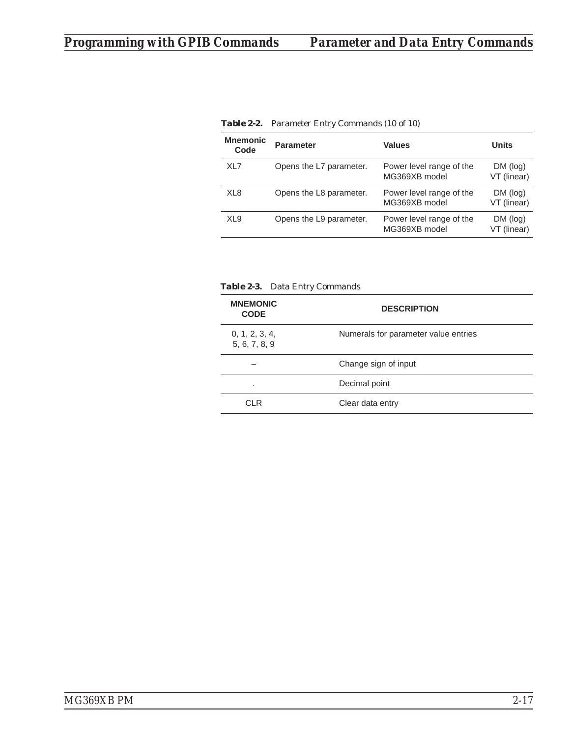| <b>Mnemonic</b><br>Code | <b>Parameter</b>        | <b>Values</b>                             | <b>Units</b>            |
|-------------------------|-------------------------|-------------------------------------------|-------------------------|
| XL7                     | Opens the L7 parameter. | Power level range of the<br>MG369XB model | DM (log)<br>VT (linear) |
| XL <sub>8</sub>         | Opens the L8 parameter. | Power level range of the<br>MG369XB model | DM (log)<br>VT (linear) |
| XL <sub>9</sub>         | Opens the L9 parameter. | Power level range of the<br>MG369XB model | DM (log)<br>VT (linear) |

*Table 2-2. Parameter Entry Commands (10 of 10)*

|  | <b>Table 2-3.</b> Data Entry Commands |  |
|--|---------------------------------------|--|
|--|---------------------------------------|--|

| <b>MNEMONIC</b><br><b>CODE</b>  | <b>DESCRIPTION</b>                   |
|---------------------------------|--------------------------------------|
| 0, 1, 2, 3, 4,<br>5, 6, 7, 8, 9 | Numerals for parameter value entries |
|                                 | Change sign of input                 |
| ٠                               | Decimal point                        |
| ΩL R                            | Clear data entry                     |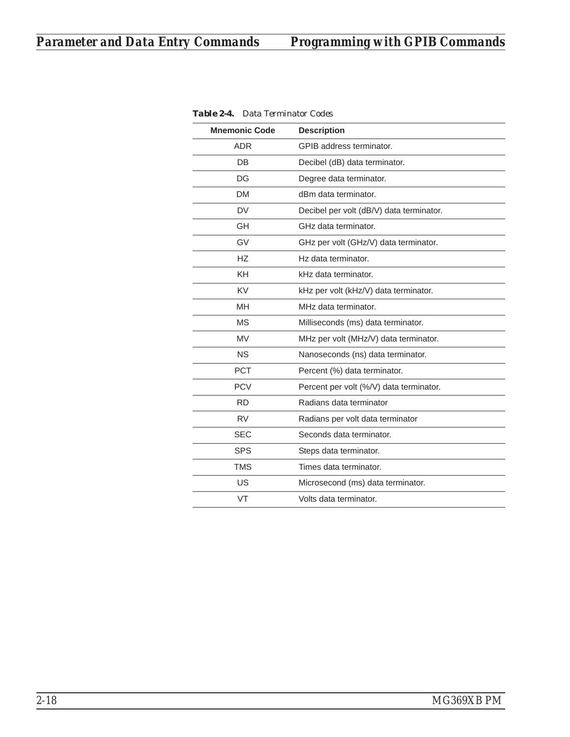| <b>Mnemonic Code</b> | <b>Description</b>                       |
|----------------------|------------------------------------------|
| <b>ADR</b>           | GPIB address terminator.                 |
| DB                   | Decibel (dB) data terminator.            |
| DG                   | Degree data terminator.                  |
| <b>DM</b>            | dBm data terminator.                     |
| <b>DV</b>            | Decibel per volt (dB/V) data terminator. |
| GH                   | GHz data terminator.                     |
| GV                   | GHz per volt (GHz/V) data terminator.    |
| <b>HZ</b>            | Hz data terminator.                      |
| <b>KH</b>            | kHz data terminator.                     |
| <b>KV</b>            | kHz per volt (kHz/V) data terminator.    |
| <b>MH</b>            | MHz data terminator.                     |
| <b>MS</b>            | Milliseconds (ms) data terminator.       |
| <b>MV</b>            | MHz per volt (MHz/V) data terminator.    |
| <b>NS</b>            | Nanoseconds (ns) data terminator.        |
| <b>PCT</b>           | Percent (%) data terminator.             |
| <b>PCV</b>           | Percent per volt (%/V) data terminator.  |
| <b>RD</b>            | Radians data terminator                  |
| <b>RV</b>            | Radians per volt data terminator         |
| <b>SEC</b>           | Seconds data terminator.                 |
| <b>SPS</b>           | Steps data terminator.                   |
| <b>TMS</b>           | Times data terminator.                   |
| US                   | Microsecond (ms) data terminator.        |
| VT                   | Volts data terminator.                   |

*Table 2-4. Data Terminator Codes*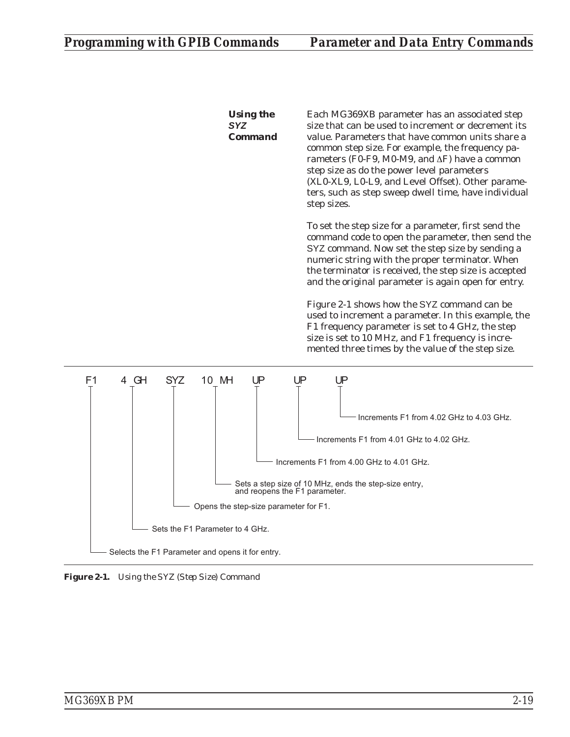*Using the SYZ Command* Each MG369XB parameter has an associated step size that can be used to increment or decrement its value. Parameters that have common units share a common step size. For example, the frequency parameters (F0-F9, M0-M9, and  $\Delta$ F) have a common step size as do the power level parameters (XL0-XL9, L0-L9, and Level Offset). Other parameters, such as step sweep dwell time, have individual step sizes.

To set the step size for a parameter, first send the command code to open the parameter, then send the SYZ command. Now set the step size by sending a numeric string with the proper terminator. When the terminator is received, the step size is accepted and the original parameter is again open for entry.

Figure 2-1 shows how the SYZ command can be used to increment a parameter. In this example, the F1 frequency parameter is set to 4 GHz, the step size is set to 10 MHz, and F1 frequency is incremented three times by the value of the step size.



*Figure 2-1. Using the SYZ (Step Size) Command*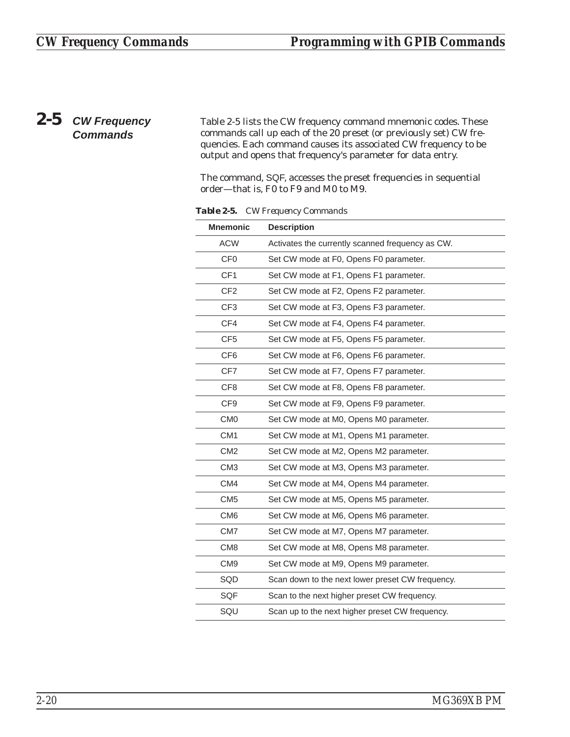# *2-5 CW Frequency Commands*

Table 2-5 lists the CW frequency command mnemonic codes. These commands call up each of the 20 preset (or previously set) CW frequencies. Each command causes its associated CW frequency to be output and opens that frequency's parameter for data entry.

The command, SQF, accesses the preset frequencies in sequential order—that is, F0 to F9 and M0 to M9.

| <b>Mnemonic</b> | <b>Description</b>                               |
|-----------------|--------------------------------------------------|
| <b>ACW</b>      | Activates the currently scanned frequency as CW. |
| CF <sub>0</sub> | Set CW mode at F0, Opens F0 parameter.           |
| CF <sub>1</sub> | Set CW mode at F1, Opens F1 parameter.           |
| CF <sub>2</sub> | Set CW mode at F2, Opens F2 parameter.           |
| CF <sub>3</sub> | Set CW mode at F3, Opens F3 parameter.           |
| CF4             | Set CW mode at F4, Opens F4 parameter.           |
| CF <sub>5</sub> | Set CW mode at F5, Opens F5 parameter.           |
| CF <sub>6</sub> | Set CW mode at F6, Opens F6 parameter.           |
| CF7             | Set CW mode at F7, Opens F7 parameter.           |
| CF <sub>8</sub> | Set CW mode at F8, Opens F8 parameter.           |
| CF <sub>9</sub> | Set CW mode at F9, Opens F9 parameter.           |
| CM <sub>0</sub> | Set CW mode at M0, Opens M0 parameter.           |
| CM <sub>1</sub> | Set CW mode at M1, Opens M1 parameter.           |
| CM <sub>2</sub> | Set CW mode at M2, Opens M2 parameter.           |
| CM <sub>3</sub> | Set CW mode at M3, Opens M3 parameter.           |
| CM4             | Set CW mode at M4, Opens M4 parameter.           |
| CM <sub>5</sub> | Set CW mode at M5, Opens M5 parameter.           |
| CM <sub>6</sub> | Set CW mode at M6, Opens M6 parameter.           |
| CM7             | Set CW mode at M7, Opens M7 parameter.           |
| CM <sub>8</sub> | Set CW mode at M8, Opens M8 parameter.           |
| CM <sub>9</sub> | Set CW mode at M9, Opens M9 parameter.           |
| SQD             | Scan down to the next lower preset CW frequency. |
| SQF             | Scan to the next higher preset CW frequency.     |
| SQU             | Scan up to the next higher preset CW frequency.  |

*Table 2-5. CW Frequency Commands*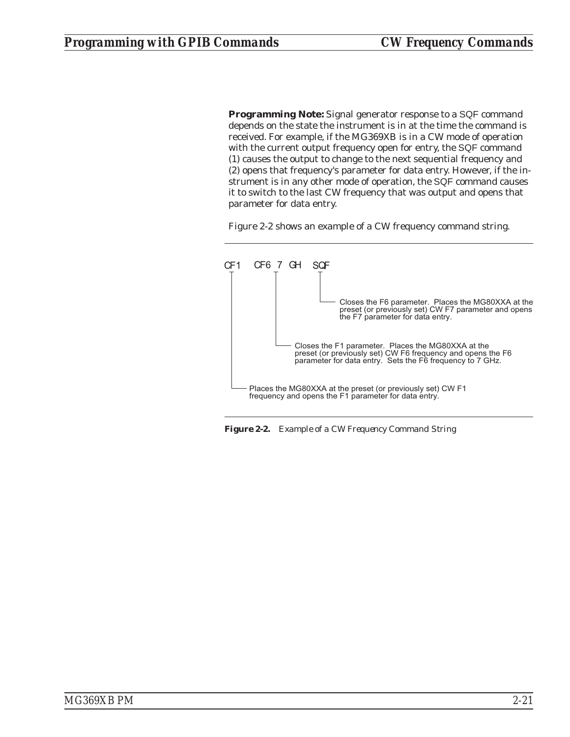**Programming Note:** Signal generator response to a SQF command depends on the state the instrument is in at the time the command is received. For example, if the MG369XB is in a CW mode of operation with the current output frequency open for entry, the SQF command (1) causes the output to change to the next sequential frequency and (2) opens that frequency's parameter for data entry. However, if the instrument is in any other mode of operation, the SQF command causes it to switch to the last CW frequency that was output and opens that parameter for data entry.

Figure 2-2 shows an example of a CW frequency command string.



*Figure 2-2. Example of a CW Frequency Command String*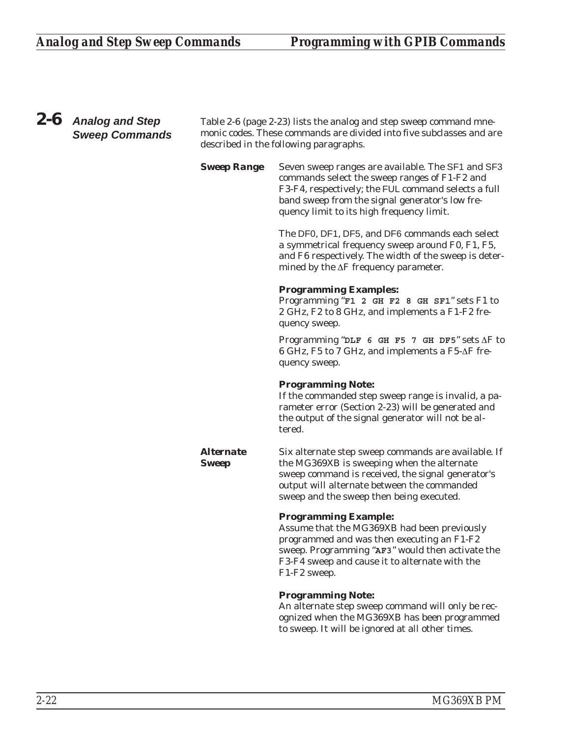## *2-6 Analog and Step Sweep Commands* Table 2-6 (page 2-23) lists the analog and step sweep command mnemonic codes. These commands are divided into five subclasses and are described in the following paragraphs. **Sweep Range** Seven sweep ranges are available. The SF1 and SF3 commands select the sweep ranges of F1-F2 and F3-F4, respectively; the FUL command selects a full band sweep from the signal generator's low frequency limit to its high frequency limit. The DF0, DF1, DF5, and DF6 commands each select a symmetrical frequency sweep around F0, F1, F5, and F6 respectively. The width of the sweep is determined by the  $\Delta F$  frequency parameter. **Programming Examples:** Programming "**F1 2 GH F2 8 GH SF1**" sets F1 to 2 GHz, F2 to 8 GHz, and implements a F1-F2 frequency sweep. Programming " $\Delta F$  6 GH F5 7 GH DF5" sets  $\Delta F$  to  $6$  GHz, F5 to 7 GHz, and implements a F5- $\Delta$ F frequency sweep. **Programming Note:** If the commanded step sweep range is invalid, a parameter error (Section 2-23) will be generated and the output of the signal generator will not be altered. *Alternate Sweep* Six alternate step sweep commands are available. If the MG369XB is sweeping when the alternate sweep command is received, the signal generator's output will alternate between the commanded sweep and the sweep then being executed. **Programming Example:** Assume that the MG369XB had been previously programmed and was then executing an F1-F2 sweep. Programming "**AF3**" would then activate the F3-F4 sweep and cause it to alternate with the F1-F2 sweep. **Programming Note:** An alternate step sweep command will only be recognized when the MG369XB has been programmed to sweep. It will be ignored at all other times.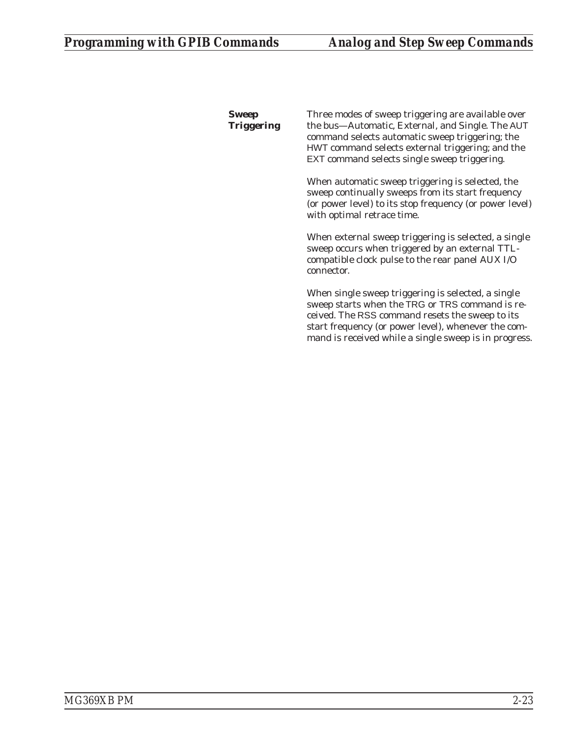*Sweep Triggering*

Three modes of sweep triggering are available over the bus—Automatic, External, and Single. The AUT command selects automatic sweep triggering; the HWT command selects external triggering; and the EXT command selects single sweep triggering.

When automatic sweep triggering is selected, the sweep continually sweeps from its start frequency (or power level) to its stop frequency (or power level) with optimal retrace time.

When external sweep triggering is selected, a single sweep occurs when triggered by an external TTLcompatible clock pulse to the rear panel AUX I/O connector.

When single sweep triggering is selected, a single sweep starts when the TRG or TRS command is received. The RSS command resets the sweep to its start frequency (or power level), whenever the command is received while a single sweep is in progress.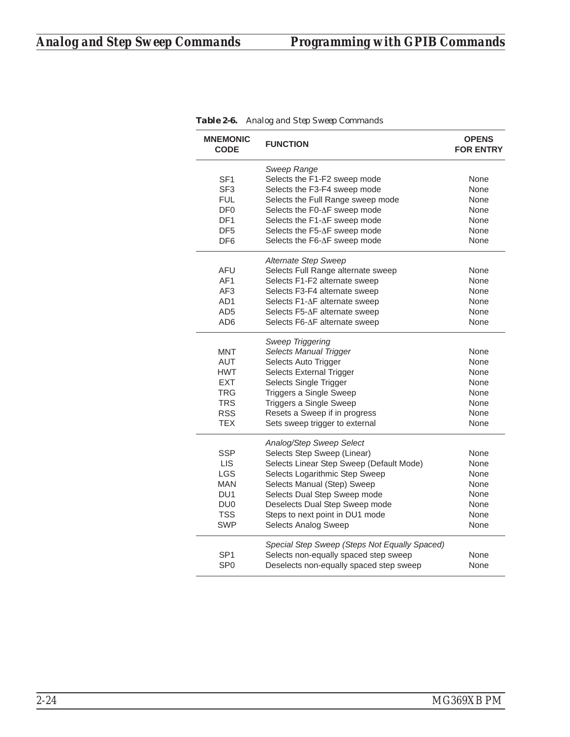| <b>MNEMONIC</b><br><b>CODE</b> | <b>FUNCTION</b>                               | <b>OPENS</b><br><b>FOR ENTRY</b> |
|--------------------------------|-----------------------------------------------|----------------------------------|
|                                | Sweep Range                                   |                                  |
| SF <sub>1</sub>                | Selects the F1-F2 sweep mode                  | None                             |
| SF <sub>3</sub>                | Selects the F3-F4 sweep mode                  | None                             |
| <b>FUL</b>                     | Selects the Full Range sweep mode             | None                             |
| DF <sub>0</sub>                | Selects the F0-∆F sweep mode                  | None                             |
| DF <sub>1</sub>                | Selects the F1-∆F sweep mode                  | None                             |
| DF <sub>5</sub>                | Selects the F5-∆F sweep mode                  | None                             |
| DF <sub>6</sub>                | Selects the F6-∆F sweep mode                  | None                             |
|                                | Alternate Step Sweep                          |                                  |
| <b>AFU</b>                     | Selects Full Range alternate sweep            | None                             |
| AF <sub>1</sub>                | Selects F1-F2 alternate sweep                 | None                             |
| AF3                            | Selects F3-F4 alternate sweep                 | None                             |
| AD <sub>1</sub>                | Selects F1-∆F alternate sweep                 | None                             |
| AD <sub>5</sub>                | Selects F5-∆F alternate sweep                 | None                             |
| AD <sub>6</sub>                | Selects F6-∆F alternate sweep                 | None                             |
|                                | Sweep Triggering                              |                                  |
| <b>MNT</b>                     | <b>Selects Manual Trigger</b>                 | None                             |
| <b>AUT</b>                     | Selects Auto Trigger                          | None                             |
| <b>HWT</b>                     | Selects External Trigger                      | None                             |
| <b>EXT</b>                     | Selects Single Trigger                        | None                             |
| <b>TRG</b>                     | Triggers a Single Sweep                       | None                             |
| <b>TRS</b>                     | Triggers a Single Sweep                       | None                             |
| <b>RSS</b>                     | Resets a Sweep if in progress                 | None                             |
| <b>TEX</b>                     | Sets sweep trigger to external                | None                             |
|                                | Analog/Step Sweep Select                      |                                  |
| <b>SSP</b>                     | Selects Step Sweep (Linear)                   | None                             |
| <b>LIS</b>                     | Selects Linear Step Sweep (Default Mode)      | None                             |
| LGS                            | Selects Logarithmic Step Sweep                | None                             |
| <b>MAN</b>                     | Selects Manual (Step) Sweep                   | None                             |
| DU <sub>1</sub>                | Selects Dual Step Sweep mode                  | None                             |
| DU <sub>0</sub>                | Deselects Dual Step Sweep mode                | None                             |
| <b>TSS</b>                     | Steps to next point in DU1 mode               | None                             |
| <b>SWP</b>                     | <b>Selects Analog Sweep</b>                   | None                             |
|                                | Special Step Sweep (Steps Not Equally Spaced) |                                  |
| SP <sub>1</sub>                | Selects non-equally spaced step sweep         | None                             |
| SP <sub>0</sub>                | Deselects non-equally spaced step sweep       | None                             |

*Table 2-6. Analog and Step Sweep Commands*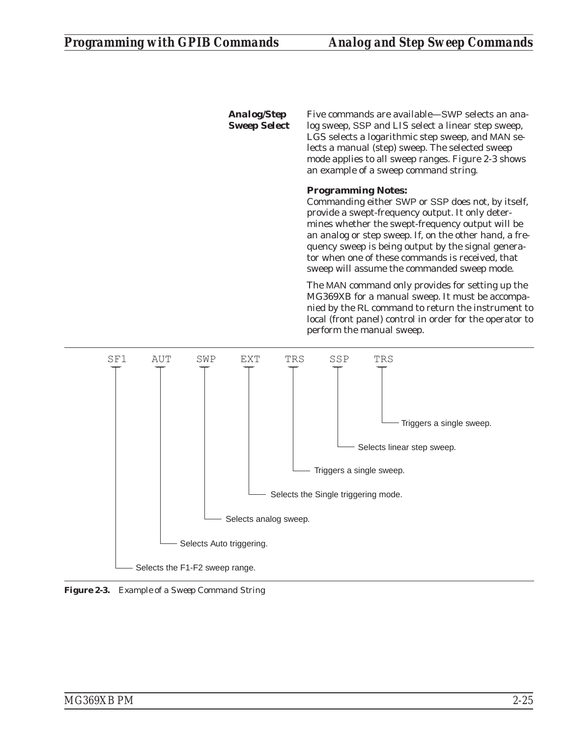*Analog/Step Sweep Select* Five commands are available—SWP selects an analog sweep, SSP and LIS select a linear step sweep, LGS selects a logarithmic step sweep, and MAN selects a manual (step) sweep. The selected sweep mode applies to all sweep ranges. Figure 2-3 shows an example of a sweep command string.

## **Programming Notes:**

Commanding either SWP or SSP does not, by itself, provide a swept-frequency output. It only determines whether the swept-frequency output will be an analog or step sweep. If, on the other hand, a frequency sweep is being output by the signal generator when one of these commands is received, that sweep will assume the commanded sweep mode.

The MAN command only provides for setting up the MG369XB for a manual sweep. It must be accompanied by the RL command to return the instrument to local (front panel) control in order for the operator to perform the manual sweep.



*Figure 2-3. Example of a Sweep Command String*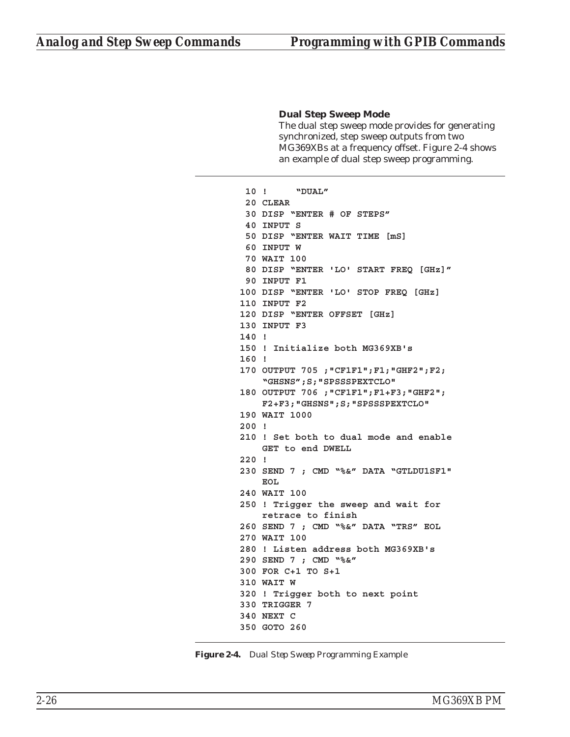## **Dual Step Sweep Mode**

The dual step sweep mode provides for generating synchronized, step sweep outputs from two MG369XBs at a frequency offset. Figure 2-4 shows an example of dual step sweep programming.

```
10 ! "DUAL"
 20 CLEAR
 30 DISP "ENTER # OF STEPS"
 40 INPUT S
 50 DISP "ENTER WAIT TIME [mS]
 60 INPUT W
 70 WAIT 100
 80 DISP "ENTER 'LO' START FREQ [GHz]"
 90 INPUT F1
100 DISP "ENTER 'LO' STOP FREQ [GHz]
110 INPUT F2
120 DISP "ENTER OFFSET [GHz]
130 INPUT F3
140 !
150 ! Initialize both MG369XB's
160 !
170 OUTPUT 705 ;"CF1F1";F1;"GHF2";F2;
    "GHSNS";S;"SPSSSPEXTCLO"
180 OUTPUT 706 ;"CF1F1";F1+F3;"GHF2";
   F2+F3;"GHSNS";S;"SPSSSPEXTCLO"
190 WAIT 1000
200 !
210 ! Set both to dual mode and enable
   GET to end DWELL
220 !
230 SEND 7 ; CMD "%&" DATA "GTLDU1SF1"
   EOL
240 WAIT 100
250 ! Trigger the sweep and wait for
    retrace to finish
260 SEND 7 ; CMD "%&" DATA "TRS" EOL
270 WAIT 100
280 ! Listen address both MG369XB's
290 SEND 7 ; CMD "%&"
300 FOR C+1 TO S+1
310 WAIT W
320 ! Trigger both to next point
330 TRIGGER 7
340 NEXT C
350 GOTO 260
```
*Figure 2-4. Dual Step Sweep Programming Example*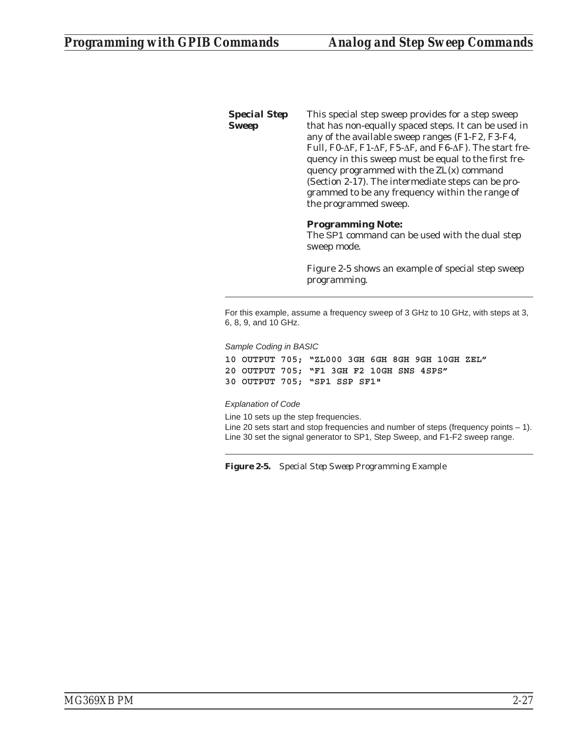*Special Step Sweep* This special step sweep provides for a step sweep that has non-equally spaced steps. It can be used in any of the available sweep ranges (F1-F2, F3-F4, Full, F0- $\Delta$ F, F1- $\Delta$ F, F5- $\Delta$ F, and F6- $\Delta$ F). The start frequency in this sweep must be equal to the first frequency programmed with the ZL(x) command (Section 2-17). The intermediate steps can be programmed to be any frequency within the range of the programmed sweep.

## **Programming Note:**

The SP1 command can be used with the dual step sweep mode.

Figure 2-5 shows an example of special step sweep programming.

For this example, assume a frequency sweep of 3 GHz to 10 GHz, with steps at 3, 6, 8, 9, and 10 GHz.

*Sample Coding in BASIC*

**10 OUTPUT 705; "ZL000 3GH 6GH 8GH 9GH 10GH ZEL" 20 OUTPUT 705; "F1 3GH F2 10GH SNS 4SPS" 30 OUTPUT 705; "SP1 SSP SF1"**

*Explanation of Code*

Line 10 sets up the step frequencies. Line 20 sets start and stop frequencies and number of steps (frequency points  $-1$ ). Line 30 set the signal generator to SP1, Step Sweep, and F1-F2 sweep range.

*Figure 2-5. Special Step Sweep Programming Example*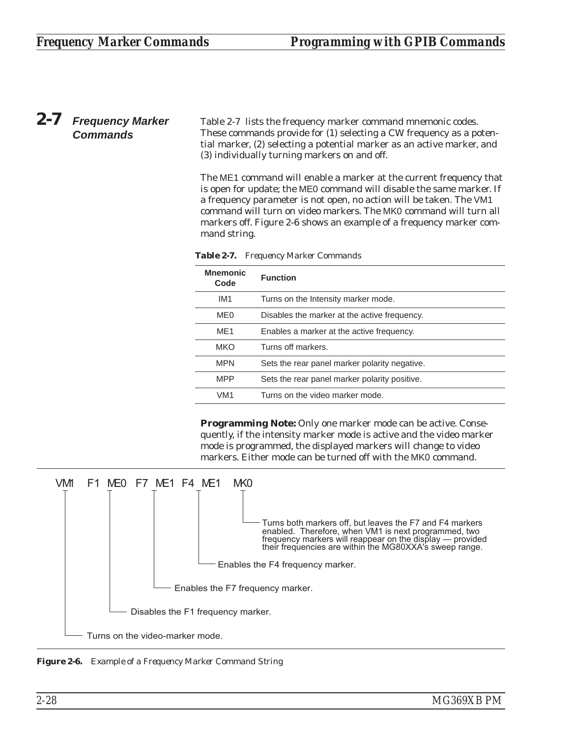# *2-7 Frequency Marker Commands*

Table 2-7 lists the frequency marker command mnemonic codes. These commands provide for (1) selecting a CW frequency as a potential marker, (2) selecting a potential marker as an active marker, and (3) individually turning markers on and off.

The ME1 command will enable a marker at the current frequency that is open for update; the ME0 command will disable the same marker. If a frequency parameter is not open, no action will be taken. The VM1 command will turn on video markers. The MK0 command will turn all markers off. Figure 2-6 shows an example of a frequency marker command string.

| <b>Mnemonic</b><br>Code | <b>Function</b>                               |
|-------------------------|-----------------------------------------------|
| IM <sub>1</sub>         | Turns on the Intensity marker mode.           |
| ME <sub>0</sub>         | Disables the marker at the active frequency.  |
| MF <sub>1</sub>         | Enables a marker at the active frequency.     |
| <b>MKO</b>              | Turns off markers.                            |
| <b>MPN</b>              | Sets the rear panel marker polarity negative. |
| <b>MPP</b>              | Sets the rear panel marker polarity positive. |
| VM <sub>1</sub>         | Turns on the video marker mode.               |

*Table 2-7. Frequency Marker Commands*

**Programming Note:** Only one marker mode can be active. Consequently, if the intensity marker mode is active and the video marker mode is programmed, the displayed markers will change to video markers. Either mode can be turned off with the MK0 command.



*Figure 2-6. Example of a Frequency Marker Command String*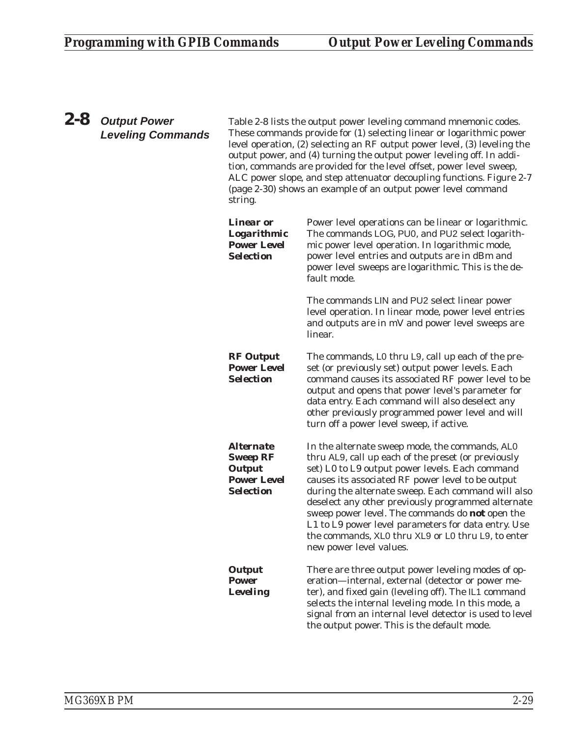# *2-8 Output Power Leveling Commands*

Table 2-8 lists the output power leveling command mnemonic codes. These commands provide for (1) selecting linear or logarithmic power level operation, (2) selecting an RF output power level, (3) leveling the output power, and (4) turning the output power leveling off. In addition, commands are provided for the level offset, power level sweep, ALC power slope, and step attenuator decoupling functions. Figure 2-7 (page 2-30) shows an example of an output power level command string.

| <i><b>Linear or</b></i><br><b>Logarithmic</b><br><b>Power Level</b><br><b>Selection</b> | Power level operations can be linear or logarithmic.<br>The commands LOG, PU0, and PU2 select logarith-<br>mic power level operation. In logarithmic mode,<br>power level entries and outputs are in dBm and<br>power level sweeps are logarithmic. This is the de-<br>fault mode.                                                                                                                                                                                                                                          |
|-----------------------------------------------------------------------------------------|-----------------------------------------------------------------------------------------------------------------------------------------------------------------------------------------------------------------------------------------------------------------------------------------------------------------------------------------------------------------------------------------------------------------------------------------------------------------------------------------------------------------------------|
|                                                                                         | The commands LIN and PU2 select linear power<br>level operation. In linear mode, power level entries<br>and outputs are in mV and power level sweeps are<br>linear.                                                                                                                                                                                                                                                                                                                                                         |
| <b>RF</b> Output<br><b>Power Level</b><br><b>Selection</b>                              | The commands, L0 thru L9, call up each of the pre-<br>set (or previously set) output power levels. Each<br>command causes its associated RF power level to be<br>output and opens that power level's parameter for<br>data entry. Each command will also deselect any<br>other previously programmed power level and will<br>turn off a power level sweep, if active.                                                                                                                                                       |
| Alternate<br><b>Sweep RF</b><br><b>Output</b><br><b>Power Level</b><br><b>Selection</b> | In the alternate sweep mode, the commands, ALO<br>thru AL9, call up each of the preset (or previously<br>set) L0 to L9 output power levels. Each command<br>causes its associated RF power level to be output<br>during the alternate sweep. Each command will also<br>deselect any other previously programmed alternate<br>sweep power level. The commands do <b>not</b> open the<br>L1 to L9 power level parameters for data entry. Use<br>the commands, XL0 thru XL9 or L0 thru L9, to enter<br>new power level values. |
| <b>Output</b><br><b>Power</b><br><b>Leveling</b>                                        | There are three output power leveling modes of op-<br>eration-internal, external (detector or power me-<br>ter), and fixed gain (leveling off). The IL1 command<br>selects the internal leveling mode. In this mode, a<br>signal from an internal level detector is used to level<br>the output power. This is the default mode.                                                                                                                                                                                            |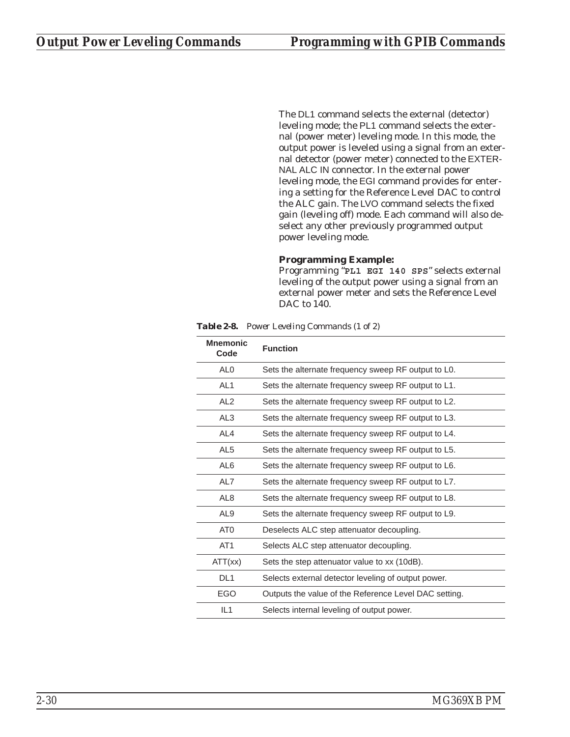The DL1 command selects the external (detector) leveling mode; the PL1 command selects the external (power meter) leveling mode. In this mode, the output power is leveled using a signal from an external detector (power meter) connected to the EXTER-NAL ALC IN connector. In the external power leveling mode, the EGI command provides for entering a setting for the Reference Level DAC to control the ALC gain. The LVO command selects the fixed gain (leveling off) mode. Each command will also deselect any other previously programmed output power leveling mode.

## **Programming Example:**

Programming "**PL1 EGI 140 SPS**" selects external leveling of the output power using a signal from an external power meter and sets the Reference Level DAC to 140.

*Table 2-8. Power Leveling Commands (1 of 2)*

| <b>Mnemonic</b><br>Code | <b>Function</b>                                       |
|-------------------------|-------------------------------------------------------|
| AL <sub>0</sub>         | Sets the alternate frequency sweep RF output to L0.   |
| AL <sub>1</sub>         | Sets the alternate frequency sweep RF output to L1.   |
| AL <sub>2</sub>         | Sets the alternate frequency sweep RF output to L2.   |
| AL <sub>3</sub>         | Sets the alternate frequency sweep RF output to L3.   |
| AL4                     | Sets the alternate frequency sweep RF output to L4.   |
| AL <sub>5</sub>         | Sets the alternate frequency sweep RF output to L5.   |
| AL <sub>6</sub>         | Sets the alternate frequency sweep RF output to L6.   |
| AL7                     | Sets the alternate frequency sweep RF output to L7.   |
| AL <sub>8</sub>         | Sets the alternate frequency sweep RF output to L8.   |
| AL <sub>9</sub>         | Sets the alternate frequency sweep RF output to L9.   |
| AT <sub>0</sub>         | Deselects ALC step attenuator decoupling.             |
| AT <sub>1</sub>         | Selects ALC step attenuator decoupling.               |
| ATT(xx)                 | Sets the step attenuator value to xx (10dB).          |
| DL <sub>1</sub>         | Selects external detector leveling of output power.   |
| EGO                     | Outputs the value of the Reference Level DAC setting. |
| IL1                     | Selects internal leveling of output power.            |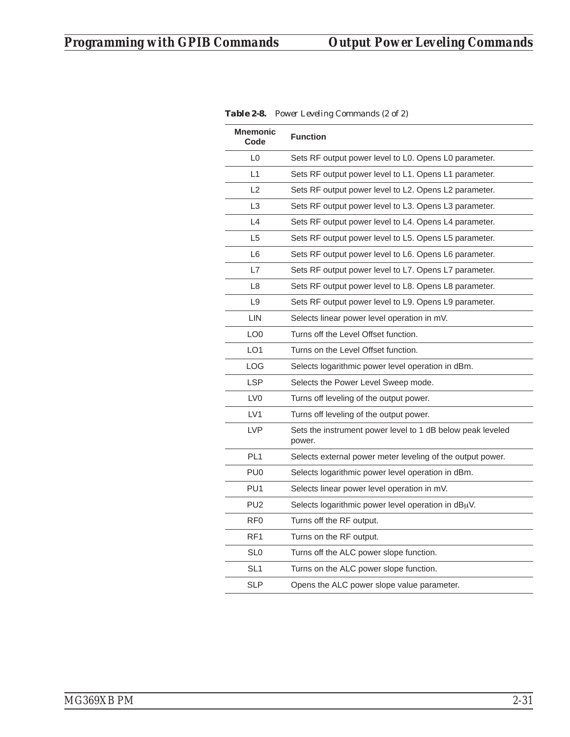| Mnemonic<br>Code | <b>Function</b>                                                      |
|------------------|----------------------------------------------------------------------|
| L <sub>0</sub>   | Sets RF output power level to L0. Opens L0 parameter.                |
| L1               | Sets RF output power level to L1. Opens L1 parameter.                |
| L2               | Sets RF output power level to L2. Opens L2 parameter.                |
| L <sub>3</sub>   | Sets RF output power level to L3. Opens L3 parameter.                |
| L4               | Sets RF output power level to L4. Opens L4 parameter.                |
| L <sub>5</sub>   | Sets RF output power level to L5. Opens L5 parameter.                |
| L <sub>6</sub>   | Sets RF output power level to L6. Opens L6 parameter.                |
| L7               | Sets RF output power level to L7. Opens L7 parameter.                |
| L8               | Sets RF output power level to L8. Opens L8 parameter.                |
| L9               | Sets RF output power level to L9. Opens L9 parameter.                |
| LIN              | Selects linear power level operation in mV.                          |
| LO <sub>0</sub>  | Turns off the Level Offset function.                                 |
| LO <sub>1</sub>  | Turns on the Level Offset function.                                  |
| LOG              | Selects logarithmic power level operation in dBm.                    |
| <b>LSP</b>       | Selects the Power Level Sweep mode.                                  |
| LV <sub>0</sub>  | Turns off leveling of the output power.                              |
| LV <sub>1</sub>  | Turns off leveling of the output power.                              |
| <b>LVP</b>       | Sets the instrument power level to 1 dB below peak leveled<br>power. |
| PL <sub>1</sub>  | Selects external power meter leveling of the output power.           |
| PU <sub>0</sub>  | Selects logarithmic power level operation in dBm.                    |
| PU <sub>1</sub>  | Selects linear power level operation in mV.                          |
| PU <sub>2</sub>  | Selects logarithmic power level operation in $dB\mu V$ .             |
| RF <sub>0</sub>  | Turns off the RF output.                                             |
| RF <sub>1</sub>  | Turns on the RF output.                                              |
| SL <sub>0</sub>  | Turns off the ALC power slope function.                              |
| SL <sub>1</sub>  | Turns on the ALC power slope function.                               |
| <b>SLP</b>       | Opens the ALC power slope value parameter.                           |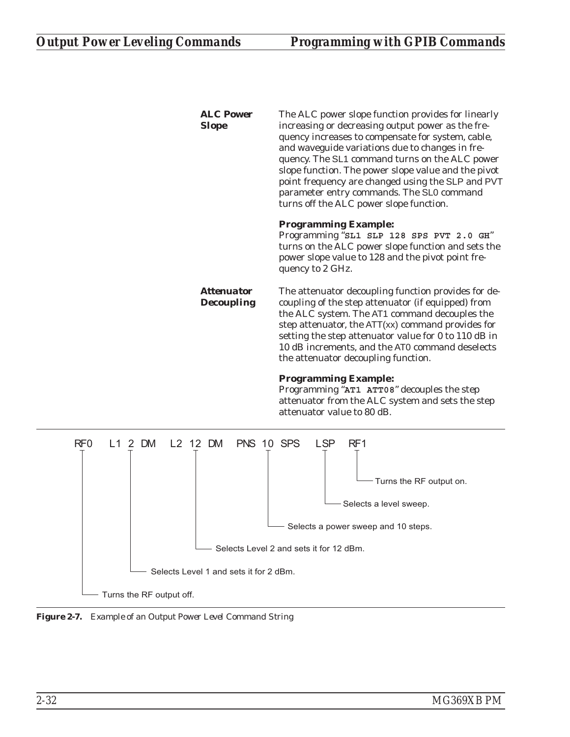| <b>ALC Power</b><br><b>Slope</b>              | The ALC power slope function provides for linearly<br>increasing or decreasing output power as the fre-<br>quency increases to compensate for system, cable,<br>and waveguide variations due to changes in fre-<br>quency. The SL1 command turns on the ALC power<br>slope function. The power slope value and the pivot<br>point frequency are changed using the SLP and PVT<br>parameter entry commands. The SL0 command<br>turns off the ALC power slope function. |
|-----------------------------------------------|-----------------------------------------------------------------------------------------------------------------------------------------------------------------------------------------------------------------------------------------------------------------------------------------------------------------------------------------------------------------------------------------------------------------------------------------------------------------------|
|                                               | <b>Programming Example:</b><br>Programming "SL1 SLP 128 SPS PVT 2.0 GH"<br>turns on the ALC power slope function and sets the<br>power slope value to 128 and the pivot point fre-<br>quency to 2 GHz.                                                                                                                                                                                                                                                                |
| <i><b>Attenuator</b></i><br><b>Decoupling</b> | The attenuator decoupling function provides for de-<br>coupling of the step attenuator (if equipped) from<br>the ALC system. The AT1 command decouples the<br>step attenuator, the ATT(xx) command provides for<br>setting the step attenuator value for 0 to 110 dB in<br>10 dB increments, and the AT0 command deselects<br>the attenuator decoupling function.                                                                                                     |
|                                               | <b>Programming Example:</b><br>Programming "AT1 ATT08" decouples the step<br>attenuator from the ALC system and sets the step<br>attenuator value to 80 dB.                                                                                                                                                                                                                                                                                                           |
| L1 2 DM<br>L2 12 DM<br>PNS 10 SPS             | <b>LSP</b><br>RF1<br>Turns the RF output on.<br>Selects a level sweep.                                                                                                                                                                                                                                                                                                                                                                                                |



- Turns the RF output off.

 $RF0$ 

*Figure 2-7. Example of an Output Power Level Command String*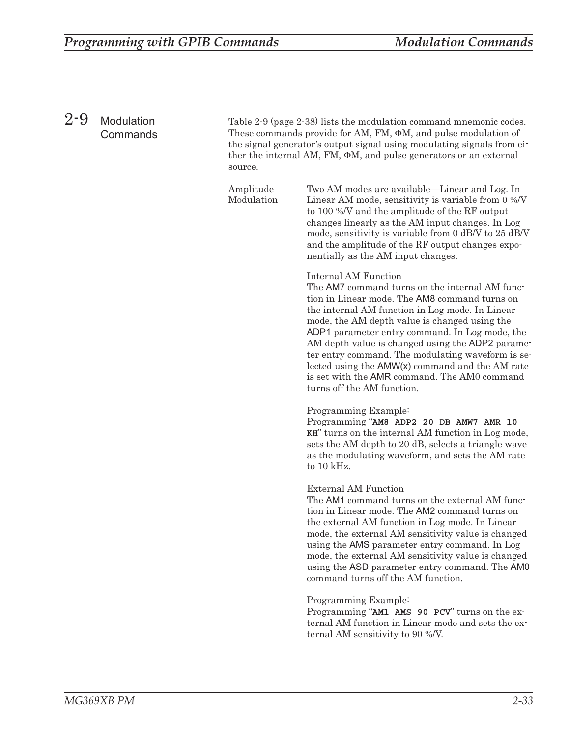*Amplitude Modulation*

## *2-9 Modulation Commands*

Table 2-9 (page [2-38\)](#page-57-0) lists the modulation command mnemonic codes. These commands provide for AM, FM,  $\Phi$ M, and pulse modulation of the signal generator's output signal using modulating signals from either the internal AM, FM,  $\Phi$ M, and pulse generators or an external source.

> Two AM modes are available—Linear and Log. In Linear AM mode, sensitivity is variable from 0 %/V to 100 %/V and the amplitude of the RF output changes linearly as the AM input changes. In Log mode, sensitivity is variable from 0 dB/V to 25 dB/V and the amplitude of the RF output changes exponentially as the AM input changes.

## **Internal AM Function**

The AM7 command turns on the internal AM function in Linear mode. The AM8 command turns on the internal AM function in Log mode. In Linear mode, the AM depth value is changed using the ADP1 parameter entry command. In Log mode, the AM depth value is changed using the ADP2 parameter entry command. The modulating waveform is selected using the AMW(x) command and the AM rate is set with the AMR command. The AM0 command turns off the AM function.

## **Programming Example:**

Programming "**AM8 ADP2 20 DB AMW7 AMR 10 KH**" turns on the internal AM function in Log mode, sets the AM depth to 20 dB, selects a triangle wave as the modulating waveform, and sets the AM rate to 10 kHz.

## **External AM Function**

The AM1 command turns on the external AM function in Linear mode. The AM2 command turns on the external AM function in Log mode. In Linear mode, the external AM sensitivity value is changed using the AMS parameter entry command. In Log mode, the external AM sensitivity value is changed using the ASD parameter entry command. The AM0 command turns off the AM function.

## **Programming Example:**

Programming "**AM1 AMS 90 PCV**" turns on the external AM function in Linear mode and sets the external AM sensitivity to 90 %/V.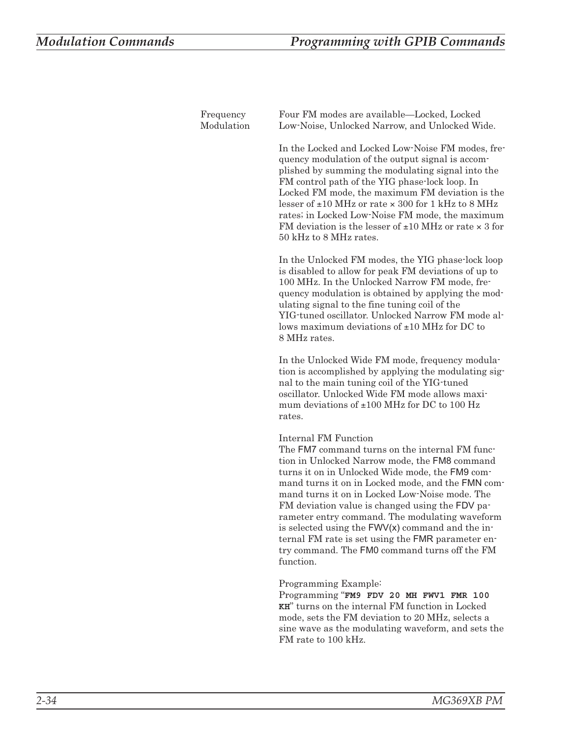| Frequency<br>Modulation | Four FM modes are available—Locked, Locked<br>Low-Noise, Unlocked Narrow, and Unlocked Wide.                                                                                                                                                                                                                                                                                                                                                                                                                                                                  |
|-------------------------|---------------------------------------------------------------------------------------------------------------------------------------------------------------------------------------------------------------------------------------------------------------------------------------------------------------------------------------------------------------------------------------------------------------------------------------------------------------------------------------------------------------------------------------------------------------|
|                         | In the Locked and Locked Low-Noise FM modes, fre-<br>quency modulation of the output signal is accom-<br>plished by summing the modulating signal into the<br>FM control path of the YIG phase-lock loop. In<br>Locked FM mode, the maximum FM deviation is the<br>lesser of $\pm 10$ MHz or rate $\times$ 300 for 1 kHz to 8 MHz<br>rates; in Locked Low-Noise FM mode, the maximum<br>FM deviation is the lesser of $\pm 10$ MHz or rate $\times$ 3 for<br>50 kHz to 8 MHz rates.                                                                           |
|                         | In the Unlocked FM modes, the YIG phase-lock loop<br>is disabled to allow for peak FM deviations of up to<br>100 MHz. In the Unlocked Narrow FM mode, fre-<br>quency modulation is obtained by applying the mod-<br>ulating signal to the fine tuning coil of the<br>YIG-tuned oscillator. Unlocked Narrow FM mode al-<br>lows maximum deviations of $\pm 10$ MHz for DC to<br>8 MHz rates.                                                                                                                                                                   |
|                         | In the Unlocked Wide FM mode, frequency modula-<br>tion is accomplished by applying the modulating sig-<br>nal to the main tuning coil of the YIG-tuned<br>oscillator. Unlocked Wide FM mode allows maxi-<br>mum deviations of $\pm 100$ MHz for DC to 100 Hz<br>rates.                                                                                                                                                                                                                                                                                       |
|                         | Internal FM Function<br>The FM7 command turns on the internal FM func-<br>tion in Unlocked Narrow mode, the FM8 command<br>turns it on in Unlocked Wide mode, the FM9 com-<br>mand turns it on in Locked mode, and the FMN com-<br>mand turns it on in Locked Low-Noise mode. The<br>FM deviation value is changed using the FDV pa-<br>rameter entry command. The modulating waveform<br>is selected using the FWV(x) command and the in-<br>ternal FM rate is set using the FMR parameter en-<br>try command. The FM0 command turns off the FM<br>function. |
|                         | Programming Example:<br>Programming "FM9 FDV 20 MH FWV1 FMR 100<br>KH" turns on the internal FM function in Locked<br>mode, sets the FM deviation to 20 MHz, selects a<br>sine wave as the modulating waveform, and sets the<br>FM rate to 100 kHz.                                                                                                                                                                                                                                                                                                           |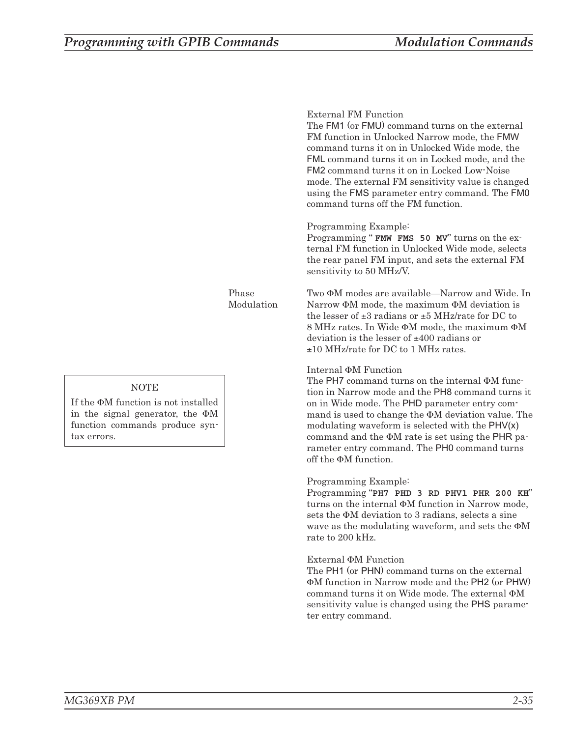|       | External FM Function<br>The FM1 (or FMU) command turns on the external<br>FM function in Unlocked Narrow mode, the FMW<br>command turns it on in Unlocked Wide mode, the<br>FML command turns it on in Locked mode, and the<br><b>FM2</b> command turns it on in Locked Low-Noise<br>mode. The external FM sensitivity value is changed<br>using the FMS parameter entry command. The FMO<br>command turns off the FM function.                      |
|-------|------------------------------------------------------------------------------------------------------------------------------------------------------------------------------------------------------------------------------------------------------------------------------------------------------------------------------------------------------------------------------------------------------------------------------------------------------|
|       | Programming Example:<br>Programming "FMW FMS 50 MV" turns on the ex-<br>ternal FM function in Unlocked Wide mode, selects<br>the rear panel FM input, and sets the external FM<br>sensitivity to 50 MHz/V.                                                                                                                                                                                                                                           |
| ttion | Two $\Phi$ M modes are available—Narrow and Wide. In<br>Narrow $\Phi M$ mode, the maximum $\Phi M$ deviation is<br>the lesser of $\pm 3$ radians or $\pm 5$ MHz/rate for DC to<br>8 MHz rates. In Wide $\Phi M$ mode, the maximum $\Phi M$<br>deviation is the lesser of $\pm 400$ radians or<br>$\pm 10$ MHz/rate for DC to 1 MHz rates.                                                                                                            |
|       | Internal $\Phi M$ Function<br>The PH7 command turns on the internal $\Phi M$ function-<br>tion in Narrow mode and the PH8 command turns it<br>on in Wide mode. The PHD parameter entry com-<br>mand is used to change the $\Phi M$ deviation value. The<br>modulating waveform is selected with the $PHV(x)$<br>command and the $\Phi M$ rate is set using the PHR pa-<br>rameter entry command. The PH0 command turns<br>off the $\Phi M$ function. |
|       | Programming Example:<br>Programming "PH7 PHD 3 RD PHV1 PHR 200 KH"<br>turns on the internal $\Phi M$ function in Narrow mode,<br>sets the $\Phi M$ deviation to 3 radians, selects a sine<br>wave as the modulating waveform, and sets the $\Phi M$<br>rate to 200 kHz.                                                                                                                                                                              |
|       | External $\Phi M$ Function<br>The PH1 (or PHN) command turns on the external<br><b>ΦM</b> function in Narrow mode and the PH2 (or PHW)<br>command turns it on Wide mode. The external $\Phi M$<br>sensitivity value is changed using the PHS parame-<br>ter entry command.                                                                                                                                                                           |

*Phase* Modula

## **NOTE**

If the  $\Phi M$  function is not installed in the signal generator, the  $\Phi M$ function commands produce syntax errors.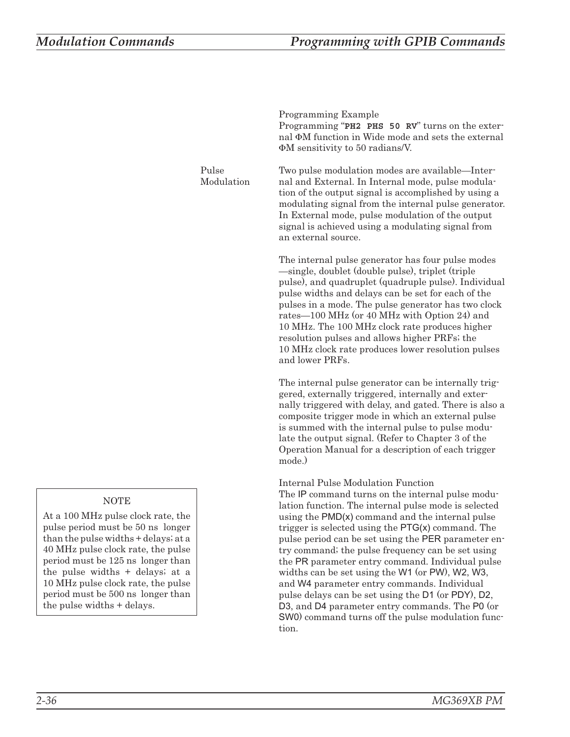**Programming Example** Programming "**PH2 PHS 50 RV**" turns on the external ФМ function in Wide mode and sets the external -M sensitivity to 50 radians/V. *Pulse Modulation* Two pulse modulation modes are available—Internal and External. In Internal mode, pulse modulation of the output signal is accomplished by using a modulating signal from the internal pulse generator. In External mode, pulse modulation of the output signal is achieved using a modulating signal from an external source. The internal pulse generator has four pulse modes —single, doublet (double pulse), triplet (triple pulse), and quadruplet (quadruple pulse). Individual pulse widths and delays can be set for each of the pulses in a mode. The pulse generator has two clock rates—100 MHz (or 40 MHz with Option 24) and 10 MHz. The 100 MHz clock rate produces higher resolution pulses and allows higher PRFs; the 10 MHz clock rate produces lower resolution pulses and lower PRFs. The internal pulse generator can be internally triggered, externally triggered, internally and externally triggered with delay, and gated. There is also a composite trigger mode in which an external pulse is summed with the internal pulse to pulse modulate the output signal. (Refer to Chapter 3 of the Operation Manual for a description of each trigger mode.) **Internal Pulse Modulation Function** The IP command turns on the internal pulse modulation function. The internal pulse mode is selected using the PMD(x) command and the internal pulse trigger is selected using the PTG(x) command. The pulse period can be set using the PER parameter entry command; the pulse frequency can be set using the PR parameter entry command. Individual pulse widths can be set using the W1 (or PW), W2, W3, and W4 parameter entry commands. Individual pulse delays can be set using the D1 (or PDY), D2, D3, and D4 parameter entry commands. The P0 (or SW0) command turns off the pulse modulation function.

## **NOTE**

At a 100 MHz pulse clock rate, the pulse period must be 50 ns longer than the pulse widths + delays; at a 40 MHz pulse clock rate, the pulse period must be 125 ns longer than the pulse widths + delays; at a 10 MHz pulse clock rate, the pulse period must be 500 ns longer than the pulse widths + delays.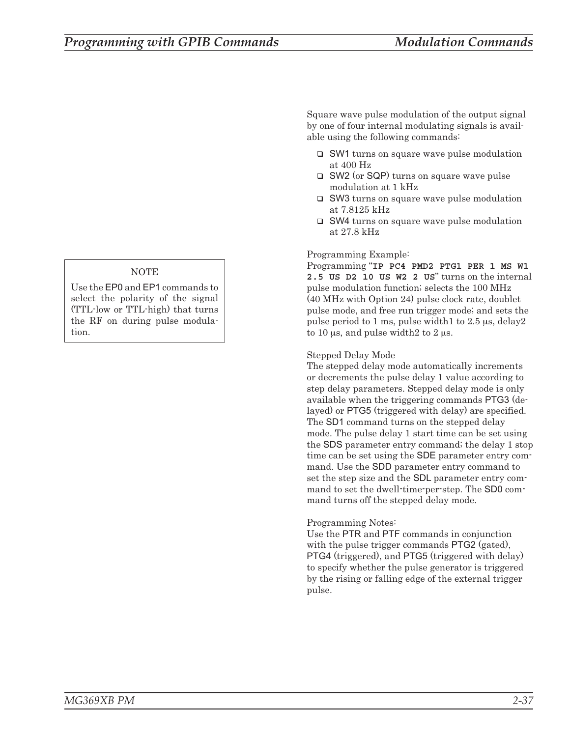## **NOTE**

Use the EP0 and EP1 commands to select the polarity of the signal (TTL-low or TTL-high) that turns the RF on during pulse modulation.

Square wave pulse modulation of the output signal by one of four internal modulating signals is available using the following commands:

- □ SW1 turns on square wave pulse modulation at 400 Hz
- SW2 (or SQP) turns on square wave pulse modulation at 1 kHz
- □ SW3 turns on square wave pulse modulation at 7.8125 kHz
- □ SW4 turns on square wave pulse modulation at 27.8 kHz

## **Programming Example:**

Programming "**IP PC4 PMD2 PTG1 PER 1 MS W1 2.5 US D2 10 US W2 2 US**" turns on the internal pulse modulation function; selects the 100 MHz (40 MHz with Option 24) pulse clock rate, doublet pulse mode, and free run trigger mode; and sets the pulse period to 1 ms, pulse width  $1$  to  $2.5 \mu s$ , delay  $2 \mu s$ to 10  $\mu$ s, and pulse width2 to 2  $\mu$ s.

## **Stepped Delay Mode**

The stepped delay mode automatically increments or decrements the pulse delay 1 value according to step delay parameters. Stepped delay mode is *only* available when the triggering commands PTG3 (delayed) or PTG5 (triggered with delay) are specified. The SD1 command turns on the stepped delay mode. The pulse delay 1 start time can be set using the SDS parameter entry command; the delay 1 stop time can be set using the SDE parameter entry command. Use the SDD parameter entry command to set the step size and the SDL parameter entry command to set the dwell-time-per-step. The SD0 command turns off the stepped delay mode.

## **Programming Notes:**

Use the PTR and PTF commands in conjunction with the pulse trigger commands PTG2 (gated), PTG4 (triggered), and PTG5 (triggered with delay) to specify whether the pulse generator is triggered by the rising or falling edge of the external trigger pulse.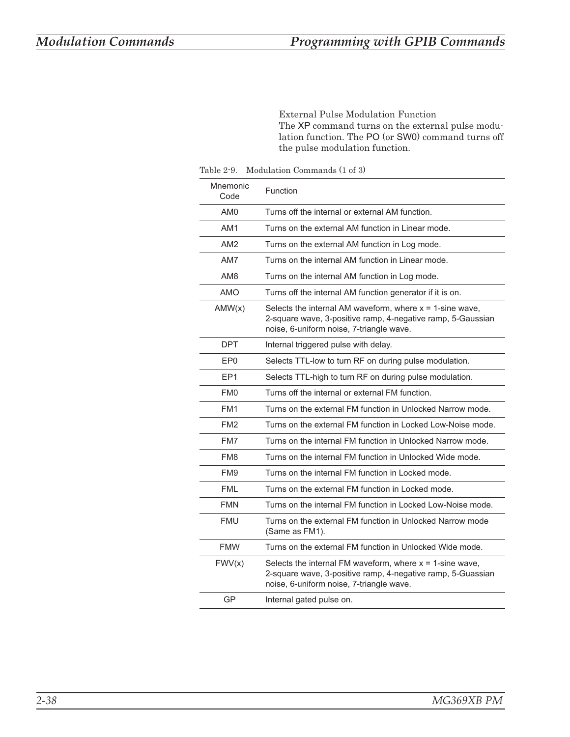<span id="page-57-0"></span>**External Pulse Modulation Function** The XP command turns on the external pulse modulation function. The PO (or SW0) command turns off the pulse modulation function.

*Table 2-9. Modulation Commands (1 of 3)*

| Mnemonic<br>Code | Function                                                                                                                                                               |
|------------------|------------------------------------------------------------------------------------------------------------------------------------------------------------------------|
| AM <sub>0</sub>  | Turns off the internal or external AM function.                                                                                                                        |
| AM <sub>1</sub>  | Turns on the external AM function in Linear mode.                                                                                                                      |
| AM <sub>2</sub>  | Turns on the external AM function in Log mode.                                                                                                                         |
| AM7              | Turns on the internal AM function in Linear mode.                                                                                                                      |
| AM <sub>8</sub>  | Turns on the internal AM function in Log mode.                                                                                                                         |
| AMO              | Turns off the internal AM function generator if it is on.                                                                                                              |
| AMW(x)           | Selects the internal AM waveform, where $x = 1$ -sine wave,<br>2-square wave, 3-positive ramp, 4-negative ramp, 5-Gaussian<br>noise, 6-uniform noise, 7-triangle wave. |
| <b>DPT</b>       | Internal triggered pulse with delay.                                                                                                                                   |
| EP0              | Selects TTL-low to turn RF on during pulse modulation.                                                                                                                 |
| EP <sub>1</sub>  | Selects TTL-high to turn RF on during pulse modulation.                                                                                                                |
| FM <sub>0</sub>  | Turns off the internal or external FM function.                                                                                                                        |
| FM <sub>1</sub>  | Turns on the external FM function in Unlocked Narrow mode.                                                                                                             |
| FM <sub>2</sub>  | Turns on the external FM function in Locked Low-Noise mode.                                                                                                            |
| FM7              | Turns on the internal FM function in Unlocked Narrow mode.                                                                                                             |
| FM <sub>8</sub>  | Turns on the internal FM function in Unlocked Wide mode.                                                                                                               |
| FM <sub>9</sub>  | Turns on the internal FM function in Locked mode.                                                                                                                      |
| <b>FML</b>       | Turns on the external FM function in Locked mode.                                                                                                                      |
| <b>FMN</b>       | Turns on the internal FM function in Locked Low-Noise mode.                                                                                                            |
| <b>FMU</b>       | Turns on the external FM function in Unlocked Narrow mode<br>(Same as FM1).                                                                                            |
| <b>FMW</b>       | Turns on the external FM function in Unlocked Wide mode.                                                                                                               |
| FWV(x)           | Selects the internal FM waveform, where $x = 1$ -sine wave,<br>2-square wave, 3-positive ramp, 4-negative ramp, 5-Guassian<br>noise, 6-uniform noise, 7-triangle wave. |
| GP               | Internal gated pulse on.                                                                                                                                               |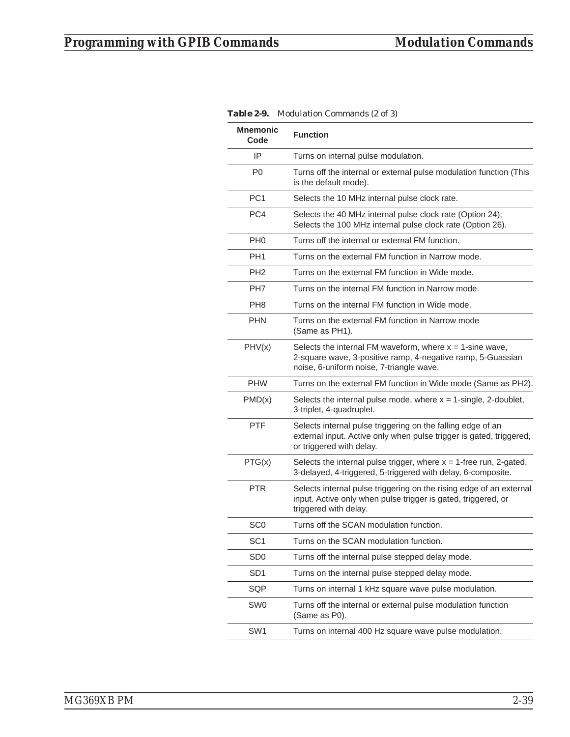| <b>Mnemonic</b><br>Code | <b>Function</b>                                                                                                                                                        |
|-------------------------|------------------------------------------------------------------------------------------------------------------------------------------------------------------------|
| IP                      | Turns on internal pulse modulation.                                                                                                                                    |
| P0                      | Turns off the internal or external pulse modulation function (This<br>is the default mode).                                                                            |
| PC <sub>1</sub>         | Selects the 10 MHz internal pulse clock rate.                                                                                                                          |
| PC4                     | Selects the 40 MHz internal pulse clock rate (Option 24);<br>Selects the 100 MHz internal pulse clock rate (Option 26).                                                |
| PH <sub>0</sub>         | Turns off the internal or external FM function.                                                                                                                        |
| PH <sub>1</sub>         | Turns on the external FM function in Narrow mode.                                                                                                                      |
| PH <sub>2</sub>         | Turns on the external FM function in Wide mode.                                                                                                                        |
| PH7                     | Turns on the internal FM function in Narrow mode.                                                                                                                      |
| PH <sub>8</sub>         | Turns on the internal FM function in Wide mode.                                                                                                                        |
| <b>PHN</b>              | Turns on the external FM function in Narrow mode<br>(Same as PH1).                                                                                                     |
| PHV(x)                  | Selects the internal FM waveform, where $x = 1$ -sine wave,<br>2-square wave, 3-positive ramp, 4-negative ramp, 5-Guassian<br>noise, 6-uniform noise, 7-triangle wave. |
| <b>PHW</b>              | Turns on the external FM function in Wide mode (Same as PH2).                                                                                                          |
| PMD(x)                  | Selects the internal pulse mode, where $x = 1$ -single, 2-doublet,<br>3-triplet, 4-quadruplet.                                                                         |
| <b>PTF</b>              | Selects internal pulse triggering on the falling edge of an<br>external input. Active only when pulse trigger is gated, triggered,<br>or triggered with delay.         |
| PTG(x)                  | Selects the internal pulse trigger, where $x = 1$ -free run, 2-gated,<br>3-delayed, 4-triggered, 5-triggered with delay, 6-composite.                                  |
| <b>PTR</b>              | Selects internal pulse triggering on the rising edge of an external<br>input. Active only when pulse trigger is gated, triggered, or<br>triggered with delay.          |
| SC <sub>0</sub>         | Turns off the SCAN modulation function.                                                                                                                                |
| SC <sub>1</sub>         | Turns on the SCAN modulation function.                                                                                                                                 |
| SD <sub>0</sub>         | Turns off the internal pulse stepped delay mode.                                                                                                                       |
| SD <sub>1</sub>         | Turns on the internal pulse stepped delay mode.                                                                                                                        |
| SQP                     | Turns on internal 1 kHz square wave pulse modulation.                                                                                                                  |
| <b>SW0</b>              | Turns off the internal or external pulse modulation function<br>(Same as P0).                                                                                          |
| SW <sub>1</sub>         | Turns on internal 400 Hz square wave pulse modulation.                                                                                                                 |

*Table 2-9. Modulation Commands (2 of 3)*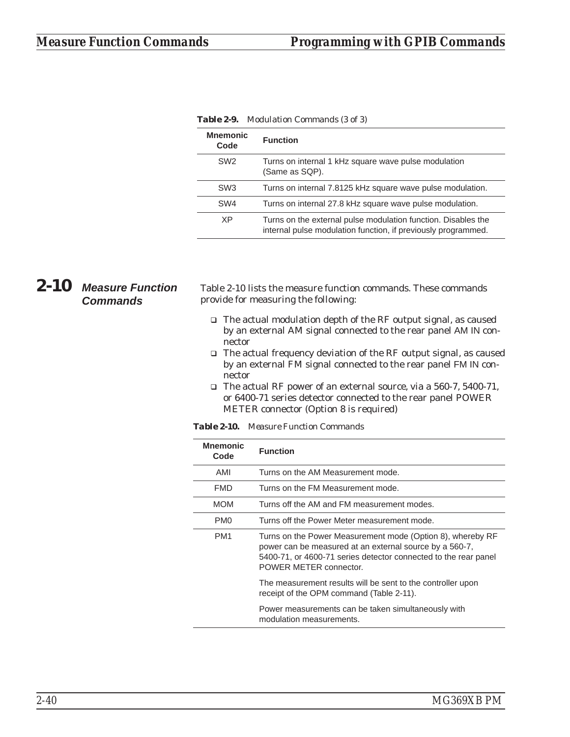| <b>Mnemonic</b><br>Code | <b>Function</b>                                                                                                                |
|-------------------------|--------------------------------------------------------------------------------------------------------------------------------|
| SW <sub>2</sub>         | Turns on internal 1 kHz square wave pulse modulation<br>(Same as SQP).                                                         |
| SW <sub>3</sub>         | Turns on internal 7.8125 kHz square wave pulse modulation.                                                                     |
| SW <sub>4</sub>         | Turns on internal 27.8 kHz square wave pulse modulation.                                                                       |
| XP                      | Turns on the external pulse modulation function. Disables the<br>internal pulse modulation function, if previously programmed. |

*Table 2-9. Modulation Commands (3 of 3)*

# *2-10 Measure Function Commands*

Table 2-10 lists the measure function commands. These commands provide for measuring the following:

- □ The actual modulation depth of the RF output signal, as caused by an external AM signal connected to the rear panel AM IN connector
- □ The actual frequency deviation of the RF output signal, as caused by an external FM signal connected to the rear panel FM IN connector
- □ The actual RF power of an external source, via a 560-7, 5400-71, or 6400-71 series detector connected to the rear panel POWER METER connector (Option 8 is required)

*Table 2-10. Measure Function Commands*

| <b>Mnemonic</b><br>Code | <b>Function</b>                                                                                                                                                                                                    |
|-------------------------|--------------------------------------------------------------------------------------------------------------------------------------------------------------------------------------------------------------------|
| AMI                     | Turns on the AM Measurement mode.                                                                                                                                                                                  |
| <b>FMD</b>              | Turns on the FM Measurement mode.                                                                                                                                                                                  |
| <b>MOM</b>              | Turns off the AM and FM measurement modes.                                                                                                                                                                         |
| PM <sub>0</sub>         | Turns off the Power Meter measurement mode.                                                                                                                                                                        |
| PM <sub>1</sub>         | Turns on the Power Measurement mode (Option 8), whereby RF<br>power can be measured at an external source by a 560-7,<br>5400-71, or 4600-71 series detector connected to the rear panel<br>POWER METER connector. |
|                         | The measurement results will be sent to the controller upon<br>receipt of the OPM command (Table 2-11).                                                                                                            |
|                         | Power measurements can be taken simultaneously with<br>modulation measurements.                                                                                                                                    |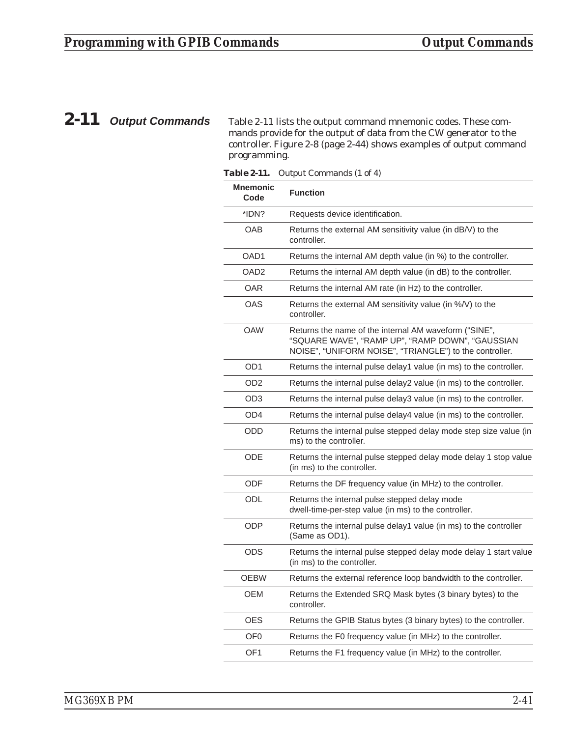$\overline{\phantom{0}}$ 

*2-11 Output Commands* Table 2-11 lists the output command mnemonic codes. These commands provide for the output of data from the CW generator to the controller. Figure 2-8 (page [2-44\)](#page-63-0) shows examples of output command programming.

| <i>adie 2-11.</i>       | <i><b>Output Commands (1 01 4)</b></i>                                                                                                                               |
|-------------------------|----------------------------------------------------------------------------------------------------------------------------------------------------------------------|
| <b>Mnemonic</b><br>Code | <b>Function</b>                                                                                                                                                      |
| *IDN?                   | Requests device identification.                                                                                                                                      |
| <b>OAB</b>              | Returns the external AM sensitivity value (in dB/V) to the<br>controller.                                                                                            |
| OAD1                    | Returns the internal AM depth value (in %) to the controller.                                                                                                        |
| OAD <sub>2</sub>        | Returns the internal AM depth value (in dB) to the controller.                                                                                                       |
| <b>OAR</b>              | Returns the internal AM rate (in Hz) to the controller.                                                                                                              |
| <b>OAS</b>              | Returns the external AM sensitivity value (in %/V) to the<br>controller.                                                                                             |
| <b>OAW</b>              | Returns the name of the internal AM waveform ("SINE",<br>"SQUARE WAVE", "RAMP UP", "RAMP DOWN", "GAUSSIAN<br>NOISE", "UNIFORM NOISE", "TRIANGLE") to the controller. |
| OD <sub>1</sub>         | Returns the internal pulse delay1 value (in ms) to the controller.                                                                                                   |
| OD2                     | Returns the internal pulse delay2 value (in ms) to the controller.                                                                                                   |
| OD <sub>3</sub>         | Returns the internal pulse delay3 value (in ms) to the controller.                                                                                                   |
| OD4                     | Returns the internal pulse delay4 value (in ms) to the controller.                                                                                                   |
| <b>ODD</b>              | Returns the internal pulse stepped delay mode step size value (in<br>ms) to the controller.                                                                          |
| <b>ODE</b>              | Returns the internal pulse stepped delay mode delay 1 stop value<br>(in ms) to the controller.                                                                       |
| <b>ODF</b>              | Returns the DF frequency value (in MHz) to the controller.                                                                                                           |
| ODL                     | Returns the internal pulse stepped delay mode<br>dwell-time-per-step value (in ms) to the controller.                                                                |
| <b>ODP</b>              | Returns the internal pulse delay1 value (in ms) to the controller<br>(Same as OD1).                                                                                  |
| <b>ODS</b>              | Returns the internal pulse stepped delay mode delay 1 start value<br>(in ms) to the controller.                                                                      |
| <b>OEBW</b>             | Returns the external reference loop bandwidth to the controller.                                                                                                     |
| OEM                     | Returns the Extended SRQ Mask bytes (3 binary bytes) to the<br>controller.                                                                                           |
| <b>OES</b>              | Returns the GPIB Status bytes (3 binary bytes) to the controller.                                                                                                    |
| OF <sub>0</sub>         | Returns the F0 frequency value (in MHz) to the controller.                                                                                                           |
| OF <sub>1</sub>         | Returns the F1 frequency value (in MHz) to the controller.                                                                                                           |
|                         |                                                                                                                                                                      |

*Table 2-11. Output Commands (1 of 4)*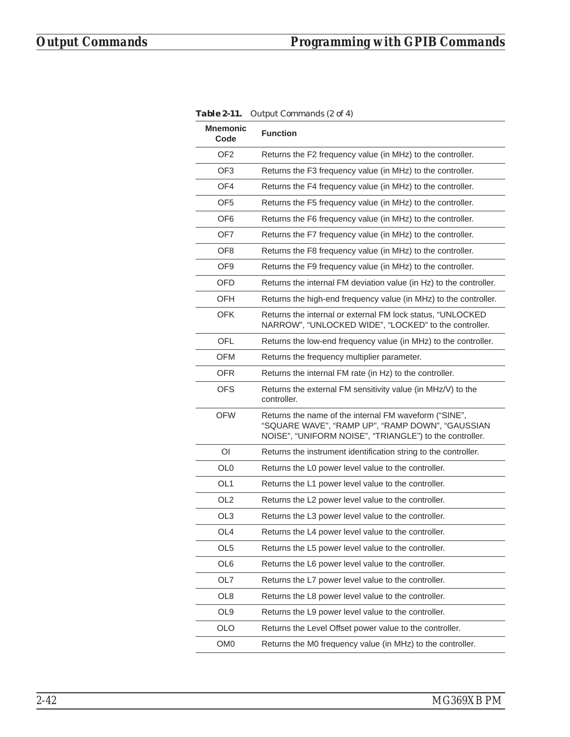| <b>Mnemonic</b><br>Code | <b>Function</b>                                                                                                                                                      |
|-------------------------|----------------------------------------------------------------------------------------------------------------------------------------------------------------------|
| OF <sub>2</sub>         | Returns the F2 frequency value (in MHz) to the controller.                                                                                                           |
| OF <sub>3</sub>         | Returns the F3 frequency value (in MHz) to the controller.                                                                                                           |
| OF4                     | Returns the F4 frequency value (in MHz) to the controller.                                                                                                           |
| OF <sub>5</sub>         | Returns the F5 frequency value (in MHz) to the controller.                                                                                                           |
| OF6                     | Returns the F6 frequency value (in MHz) to the controller.                                                                                                           |
| OF7                     | Returns the F7 frequency value (in MHz) to the controller.                                                                                                           |
| OF8                     | Returns the F8 frequency value (in MHz) to the controller.                                                                                                           |
| OF <sub>9</sub>         | Returns the F9 frequency value (in MHz) to the controller.                                                                                                           |
| OFD                     | Returns the internal FM deviation value (in Hz) to the controller.                                                                                                   |
| OFH                     | Returns the high-end frequency value (in MHz) to the controller.                                                                                                     |
| OFK                     | Returns the internal or external FM lock status, "UNLOCKED<br>NARROW", "UNLOCKED WIDE", "LOCKED" to the controller.                                                  |
| OFL                     | Returns the low-end frequency value (in MHz) to the controller.                                                                                                      |
| <b>OFM</b>              | Returns the frequency multiplier parameter.                                                                                                                          |
| <b>OFR</b>              | Returns the internal FM rate (in Hz) to the controller.                                                                                                              |
| <b>OFS</b>              | Returns the external FM sensitivity value (in MHz/V) to the<br>controller.                                                                                           |
| <b>OFW</b>              | Returns the name of the internal FM waveform ("SINE",<br>"SQUARE WAVE", "RAMP UP", "RAMP DOWN", "GAUSSIAN<br>NOISE", "UNIFORM NOISE", "TRIANGLE") to the controller. |
| $\overline{O}$          | Returns the instrument identification string to the controller.                                                                                                      |
| OL <sub>0</sub>         | Returns the L0 power level value to the controller.                                                                                                                  |
| OL <sub>1</sub>         | Returns the L1 power level value to the controller.                                                                                                                  |
| OL <sub>2</sub>         | Returns the L2 power level value to the controller.                                                                                                                  |
| OL <sub>3</sub>         | Returns the L3 power level value to the controller.                                                                                                                  |
| OL <sub>4</sub>         | Returns the L4 power level value to the controller.                                                                                                                  |
| OL <sub>5</sub>         | Returns the L5 power level value to the controller.                                                                                                                  |
| OL6                     | Returns the L6 power level value to the controller.                                                                                                                  |
| OL7                     | Returns the L7 power level value to the controller.                                                                                                                  |
| OL8                     | Returns the L8 power level value to the controller.                                                                                                                  |
| OL <sub>9</sub>         | Returns the L9 power level value to the controller.                                                                                                                  |
| <b>OLO</b>              | Returns the Level Offset power value to the controller.                                                                                                              |
| OM <sub>0</sub>         | Returns the M0 frequency value (in MHz) to the controller.                                                                                                           |

*Table 2-11. Output Commands (2 of 4)*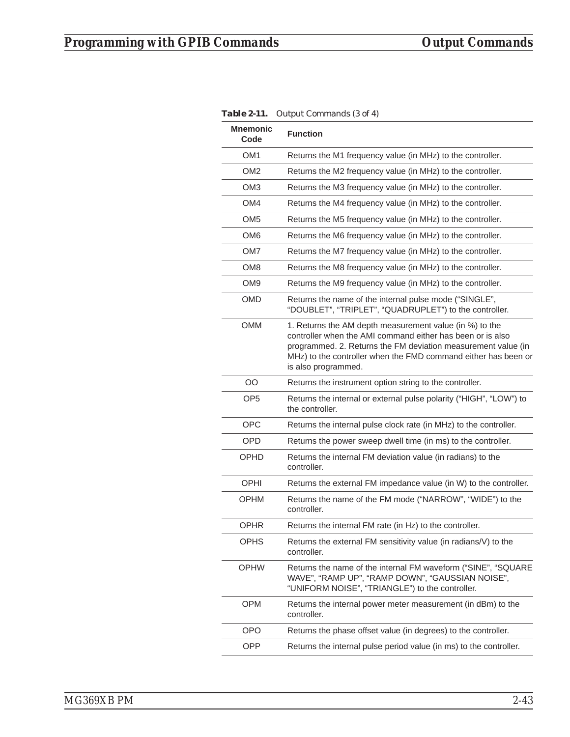|                         | $\sigma$ atpat commando (o or 1)                                                                                                                                                                                                                                                |
|-------------------------|---------------------------------------------------------------------------------------------------------------------------------------------------------------------------------------------------------------------------------------------------------------------------------|
| <b>Mnemonic</b><br>Code | <b>Function</b>                                                                                                                                                                                                                                                                 |
| OM <sub>1</sub>         | Returns the M1 frequency value (in MHz) to the controller.                                                                                                                                                                                                                      |
| OM <sub>2</sub>         | Returns the M2 frequency value (in MHz) to the controller.                                                                                                                                                                                                                      |
| OM3                     | Returns the M3 frequency value (in MHz) to the controller.                                                                                                                                                                                                                      |
| OM4                     | Returns the M4 frequency value (in MHz) to the controller.                                                                                                                                                                                                                      |
| OM <sub>5</sub>         | Returns the M5 frequency value (in MHz) to the controller.                                                                                                                                                                                                                      |
| OM <sub>6</sub>         | Returns the M6 frequency value (in MHz) to the controller.                                                                                                                                                                                                                      |
| OM7                     | Returns the M7 frequency value (in MHz) to the controller.                                                                                                                                                                                                                      |
| OM <sub>8</sub>         | Returns the M8 frequency value (in MHz) to the controller.                                                                                                                                                                                                                      |
| OM <sub>9</sub>         | Returns the M9 frequency value (in MHz) to the controller.                                                                                                                                                                                                                      |
| OMD                     | Returns the name of the internal pulse mode ("SINGLE",<br>"DOUBLET", "TRIPLET", "QUADRUPLET") to the controller.                                                                                                                                                                |
| <b>OMM</b>              | 1. Returns the AM depth measurement value (in %) to the<br>controller when the AMI command either has been or is also<br>programmed. 2. Returns the FM deviation measurement value (in<br>MHz) to the controller when the FMD command either has been or<br>is also programmed. |
| OO                      | Returns the instrument option string to the controller.                                                                                                                                                                                                                         |
| OP <sub>5</sub>         | Returns the internal or external pulse polarity ("HIGH", "LOW") to<br>the controller.                                                                                                                                                                                           |
| <b>OPC</b>              | Returns the internal pulse clock rate (in MHz) to the controller.                                                                                                                                                                                                               |
| <b>OPD</b>              | Returns the power sweep dwell time (in ms) to the controller.                                                                                                                                                                                                                   |
| OPHD                    | Returns the internal FM deviation value (in radians) to the<br>controller.                                                                                                                                                                                                      |
| <b>OPHI</b>             | Returns the external FM impedance value (in W) to the controller.                                                                                                                                                                                                               |
| <b>OPHM</b>             | Returns the name of the FM mode ("NARROW", "WIDE") to the<br>controller.                                                                                                                                                                                                        |
| <b>OPHR</b>             | Returns the internal FM rate (in Hz) to the controller.                                                                                                                                                                                                                         |
| <b>OPHS</b>             | Returns the external FM sensitivity value (in radians/V) to the<br>controller.                                                                                                                                                                                                  |
| <b>OPHW</b>             | Returns the name of the internal FM waveform ("SINE", "SQUARE<br>WAVE", "RAMP UP", "RAMP DOWN", "GAUSSIAN NOISE",<br>"UNIFORM NOISE", "TRIANGLE") to the controller.                                                                                                            |
| <b>OPM</b>              | Returns the internal power meter measurement (in dBm) to the<br>controller.                                                                                                                                                                                                     |
| <b>OPO</b>              | Returns the phase offset value (in degrees) to the controller.                                                                                                                                                                                                                  |
| <b>OPP</b>              | Returns the internal pulse period value (in ms) to the controller.                                                                                                                                                                                                              |

|  | Table 2-11. Output Commands (3 of 4) |
|--|--------------------------------------|
|--|--------------------------------------|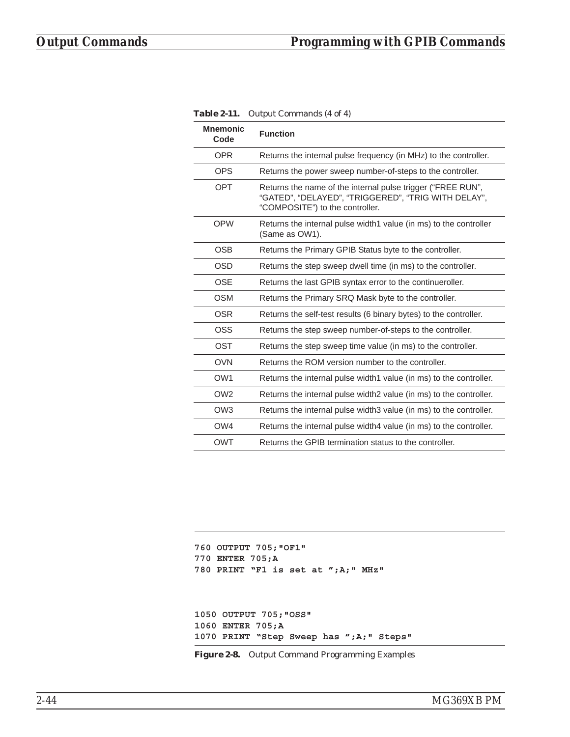| <b>Mnemonic</b><br>Code | <b>Function</b>                                                                                                                                       |
|-------------------------|-------------------------------------------------------------------------------------------------------------------------------------------------------|
| <b>OPR</b>              | Returns the internal pulse frequency (in MHz) to the controller.                                                                                      |
| <b>OPS</b>              | Returns the power sweep number-of-steps to the controller.                                                                                            |
| <b>OPT</b>              | Returns the name of the internal pulse trigger ("FREE RUN",<br>"GATED", "DELAYED", "TRIGGERED", "TRIG WITH DELAY",<br>"COMPOSITE") to the controller. |
| <b>OPW</b>              | Returns the internal pulse width1 value (in ms) to the controller<br>(Same as OW1).                                                                   |
| <b>OSB</b>              | Returns the Primary GPIB Status byte to the controller.                                                                                               |
| <b>OSD</b>              | Returns the step sweep dwell time (in ms) to the controller.                                                                                          |
| <b>OSE</b>              | Returns the last GPIB syntax error to the continueroller.                                                                                             |
| <b>OSM</b>              | Returns the Primary SRQ Mask byte to the controller.                                                                                                  |
| <b>OSR</b>              | Returns the self-test results (6 binary bytes) to the controller.                                                                                     |
| OSS                     | Returns the step sweep number-of-steps to the controller.                                                                                             |
| <b>OST</b>              | Returns the step sweep time value (in ms) to the controller.                                                                                          |
| <b>OVN</b>              | Returns the ROM version number to the controller.                                                                                                     |
| OW <sub>1</sub>         | Returns the internal pulse width1 value (in ms) to the controller.                                                                                    |
| OW <sub>2</sub>         | Returns the internal pulse width2 value (in ms) to the controller.                                                                                    |
| OW <sub>3</sub>         | Returns the internal pulse width3 value (in ms) to the controller.                                                                                    |
| OW4                     | Returns the internal pulse width4 value (in ms) to the controller.                                                                                    |
| <b>OWT</b>              | Returns the GPIB termination status to the controller.                                                                                                |

<span id="page-63-0"></span>*Table 2-11. Output Commands (4 of 4)*

```
760 OUTPUT 705;"OF1"
770 ENTER 705;A
780 PRINT "F1 is set at ";A;" MHz"
1050 OUTPUT 705;"OSS"
1060 ENTER 705;A
1070 PRINT "Step Sweep has ";A;" Steps"
```
*Figure 2-8. Output Command Programming Examples*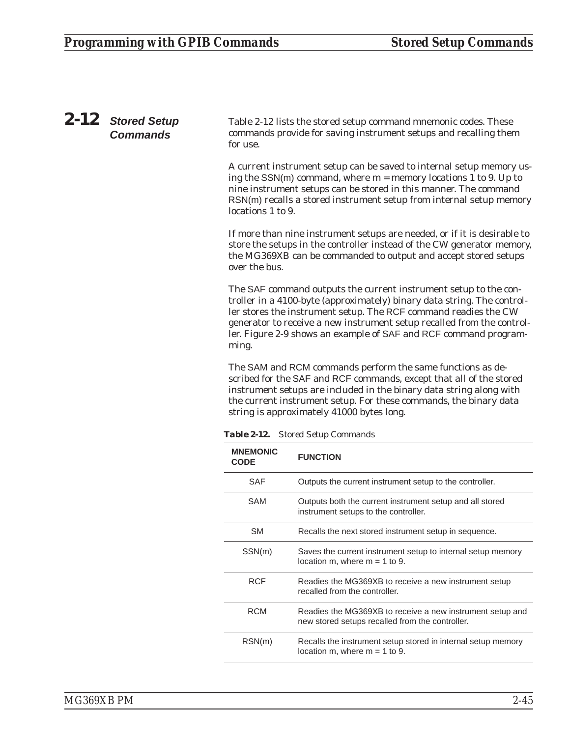# *2-12 Stored Setup Commands*

Table 2-12 lists the stored setup command mnemonic codes. These commands provide for saving instrument setups and recalling them for use.

A current instrument setup can be saved to internal setup memory using the  $SSN(m)$  command, where  $m =$  memory locations 1 to 9. Up to nine instrument setups can be stored in this manner. The command RSN(m) recalls a stored instrument setup from internal setup memory locations 1 to 9.

If more than nine instrument setups are needed, or if it is desirable to store the setups in the controller instead of the CW generator memory, the MG369XB can be commanded to output and accept stored setups over the bus.

The SAF command outputs the current instrument setup to the controller in a 4100-byte (approximately) binary data string. The controller stores the instrument setup. The RCF command readies the CW generator to receive a new instrument setup recalled from the controller. Figure 2-9 shows an example of SAF and RCF command programming.

The SAM and RCM commands perform the same functions as described for the SAF and RCF commands, except that all of the stored instrument setups are included in the binary data string along with the current instrument setup. For these commands, the binary data string is approximately 41000 bytes long.

*Table 2-12. Stored Setup Commands*

| <b>MNEMONIC</b><br><b>CODE</b> | <b>FUNCTION</b>                                                                                              |
|--------------------------------|--------------------------------------------------------------------------------------------------------------|
| <b>SAF</b>                     | Outputs the current instrument setup to the controller.                                                      |
| SAM                            | Outputs both the current instrument setup and all stored<br>instrument setups to the controller.             |
| SM                             | Recalls the next stored instrument setup in sequence.                                                        |
| SSN(m)                         | Saves the current instrument setup to internal setup memory<br>location m, where $m = 1$ to 9.               |
| <b>RCF</b>                     | Readies the MG369XB to receive a new instrument setup<br>recalled from the controller.                       |
| <b>RCM</b>                     | Readies the MG369XB to receive a new instrument setup and<br>new stored setups recalled from the controller. |
| RSN(m)                         | Recalls the instrument setup stored in internal setup memory<br>location m, where $m = 1$ to 9.              |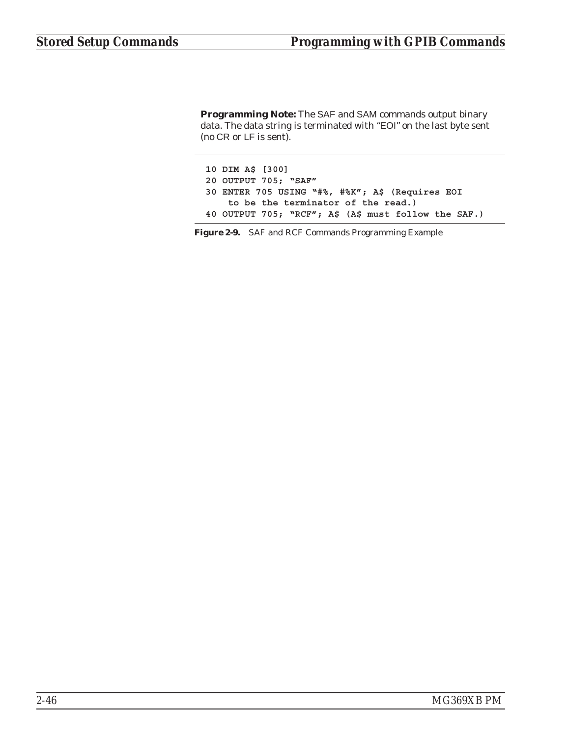**Programming Note:** The SAF and SAM commands output binary data. The data string is terminated with "EOI" on the last byte sent (no CR or LF is sent).

**10 DIM A\$ [300] 20 OUTPUT 705; "SAF" 30 ENTER 705 USING "#%, #%K"; A\$ (Requires EOI to be the terminator of the read.) 40 OUTPUT 705; "RCF"; A\$ (A\$ must follow the SAF.)**

*Figure 2-9. SAF and RCF Commands Programming Example*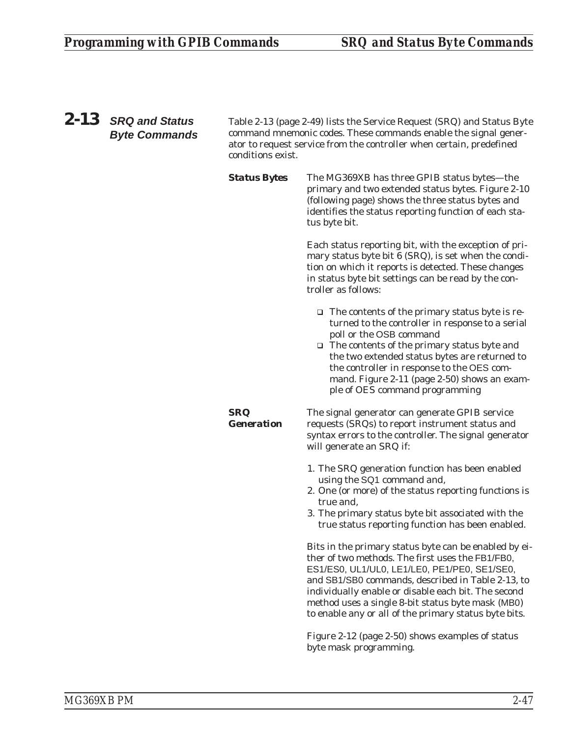*SRQ*

*Generation*

*2-13 SRQ and Status Byte Commands*

Table 2-13 (page [2-49](#page-68-0)) lists the Service Request (SRQ) and Status Byte command mnemonic codes. These commands enable the signal generator to request service from the controller when certain, predefined conditions exist.

**Status Bytes** The MG369XB has three GPIB status bytes—the primary and two extended status bytes. Figure 2-10 (following page) shows the three status bytes and identifies the status reporting function of each status byte bit.

> Each status reporting bit, with the exception of primary status byte bit 6 (SRQ), is set when the condition on which it reports is detected. These changes in status byte bit settings can be read by the controller as follows:

- □ The contents of the primary status byte is returned to the controller in response to a serial poll or the OSB command
- □ The contents of the primary status byte and the two extended status bytes are returned to the controller in response to the OES command. Figure 2-11 (page [2-50\)](#page-69-0) shows an example of OES command programming

The signal generator can generate GPIB service requests (SRQs) to report instrument status and syntax errors to the controller. The signal generator will generate an SRQ if:

- 1. The SRQ generation function has been enabled using the SQ1 command *and*,
- 2. One (or more) of the status reporting functions is true *and*,
- 3. The primary status byte bit associated with the true status reporting function has been enabled.

Bits in the primary status byte can be enabled by either of two methods. The first uses the FB1/FB0, ES1/ES0, UL1/UL0, LE1/LE0, PE1/PE0, SE1/SE0, and SB1/SB0 commands, described in Table 2-13, to individually enable or disable each bit. The second method uses a single 8-bit status byte mask (MB0) to enable any or all of the primary status byte bits.

Figure 2-12 (page [2-50\)](#page-69-0) shows examples of status byte mask programming.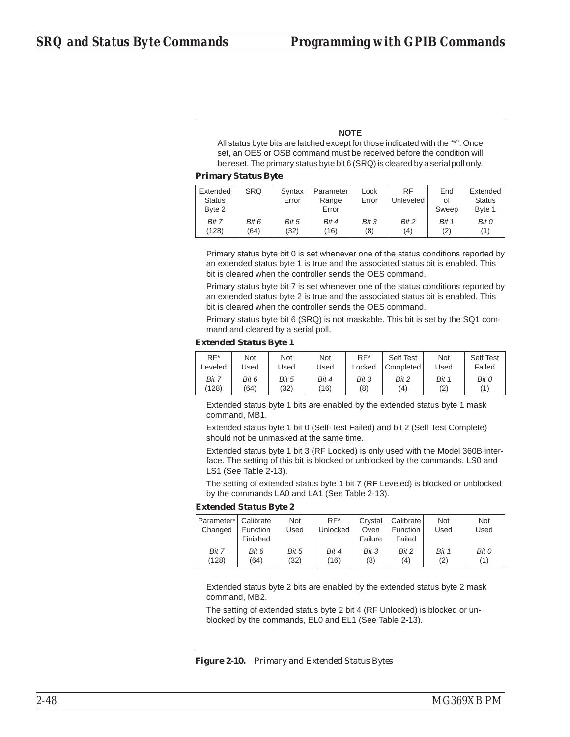## **NOTE**

All status byte bits are latched except for those indicated with the "\*". Once set, an OES or OSB command must be received before the condition will be reset. The primary status byte bit 6 (SRQ) is cleared by a serial poll only.

#### *Primary Status Byte*

| Extended<br><b>Status</b><br>Byte 2 | <b>SRQ</b> | Syntax<br>Error | Parameter<br>Range<br>Error | Lock<br>Error | <b>RF</b><br>Unleveled | End<br>οf<br>Sweep | Extended<br><b>Status</b><br>Byte 1 |
|-------------------------------------|------------|-----------------|-----------------------------|---------------|------------------------|--------------------|-------------------------------------|
| Bit 7                               | Bit 6      | Bit 5           | Bit 4                       | Bit 3         | Bit 2                  | Bit 1              | Bit 0                               |
| (128)                               | (64)       | (32)            | (16)                        | (8)           | (4)                    | (2)                | '1)                                 |

Primary status byte bit 0 is set whenever one of the status conditions reported by an extended status byte 1 is true and the associated status bit is enabled. This bit is cleared when the controller sends the OES command.

Primary status byte bit 7 is set whenever one of the status conditions reported by an extended status byte 2 is true and the associated status bit is enabled. This bit is cleared when the controller sends the OES command.

Primary status byte bit 6 (SRQ) is not maskable. This bit is set by the SQ1 command and cleared by a serial poll.

### *Extended Status Byte 1*

| $RF^*$  | Not   | Not   | Not   | $RF^*$ | Self Test          | <b>Not</b> | Self Test |
|---------|-------|-------|-------|--------|--------------------|------------|-----------|
| Leveled | Jsed  | Jsed  | Used  | Locked | Completed          | Used       | Failed    |
| Bit 7   | Bit 6 | Bit 5 | Bit 4 | Bit 3  | Bit 2              | Bit 1      | Bit 0     |
| (128)   | (64)  | (32)  | (16)  | (8)    | $\left( 4 \right)$ | (2)        | (1        |

Extended status byte 1 bits are enabled by the extended status byte 1 mask command, MB1.

Extended status byte 1 bit 0 (Self-Test Failed) and bit 2 (Self Test Complete) should not be unmasked at the same time.

Extended status byte 1 bit 3 (RF Locked) is only used with the Model 360B interface. The setting of this bit is blocked or unblocked by the commands, LS0 and LS1 (See Table 2-13).

The setting of extended status byte 1 bit 7 (RF Leveled) is blocked or unblocked by the commands LA0 and LA1 (See Table 2-13).

### *Extended Status Byte 2*

| Parameter*<br>Changed | Calibrate<br><b>Function</b><br>Finished | Not<br>Used | $RF^*$<br>Unlocked | Crystal<br>Oven<br>Failure | Calibrate<br><b>Function</b><br>Failed | Not<br>Used | <b>Not</b><br>Used |
|-----------------------|------------------------------------------|-------------|--------------------|----------------------------|----------------------------------------|-------------|--------------------|
| Bit 7                 | Bit 6                                    | Bit 5       | Bit 4              | Bit 3                      | Bit 2                                  | Bit 1       | Bit 0              |
| (128)                 | (64)                                     | (32)        | (16)               | (8)                        | (4)                                    | (2)         | (1)                |

Extended status byte 2 bits are enabled by the extended status byte 2 mask command, MB2.

The setting of extended status byte 2 bit 4 (RF Unlocked) is blocked or unblocked by the commands, EL0 and EL1 (See Table 2-13).

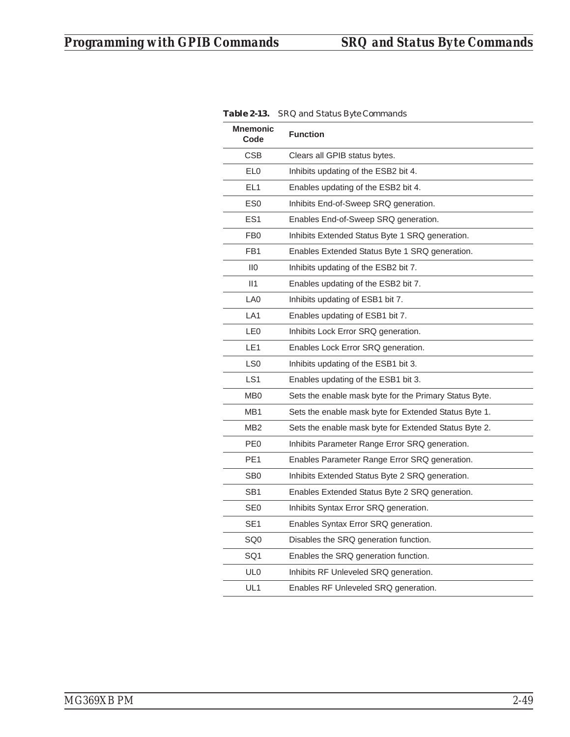|                         | 104 and Status Byte Commands                           |
|-------------------------|--------------------------------------------------------|
| <b>Mnemonic</b><br>Code | <b>Function</b>                                        |
| CSB                     | Clears all GPIB status bytes.                          |
| EL <sub>0</sub>         | Inhibits updating of the ESB2 bit 4.                   |
| EL <sub>1</sub>         | Enables updating of the ESB2 bit 4.                    |
| ES <sub>0</sub>         | Inhibits End-of-Sweep SRQ generation.                  |
| ES <sub>1</sub>         | Enables End-of-Sweep SRQ generation.                   |
| FB <sub>0</sub>         | Inhibits Extended Status Byte 1 SRQ generation.        |
| FB <sub>1</sub>         | Enables Extended Status Byte 1 SRQ generation.         |
| $\overline{110}$        | Inhibits updating of the ESB2 bit 7.                   |
| II1                     | Enables updating of the ESB2 bit 7.                    |
| LA0                     | Inhibits updating of ESB1 bit 7.                       |
| LA <sub>1</sub>         | Enables updating of ESB1 bit 7.                        |
| LE <sub>0</sub>         | Inhibits Lock Error SRQ generation.                    |
| LE1                     | Enables Lock Error SRQ generation.                     |
| LS <sub>0</sub>         | Inhibits updating of the ESB1 bit 3.                   |
| LS <sub>1</sub>         | Enables updating of the ESB1 bit 3.                    |
| M <sub>B</sub> 0        | Sets the enable mask byte for the Primary Status Byte. |
| MB1                     | Sets the enable mask byte for Extended Status Byte 1.  |
| MB <sub>2</sub>         | Sets the enable mask byte for Extended Status Byte 2.  |
| PE <sub>0</sub>         | Inhibits Parameter Range Error SRQ generation.         |
| PE <sub>1</sub>         | Enables Parameter Range Error SRQ generation.          |
| SB <sub>0</sub>         | Inhibits Extended Status Byte 2 SRQ generation.        |
| SB <sub>1</sub>         | Enables Extended Status Byte 2 SRQ generation.         |
| SE <sub>0</sub>         | Inhibits Syntax Error SRQ generation.                  |
| SE <sub>1</sub>         | Enables Syntax Error SRQ generation.                   |
| SQ0                     | Disables the SRQ generation function.                  |
| SQ <sub>1</sub>         | Enables the SRQ generation function.                   |
| UL <sub>0</sub>         | Inhibits RF Unleveled SRQ generation.                  |
| UL1                     | Enables RF Unleveled SRQ generation.                   |

<span id="page-68-0"></span>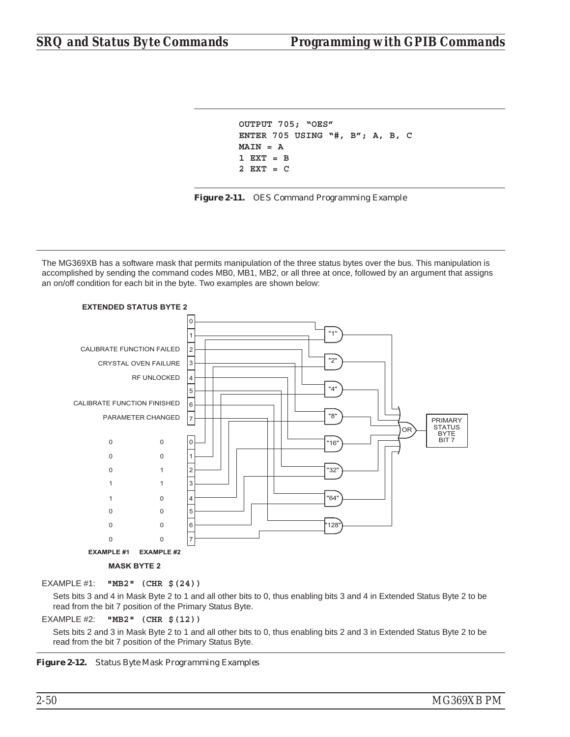```
OUTPUT 705; "OES"
ENTER 705 USING "#, B"; A, B, C
MAIN = A
1 EXT = B
2 EXT = C
```


The MG369XB has a software mask that permits manipulation of the three status bytes over the bus. This manipulation is accomplished by sending the command codes MB0, MB1, MB2, or all three at once, followed by an argument that assigns an on/off condition for each bit in the byte. Two examples are shown below:



## EXAMPLE #1: **"MB2" (CHR \$(24))**

Sets bits 3 and 4 in Mask Byte 2 to 1 and all other bits to 0, thus enabling bits 3 and 4 in Extended Status Byte 2 to be read from the bit 7 position of the Primary Status Byte.

EXAMPLE #2: **"MB2" (CHR \$(12))**

Sets bits 2 and 3 in Mask Byte 2 to 1 and all other bits to 0, thus enabling bits 2 and 3 in Extended Status Byte 2 to be read from the bit 7 position of the Primary Status Byte.

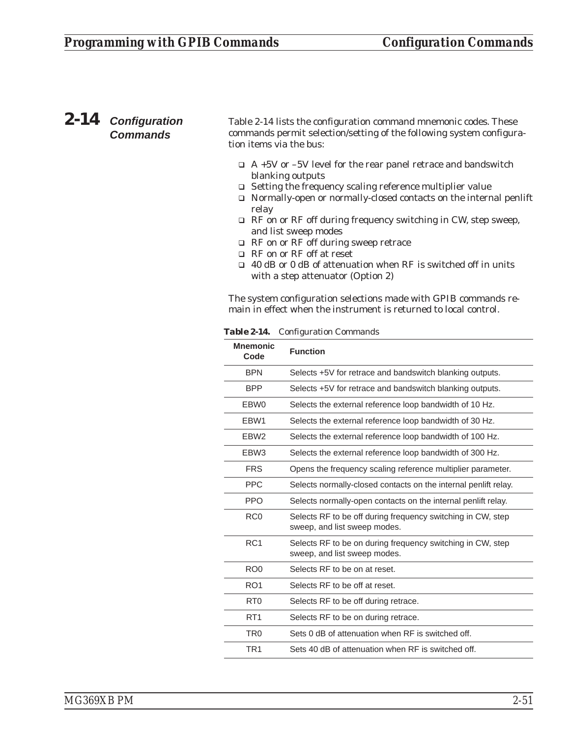# *2-14 Configuration Commands*

Table 2-14 lists the configuration command mnemonic codes. These commands permit selection/setting of the following system configuration items via the bus:

- $\Box$  A +5V or -5V level for the rear panel retrace and bandswitch blanking outputs
- □ Setting the frequency scaling reference multiplier value
- □ Normally-open or normally-closed contacts on the internal penlift relay
- □ RF on or RF off during frequency switching in CW, step sweep, and list sweep modes
- □ RF on or RF off during sweep retrace
- □ RF on or RF off at reset
- □ 40 dB or 0 dB of attenuation when RF is switched off in units with a step attenuator (Option 2)

The system configuration selections made with GPIB commands remain in effect when the instrument is returned to local control.

| <b>Mnemonic</b><br>Code | <b>Function</b>                                                                             |
|-------------------------|---------------------------------------------------------------------------------------------|
| <b>BPN</b>              | Selects +5V for retrace and bandswitch blanking outputs.                                    |
| <b>BPP</b>              | Selects +5V for retrace and bandswitch blanking outputs.                                    |
| EBW0                    | Selects the external reference loop bandwidth of 10 Hz.                                     |
| FBW1                    | Selects the external reference loop bandwidth of 30 Hz.                                     |
| EBW <sub>2</sub>        | Selects the external reference loop bandwidth of 100 Hz.                                    |
| EBW <sub>3</sub>        | Selects the external reference loop bandwidth of 300 Hz.                                    |
| <b>FRS</b>              | Opens the frequency scaling reference multiplier parameter.                                 |
| <b>PPC</b>              | Selects normally-closed contacts on the internal penlift relay.                             |
| <b>PPO</b>              | Selects normally-open contacts on the internal penlift relay.                               |
| RC <sub>0</sub>         | Selects RF to be off during frequency switching in CW, step<br>sweep, and list sweep modes. |
| RC <sub>1</sub>         | Selects RF to be on during frequency switching in CW, step<br>sweep, and list sweep modes.  |
| RO <sub>0</sub>         | Selects RF to be on at reset.                                                               |
| RO <sub>1</sub>         | Selects RF to be off at reset.                                                              |
| R <sub>T0</sub>         | Selects RF to be off during retrace.                                                        |
| RT <sub>1</sub>         | Selects RF to be on during retrace.                                                         |
| TR <sub>0</sub>         | Sets 0 dB of attenuation when RF is switched off.                                           |
| TR <sub>1</sub>         | Sets 40 dB of attenuation when RF is switched off.                                          |
|                         |                                                                                             |

*Table 2-14. Configuration Commands*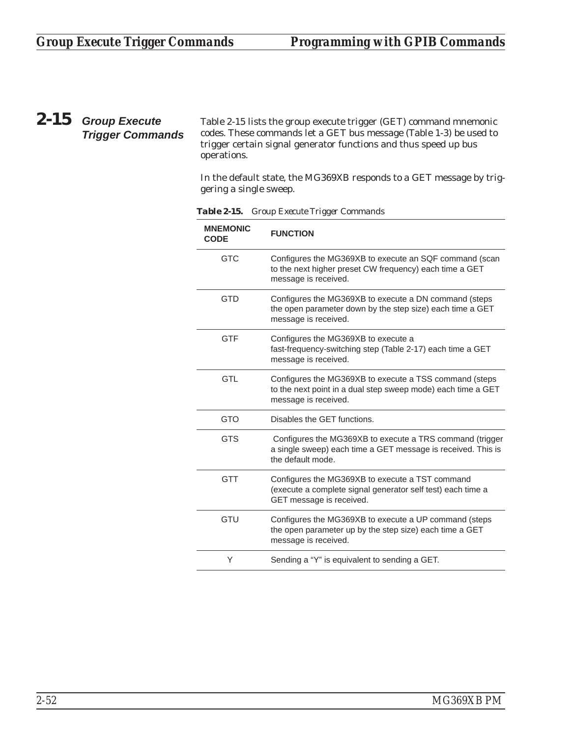# *2-15 Group Execute Trigger Commands*

Table 2-15 lists the group execute trigger (GET) command mnemonic codes. These commands let a GET bus message (Table 1-3) be used to trigger certain signal generator functions and thus speed up bus operations.

In the default state, the MG369XB responds to a GET message by triggering a single sweep.

| <b>MNEMONIC</b><br><b>CODE</b> | <b>FUNCTION</b>                                                                                                                                |
|--------------------------------|------------------------------------------------------------------------------------------------------------------------------------------------|
| <b>GTC</b>                     | Configures the MG369XB to execute an SQF command (scan<br>to the next higher preset CW frequency) each time a GET<br>message is received.      |
| <b>GTD</b>                     | Configures the MG369XB to execute a DN command (steps<br>the open parameter down by the step size) each time a GET<br>message is received.     |
| <b>GTF</b>                     | Configures the MG369XB to execute a<br>fast-frequency-switching step (Table 2-17) each time a GET<br>message is received.                      |
| <b>GTL</b>                     | Configures the MG369XB to execute a TSS command (steps<br>to the next point in a dual step sweep mode) each time a GET<br>message is received. |
| <b>GTO</b>                     | Disables the GET functions.                                                                                                                    |
| <b>GTS</b>                     | Configures the MG369XB to execute a TRS command (trigger<br>a single sweep) each time a GET message is received. This is<br>the default mode.  |
| <b>GTT</b>                     | Configures the MG369XB to execute a TST command<br>(execute a complete signal generator self test) each time a<br>GET message is received.     |
| GTU                            | Configures the MG369XB to execute a UP command (steps<br>the open parameter up by the step size) each time a GET<br>message is received.       |
| Υ                              | Sending a "Y" is equivalent to sending a GET.                                                                                                  |

*Table 2-15. Group Execute Trigger Commands*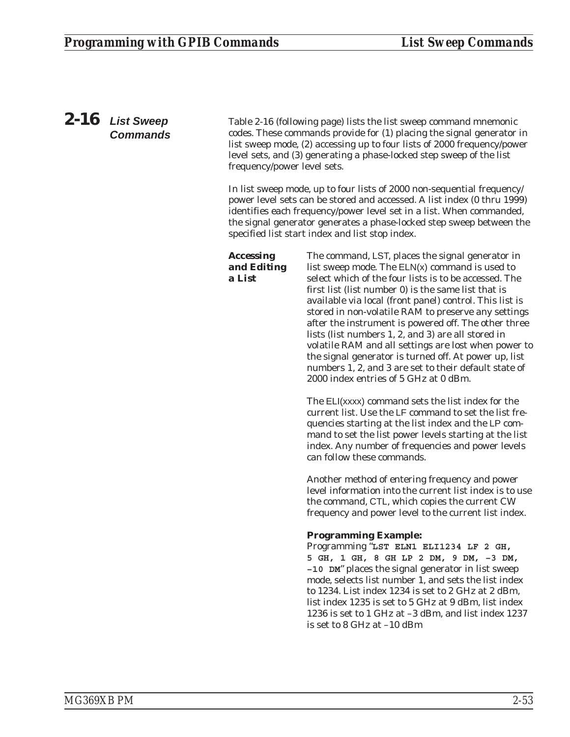# *2-16 List Sweep Commands*

Table 2-16 (following page) lists the list sweep command mnemonic codes. These commands provide for (1) placing the signal generator in list sweep mode, (2) accessing up to four lists of 2000 frequency/power level sets, and (3) generating a phase-locked step sweep of the list frequency/power level sets.

In list sweep mode, up to four lists of 2000 non-sequential frequency/ power level sets can be stored and accessed. A list index (0 thru 1999) identifies each frequency/power level set in a list. When commanded, the signal generator generates a phase-locked step sweep between the specified list start index and list stop index.

# *Accessing and Editing a List*

The command, LST, places the signal generator in list sweep mode. The ELN(x) command is used to select which of the four lists is to be accessed. The first list (list number 0) is the same list that is available via local (front panel) control. This list is stored in non-volatile RAM to preserve any settings after the instrument is powered off. The other three lists (list numbers 1, 2, and 3) are all stored in volatile RAM and all settings are lost when power to the signal generator is turned off. At power up, list numbers 1, 2, and 3 are set to their default state of 2000 index entries of 5 GHz at 0 dBm.

The ELI(xxxx) command sets the list index for the current list. Use the LF command to set the list frequencies starting at the list index and the LP command to set the list power levels starting at the list index. Any number of frequencies and power levels can follow these commands.

Another method of entering frequency and power level information into the current list index is to use the command, CTL, which copies the current CW frequency and power level to the current list index.

# **Programming Example:**

Programming "**LST ELN1 ELI1234 LF 2 GH, 5 GH, 1 GH, 8 GH LP 2 DM, 9 DM, –3 DM, –10 DM**" places the signal generator in list sweep mode, selects list number 1, and sets the list index to 1234. List index 1234 is set to 2 GHz at 2 dBm, list index 1235 is set to 5 GHz at 9 dBm, list index 1236 is set to 1 GHz at –3 dBm, and list index 1237 is set to 8 GHz at –10 dBm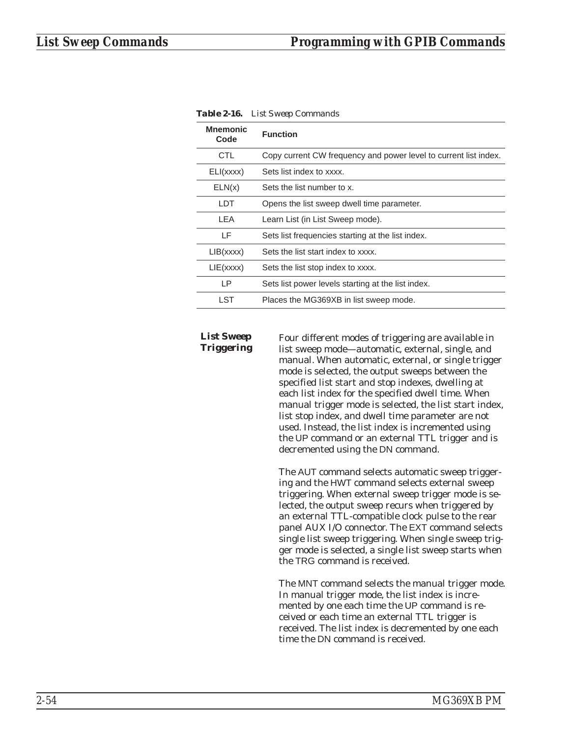| <b>Mnemonic</b><br>Code | <b>Function</b>                                                  |
|-------------------------|------------------------------------------------------------------|
| CTL                     | Copy current CW frequency and power level to current list index. |
| ELI(xxxx)               | Sets list index to xxxx.                                         |
| ELN(x)                  | Sets the list number to x.                                       |
| LDT                     | Opens the list sweep dwell time parameter.                       |
| I FA                    | Learn List (in List Sweep mode).                                 |
| ΙF                      | Sets list frequencies starting at the list index.                |
| LIB(xxxx)               | Sets the list start index to xxxx.                               |
| LIE(xxxx)               | Sets the list stop index to xxxx.                                |
| ΙP                      | Sets list power levels starting at the list index.               |
| LST                     | Places the MG369XB in list sweep mode.                           |

*Table 2-16. List Sweep Commands*

#### *List Sweep Triggering*

Four different modes of triggering are available in list sweep mode—automatic, external, single, and manual. When automatic, external, or single trigger mode is selected, the output sweeps between the specified list start and stop indexes, dwelling at each list index for the specified dwell time. When manual trigger mode is selected, the list start index, list stop index, and dwell time parameter are not used. Instead, the list index is incremented using the UP command or an external TTL trigger and is decremented using the DN command.

The AUT command selects automatic sweep triggering and the HWT command selects external sweep triggering. When external sweep trigger mode is selected, the output sweep recurs when triggered by an external TTL-compatible clock pulse to the rear panel AUX I/O connector. The EXT command selects single list sweep triggering. When single sweep trigger mode is selected, a single list sweep starts when the TRG command is received.

The MNT command selects the manual trigger mode. In manual trigger mode, the list index is incremented by one each time the UP command is received or each time an external TTL trigger is received. The list index is decremented by one each time the DN command is received.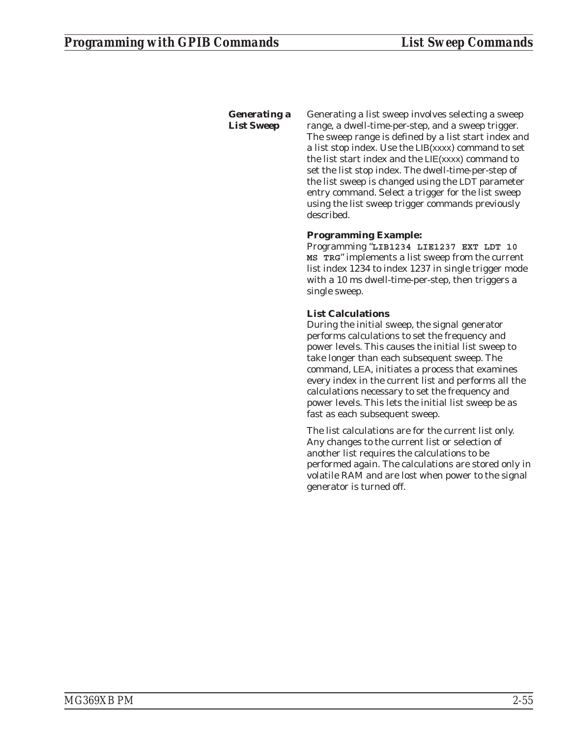# *Generating a List Sweep*

Generating a list sweep involves selecting a sweep range, a dwell-time-per-step, and a sweep trigger. The sweep range is defined by a list start index and a list stop index. Use the LIB(xxxx) command to set the list start index and the LIE(xxxx) command to set the list stop index. The dwell-time-per-step of the list sweep is changed using the LDT parameter entry command. Select a trigger for the list sweep using the list sweep trigger commands previously described.

# **Programming Example:**

Programming "**LIB1234 LIE1237 EXT LDT 10 MS TRG**" implements a list sweep from the current list index 1234 to index 1237 in single trigger mode with a 10 ms dwell-time-per-step, then triggers a single sweep.

# **List Calculations**

During the initial sweep, the signal generator performs calculations to set the frequency and power levels. This causes the initial list sweep to take longer than each subsequent sweep. The command, LEA, initiates a process that examines every index in the current list and performs all the calculations necessary to set the frequency and power levels. This lets the initial list sweep be as fast as each subsequent sweep.

The list calculations are for the current list only. Any changes to the current list or selection of another list requires the calculations to be performed again. The calculations are stored only in volatile RAM and are lost when power to the signal generator is turned off.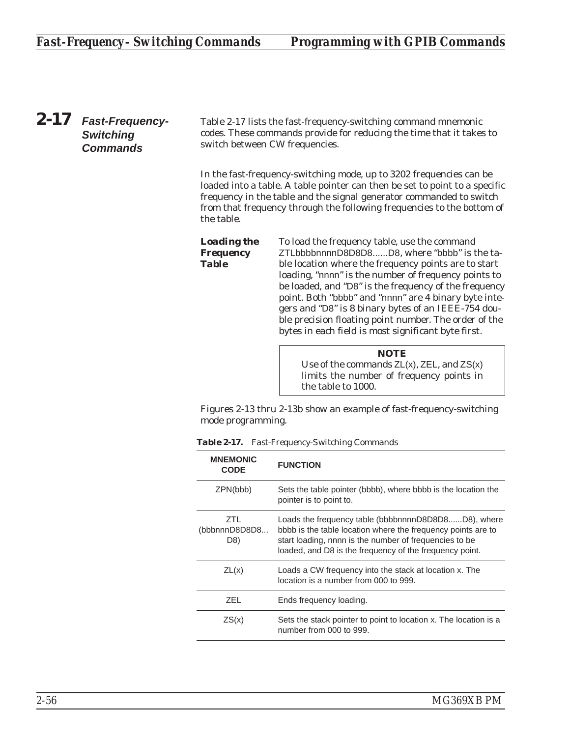*2-17 Fast-Frequency-Switching Commands*

Table 2-17 lists the fast-frequency-switching command mnemonic codes. These commands provide for reducing the time that it takes to switch between CW frequencies.

In the fast-frequency-switching mode, up to 3202 frequencies can be loaded into a table. A table pointer can then be set to point to a specific frequency in the table and the signal generator commanded to switch from that frequency through the following frequencies to the bottom of the table.

*Loading the Frequency Table* To load the frequency table, use the command ZTLbbbbnnnnD8D8D8......D8, where "bbbb" is the table location where the frequency points are to start loading, "nnnn" is the number of frequency points to be loaded, and "D8" is the frequency of the frequency point. Both "bbbb" and "nnnn" are 4 binary byte integers and "D8" is 8 binary bytes of an IEEE-754 double precision floating point number. The order of the bytes in each field is most significant byte first.

> **NOTE** Use of the commands  $ZL(x)$ ,  $ZEL$ , and  $ZS(x)$ limits the number of frequency points in the table to 1000.

Figures 2-13 thru 2-13b show an example of fast-frequency-switching mode programming.

| <b>MNEMONIC</b><br><b>CODE</b> | <b>FUNCTION</b>                                                                                                                                                                                                                          |
|--------------------------------|------------------------------------------------------------------------------------------------------------------------------------------------------------------------------------------------------------------------------------------|
| ZPN(bbb)                       | Sets the table pointer (bbbb), where bbbb is the location the<br>pointer is to point to.                                                                                                                                                 |
| 7TL<br>(bbbnnnD8D8D8<br>D8)    | Loads the frequency table (bbbbnnnnD8D8D8D8), where<br>bbbb is the table location where the frequency points are to<br>start loading, nnnn is the number of frequencies to be<br>loaded, and D8 is the frequency of the frequency point. |
| ZL(x)                          | Loads a CW frequency into the stack at location x. The<br>location is a number from 000 to 999.                                                                                                                                          |
| ZFL.                           | Ends frequency loading.                                                                                                                                                                                                                  |
| ZS(x)                          | Sets the stack pointer to point to location x. The location is a<br>number from 000 to 999.                                                                                                                                              |

*Table 2-17. Fast-Frequency-Switching Commands*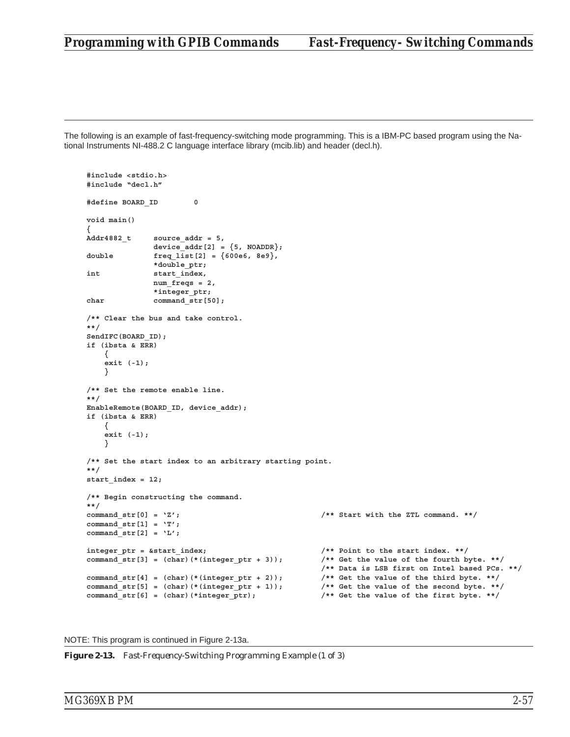# *Programming with GPIB Commands Fast-Frequency- Switching Commands*

The following is an example of fast-frequency-switching mode programming. This is a IBM-PC based program using the National Instruments NI-488.2 C language interface library (mcib.lib) and header (decl.h).

```
#include <stdio.h>
#include "decl.h"
#define BOARD_ID 0
void main()
{
Addr4882_t source_addr = 5,
             device addr[2] = {5, NOADDR};double freq_list[2] = {600e6, 8e9},
             *double_ptr;
int start_index,
             num_freqs = 2,
             *integer_ptr;
char command_str[50];
/** Clear the bus and take control.
**/
SendIFC(BOARD_ID);
if (ibsta & ERR)
   {
   exit (-1);
   }
/** Set the remote enable line.
**/
EnableRemote(BOARD_ID, device_addr);
if (ibsta & ERR)
   {
   exit (-1);
   }
/** Set the start index to an arbitrary starting point.
**/
start_index = 12;
/** Begin constructing the command.
**/
command str[0] = 'Z'; /** Start with the ZTL command. **/
command_str[1] = 'T';
command_str[2] = 'L';
integer ptr = &start index; \frac{1}{2} /** Point to the start index. **/
command str[3] = (char)(*(integer ptr + 3)); /** Get the value of the fourth byte. **/
                                                /** Data is LSB first on Intel based PCs. **/
command str[4] = (char) (*(integer ptr + 2)); /** Get the value of the third byte. **/
command_str[5] = (char)(*(integer_ptr + 1)); /** Get the value of the second byte. **/
command_str[6] = (char)(*integer_ptr); /** Get the value of the first byte. **/
```
NOTE: This program is continued in Figure 2-13a.

*Figure 2-13. Fast-Frequency-Switching Programming Example (1 of 3)*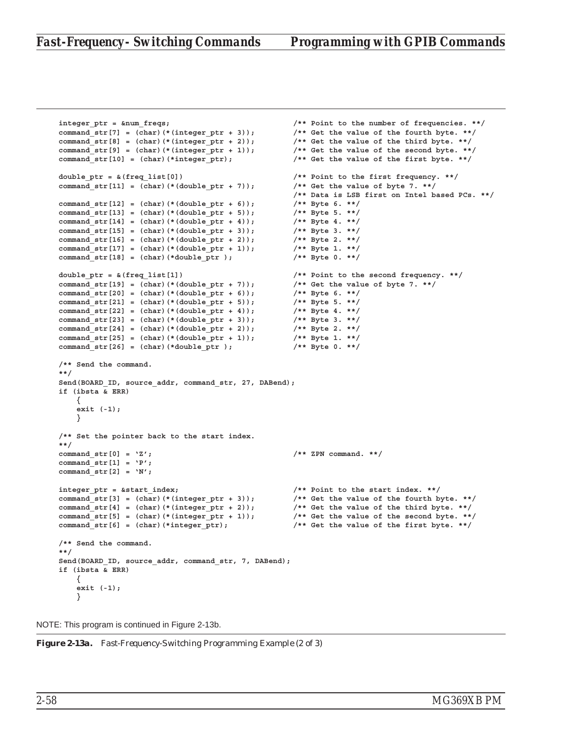```
integer_ptr = &num_freqs; /** Point to the number of frequencies. **/
command str[7] = (char)(*(integer ptr + 3)); /** Get the value of the fourth byte. **/
command_str[8] = (char)(*(integer_ptr + 2)); /** Get the value of the third byte. **/
command str[9] = (char)(*(integer ptr + 1)); /** Get the value of the second byte. **/
command_str[10] = (char)(*integer_ptr); /** Get the value of the first byte. **/
double_ptr = &(freq_list[0]) /** Point to the first frequency. **/
command_str[11] = (char)(*(double_ptr + 7)); /** Get the value of byte 7. **/
                                              /** Data is LSB first on Intel based PCs. **/
command_str[12] = (char)(*(double_ptr + 6)); /** Byte 6. **/
command_str[13] = (char)(*(double_ptr + 5)); /** Byte 5. **/
command_str[14] = (char)(*(double_ptr + 4)); /** Byte 4. **/
command_str[15] = (char)(*(double_ptr + 3)); /** Byte 3. **/
command str[16] = (char)(*(double_ptr + 2));command str[17] = (char)(*(doubleptr + 1)); /** Byte 1. **/
command_str[18] = (char)(*double_ptr ); /** Byte 0. **/
double_ptr = &(freq_list[1]) /** Point to the second frequency. **/
command_str[19] = (char)(*(double_ptr + 7)); /** Get the value of byte 7. **/
command_str[20] = (char)(*(double_ptr + 6)); /** Byte 6. **/
command_str[21] = (char)(*(double_ptr + 5)); /** Byte 5. **/
command_str[22] = (char)(*(double_ptr + 4)); /** Byte 4. **/
command_str[23] = (char)(*(double_ptr + 3)); /** Byte 3. **/
command_str[24] = (char)(*(double_ptr + 2)); /** Byte 2. **/
command \, str[25] = (char) (*(double ptr + 1));command_str[26] = (char)(*double_ptr ); /** Byte 0. **/
/** Send the command.
**/
Send(BOARD_ID, source_addr, command_str, 27, DABend);
if (ibsta & ERR)
   {
   exit (-1);
   }
/** Set the pointer back to the start index.
**/
command_str[0] = 'Z'; /** ZPN command. **/
command_str[1] = 'P';
command_str[2] = 'N';
integer_ptr = &start_index; /** Point to the start index. **/
command_str[3] = (char)(*(integer_ptr + 3)); /** Get the value of the fourth byte. **/
command_str[4] = (char)(*(integer_ptr + 2)); /** Get the value of the third byte. **/
command_str[5] = (char)(*(integer_ptr + 1)); /** Get the value of the second byte. **/
command_str[6] = (char)(*integer_ptr); /** Get the value of the first byte. **/
/** Send the command.
**/
Send(BOARD ID, source addr, command str, 7, DABend);
if (ibsta & ERR)
   {
   exit (-1);
   }
```
NOTE: This program is continued in Figure 2-13b.

*Figure 2-13a. Fast-Frequency-Switching Programming Example (2 of 3)*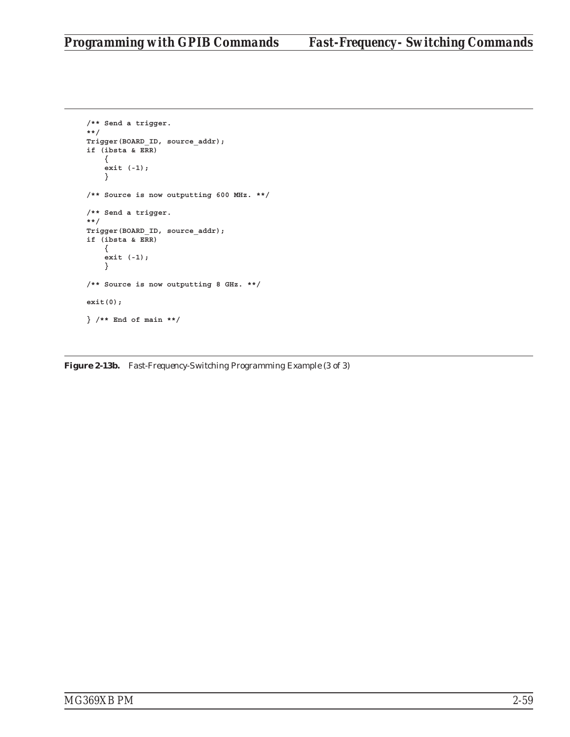```
/** Send a trigger.
**/
Trigger(BOARD_ID, source_addr);
if (ibsta & ERR)
    {
    exit (-1);
    }
/** Source is now outputting 600 MHz. **/
/** Send a trigger.
**/
Trigger(BOARD_ID, source_addr);
if (ibsta & ERR)
    {
   exit (-1);
    }
/** Source is now outputting 8 GHz. **/
exit(0);
} /** End of main **/
```
*Figure 2-13b. Fast-Frequency-Switching Programming Example (3 of 3)*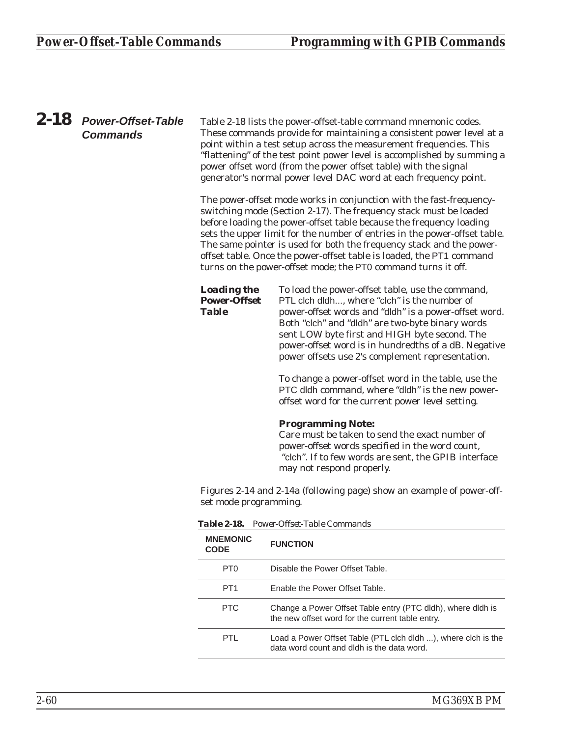# *2-18 Power-Offset-Table Commands*

Table 2-18 lists the power-offset-table command mnemonic codes. These commands provide for maintaining a consistent power level at a point within a test setup across the measurement frequencies. This "flattening" of the test point power level is accomplished by summing a power offset word (from the power offset table) with the signal generator's normal power level DAC word at each frequency point.

The power-offset mode works in conjunction with the fast-frequencyswitching mode (Section 2-17). The frequency stack must be loaded before loading the power-offset table because the frequency loading sets the upper limit for the number of entries in the power-offset table. The same pointer is used for both the frequency stack and the poweroffset table. Once the power-offset table is loaded, the PT1 command turns on the power-offset mode; the PT0 command turns it off.

*Loading the Power-Offset* To load the power-offset table, use the command, PTL clch dldh..., where "clch" is the number of power-offset words and "dldh" is a power-offset word. Both "clch" and "dldh" are two-byte binary words sent LOW byte first and HIGH byte second. The power-offset word is in hundredths of a dB. Negative power offsets use 2's complement representation.

> To change a power-offset word in the table, use the PTC dldh command, where "dldh" is the new poweroffset word for the current power level setting.

### **Programming Note:**

Care must be taken to send the exact number of power-offset words specified in the word count, "clch". If to few words are sent, the GPIB interface may not respond properly.

Figures 2-14 and 2-14a (following page) show an example of power-offset mode programming.

| <b>MNEMONIC</b><br><b>CODE</b> | <b>FUNCTION</b>                                                                                                 |
|--------------------------------|-----------------------------------------------------------------------------------------------------------------|
| PT <sub>0</sub>                | Disable the Power Offset Table.                                                                                 |
| PT <sub>1</sub>                | Enable the Power Offset Table.                                                                                  |
| PTC.                           | Change a Power Offset Table entry (PTC dldh), where dldh is<br>the new offset word for the current table entry. |
| PTI.                           | Load a Power Offset Table (PTL clch dldh ), where clch is the<br>data word count and dldh is the data word.     |

*Table 2-18. Power-Offset-Table Commands*

*Table*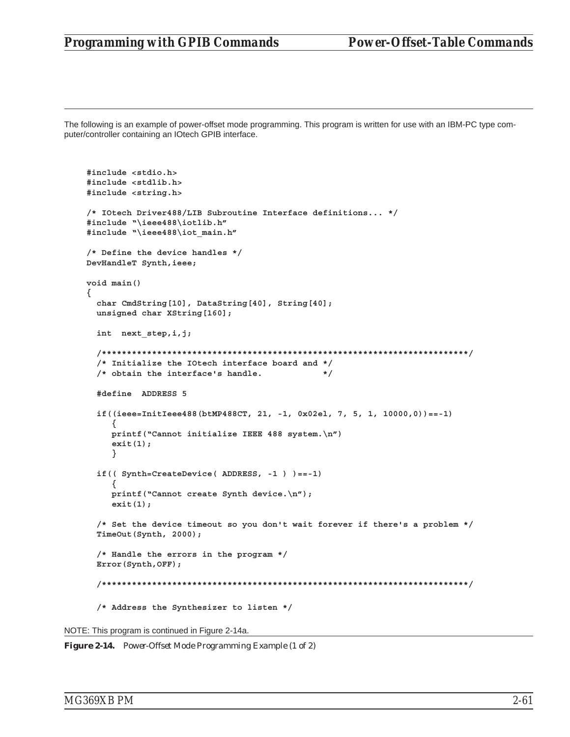# *Programming with GPIB Commands Power-Offset-Table Commands*

The following is an example of power-offset mode programming. This program is written for use with an IBM-PC type computer/controller containing an IOtech GPIB interface.

```
#include <stdio.h>
#include <stdlib.h>
#include <string.h>
/* IOtech Driver488/LIB Subroutine Interface definitions... */
#include "\ieee488\iotlib.h"
#include "\ieee488\iot_main.h"
/* Define the device handles */
DevHandleT Synth,ieee;
void main()
{
  char CmdString[10], DataString[40], String[40];
  unsigned char XString[160];
  int next_step,i,j;
  /*************************************************************************/
  /* Initialize the IOtech interface board and */
  /* obtain the interface's handle. */
  #define ADDRESS 5
  if((ieee=InitIeee488(btMP488CT, 21, -1, 0x02el, 7, 5, 1, 10000,0))==-1)
     {
     printf("Cannot initialize IEEE 488 system.\n")
     exit(1);
     }
  if(( Synth=CreateDevice( ADDRESS, -1 ) )==-1)
     {
     printf("Cannot create Synth device.\n");
     exit(1);
  /* Set the device timeout so you don't wait forever if there's a problem */
  TimeOut(Synth, 2000);
  /* Handle the errors in the program */
  Error(Synth,OFF);
  /*************************************************************************/
  /* Address the Synthesizer to listen */
```
NOTE: This program is continued in Figure 2-14a.

*Figure 2-14. Power-Offset Mode Programming Example (1 of 2)*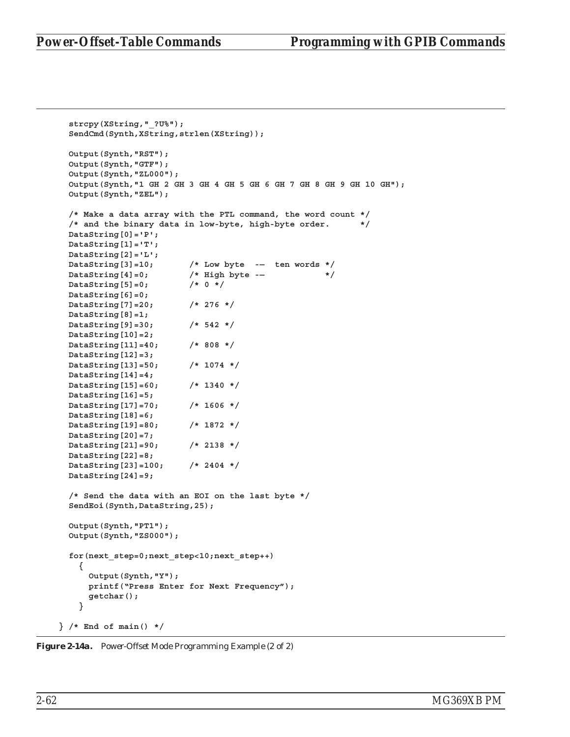```
strcpy(XString,"_?U%");
 SendCmd(Synth,XString,strlen(XString));
 Output(Synth,"RST");
 Output(Synth,"GTF");
 Output(Synth,"ZL000");
 Output(Synth,"1 GH 2 GH 3 GH 4 GH 5 GH 6 GH 7 GH 8 GH 9 GH 10 GH");
 Output(Synth,"ZEL");
 /* Make a data array with the PTL command, the word count */
 /* and the binary data in low-byte, high-byte order. */
 DataString[0]='P';
 DataString[1]='T';
 DataString[2]='L';
 DataString[3]=10; /* Low byte -— ten words */
 DataString[4]=0; /* High byte -— */
 DataString[5]=0; /* 0 */
 DataString[6]=0;
 DataString[7]=20; /* 276 */
 DataString[8]=1;
 DataString[9]=30; /* 542 */
 DataString[10]=2;
 DataString[11]=40; /* 808 */
 DataString[12]=3;
 DataString[13]=50; /* 1074 */
 DataString[14]=4;
 DataString[15]=60; /* 1340 */
 DataString[16]=5;
 DataString[17]=70; /* 1606 */
 DataString[18]=6;
 DataString[19]=80; /* 1872 */
 DataString[20]=7;
 DataString[21]=90; /* 2138 */
 DataString[22]=8;
 DataString[23]=100; /* 2404 */
 DataString[24]=9;
 /* Send the data with an EOI on the last byte */
 SendEoi(Synth,DataString,25);
 Output(Synth,"PT1");
 Output(Synth,"ZS000");
 for(next_step=0;next_step<10;next_step++)
   {
     Output(Synth,"Y");
     printf("Press Enter for Next Frequency");
     getchar();
   }
} /* End of main() */
```
*Figure 2-14a. Power-Offset Mode Programming Example (2 of 2)*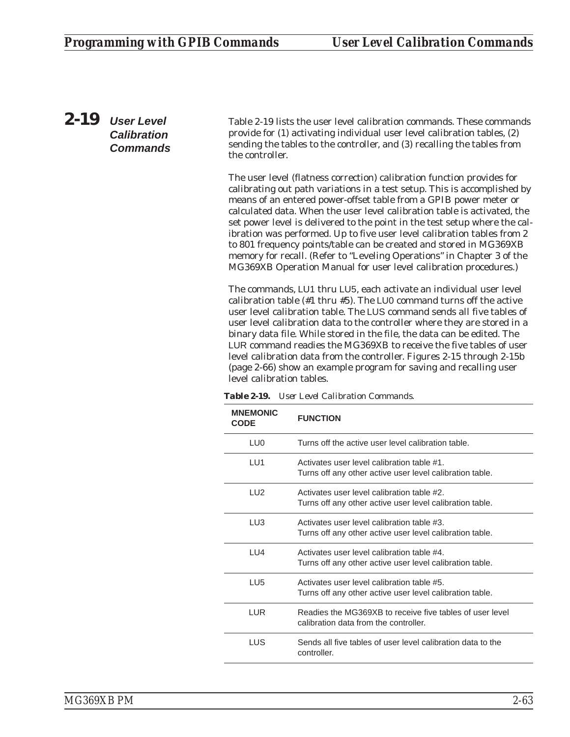*2-19 User Level Calibration Commands*

Table 2-19 lists the user level calibration commands. These commands provide for (1) activating individual user level calibration tables, (2) sending the tables to the controller, and (3) recalling the tables from the controller.

The user level (flatness correction) calibration function provides for calibrating out path variations in a test setup. This is accomplished by means of an entered power-offset table from a GPIB power meter or calculated data. When the user level calibration table is activated, the set power level is delivered to the point in the test setup where the calibration was performed. Up to five user level calibration tables from 2 to 801 frequency points/table can be created and stored in MG369XB memory for recall. (Refer to "Leveling Operations" in Chapter 3 of the MG369XB Operation Manual for user level calibration procedures.)

The commands, LU1 thru LU5, each activate an individual user level calibration table (#1 thru #5). The LU0 command turns off the active user level calibration table. The LUS command sends all five tables of user level calibration data to the controller where they are stored in a binary data file. While stored in the file, the data can be edited. The LUR command readies the MG369XB to receive the five tables of user level calibration data from the controller. Figures 2-15 through 2-15b (page [2-66](#page-85-0)) show an example program for saving and recalling user level calibration tables.

| <b>MNEMONIC</b><br><b>CODE</b> | <b>FUNCTION</b>                                                                                        |
|--------------------------------|--------------------------------------------------------------------------------------------------------|
| LU0                            | Turns off the active user level calibration table.                                                     |
| LU1                            | Activates user level calibration table #1.<br>Turns off any other active user level calibration table. |
| LU2                            | Activates user level calibration table #2.<br>Turns off any other active user level calibration table. |
| LU3                            | Activates user level calibration table #3.<br>Turns off any other active user level calibration table. |
| I                              | Activates user level calibration table #4.<br>Turns off any other active user level calibration table. |
| LU <sub>5</sub>                | Activates user level calibration table #5.<br>Turns off any other active user level calibration table. |
| LUR.                           | Readies the MG369XB to receive five tables of user level<br>calibration data from the controller.      |
| LUS                            | Sends all five tables of user level calibration data to the<br>controller.                             |

*Table 2-19. User Level Calibration Commands.*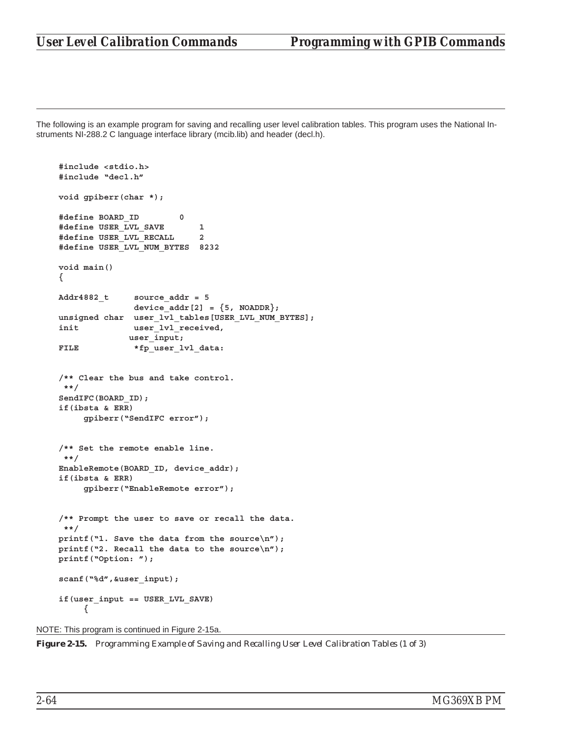The following is an example program for saving and recalling user level calibration tables. This program uses the National Instruments NI-288.2 C language interface library (mcib.lib) and header (decl.h).

```
#include <stdio.h>
#include "decl.h"
void gpiberr(char *);
#define BOARD_ID 0
#define USER_LVL_SAVE 1
#define USER_LVL_RECALL 2
#define USER_LVL_NUM_BYTES 8232
void main()
{
Addr4882_t source_addr = 5
              device\_addr[2] = {5, NOADDR};unsigned char user_lvl_tables[USER_LVL_NUM_BYTES];
init user_lvl_received,
             user_input;
FILE *fp_user_lvl_data:
/** Clear the bus and take control.
 **/
SendIFC(BOARD_ID);
if(ibsta & ERR)
     gpiberr("SendIFC error");
/** Set the remote enable line.
 **/
EnableRemote(BOARD_ID, device_addr);
if(ibsta & ERR)
     gpiberr("EnableRemote error");
/** Prompt the user to save or recall the data.
 **/
printf("1. Save the data from the source\n");
printf("2. Recall the data to the source\n");
printf("Option: ");
scanf("%d",&user_input);
if(user_input == USER_LVL_SAVE)
     {
```

```
NOTE: This program is continued in Figure 2-15a.
```
*Figure 2-15. Programming Example of Saving and Recalling User Level Calibration Tables (1 of 3)*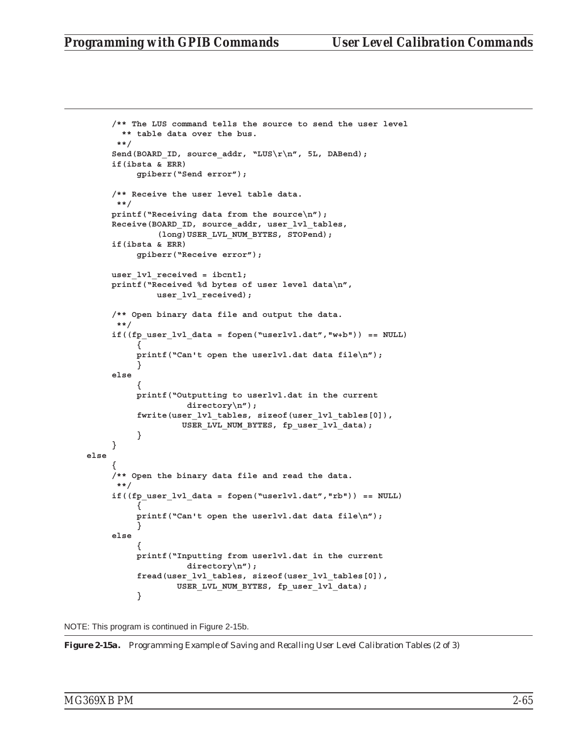```
/** The LUS command tells the source to send the user level
       ** table data over the bus.
      **/
     Send(BOARD_ID, source_addr, "LUS\r\n", 5L, DABend);
     if(ibsta & ERR)
          gpiberr("Send error");
     /** Receive the user level table data.
      **/
     printf("Receiving data from the source\n");
     Receive(BOARD_ID, source_addr, user_lvl_tables,
              (long)USER_LVL_NUM_BYTES, STOPend);
     if(ibsta & ERR)
          gpiberr("Receive error");
     user_lvl_received = ibcntl;
     printf("Received %d bytes of user level data\n",
              user_lvl_received);
     /** Open binary data file and output the data.
      **/
     if((fp_user_lvl_data = fopen("userlvl.dat","w+b")) == NULL)
          {
          printf("Can't open the userlvl.dat data file\n");
          }
     else
          {
          printf("Outputting to userlvl.dat in the current
                    directory\n");
          fwrite(user_lvl_tables, sizeof(user_lvl_tables[0]),
                   USER_LVL_NUM_BYTES, fp_user_lvl_data);
          }
     }
else
     {
     /** Open the binary data file and read the data.
      **/
     if((fp_user_lvl_data = fopen("userlvl.dat","rb")) == NULL)
          {
          printf("Can't open the userlvl.dat data file\n");
          }
     else
          {
          printf("Inputting from userlvl.dat in the current
                    directory\n");
          fread(user_lvl_tables, sizeof(user_lvl_tables[0]),
                  USER_LVL_NUM_BYTES, fp_user_lvl_data);
          }
```
NOTE: This program is continued in Figure 2-15b.

*Figure 2-15a. Programming Example of Saving and Recalling User Level Calibration Tables (2 of 3)*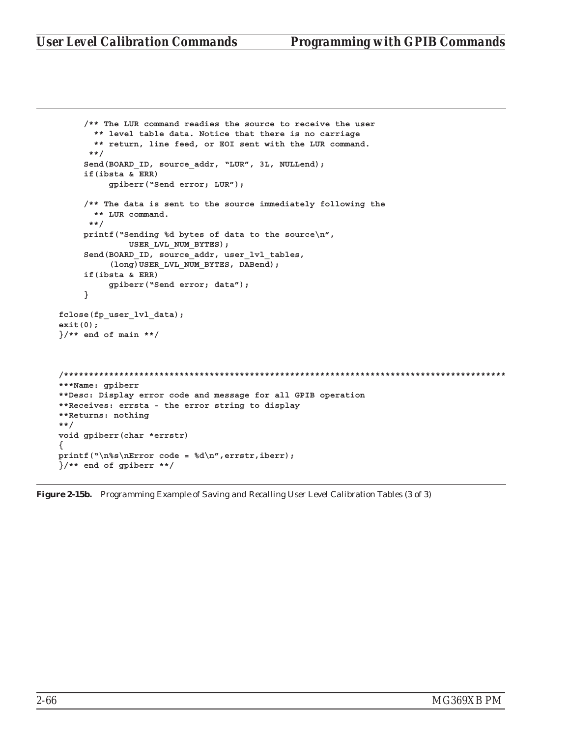```
/** The LUR command readies the source to receive the user
       ** level table data. Notice that there is no carriage
       ** return, line feed, or EOI sent with the LUR command.
      **/
     Send(BOARD_ID, source_addr, "LUR", 3L, NULLend);
     if(ibsta & ERR)
          gpiberr("Send error; LUR");
     /** The data is sent to the source immediately following the
       ** LUR command.
      **/
     printf("Sending %d bytes of data to the source\n",
              USER_LVL_NUM_BYTES);
     Send(BOARD_ID, source_addr, user_lvl_tables,
          (long)USER_LVL_NUM_BYTES, DABend);
     if(ibsta & ERR)
          gpiberr("Send error; data");
     }
fclose(fp_user_lvl_data);
exit(0);
}/** end of main **/
/****************************************************************************************
***Name: gpiberr
**Desc: Display error code and message for all GPIB operation
**Receives: errsta - the error string to display
**Returns: nothing
**/
void gpiberr(char *errstr)
{
printf("\n%s\nError code = %d\n",errstr,iberr);
}/** end of gpiberr **/
```
*Figure 2-15b. Programming Example of Saving and Recalling User Level Calibration Tables (3 of 3)*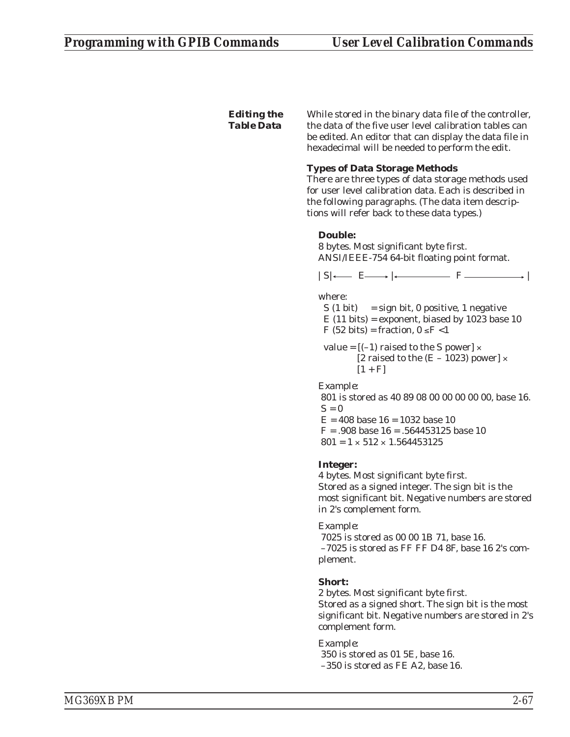# *Editing the Table Data*

While stored in the binary data file of the controller, the data of the five user level calibration tables can be edited. An editor that can display the data file in hexadecimal will be needed to perform the edit.

# **Types of Data Storage Methods**

There are three types of data storage methods used for user level calibration data. Each is described in the following paragraphs. (The data item descriptions will refer back to these data types.)

# **Double:**

8 bytes. Most significant byte first. ANSI/IEEE-754 64-bit floating point format.

 $|S| \leftarrow E \longrightarrow | \leftarrow \longrightarrow F \longrightarrow |$ 

where:

 $S(1 \text{ bit}) = sign bit, 0 positive, 1 negative$  $E(11 \text{ bits})$  = exponent, biased by 1023 base 10 F (52 bits) = fraction,  $0 \le F < 1$ 

value =  $[(-1)$  raised to the S power]  $\times$ [2 raised to the  $(E - 1023)$  power]  $\times$  $[1 + F]$ 

*Example:*

801 is stored as 40 89 08 00 00 00 00 00, base 16.  $S=0$  $E = 408$  base  $16 = 1032$  base 10  $F = .908$  base  $16 = .564453125$  base 10

 $801 = 1 \times 512 \times 1.564453125$ 

# **Integer:**

4 bytes. Most significant byte first. Stored as a signed integer. The sign bit is the most significant bit. Negative numbers are stored in 2's complement form.

# *Example:*

7025 is stored as 00 00 1B 71, base 16. –7025 is stored as FF FF D4 8F, base 16 2's complement.

# **Short:**

2 bytes. Most significant byte first.

Stored as a signed short. The sign bit is the most significant bit. Negative numbers are stored in 2's complement form.

*Example:*

350 is stored as 01 5E, base 16. –350 is stored as FE A2, base 16.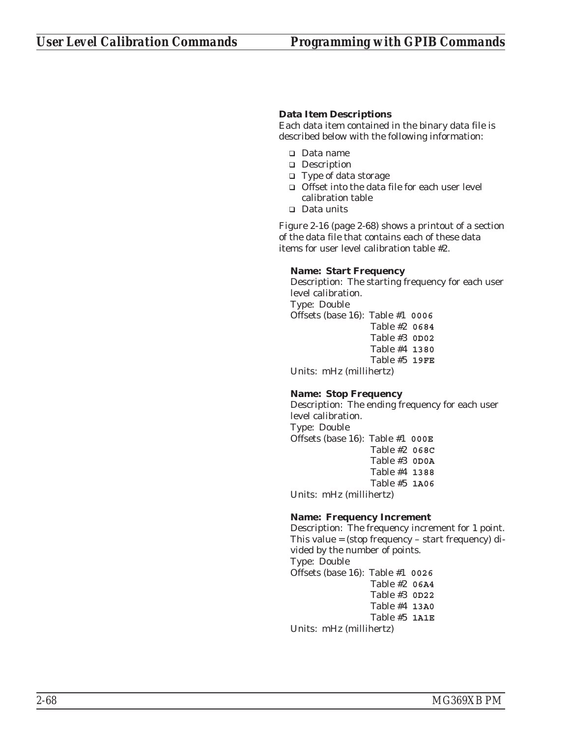# **Data Item Descriptions**

Each data item contained in the binary data file is described below with the following information:

- Data name
- **Description**
- □ Type of data storage
- □ Offset into the data file for each user level calibration table
- □ Data units

Figure 2-16 (page 2-68) shows a printout of a section of the data file that contains each of these data items for user level calibration table #2.

## **Name: Start Frequency**

Description: The starting frequency for each user level calibration.

Type: Double

Offsets (base 16): Table #1 **0006** Table #2 **0684** Table #3 **0D02** Table #4 **1380** Table #5 **19FE**

Units: mHz (millihertz)

# **Name: Stop Frequency**

Description: The ending frequency for each user level calibration. Type: Double Offsets (base 16): Table #1 **000E** Table #2 **068C**

Table #3 **0D0A** Table #4 **1388** Table #5 **1A06**

Units: mHz (millihertz)

# **Name: Frequency Increment**

Description: The frequency increment for 1 point. This value = (stop frequency – start frequency) divided by the number of points. Type: Double Offsets (base 16): Table #1 **0026** Table #2 **06A4** Table #3 **0D22** Table #4 **13A0** Table #5 **1A1E**

Units: mHz (millihertz)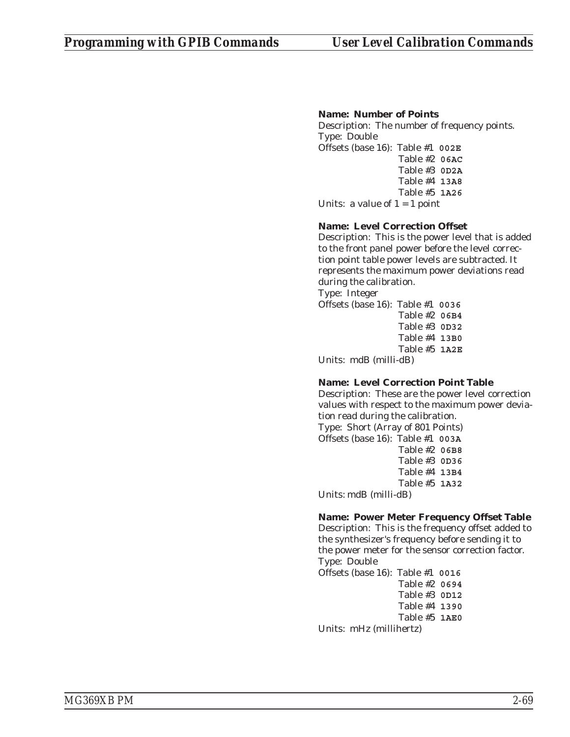# **Name: Number of Points**

Description: The number of frequency points. Type: Double Offsets (base 16): Table #1 **002E** Table #2 **06AC**

Table #3 **0D2A** Table #4 **13A8** Table #5 **1A26**

Units: a value of  $1 = 1$  point

# **Name: Level Correction Offset**

Description: This is the power level that is added to the front panel power before the level correction point table power levels are subtracted. It represents the maximum power deviations read during the calibration.

Type: Integer

Offsets (base 16): Table #1 **0036** Table #2 **06B4** Table #3 **0D32** Table #4 **13B0** Table #5 **1A2E**

Units: mdB (milli-dB)

# **Name: Level Correction Point Table**

Description: These are the power level correction values with respect to the maximum power deviation read during the calibration.

Type: Short (Array of 801 Points) Offsets (base 16): Table #1 **003A** Table #2 **06B8** Table #3 **0D36** Table #4 **13B4** Table #5 **1A32** Units: mdB (milli-dB)

# **Name: Power Meter Frequency Offset Table**

Description: This is the frequency offset added to the synthesizer's frequency before sending it to the power meter for the sensor correction factor. Type: Double

Offsets (base 16): Table #1 **0016** Table #2 **0694** Table #3 **0D12** Table #4 **1390** Table #5 **1AE0** Units: mHz (millihertz)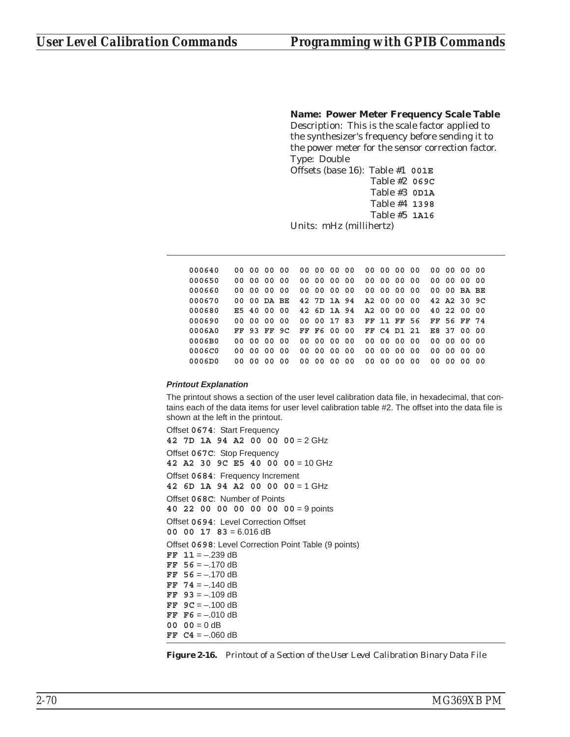**Name: Power Meter Frequency Scale Table**

Description: This is the scale factor applied to the synthesizer's frequency before sending it to the power meter for the sensor correction factor. Type: Double

```
Offsets (base 16): Table #1 001E
                 Table #2 069C
                 Table #3 0D1A
                 Table #4 1398
                 Table #5 1A16
```
Units: mHz (millihertz)

**000640 00 00 00 00 00 00 00 00 00 00 00 00 00 00 00 00 000650 00 00 00 00 00 00 00 00 00 00 00 00 00 00 00 00 000660 00 00 00 00 00 00 00 00 00 00 00 00 00 00 BA BE 000670 00 00 DA BE 42 7D 1A 94 A2 00 00 00 42 A2 30 9C 000680 E5 40 00 00 42 6D 1A 94 A2 00 00 00 40 22 00 00 000690 00 00 00 00 00 00 17 83 FF 11 FF 56 FF 56 FF 74 0006A0 FF 93 FF 9C FF F6 00 00 FF C4 D1 21 E8 37 00 00 0006B0 00 00 00 00 00 00 00 00 00 00 00 00 00 00 00 00 0006C0 00 00 00 00 00 00 00 00 00 00 00 00 00 00 00 00 0006D0 00 00 00 00 00 00 00 00 00 00 00 00 00 00 00 00**

#### *Printout Explanation*

The printout shows a section of the user level calibration data file, in hexadecimal, that contains each of the data items for user level calibration table #2. The offset into the data file is shown at the left in the printout.

Offset **0674**: Start Frequency **42 7D 1A 94 A2 00 00 00** = 2 GHz Offset **067C**: Stop Frequency **42 A2 30 9C E5 40 00 00** = 10 GHz Offset **0684**: Frequency Increment **42 6D 1A 94 A2 00 00 00** = 1 GHz Offset **068C**: Number of Points **40 22 00 00 00 00 00 00** = 9 points Offset **0694**: Level Correction Offset **00 00 17 83** = 6.016 dB Offset **0698**: Level Correction Point Table (9 points)  $FF$  11 =  $-.239$  dB **FF 56** = –.170 dB **FF 56** = –.170 dB **FF 74** = –.140 dB **FF 93** = –.109 dB **FF 9C** = –.100 dB **FF F6** = –.010 dB  $00 \t 00 = 0$  dB **FF**  $C4 = -.060$  dB

*Figure 2-16. Printout of a Section of the User Level Calibration Binary Data File*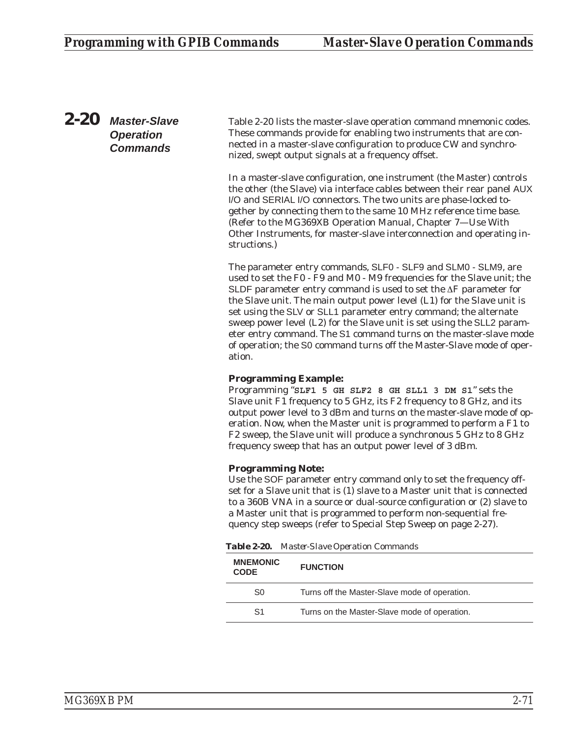*2-20 Master-Slave Operation Commands*

Table 2-20 lists the master-slave operation command mnemonic codes. These commands provide for enabling two instruments that are connected in a master-slave configuration to produce CW and synchronized, swept output signals at a frequency offset.

In a master-slave configuration, one instrument (the Master) controls the other (the Slave) via interface cables between their rear panel AUX I/O and SERIAL I/O connectors. The two units are phase-locked together by connecting them to the same 10 MHz reference time base. (Refer to the MG369XB Operation Manual, Chapter 7—Use With Other Instruments, for master-slave interconnection and operating instructions.)

The parameter entry commands, SLF0 - SLF9 and SLM0 - SLM9, are used to set the F0 - F9 and M0 - M9 frequencies for the Slave unit; the SLDF parameter entry command is used to set the  $\Delta F$  parameter for the Slave unit. The main output power level (L1) for the Slave unit is set using the SLV or SLL1 parameter entry command; the alternate sweep power level (L2) for the Slave unit is set using the SLL2 parameter entry command. The S1 command turns on the master-slave mode of operation; the S0 command turns off the Master-Slave mode of operation.

# **Programming Example:**

Programming "**SLF1 5 GH SLF2 8 GH SLL1 3 DM S1**" sets the Slave unit F1 frequency to 5 GHz, its F2 frequency to 8 GHz, and its output power level to 3 dBm and turns on the master-slave mode of operation. Now, when the Master unit is programmed to perform a F1 to F2 sweep, the Slave unit will produce a synchronous 5 GHz to 8 GHz frequency sweep that has an output power level of 3 dBm.

# **Programming Note:**

Use the SOF parameter entry command *only* to set the frequency offset for a Slave unit that is (1) slave to a Master unit that is connected to a 360B VNA in a source or dual-source configuration or (2) slave to a Master unit that is programmed to perform non-sequential frequency step sweeps (refer to Special Step Sweep on page [2-27](#page-46-0)).

*Table 2-20. Master-Slave Operation Commands*

| <b>MNEMONIC</b><br><b>CODE</b> | <b>FUNCTION</b>                               |
|--------------------------------|-----------------------------------------------|
| S0                             | Turns off the Master-Slave mode of operation. |
| S <sub>1</sub>                 | Turns on the Master-Slave mode of operation.  |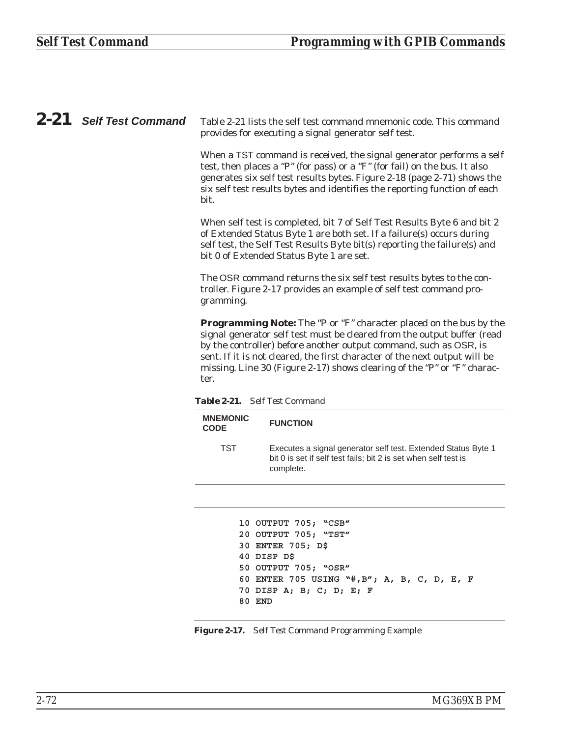*2-21 Self Test Command* Table 2-21 lists the self test command mnemonic code. This command provides for executing a signal generator self test.

> When a TST command is received, the signal generator performs a self test, then places a "P" (for pass) or a "F" (for fail) on the bus. It also generates six self test results bytes. Figure 2-18 (page 2-71) shows the six self test results bytes and identifies the reporting function of each bit.

When self test is completed, bit 7 of Self Test Results Byte 6 and bit 2 of Extended Status Byte 1 are both set. If a failure(s) occurs during self test, the Self Test Results Byte bit(s) reporting the failure(s) and bit 0 of Extended Status Byte 1 are set.

The OSR command returns the six self test results bytes to the controller. Figure 2-17 provides an example of self test command programming.

**Programming Note:** The "P or "F" character placed on the bus by the signal generator self test must be cleared from the output buffer (read by the controller) before another output command, such as OSR, is sent. If it is not cleared, the first character of the next output will be missing. Line 30 (Figure 2-17) shows clearing of the "P" or "F" character.

*Table 2-21. Self Test Command*

| <b>MNEMONIC</b><br><b>CODE</b> | <b>FUNCTION</b>                                                                                                                               |
|--------------------------------|-----------------------------------------------------------------------------------------------------------------------------------------------|
| TST                            | Executes a signal generator self test. Extended Status Byte 1<br>bit 0 is set if self test fails; bit 2 is set when self test is<br>complete. |

```
10 OUTPUT 705; "CSB"
20 OUTPUT 705; "TST"
30 ENTER 705; D$
40 DISP D$
50 OUTPUT 705; "OSR"
60 ENTER 705 USING "#,B"; A, B, C, D, E, F
70 DISP A; B; C; D; E; F
80 END
```
*Figure 2-17. Self Test Command Programming Example*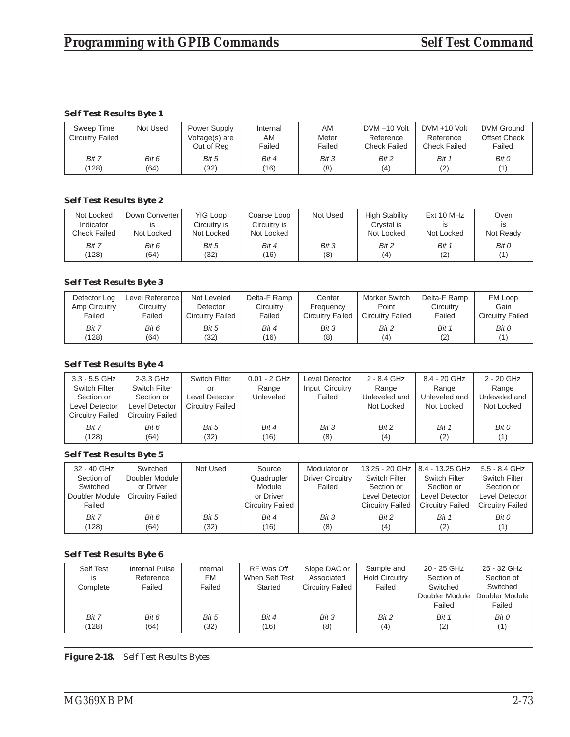# *Self Test Results Byte 1*

| Sweep Time              | Not Used | Power Supply   | Internal | AM     | DVM-10 Volt  | $DVM + 10 Volt$ | DVM Ground          |
|-------------------------|----------|----------------|----------|--------|--------------|-----------------|---------------------|
| <b>Circuitry Failed</b> |          | Voltage(s) are | AM       | Meter  | Reference    | Reference       | <b>Offset Check</b> |
|                         |          | Out of Reg     | Failed   | Failed | Check Failed | Check Failed    | Failed              |
| Bit 7                   | Bit 6    | Bit 5          | Bit 4    | Bit 3  | Bit 2        | Bit 1           | Bit 0               |
| (128)                   | (64)     | (32)           | (16)     | (8)    | (4)          |                 | (1)                 |

# *Self Test Results Byte 2*

| Not Locked<br>Indicator<br>Check Failed | Down Converter<br>ıs<br>Not Locked | YIG Loop<br>Circuitry is<br>Not Locked | Coarse Loop<br>Circuitry is<br>Not Locked | Not Used | <b>High Stability</b><br>Crystal is<br>Not Locked | Ext 10 MHz<br>Not Locked | Oven<br><b>IS</b><br>Not Ready |
|-----------------------------------------|------------------------------------|----------------------------------------|-------------------------------------------|----------|---------------------------------------------------|--------------------------|--------------------------------|
| Bit 7                                   | Bit 6                              | Bit 5                                  | Bit 4                                     | Bit 3    | Bit 2                                             | Bit 1                    | Bit 0                          |
| (128)                                   | (64)                               | (32)                                   | (16)                                      | (8)      | (4)                                               | (2)                      | (1)                            |

# *Self Test Results Byte 3*

| Detector Log  | Level Reference | Not Leveled      | Delta-F Ramp | Center                  | <b>Marker Switch</b>    | Delta-F Ramp | FM Loop                 |
|---------------|-----------------|------------------|--------------|-------------------------|-------------------------|--------------|-------------------------|
| Amp Circuitry | Circuitry       | Detector         | Circuitry    | Frequency               | Point                   | Circuitry    | Gain                    |
| Failed        | Failed          | Circuitry Failed | Failed       | <b>Circuitry Failed</b> | <b>Circuitry Failed</b> | Failed       | <b>Circuitry Failed</b> |
| Bit 7         | Bit 6           | Bit 5            | Bit 4        | Bit 3                   | Bit 2                   | Bit 1        | Bit 0                   |
| (128)         | (64)            | (32)             | (16)         | (8)                     | (4)                     | (2)          | (1'                     |

# *Self Test Results Byte 4*

| $3.3 - 5.5$ GHz         | 2-3.3 GHz        | Switch Filter           | $0.01 - 2$ GHz | Level Detector  | 2 - 8.4 GHz   | 8.4 - 20 GHz  | 2 - 20 GHz    |
|-------------------------|------------------|-------------------------|----------------|-----------------|---------------|---------------|---------------|
| <b>Switch Filter</b>    | Switch Filter    | or                      | Range          | Input Circuitry | Range         | Range         | Range         |
| Section or              | Section or       | Level Detector          | Unleveled      | Failed          | Unleveled and | Unleveled and | Unleveled and |
| Level Detector          | Level Detector   | <b>Circuitry Failed</b> |                |                 | Not Locked    | Not Locked    | Not Locked    |
| <b>Circuitry Failed</b> | Circuitry Failed |                         |                |                 |               |               |               |
| Bit 7                   | Bit 6            | Bit 5                   | Bit 4          | Bit 3           | Bit 2         | Bit 1         | Bit 0         |
| (128)                   | (64)             | (32)                    | (16)           | (8)             | (4)           | (2)           | (1)           |

### *Self Test Results Byte 5*

| 32 - 40 GHz    | Switched                | Not Used | Source                  | Modulator or            |                         | 13.25 - 20 GHz   8.4 - 13.25 GHz | 5.5 - 8.4 GHz           |
|----------------|-------------------------|----------|-------------------------|-------------------------|-------------------------|----------------------------------|-------------------------|
| Section of     | Doubler Module          |          | Quadrupler              | <b>Driver Circuitry</b> | Switch Filter           | <b>Switch Filter</b>             | <b>Switch Filter</b>    |
| Switched       | or Driver               |          | Module                  | Failed                  | Section or              | Section or                       | Section or              |
| Doubler Module | <b>Circuitry Failed</b> |          | or Driver               |                         | Level Detector          | Level Detector                   | Level Detector          |
| Failed         |                         |          | <b>Circuitry Failed</b> |                         | <b>Circuitry Failed</b> | <b>Circuitry Failed</b>          | <b>Circuitry Failed</b> |
| Bit 7          | Bit 6                   | Bit 5    | Bit 4                   | Bit 3                   | Bit 2                   | Bit 1                            | Bit 0                   |
| (128)          | (64)                    | (32)     | (16)                    | (8)                     | (4)                     | (2)                              | (1)                     |

## *Self Test Results Byte 6*

| Self Test<br>is<br>Complete | Internal Pulse<br>Reference<br>Failed | Internal<br>FM<br>Failed | RF Was Off<br>When Self Test<br>Started | Slope DAC or<br>Associated<br>Circuitry Failed | Sample and<br><b>Hold Circuitry</b><br>Failed | 20 - 25 GHz<br>Section of<br>Switched<br>Doubler Module<br>Failed | 25 - 32 GHz<br>Section of<br>Switched<br>Doubler Module<br>Failed |
|-----------------------------|---------------------------------------|--------------------------|-----------------------------------------|------------------------------------------------|-----------------------------------------------|-------------------------------------------------------------------|-------------------------------------------------------------------|
| Bit 7                       | Bit 6                                 | Bit 5                    | Bit 4                                   | Bit 3                                          | Bit 2                                         | Bit 1                                                             | Bit 0                                                             |
| (128)                       | (64)                                  | (32)                     | (16)                                    | (8)                                            | (4)                                           | (2)                                                               | (1)                                                               |

*Figure 2-18. Self Test Results Bytes*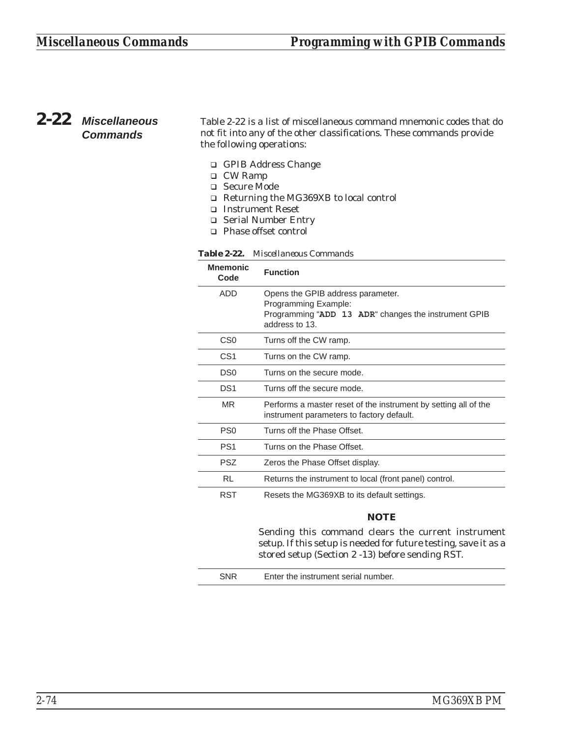# *2-22 Miscellaneous Commands*

Table 2-22 is a list of miscellaneous command mnemonic codes that do not fit into any of the other classifications. These commands provide the following operations:

- □ GPIB Address Change
- □ CW Ramp
- □ Secure Mode
- □ Returning the MG369XB to local control
- □ Instrument Reset
- □ Serial Number Entry
- □ Phase offset control

| <b>Mnemonic</b><br>Code | <b>Function</b>                                                                                                                     |
|-------------------------|-------------------------------------------------------------------------------------------------------------------------------------|
| ADD                     | Opens the GPIB address parameter.<br>Programming Example:<br>Programming "ADD 13 ADR" changes the instrument GPIB<br>address to 13. |
| C <sub>S0</sub>         | Turns off the CW ramp.                                                                                                              |
| CS <sub>1</sub>         | Turns on the CW ramp.                                                                                                               |
| DS0                     | Turns on the secure mode.                                                                                                           |
| DS <sub>1</sub>         | Turns off the secure mode.                                                                                                          |
| <b>MR</b>               | Performs a master reset of the instrument by setting all of the<br>instrument parameters to factory default.                        |
| PS <sub>0</sub>         | Turns off the Phase Offset.                                                                                                         |
| PS <sub>1</sub>         | Turns on the Phase Offset.                                                                                                          |
| <b>PSZ</b>              | Zeros the Phase Offset display.                                                                                                     |
| RL                      | Returns the instrument to local (front panel) control.                                                                              |
| <b>RST</b>              | Resets the MG369XB to its default settings.                                                                                         |
|                         | NOTE                                                                                                                                |

*Table 2-22. Miscellaneous Commands*

Sending this command clears the current instrument setup. If this setup is needed for future testing, save it as a stored setup (Section 2 -13) before sending RST.

| Enter the instrument serial number. |
|-------------------------------------|
|-------------------------------------|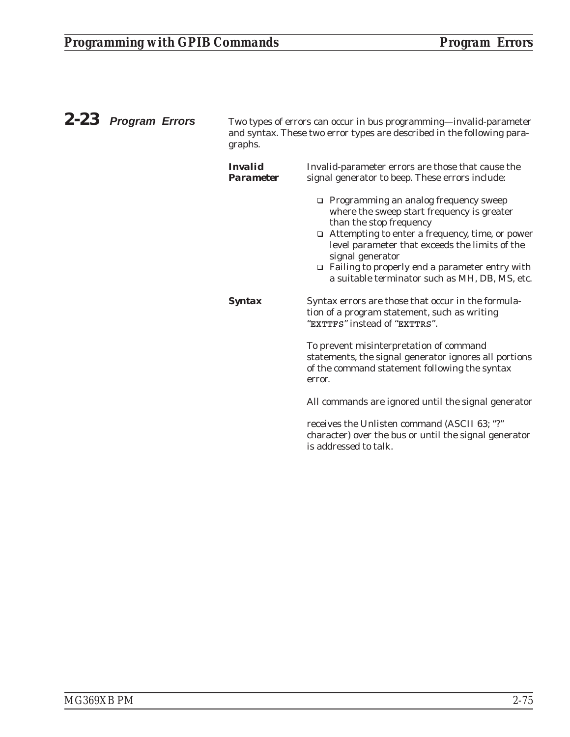| 2-23 Program Errors | Two types of errors can occur in bus programming-invalid-parameter<br>and syntax. These two error types are described in the following para-<br>graphs. |                                                                                                                                                                                                                                                                                                                                                      |  |
|---------------------|---------------------------------------------------------------------------------------------------------------------------------------------------------|------------------------------------------------------------------------------------------------------------------------------------------------------------------------------------------------------------------------------------------------------------------------------------------------------------------------------------------------------|--|
|                     | <i><b>Invalid</b></i><br><b>Parameter</b>                                                                                                               | Invalid-parameter errors are those that cause the<br>signal generator to beep. These errors include:                                                                                                                                                                                                                                                 |  |
|                     |                                                                                                                                                         | $\Box$ Programming an analog frequency sweep<br>where the sweep start frequency is greater<br>than the stop frequency<br>Attempting to enter a frequency, time, or power<br>level parameter that exceeds the limits of the<br>signal generator<br>□ Failing to properly end a parameter entry with<br>a suitable terminator such as MH, DB, MS, etc. |  |
|                     | <b>Syntax</b>                                                                                                                                           | Syntax errors are those that occur in the formula-<br>tion of a program statement, such as writing<br>"EXTTFS" instead of "EXTTRS".                                                                                                                                                                                                                  |  |
|                     |                                                                                                                                                         | To prevent misinterpretation of command<br>statements, the signal generator ignores all portions<br>of the command statement following the syntax<br>error.                                                                                                                                                                                          |  |
|                     |                                                                                                                                                         | All commands are ignored until the signal generator                                                                                                                                                                                                                                                                                                  |  |
|                     |                                                                                                                                                         | receives the Unlisten command (ASCII 63; "?"<br>character) over the bus or until the signal generator<br>is addressed to talk.                                                                                                                                                                                                                       |  |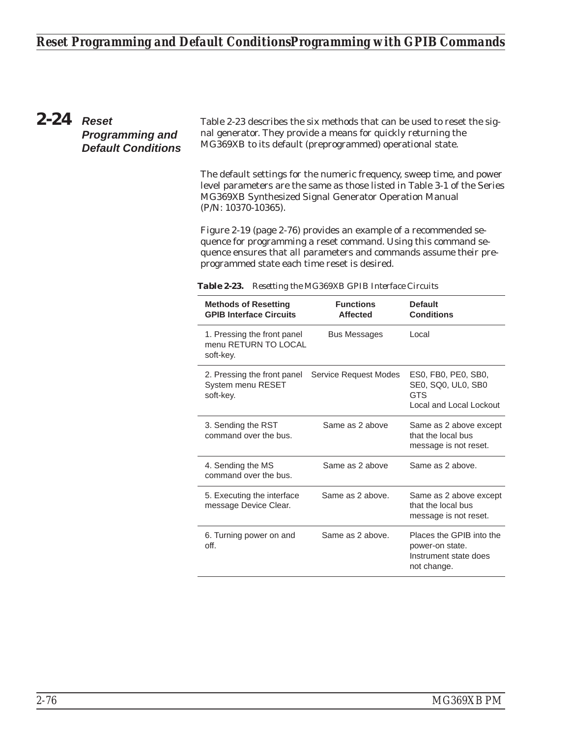# *Reset Programming and Default ConditionsProgramming with GPIB Commands*

# *2-24 Reset Programming and Default Conditions*

Table 2-23 describes the six methods that can be used to reset the signal generator. They provide a means for quickly returning the MG369XB to its default (preprogrammed) operational state.

The default settings for the numeric frequency, sweep time, and power level parameters are the same as those listed in Table 3-1 of the Series MG369XB Synthesized Signal Generator Operation Manual (P/N: 10370-10365).

Figure 2-19 (page 2-76) provides an example of a recommended sequence for programming a reset command. Using this command sequence ensures that all parameters and commands assume their preprogrammed state each time reset is desired.

| <b>Methods of Resetting</b><br><b>GPIB Interface Circuits</b>    | <b>Functions</b><br><b>Affected</b> | <b>Default</b><br><b>Conditions</b>                                                 |
|------------------------------------------------------------------|-------------------------------------|-------------------------------------------------------------------------------------|
| 1. Pressing the front panel<br>menu RETURN TO LOCAL<br>soft-key. | <b>Bus Messages</b>                 | Local                                                                               |
| 2. Pressing the front panel<br>System menu RESET<br>soft-key.    | Service Request Modes               | ES0, FB0, PE0, SB0,<br>SE0, SQ0, UL0, SB0<br><b>GTS</b><br>Local and Local Lockout  |
| 3. Sending the RST<br>command over the bus.                      | Same as 2 above                     | Same as 2 above except<br>that the local bus<br>message is not reset.               |
| 4. Sending the MS<br>command over the bus.                       | Same as 2 above                     | Same as 2 above.                                                                    |
| 5. Executing the interface<br>message Device Clear.              | Same as 2 above.                    | Same as 2 above except<br>that the local bus<br>message is not reset.               |
| 6. Turning power on and<br>off.                                  | Same as 2 above.                    | Places the GPIB into the<br>power-on state.<br>Instrument state does<br>not change. |

*Table 2-23. Resetting the MG369XB GPIB Interface Circuits*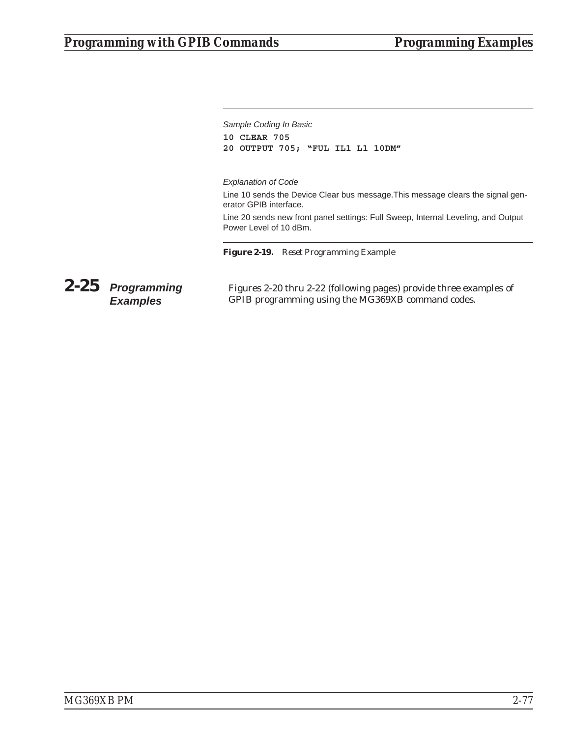*Sample Coding In Basic* **10 CLEAR 705**

**20 OUTPUT 705; "FUL IL1 L1 10DM"**

### *Explanation of Code*

Line 10 sends the Device Clear bus message.This message clears the signal generator GPIB interface.

Line 20 sends new front panel settings: Full Sweep, Internal Leveling, and Output Power Level of 10 dBm.

*Figure 2-19. Reset Programming Example*

*2-25 Programming Examples*

Figures 2-20 thru 2-22 (following pages) provide three examples of GPIB programming using the MG369XB command codes.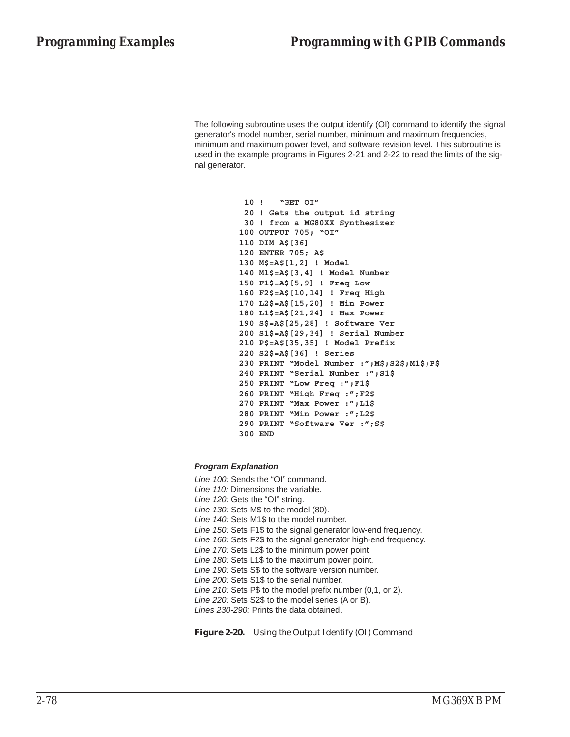The following subroutine uses the output identify (OI) command to identify the signal generator's model number, serial number, minimum and maximum frequencies, minimum and maximum power level, and software revision level. This subroutine is used in the example programs in Figures 2-21 and 2-22 to read the limits of the signal generator.

```
10 ! "GET OI"
 20 ! Gets the output id string
30 ! from a MG80XX Synthesizer
100 OUTPUT 705; "OI"
110 DIM A$[36]
120 ENTER 705; A$
130 M$=A$[1,2] ! Model
140 M1$=A$[3,4] ! Model Number
150 F1$=A$[5,9] ! Freq Low
160 F2$=A$[10,14] ! Freq High
170 L2$=A$[15,20] ! Min Power
180 L1$=A$[21,24] ! Max Power
190 S$=A$[25,28] ! Software Ver
200 S1$=A$[29,34] ! Serial Number
210 P$=A$[35,35] ! Model Prefix
220 S2$=A$[36] ! Series
230 PRINT "Model Number :";M$;S2$;M1$;P$
240 PRINT "Serial Number :";S1$
250 PRINT "Low Freq :";F1$
260 PRINT "High Freq :";F2$
270 PRINT "Max Power :";L1$
280 PRINT "Min Power :";L2$
290 PRINT "Software Ver :";S$
300 END
```
#### *Program Explanation*

*Line 100:* Sends the "OI" command. *Line 110:* Dimensions the variable. *Line 120:* Gets the "OI" string. *Line 130:* Sets M\$ to the model (80). *Line 140:* Sets M1\$ to the model number. *Line 150:* Sets F1\$ to the signal generator low-end frequency. *Line 160:* Sets F2\$ to the signal generator high-end frequency. *Line 170:* Sets L2\$ to the minimum power point. *Line 180:* Sets L1\$ to the maximum power point. *Line 190:* Sets S\$ to the software version number. *Line 200:* Sets S1\$ to the serial number. *Line 210:* Sets P\$ to the model prefix number (0,1, or 2). *Line 220:* Sets S2\$ to the model series (A or B). *Lines 230-290:* Prints the data obtained.

*Figure 2-20. Using the Output Identify (OI) Command*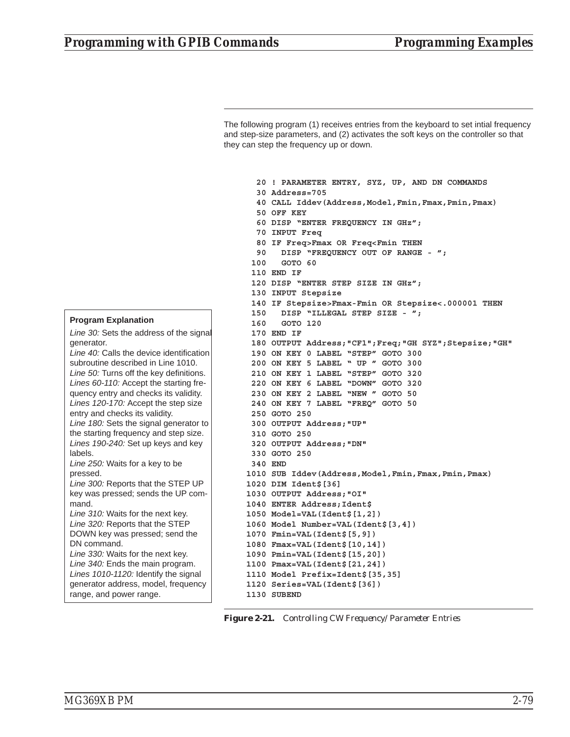The following program (1) receives entries from the keyboard to set intial frequency and step-size parameters, and (2) activates the soft keys on the controller so that they can step the frequency up or down.

**20 ! PARAMETER ENTRY, SYZ, UP, AND DN COMMANDS 30 Address=705 40 CALL Iddev(Address,Model,Fmin,Fmax,Pmin,Pmax) 50 OFF KEY 60 DISP "ENTER FREQUENCY IN GHz"; 70 INPUT Freq 80 IF Freq>Fmax OR Freq<Fmin THEN 90 DISP "FREQUENCY OUT OF RANGE - "; 100 GOTO 60 110 END IF 120 DISP "ENTER STEP SIZE IN GHz"; 130 INPUT Stepsize 140 IF Stepsize>Fmax-Fmin OR Stepsize<.000001 THEN 150 DISP "ILLEGAL STEP SIZE - "; 160 GOTO 120 170 END IF 180 OUTPUT Address;"CF1";Freq;"GH SYZ";Stepsize;"GH" 190 ON KEY 0 LABEL "STEP" GOTO 300 200 ON KEY 5 LABEL " UP " GOTO 300 210 ON KEY 1 LABEL "STEP" GOTO 320 220 ON KEY 6 LABEL "DOWN" GOTO 320 230 ON KEY 2 LABEL "NEW " GOTO 50 240 ON KEY 7 LABEL "FREQ" GOTO 50 250 GOTO 250 300 OUTPUT Address;"UP" 310 GOTO 250 320 OUTPUT Address;"DN" 330 GOTO 250 340 END 1010 SUB Iddev(Address,Model,Fmin,Fmax,Pmin,Pmax) 1020 DIM Ident\$[36] 1030 OUTPUT Address;"OI" 1040 ENTER Address;Ident\$ 1050 Model=VAL(Ident\$[1,2]) 1060 Model Number=VAL(Ident\$[3,4]) 1070 Fmin=VAL(Ident\$[5,9]) 1080 Fmax=VAL(Ident\$[10,14]) 1090 Pmin=VAL(Ident\$[15,20]) 1100 Pmax=VAL(Ident\$[21,24]) 1110 Model Prefix=Ident\$[35,35] 1120 Series=VAL(Ident\$[36]) 1130 SUBEND**



#### **Program Explanation**

*Line 30:* Sets the address of the signal generator. *Line 40:* Calls the device identification subroutine described in Line 1010. *Line 50:* Turns off the key definitions. *Lines 60-110:* Accept the starting frequency entry and checks its validity. *Lines 120-170:* Accept the step size entry and checks its validity. *Line 180:* Sets the signal generator to the starting frequency and step size. *Lines 190-240:* Set up keys and key labels. *Line 250:* Waits for a key to be pressed. *Line 300:* Reports that the STEP UP key was pressed; sends the UP command. *Line 310:* Waits for the next key. *Line 320:* Reports that the STEP DOWN key was pressed; send the DN command. *Line 330:* Waits for the next key. *Line 340:* Ends the main program. *Lines 1010-1120:* Identify the signal generator address, model, frequency range, and power range.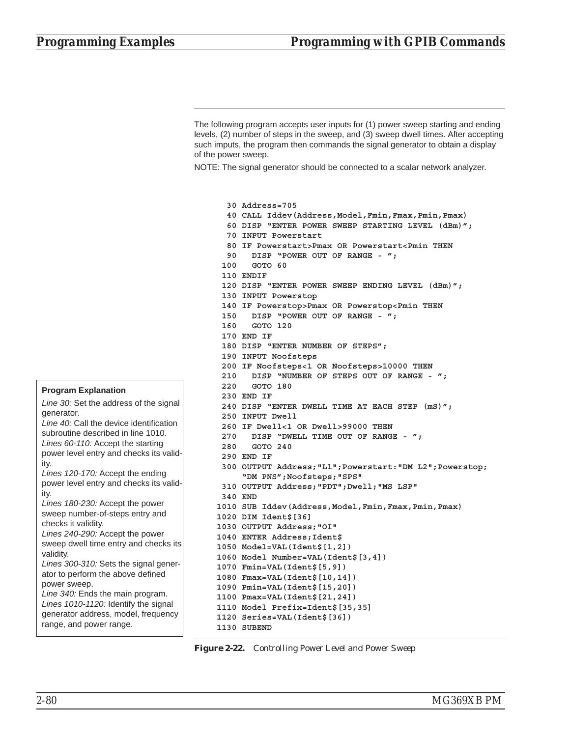The following program accepts user inputs for (1) power sweep starting and ending levels, (2) number of steps in the sweep, and (3) sweep dwell times. After accepting such imputs, the program then commands the signal generator to obtain a display of the power sweep.

NOTE: The signal generator should be connected to a scalar network analyzer.

**30 Address=705**

**40 CALL Iddev(Address,Model,Fmin,Fmax,Pmin,Pmax) 60 DISP "ENTER POWER SWEEP STARTING LEVEL (dBm)"; 70 INPUT Powerstart 80 IF Powerstart>Pmax OR Powerstart<Pmin THEN 90 DISP "POWER OUT OF RANGE - "; 100 GOTO 60 110 ENDIF 120 DISP "ENTER POWER SWEEP ENDING LEVEL (dBm)"; 130 INPUT Powerstop 140 IF Powerstop>Pmax OR Powerstop<Pmin THEN 150 DISP "POWER OUT OF RANGE - "; 160 GOTO 120 170 END IF 180 DISP "ENTER NUMBER OF STEPS"; 190 INPUT Noofsteps 200 IF Noofsteps<1 OR Noofsteps>10000 THEN 210 DISP "NUMBER OF STEPS OUT OF RANGE - "; 220 GOTO 180 230 END IF 240 DISP "ENTER DWELL TIME AT EACH STEP (mS)"; 250 INPUT Dwell 260 IF Dwell<1 OR Dwell>99000 THEN 270 DISP "DWELL TIME OUT OF RANGE - "; 280 GOTO 240 290 END IF 300 OUTPUT Address;"L1";Powerstart:"DM L2";Powerstop; "DM PNS";Noofsteps;"SPS" 310 OUTPUT Address;"PDT";Dwell;"MS LSP" 340 END 1010 SUB Iddev(Address,Model,Fmin,Fmax,Pmin,Pmax) 1020 DIM Ident\$[36] 1030 OUTPUT Address;"OI" 1040 ENTER Address;Ident\$ 1050 Model=VAL(Ident\$[1,2]) 1060 Model Number=VAL(Ident\$[3,4]) 1070 Fmin=VAL(Ident\$[5,9]) 1080 Fmax=VAL(Ident\$[10,14]) 1090 Pmin=VAL(Ident\$[15,20]) 1100 Pmax=VAL(Ident\$[21,24]) 1110 Model Prefix=Ident\$[35,35] 1120 Series=VAL(Ident\$[36]) 1130 SUBEND**

*Figure 2-22. Controlling Power Level and Power Sweep*

### **Program Explanation**

*Line 30:* Set the address of the signal generator. *Line 40:* Call the device identification subroutine described in line 1010. *Lines 60-110:* Accept the starting power level entry and checks its validity. *Lines 120-170:* Accept the ending power level entry and checks its validity. *Lines 180-230:* Accept the power sweep number-of-steps entry and checks it validity. *Lines 240-290:* Accept the power sweep dwell time entry and checks its validity. *Lines 300-310:* Sets the signal generator to perform the above defined power sweep. *Line 340:* Ends the main program. *Lines 1010-1120:* Identify the signal generator address, model, frequency range, and power range.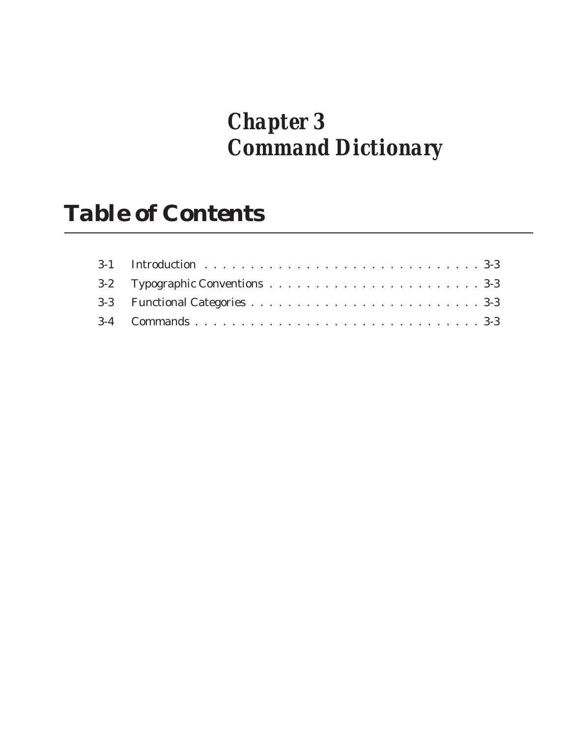# *Chapter 3 Command Dictionary*

# *Table of Contents*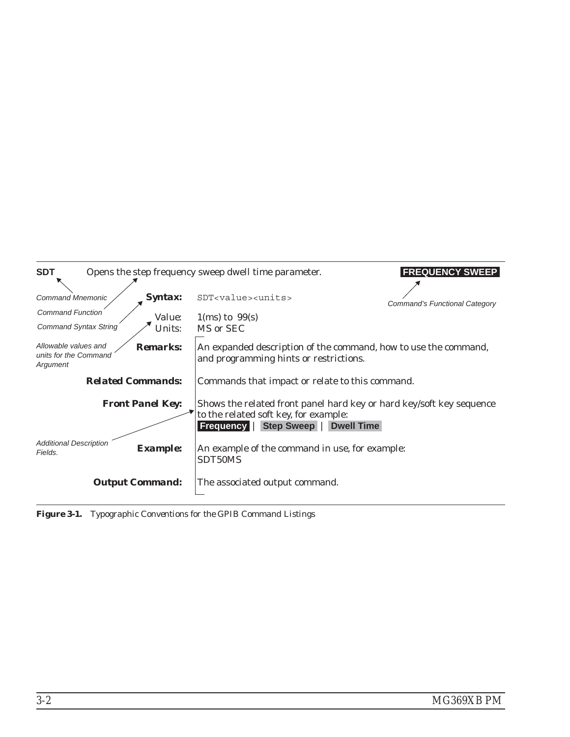| <b>SDT</b>                                                                         | <b>FREQUENCY SWEEP</b><br>Opens the step frequency sweep dwell time parameter.                                                                               |
|------------------------------------------------------------------------------------|--------------------------------------------------------------------------------------------------------------------------------------------------------------|
| <i><b>Syntax:</b></i><br><b>Command Mnemonic</b>                                   | SDT <value><units><br/>Command's Functional Category</units></value>                                                                                         |
| <b>Command Function</b><br><i>Value:</i><br><b>Command Syntax String</b><br>Units: | $1$ (ms) to $99$ (s)<br>MS or SEC                                                                                                                            |
| Allowable values and<br><b>Remarks:</b><br>units for the Command<br>Argument       | An expanded description of the command, how to use the command,<br>and programming hints or restrictions.                                                    |
| <b>Related Commands:</b>                                                           | Commands that impact or relate to this command.                                                                                                              |
| <b>Front Panel Key:</b>                                                            | Shows the related front panel hard key or hard key/soft key sequence<br>to the related soft key, for example:<br>Step Sweep   Dwell Time<br><b>Frequency</b> |
| <b>Additional Description</b><br><b>Example:</b><br>Fields.                        | An example of the command in use, for example:<br>SDT50MS                                                                                                    |
| <b>Output Command:</b>                                                             | The associated output command.                                                                                                                               |

*Figure 3-1. Typographic Conventions for the GPIB Command Listings*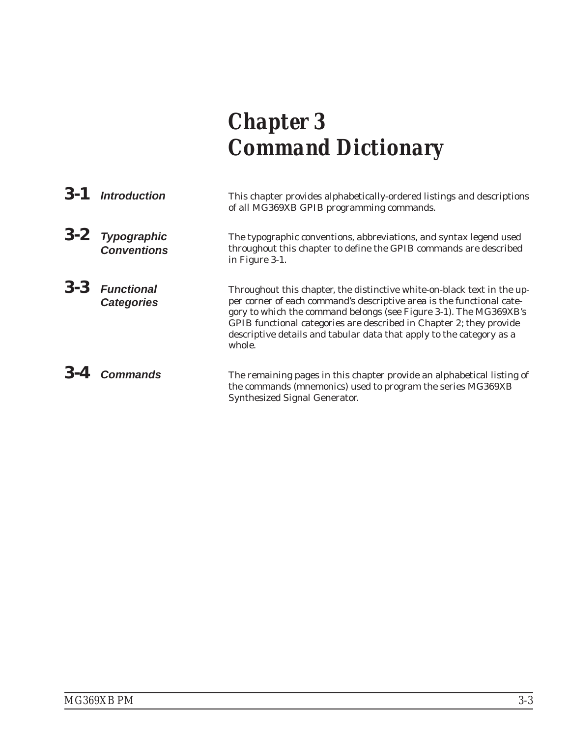# *Chapter 3 Command Dictionary*

| 3-1 Introduction                      | This chapter provides alphabetically-ordered listings and descriptions<br>of all MG369XB GPIB programming commands.                                                                                                                                                                                                                                                            |
|---------------------------------------|--------------------------------------------------------------------------------------------------------------------------------------------------------------------------------------------------------------------------------------------------------------------------------------------------------------------------------------------------------------------------------|
| 3-2 Typographic<br>Conventions        | The typographic conventions, abbreviations, and syntax legend used<br>throughout this chapter to define the GPIB commands are described<br>in Figure 3-1.                                                                                                                                                                                                                      |
| $3-3$ Functional<br><b>Categories</b> | Throughout this chapter, the distinctive white-on-black text in the up-<br>per corner of each command's descriptive area is the functional cate-<br>gory to which the command belongs (see Figure 3-1). The MG369XB's<br>GPIB functional categories are described in Chapter 2; they provide<br>descriptive details and tabular data that apply to the category as a<br>whole. |
| 3-4 Commands                          | The remaining pages in this chapter provide an alphabetical listing of<br>the commands (mnemonics) used to program the series MG369XB<br><b>Synthesized Signal Generator.</b>                                                                                                                                                                                                  |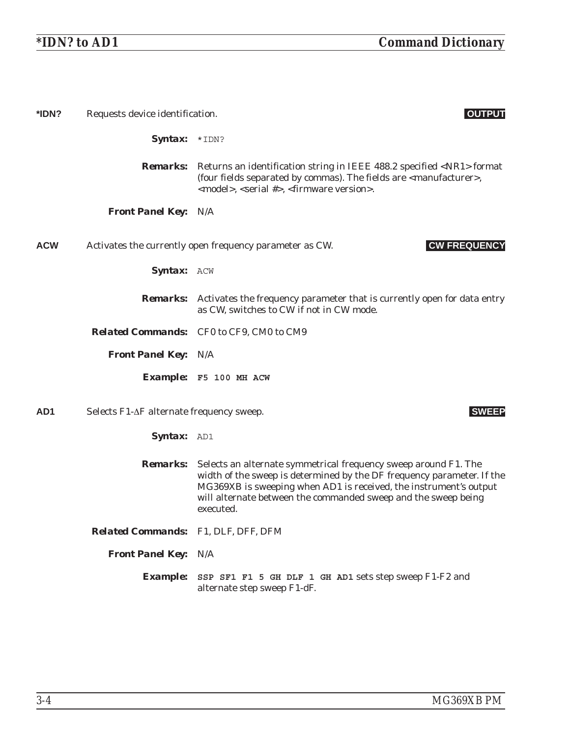| *IDN?           | Requests device identification.          | <b>OUTPUT</b>                                                                                                                                                                                                                                                                                 |
|-----------------|------------------------------------------|-----------------------------------------------------------------------------------------------------------------------------------------------------------------------------------------------------------------------------------------------------------------------------------------------|
|                 | <b>Syntax:</b> $*IDN?$                   |                                                                                                                                                                                                                                                                                               |
|                 |                                          | <b>Remarks:</b> Returns an identification string in IEEE 488.2 specified <nr1> format<br/>(four fields separated by commas). The fields are <manufacturer>,<br/><model>, <serial #="">, <firmware version="">.</firmware></serial></model></manufacturer></nr1>                               |
|                 | <b>Front Panel Key: N/A</b>              |                                                                                                                                                                                                                                                                                               |
| <b>ACW</b>      |                                          | <b>CW FREQUENCY</b><br>Activates the currently open frequency parameter as CW.                                                                                                                                                                                                                |
|                 | <b>Syntax: ACW</b>                       |                                                                                                                                                                                                                                                                                               |
|                 | <i><b>Remarks:</b></i>                   | Activates the frequency parameter that is currently open for data entry<br>as CW, switches to CW if not in CW mode.                                                                                                                                                                           |
|                 |                                          | Related Commands: CF0 to CF9, CM0 to CM9                                                                                                                                                                                                                                                      |
|                 | <b>Front Panel Key: N/A</b>              |                                                                                                                                                                                                                                                                                               |
|                 |                                          | Example: F5 100 MH ACW                                                                                                                                                                                                                                                                        |
| AD <sub>1</sub> | Selects F1-ΔF alternate frequency sweep. | <b>SWEEP</b>                                                                                                                                                                                                                                                                                  |
|                 | Syntax: AD1                              |                                                                                                                                                                                                                                                                                               |
|                 | <i><b>Remarks:</b></i>                   | Selects an alternate symmetrical frequency sweep around F1. The<br>width of the sweep is determined by the DF frequency parameter. If the<br>MG369XB is sweeping when AD1 is received, the instrument's output<br>will alternate between the commanded sweep and the sweep being<br>executed. |
|                 | Related Commands: F1, DLF, DFF, DFM      |                                                                                                                                                                                                                                                                                               |
|                 | <b>Front Panel Key: N/A</b>              |                                                                                                                                                                                                                                                                                               |
|                 | <b>Example:</b>                          | SSP SF1 F1 5 GH DLF 1 GH AD1 sets step sweep F1-F2 and<br>alternate step sweep F1-dF.                                                                                                                                                                                                         |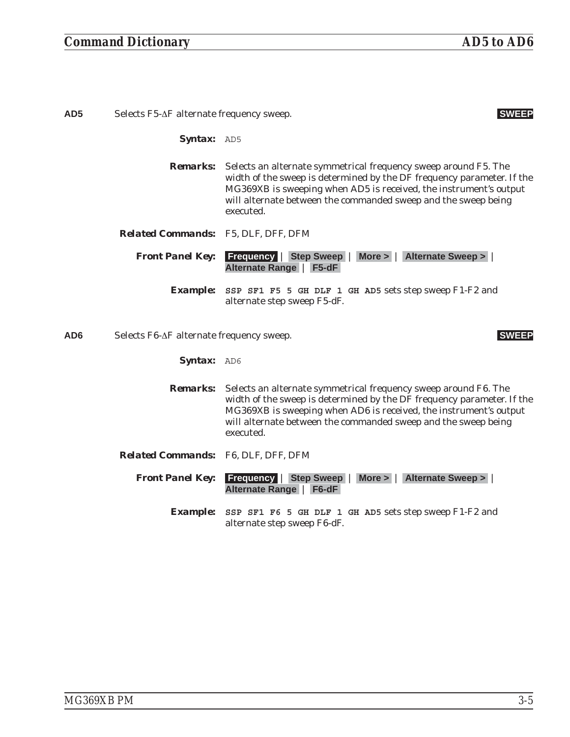| AD5 | Selects F5-∆F alternate frequency sweep.   |                                                                                                                                                                                                                                                                                                               |
|-----|--------------------------------------------|---------------------------------------------------------------------------------------------------------------------------------------------------------------------------------------------------------------------------------------------------------------------------------------------------------------|
|     | <b>Syntax:</b> AD5                         |                                                                                                                                                                                                                                                                                                               |
|     |                                            | <b>Remarks:</b> Selects an alternate symmetrical frequency sweep around F5. The<br>width of the sweep is determined by the DF frequency parameter. If the<br>MG369XB is sweeping when AD5 is received, the instrument's output<br>will alternate between the commanded sweep and the sweep being<br>executed. |
|     | <b>Related Commands:</b> F5, DLF, DFF, DFM |                                                                                                                                                                                                                                                                                                               |
|     | <b>Front Panel Key:</b>                    | <b>Frequency   Step Sweep   More &gt;   Alternate Sweep &gt;</b><br><b>Alternate Range</b><br>$F5-dF$                                                                                                                                                                                                         |
|     | <i><b>Example:</b></i>                     | SSP SF1 F5 5 GH DLF 1 GH AD5 sets step sweep F1-F2 and<br>alternate step sweep F5-dF.                                                                                                                                                                                                                         |
| AD6 | Selects F6-∆F alternate frequency sweep.   | <b>SWEEP</b>                                                                                                                                                                                                                                                                                                  |
|     | <b>Syntax:</b> AD6                         |                                                                                                                                                                                                                                                                                                               |

*Remarks:* Selects an alternate symmetrical frequency sweep around F6. The width of the sweep is determined by the DF frequency parameter. If the MG369XB is sweeping when AD6 is received, the instrument's output will alternate between the commanded sweep and the sweep being executed.

*Related Commands:* F6, DLF, DFF, DFM

*Front Panel Key:* **Frequency** | **Step Sweep** | **More >** | **Alternate Sweep >** | **Alternate Range** | **F6-dF**

> *Example:* **SSP SF1 F6 5 GH DLF 1 GH AD5** sets step sweep F1-F2 and alternate step sweep F6-dF.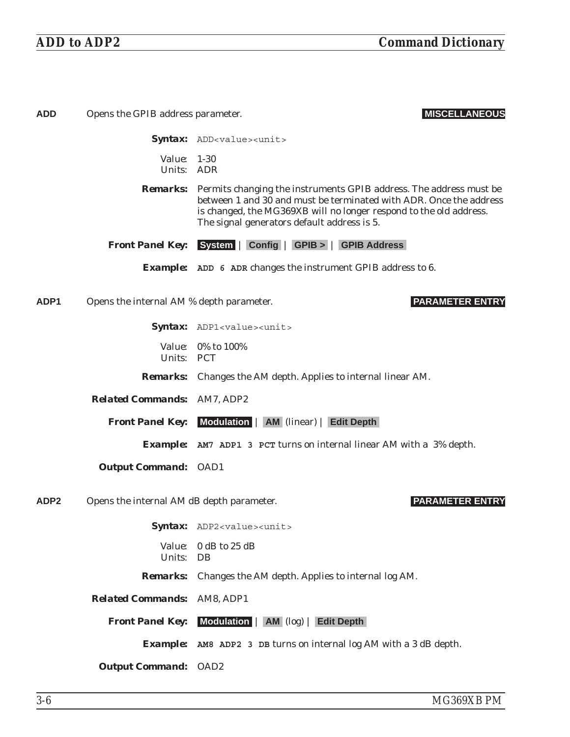| <b>ADD</b>       | Opens the GPIB address parameter.         | <b>MISCELLANEOUS</b>                                                                                                                                                                                                                                                          |
|------------------|-------------------------------------------|-------------------------------------------------------------------------------------------------------------------------------------------------------------------------------------------------------------------------------------------------------------------------------|
|                  |                                           | <b>Syntax:</b> ADD <value><unit></unit></value>                                                                                                                                                                                                                               |
|                  | Value:<br>Units: ADR                      | $1 - 30$                                                                                                                                                                                                                                                                      |
|                  |                                           | <b>Remarks:</b> Permits changing the instruments GPIB address. The address must be<br>between 1 and 30 and must be terminated with ADR. Once the address<br>is changed, the MG369XB will no longer respond to the old address.<br>The signal generators default address is 5. |
|                  |                                           | <b>Front Panel Key:</b> System   Config   GPIB >   GPIB Address                                                                                                                                                                                                               |
|                  |                                           | <b>Example:</b> ADD 6 ADR changes the instrument GPIB address to 6.                                                                                                                                                                                                           |
| ADP <sub>1</sub> | Opens the internal AM % depth parameter.  | <b>PARAMETER ENTRY</b>                                                                                                                                                                                                                                                        |
|                  |                                           | Syntax: ADP1 <value><unit></unit></value>                                                                                                                                                                                                                                     |
|                  | Units: PCT                                | Value: 0% to 100%                                                                                                                                                                                                                                                             |
|                  |                                           | <b>Remarks:</b> Changes the AM depth. Applies to internal linear AM.                                                                                                                                                                                                          |
|                  | <b>Related Commands: AM7, ADP2</b>        |                                                                                                                                                                                                                                                                               |
|                  |                                           | <b>Front Panel Key:</b> Modulation   AM (linear)   Edit Depth                                                                                                                                                                                                                 |
|                  |                                           | <b>Example:</b> AM7 ADP1 3 PCT turns on internal linear AM with a 3% depth.                                                                                                                                                                                                   |
|                  | <b>Output Command: OAD1</b>               |                                                                                                                                                                                                                                                                               |
| ADP <sub>2</sub> | Opens the internal AM dB depth parameter. | <b>PARAMETER ENTRY</b>                                                                                                                                                                                                                                                        |
|                  |                                           | Syntax: ADP2 <value><unit></unit></value>                                                                                                                                                                                                                                     |
|                  | <i>Value:</i><br>Units: DB                | 0 dB to 25 dB                                                                                                                                                                                                                                                                 |
|                  |                                           | <b>Remarks:</b> Changes the AM depth. Applies to internal log AM.                                                                                                                                                                                                             |
|                  | <b>Related Commands: AM8, ADP1</b>        |                                                                                                                                                                                                                                                                               |
|                  |                                           | <b>Front Panel Key:</b> Modulation   AM (log)   Edit Depth                                                                                                                                                                                                                    |
|                  |                                           | <b>Example:</b> AM8 ADP2 3 DB turns on internal log AM with a 3 dB depth.                                                                                                                                                                                                     |
|                  | <b>Output Command: OAD2</b>               |                                                                                                                                                                                                                                                                               |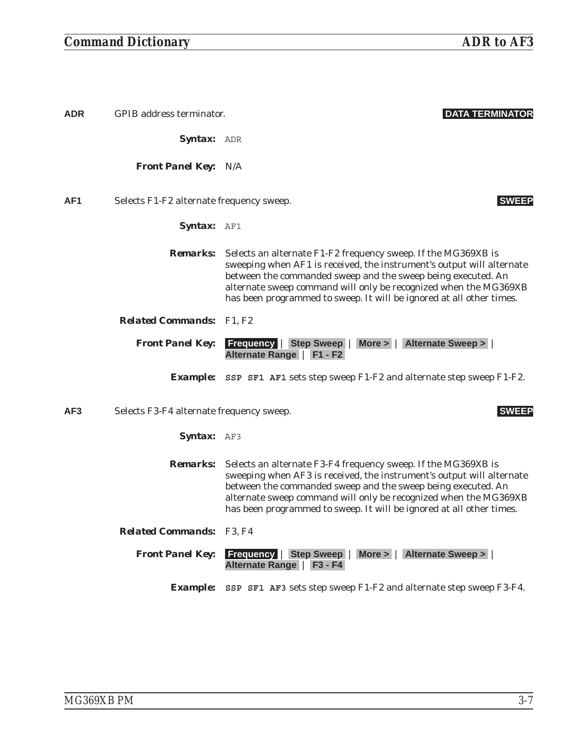| <b>ADR</b>      | GPIB address terminator.                 | <b>DATA TERMINATOR</b>                                                                                                                                                                                                                                                                                                                             |
|-----------------|------------------------------------------|----------------------------------------------------------------------------------------------------------------------------------------------------------------------------------------------------------------------------------------------------------------------------------------------------------------------------------------------------|
|                 | <b>Syntax:</b> ADR                       |                                                                                                                                                                                                                                                                                                                                                    |
|                 | <b>Front Panel Key: N/A</b>              |                                                                                                                                                                                                                                                                                                                                                    |
| AF <sub>1</sub> | Selects F1-F2 alternate frequency sweep. | <b>SWEEP</b>                                                                                                                                                                                                                                                                                                                                       |
|                 | Syntax: AF1                              |                                                                                                                                                                                                                                                                                                                                                    |
|                 | <i>Remarks:</i>                          | Selects an alternate F1-F2 frequency sweep. If the MG369XB is<br>sweeping when AF1 is received, the instrument's output will alternate<br>between the commanded sweep and the sweep being executed. An<br>alternate sweep command will only be recognized when the MG369XB<br>has been programmed to sweep. It will be ignored at all other times. |
|                 | <b>Related Commands:</b> F1, F2          |                                                                                                                                                                                                                                                                                                                                                    |
|                 | <b>Front Panel Key:</b>                  | Step Sweep   More >   Alternate Sweep ><br><b>Frequency</b><br>Alternate Range   F1 - F2                                                                                                                                                                                                                                                           |
|                 |                                          | <b>Example:</b> SSP SF1 AF1 sets step sweep $F1-F2$ and alternate step sweep $F1-F2$ .                                                                                                                                                                                                                                                             |
| AF <sub>3</sub> | Selects F3-F4 alternate frequency sweep. | <b>SWEEP</b>                                                                                                                                                                                                                                                                                                                                       |
|                 | <b>Syntax:</b> AF3                       |                                                                                                                                                                                                                                                                                                                                                    |
|                 | <i>Remarks:</i>                          | Selects an alternate F3-F4 frequency sweep. If the MG369XB is<br>sweeping when AF3 is received, the instrument's output will alternate<br>between the commanded sweep and the sweep being executed. An<br>alternate sweep command will only be recognized when the MG369XB<br>has been programmed to sweep. It will be ignored at all other times. |
|                 | <b>Related Commands: F3, F4</b>          |                                                                                                                                                                                                                                                                                                                                                    |
|                 | <b>Front Panel Key:</b>                  | <b>Frequency   Step Sweep   More &gt;   Alternate Sweep &gt;  </b><br>Alternate Range   F3 - F4                                                                                                                                                                                                                                                    |
|                 |                                          | <b>Example:</b> SSP SF1 AF3 sets step sweep $F1-F2$ and alternate step sweep F3-F4.                                                                                                                                                                                                                                                                |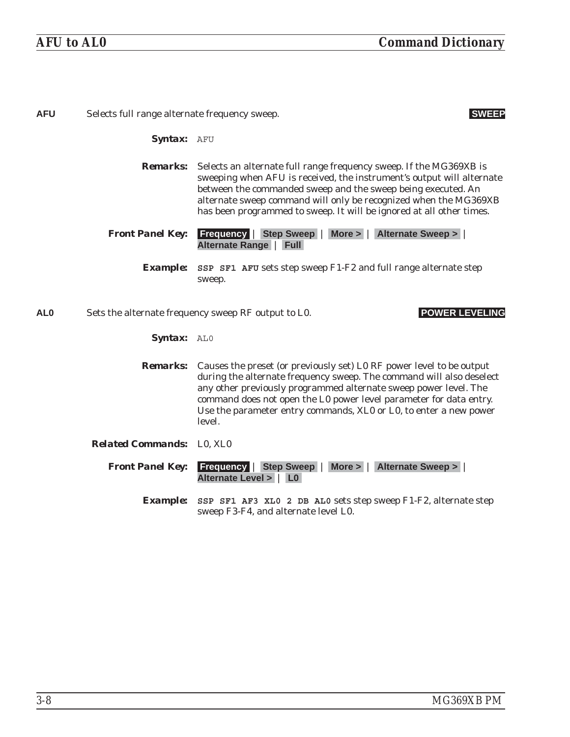| <b>AFU</b>      | Selects full range alternate frequency sweep.<br><b>SWEEP</b> |                                                                                                                                                                                                                                                                                                                                                                                       |
|-----------------|---------------------------------------------------------------|---------------------------------------------------------------------------------------------------------------------------------------------------------------------------------------------------------------------------------------------------------------------------------------------------------------------------------------------------------------------------------------|
|                 | Syntax: AFU                                                   |                                                                                                                                                                                                                                                                                                                                                                                       |
|                 | <b>Remarks:</b>                                               | Selects an alternate full range frequency sweep. If the MG369XB is<br>sweeping when AFU is received, the instrument's output will alternate<br>between the commanded sweep and the sweep being executed. An<br>alternate sweep command will only be recognized when the MG369XB<br>has been programmed to sweep. It will be ignored at all other times.                               |
|                 | <b>Front Panel Key:</b>                                       | <b>Frequency   Step Sweep   More &gt;   Alternate Sweep &gt;  </b><br><b>Alternate Range   Full</b>                                                                                                                                                                                                                                                                                   |
|                 | <i>Example:</i>                                               | SSP SF1 AFU sets step sweep F1-F2 and full range alternate step<br>sweep.                                                                                                                                                                                                                                                                                                             |
| AL <sub>0</sub> |                                                               | <b>POWER LEVELING</b><br>Sets the alternate frequency sweep RF output to L0.                                                                                                                                                                                                                                                                                                          |
|                 | Syntax: ALO                                                   |                                                                                                                                                                                                                                                                                                                                                                                       |
|                 |                                                               | <b>Remarks:</b> Causes the preset (or previously set) L0 RF power level to be output<br>during the alternate frequency sweep. The command will also deselect<br>any other previously programmed alternate sweep power level. The<br>command does not open the L0 power level parameter for data entry.<br>Use the parameter entry commands, XL0 or L0, to enter a new power<br>level. |
|                 | <b>Related Commands:</b> L0, XL0                              |                                                                                                                                                                                                                                                                                                                                                                                       |
|                 | <b>Front Panel Key:</b>                                       | <b>Frequency   Step Sweep   More &gt;   Alternate Sweep &gt;  </b><br>Alternate Level >   L0                                                                                                                                                                                                                                                                                          |
|                 | <b>Example:</b>                                               | SSP SF1 AF3 XL0 2 DB AL0 sets step sweep F1-F2, alternate step<br>sweep F3-F4, and alternate level L0.                                                                                                                                                                                                                                                                                |
|                 |                                                               |                                                                                                                                                                                                                                                                                                                                                                                       |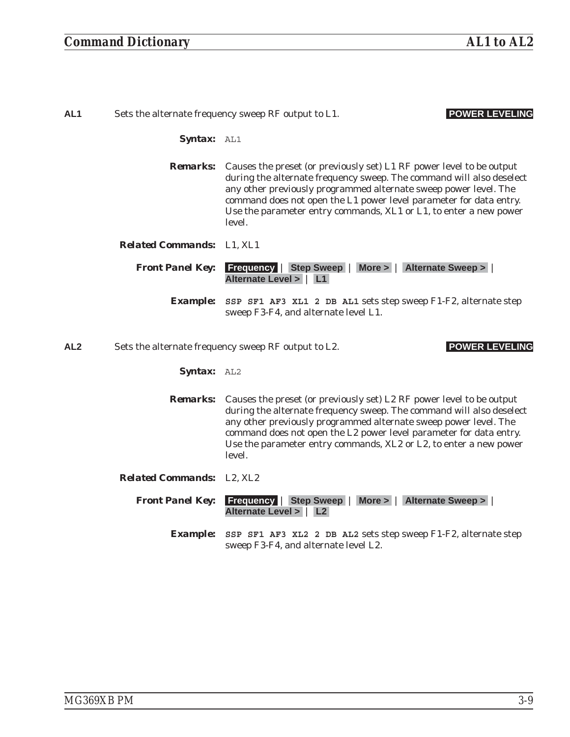| AL <sub>1</sub> | Sets the alternate frequency sweep RF output to L1.<br><b>POWER LEVELING</b> |                                                                                                                                                                                                                                                                                                                                                                                       |
|-----------------|------------------------------------------------------------------------------|---------------------------------------------------------------------------------------------------------------------------------------------------------------------------------------------------------------------------------------------------------------------------------------------------------------------------------------------------------------------------------------|
|                 | <b>Syntax: AL1</b>                                                           |                                                                                                                                                                                                                                                                                                                                                                                       |
|                 |                                                                              | <b>Remarks:</b> Causes the preset (or previously set) L1 RF power level to be output<br>during the alternate frequency sweep. The command will also deselect<br>any other previously programmed alternate sweep power level. The<br>command does not open the L1 power level parameter for data entry.<br>Use the parameter entry commands, XL1 or L1, to enter a new power<br>level. |
|                 | <b>Related Commands:</b> L1. XL1                                             |                                                                                                                                                                                                                                                                                                                                                                                       |
|                 | <b>Front Panel Key:</b>                                                      | <b>Frequency Step Sweep More &gt; Alternate Sweep &gt;  </b><br>Alternate Level >   L1                                                                                                                                                                                                                                                                                                |
|                 |                                                                              | <b>Example:</b> SSP SF1 AF3 XL1 2 DB AL1 sets step sweep F1-F2, alternate step<br>sweep F3-F4, and alternate level L1.                                                                                                                                                                                                                                                                |
| AL <sub>2</sub> | Sets the alternate frequency sweep RF output to L2.<br><b>POWER LEVEL</b>    |                                                                                                                                                                                                                                                                                                                                                                                       |

- *Syntax:* AL2
- *Remarks:* Causes the preset (or previously set) L2 RF power level to be output during the alternate frequency sweep. The command will also deselect any other previously programmed alternate sweep power level. The command does not open the L2 power level parameter for data entry. Use the parameter entry commands, XL2 or L2, to enter a new power level.
- *Related Commands:* L2, XL2

*Front Panel Key:* **Frequency** | **Step Sweep** | **More >** | **Alternate Sweep >** | **Alternate Level >** | **L2**

*Example:* **SSP SF1 AF3 XL2 2 DB AL2** sets step sweep F1-F2, alternate step sweep F3-F4, and alternate level L2.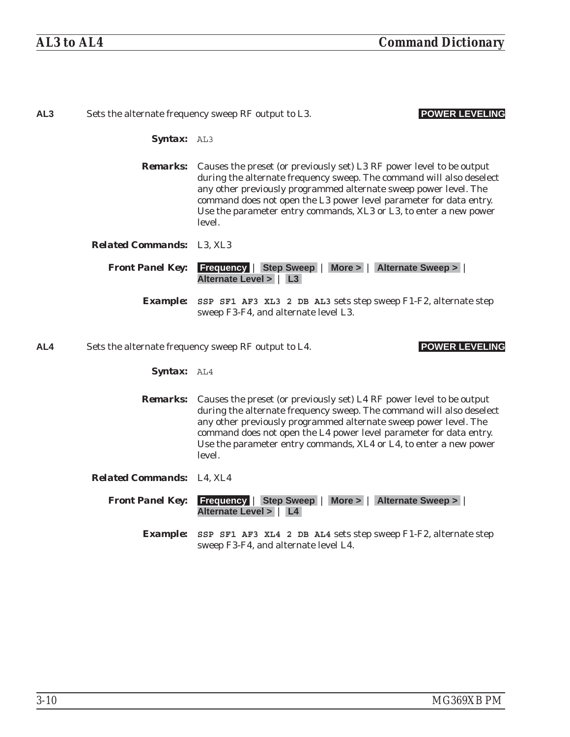| AL <sub>3</sub> | Sets the alternate frequency sweep RF output to L3.<br><b>POWER LEVELING</b> |                                                                                                                                                                                                                                                                                                                                                                                       |
|-----------------|------------------------------------------------------------------------------|---------------------------------------------------------------------------------------------------------------------------------------------------------------------------------------------------------------------------------------------------------------------------------------------------------------------------------------------------------------------------------------|
|                 | Syntax: AL3                                                                  |                                                                                                                                                                                                                                                                                                                                                                                       |
|                 |                                                                              | <b>Remarks:</b> Causes the preset (or previously set) L3 RF power level to be output<br>during the alternate frequency sweep. The command will also deselect<br>any other previously programmed alternate sweep power level. The<br>command does not open the L3 power level parameter for data entry.<br>Use the parameter entry commands, XL3 or L3, to enter a new power<br>level. |
|                 | <b>Related Commands:</b> L3, XL3                                             |                                                                                                                                                                                                                                                                                                                                                                                       |
|                 | <b>Front Panel Key:</b>                                                      | <b>Frequency   Step Sweep   More &gt;   Alternate Sweep &gt;</b><br>Alternate Level >   L3                                                                                                                                                                                                                                                                                            |
|                 | <i><b>Example:</b></i>                                                       | SSP SF1 AF3 XL3 2 DB AL3 sets step sweep F1-F2, alternate step<br>sweep F3-F4, and alternate level L3.                                                                                                                                                                                                                                                                                |
| AL4             |                                                                              | <b>POWER LEVELING</b><br>Sets the alternate frequency sweep RF output to L4.                                                                                                                                                                                                                                                                                                          |
|                 | Syntax: AL4                                                                  |                                                                                                                                                                                                                                                                                                                                                                                       |
|                 | <b>Remarks:</b>                                                              | Causes the preset (or previously set) L4 RF power level to be output<br>during the alternate frequency sweep. The command will also deselect<br>any other previously programmed alternate sweep power level. The<br>command does not open the L4 power level parameter for data entry.<br>Use the parameter entry commands, XL4 or L4, to enter a new power<br>level.                 |
|                 | Related Commands: L4, XL4                                                    |                                                                                                                                                                                                                                                                                                                                                                                       |
|                 | <b>Front Panel Key:</b>                                                      | <b>Frequency   Step Sweep   More &gt;   Alternate Sweep &gt;  </b><br>Alternate Level >   L4                                                                                                                                                                                                                                                                                          |
|                 | <b>Example:</b>                                                              | SSP SF1 AF3 XL4 2 DB AL4 sets step sweep F1-F2, alternate step<br>sweep F3-F4, and alternate level L4.                                                                                                                                                                                                                                                                                |
|                 |                                                                              |                                                                                                                                                                                                                                                                                                                                                                                       |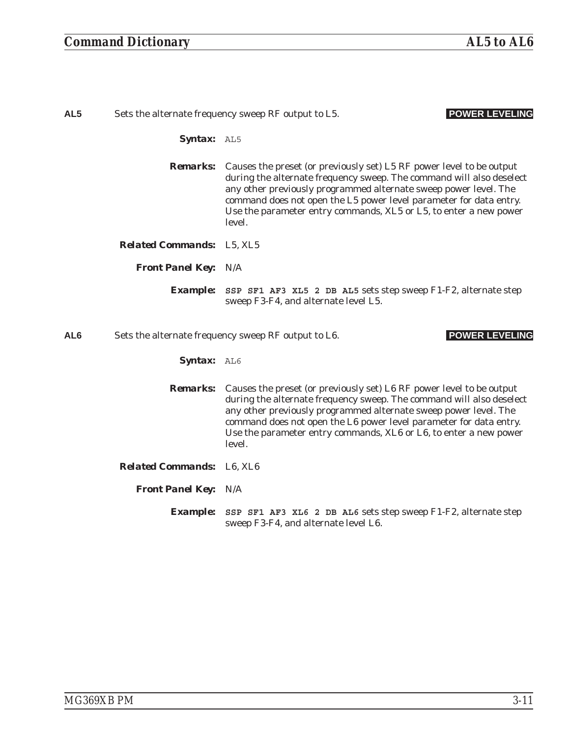| AL <sub>5</sub> | Sets the alternate frequency sweep RF output to L5.<br><b>POWER LEVELING</b> |                                                                                                                                                                                                                                                                                                                                                                                       |
|-----------------|------------------------------------------------------------------------------|---------------------------------------------------------------------------------------------------------------------------------------------------------------------------------------------------------------------------------------------------------------------------------------------------------------------------------------------------------------------------------------|
|                 | Syntax: AL5                                                                  |                                                                                                                                                                                                                                                                                                                                                                                       |
|                 |                                                                              | <b>Remarks:</b> Causes the preset (or previously set) L5 RF power level to be output<br>during the alternate frequency sweep. The command will also deselect<br>any other previously programmed alternate sweep power level. The<br>command does not open the L5 power level parameter for data entry.<br>Use the parameter entry commands, XL5 or L5, to enter a new power<br>level. |
|                 | <b>Related Commands:</b> L5, XL5                                             |                                                                                                                                                                                                                                                                                                                                                                                       |
|                 | <b>Front Panel Key: N/A</b>                                                  |                                                                                                                                                                                                                                                                                                                                                                                       |
|                 | <i><b>Example:</b></i>                                                       | SSP SF1 AF3 XL5 2 DB AL5 sets step sweep F1-F2, alternate step<br>sweep F3-F4, and alternate level L5.                                                                                                                                                                                                                                                                                |
| AL <sub>6</sub> |                                                                              | <b>POWER LEVELING</b><br>Sets the alternate frequency sweep RF output to L6.                                                                                                                                                                                                                                                                                                          |
|                 | Syntax: AL6                                                                  |                                                                                                                                                                                                                                                                                                                                                                                       |
|                 |                                                                              | <b>Remarks:</b> Causes the preset (or previously set) L6 RF power level to be output<br>during the alternate frequency sweep. The command will also deselect<br>any other previously programmed alternate sweep power level. The<br>command does not open the L6 power level parameter for data entry.<br>Use the parameter entry commands, XL6 or L6, to enter a new power<br>level. |
|                 | <b>Related Commands:</b> L6, XL6                                             |                                                                                                                                                                                                                                                                                                                                                                                       |
|                 | <b>Front Panel Key: N/A</b>                                                  |                                                                                                                                                                                                                                                                                                                                                                                       |
|                 | <i><b>Example:</b></i>                                                       | SSP SF1 AF3 XL6 2 DB AL6 sets step sweep F1-F2, alternate step<br>sweep F3-F4, and alternate level L6.                                                                                                                                                                                                                                                                                |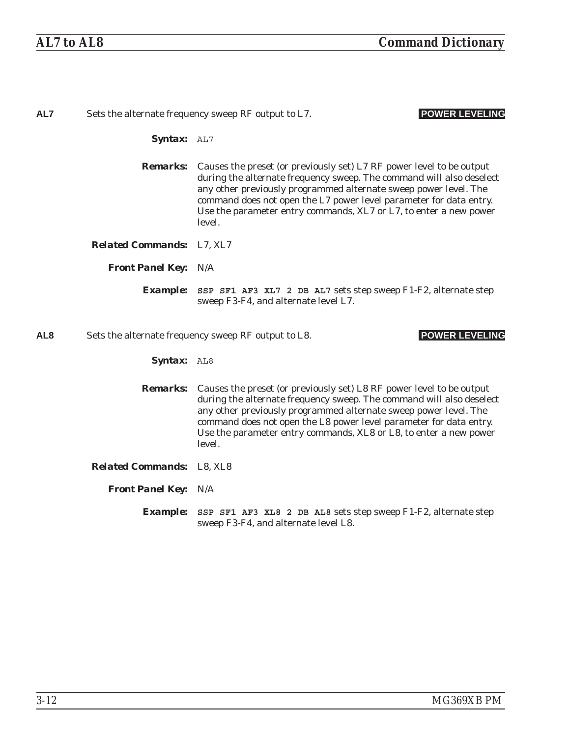| AL7             |                                  | <b>POWER LEVELING</b><br>Sets the alternate frequency sweep RF output to L7.                                                                                                                                                                                                                                                                                                          |
|-----------------|----------------------------------|---------------------------------------------------------------------------------------------------------------------------------------------------------------------------------------------------------------------------------------------------------------------------------------------------------------------------------------------------------------------------------------|
|                 | Syntax: AL7                      |                                                                                                                                                                                                                                                                                                                                                                                       |
|                 |                                  | <b>Remarks:</b> Causes the preset (or previously set) L7 RF power level to be output<br>during the alternate frequency sweep. The command will also deselect<br>any other previously programmed alternate sweep power level. The<br>command does not open the L7 power level parameter for data entry.<br>Use the parameter entry commands, XL7 or L7, to enter a new power<br>level. |
|                 | <b>Related Commands:</b> L7, XL7 |                                                                                                                                                                                                                                                                                                                                                                                       |
|                 | <b>Front Panel Key: N/A</b>      |                                                                                                                                                                                                                                                                                                                                                                                       |
|                 |                                  | <b>Example:</b> SSP SF1 AF3 XL7 2 DB AL7 sets step sweep F1-F2, alternate step<br>sweep F3-F4, and alternate level L7.                                                                                                                                                                                                                                                                |
| AL <sub>8</sub> |                                  | <b>POWER LEVELING</b><br>Sets the alternate frequency sweep RF output to L8.                                                                                                                                                                                                                                                                                                          |
|                 | Syntax: AL8                      |                                                                                                                                                                                                                                                                                                                                                                                       |
|                 |                                  | <b>Remarks:</b> Causes the preset (or previously set) L8 RF power level to be output<br>during the alternate frequency sweep. The command will also deselect<br>any other previously programmed alternate sweep power level. The<br>command does not open the L8 power level parameter for data entry.<br>Use the parameter entry commands, XL8 or L8, to enter a new power<br>level. |
|                 | <b>Related Commands:</b> L8, XL8 |                                                                                                                                                                                                                                                                                                                                                                                       |
|                 | <b>Front Panel Key: N/A</b>      |                                                                                                                                                                                                                                                                                                                                                                                       |
|                 |                                  | <b>Example:</b> SSP SF1 AF3 XL8 2 DB AL8 sets step sweep F1-F2, alternate step<br>sweep F3-F4, and alternate level L8.                                                                                                                                                                                                                                                                |
|                 |                                  |                                                                                                                                                                                                                                                                                                                                                                                       |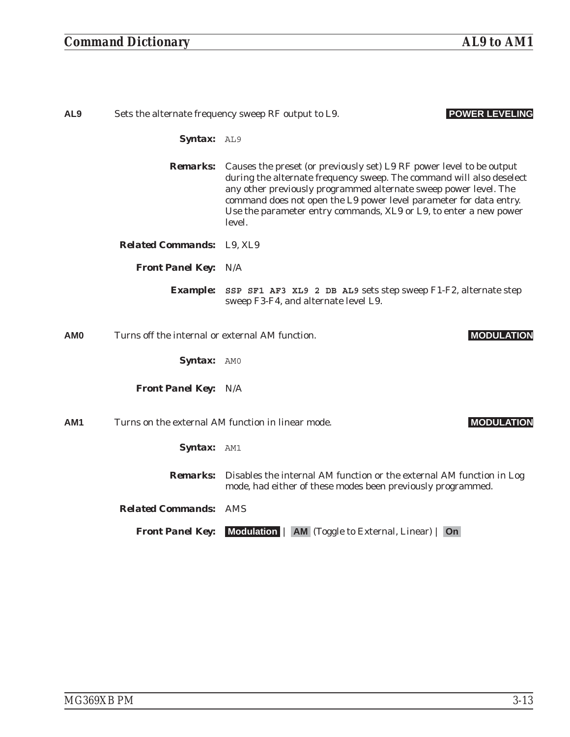| AL <sub>9</sub> | Sets the alternate frequency sweep RF output to L9.<br><b>POWER LEVELING</b> |                                                                                                                                                                                                                                                                                                                                                                                       |
|-----------------|------------------------------------------------------------------------------|---------------------------------------------------------------------------------------------------------------------------------------------------------------------------------------------------------------------------------------------------------------------------------------------------------------------------------------------------------------------------------------|
|                 | Syntax: AL9                                                                  |                                                                                                                                                                                                                                                                                                                                                                                       |
|                 |                                                                              | <b>Remarks:</b> Causes the preset (or previously set) L9 RF power level to be output<br>during the alternate frequency sweep. The command will also deselect<br>any other previously programmed alternate sweep power level. The<br>command does not open the L9 power level parameter for data entry.<br>Use the parameter entry commands, XL9 or L9, to enter a new power<br>level. |
|                 | <b>Related Commands:</b> L9, XL9                                             |                                                                                                                                                                                                                                                                                                                                                                                       |
|                 | <b>Front Panel Key: N/A</b>                                                  |                                                                                                                                                                                                                                                                                                                                                                                       |
|                 |                                                                              | <b>Example:</b> SSP SF1 AF3 XL9 2 DB AL9 sets step sweep F1-F2, alternate step<br>sweep F3-F4, and alternate level L9.                                                                                                                                                                                                                                                                |
| AM <sub>0</sub> | Turns off the internal or external AM function.                              | <b>MODULATION</b>                                                                                                                                                                                                                                                                                                                                                                     |
|                 | Syntax: AMO                                                                  |                                                                                                                                                                                                                                                                                                                                                                                       |
|                 | <b>Front Panel Key: N/A</b>                                                  |                                                                                                                                                                                                                                                                                                                                                                                       |
| AM <sub>1</sub> |                                                                              | Turns on the external AM function in linear mode.<br><b>MODULATION</b>                                                                                                                                                                                                                                                                                                                |
|                 | Syntax: AM1                                                                  |                                                                                                                                                                                                                                                                                                                                                                                       |
|                 |                                                                              | <b>Remarks:</b> Disables the internal AM function or the external AM function in Log<br>mode, had either of these modes been previously programmed.                                                                                                                                                                                                                                   |
|                 | <b>Related Commands: AMS</b>                                                 |                                                                                                                                                                                                                                                                                                                                                                                       |
|                 | <b>Front Panel Key:</b>                                                      | Modulation   AM (Toggle to External, Linear)   On                                                                                                                                                                                                                                                                                                                                     |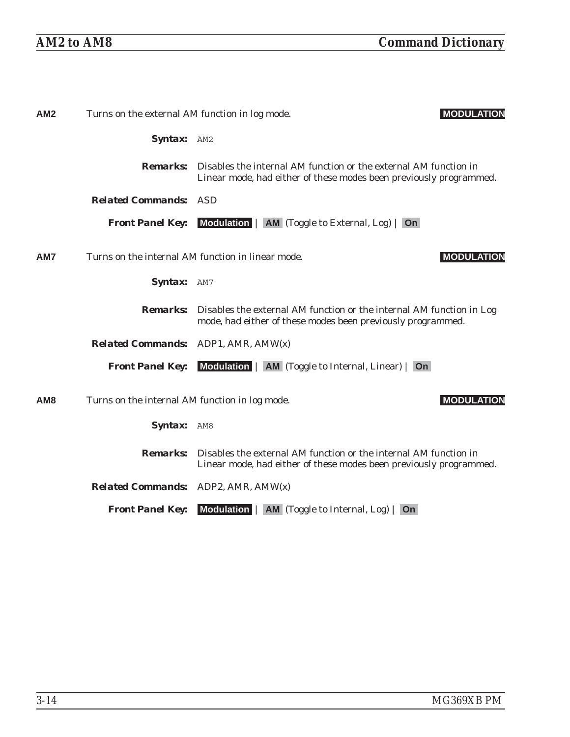| AM2             | Turns on the external AM function in log mode. | <b>MODULATION</b>                                                                                                                                      |
|-----------------|------------------------------------------------|--------------------------------------------------------------------------------------------------------------------------------------------------------|
|                 | Syntax: AM2                                    |                                                                                                                                                        |
|                 |                                                | <b>Remarks:</b> Disables the internal AM function or the external AM function in<br>Linear mode, had either of these modes been previously programmed. |
|                 | <b>Related Commands: ASD</b>                   |                                                                                                                                                        |
|                 |                                                | <b>Front Panel Key:</b> Modulation   AM (Toggle to External, Log)   On                                                                                 |
| AM7             |                                                | Turns on the internal AM function in linear mode.<br><b>MODULATION</b>                                                                                 |
|                 | Syntax: AM7                                    |                                                                                                                                                        |
|                 |                                                | <b>Remarks:</b> Disables the external AM function or the internal AM function in Log<br>mode, had either of these modes been previously programmed.    |
|                 | <b>Related Commands:</b> ADP1, AMR, AMW(x)     |                                                                                                                                                        |
|                 |                                                | <b>Front Panel Key:</b> Modulation   AM (Toggle to Internal, Linear)   On                                                                              |
| AM <sub>8</sub> | Turns on the internal AM function in log mode. | <b>MODULATION</b>                                                                                                                                      |
|                 | Syntax: AM8                                    |                                                                                                                                                        |
|                 | <i><b>Remarks:</b></i>                         | Disables the external AM function or the internal AM function in<br>Linear mode, had either of these modes been previously programmed.                 |
|                 | <b>Related Commands:</b> ADP2, AMR, AMW(x)     |                                                                                                                                                        |
|                 |                                                |                                                                                                                                                        |

*Front Panel Key:* **Modulation** | **AM** (Toggle to Internal, Log) | **On**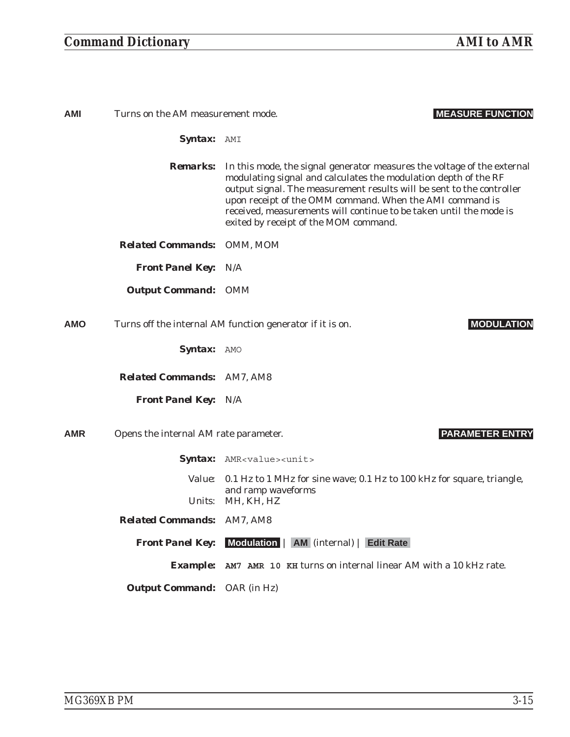# *Command Dictionary AMI to AMR*

| AMI        | Turns on the AM measurement mode.     | <b>MEASURE FUNCTION</b>                                                                                                                                                                                                                                                                                                                                                                        |
|------------|---------------------------------------|------------------------------------------------------------------------------------------------------------------------------------------------------------------------------------------------------------------------------------------------------------------------------------------------------------------------------------------------------------------------------------------------|
|            | Syntax: AMI                           |                                                                                                                                                                                                                                                                                                                                                                                                |
|            | <b>Remarks:</b>                       | In this mode, the signal generator measures the voltage of the external<br>modulating signal and calculates the modulation depth of the RF<br>output signal. The measurement results will be sent to the controller<br>upon receipt of the OMM command. When the AMI command is<br>received, measurements will continue to be taken until the mode is<br>exited by receipt of the MOM command. |
|            | <b>Related Commands: OMM, MOM</b>     |                                                                                                                                                                                                                                                                                                                                                                                                |
|            | <b>Front Panel Key: N/A</b>           |                                                                                                                                                                                                                                                                                                                                                                                                |
|            | <b>Output Command: OMM</b>            |                                                                                                                                                                                                                                                                                                                                                                                                |
| <b>AMO</b> |                                       | Turns off the internal AM function generator if it is on.<br><b>MODULATION</b>                                                                                                                                                                                                                                                                                                                 |
|            | Syntax: AMO                           |                                                                                                                                                                                                                                                                                                                                                                                                |
|            | <b>Related Commands: AM7, AM8</b>     |                                                                                                                                                                                                                                                                                                                                                                                                |
|            | <b>Front Panel Key: N/A</b>           |                                                                                                                                                                                                                                                                                                                                                                                                |
| AMR        | Opens the internal AM rate parameter. | <b>PARAMETER ENTRY</b>                                                                                                                                                                                                                                                                                                                                                                         |
|            |                                       | Syntax: AMR <value><unit></unit></value>                                                                                                                                                                                                                                                                                                                                                       |
|            | <i>Value:</i>                         | 0.1 Hz to 1 MHz for sine wave; 0.1 Hz to 100 kHz for square, triangle,<br>and ramp waveforms                                                                                                                                                                                                                                                                                                   |
|            |                                       | Units: MH, KH, HZ                                                                                                                                                                                                                                                                                                                                                                              |
|            | <b>Related Commands: AM7, AM8</b>     |                                                                                                                                                                                                                                                                                                                                                                                                |
|            |                                       | <b>Front Panel Key:</b> Modulation   AM (internal)   Edit Rate                                                                                                                                                                                                                                                                                                                                 |
|            |                                       | <b>Example:</b> AM7 AMR 10 KH turns on internal linear AM with a 10 kHz rate.                                                                                                                                                                                                                                                                                                                  |
|            | <b>Output Command:</b> OAR (in Hz)    |                                                                                                                                                                                                                                                                                                                                                                                                |
|            |                                       |                                                                                                                                                                                                                                                                                                                                                                                                |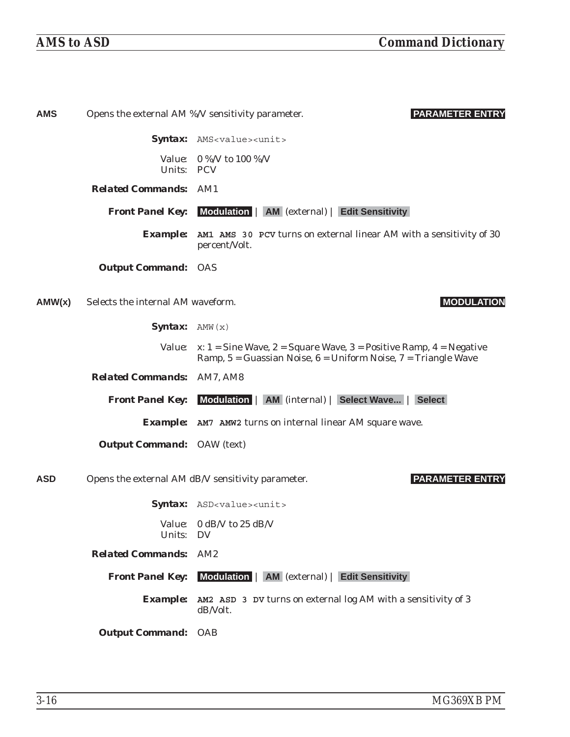| <b>AMS</b> |                                   | <b>PARAMETER ENTRY</b><br>Opens the external AM %/V sensitivity parameter.                                                                   |
|------------|-----------------------------------|----------------------------------------------------------------------------------------------------------------------------------------------|
|            |                                   | Syntax: AMS <value><unit></unit></value>                                                                                                     |
|            | Units: PCV                        | Value: 0 %/V to 100 %/V                                                                                                                      |
|            | <b>Related Commands: AM1</b>      |                                                                                                                                              |
|            |                                   | <b>Front Panel Key:</b> Modulation   AM (external)   Edit Sensitivity                                                                        |
|            |                                   | <b>Example:</b> AM1 AMS 30 PCV turns on external linear AM with a sensitivity of 30<br>percent/Volt.                                         |
|            | <b>Output Command: OAS</b>        |                                                                                                                                              |
| AMW(x)     | Selects the internal AM waveform. | <b>MODULATION</b>                                                                                                                            |
|            | <b>Syntax:</b> $AMW(x)$           |                                                                                                                                              |
|            | <i>Value:</i>                     | x: $1 =$ Sine Wave, $2 =$ Square Wave, $3 =$ Positive Ramp, $4 =$ Negative<br>Ramp, 5 = Guassian Noise, 6 = Uniform Noise, 7 = Triangle Wave |
|            | <b>Related Commands: AM7, AM8</b> |                                                                                                                                              |
|            |                                   | <b>Front Panel Key:</b> Modulation   AM (internal)   Select Wave   Select                                                                    |
|            |                                   | <b>Example:</b> AM7 AMW2 turns on internal linear AM square wave.                                                                            |
|            | <b>Output Command:</b> OAW (text) |                                                                                                                                              |
| <b>ASD</b> |                                   | <b>PARAMETER ENTRY</b><br>Opens the external AM dB/V sensitivity parameter.                                                                  |
|            |                                   | Syntax: ASD <value><unit></unit></value>                                                                                                     |
|            | Units: DV                         | Value: 0 dB/V to 25 dB/V                                                                                                                     |
|            | <b>Related Commands: AM2</b>      |                                                                                                                                              |
|            |                                   | <b>Front Panel Key:</b> Modulation   AM (external)   Edit Sensitivity                                                                        |
|            |                                   | <b>Example:</b> AM2 ASD 3 DV turns on external log AM with a sensitivity of 3<br>dB/Volt.                                                    |
|            | <b>Output Command: OAB</b>        |                                                                                                                                              |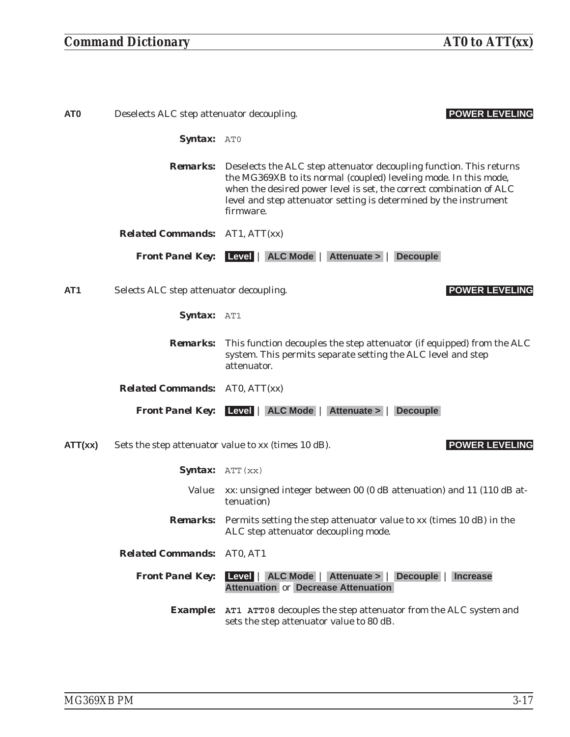| AT <sub>0</sub> | <b>POWER LEVELING</b><br>Deselects ALC step attenuator decoupling. |                                                                                                                                                                                                                                                                                                                  |
|-----------------|--------------------------------------------------------------------|------------------------------------------------------------------------------------------------------------------------------------------------------------------------------------------------------------------------------------------------------------------------------------------------------------------|
|                 | Syntax: ATO                                                        |                                                                                                                                                                                                                                                                                                                  |
|                 |                                                                    | <b>Remarks:</b> Deselects the ALC step attenuator decoupling function. This returns<br>the MG369XB to its normal (coupled) leveling mode. In this mode,<br>when the desired power level is set, the correct combination of ALC<br>level and step attenuator setting is determined by the instrument<br>firmware. |
|                 | <b>Related Commands:</b> AT1, ATT(xx)                              |                                                                                                                                                                                                                                                                                                                  |
|                 |                                                                    | <b>Front Panel Key:</b> Level   ALC Mode   Attenuate >   Decouple                                                                                                                                                                                                                                                |
| AT <sub>1</sub> | Selects ALC step attenuator decoupling.                            | <b>POWER LEVELING</b>                                                                                                                                                                                                                                                                                            |
|                 | Syntax: AT1                                                        |                                                                                                                                                                                                                                                                                                                  |
|                 | <i><b>Remarks:</b></i>                                             | This function decouples the step attenuator (if equipped) from the ALC<br>system. This permits separate setting the ALC level and step<br>attenuator.                                                                                                                                                            |
|                 | <b>Related Commands:</b> AT0, ATT(xx)                              |                                                                                                                                                                                                                                                                                                                  |
|                 |                                                                    | <b>Front Panel Key:</b> Level   ALC Mode   Attenuate >   Decouple                                                                                                                                                                                                                                                |
| ATT(xx)         |                                                                    | <b>POWER LEVELING</b><br>Sets the step attenuator value to xx (times 10 dB).                                                                                                                                                                                                                                     |
|                 | <b>Syntax:</b> $ATT(xx)$                                           |                                                                                                                                                                                                                                                                                                                  |
|                 | <i>Value:</i>                                                      | xx: unsigned integer between 00 (0 dB attenuation) and 11 (110 dB at-<br>tenuation)                                                                                                                                                                                                                              |
|                 |                                                                    | <b>Remarks:</b> Permits setting the step attenuator value to xx (times 10 dB) in the<br>ALC step attenuator decoupling mode.                                                                                                                                                                                     |
|                 | <b>Related Commands: AT0, AT1</b>                                  |                                                                                                                                                                                                                                                                                                                  |
|                 | <b>Front Panel Key:</b>                                            | Level   ALC Mode   Attenuate >   Decouple  <br><b>Increase</b><br><b>Attenuation or Decrease Attenuation</b>                                                                                                                                                                                                     |
|                 |                                                                    | <b>Example:</b> AT1 ATT08 decouples the step attenuator from the ALC system and<br>sets the step attenuator value to 80 dB.                                                                                                                                                                                      |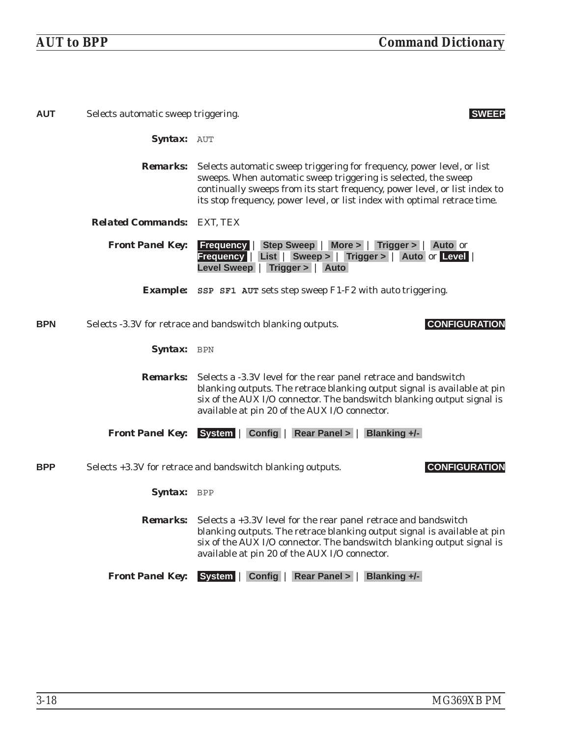| <b>AUT</b> | Selects automatic sweep triggering.<br><b>SWEEP</b> |                                                                                                                                                                                                                                                                                                     |
|------------|-----------------------------------------------------|-----------------------------------------------------------------------------------------------------------------------------------------------------------------------------------------------------------------------------------------------------------------------------------------------------|
|            | Syntax: AUT                                         |                                                                                                                                                                                                                                                                                                     |
|            | <i><b>Remarks:</b></i>                              | Selects automatic sweep triggering for frequency, power level, or list<br>sweeps. When automatic sweep triggering is selected, the sweep<br>continually sweeps from its start frequency, power level, or list index to<br>its stop frequency, power level, or list index with optimal retrace time. |
|            | <b>Related Commands: EXT, TEX</b>                   |                                                                                                                                                                                                                                                                                                     |
|            | <b>Front Panel Key:</b>                             | <b>Frequency</b>   Step Sweep   More >   Trigger >   Auto or<br>Frequency   List   Sweep >   Trigger >   Auto or Level<br>Level Sweep   Trigger >   Auto                                                                                                                                            |
|            |                                                     | <b>Example:</b> SSP SF1 AUT sets step sweep F1-F2 with auto triggering.                                                                                                                                                                                                                             |
| <b>BPN</b> |                                                     | <b>CONFIGURATION</b><br>Selects -3.3V for retrace and bandswitch blanking outputs.                                                                                                                                                                                                                  |
|            | Syntax: BPN                                         |                                                                                                                                                                                                                                                                                                     |
|            | <i>Remarks:</i>                                     | Selects a -3.3V level for the rear panel retrace and bandswitch<br>blanking outputs. The retrace blanking output signal is available at pin<br>six of the AUX I/O connector. The bandswitch blanking output signal is<br>available at pin 20 of the AUX I/O connector.                              |
|            | <b>Front Panel Key:</b>                             | System   Config   Rear Panel >   Blanking +/-                                                                                                                                                                                                                                                       |
| <b>BPP</b> |                                                     | <b>CONFIGURATION</b><br>Selects +3.3V for retrace and bandswitch blanking outputs.                                                                                                                                                                                                                  |
|            | Syntax: BPP                                         |                                                                                                                                                                                                                                                                                                     |
|            | <b>Remarks:</b>                                     | Selects a +3.3V level for the rear panel retrace and bandswitch<br>blanking outputs. The retrace blanking output signal is available at pin<br>six of the AUX I/O connector. The bandswitch blanking output signal is<br>available at pin 20 of the AUX I/O connector.                              |
|            | <b>Front Panel Key:</b>                             | System   Config   Rear Panel >   Blanking +/-                                                                                                                                                                                                                                                       |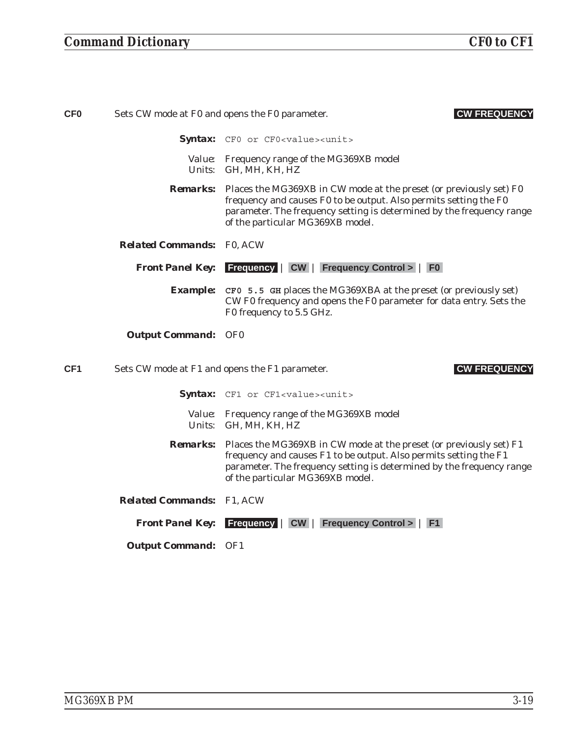| <b>CF0</b>      | Sets CW mode at F0 and opens the F0 parameter. | <b>CW FREQUENCY</b>                                                                                                                                                                                                                                                  |
|-----------------|------------------------------------------------|----------------------------------------------------------------------------------------------------------------------------------------------------------------------------------------------------------------------------------------------------------------------|
|                 |                                                | Syntax: CFO or CFO <value><unit></unit></value>                                                                                                                                                                                                                      |
|                 |                                                | Value: Frequency range of the MG369XB model<br>Units: GH, MH, KH, HZ                                                                                                                                                                                                 |
|                 |                                                | <b>Remarks:</b> Places the MG369XB in CW mode at the preset (or previously set) F0<br>frequency and causes F0 to be output. Also permits setting the F0<br>parameter. The frequency setting is determined by the frequency range<br>of the particular MG369XB model. |
|                 | <b>Related Commands: F0, ACW</b>               |                                                                                                                                                                                                                                                                      |
|                 |                                                | Front Panel Key: Frequency   CW   Frequency Control >   F0                                                                                                                                                                                                           |
|                 |                                                | <b>Example:</b> CF0 5.5 GH places the MG369XBA at the preset (or previously set)<br>CW F0 frequency and opens the F0 parameter for data entry. Sets the<br>F0 frequency to 5.5 GHz.                                                                                  |
|                 | <b>Output Command: OF0</b>                     |                                                                                                                                                                                                                                                                      |
| CF <sub>1</sub> | Sets CW mode at F1 and opens the F1 parameter. | <b>CW FREQUENCY</b>                                                                                                                                                                                                                                                  |
|                 |                                                | Syntax: CF1 or CF1 <value><unit></unit></value>                                                                                                                                                                                                                      |
|                 |                                                | Value: Frequency range of the MG369XB model<br>Units: GH, MH, KH, HZ                                                                                                                                                                                                 |
|                 |                                                | <b>Remarks:</b> Places the MG369XB in CW mode at the preset (or previously set) F1<br>frequency and causes F1 to be output. Also permits setting the F1<br>parameter. The frequency setting is determined by the frequency range<br>of the particular MG369XB model. |
|                 | <b>Related Commands:</b> F1, ACW               |                                                                                                                                                                                                                                                                      |
|                 |                                                | <b>Front Panel Key:</b> Frequency   CW   Frequency Control >   F1                                                                                                                                                                                                    |
|                 | <b>Output Command: OF1</b>                     |                                                                                                                                                                                                                                                                      |
|                 |                                                |                                                                                                                                                                                                                                                                      |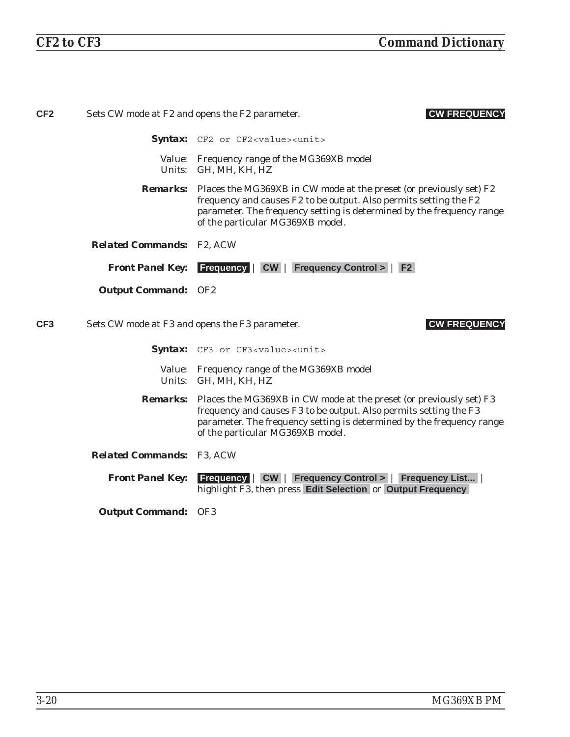| CF <sub>2</sub> | <b>CW FREQUENCY</b><br>Sets CW mode at F2 and opens the F2 parameter. |                                                                                                                                                                                                                                                                      |
|-----------------|-----------------------------------------------------------------------|----------------------------------------------------------------------------------------------------------------------------------------------------------------------------------------------------------------------------------------------------------------------|
|                 |                                                                       | Syntax: CF2 or CF2 <value><unit></unit></value>                                                                                                                                                                                                                      |
|                 |                                                                       | Value: Frequency range of the MG369XB model<br>Units: GH, MH, KH, HZ                                                                                                                                                                                                 |
|                 |                                                                       | <b>Remarks:</b> Places the MG369XB in CW mode at the preset (or previously set) F2<br>frequency and causes F2 to be output. Also permits setting the F2<br>parameter. The frequency setting is determined by the frequency range<br>of the particular MG369XB model. |
|                 | <b>Related Commands: F2, ACW</b>                                      |                                                                                                                                                                                                                                                                      |
|                 |                                                                       | <b>Front Panel Key:</b> Frequency   CW   Frequency Control >   F2                                                                                                                                                                                                    |
|                 | <b>Output Command: OF2</b>                                            |                                                                                                                                                                                                                                                                      |
| CF <sub>3</sub> | Sets CW mode at F3 and opens the F3 parameter.                        | <b>CW FREQUENCY</b>                                                                                                                                                                                                                                                  |
|                 |                                                                       | <b>Syntax:</b> CF3 or CF3 <value><unit></unit></value>                                                                                                                                                                                                               |
|                 |                                                                       | Value: Frequency range of the MG369XB model<br>Units: GH, MH, KH, HZ                                                                                                                                                                                                 |
|                 |                                                                       | <b>Remarks:</b> Places the MG369XB in CW mode at the preset (or previously set) F3<br>frequency and causes F3 to be output. Also permits setting the F3<br>parameter. The frequency setting is determined by the frequency range<br>of the particular MG369XB model. |
|                 | <b>Related Commands: F3, ACW</b>                                      |                                                                                                                                                                                                                                                                      |
|                 | <b>Front Panel Key:</b>                                               | <b>Frequency   CW   Frequency Control &gt;   Frequency List  </b><br>highlight F3, then press Edit Selection or Output Frequency                                                                                                                                     |
|                 | <b>Output Command: OF3</b>                                            |                                                                                                                                                                                                                                                                      |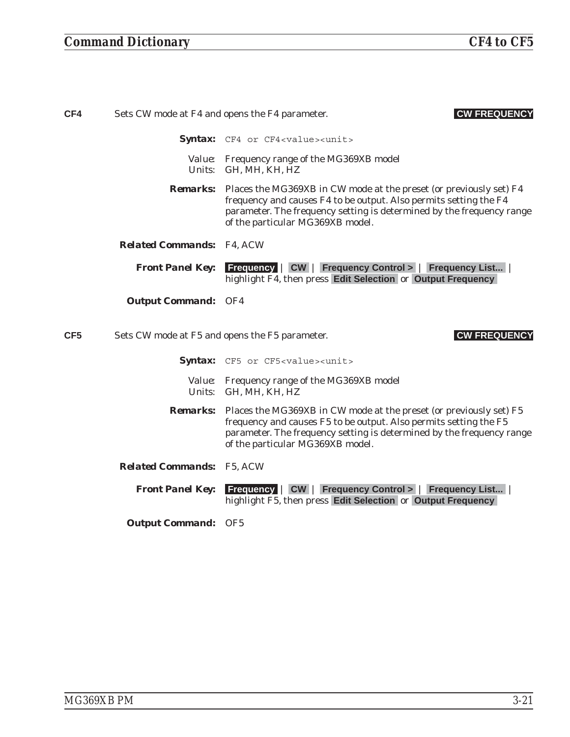| CF4             | Sets CW mode at F4 and opens the F4 parameter. | <b>CW FREQUENCY</b>                                                                                                                                                                                                                                                  |
|-----------------|------------------------------------------------|----------------------------------------------------------------------------------------------------------------------------------------------------------------------------------------------------------------------------------------------------------------------|
|                 |                                                | Syntax: CF4 or CF4 <value><unit></unit></value>                                                                                                                                                                                                                      |
|                 |                                                | Value: Frequency range of the MG369XB model<br>Units: GH, MH, KH, HZ                                                                                                                                                                                                 |
|                 |                                                | <b>Remarks:</b> Places the MG369XB in CW mode at the preset (or previously set) F4<br>frequency and causes F4 to be output. Also permits setting the F4<br>parameter. The frequency setting is determined by the frequency range<br>of the particular MG369XB model. |
|                 | <b>Related Commands:</b> F4, ACW               |                                                                                                                                                                                                                                                                      |
|                 | <b>Front Panel Key:</b>                        | <b>Frequency   CW   Frequency Control &gt;   Frequency List</b><br>highlight F4, then press Edit Selection or Output Frequency                                                                                                                                       |
|                 | <b>Output Command: OF4</b>                     |                                                                                                                                                                                                                                                                      |
| CF <sub>5</sub> |                                                | <b>CW FREQUENCY</b><br>Sets CW mode at F5 and opens the F5 parameter.                                                                                                                                                                                                |
|                 |                                                | Syntax: CF5 or CF5 <value><unit></unit></value>                                                                                                                                                                                                                      |
|                 |                                                | Value: Frequency range of the MG369XB model<br>Units: GH, MH, KH, HZ                                                                                                                                                                                                 |
|                 |                                                | <b>Remarks:</b> Places the MG369XB in CW mode at the preset (or previously set) F5<br>frequency and causes F5 to be output. Also permits setting the F5<br>parameter. The frequency setting is determined by the frequency range<br>of the particular MG369XB model. |
|                 | <b>Related Commands: F5, ACW</b>               |                                                                                                                                                                                                                                                                      |
|                 | <b>Front Panel Key:</b>                        | <b>Frequency   CW   Frequency Control &gt;   Frequency List</b>  <br>highlight F5, then press Edit Selection or Output Frequency                                                                                                                                     |
|                 | <b>Output Command: OF5</b>                     |                                                                                                                                                                                                                                                                      |
|                 |                                                |                                                                                                                                                                                                                                                                      |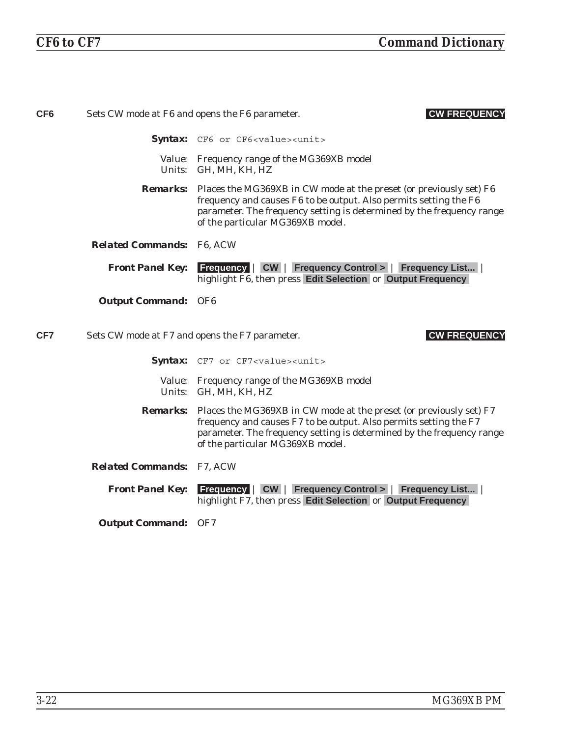| CF <sub>6</sub> |                                                | <b>CW FREQUENCY</b><br>Sets CW mode at F6 and opens the F6 parameter.                                                                                                                                                                                                |
|-----------------|------------------------------------------------|----------------------------------------------------------------------------------------------------------------------------------------------------------------------------------------------------------------------------------------------------------------------|
|                 |                                                | <b>Syntax:</b> CF6 or CF6 <value><unit></unit></value>                                                                                                                                                                                                               |
|                 |                                                | Value: Frequency range of the MG369XB model<br>Units: GH, MH, KH, HZ                                                                                                                                                                                                 |
|                 |                                                | <b>Remarks:</b> Places the MG369XB in CW mode at the preset (or previously set) F6<br>frequency and causes F6 to be output. Also permits setting the F6<br>parameter. The frequency setting is determined by the frequency range<br>of the particular MG369XB model. |
|                 | <b>Related Commands: F6, ACW</b>               |                                                                                                                                                                                                                                                                      |
|                 | <b>Front Panel Key:</b>                        | <b>Frequency   CW   Frequency Control &gt;   Frequency List</b><br>highlight F6, then press Edit Selection or Output Frequency                                                                                                                                       |
|                 | <b>Output Command: OF6</b>                     |                                                                                                                                                                                                                                                                      |
| CF7             | Sets CW mode at F7 and opens the F7 parameter. | <b>CW FREQUENCY</b>                                                                                                                                                                                                                                                  |
|                 |                                                |                                                                                                                                                                                                                                                                      |
|                 |                                                | <b>Syntax:</b> CF7 or CF7 <value><unit></unit></value>                                                                                                                                                                                                               |
|                 |                                                | Value: Frequency range of the MG369XB model<br>Units: GH, MH, KH, HZ                                                                                                                                                                                                 |
|                 |                                                | <b>Remarks:</b> Places the MG369XB in CW mode at the preset (or previously set) F7<br>frequency and causes F7 to be output. Also permits setting the F7<br>parameter. The frequency setting is determined by the frequency range<br>of the particular MG369XB model. |
|                 | <b>Related Commands: F7, ACW</b>               |                                                                                                                                                                                                                                                                      |
|                 | <b>Front Panel Key:</b>                        | <b>Frequency   CW   Frequency Control &gt;   Frequency List</b><br>highlight F7, then press Edit Selection or Output Frequency                                                                                                                                       |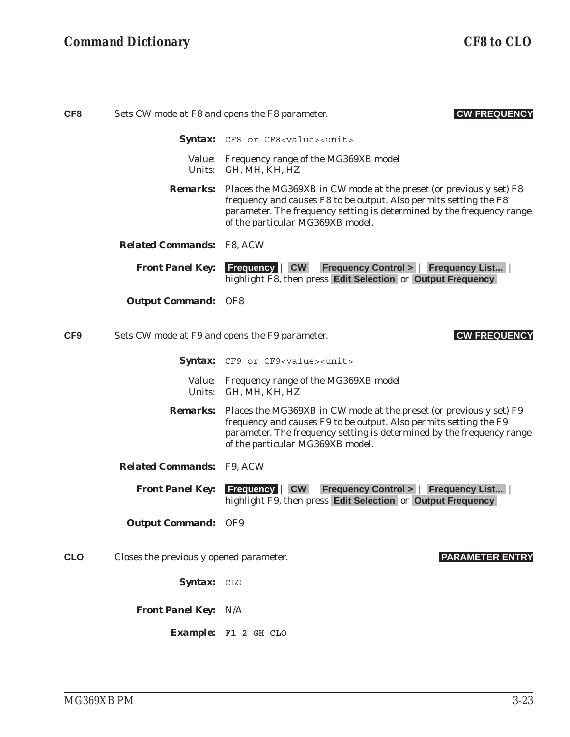| CF <sub>8</sub> |                                         | Sets CW mode at F8 and opens the F8 parameter.<br><b>CW FREQUENCY</b>                                                                                                                                                                                                |
|-----------------|-----------------------------------------|----------------------------------------------------------------------------------------------------------------------------------------------------------------------------------------------------------------------------------------------------------------------|
|                 |                                         | Syntax: CF8 or CF8 <value><unit></unit></value>                                                                                                                                                                                                                      |
|                 |                                         | Value: Frequency range of the MG369XB model<br>Units: GH, MH, KH, HZ                                                                                                                                                                                                 |
|                 |                                         | <b>Remarks:</b> Places the MG369XB in CW mode at the preset (or previously set) F8<br>frequency and causes F8 to be output. Also permits setting the F8<br>parameter. The frequency setting is determined by the frequency range<br>of the particular MG369XB model. |
|                 | <b>Related Commands: F8, ACW</b>        |                                                                                                                                                                                                                                                                      |
|                 | <b>Front Panel Key:</b>                 | <b>Frequency   CW   Frequency Control &gt;   Frequency List</b><br>highlight F8, then press Edit Selection or Output Frequency                                                                                                                                       |
|                 | <b>Output Command: OF8</b>              |                                                                                                                                                                                                                                                                      |
| CF <sub>9</sub> |                                         | Sets CW mode at F9 and opens the F9 parameter.<br><b>CW FREQUENCY</b>                                                                                                                                                                                                |
|                 |                                         | Syntax: CF9 or CF9 <value><unit></unit></value>                                                                                                                                                                                                                      |
|                 |                                         | Value: Frequency range of the MG369XB model<br>Units: GH, MH, KH, HZ                                                                                                                                                                                                 |
|                 |                                         | <b>Remarks:</b> Places the MG369XB in CW mode at the preset (or previously set) F9<br>frequency and causes F9 to be output. Also permits setting the F9<br>parameter. The frequency setting is determined by the frequency range<br>of the particular MG369XB model. |
|                 | <b>Related Commands: F9, ACW</b>        |                                                                                                                                                                                                                                                                      |
|                 | <b>Front Panel Key:</b>                 | <b>Frequency   CW   Frequency Control &gt;   Frequency List</b><br>highlight F9, then press Edit Selection or Output Frequency                                                                                                                                       |
|                 | <b>Output Command: OF9</b>              |                                                                                                                                                                                                                                                                      |
| <b>CLO</b>      | Closes the previously opened parameter. | <b>PARAMETER ENTRY</b>                                                                                                                                                                                                                                               |
|                 | Syntax: CLO                             |                                                                                                                                                                                                                                                                      |
|                 | <b>Front Panel Key: N/A</b>             |                                                                                                                                                                                                                                                                      |
|                 |                                         | Example: F1 2 GH CLO                                                                                                                                                                                                                                                 |
|                 |                                         |                                                                                                                                                                                                                                                                      |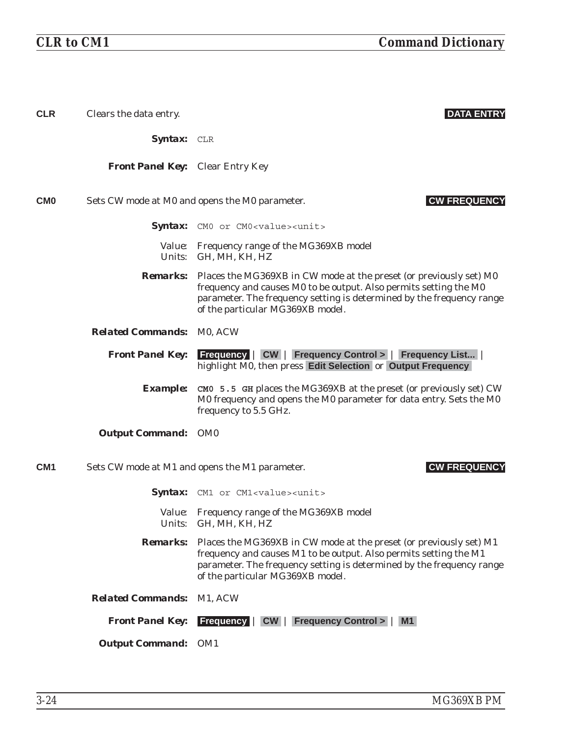| <b>CLR</b>      | Clears the data entry.                  | <b>DATA ENTRY</b>                                                                                                                                                                                                                                                    |
|-----------------|-----------------------------------------|----------------------------------------------------------------------------------------------------------------------------------------------------------------------------------------------------------------------------------------------------------------------|
|                 | <b>Syntax:</b> CLR                      |                                                                                                                                                                                                                                                                      |
|                 | <b>Front Panel Key:</b> Clear Entry Key |                                                                                                                                                                                                                                                                      |
| <b>CMO</b>      |                                         | <b>CW FREQUENCY</b><br>Sets CW mode at M0 and opens the M0 parameter.                                                                                                                                                                                                |
|                 |                                         | <b>Syntax:</b> CMO or CMO <value><unit></unit></value>                                                                                                                                                                                                               |
|                 |                                         | Value: Frequency range of the MG369XB model<br>Units: GH, MH, KH, HZ                                                                                                                                                                                                 |
|                 |                                         | <b>Remarks:</b> Places the MG369XB in CW mode at the preset (or previously set) M0<br>frequency and causes M0 to be output. Also permits setting the M0<br>parameter. The frequency setting is determined by the frequency range<br>of the particular MG369XB model. |
|                 | <b>Related Commands: MO, ACW</b>        |                                                                                                                                                                                                                                                                      |
|                 | <b>Front Panel Key:</b>                 | <b>Frequency   CW   Frequency Control &gt;   Frequency List  </b><br>highlight M0, then press Edit Selection or Output Frequency                                                                                                                                     |
|                 | <b>Example:</b>                         | CMO 5.5 GH places the MG369XB at the preset (or previously set) CW<br>M0 frequency and opens the M0 parameter for data entry. Sets the M0<br>frequency to 5.5 GHz.                                                                                                   |
|                 | <b>Output Command: OM0</b>              |                                                                                                                                                                                                                                                                      |
| CM <sub>1</sub> |                                         | <b>CW FREQUENCY</b><br>Sets CW mode at M1 and opens the M1 parameter.                                                                                                                                                                                                |
|                 |                                         | Syntax: CM1 or CM1 <value><unit></unit></value>                                                                                                                                                                                                                      |
|                 |                                         | Value: Frequency range of the MG369XB model<br>Units: GH, MH, KH, HZ                                                                                                                                                                                                 |
|                 | <b>Remarks:</b>                         | Places the MG369XB in CW mode at the preset (or previously set) M1<br>frequency and causes M1 to be output. Also permits setting the M1<br>parameter. The frequency setting is determined by the frequency range<br>of the particular MG369XB model.                 |
|                 | <b>Related Commands:</b>                | M1, ACW                                                                                                                                                                                                                                                              |
|                 | <b>Front Panel Key:</b>                 | <b>Frequency   CW   Frequency Control &gt;   M1</b>                                                                                                                                                                                                                  |
|                 | <b>Output Command: OM1</b>              |                                                                                                                                                                                                                                                                      |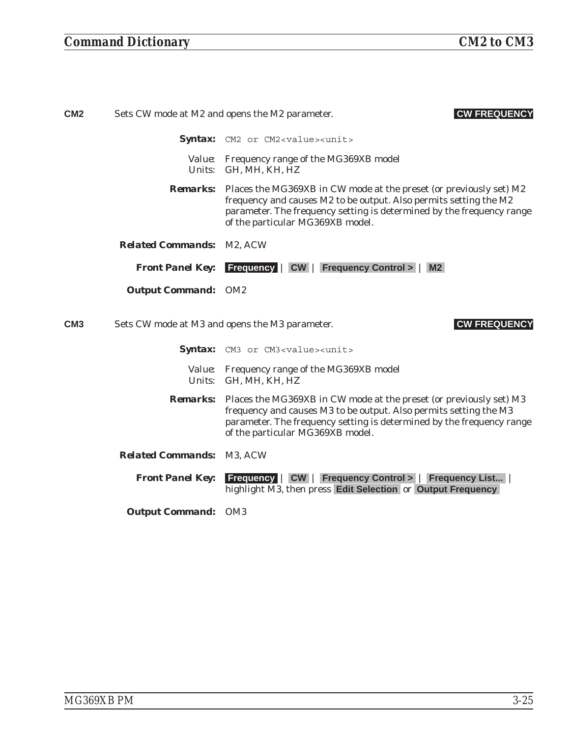| CM <sub>2</sub> | <b>CW FREQUENCY</b><br>Sets CW mode at M2 and opens the M2 parameter. |                                                                                                                                                                                                                                                                      |
|-----------------|-----------------------------------------------------------------------|----------------------------------------------------------------------------------------------------------------------------------------------------------------------------------------------------------------------------------------------------------------------|
|                 |                                                                       | <b>Syntax:</b> CM2 or CM2 <value><unit></unit></value>                                                                                                                                                                                                               |
|                 | <i>Units:</i>                                                         | <i>Value:</i> Frequency range of the MG369XB model<br>GH, MH, KH, HZ                                                                                                                                                                                                 |
|                 |                                                                       | <b>Remarks:</b> Places the MG369XB in CW mode at the preset (or previously set) M2<br>frequency and causes M2 to be output. Also permits setting the M2<br>parameter. The frequency setting is determined by the frequency range<br>of the particular MG369XB model. |
|                 | <b>Related Commands: M2, ACW</b>                                      |                                                                                                                                                                                                                                                                      |
|                 |                                                                       | <b>Front Panel Key:</b> Frequency   CW   Frequency Control >  <br>M2                                                                                                                                                                                                 |
|                 | <b>Output Command: OM2</b>                                            |                                                                                                                                                                                                                                                                      |
| CM <sub>3</sub> |                                                                       | Sets CW mode at M3 and opens the M3 parameter.<br><b>CW FREQUENCY</b>                                                                                                                                                                                                |

Syntax: CM3 or CM3<value><unit>

- *Value:* Frequency range of the MG369XB model *Units:* GH, MH, KH, HZ
- *Remarks:* Places the MG369XB in CW mode at the preset (or previously set) M3 frequency and causes M3 to be output. Also permits setting the M3 parameter. The frequency setting is determined by the frequency range of the particular MG369XB model.
- *Related Commands:* M3, ACW

*Front Panel Key:* **Frequency** | **CW** | **Frequency Control >** | **Frequency List...** | highlight M3, then press **Edit Selection** or **Output Frequency**

*Output Command:* OM3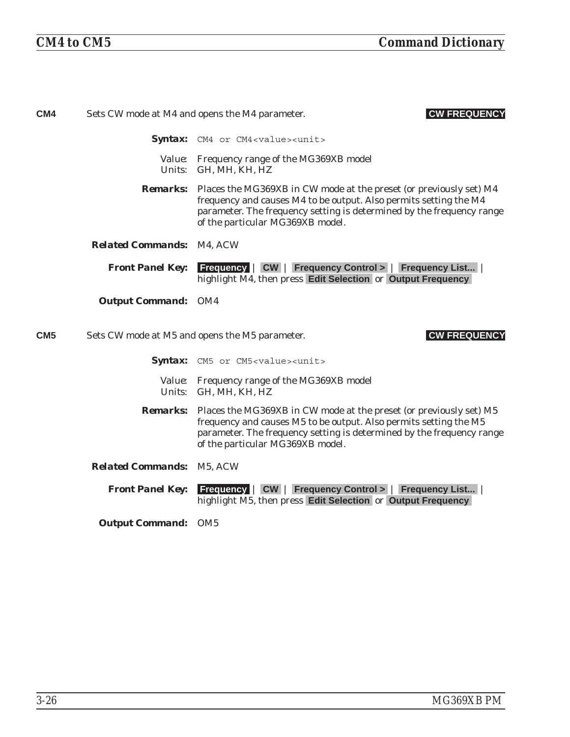| CM4             |                                  | <b>CW FREQUENCY</b><br>Sets CW mode at M4 and opens the M4 parameter.                                                                                                                                                                                                |
|-----------------|----------------------------------|----------------------------------------------------------------------------------------------------------------------------------------------------------------------------------------------------------------------------------------------------------------------|
|                 |                                  | <b>Syntax:</b> CM4 or CM4 <value><unit></unit></value>                                                                                                                                                                                                               |
|                 |                                  | Value: Frequency range of the MG369XB model<br>Units: GH, MH, KH, HZ                                                                                                                                                                                                 |
|                 |                                  | <b>Remarks:</b> Places the MG369XB in CW mode at the preset (or previously set) M4<br>frequency and causes M4 to be output. Also permits setting the M4<br>parameter. The frequency setting is determined by the frequency range<br>of the particular MG369XB model. |
|                 | <b>Related Commands: M4, ACW</b> |                                                                                                                                                                                                                                                                      |
|                 |                                  | <b>Front Panel Key:</b> Frequency   CW   Frequency Control >   Frequency List  <br>highlight M4, then press Edit Selection or Output Frequency                                                                                                                       |
|                 | <b>Output Command: OM4</b>       |                                                                                                                                                                                                                                                                      |
| CM <sub>5</sub> |                                  | <b>CW FREQUENCY</b><br>Sets CW mode at M5 and opens the M5 parameter.                                                                                                                                                                                                |
|                 |                                  | Syntax: CM5 or CM5 <value><unit></unit></value>                                                                                                                                                                                                                      |
|                 |                                  |                                                                                                                                                                                                                                                                      |
|                 |                                  | Value: Frequency range of the MG369XB model<br>Units: GH, MH, KH, HZ                                                                                                                                                                                                 |
|                 |                                  | <b>Remarks:</b> Places the MG369XB in CW mode at the preset (or previously set) M5<br>frequency and causes M5 to be output. Also permits setting the M5<br>parameter. The frequency setting is determined by the frequency range<br>of the particular MG369XB model. |
|                 | <b>Related Commands: M5, ACW</b> |                                                                                                                                                                                                                                                                      |
|                 | <b>Front Panel Key:</b>          | <b>Frequency   CW   Frequency Control &gt;   Frequency List</b><br>highlight M5, then press Edit Selection or Output Frequency                                                                                                                                       |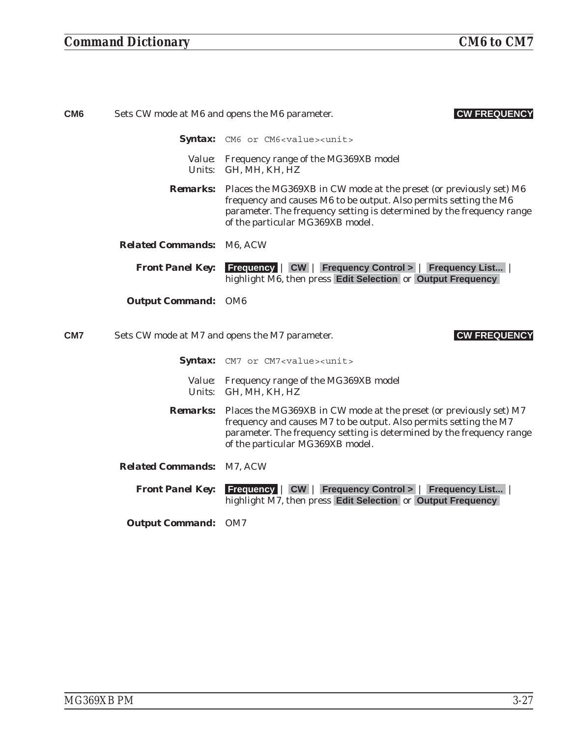| CM <sub>6</sub> |                                  | <b>CW FREQUENCY</b><br>Sets CW mode at M6 and opens the M6 parameter.                                                                                                                                                                                                |
|-----------------|----------------------------------|----------------------------------------------------------------------------------------------------------------------------------------------------------------------------------------------------------------------------------------------------------------------|
|                 |                                  | Syntax: CM6 or CM6 <value><unit></unit></value>                                                                                                                                                                                                                      |
|                 |                                  | Value: Frequency range of the MG369XB model<br>Units: GH, MH, KH, HZ                                                                                                                                                                                                 |
|                 |                                  | <b>Remarks:</b> Places the MG369XB in CW mode at the preset (or previously set) M6<br>frequency and causes M6 to be output. Also permits setting the M6<br>parameter. The frequency setting is determined by the frequency range<br>of the particular MG369XB model. |
|                 | <b>Related Commands: M6, ACW</b> |                                                                                                                                                                                                                                                                      |
|                 | <b>Front Panel Key:</b>          | <b>Frequency   CW   Frequency Control &gt;   Frequency List  </b><br>highlight M6, then press Edit Selection or Output Frequency                                                                                                                                     |
|                 | <b>Output Command: OM6</b>       |                                                                                                                                                                                                                                                                      |
| CM <sub>7</sub> |                                  | <b>CW FREQUENCY</b><br>Sets CW mode at M7 and opens the M7 parameter.                                                                                                                                                                                                |
|                 |                                  | Syntax: CM7 or CM7 <value><unit></unit></value>                                                                                                                                                                                                                      |
|                 |                                  | Value: Frequency range of the MG369XB model<br>Units: GH, MH, KH, HZ                                                                                                                                                                                                 |
|                 |                                  | <b>Remarks:</b> Places the MG369XB in CW mode at the preset (or previously set) M7<br>frequency and causes M7 to be output. Also permits setting the M7<br>parameter. The frequency setting is determined by the frequency range<br>of the particular MG369XB model. |
|                 | <b>Related Commands: M7, ACW</b> |                                                                                                                                                                                                                                                                      |
|                 | <b>Front Panel Key:</b>          | <b>Frequency   CW   Frequency Control &gt;   Frequency List  </b><br>highlight M7, then press Edit Selection or Output Frequency                                                                                                                                     |
|                 | <b>Output Command: OM7</b>       |                                                                                                                                                                                                                                                                      |
|                 |                                  |                                                                                                                                                                                                                                                                      |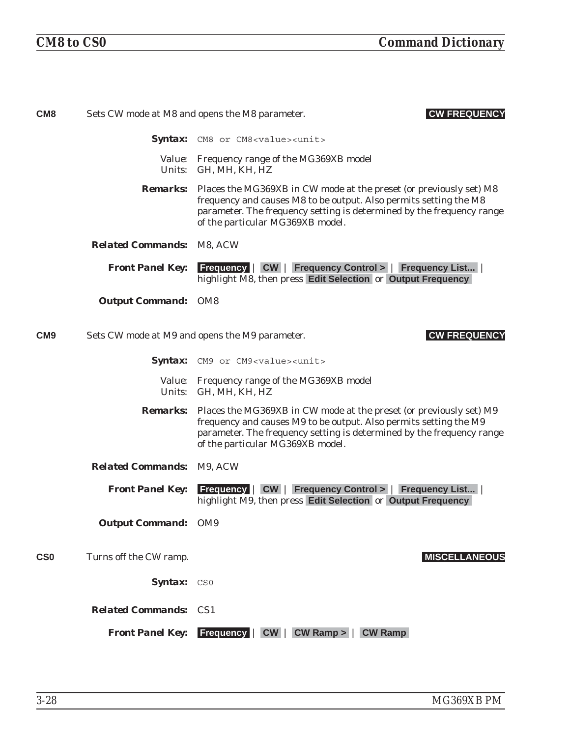| CM <sub>8</sub> |                                  | Sets CW mode at M8 and opens the M8 parameter.<br><b>CW FREQUENCY</b>                                                                                                                                                                                                |
|-----------------|----------------------------------|----------------------------------------------------------------------------------------------------------------------------------------------------------------------------------------------------------------------------------------------------------------------|
|                 |                                  | Syntax: CM8 or CM8 <value><unit></unit></value>                                                                                                                                                                                                                      |
|                 |                                  | Value: Frequency range of the MG369XB model<br>Units: GH, MH, KH, HZ                                                                                                                                                                                                 |
|                 |                                  | <b>Remarks:</b> Places the MG369XB in CW mode at the preset (or previously set) M8<br>frequency and causes M8 to be output. Also permits setting the M8<br>parameter. The frequency setting is determined by the frequency range<br>of the particular MG369XB model. |
|                 | <b>Related Commands: M8, ACW</b> |                                                                                                                                                                                                                                                                      |
|                 | <b>Front Panel Key:</b>          | <b>Frequency   CW   Frequency Control &gt;   Frequency List  </b><br>highlight M8, then press Edit Selection or Output Frequency                                                                                                                                     |
|                 | <b>Output Command: OM8</b>       |                                                                                                                                                                                                                                                                      |
| CM <sub>9</sub> |                                  | Sets CW mode at M9 and opens the M9 parameter.<br><b>CW FREQUENCY</b>                                                                                                                                                                                                |
|                 |                                  | Syntax: CM9 or CM9 <value><unit></unit></value>                                                                                                                                                                                                                      |
|                 |                                  | Value: Frequency range of the MG369XB model<br>Units: GH, MH, KH, HZ                                                                                                                                                                                                 |
|                 |                                  | <b>Remarks:</b> Places the MG369XB in CW mode at the preset (or previously set) M9<br>frequency and causes M9 to be output. Also permits setting the M9<br>parameter. The frequency setting is determined by the frequency range<br>of the particular MG369XB model. |
|                 | <b>Related Commands: M9, ACW</b> |                                                                                                                                                                                                                                                                      |
|                 | <b>Front Panel Key:</b>          | <b>Frequency   CW   Frequency Control &gt;   Frequency List  </b><br>highlight M9, then press Edit Selection or Output Frequency                                                                                                                                     |
|                 | <b>Output Command: OM9</b>       |                                                                                                                                                                                                                                                                      |
| <b>CSO</b>      | Turns off the CW ramp.           | <b>MISCELLANEOUS</b>                                                                                                                                                                                                                                                 |
|                 | Syntax: CSO                      |                                                                                                                                                                                                                                                                      |
|                 | <b>Related Commands: CS1</b>     |                                                                                                                                                                                                                                                                      |
|                 |                                  | <b>Front Panel Key:</b> Frequency   CW   CW Ramp >   CW Ramp                                                                                                                                                                                                         |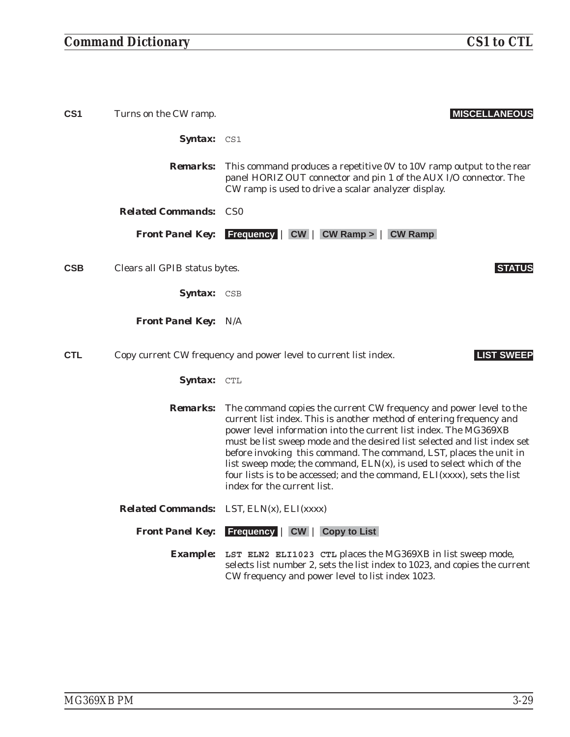# *Command Dictionary CS1 to CTL*

| CS1        | Turns on the CW ramp.         | <b>MISCELLANEOUS</b>                                                                                                                                                                                                                                                                                                                                                                                                                                                                                                                                  |
|------------|-------------------------------|-------------------------------------------------------------------------------------------------------------------------------------------------------------------------------------------------------------------------------------------------------------------------------------------------------------------------------------------------------------------------------------------------------------------------------------------------------------------------------------------------------------------------------------------------------|
|            | Syntax: CS1                   |                                                                                                                                                                                                                                                                                                                                                                                                                                                                                                                                                       |
|            | <b>Remarks:</b>               | This command produces a repetitive 0V to 10V ramp output to the rear<br>panel HORIZ OUT connector and pin 1 of the AUX I/O connector. The<br>CW ramp is used to drive a scalar analyzer display.                                                                                                                                                                                                                                                                                                                                                      |
|            | <b>Related Commands:</b>      | CS <sub>0</sub>                                                                                                                                                                                                                                                                                                                                                                                                                                                                                                                                       |
|            |                               | <b>Front Panel Key:</b> Frequency   CW   CW Ramp >   CW Ramp                                                                                                                                                                                                                                                                                                                                                                                                                                                                                          |
| <b>CSB</b> | Clears all GPIB status bytes. | <b>STATUS</b>                                                                                                                                                                                                                                                                                                                                                                                                                                                                                                                                         |
|            | <b>Syntax:</b> CSB            |                                                                                                                                                                                                                                                                                                                                                                                                                                                                                                                                                       |
|            | <b>Front Panel Key: N/A</b>   |                                                                                                                                                                                                                                                                                                                                                                                                                                                                                                                                                       |
| <b>CTL</b> |                               | <b>LIST SWEEP</b><br>Copy current CW frequency and power level to current list index.                                                                                                                                                                                                                                                                                                                                                                                                                                                                 |
|            | <b>Syntax:</b> CTL            |                                                                                                                                                                                                                                                                                                                                                                                                                                                                                                                                                       |
|            | <i><b>Remarks:</b></i>        | The command copies the current CW frequency and power level to the<br>current list index. This is another method of entering frequency and<br>power level information into the current list index. The MG369XB<br>must be list sweep mode and the desired list selected and list index set<br>before invoking this command. The command, LST, places the unit in<br>list sweep mode; the command, $ELN(x)$ , is used to select which of the<br>four lists is to be accessed; and the command, ELI(xxxx), sets the list<br>index for the current list. |
|            |                               | <b>Related Commands:</b> LST, ELN(x), ELI(xxxx)                                                                                                                                                                                                                                                                                                                                                                                                                                                                                                       |
|            |                               | <b>Front Panel Key:</b> Frequency   CW   Copy to List                                                                                                                                                                                                                                                                                                                                                                                                                                                                                                 |
|            |                               | <b>Example:</b> LST ELN2 ELI1023 CTL places the MG369XB in list sweep mode,<br>selects list number 2, sets the list index to 1023, and copies the current<br>CW frequency and power level to list index 1023.                                                                                                                                                                                                                                                                                                                                         |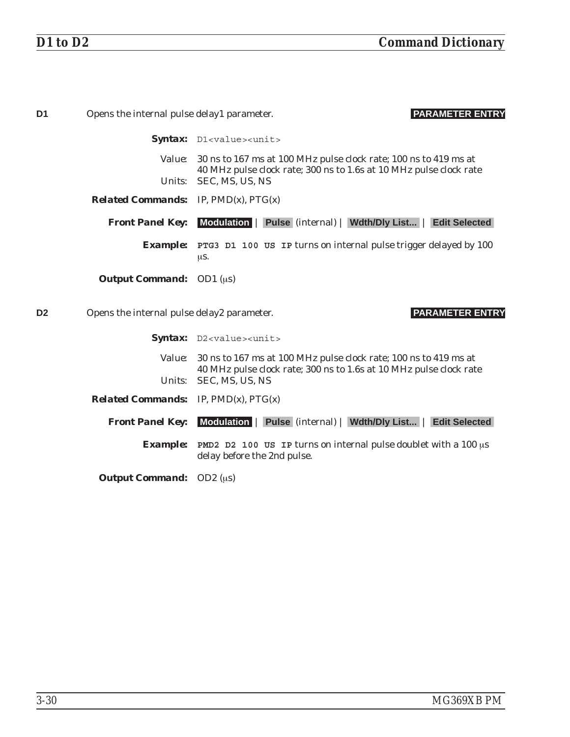| D <sub>1</sub> | Opens the internal pulse delay1 parameter.       | <b>PARAMETER ENTRY</b>                                                                                                                 |
|----------------|--------------------------------------------------|----------------------------------------------------------------------------------------------------------------------------------------|
|                |                                                  | Syntax: D1 <value><unit></unit></value>                                                                                                |
|                | <i>Value:</i>                                    | 30 ns to 167 ms at 100 MHz pulse clock rate; 100 ns to 419 ms at<br>40 MHz pulse clock rate; 300 ns to 1.6s at 10 MHz pulse clock rate |
|                | Units:                                           | SEC, MS, US, NS                                                                                                                        |
|                | <i>Related Commands:</i> IP, $PMD(x)$ , $PTG(x)$ |                                                                                                                                        |
|                | <b>Front Panel Key:</b>                          | Modulation   Pulse (internal)   Wdth/Dly List   Edit Selected                                                                          |
|                |                                                  | <b>Example:</b> PTG3 D1 100 US IP turns on internal pulse trigger delayed by 100<br>μs.                                                |
|                | <b>Output Command:</b> OD1 $(\mu s)$             |                                                                                                                                        |
| D <sub>2</sub> | Opens the internal pulse delay2 parameter.       | <b>PARAMETER ENTRY</b>                                                                                                                 |
|                |                                                  | Syntax: D2 <value><unit></unit></value>                                                                                                |
|                | <i>Value:</i>                                    | 30 ns to 167 ms at 100 MHz pulse clock rate; 100 ns to 419 ms at<br>40 MHz pulse clock rate; 300 ns to 1.6s at 10 MHz pulse clock rate |
|                | <i>Units:</i>                                    | SEC, MS, US, NS                                                                                                                        |
|                | <b>Related Commands:</b> IP, $PMD(x)$ , $PTG(x)$ |                                                                                                                                        |
|                | <b>Front Panel Key:</b>                          | Modulation   Pulse (internal)   Wdth/Dly List   Edit Selected                                                                          |
|                | <b>Example:</b>                                  | <b>PMD2</b> D2 100 US IP turns on internal pulse doublet with a 100 $\mu$ s<br>delay before the 2nd pulse.                             |
|                | <b>Output Command:</b>                           | OD2 $(\mu s)$                                                                                                                          |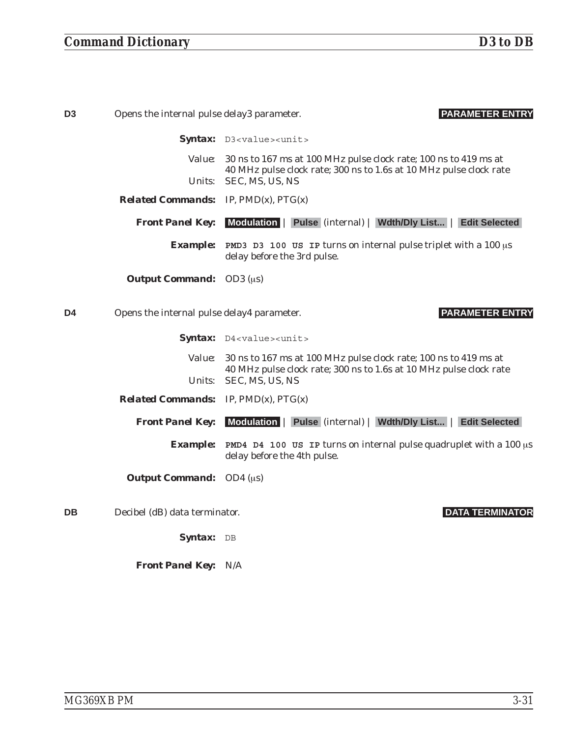| D <sub>3</sub> | Opens the internal pulse delay3 parameter.       | <b>PARAMETER ENTRY</b>                                                                                                                        |
|----------------|--------------------------------------------------|-----------------------------------------------------------------------------------------------------------------------------------------------|
|                |                                                  | Syntax: D3 <value><unit></unit></value>                                                                                                       |
|                |                                                  | Value: 30 ns to 167 ms at 100 MHz pulse clock rate; 100 ns to 419 ms at<br>40 MHz pulse clock rate; 300 ns to 1.6s at 10 MHz pulse clock rate |
|                | <i>Units:</i>                                    | SEC, MS, US, NS                                                                                                                               |
|                | <b>Related Commands:</b> IP, $PMD(x)$ , $PTG(x)$ |                                                                                                                                               |
|                | <b>Front Panel Key:</b>                          | Modulation   Pulse (internal)   Wdth/Dly List   Edit Selected                                                                                 |
|                | <b>Example:</b>                                  | <b>PMD3</b> D3 100 US IP turns on internal pulse triplet with a 100 $\mu$ s<br>delay before the 3rd pulse.                                    |
|                | <b>Output Command:</b> OD3 ( $\mu$ s)            |                                                                                                                                               |
|                |                                                  |                                                                                                                                               |
| D <sub>4</sub> | Opens the internal pulse delay4 parameter.       | <b>PARAMETER ENTRY</b>                                                                                                                        |
|                |                                                  | Syntax: D4 <value><unit></unit></value>                                                                                                       |
|                | <i>Value:</i>                                    | 30 ns to 167 ms at 100 MHz pulse clock rate; 100 ns to 419 ms at                                                                              |
|                | Units:                                           | 40 MHz pulse clock rate; 300 ns to 1.6s at 10 MHz pulse clock rate<br>SEC, MS, US, NS                                                         |
|                | <b>Related Commands:</b> IP, $PMD(x)$ , $PTG(x)$ |                                                                                                                                               |
|                | <b>Front Panel Key:</b>                          | Modulation   Pulse (internal)   Wdth/Dly List   Edit Selected                                                                                 |
|                | <b>Example:</b>                                  | <b>PMD4</b> D4 100 US IP turns on internal pulse quadruplet with a 100 $\mu$ s<br>delay before the 4th pulse.                                 |

**DB** Decibel (dB) data terminator. **DATA TERMINATOR**

Syntax: DB

*Front Panel Key:* N/A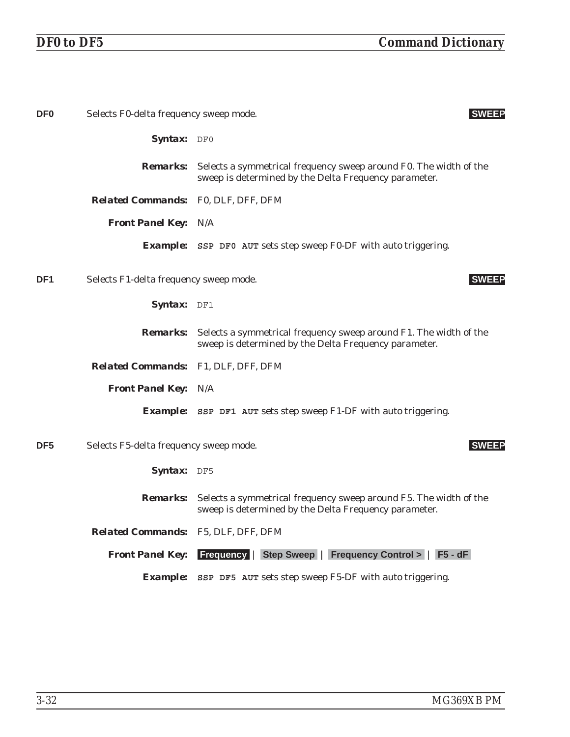| DF <sub>0</sub> | Selects F0-delta frequency sweep mode.     |                                                                                                                                            | <b>SWEEP</b> |
|-----------------|--------------------------------------------|--------------------------------------------------------------------------------------------------------------------------------------------|--------------|
|                 | Syntax: DF0                                |                                                                                                                                            |              |
|                 |                                            | <b>Remarks:</b> Selects a symmetrical frequency sweep around F0. The width of the<br>sweep is determined by the Delta Frequency parameter. |              |
|                 | <b>Related Commands:</b> F0, DLF, DFF, DFM |                                                                                                                                            |              |
|                 | <b>Front Panel Key: N/A</b>                |                                                                                                                                            |              |
|                 |                                            | <b>Example:</b> SSP DF0 AUT sets step sweep F0-DF with auto triggering.                                                                    |              |
| DF <sub>1</sub> | Selects F1-delta frequency sweep mode.     |                                                                                                                                            | <b>SWEEP</b> |
|                 | Syntax: DF1                                |                                                                                                                                            |              |
|                 |                                            | <b>Remarks:</b> Selects a symmetrical frequency sweep around F1. The width of the<br>sweep is determined by the Delta Frequency parameter. |              |
|                 | Related Commands: F1, DLF, DFF, DFM        |                                                                                                                                            |              |
|                 | <b>Front Panel Key: N/A</b>                |                                                                                                                                            |              |
|                 |                                            | <b>Example:</b> SSP DF1 AUT sets step sweep F1-DF with auto triggering.                                                                    |              |
| DF <sub>5</sub> | Selects F5-delta frequency sweep mode.     |                                                                                                                                            | <b>SWEEP</b> |
|                 | Syntax: DF5                                |                                                                                                                                            |              |
|                 |                                            | <b>Remarks:</b> Selects a symmetrical frequency sweep around F5. The width of the<br>sweep is determined by the Delta Frequency parameter. |              |
|                 | <b>Related Commands:</b> F5, DLF, DFF, DFM |                                                                                                                                            |              |
|                 |                                            | <b>Front Panel Key:</b> Frequency   Step Sweep   Frequency Control >   F5 - dF                                                             |              |
|                 |                                            | <b>Example:</b> SSP DF5 AUT sets step sweep F5-DF with auto triggering.                                                                    |              |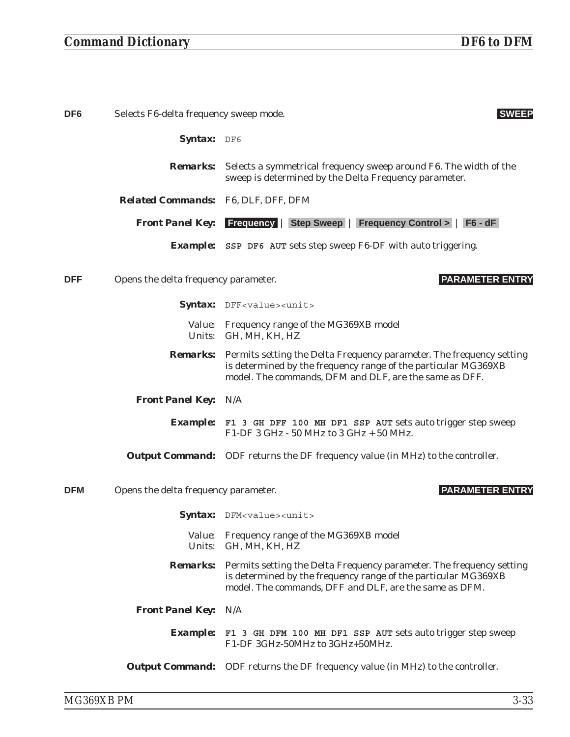# *Command Dictionary DF6 to DFM*

| DF <sub>6</sub> | Selects F6-delta frequency sweep mode. | <b>SWEEP</b>                                                                                                                                                                                                     |
|-----------------|----------------------------------------|------------------------------------------------------------------------------------------------------------------------------------------------------------------------------------------------------------------|
|                 | Syntax: DF6                            |                                                                                                                                                                                                                  |
|                 |                                        | <b>Remarks:</b> Selects a symmetrical frequency sweep around F6. The width of the<br>sweep is determined by the Delta Frequency parameter.                                                                       |
|                 | Related Commands: F6, DLF, DFF, DFM    |                                                                                                                                                                                                                  |
|                 |                                        | <b>Front Panel Key:</b> Frequency   Step Sweep   Frequency Control >   F6 - dF                                                                                                                                   |
|                 |                                        | <b>Example:</b> SSP DF6 AUT sets step sweep F6-DF with auto triggering.                                                                                                                                          |
| <b>DFF</b>      | Opens the delta frequency parameter.   | <b>PARAMETER ENTRY</b>                                                                                                                                                                                           |
|                 |                                        | Syntax: DFF <value><unit></unit></value>                                                                                                                                                                         |
|                 |                                        | Value: Frequency range of the MG369XB model<br>Units: GH, MH, KH, HZ                                                                                                                                             |
|                 |                                        | <b>Remarks:</b> Permits setting the Delta Frequency parameter. The frequency setting<br>is determined by the frequency range of the particular MG369XB<br>model. The commands, DFM and DLF, are the same as DFF. |
|                 | <b>Front Panel Key: N/A</b>            |                                                                                                                                                                                                                  |
|                 |                                        | <b>Example:</b> F1 3 GH DFF 100 MH DF1 SSP AUT sets auto trigger step sweep<br>F1-DF 3 GHz - 50 MHz to 3 GHz + 50 MHz.                                                                                           |
|                 |                                        | <b>Output Command:</b> ODF returns the DF frequency value (in MHz) to the controller.                                                                                                                            |
| <b>DFM</b>      | Opens the delta frequency parameter.   | <b>PARAMETER ENTRY</b>                                                                                                                                                                                           |
|                 |                                        | Syntax: DFM <value><unit></unit></value>                                                                                                                                                                         |
|                 |                                        | Value: Frequency range of the MG369XB model<br>Units: GH, MH, KH, HZ                                                                                                                                             |
|                 |                                        | <b>Remarks:</b> Permits setting the Delta Frequency parameter. The frequency setting<br>is determined by the frequency range of the particular MG369XB<br>model. The commands, DFF and DLF, are the same as DFM. |
|                 | Front Panel Key: N/A                   |                                                                                                                                                                                                                  |
|                 |                                        | Example: F1 3 GH DFM 100 MH DF1 SSP AUT sets auto trigger step sweep<br>F1-DF 3GHz-50MHz to 3GHz+50MHz.                                                                                                          |
|                 |                                        | <b>Output Command:</b> ODF returns the DF frequency value (in MHz) to the controller.                                                                                                                            |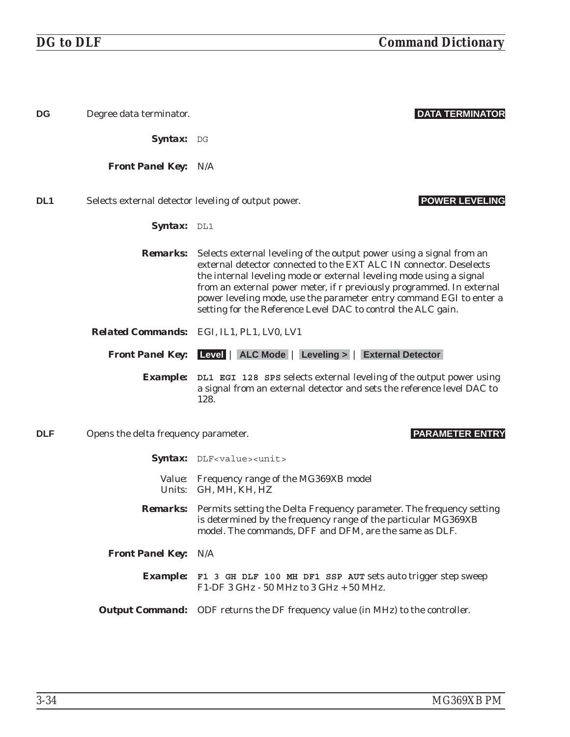| <b>DG</b>       | Degree data terminator.              | <b>DATA TERMINATOR</b>                                                                                                                                                                                                                                                                                                                                                                                                                            |
|-----------------|--------------------------------------|---------------------------------------------------------------------------------------------------------------------------------------------------------------------------------------------------------------------------------------------------------------------------------------------------------------------------------------------------------------------------------------------------------------------------------------------------|
|                 | Syntax: DG                           |                                                                                                                                                                                                                                                                                                                                                                                                                                                   |
|                 | <b>Front Panel Key: N/A</b>          |                                                                                                                                                                                                                                                                                                                                                                                                                                                   |
| DL <sub>1</sub> |                                      | <b>POWER LEVELING</b><br>Selects external detector leveling of output power.                                                                                                                                                                                                                                                                                                                                                                      |
|                 | <b>Syntax:</b> DL1                   |                                                                                                                                                                                                                                                                                                                                                                                                                                                   |
|                 |                                      | <b>Remarks:</b> Selects external leveling of the output power using a signal from an<br>external detector connected to the EXT ALC IN connector. Deselects<br>the internal leveling mode or external leveling mode using a signal<br>from an external power meter, if r previously programmed. In external<br>power leveling mode, use the parameter entry command EGI to enter a<br>setting for the Reference Level DAC to control the ALC gain. |
|                 |                                      | Related Commands: EGI, IL1, PL1, LV0, LV1                                                                                                                                                                                                                                                                                                                                                                                                         |
|                 |                                      | <b>Front Panel Key:</b> Level   ALC Mode   Leveling >   External Detector                                                                                                                                                                                                                                                                                                                                                                         |
|                 |                                      | Example: DL1 EGI 128 SPS selects external leveling of the output power using<br>a signal from an external detector and sets the reference level DAC to<br>128.                                                                                                                                                                                                                                                                                    |
| <b>DLF</b>      | Opens the delta frequency parameter. | <b>PARAMETER ENTRY</b>                                                                                                                                                                                                                                                                                                                                                                                                                            |
|                 |                                      | Syntax: DLF <value><unit></unit></value>                                                                                                                                                                                                                                                                                                                                                                                                          |
|                 |                                      | Value: Frequency range of the MG369XB model<br>Units: GH, MH, KH, HZ                                                                                                                                                                                                                                                                                                                                                                              |
|                 |                                      | <b>Remarks:</b> Permits setting the Delta Frequency parameter. The frequency setting<br>is determined by the frequency range of the particular MG369XB<br>model. The commands, DFF and DFM, are the same as DLF.                                                                                                                                                                                                                                  |
|                 | <b>Front Panel Key: N/A</b>          |                                                                                                                                                                                                                                                                                                                                                                                                                                                   |
|                 |                                      | <b>Example:</b> F1 3 GH DLF 100 MH DF1 SSP AUT sets auto trigger step sweep<br>F1-DF 3 GHz - 50 MHz to 3 GHz + 50 MHz.                                                                                                                                                                                                                                                                                                                            |
|                 |                                      | <b>Output Command:</b> ODF returns the DF frequency value (in MHz) to the controller.                                                                                                                                                                                                                                                                                                                                                             |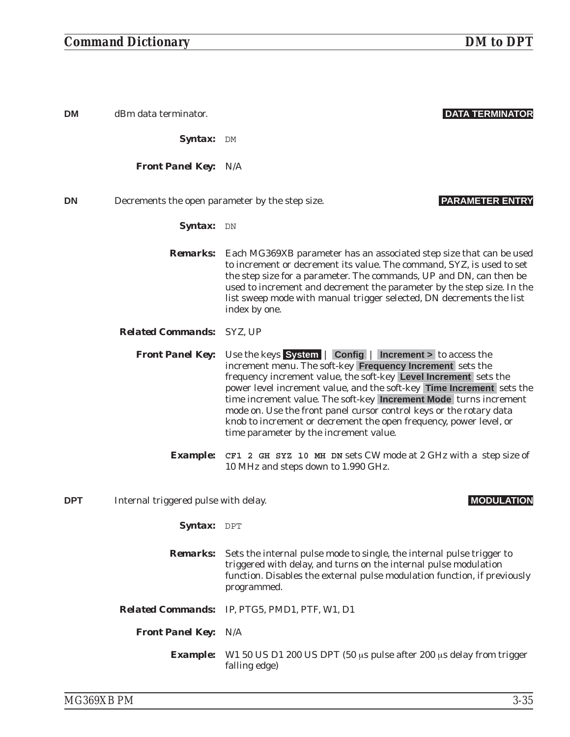| <b>DM</b>  | dBm data terminator.                            | <b>DATA TERMINATOR</b>                                                                                                                                                                                                                                                                                                                                                                                                                                                                                                         |
|------------|-------------------------------------------------|--------------------------------------------------------------------------------------------------------------------------------------------------------------------------------------------------------------------------------------------------------------------------------------------------------------------------------------------------------------------------------------------------------------------------------------------------------------------------------------------------------------------------------|
|            | Syntax: DM                                      |                                                                                                                                                                                                                                                                                                                                                                                                                                                                                                                                |
|            | <b>Front Panel Key: N/A</b>                     |                                                                                                                                                                                                                                                                                                                                                                                                                                                                                                                                |
| <b>DN</b>  | Decrements the open parameter by the step size. | <b>PARAMETER ENTRY</b>                                                                                                                                                                                                                                                                                                                                                                                                                                                                                                         |
|            | Syntax: DN                                      |                                                                                                                                                                                                                                                                                                                                                                                                                                                                                                                                |
|            | <b>Remarks:</b>                                 | Each MG369XB parameter has an associated step size that can be used<br>to increment or decrement its value. The command, SYZ, is used to set<br>the step size for a parameter. The commands, UP and DN, can then be<br>used to increment and decrement the parameter by the step size. In the<br>list sweep mode with manual trigger selected, DN decrements the list<br>index by one.                                                                                                                                         |
|            | <b>Related Commands: SYZ, UP</b>                |                                                                                                                                                                                                                                                                                                                                                                                                                                                                                                                                |
|            | <b>Front Panel Key:</b>                         | Use the keys System   Config   Increment > to access the<br>increment menu. The soft-key Frequency Increment sets the<br>frequency increment value, the soft-key Level Increment sets the<br>power level increment value, and the soft-key Time Increment sets the<br>time increment value. The soft-key Increment Mode turns increment<br>mode on. Use the front panel cursor control keys or the rotary data<br>knob to increment or decrement the open frequency, power level, or<br>time parameter by the increment value. |
|            | <b>Example:</b>                                 | CF1 2 GH SYZ 10 MH DN sets CW mode at 2 GHz with a step size of<br>10 MHz and steps down to 1.990 GHz.                                                                                                                                                                                                                                                                                                                                                                                                                         |
| <b>DPT</b> | Internal triggered pulse with delay.            | <b>MODULAT</b>                                                                                                                                                                                                                                                                                                                                                                                                                                                                                                                 |
|            | Syntax: DPT                                     |                                                                                                                                                                                                                                                                                                                                                                                                                                                                                                                                |
|            | <b>Remarks:</b>                                 | Sets the internal pulse mode to single, the internal pulse trigger to<br>triggered with delay, and turns on the internal pulse modulation<br>function. Disables the external pulse modulation function, if previously<br>programmed.                                                                                                                                                                                                                                                                                           |
|            |                                                 | <b>Related Commands:</b> IP, PTG5, PMD1, PTF, W1, D1                                                                                                                                                                                                                                                                                                                                                                                                                                                                           |
|            | <b>Front Panel Key: N/A</b>                     |                                                                                                                                                                                                                                                                                                                                                                                                                                                                                                                                |

*Example:* W1 50 US D1 200 US DPT (50 us pulse after 200 us delay from trigger falling edge)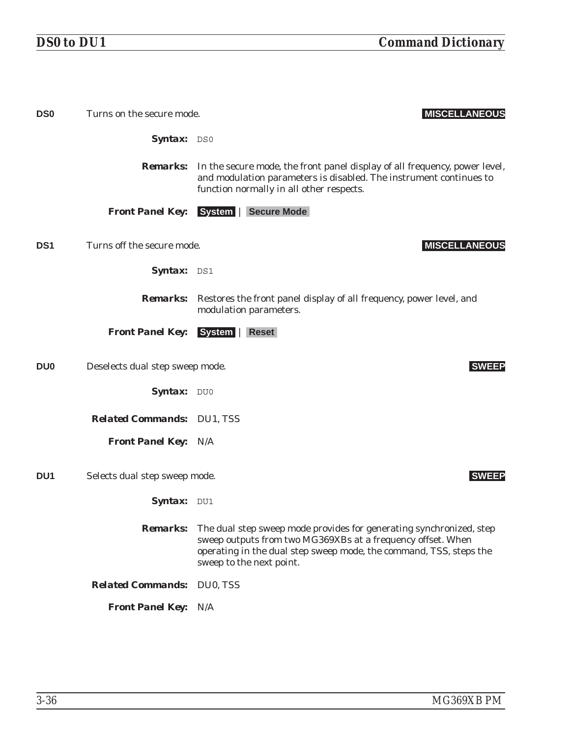| <b>DS0</b>      | Turns on the secure mode.         | <b>MISCELLANEOUS</b>                                                                                                                                                                                                                                 |
|-----------------|-----------------------------------|------------------------------------------------------------------------------------------------------------------------------------------------------------------------------------------------------------------------------------------------------|
|                 | Syntax: DS0                       |                                                                                                                                                                                                                                                      |
|                 |                                   | <b>Remarks:</b> In the secure mode, the front panel display of all frequency, power level,<br>and modulation parameters is disabled. The instrument continues to<br>function normally in all other respects.                                         |
|                 | <b>Front Panel Key:</b>           | System   Secure Mode                                                                                                                                                                                                                                 |
| DS <sub>1</sub> | Turns off the secure mode.        | <b>MISCELLANEOUS</b>                                                                                                                                                                                                                                 |
|                 | Syntax: DS1                       |                                                                                                                                                                                                                                                      |
|                 |                                   | <b>Remarks:</b> Restores the front panel display of all frequency, power level, and<br>modulation parameters.                                                                                                                                        |
|                 | <b>Front Panel Key:</b>           | System   Reset                                                                                                                                                                                                                                       |
| DU <sub>0</sub> | Deselects dual step sweep mode.   | <b>SWEEP</b>                                                                                                                                                                                                                                         |
|                 | Syntax: DU0                       |                                                                                                                                                                                                                                                      |
|                 | <b>Related Commands: DU1, TSS</b> |                                                                                                                                                                                                                                                      |
|                 | <b>Front Panel Key: N/A</b>       |                                                                                                                                                                                                                                                      |
| DU <sub>1</sub> | Selects dual step sweep mode.     | <b>SWEEP</b>                                                                                                                                                                                                                                         |
|                 | Syntax: DU1                       |                                                                                                                                                                                                                                                      |
|                 |                                   | <b>Remarks:</b> The dual step sweep mode provides for generating synchronized, step<br>sweep outputs from two MG369XBs at a frequency offset. When<br>operating in the dual step sweep mode, the command, TSS, steps the<br>sweep to the next point. |
|                 | <b>Related Commands: DU0, TSS</b> |                                                                                                                                                                                                                                                      |
|                 | <b>Front Panel Key: N/A</b>       |                                                                                                                                                                                                                                                      |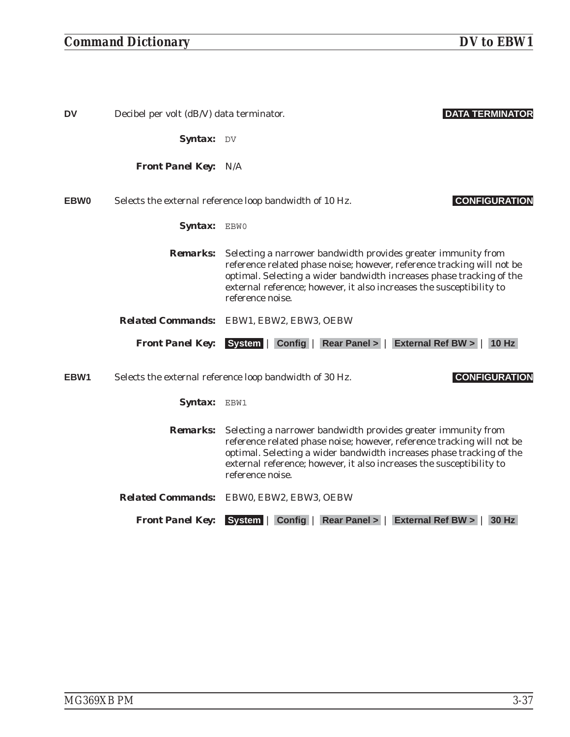| <b>DV</b>   | Decibel per volt (dB/V) data terminator. | <b>DATA TERMINATOR</b>                                                                                                                                                                                                                                                                                      |
|-------------|------------------------------------------|-------------------------------------------------------------------------------------------------------------------------------------------------------------------------------------------------------------------------------------------------------------------------------------------------------------|
|             | Syntax: DV                               |                                                                                                                                                                                                                                                                                                             |
|             | <b>Front Panel Key: N/A</b>              |                                                                                                                                                                                                                                                                                                             |
| <b>EBW0</b> |                                          | <b>CONFIGURATION</b><br>Selects the external reference loop bandwidth of 10 Hz.                                                                                                                                                                                                                             |
|             | Syntax: EBWO                             |                                                                                                                                                                                                                                                                                                             |
|             | <b>Remarks:</b>                          | Selecting a narrower bandwidth provides greater immunity from<br>reference related phase noise; however, reference tracking will not be<br>optimal. Selecting a wider bandwidth increases phase tracking of the<br>external reference; however, it also increases the susceptibility to<br>reference noise. |
|             |                                          | Related Commands: EBW1, EBW2, EBW3, OEBW                                                                                                                                                                                                                                                                    |
|             |                                          | Front Panel Key: System   Config   Rear Panel >   External Ref BW >   10 Hz                                                                                                                                                                                                                                 |
| EBW1        |                                          | <b>CONFIGURATION</b><br>Selects the external reference loop bandwidth of 30 Hz.                                                                                                                                                                                                                             |
|             | Syntax: EBW1                             |                                                                                                                                                                                                                                                                                                             |
|             | <b>Remarks:</b>                          | Selecting a narrower bandwidth provides greater immunity from<br>reference related phase noise; however, reference tracking will not be<br>optimal. Selecting a wider bandwidth increases phase tracking of the<br>external reference; however, it also increases the susceptibility to<br>reference noise. |
|             |                                          | Related Commands: EBW0, EBW2, EBW3, OEBW                                                                                                                                                                                                                                                                    |
|             | <b>Front Panel Key:</b>                  | Config   Rear Panel >   External Ref BW >  <br><b>System</b><br><b>30 Hz</b>                                                                                                                                                                                                                                |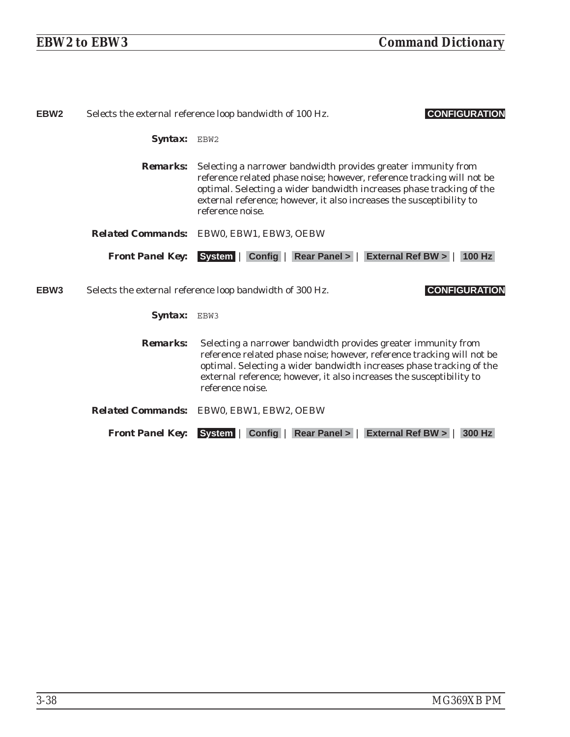| EBW <sub>2</sub> |                         | <b>CONFIGURATION</b><br>Selects the external reference loop bandwidth of 100 Hz.                                                                                                                                                                                                                            |
|------------------|-------------------------|-------------------------------------------------------------------------------------------------------------------------------------------------------------------------------------------------------------------------------------------------------------------------------------------------------------|
|                  | <b>Syntax:</b> EBW2     |                                                                                                                                                                                                                                                                                                             |
|                  | <b>Remarks:</b>         | Selecting a narrower bandwidth provides greater immunity from<br>reference related phase noise; however, reference tracking will not be<br>optimal. Selecting a wider bandwidth increases phase tracking of the<br>external reference; however, it also increases the susceptibility to<br>reference noise. |
|                  |                         | <b>Related Commands:</b> EBW0, EBW1, EBW3, OEBW                                                                                                                                                                                                                                                             |
|                  |                         | <b>Front Panel Key:</b> System   Config   Rear Panel >   External Ref BW >   100 Hz                                                                                                                                                                                                                         |
| EBW <sub>3</sub> |                         | <b>CONFIGURATION</b><br>Selects the external reference loop bandwidth of 300 Hz.                                                                                                                                                                                                                            |
|                  | <i><b>Syntax:</b></i>   | EBW3                                                                                                                                                                                                                                                                                                        |
|                  | <b>Remarks:</b>         | Selecting a narrower bandwidth provides greater immunity from<br>reference related phase noise; however, reference tracking will not be<br>optimal. Selecting a wider bandwidth increases phase tracking of the<br>external reference; however, it also increases the susceptibility to<br>reference noise. |
|                  |                         | Related Commands: EBW0, EBW1, EBW2, OEBW                                                                                                                                                                                                                                                                    |
|                  | <b>Front Panel Key:</b> | Config   Rear Panel >   External Ref BW ><br>300 Hz<br><b>System Ⅱ</b>                                                                                                                                                                                                                                      |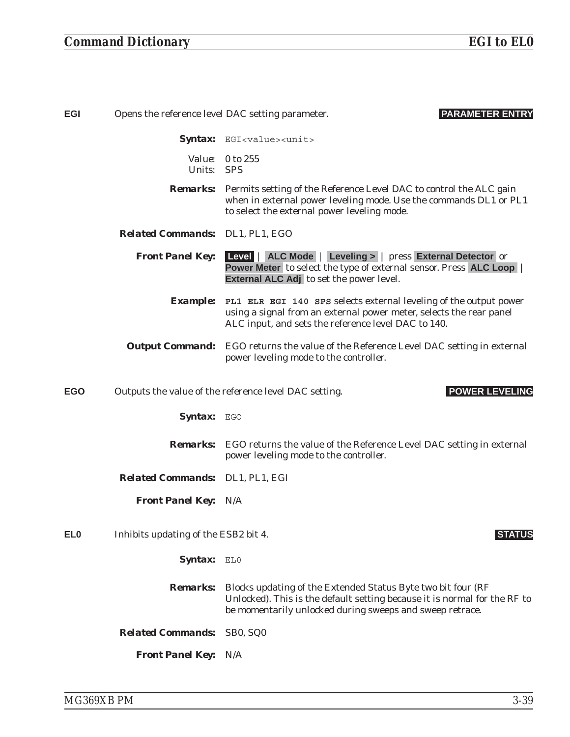| <b>EGI</b>      |                                      | <b>PARAMETER ENTRY</b><br>Opens the reference level DAC setting parameter.                                                                                                                             |
|-----------------|--------------------------------------|--------------------------------------------------------------------------------------------------------------------------------------------------------------------------------------------------------|
|                 |                                      | Syntax: EGI <value><unit></unit></value>                                                                                                                                                               |
|                 | Units: SPS                           | Value: 0 to 255                                                                                                                                                                                        |
|                 |                                      | <b>Remarks:</b> Permits setting of the Reference Level DAC to control the ALC gain<br>when in external power leveling mode. Use the commands DL1 or PL1<br>to select the external power leveling mode. |
|                 | Related Commands: DL1, PL1, EGO      |                                                                                                                                                                                                        |
|                 | <b>Front Panel Key:</b>              | Level   ALC Mode   Leveling >   press External Detector or<br>Power Meter to select the type of external sensor. Press ALC Loop<br><b>External ALC Adj</b> to set the power level.                     |
|                 | <i><b>Example:</b></i>               | PL1 ELR EGI 140 SPS selects external leveling of the output power<br>using a signal from an external power meter, selects the rear panel<br>ALC input, and sets the reference level DAC to 140.        |
|                 |                                      | <b>Output Command:</b> EGO returns the value of the Reference Level DAC setting in external<br>power leveling mode to the controller.                                                                  |
| <b>EGO</b>      |                                      | <b>POWER LEVELING</b><br>Outputs the value of the reference level DAC setting.                                                                                                                         |
|                 | <b>Syntax:</b> EGO                   |                                                                                                                                                                                                        |
|                 |                                      | <b>Remarks:</b> EGO returns the value of the Reference Level DAC setting in external<br>power leveling mode to the controller.                                                                         |
|                 | Related Commands: DL1, PL1, EGI      |                                                                                                                                                                                                        |
|                 | <b>Front Panel Key: N/A</b>          |                                                                                                                                                                                                        |
| EL <sub>0</sub> | Inhibits updating of the ESB2 bit 4. | <b>STATUS</b>                                                                                                                                                                                          |
|                 | Syntax: ELO                          |                                                                                                                                                                                                        |
|                 | <b>Remarks:</b>                      | Blocks updating of the Extended Status Byte two bit four (RF<br>Unlocked). This is the default setting because it is normal for the RF to<br>be momentarily unlocked during sweeps and sweep retrace.  |
|                 | <b>Related Commands:</b>             | SB0, SQ0                                                                                                                                                                                               |
|                 | <b>Front Panel Key:</b>              | N/A                                                                                                                                                                                                    |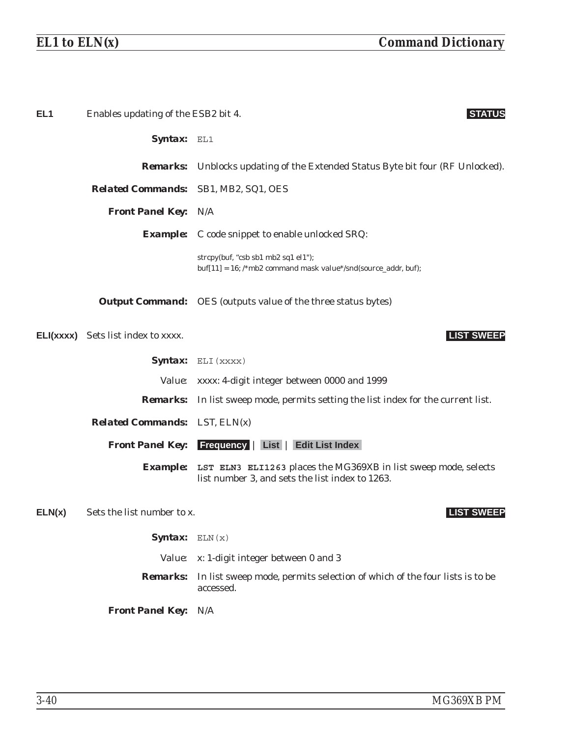| EL <sub>1</sub> | Enables updating of the ESB2 bit 4.         | <b>STATUS</b>                                                                                                                      |
|-----------------|---------------------------------------------|------------------------------------------------------------------------------------------------------------------------------------|
|                 | Syntax: EL1                                 |                                                                                                                                    |
|                 |                                             | <b>Remarks:</b> Unblocks updating of the Extended Status Byte bit four (RF Unlocked).                                              |
|                 | <b>Related Commands:</b> SB1, MB2, SQ1, OES |                                                                                                                                    |
|                 | <b>Front Panel Key: N/A</b>                 |                                                                                                                                    |
|                 |                                             | <b>Example:</b> C code snippet to enable unlocked SRQ:                                                                             |
|                 |                                             | strcpy(buf, "csb sb1 mb2 sq1 el1");<br>$buf[11] = 16$ ; /*mb2 command mask value*/snd(source_addr, buf);                           |
|                 |                                             | <b>Output Command:</b> OES (outputs value of the three status bytes)                                                               |
|                 | <b>ELI(XXXX)</b> Sets list index to XXXX.   | <b>LIST SWEEP</b>                                                                                                                  |
|                 |                                             | <b>Syntax:</b> $ELI$ (xxxx)                                                                                                        |
|                 |                                             | Value: xxxx: 4-digit integer between 0000 and 1999                                                                                 |
|                 |                                             | <b>Remarks:</b> In list sweep mode, permits setting the list index for the current list.                                           |
|                 | <b>Related Commands:</b> LST, ELN(x)        |                                                                                                                                    |
|                 |                                             | <b>Front Panel Key:</b> Frequency   List   Edit List Index                                                                         |
|                 |                                             | <b>Example:</b> LST ELN3 ELI1263 places the MG369XB in list sweep mode, selects<br>list number 3, and sets the list index to 1263. |
| ELN(x)          | Sets the list number to x.                  | <b>LIST SWEEP</b>                                                                                                                  |
|                 | Syntax: $ELN(x)$                            |                                                                                                                                    |
|                 |                                             | Value: x: 1-digit integer between 0 and 3                                                                                          |
|                 | <b>Remarks:</b>                             | In list sweep mode, permits selection of which of the four lists is to be<br>accessed.                                             |
|                 | <b>Front Panel Key:</b>                     | N/A                                                                                                                                |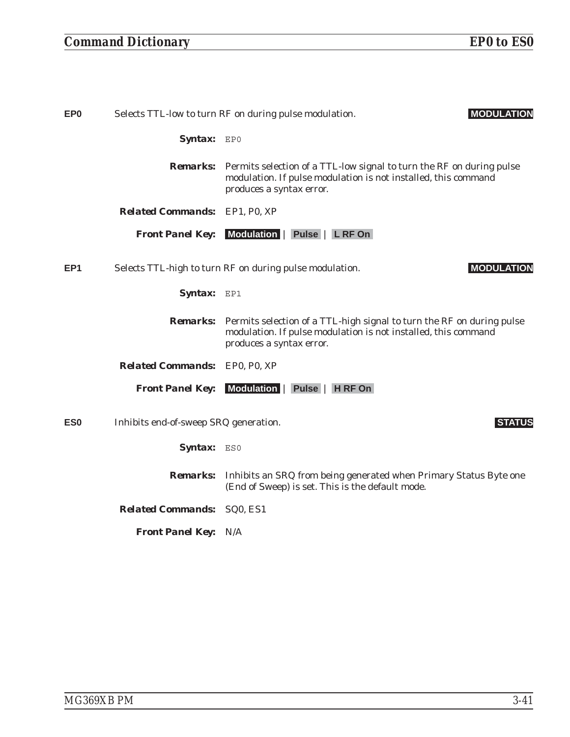| EP <sub>0</sub> | Selects TTL-low to turn RF on during pulse modulation.<br><b>MODULATION</b> |                                                                                                                                                                                     |
|-----------------|-----------------------------------------------------------------------------|-------------------------------------------------------------------------------------------------------------------------------------------------------------------------------------|
|                 | Syntax: EPO                                                                 |                                                                                                                                                                                     |
|                 |                                                                             | <b>Remarks:</b> Permits selection of a TTL-low signal to turn the RF on during pulse<br>modulation. If pulse modulation is not installed, this command<br>produces a syntax error.  |
|                 | <b>Related Commands:</b>                                                    | EP1, P0, XP                                                                                                                                                                         |
|                 | <b>Front Panel Key:</b>                                                     | Modulation   Pulse   L RF On                                                                                                                                                        |
| EP <sub>1</sub> |                                                                             | <b>MODULATION</b><br>Selects TTL-high to turn RF on during pulse modulation.                                                                                                        |
|                 | Syntax: EP1                                                                 |                                                                                                                                                                                     |
|                 |                                                                             | <b>Remarks:</b> Permits selection of a TTL-high signal to turn the RF on during pulse<br>modulation. If pulse modulation is not installed, this command<br>produces a syntax error. |
|                 | <b>Related Commands:</b> EP0, P0, XP                                        |                                                                                                                                                                                     |
|                 | <b>Front Panel Key:</b>                                                     | Modulation  <br>Pulse   H RF On                                                                                                                                                     |
| ES <sub>0</sub> | Inhibits end-of-sweep SRQ generation.                                       | <b>STATUS</b>                                                                                                                                                                       |
|                 | <b>Syntax:</b> ESO                                                          |                                                                                                                                                                                     |
|                 | <b>Remarks:</b>                                                             | Inhibits an SRQ from being generated when Primary Status Byte one<br>(End of Sweep) is set. This is the default mode.                                                               |
|                 | <b>Related Commands:</b>                                                    | SQ <sub>0</sub> , ES <sub>1</sub>                                                                                                                                                   |
|                 | <b>Front Panel Key:</b>                                                     | N/A                                                                                                                                                                                 |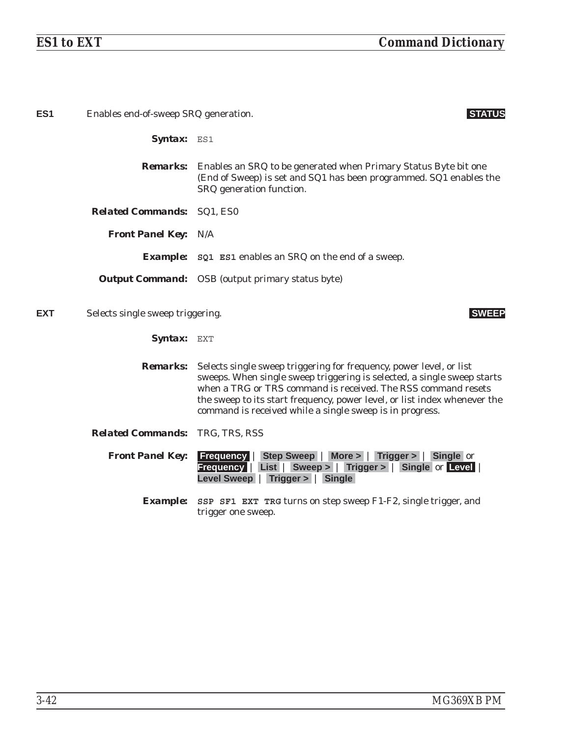| ES <sub>1</sub> | Enables end-of-sweep SRQ generation.   |                                                                                                                                                                                                                                                                                                                                                          |
|-----------------|----------------------------------------|----------------------------------------------------------------------------------------------------------------------------------------------------------------------------------------------------------------------------------------------------------------------------------------------------------------------------------------------------------|
|                 | Syntax: ES1                            |                                                                                                                                                                                                                                                                                                                                                          |
|                 |                                        | <b>Remarks:</b> Enables an SRQ to be generated when Primary Status Byte bit one<br>(End of Sweep) is set and SQ1 has been programmed. SQ1 enables the<br>SRQ generation function.                                                                                                                                                                        |
|                 | <b>Related Commands: SQ1, ES0</b>      |                                                                                                                                                                                                                                                                                                                                                          |
|                 | <b>Front Panel Key: N/A</b>            |                                                                                                                                                                                                                                                                                                                                                          |
|                 |                                        | <b>Example:</b> sQ1 ES1 enables an SRQ on the end of a sweep.                                                                                                                                                                                                                                                                                            |
|                 |                                        | <b>Output Command:</b> OSB (output primary status byte)                                                                                                                                                                                                                                                                                                  |
| <b>EXT</b>      | Selects single sweep triggering.       | <b>SWEEP</b>                                                                                                                                                                                                                                                                                                                                             |
|                 | Syntax: EXT                            |                                                                                                                                                                                                                                                                                                                                                          |
|                 | <b>Remarks:</b>                        | Selects single sweep triggering for frequency, power level, or list<br>sweeps. When single sweep triggering is selected, a single sweep starts<br>when a TRG or TRS command is received. The RSS command resets<br>the sweep to its start frequency, power level, or list index whenever the<br>command is received while a single sweep is in progress. |
|                 | <b>Related Commands: TRG, TRS, RSS</b> |                                                                                                                                                                                                                                                                                                                                                          |
|                 | <b>Front Panel Key:</b>                | <b>Frequency   Step Sweep   More &gt;   Trigger &gt;   Single or</b><br>Frequency   List   Sweep >   Trigger >   Single or Level  <br>Level Sweep   Trigger >   Single                                                                                                                                                                                   |
|                 |                                        | <b>Example:</b> SSP SF1 EXT TRG turns on step sweep F1-F2, single trigger, and<br>trigger one sweep.                                                                                                                                                                                                                                                     |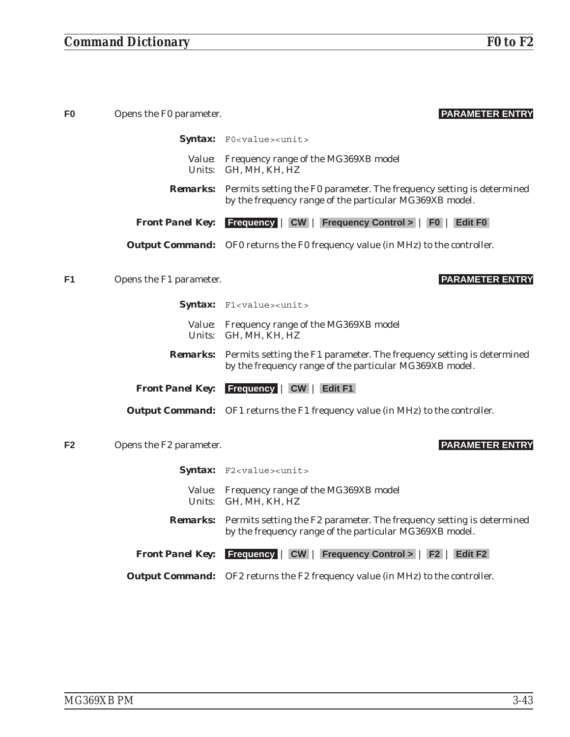| F0             | Opens the F0 parameter. | <b>PARAMETER ENTRY</b>                                                                                                                           |
|----------------|-------------------------|--------------------------------------------------------------------------------------------------------------------------------------------------|
|                |                         | Syntax: F0 <value><unit></unit></value>                                                                                                          |
|                |                         | Value: Frequency range of the MG369XB model<br>Units: GH, MH, KH, HZ                                                                             |
|                |                         | <b>Remarks:</b> Permits setting the F0 parameter. The frequency setting is determined<br>by the frequency range of the particular MG369XB model. |
|                | <b>Front Panel Key:</b> | <b>Frequency   CW   Frequency Control &gt;   F0   Edit F0  </b>                                                                                  |
|                |                         | <b>Output Command:</b> OF0 returns the F0 frequency value (in MHz) to the controller.                                                            |
| F1             | Opens the F1 parameter. | <b>PARAMETER ENTRY</b>                                                                                                                           |
|                |                         | Syntax: F1 <value><unit></unit></value>                                                                                                          |
|                |                         | Value: Frequency range of the MG369XB model<br>Units: GH, MH, KH, HZ                                                                             |
|                |                         | <b>Remarks:</b> Permits setting the F1 parameter. The frequency setting is determined<br>by the frequency range of the particular MG369XB model. |
|                | <b>Front Panel Key:</b> | <b>Frequency   CW   Edit F1</b>                                                                                                                  |
|                |                         | <b>Output Command:</b> OF1 returns the F1 frequency value (in MHz) to the controller.                                                            |
| F <sub>2</sub> | Opens the F2 parameter. | <b>PARAMETER ENTRY</b>                                                                                                                           |
|                |                         | Syntax: F2 <value><unit></unit></value>                                                                                                          |
|                |                         | Value: Frequency range of the MG369XB model<br>Units: GH, MH, KH, HZ                                                                             |
|                |                         | <b>Remarks:</b> Permits setting the F2 parameter. The frequency setting is determined<br>by the frequency range of the particular MG369XB model. |
|                | <b>Front Panel Key:</b> | <b>Frequency   CW   Frequency Control &gt;   F2   Edit F2</b>                                                                                    |
|                |                         | <b>Output Command:</b> OF2 returns the F2 frequency value (in MHz) to the controller.                                                            |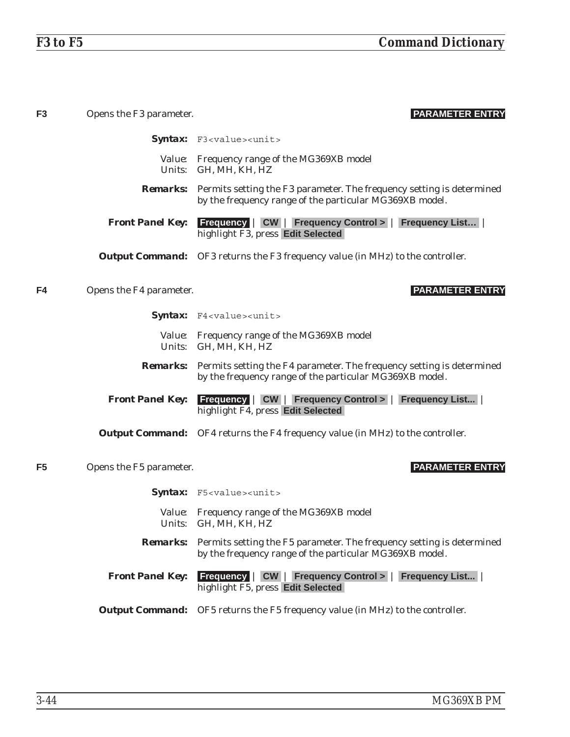| F <sub>3</sub> | Opens the F3 parameter. | <b>PARAMETER ENTRY</b>                                                                                                                           |
|----------------|-------------------------|--------------------------------------------------------------------------------------------------------------------------------------------------|
|                |                         | Syntax: F3 <value><unit></unit></value>                                                                                                          |
|                |                         | Value: Frequency range of the MG369XB model<br>Units: GH, MH, KH, HZ                                                                             |
|                |                         | <b>Remarks:</b> Permits setting the F3 parameter. The frequency setting is determined<br>by the frequency range of the particular MG369XB model. |
|                | <b>Front Panel Key:</b> | <b>Frequency   CW   Frequency Control &gt;   Frequency List</b>  <br>highlight F3, press Edit Selected                                           |
|                |                         | <b>Output Command:</b> OF3 returns the F3 frequency value (in MHz) to the controller.                                                            |
| F4             | Opens the F4 parameter. | <b>PARAMETER ENTRY</b>                                                                                                                           |
|                |                         | Syntax: F4 <value><unit></unit></value>                                                                                                          |
|                |                         | Value: Frequency range of the MG369XB model<br>Units: GH, MH, KH, HZ                                                                             |
|                |                         | <b>Remarks:</b> Permits setting the F4 parameter. The frequency setting is determined<br>by the frequency range of the particular MG369XB model. |
|                | <b>Front Panel Key:</b> | <b>Frequency   CW   Frequency Control &gt;   Frequency List</b>  <br>highlight F4, press Edit Selected                                           |
|                |                         | <b>Output Command:</b> OF4 returns the F4 frequency value (in MHz) to the controller.                                                            |
| F <sub>5</sub> | Opens the F5 parameter. | <b>PARAMETER ENTRY</b>                                                                                                                           |
|                |                         | Syntax: F5 <value><unit></unit></value>                                                                                                          |
|                |                         | Value: Frequency range of the MG369XB model<br>Units: GH, MH, KH, HZ                                                                             |
|                |                         | <b>Remarks:</b> Permits setting the F5 parameter. The frequency setting is determined<br>by the frequency range of the particular MG369XB model. |
|                | <b>Front Panel Key:</b> | <b>Frequency   CW   Frequency Control &gt;   Frequency List  </b><br>highlight F5, press Edit Selected                                           |
|                |                         | <b>Output Command:</b> OF5 returns the F5 frequency value (in MHz) to the controller.                                                            |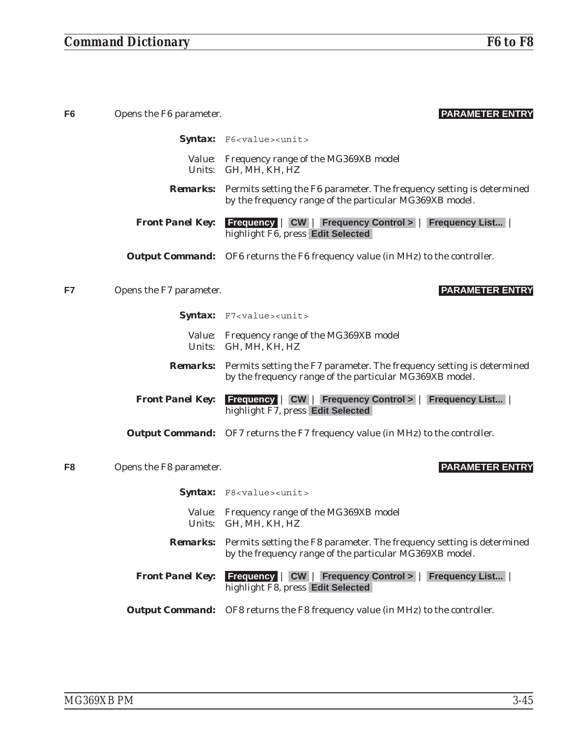# *Command Dictionary F6 to F8*

| F <sub>6</sub> | Opens the F6 parameter. | <b>PARAMETER ENTRY</b>                                                                                                                           |
|----------------|-------------------------|--------------------------------------------------------------------------------------------------------------------------------------------------|
|                |                         | Syntax: F6 <value><unit></unit></value>                                                                                                          |
|                |                         | Value: Frequency range of the MG369XB model<br>Units: GH, MH, KH, HZ                                                                             |
|                |                         | <b>Remarks:</b> Permits setting the F6 parameter. The frequency setting is determined<br>by the frequency range of the particular MG369XB model. |
|                | <b>Front Panel Key:</b> | <b>Frequency   CW   Frequency Control &gt;   Frequency List  </b><br>highlight F6, press Edit Selected                                           |
|                |                         | <b>Output Command:</b> OF6 returns the F6 frequency value (in MHz) to the controller.                                                            |
| F7             | Opens the F7 parameter. | <b>PARAMETER ENTRY</b>                                                                                                                           |
|                |                         | Syntax: F7 <value><unit></unit></value>                                                                                                          |
|                |                         | Value: Frequency range of the MG369XB model<br>Units: GH, MH, KH, HZ                                                                             |
|                |                         | <b>Remarks:</b> Permits setting the F7 parameter. The frequency setting is determined<br>by the frequency range of the particular MG369XB model. |
|                | <b>Front Panel Key:</b> | <b>Frequency   CW   Frequency Control &gt;   Frequency List  </b><br>highlight F7, press Edit Selected                                           |
|                |                         | <b>Output Command:</b> OF7 returns the F7 frequency value (in MHz) to the controller.                                                            |
| F <sub>8</sub> | Opens the F8 parameter. | <b>PARAMETER ENTRY</b>                                                                                                                           |
|                |                         | Syntax: F8 <value><unit></unit></value>                                                                                                          |
|                |                         | Value: Frequency range of the MG369XB model<br>Units: GH, MH, KH, HZ                                                                             |
|                | <i><b>Remarks:</b></i>  | Permits setting the F8 parameter. The frequency setting is determined<br>by the frequency range of the particular MG369XB model.                 |
|                |                         | <b>Front Panel Key:</b> Frequency   CW   Frequency Control >   Frequency List  <br>highlight F8, press Edit Selected                             |
|                |                         | <b>Output Command:</b> OF8 returns the F8 frequency value (in MHz) to the controller.                                                            |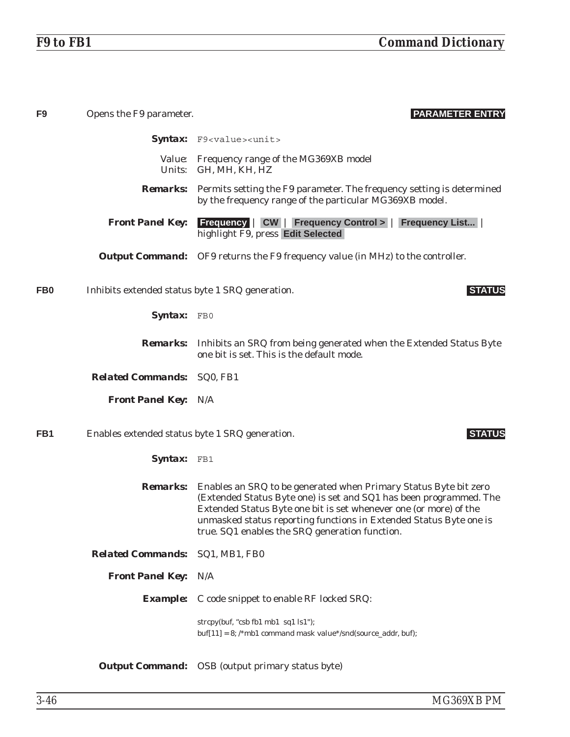| F <sub>9</sub>  | Opens the F9 parameter.                         | <b>PARAMETER ENTRY</b>                                                                                                                                                                                                                                                                                                                              |
|-----------------|-------------------------------------------------|-----------------------------------------------------------------------------------------------------------------------------------------------------------------------------------------------------------------------------------------------------------------------------------------------------------------------------------------------------|
|                 |                                                 | Syntax: F9 <value><unit></unit></value>                                                                                                                                                                                                                                                                                                             |
|                 |                                                 | Value: Frequency range of the MG369XB model<br>Units: GH, MH, KH, HZ                                                                                                                                                                                                                                                                                |
|                 |                                                 | <b>Remarks:</b> Permits setting the F9 parameter. The frequency setting is determined<br>by the frequency range of the particular MG369XB model.                                                                                                                                                                                                    |
|                 | <b>Front Panel Key:</b>                         | <b>Frequency   CW   Frequency Control &gt;   Frequency List</b>  <br>highlight F9, press Edit Selected                                                                                                                                                                                                                                              |
|                 |                                                 | <b>Output Command:</b> OF9 returns the F9 frequency value (in MHz) to the controller.                                                                                                                                                                                                                                                               |
| FB <sub>0</sub> | Inhibits extended status byte 1 SRQ generation. | <b>STATUS</b>                                                                                                                                                                                                                                                                                                                                       |
|                 | Syntax: FB0                                     |                                                                                                                                                                                                                                                                                                                                                     |
|                 |                                                 | <b>Remarks:</b> Inhibits an SRQ from being generated when the Extended Status Byte<br>one bit is set. This is the default mode.                                                                                                                                                                                                                     |
|                 | <b>Related Commands: SQ0, FB1</b>               |                                                                                                                                                                                                                                                                                                                                                     |
|                 | <b>Front Panel Key: N/A</b>                     |                                                                                                                                                                                                                                                                                                                                                     |
| FB1             | Enables extended status byte 1 SRQ generation.  | <b>STATUS</b>                                                                                                                                                                                                                                                                                                                                       |
|                 | Syntax: FB1                                     |                                                                                                                                                                                                                                                                                                                                                     |
|                 |                                                 | <b>Remarks:</b> Enables an SRQ to be generated when Primary Status Byte bit zero<br>(Extended Status Byte one) is set and SQ1 has been programmed. The<br>Extended Status Byte one bit is set whenever one (or more) of the<br>unmasked status reporting functions in Extended Status Byte one is<br>true. SQ1 enables the SRQ generation function. |
|                 | Related Commands: SQ1, MB1, FB0                 |                                                                                                                                                                                                                                                                                                                                                     |
|                 | <b>Front Panel Key:</b>                         | N/A                                                                                                                                                                                                                                                                                                                                                 |
|                 |                                                 | <b>Example:</b> C code snippet to enable RF locked SRQ:                                                                                                                                                                                                                                                                                             |
|                 |                                                 | strcpy(buf, "csb fb1 mb1 sq1 ls1");<br>$buf[11] = 8$ ; /*mb1 command mask value*/snd(source_addr, buf);                                                                                                                                                                                                                                             |
|                 |                                                 | <b>Output Command:</b> OSB (output primary status byte)                                                                                                                                                                                                                                                                                             |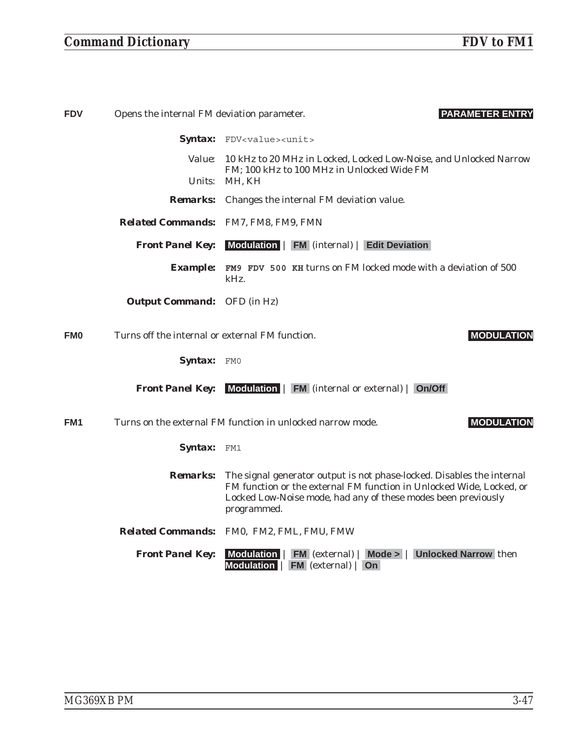# *Command Dictionary FDV to FM1*

| <b>FDV</b><br>Opens the internal FM deviation parameter. |                                                 | <b>PARAMETER ENTRY</b>                                                                                                                                                                                                         |
|----------------------------------------------------------|-------------------------------------------------|--------------------------------------------------------------------------------------------------------------------------------------------------------------------------------------------------------------------------------|
|                                                          |                                                 | Syntax: FDV <value><unit></unit></value>                                                                                                                                                                                       |
|                                                          |                                                 | Value: 10 kHz to 20 MHz in Locked, Locked Low-Noise, and Unlocked Narrow                                                                                                                                                       |
|                                                          |                                                 | FM; 100 kHz to 100 MHz in Unlocked Wide FM<br>Units: MH, KH                                                                                                                                                                    |
|                                                          |                                                 | <b>Remarks:</b> Changes the internal FM deviation value.                                                                                                                                                                       |
|                                                          |                                                 | Related Commands: FM7, FM8, FM9, FMN                                                                                                                                                                                           |
|                                                          | <b>Front Panel Key:</b>                         | Modulation   FM (internal)   Edit Deviation                                                                                                                                                                                    |
|                                                          |                                                 | Example: FM9 FDV 500 KH turns on FM locked mode with a deviation of 500<br>kHz.                                                                                                                                                |
|                                                          | <b>Output Command:</b> OFD (in Hz)              |                                                                                                                                                                                                                                |
| <b>FMO</b>                                               | Turns off the internal or external FM function. | <b>MODULATION</b>                                                                                                                                                                                                              |
|                                                          | Syntax: FMO                                     |                                                                                                                                                                                                                                |
|                                                          |                                                 | <b>Front Panel Key:</b> Modulation   FM (internal or external)   On/Off                                                                                                                                                        |
| FM1                                                      |                                                 | Turns on the external FM function in unlocked narrow mode.<br><b>MODULATION</b>                                                                                                                                                |
|                                                          | Syntax: FM1                                     |                                                                                                                                                                                                                                |
|                                                          | <i>Remarks:</i>                                 | The signal generator output is not phase-locked. Disables the internal<br>FM function or the external FM function in Unlocked Wide, Locked, or<br>Locked Low-Noise mode, had any of these modes been previously<br>programmed. |
|                                                          |                                                 | Related Commands: FM0, FM2, FML, FMU, FMW                                                                                                                                                                                      |
|                                                          | <b>Front Panel Key:</b>                         | Modulation   FM (external)   Mode >   Unlocked Narrow then<br>Modulation   FM (external)  <br><b>On</b>                                                                                                                        |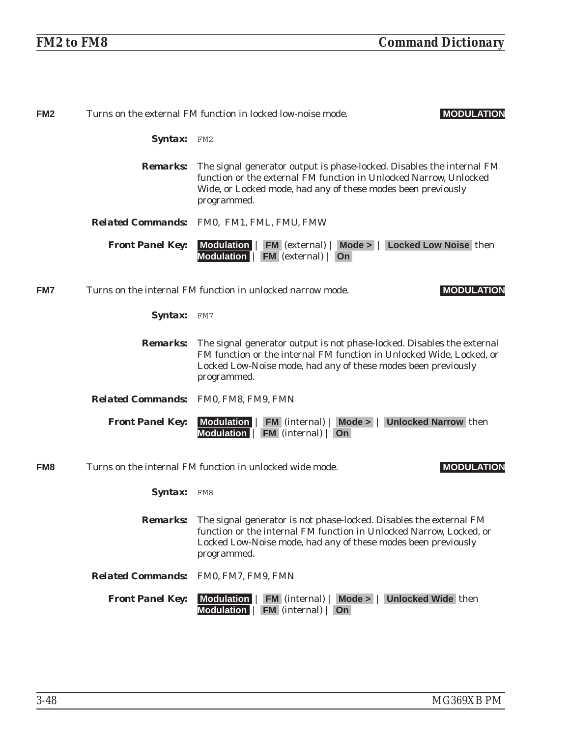| FM <sub>2</sub> | Turns on the external FM function in locked low-noise mode.<br><b>MODULATION</b> |                                                                                                                                                                                                                                           |
|-----------------|----------------------------------------------------------------------------------|-------------------------------------------------------------------------------------------------------------------------------------------------------------------------------------------------------------------------------------------|
|                 | Syntax: FM2                                                                      |                                                                                                                                                                                                                                           |
|                 | <b>Remarks:</b>                                                                  | The signal generator output is phase-locked. Disables the internal FM<br>function or the external FM function in Unlocked Narrow, Unlocked<br>Wide, or Locked mode, had any of these modes been previously<br>programmed.                 |
|                 |                                                                                  | Related Commands: FM0, FM1, FML, FMU, FMW                                                                                                                                                                                                 |
|                 | <b>Front Panel Key:</b>                                                          | Modulation   FM (external)   Mode >   Locked Low Noise then<br>Modulation   FM (external)   On                                                                                                                                            |
| FM7             |                                                                                  | Turns on the internal FM function in unlocked narrow mode.<br><b>MODULATION</b>                                                                                                                                                           |
|                 | Syntax: FM7                                                                      |                                                                                                                                                                                                                                           |
|                 | <b>Remarks:</b>                                                                  | The signal generator output is not phase-locked. Disables the external<br>FM function or the internal FM function in Unlocked Wide, Locked, or<br>Locked Low-Noise mode, had any of these modes been previously<br>programmed.            |
|                 |                                                                                  | Related Commands: FM0, FM8, FM9, FMN                                                                                                                                                                                                      |
|                 | <b>Front Panel Key:</b>                                                          | <b>Unlocked Narrow then</b><br>Modulation   FM (internal)   Mode >  <br>Modulation   FM (internal)   On                                                                                                                                   |
| FM <sub>8</sub> |                                                                                  | Turns on the internal FM function in unlocked wide mode.<br><b>MODULATION</b>                                                                                                                                                             |
|                 | Syntax: FM8                                                                      |                                                                                                                                                                                                                                           |
|                 |                                                                                  | <b>Remarks:</b> The signal generator is not phase-locked. Disables the external FM<br>function or the internal FM function in Unlocked Narrow, Locked, or<br>Locked Low-Noise mode, had any of these modes been previously<br>programmed. |
|                 | <b>Related Commands:</b>                                                         | FM0, FM7, FM9, FMN                                                                                                                                                                                                                        |
|                 | <b>Front Panel Key:</b>                                                          | Modulation   FM (internal)   Mode >  <br><b>Unlocked Wide then</b><br><b>Modulation</b><br>$FM$ (internal) $ On$                                                                                                                          |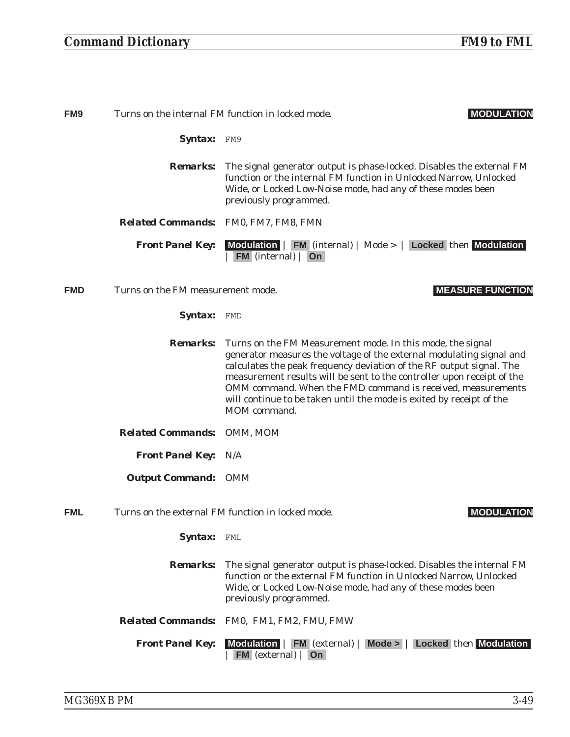# *Command Dictionary FM9 to FML*

| FM <sub>9</sub> |                                      | Turns on the internal FM function in locked mode.<br><b>MODULATION</b>                                                                                                                                                                                                                                                                                                                                                                                      |
|-----------------|--------------------------------------|-------------------------------------------------------------------------------------------------------------------------------------------------------------------------------------------------------------------------------------------------------------------------------------------------------------------------------------------------------------------------------------------------------------------------------------------------------------|
|                 | Syntax: FM9                          |                                                                                                                                                                                                                                                                                                                                                                                                                                                             |
|                 |                                      | <b>Remarks:</b> The signal generator output is phase-locked. Disables the external FM<br>function or the internal FM function in Unlocked Narrow, Unlocked<br>Wide, or Locked Low-Noise mode, had any of these modes been<br>previously programmed.                                                                                                                                                                                                         |
|                 | Related Commands: FM0, FM7, FM8, FMN |                                                                                                                                                                                                                                                                                                                                                                                                                                                             |
|                 | <b>Front Panel Key:</b>              | Modulation   FM (internal)   Mode >   Locked then Modulation<br>$FM$ (internal)   On                                                                                                                                                                                                                                                                                                                                                                        |
| <b>FMD</b>      | Turns on the FM measurement mode.    | <b>MEASURE FUNCTION</b>                                                                                                                                                                                                                                                                                                                                                                                                                                     |
|                 | Syntax:                              | FMD                                                                                                                                                                                                                                                                                                                                                                                                                                                         |
|                 |                                      | <b>Remarks:</b> Turns on the FM Measurement mode. In this mode, the signal<br>generator measures the voltage of the external modulating signal and<br>calculates the peak frequency deviation of the RF output signal. The<br>measurement results will be sent to the controller upon receipt of the<br>OMM command. When the FMD command is received, measurements<br>will continue to be taken until the mode is exited by receipt of the<br>MOM command. |
|                 | <b>Related Commands:</b>             | OMM, MOM                                                                                                                                                                                                                                                                                                                                                                                                                                                    |
|                 | <b>Front Panel Key: N/A</b>          |                                                                                                                                                                                                                                                                                                                                                                                                                                                             |
|                 | <b>Output Command: OMM</b>           |                                                                                                                                                                                                                                                                                                                                                                                                                                                             |
| FML             |                                      | Turns on the external FM function in locked mode.<br><b>MODULATION</b>                                                                                                                                                                                                                                                                                                                                                                                      |
|                 | Syntax:                              | FML                                                                                                                                                                                                                                                                                                                                                                                                                                                         |
|                 | <b>Remarks:</b>                      | The signal generator output is phase-locked. Disables the internal FM<br>function or the external FM function in Unlocked Narrow, Unlocked<br>Wide, or Locked Low-Noise mode, had any of these modes been<br>previously programmed.                                                                                                                                                                                                                         |
|                 | <b>Related Commands:</b>             | FM0, FM1, FM2, FMU, FMW                                                                                                                                                                                                                                                                                                                                                                                                                                     |
|                 | <b>Front Panel Key:</b>              | Modulation   FM (external)   Mode >   Locked then Modulation<br>$FM$ (external) $ On$                                                                                                                                                                                                                                                                                                                                                                       |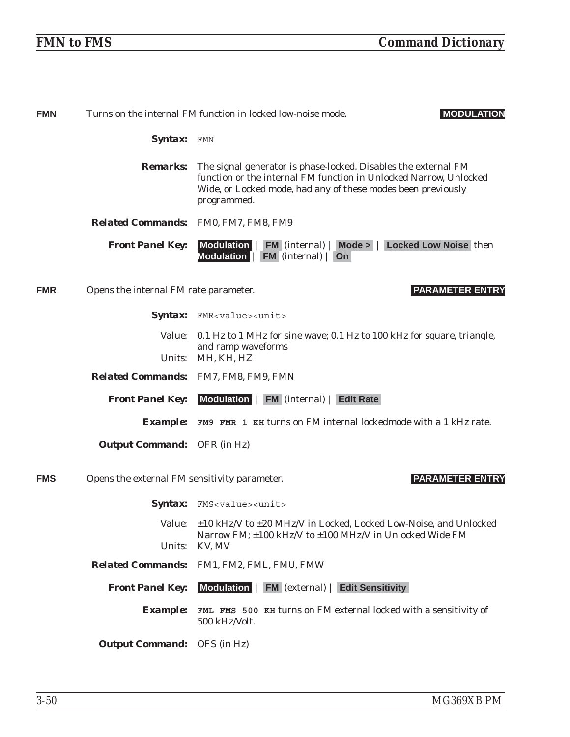| <b>FMN</b> |                                              | Turns on the internal FM function in locked low-noise mode.<br><b>MODULATION</b>                                                                                                                                                   |
|------------|----------------------------------------------|------------------------------------------------------------------------------------------------------------------------------------------------------------------------------------------------------------------------------------|
|            | <b>Syntax:</b> FMN                           |                                                                                                                                                                                                                                    |
|            |                                              | <b>Remarks:</b> The signal generator is phase-locked. Disables the external FM<br>function or the internal FM function in Unlocked Narrow, Unlocked<br>Wide, or Locked mode, had any of these modes been previously<br>programmed. |
|            | <b>Related Commands:</b> FM0, FM7, FM8, FM9  |                                                                                                                                                                                                                                    |
|            | <b>Front Panel Key:</b>                      | Modulation   FM (internal)   Mode >   Locked Low Noise then<br>Modulation   FM (internal)   On                                                                                                                                     |
| <b>FMR</b> | Opens the internal FM rate parameter.        | <b>PARAMETER ENTRY</b>                                                                                                                                                                                                             |
|            |                                              | Syntax: FMR <value><unit></unit></value>                                                                                                                                                                                           |
|            | <i>Value:</i>                                | 0.1 Hz to 1 MHz for sine wave; 0.1 Hz to 100 kHz for square, triangle,                                                                                                                                                             |
|            | Units:                                       | and ramp waveforms<br>MH, KH, HZ                                                                                                                                                                                                   |
|            |                                              | Related Commands: FM7, FM8, FM9, FMN                                                                                                                                                                                               |
|            |                                              |                                                                                                                                                                                                                                    |
|            | <b>Front Panel Key:</b>                      | Modulation   FM (internal)   Edit Rate                                                                                                                                                                                             |
|            |                                              | <b>Example:</b> FM9 FMR 1 KH turns on FM internal lockedmode with a 1 kHz rate.                                                                                                                                                    |
|            | <b>Output Command:</b> OFR (in Hz)           |                                                                                                                                                                                                                                    |
| <b>FMS</b> | Opens the external FM sensitivity parameter. | <b>PARAMETER ENTRY</b>                                                                                                                                                                                                             |
|            |                                              | Syntax: FMS <value><unit></unit></value>                                                                                                                                                                                           |
|            |                                              | Value: ±10 kHz/V to ±20 MHz/V in Locked, Locked Low-Noise, and Unlocked                                                                                                                                                            |
|            | <i>Units:</i>                                | Narrow FM; ±100 kHz/V to ±100 MHz/V in Unlocked Wide FM<br>KV, MV                                                                                                                                                                  |
|            |                                              | Related Commands: FM1, FM2, FML, FMU, FMW                                                                                                                                                                                          |
|            | <b>Front Panel Key:</b>                      | Modulation   FM (external)   Edit Sensitivity                                                                                                                                                                                      |
|            |                                              | <b>Example:</b> FML FMS 500 KH turns on FM external locked with a sensitivity of<br>500 kHz/Volt.                                                                                                                                  |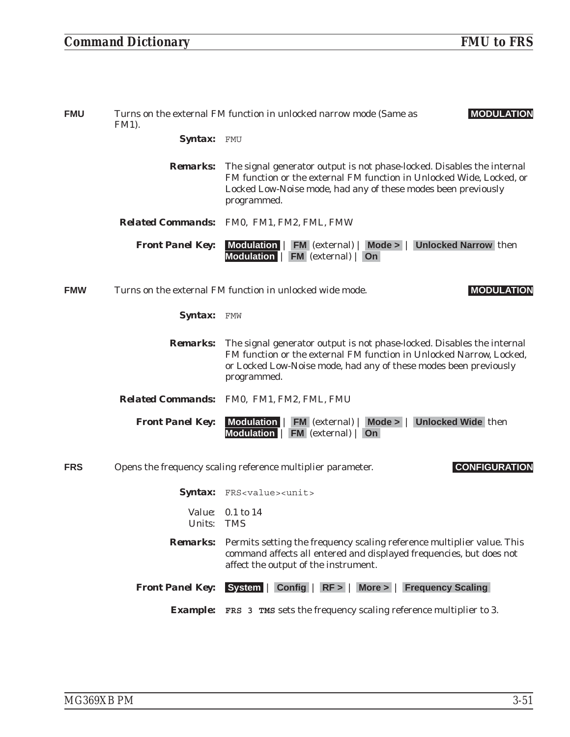| <b>FMU</b> | <b>MODULATION</b><br>Turns on the external FM function in unlocked narrow mode (Same as<br><b>FM1</b> ). |                                                                                                                                                                                                                                                  |
|------------|----------------------------------------------------------------------------------------------------------|--------------------------------------------------------------------------------------------------------------------------------------------------------------------------------------------------------------------------------------------------|
|            | <b>Syntax:</b>                                                                                           | FMU                                                                                                                                                                                                                                              |
|            |                                                                                                          | <b>Remarks:</b> The signal generator output is not phase-locked. Disables the internal<br>FM function or the external FM function in Unlocked Wide, Locked, or<br>Locked Low-Noise mode, had any of these modes been previously<br>programmed.   |
|            |                                                                                                          | Related Commands: FM0, FM1, FM2, FML, FMW                                                                                                                                                                                                        |
|            | <b>Front Panel Key:</b>                                                                                  | Modulation   FM (external)   Mode >   Unlocked Narrow then<br>Modulation   FM (external)   On                                                                                                                                                    |
| <b>FMW</b> |                                                                                                          | Turns on the external FM function in unlocked wide mode.<br><b>MODULATION</b>                                                                                                                                                                    |
|            | Syntax: FMW                                                                                              |                                                                                                                                                                                                                                                  |
|            |                                                                                                          | <b>Remarks:</b> The signal generator output is not phase-locked. Disables the internal<br>FM function or the external FM function in Unlocked Narrow, Locked,<br>or Locked Low-Noise mode, had any of these modes been previously<br>programmed. |
|            |                                                                                                          | Related Commands: FM0, FM1, FM2, FML, FMU                                                                                                                                                                                                        |
|            | <b>Front Panel Key:</b>                                                                                  | Modulation   FM (external)   Mode >   Unlocked Wide then<br>Modulation   FM (external)   On                                                                                                                                                      |
| <b>FRS</b> |                                                                                                          | <b>CONFIGURATION</b><br>Opens the frequency scaling reference multiplier parameter.                                                                                                                                                              |
|            |                                                                                                          | Syntax: FRS <value><unit></unit></value>                                                                                                                                                                                                         |
|            | Units: TMS                                                                                               | <i>Value:</i> 0.1 to 14                                                                                                                                                                                                                          |
|            | <b>Remarks:</b>                                                                                          | Permits setting the frequency scaling reference multiplier value. This<br>command affects all entered and displayed frequencies, but does not<br>affect the output of the instrument.                                                            |
|            | <b>Front Panel Key:</b>                                                                                  | System   Config   RF >  <br>More >   Frequency Scaling                                                                                                                                                                                           |
|            |                                                                                                          | <b>Example:</b> FRS 3 TMS sets the frequency scaling reference multiplier to 3.                                                                                                                                                                  |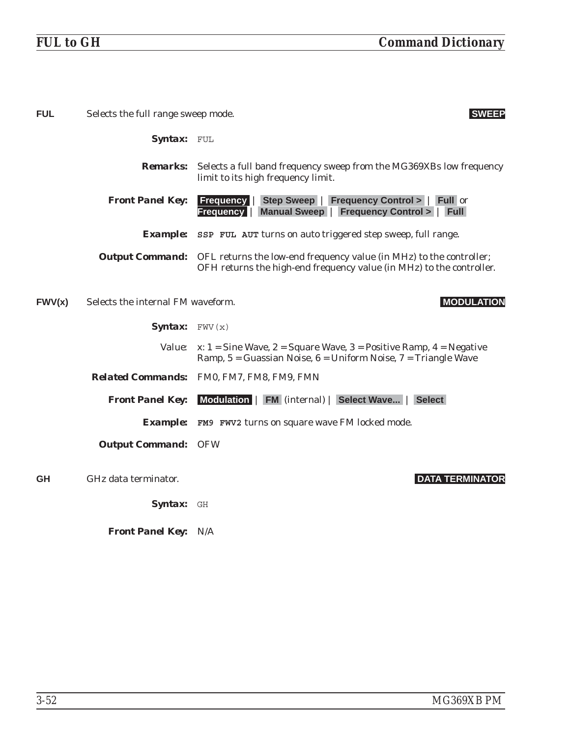| <b>FUL</b> | Selects the full range sweep mode.<br><b>SWEEP</b> |                                                                                                                                                                    |
|------------|----------------------------------------------------|--------------------------------------------------------------------------------------------------------------------------------------------------------------------|
|            | <b>Syntax:</b> FUL                                 |                                                                                                                                                                    |
|            |                                                    | <b>Remarks:</b> Selects a full band frequency sweep from the MG369XBs low frequency<br>limit to its high frequency limit.                                          |
|            | <b>Front Panel Key:</b>                            | Step Sweep   Frequency Control >   Full or<br><b>Frequency</b><br>Manual Sweep   Frequency Control >   Full<br><b>Frequency</b>                                    |
|            |                                                    | <b>Example:</b> SSP FUL AUT turns on auto triggered step sweep, full range.                                                                                        |
|            |                                                    | <b>Output Command:</b> OFL returns the low-end frequency value (in MHz) to the controller;<br>OFH returns the high-end frequency value (in MHz) to the controller. |
| FWV(x)     | Selects the internal FM waveform.                  | <b>MODULATION</b>                                                                                                                                                  |
|            | <b>Syntax:</b> $FWV(x)$                            |                                                                                                                                                                    |
|            |                                                    | <i>Value:</i> $x: 1 =$ Sine Wave, $2 =$ Square Wave, $3 =$ Positive Ramp, $4 =$ Negative<br>Ramp, 5 = Guassian Noise, 6 = Uniform Noise, 7 = Triangle Wave         |
|            |                                                    | Related Commands: FM0, FM7, FM8, FM9, FMN                                                                                                                          |
|            | <b>Front Panel Key:</b>                            | Modulation   FM (internal)   Select Wave   Select                                                                                                                  |
|            |                                                    | <b>Example:</b> FM9 FWV2 turns on square wave FM locked mode.                                                                                                      |
|            | <b>Output Command: OFW</b>                         |                                                                                                                                                                    |
| <b>GH</b>  | GHz data terminator.                               | <b>DATA TERMINATOR</b>                                                                                                                                             |
|            | Syntax: GH                                         |                                                                                                                                                                    |

*Front Panel Key:* N/A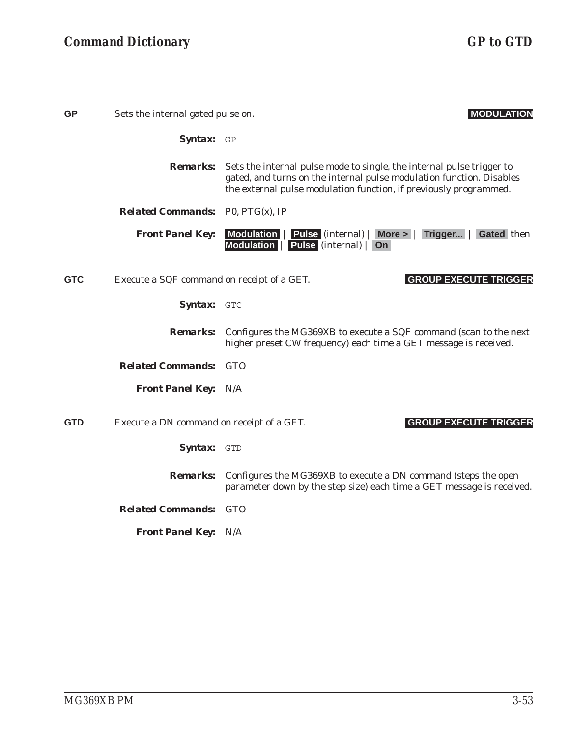| <b>GP</b>  | Sets the internal gated pulse on.          | <b>MODULATION</b>                                                                                                                                                                                                  |
|------------|--------------------------------------------|--------------------------------------------------------------------------------------------------------------------------------------------------------------------------------------------------------------------|
|            | Syntax: GP                                 |                                                                                                                                                                                                                    |
|            | <i>Remarks:</i>                            | Sets the internal pulse mode to single, the internal pulse trigger to<br>gated, and turns on the internal pulse modulation function. Disables<br>the external pulse modulation function, if previously programmed. |
|            | <b>Related Commands:</b> P0, $PTG(x)$ , IP |                                                                                                                                                                                                                    |
|            | <b>Front Panel Key:</b>                    | Modulation   Pulse (internal)   More >   Trigger   Gated then<br>Modulation   Pulse (internal)   On                                                                                                                |
| <b>GTC</b> | Execute a SQF command on receipt of a GET. | <b>GROUP EXECUTE TRIGGER</b>                                                                                                                                                                                       |
|            | Syntax: GTC                                |                                                                                                                                                                                                                    |
|            |                                            | <b>Remarks:</b> Configures the MG369XB to execute a SQF command (scan to the next<br>higher preset CW frequency) each time a GET message is received.                                                              |
|            | <b>Related Commands: GTO</b>               |                                                                                                                                                                                                                    |
|            | <b>Front Panel Key: N/A</b>                |                                                                                                                                                                                                                    |
| <b>GTD</b> | Execute a DN command on receipt of a GET.  | <b>GROUP EXECUTE TRIGGER</b>                                                                                                                                                                                       |
|            | Syntax: GTD                                |                                                                                                                                                                                                                    |
|            | <i><b>Remarks:</b></i>                     | Configures the MG369XB to execute a DN command (steps the open<br>parameter down by the step size) each time a GET message is received.                                                                            |
|            | <b>Related Commands: GTO</b>               |                                                                                                                                                                                                                    |
|            | <b>Front Panel Key: N/A</b>                |                                                                                                                                                                                                                    |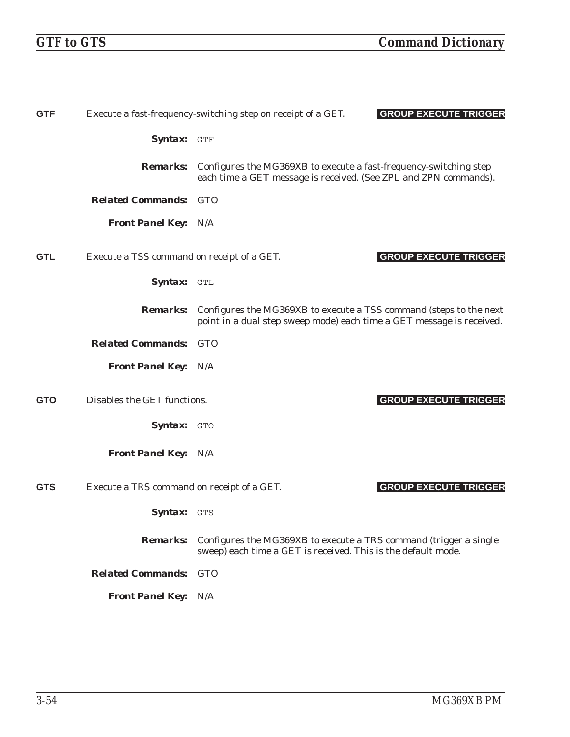| <b>GTF</b> |                                            | <b>GROUP EXECUTE TRIGGER</b><br>Execute a fast-frequency-switching step on receipt of a GET.                                                       |
|------------|--------------------------------------------|----------------------------------------------------------------------------------------------------------------------------------------------------|
|            | Syntax: GTF                                |                                                                                                                                                    |
|            | <i><b>Remarks:</b></i>                     | Configures the MG369XB to execute a fast-frequency-switching step<br>each time a GET message is received. (See ZPL and ZPN commands).              |
|            | <b>Related Commands: GTO</b>               |                                                                                                                                                    |
|            | <b>Front Panel Key: N/A</b>                |                                                                                                                                                    |
| <b>GTL</b> | Execute a TSS command on receipt of a GET. | <b>GROUP EXECUTE TRIGGER</b>                                                                                                                       |
|            | Syntax: GTL                                |                                                                                                                                                    |
|            | <i><b>Remarks:</b></i>                     | Configures the MG369XB to execute a TSS command (steps to the next<br>point in a dual step sweep mode) each time a GET message is received.        |
|            | <b>Related Commands: GTO</b>               |                                                                                                                                                    |
|            | <b>Front Panel Key: N/A</b>                |                                                                                                                                                    |
| <b>GTO</b> | Disables the GET functions.                | <b>GROUP EXECUTE TRIGGER</b>                                                                                                                       |
|            | <b>Syntax: GTO</b>                         |                                                                                                                                                    |
|            | <b>Front Panel Key: N/A</b>                |                                                                                                                                                    |
| <b>GTS</b> | Execute a TRS command on receipt of a GET. | <b>GROUP EXECUTE TRIGGER</b>                                                                                                                       |
|            | <b>Syntax: GTS</b>                         |                                                                                                                                                    |
|            |                                            | <b>Remarks:</b> Configures the MG369XB to execute a TRS command (trigger a single<br>sweep) each time a GET is received. This is the default mode. |
|            | <b>Related Commands: GTO</b>               |                                                                                                                                                    |
|            | <b>Front Panel Key: N/A</b>                |                                                                                                                                                    |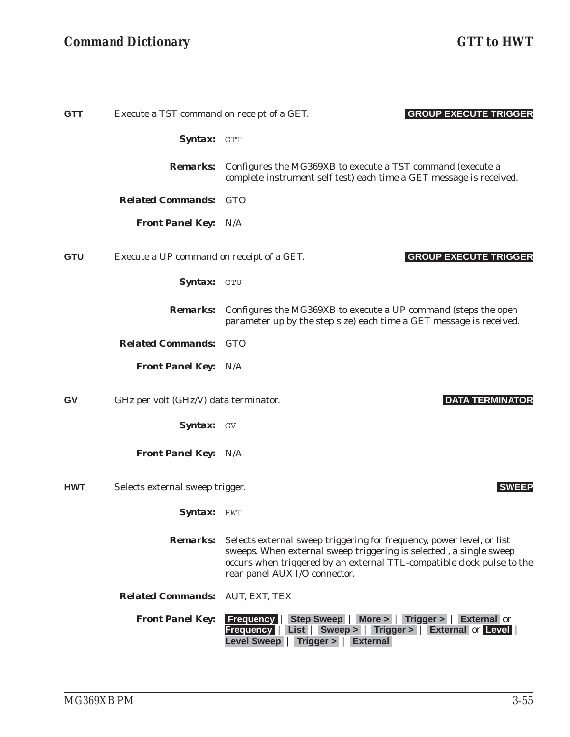# *Command Dictionary GTT to HWT*

| <b>GTT</b> | Execute a TST command on receipt of a GET. | <b>GROUP EXECUTE TRIGGER</b>                                                                                                                                                                                                                                           |
|------------|--------------------------------------------|------------------------------------------------------------------------------------------------------------------------------------------------------------------------------------------------------------------------------------------------------------------------|
|            | Syntax: GTT                                |                                                                                                                                                                                                                                                                        |
|            | <i>Remarks:</i>                            | Configures the MG369XB to execute a TST command (execute a<br>complete instrument self test) each time a GET message is received.                                                                                                                                      |
|            | <b>Related Commands: GTO</b>               |                                                                                                                                                                                                                                                                        |
|            | <b>Front Panel Key: N/A</b>                |                                                                                                                                                                                                                                                                        |
| <b>GTU</b> | Execute a UP command on receipt of a GET.  | <b>GROUP EXECUTE TRIGGER</b>                                                                                                                                                                                                                                           |
|            | Syntax: GTU                                |                                                                                                                                                                                                                                                                        |
|            | <i><b>Remarks:</b></i>                     | Configures the MG369XB to execute a UP command (steps the open<br>parameter up by the step size) each time a GET message is received.                                                                                                                                  |
|            | <b>Related Commands: GTO</b>               |                                                                                                                                                                                                                                                                        |
|            | <b>Front Panel Key: N/A</b>                |                                                                                                                                                                                                                                                                        |
|            |                                            |                                                                                                                                                                                                                                                                        |
| GV         | GHz per volt (GHz/V) data terminator.      | <b>DATA TERMINATOR</b>                                                                                                                                                                                                                                                 |
|            | Syntax: GV                                 |                                                                                                                                                                                                                                                                        |
|            | <b>Front Panel Key: N/A</b>                |                                                                                                                                                                                                                                                                        |
| <b>HWT</b> | Selects external sweep trigger.            | <b>SWEEP</b>                                                                                                                                                                                                                                                           |
|            | Syntax: HWT                                |                                                                                                                                                                                                                                                                        |
|            |                                            | <b>Remarks:</b> Selects external sweep triggering for frequency, power level, or list<br>sweeps. When external sweep triggering is selected, a single sweep<br>occurs when triggered by an external TTL-compatible clock pulse to the<br>rear panel AUX I/O connector. |
|            | <b>Related Commands: AUT, EXT, TEX</b>     |                                                                                                                                                                                                                                                                        |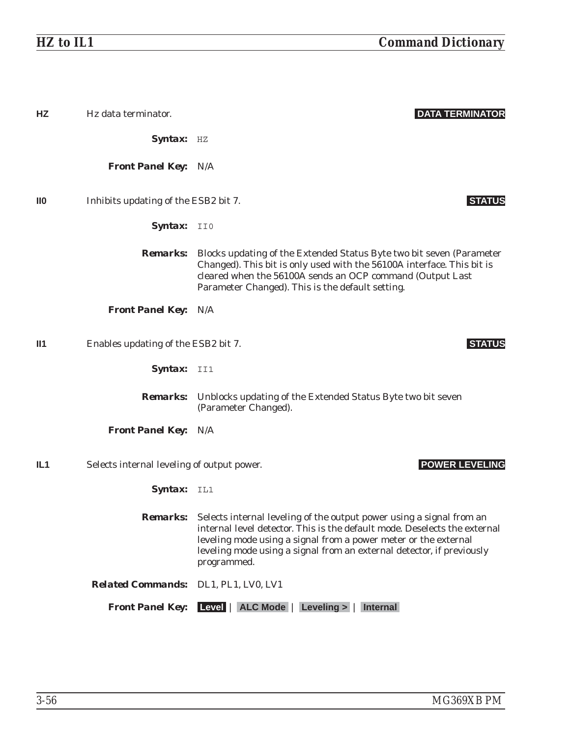| HZ              | Hz data terminator.                        | <b>DATA TERMINATOR</b>                                                                                                                                                                                                                                                                                                       |
|-----------------|--------------------------------------------|------------------------------------------------------------------------------------------------------------------------------------------------------------------------------------------------------------------------------------------------------------------------------------------------------------------------------|
|                 | Syntax: HZ                                 |                                                                                                                                                                                                                                                                                                                              |
|                 | <b>Front Panel Key: N/A</b>                |                                                                                                                                                                                                                                                                                                                              |
| $\mathbf{I}$    | Inhibits updating of the ESB2 bit 7.       | <b>STATUS</b>                                                                                                                                                                                                                                                                                                                |
|                 | Syntax: II0                                |                                                                                                                                                                                                                                                                                                                              |
|                 |                                            | <b>Remarks:</b> Blocks updating of the Extended Status Byte two bit seven (Parameter<br>Changed). This bit is only used with the 56100A interface. This bit is<br>cleared when the 56100A sends an OCP command (Output Last<br>Parameter Changed). This is the default setting.                                              |
|                 | <b>Front Panel Key: N/A</b>                |                                                                                                                                                                                                                                                                                                                              |
| II1             | Enables updating of the ESB2 bit 7.        | <b>STAT</b>                                                                                                                                                                                                                                                                                                                  |
|                 | Syntax: II1                                |                                                                                                                                                                                                                                                                                                                              |
|                 |                                            | <b>Remarks:</b> Unblocks updating of the Extended Status Byte two bit seven<br>(Parameter Changed).                                                                                                                                                                                                                          |
|                 | <b>Front Panel Key: N/A</b>                |                                                                                                                                                                                                                                                                                                                              |
| IL <sub>1</sub> | Selects internal leveling of output power. | <b>POWER LEVELING</b>                                                                                                                                                                                                                                                                                                        |
|                 | Syntax: IL1                                |                                                                                                                                                                                                                                                                                                                              |
|                 |                                            | <b>Remarks:</b> Selects internal leveling of the output power using a signal from an<br>internal level detector. This is the default mode. Deselects the external<br>leveling mode using a signal from a power meter or the external<br>leveling mode using a signal from an external detector, if previously<br>programmed. |
|                 | Related Commands: DL1, PL1, LV0, LV1       |                                                                                                                                                                                                                                                                                                                              |
|                 |                                            | <b>Front Panel Key:</b> Level   ALC Mode   Leveling >  <br><b>Internal</b>                                                                                                                                                                                                                                                   |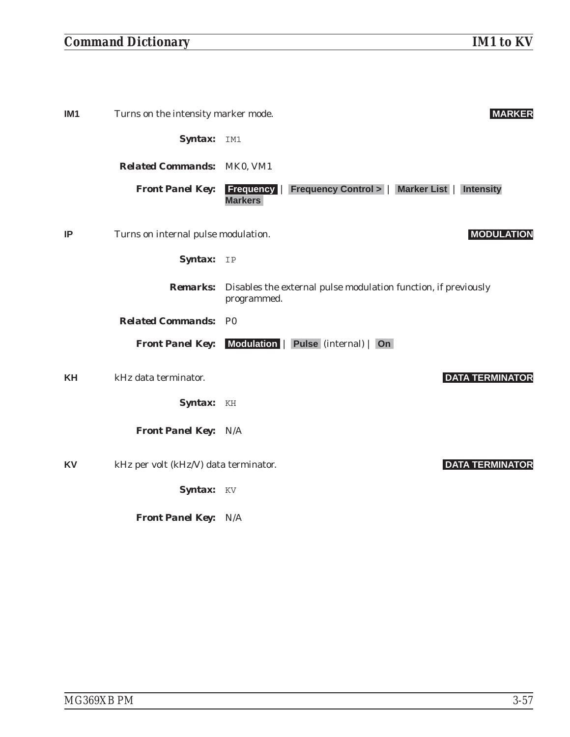| IM1 | Turns on the intensity marker mode.   | <b>MARKER</b>                                                                                   |
|-----|---------------------------------------|-------------------------------------------------------------------------------------------------|
|     | Syntax:                               | IM1                                                                                             |
|     | <b>Related Commands: MK0, VM1</b>     |                                                                                                 |
|     | <b>Front Panel Key:</b>               | <b>Frequency   Frequency Control &gt;   Marker List  </b><br><b>Intensity</b><br><b>Markers</b> |
| ΙP  | Turns on internal pulse modulation.   | <b>MODULATION</b>                                                                               |
|     | Syntax:                               | IP                                                                                              |
|     | <b>Remarks:</b>                       | Disables the external pulse modulation function, if previously<br>programmed.                   |
|     | <b>Related Commands:</b>              | P <sub>0</sub>                                                                                  |
|     | <b>Front Panel Key:</b>               | <b>Modulation</b><br>Pulse (internal)   On                                                      |
| KΗ  | kHz data terminator.                  | <b>DATA TERMINATOR</b>                                                                          |
|     | <b>Syntax:</b>                        | KH                                                                                              |
|     | <b>Front Panel Key: N/A</b>           |                                                                                                 |
| KV  | kHz per volt (kHz/V) data terminator. | <b>DATA TERMINATOR</b>                                                                          |
|     | Syntax: KV                            |                                                                                                 |

*Front Panel Key:* N/A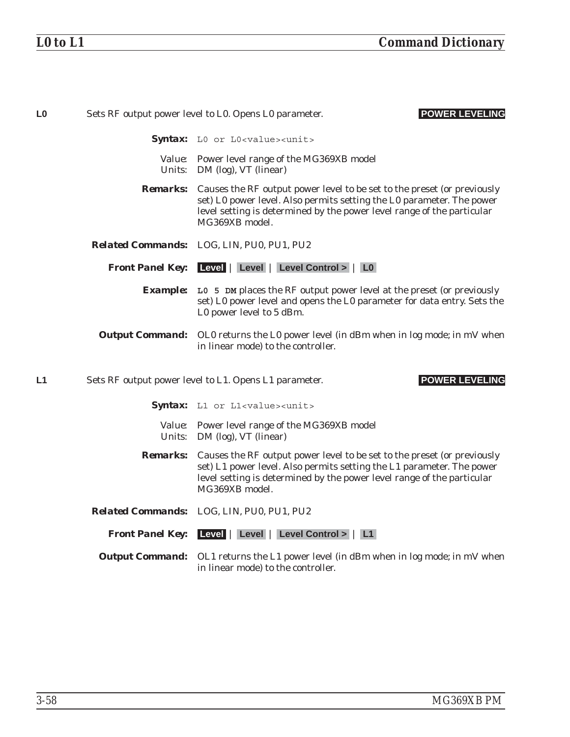| L <sub>0</sub> |                 | <b>POWER LEVELING</b><br>Sets RF output power level to L0. Opens L0 parameter.                                                                                                                                                               |
|----------------|-----------------|----------------------------------------------------------------------------------------------------------------------------------------------------------------------------------------------------------------------------------------------|
|                |                 | Syntax: LO or LO <value><unit></unit></value>                                                                                                                                                                                                |
|                |                 | Value: Power level range of the MG369XB model<br>Units: DM (log), VT (linear)                                                                                                                                                                |
|                | <b>Remarks:</b> | Causes the RF output power level to be set to the preset (or previously<br>set) L0 power level. Also permits setting the L0 parameter. The power<br>level setting is determined by the power level range of the particular<br>MG369XB model. |
|                |                 | Related Commands: LOG, LIN, PU0, PU1, PU2                                                                                                                                                                                                    |
|                |                 | Front Panel Key: Level   Level   Level Control >   L0                                                                                                                                                                                        |
|                |                 | <b>Example:</b> L0 5 DM places the RF output power level at the preset (or previously<br>set) L0 power level and opens the L0 parameter for data entry. Sets the<br>L0 power level to 5 dBm.                                                 |
|                |                 | <b>Output Command:</b> OLO returns the LO power level (in dBm when in log mode; in mV when<br>in linear mode) to the controller.                                                                                                             |
| L1             |                 | Sets RF output power level to L1. Opens L1 parameter.<br><b>POWER LEVELING</b>                                                                                                                                                               |
|                |                 | Syntax: L1 or L1 <value><unit></unit></value>                                                                                                                                                                                                |
|                |                 | Value: Power level range of the MG369XB model<br>Units: DM (log), VT (linear)                                                                                                                                                                |
|                | <i>Remarks:</i> | Causes the RF output power level to be set to the preset (or previously<br>set) L1 power level. Also permits setting the L1 parameter. The power<br>level setting is determined by the power level range of the particular<br>MG369XB model. |

- *Related Commands:* LOG, LIN, PU0, PU1, PU2
	- *Front Panel Key:* **Level** | **Level** | **Level Control >** | **L1**
	- **Output Command:** OL1 returns the L1 power level (in dBm when in log mode; in mV when in linear mode) to the controller.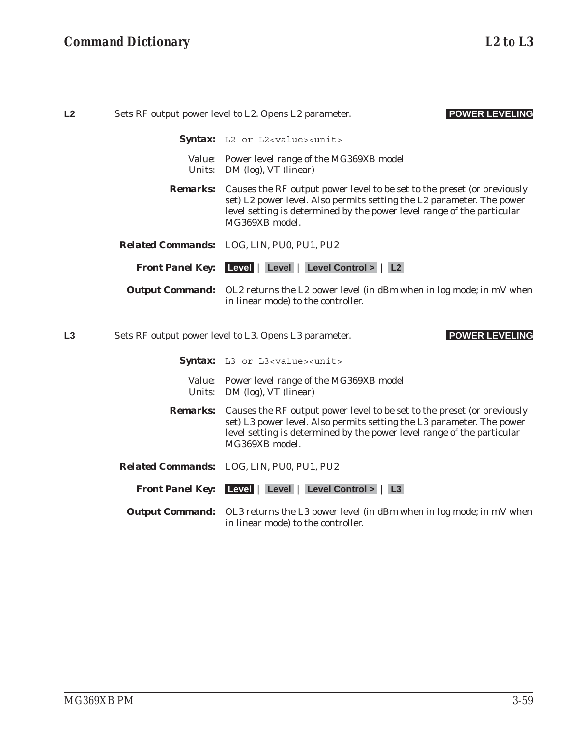| L2<br>Sets RF output power level to L2. Opens L2 parameter. |  | <b>POWER LEVELING</b>                                                                                                                                                                                                                                        |
|-------------------------------------------------------------|--|--------------------------------------------------------------------------------------------------------------------------------------------------------------------------------------------------------------------------------------------------------------|
|                                                             |  | Syntax: L2 or L2 <value><unit></unit></value>                                                                                                                                                                                                                |
|                                                             |  | Value: Power level range of the MG369XB model<br>Units: DM (log), VT (linear)                                                                                                                                                                                |
|                                                             |  | <b>Remarks:</b> Causes the RF output power level to be set to the preset (or previously<br>set) L2 power level. Also permits setting the L2 parameter. The power<br>level setting is determined by the power level range of the particular<br>MG369XB model. |
|                                                             |  | Related Commands: LOG, LIN, PU0, PU1, PU2                                                                                                                                                                                                                    |
|                                                             |  | <b>Front Panel Key:</b> Level   Level   Level Control >   L2                                                                                                                                                                                                 |
|                                                             |  | <b>Output Command:</b> OL2 returns the L2 power level (in dBm when in log mode; in mV when<br>in linear mode) to the controller.                                                                                                                             |
| L3                                                          |  | Sets RF output power level to L3. Opens L3 parameter.<br><b>POWER LEVELING</b>                                                                                                                                                                               |
|                                                             |  | Syntax: L3 or L3 <value><unit></unit></value>                                                                                                                                                                                                                |
|                                                             |  | Value: Power level range of the MG369XB model<br>Units: DM (log), VT (linear)                                                                                                                                                                                |
|                                                             |  | <b>Remarks:</b> Causes the RF output power level to be set to the preset (or previously<br>set) L3 power level. Also permits setting the L3 parameter. The power<br>level setting is determined by the power level range of the particular<br>MG369XB model. |
|                                                             |  | Related Commands: LOG, LIN, PU0, PU1, PU2                                                                                                                                                                                                                    |
|                                                             |  | <b>Front Panel Key:</b> Level   Level   Level Control >   L3                                                                                                                                                                                                 |
|                                                             |  | <b>Output Command:</b> OL3 returns the L3 power level (in dBm when in log mode; in mV when<br>in linear mode) to the controller.                                                                                                                             |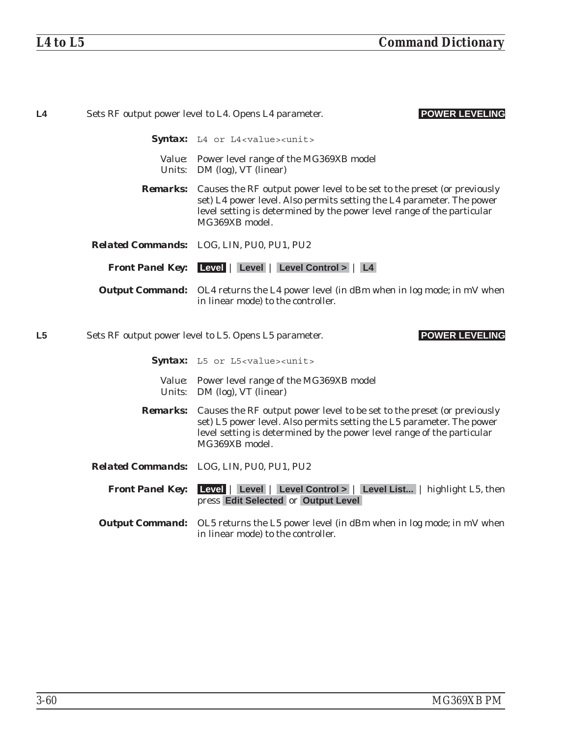| L4             |                         | Sets RF output power level to L4. Opens L4 parameter.<br><b>POWER LEVELING</b>                                                                                                                                                                               |
|----------------|-------------------------|--------------------------------------------------------------------------------------------------------------------------------------------------------------------------------------------------------------------------------------------------------------|
|                |                         | <b>Syntax:</b> L4 or L4 <value><unit></unit></value>                                                                                                                                                                                                         |
|                |                         | Value: Power level range of the MG369XB model<br><i>Units:</i> DM (log), VT (linear)                                                                                                                                                                         |
|                |                         | <b>Remarks:</b> Causes the RF output power level to be set to the preset (or previously<br>set) L4 power level. Also permits setting the L4 parameter. The power<br>level setting is determined by the power level range of the particular<br>MG369XB model. |
|                |                         | Related Commands: LOG, LIN, PU0, PU1, PU2                                                                                                                                                                                                                    |
|                |                         | <b>Front Panel Key:</b> Level   Level   Level Control >   L4                                                                                                                                                                                                 |
|                |                         | <b>Output Command:</b> OL4 returns the L4 power level (in dBm when in log mode; in mV when<br>in linear mode) to the controller.                                                                                                                             |
| L <sub>5</sub> |                         | <b>POWER LEVELING</b><br>Sets RF output power level to L5. Opens L5 parameter.                                                                                                                                                                               |
|                |                         | Syntax: L5 or L5 <value><unit></unit></value>                                                                                                                                                                                                                |
|                |                         | Value: Power level range of the MG369XB model<br>Units: DM (log), VT (linear)                                                                                                                                                                                |
|                | <i>Remarks:</i>         | Causes the RF output power level to be set to the preset (or previously<br>set) L5 power level. Also permits setting the L5 parameter. The power<br>level setting is determined by the power level range of the particular<br>MG369XB model.                 |
|                |                         | Related Commands: LOG, LIN, PU0, PU1, PU2                                                                                                                                                                                                                    |
|                | <b>Front Panel Key:</b> | Level   Level   Level Control >   Level List   highlight L5, then<br>press Edit Selected or Output Level                                                                                                                                                     |
|                |                         | <b>Output Command:</b> OL5 returns the L5 power level (in dBm when in log mode; in mV when<br>in linear mode) to the controller.                                                                                                                             |
|                |                         |                                                                                                                                                                                                                                                              |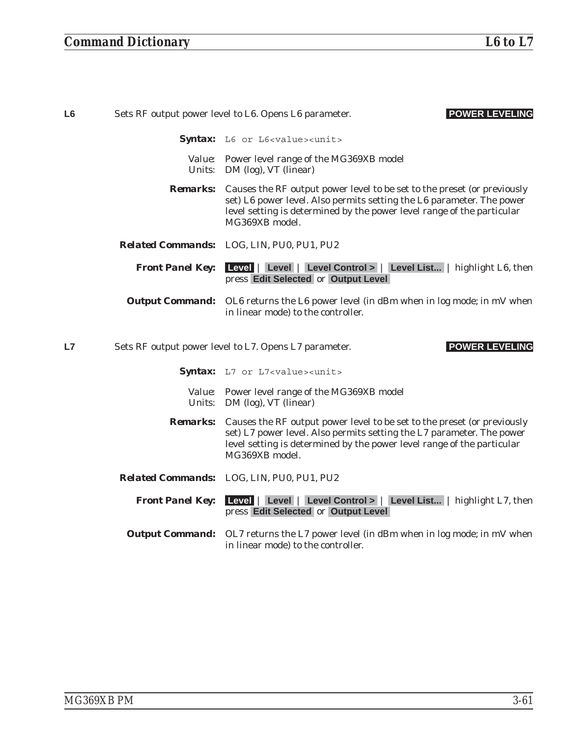| L <sub>6</sub> | <b>POWER LEVELING</b><br>Sets RF output power level to L6. Opens L6 parameter. |                                                                                                                                                                                                                                                              |
|----------------|--------------------------------------------------------------------------------|--------------------------------------------------------------------------------------------------------------------------------------------------------------------------------------------------------------------------------------------------------------|
|                |                                                                                | Syntax: L6 or L6 <value><unit></unit></value>                                                                                                                                                                                                                |
|                |                                                                                | Value: Power level range of the MG369XB model<br><i>Units:</i> DM (log), VT (linear)                                                                                                                                                                         |
|                |                                                                                | <b>Remarks:</b> Causes the RF output power level to be set to the preset (or previously<br>set) L6 power level. Also permits setting the L6 parameter. The power<br>level setting is determined by the power level range of the particular<br>MG369XB model. |
|                |                                                                                | Related Commands: LOG, LIN, PU0, PU1, PU2                                                                                                                                                                                                                    |
|                | <b>Front Panel Key:</b>                                                        | Level   Level   Level Control >   Level List   highlight L6, then<br>press Edit Selected or Output Level                                                                                                                                                     |
|                |                                                                                | <b>Output Command:</b> OL6 returns the L6 power level (in dBm when in log mode; in mV when<br>in linear mode) to the controller.                                                                                                                             |
| L7             |                                                                                | <b>POWER LEVELING</b><br>Sets RF output power level to L7. Opens L7 parameter.                                                                                                                                                                               |
|                |                                                                                | Syntax: L7 or L7 <value><unit></unit></value>                                                                                                                                                                                                                |
|                |                                                                                | Value: Power level range of the MG369XB model<br>Units: DM (log), VT (linear)                                                                                                                                                                                |
|                | <b>Remarks:</b>                                                                | Causes the RF output power level to be set to the preset (or previously<br>set) L7 power level. Also permits setting the L7 parameter. The power<br>level setting is determined by the power level range of the particular<br>MG369XB model.                 |
|                |                                                                                | Related Commands: LOG, LIN, PU0, PU1, PU2                                                                                                                                                                                                                    |
|                | <b>Front Panel Key:</b>                                                        | Level   Level   Level Control >   Level List   highlight L7, then<br>press Edit Selected or Output Level                                                                                                                                                     |
|                |                                                                                | <b>Output Command:</b> OL7 returns the L7 power level (in dBm when in log mode; in mV when<br>in linear mode) to the controller.                                                                                                                             |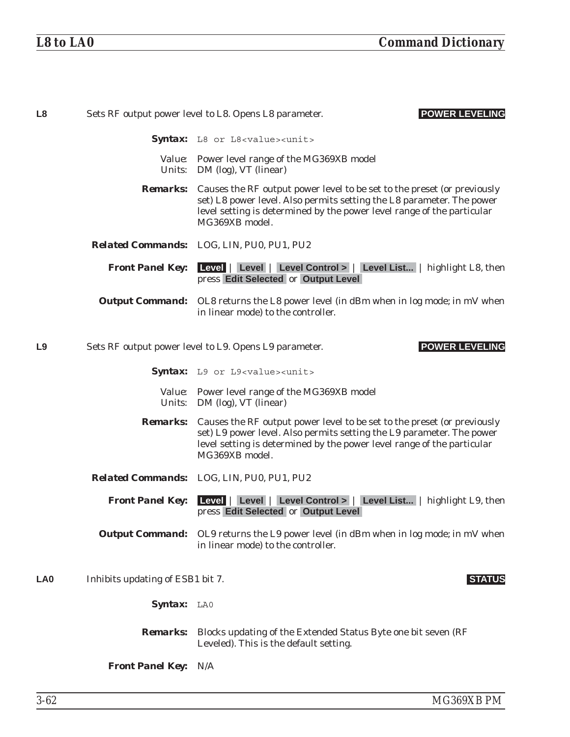| L8              |                                                                                | <b>POWER LEVELING</b><br>Sets RF output power level to L8. Opens L8 parameter.                                                                                                                                                                               |
|-----------------|--------------------------------------------------------------------------------|--------------------------------------------------------------------------------------------------------------------------------------------------------------------------------------------------------------------------------------------------------------|
|                 |                                                                                | Syntax: L8 or L8 <value><unit></unit></value>                                                                                                                                                                                                                |
|                 |                                                                                | Value: Power level range of the MG369XB model<br>Units: DM (log), VT (linear)                                                                                                                                                                                |
|                 |                                                                                | <b>Remarks:</b> Causes the RF output power level to be set to the preset (or previously<br>set) L8 power level. Also permits setting the L8 parameter. The power<br>level setting is determined by the power level range of the particular<br>MG369XB model. |
|                 |                                                                                | Related Commands: LOG, LIN, PU0, PU1, PU2                                                                                                                                                                                                                    |
|                 | <b>Front Panel Key:</b>                                                        | Level   Level   Level Control >   Level List   highlight L8, then<br>press Edit Selected or Output Level                                                                                                                                                     |
|                 |                                                                                | <b>Output Command:</b> OL8 returns the L8 power level (in dBm when in log mode; in mV when<br>in linear mode) to the controller.                                                                                                                             |
| L9              | <b>POWER LEVELING</b><br>Sets RF output power level to L9. Opens L9 parameter. |                                                                                                                                                                                                                                                              |
|                 |                                                                                | Syntax: L9 or L9 <value><unit></unit></value>                                                                                                                                                                                                                |
|                 |                                                                                | Value: Power level range of the MG369XB model<br>Units: DM (log), VT (linear)                                                                                                                                                                                |
|                 |                                                                                | <b>Remarks:</b> Causes the RF output power level to be set to the preset (or previously<br>set) L9 power level. Also permits setting the L9 parameter. The power<br>level setting is determined by the power level range of the particular<br>MG369XB model. |
|                 |                                                                                | Related Commands: LOG, LIN, PU0, PU1, PU2                                                                                                                                                                                                                    |
|                 | <b>Front Panel Key:</b>                                                        | Level   Level   Level Control >   Level List   highlight L9, then<br>press Edit Selected or Output Level                                                                                                                                                     |
|                 |                                                                                | <b>Output Command:</b> OL9 returns the L9 power level (in dBm when in log mode; in mV when<br>in linear mode) to the controller.                                                                                                                             |
| LA <sub>0</sub> | Inhibits updating of ESB1 bit 7.                                               | <b>STATUS</b>                                                                                                                                                                                                                                                |
|                 | Syntax: LAO                                                                    |                                                                                                                                                                                                                                                              |
|                 |                                                                                | <b>Remarks:</b> Blocks updating of the Extended Status Byte one bit seven (RF)<br>Leveled). This is the default setting.                                                                                                                                     |
|                 | <b>Front Panel Key: N/A</b>                                                    |                                                                                                                                                                                                                                                              |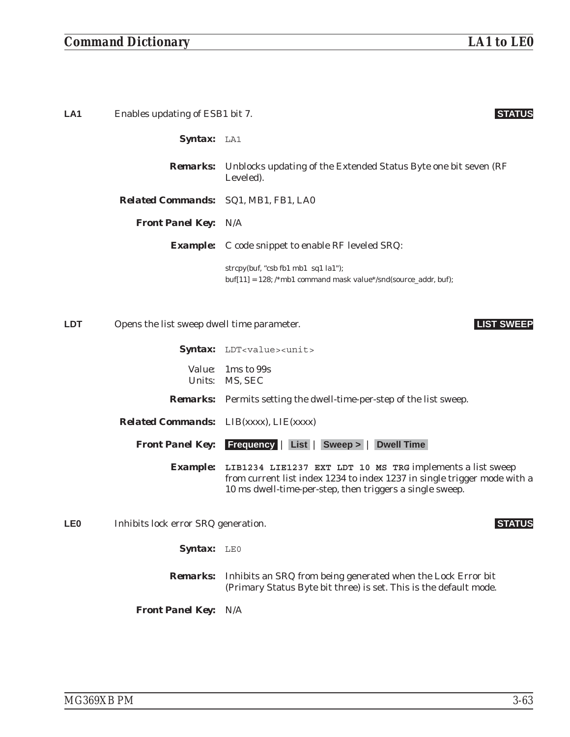## *Command Dictionary LA1 to LE0*

**LA1** Enables updating of ESB1 bit 7. **STATUS** *Syntax:* LA1 *Remarks:* Unblocks updating of the Extended Status Byte one bit seven (RF Leveled). *Related Commands:* SQ1, MB1, FB1, LA0 *Front Panel Key:* N/A *Example:* C code snippet to enable RF leveled SRQ: strcpy(buf, "csb fb1 mb1 sq1 la1"); buf[11] = 128; /\*mb1 command mask value\*/snd(source\_addr, buf); **LDT** Opens the list sweep dwell time parameter. **LIST SWEEP** Syntax: LDT<value><unit> *Value:* 1ms to 99s *Units:* MS, SEC *Remarks:* Permits setting the dwell-time-per-step of the list sweep. *Related Commands:* LIB(xxxx), LIE(xxxx) *Front Panel Key:* **Frequency** | **List** | **Sweep >** | **Dwell Time** *Example:* **LIB1234 LIE1237 EXT LDT 10 MS TRG** implements a list sweep from current list index 1234 to index 1237 in single trigger mode with a 10 ms dwell-time-per-step, then triggers a single sweep. **LE0** Inhibits lock error SRQ generation. **STATUS** Syntax: LEO

> *Remarks:* Inhibits an SRQ from being generated when the Lock Error bit (Primary Status Byte bit three) is set. This is the default mode.

*Front Panel Key:* N/A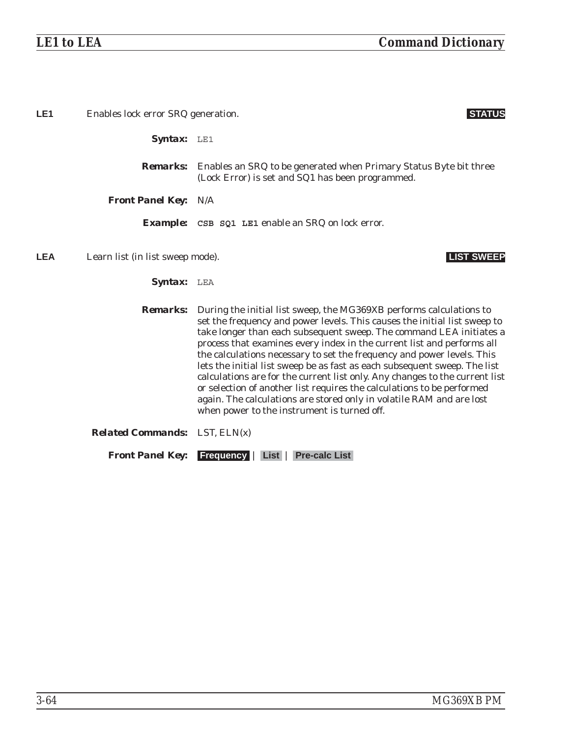| LE <sub>1</sub>                                | Enables lock error SRQ generation.   |                                                                                                                                                                                                                                                                                                                                                                                                                                                                                                                                                                                                                                                                                                                                          |
|------------------------------------------------|--------------------------------------|------------------------------------------------------------------------------------------------------------------------------------------------------------------------------------------------------------------------------------------------------------------------------------------------------------------------------------------------------------------------------------------------------------------------------------------------------------------------------------------------------------------------------------------------------------------------------------------------------------------------------------------------------------------------------------------------------------------------------------------|
|                                                | <b>Syntax:</b> $LE1$                 |                                                                                                                                                                                                                                                                                                                                                                                                                                                                                                                                                                                                                                                                                                                                          |
|                                                | <i><b>Remarks:</b></i>               | Enables an SRQ to be generated when Primary Status Byte bit three<br>(Lock Error) is set and SQ1 has been programmed.                                                                                                                                                                                                                                                                                                                                                                                                                                                                                                                                                                                                                    |
|                                                | <b>Front Panel Key: N/A</b>          |                                                                                                                                                                                                                                                                                                                                                                                                                                                                                                                                                                                                                                                                                                                                          |
|                                                |                                      | <b>Example:</b> CSB SQ1 LE1 enable an SRQ on lock error.                                                                                                                                                                                                                                                                                                                                                                                                                                                                                                                                                                                                                                                                                 |
| <b>LEA</b><br>Learn list (in list sweep mode). |                                      | <b>LIST SWEEP</b>                                                                                                                                                                                                                                                                                                                                                                                                                                                                                                                                                                                                                                                                                                                        |
|                                                | <b>Syntax:</b> LEA                   |                                                                                                                                                                                                                                                                                                                                                                                                                                                                                                                                                                                                                                                                                                                                          |
|                                                | <i><b>Remarks:</b></i>               | During the initial list sweep, the MG369XB performs calculations to<br>set the frequency and power levels. This causes the initial list sweep to<br>take longer than each subsequent sweep. The command LEA initiates a<br>process that examines every index in the current list and performs all<br>the calculations necessary to set the frequency and power levels. This<br>lets the initial list sweep be as fast as each subsequent sweep. The list<br>calculations are for the current list only. Any changes to the current list<br>or selection of another list requires the calculations to be performed<br>again. The calculations are stored only in volatile RAM and are lost<br>when power to the instrument is turned off. |
|                                                | <b>Related Commands:</b> LST, ELN(x) |                                                                                                                                                                                                                                                                                                                                                                                                                                                                                                                                                                                                                                                                                                                                          |

*Front Panel Key:* **Frequency** | **List** | **Pre-calc List**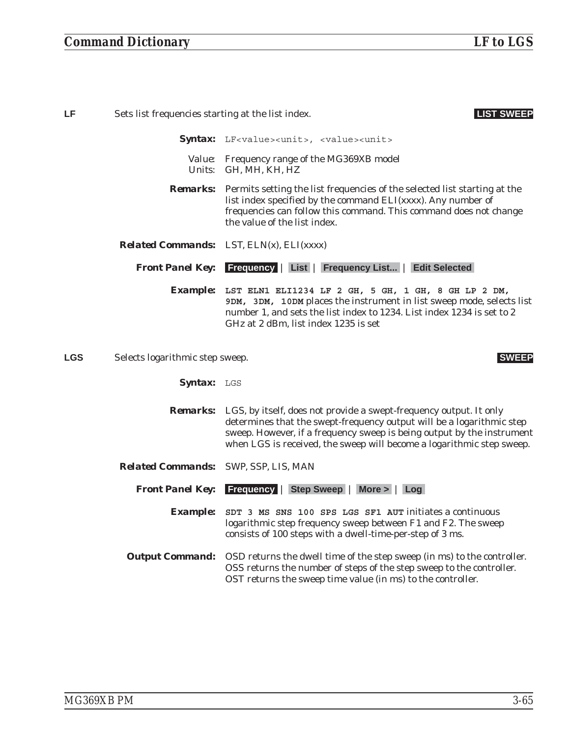| LF         | Sets list frequencies starting at the list index.<br><b>LIST SWEER</b> |                                                                                                                                                                                                                                                                                                |
|------------|------------------------------------------------------------------------|------------------------------------------------------------------------------------------------------------------------------------------------------------------------------------------------------------------------------------------------------------------------------------------------|
|            |                                                                        | Syntax: LF <value><unit>, <value><unit></unit></value></unit></value>                                                                                                                                                                                                                          |
|            |                                                                        | Value: Frequency range of the MG369XB model<br>Units: GH, MH, KH, HZ                                                                                                                                                                                                                           |
|            | <b>Remarks:</b>                                                        | Permits setting the list frequencies of the selected list starting at the<br>list index specified by the command ELI(xxxx). Any number of<br>frequencies can follow this command. This command does not change<br>the value of the list index.                                                 |
|            | <b>Related Commands:</b>                                               | LST, $ELN(x)$ , $ELI(xxxxx)$                                                                                                                                                                                                                                                                   |
|            | <b>Front Panel Key:</b>                                                | <b>Frequency   List   Frequency List   Edit Selected</b>                                                                                                                                                                                                                                       |
|            |                                                                        | Example: LST ELN1 ELI1234 LF 2 GH, 5 GH, 1 GH, 8 GH LP 2 DM,<br>9DM, 3DM, 10DM places the instrument in list sweep mode, selects list<br>number 1, and sets the list index to 1234. List index 1234 is set to 2<br>GHz at 2 dBm, list index 1235 is set                                        |
| <b>LGS</b> | Selects logarithmic step sweep.                                        | <b>SWEEP</b>                                                                                                                                                                                                                                                                                   |
|            | Syntax: LGS                                                            |                                                                                                                                                                                                                                                                                                |
|            | <i><b>Remarks:</b></i>                                                 | LGS, by itself, does not provide a swept-frequency output. It only<br>determines that the swept-frequency output will be a logarithmic step<br>sweep. However, if a frequency sweep is being output by the instrument<br>when LGS is received, the sweep will become a logarithmic step sweep. |
|            | <b>Related Commands:</b> SWP, SSP, LIS, MAN                            |                                                                                                                                                                                                                                                                                                |
|            | <b>Front Panel Key:</b>                                                | <b>Step Sweep</b><br><b>Frequency</b><br>$More >$ Log                                                                                                                                                                                                                                          |

*Example:* **SDT 3 MS SNS 100 SPS LGS SF1 AUT** initiates a continuous logarithmic step frequency sweep between F1 and F2. The sweep consists of 100 steps with a dwell-time-per-step of 3 ms.

*Output Command:* OSD returns the dwell time of the step sweep (in ms) to the controller. OSS returns the number of steps of the step sweep to the controller. OST returns the sweep time value (in ms) to the controller.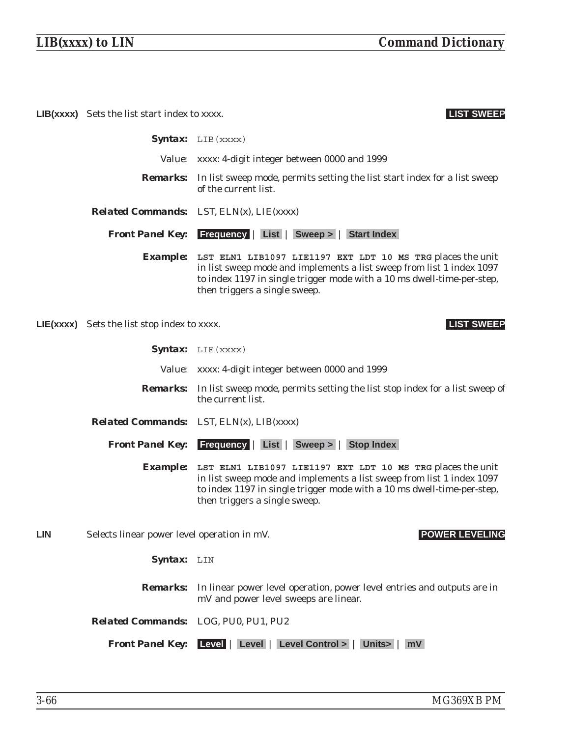**LIB(xxxx)** Sets the list start index to xxxx. **LIST SWEEP**

|                 | <b>Syntax:</b> $LIB$ (xxxx)                                                                                                                                                                                                                    |  |
|-----------------|------------------------------------------------------------------------------------------------------------------------------------------------------------------------------------------------------------------------------------------------|--|
|                 | <i>Value: xxxx:</i> 4-digit integer between 0000 and 1999                                                                                                                                                                                      |  |
|                 | <b>Remarks:</b> In list sweep mode, permits setting the list start index for a list sweep<br>of the current list.                                                                                                                              |  |
|                 | <b>Related Commands:</b> LST, $ELN(x)$ , $LIE(xxxx)$                                                                                                                                                                                           |  |
|                 | <b>Front Panel Key:</b> Frequency   List   Sweep >   Start Index                                                                                                                                                                               |  |
| <b>Example:</b> | LST ELN1 LIB1097 LIE1197 EXT LDT 10 MS TRG places the unit<br>in list sweep mode and implements a list sweep from list 1 index 1097<br>to index 1197 in single trigger mode with a 10 ms dwell-time-per-step,<br>then triggers a single sweep. |  |

**LIE(xxxx)** Sets the list stop index to xxxx. **LIST SWEEP**

Syntax: LIE(xxxx)

- *Value:* xxxx: 4-digit integer between 0000 and 1999 *Remarks:* In list sweep mode, permits setting the list stop index for a list sweep of the current list. *Related Commands:* LST, ELN(x), LIB(xxxx) *Front Panel Key:* **Frequency** | **List** | **Sweep >** | **Stop Index** *Example:* **LST ELN1 LIB1097 LIE1197 EXT LDT 10 MS TRG** places the unit in list sweep mode and implements a list sweep from list 1 index 1097 to index 1197 in single trigger mode with a 10 ms dwell-time-per-step, then triggers a single sweep. **LIN** Selects linear power level operation in mV. **POWER LEVELING** Syntax: LIN *Remarks:* In linear power level operation, power level entries and outputs are in mV and power level sweeps are linear. *Related Commands:* LOG, PU0, PU1, PU2
	- *Front Panel Key:* **Level** | **Level** | **Level Control >** | **Units>** | **mV**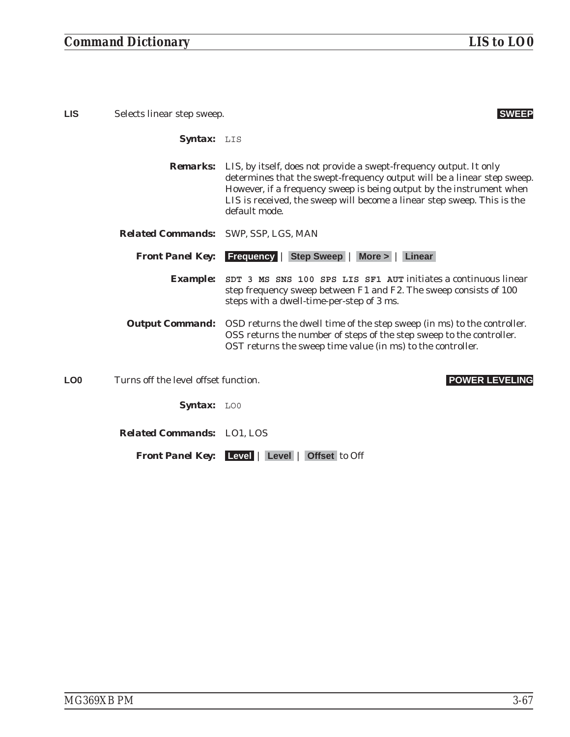**LIS** Selects linear step sweep. **SWEEP** 

*Syntax:* LIS

- *Remarks:* LIS, by itself, does not provide a swept-frequency output. It only determines that the swept-frequency output will be a linear step sweep. However, if a frequency sweep is being output by the instrument when LIS is received, the sweep will become a linear step sweep. This is the default mode.
- *Related Commands:* SWP, SSP, LGS, MAN

*Front Panel Key:* **Frequency** | **Step Sweep** | **More >** | **Linear**

- *Example:* **SDT 3 MS SNS 100 SPS LIS SF1 AUT** initiates a continuous linear step frequency sweep between F1 and F2. The sweep consists of 100 steps with a dwell-time-per-step of 3 ms.
- *Output Command:* OSD returns the dwell time of the step sweep (in ms) to the controller. OSS returns the number of steps of the step sweep to the controller. OST returns the sweep time value (in ms) to the controller.

**LO0** Turns off the level offset function. **POWER LEVELING**

Syntax: LOO

*Related Commands:* LO1, LOS

*Front Panel Key:* **Level** | **Level** | **Offset** to Off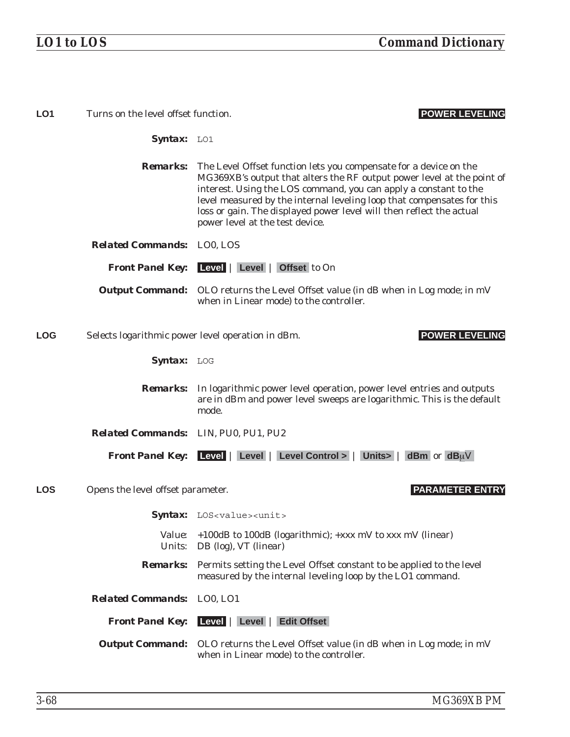| LO <sub>1</sub> | Turns on the level offset function.  | <b>POWER LEVELING</b>                                                                                                                                                                                                                                                                                                                                                                                                |
|-----------------|--------------------------------------|----------------------------------------------------------------------------------------------------------------------------------------------------------------------------------------------------------------------------------------------------------------------------------------------------------------------------------------------------------------------------------------------------------------------|
|                 | Syntax: LO1                          |                                                                                                                                                                                                                                                                                                                                                                                                                      |
|                 |                                      | <b>Remarks:</b> The Level Offset function lets you compensate for a device on the<br>MG369XB's output that alters the RF output power level at the point of<br>interest. Using the LOS command, you can apply a constant to the<br>level measured by the internal leveling loop that compensates for this<br>loss or gain. The displayed power level will then reflect the actual<br>power level at the test device. |
|                 | <b>Related Commands:</b> LO0, LOS    |                                                                                                                                                                                                                                                                                                                                                                                                                      |
|                 |                                      | <b>Front Panel Key:</b> Level   Level   Offset to On                                                                                                                                                                                                                                                                                                                                                                 |
|                 |                                      | <b>Output Command:</b> OLO returns the Level Offset value (in dB when in Log mode; in mV<br>when in Linear mode) to the controller.                                                                                                                                                                                                                                                                                  |
| <b>LOG</b>      |                                      | <b>POWER LEVELING</b><br>Selects logarithmic power level operation in dBm.                                                                                                                                                                                                                                                                                                                                           |
|                 | Syntax: LOG                          |                                                                                                                                                                                                                                                                                                                                                                                                                      |
|                 |                                      | <b>Remarks:</b> In logarithmic power level operation, power level entries and outputs<br>are in dBm and power level sweeps are logarithmic. This is the default<br>mode.                                                                                                                                                                                                                                             |
|                 | Related Commands: LIN, PU0, PU1, PU2 |                                                                                                                                                                                                                                                                                                                                                                                                                      |
|                 |                                      | <b>Front Panel Key:</b> Level   Level   Level Control >   Units >   dBm or $dB_{\mu}V$                                                                                                                                                                                                                                                                                                                               |
| <b>LOS</b>      | Opens the level offset parameter.    | <b>PARAMETER ENTRY</b>                                                                                                                                                                                                                                                                                                                                                                                               |
|                 |                                      | Syntax: LOS <value><unit></unit></value>                                                                                                                                                                                                                                                                                                                                                                             |
|                 | <i>Value:</i>                        | +100dB to 100dB (logarithmic); +xxx mV to xxx mV (linear)<br><i>Units:</i> DB (log), VT (linear)                                                                                                                                                                                                                                                                                                                     |
|                 |                                      | <b>Remarks:</b> Permits setting the Level Offset constant to be applied to the level<br>measured by the internal leveling loop by the LO1 command.                                                                                                                                                                                                                                                                   |
|                 | <b>Related Commands:</b>             | LO0, LO1                                                                                                                                                                                                                                                                                                                                                                                                             |
|                 |                                      | <b>Front Panel Key:</b> Level   Level   Edit Offset                                                                                                                                                                                                                                                                                                                                                                  |
|                 |                                      | <b>Output Command:</b> OLO returns the Level Offset value (in dB when in Log mode; in mV<br>when in Linear mode) to the controller.                                                                                                                                                                                                                                                                                  |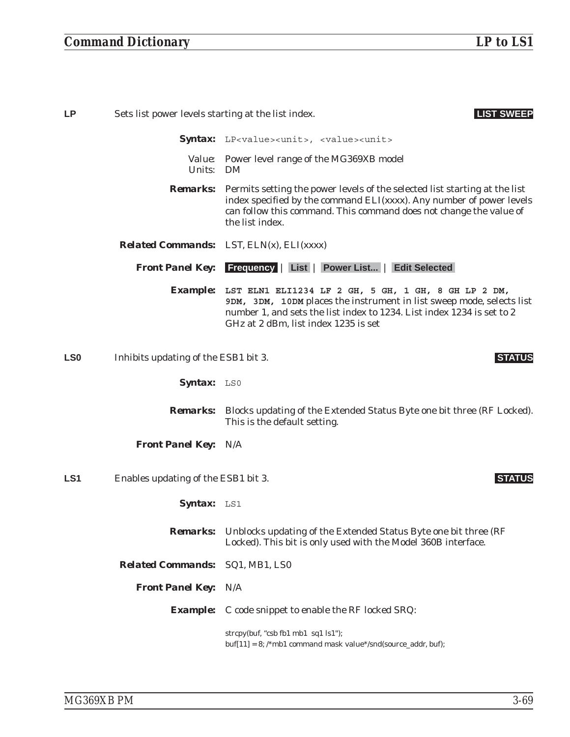| <b>LP</b>       | Sets list power levels starting at the list index. | <b>LIST SWEEP</b>                                                                                                                                                                                                                                           |
|-----------------|----------------------------------------------------|-------------------------------------------------------------------------------------------------------------------------------------------------------------------------------------------------------------------------------------------------------------|
|                 |                                                    | Syntax: LP <value><unit>, <value><unit></unit></value></unit></value>                                                                                                                                                                                       |
|                 | Units: DM                                          | Value: Power level range of the MG369XB model                                                                                                                                                                                                               |
|                 |                                                    | <b>Remarks:</b> Permits setting the power levels of the selected list starting at the list<br>index specified by the command ELI(xxxx). Any number of power levels<br>can follow this command. This command does not change the value of<br>the list index. |
|                 |                                                    | <i>Related Commands:</i> LST, $ELN(x)$ , $ELI(xxxx)$                                                                                                                                                                                                        |
|                 |                                                    | Front Panel Key: Frequency   List   Power List   Edit Selected                                                                                                                                                                                              |
|                 |                                                    | Example: LST ELN1 ELI1234 LF 2 GH, 5 GH, 1 GH, 8 GH LP 2 DM,<br>9DM, 3DM, 10DM places the instrument in list sweep mode, selects list<br>number 1, and sets the list index to 1234. List index 1234 is set to 2<br>GHz at 2 dBm, list index 1235 is set     |
| <b>LS0</b>      | Inhibits updating of the ESB1 bit 3.               | <b>STATUS</b>                                                                                                                                                                                                                                               |
|                 | Syntax: LSO                                        |                                                                                                                                                                                                                                                             |
|                 |                                                    | <b>Remarks:</b> Blocks updating of the Extended Status Byte one bit three (RF Locked).<br>This is the default setting.                                                                                                                                      |
|                 | <b>Front Panel Key: N/A</b>                        |                                                                                                                                                                                                                                                             |
| LS <sub>1</sub> | Enables updating of the ESB1 bit 3.                | <b>STATUS</b>                                                                                                                                                                                                                                               |
|                 | Syntax: LS1                                        |                                                                                                                                                                                                                                                             |
|                 | <b>Remarks:</b>                                    | Unblocks updating of the Extended Status Byte one bit three (RF<br>Locked). This bit is only used with the Model 360B interface.                                                                                                                            |
|                 | <b>Related Commands:</b>                           | SQ1, MB1, LS0                                                                                                                                                                                                                                               |
|                 | <b>Front Panel Key: N/A</b>                        |                                                                                                                                                                                                                                                             |
|                 | <i><b>Example:</b></i>                             | C code snippet to enable the RF locked SRQ:                                                                                                                                                                                                                 |
|                 |                                                    | strcpy(buf, "csb fb1 mb1 sq1 ls1");<br>$buf[11] = 8$ ; /*mb1 command mask value*/snd(source_addr, buf);                                                                                                                                                     |
|                 |                                                    |                                                                                                                                                                                                                                                             |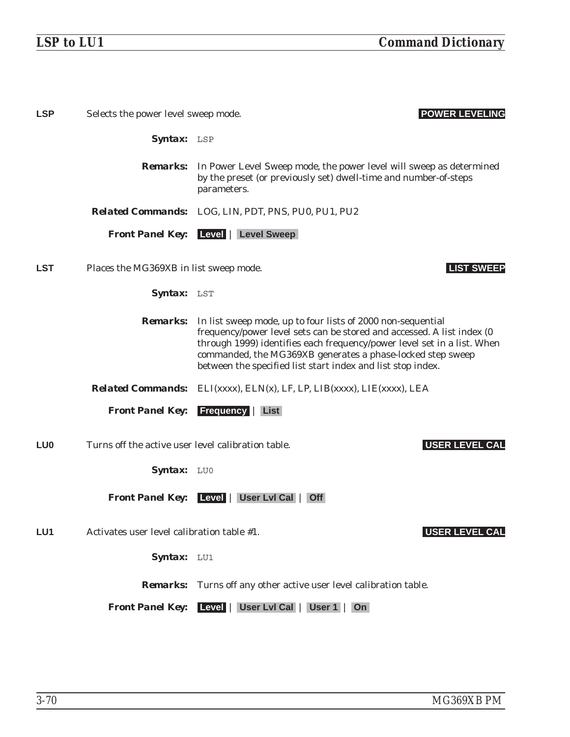| <b>LSP</b>      | Selects the power level sweep mode.                | <b>POWER LEVELING</b>                                                                                                                                                                                                                                                                                                                                         |
|-----------------|----------------------------------------------------|---------------------------------------------------------------------------------------------------------------------------------------------------------------------------------------------------------------------------------------------------------------------------------------------------------------------------------------------------------------|
|                 | Syntax: LSP                                        |                                                                                                                                                                                                                                                                                                                                                               |
|                 |                                                    | <b>Remarks:</b> In Power Level Sweep mode, the power level will sweep as determined<br>by the preset (or previously set) dwell-time and number-of-steps<br>parameters.                                                                                                                                                                                        |
|                 |                                                    | <b>Related Commands:</b> LOG, LIN, PDT, PNS, PU0, PU1, PU2                                                                                                                                                                                                                                                                                                    |
|                 |                                                    | <b>Front Panel Key:</b> Level   Level Sweep                                                                                                                                                                                                                                                                                                                   |
| <b>LST</b>      | Places the MG369XB in list sweep mode.             | <b>LIST SWEEP</b>                                                                                                                                                                                                                                                                                                                                             |
|                 | Syntax: LST                                        |                                                                                                                                                                                                                                                                                                                                                               |
|                 |                                                    | <b>Remarks:</b> In list sweep mode, up to four lists of 2000 non-sequential<br>frequency/power level sets can be stored and accessed. A list index (0<br>through 1999) identifies each frequency/power level set in a list. When<br>commanded, the MG369XB generates a phase-locked step sweep<br>between the specified list start index and list stop index. |
|                 |                                                    | <b>Related Commands:</b> ELI(xxxx), ELN(x), LF, LP, LIB(xxxx), LIE(xxxx), LEA                                                                                                                                                                                                                                                                                 |
|                 | <b>Front Panel Key:</b>                            | <b>Frequency   List</b>                                                                                                                                                                                                                                                                                                                                       |
| LU <sub>0</sub> | Turns off the active user level calibration table. | <b>USER LEVEL CAL</b>                                                                                                                                                                                                                                                                                                                                         |
|                 | Syntax: LUO                                        |                                                                                                                                                                                                                                                                                                                                                               |
|                 |                                                    | Front Panel Key: Level   User Lvl Cal   Off                                                                                                                                                                                                                                                                                                                   |
| LU <sub>1</sub> | Activates user level calibration table #1.         | <b>USER LEVEL CAL</b>                                                                                                                                                                                                                                                                                                                                         |
|                 | Syntax: LU1                                        |                                                                                                                                                                                                                                                                                                                                                               |
|                 |                                                    | <b>Remarks:</b> Turns off any other active user level calibration table.                                                                                                                                                                                                                                                                                      |
|                 | <b>Front Panel Key:</b>                            | Level   User Lvl Cal   User 1   On                                                                                                                                                                                                                                                                                                                            |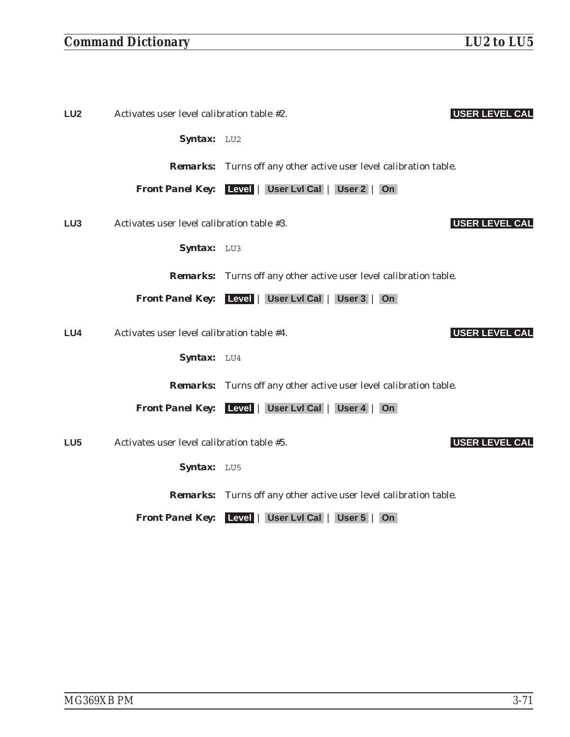| LU <sub>2</sub> | Activates user level calibration table #2. | <b>USER LEVEL CAL</b>                                                    |
|-----------------|--------------------------------------------|--------------------------------------------------------------------------|
|                 | Syntax: LU2                                |                                                                          |
|                 |                                            | <b>Remarks:</b> Turns off any other active user level calibration table. |
|                 |                                            | Front Panel Key: Level   User Lvl Cal   User 2   On                      |
| LU <sub>3</sub> | Activates user level calibration table #3. | <b>USER LEVEL CAL</b>                                                    |
|                 | Syntax: LU3                                |                                                                          |
|                 |                                            | <b>Remarks:</b> Turns off any other active user level calibration table. |
|                 |                                            | Front Panel Key: Level   User Lvl Cal   User 3   On                      |
| LU4             | Activates user level calibration table #4. | <b>USER LEVEL CAL</b>                                                    |
|                 | Syntax: LU4                                |                                                                          |
|                 |                                            | <b>Remarks:</b> Turns off any other active user level calibration table. |
|                 |                                            | Front Panel Key: Level   User Lvl Cal   User 4   On                      |
| LU <sub>5</sub> | Activates user level calibration table #5. | <b>USER LEVEL CAL</b>                                                    |
|                 | <b>Syntax:</b> $L\text{U}5$                |                                                                          |

*Remarks:* Turns off any other active user level calibration table.

*Front Panel Key:* **Level** | **User Lvl Cal** | **User 5** | **On**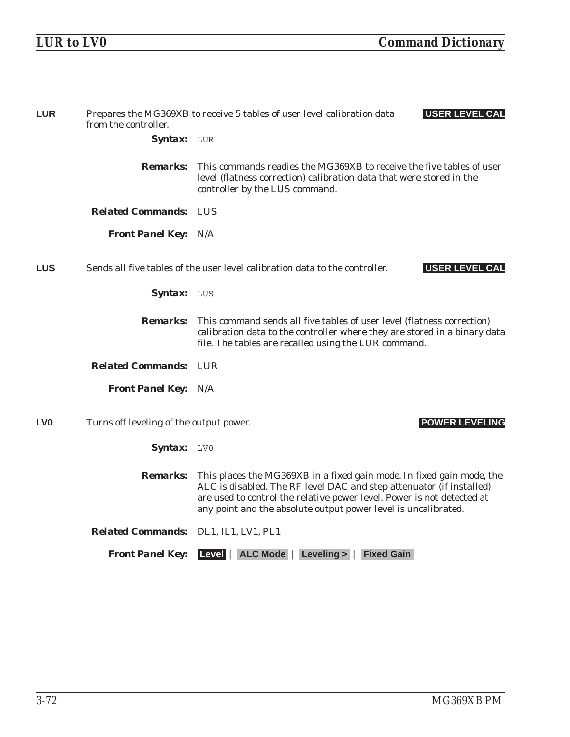| <b>LUR</b>      | from the controller.                    | Prepares the MG369XB to receive 5 tables of user level calibration data<br><b>USER LEVEL CAL</b>                                                                                                                                                                                          |  |
|-----------------|-----------------------------------------|-------------------------------------------------------------------------------------------------------------------------------------------------------------------------------------------------------------------------------------------------------------------------------------------|--|
|                 | Syntax: LUR                             |                                                                                                                                                                                                                                                                                           |  |
|                 | <i><b>Remarks:</b></i>                  | This commands readies the MG369XB to receive the five tables of user<br>level (flatness correction) calibration data that were stored in the<br>controller by the LUS command.                                                                                                            |  |
|                 | <b>Related Commands: LUS</b>            |                                                                                                                                                                                                                                                                                           |  |
|                 | <b>Front Panel Key: N/A</b>             |                                                                                                                                                                                                                                                                                           |  |
| <b>LUS</b>      |                                         | Sends all five tables of the user level calibration data to the controller.<br><b>USER LEVEL CAL</b>                                                                                                                                                                                      |  |
|                 | Syntax: LUS                             |                                                                                                                                                                                                                                                                                           |  |
|                 | <b>Remarks:</b>                         | This command sends all five tables of user level (flatness correction)<br>calibration data to the controller where they are stored in a binary data<br>file. The tables are recalled using the LUR command.                                                                               |  |
|                 | <b>Related Commands: LUR</b>            |                                                                                                                                                                                                                                                                                           |  |
|                 | <b>Front Panel Key: N/A</b>             |                                                                                                                                                                                                                                                                                           |  |
| LV <sub>0</sub> | Turns off leveling of the output power. | <b>POWER LEVELING</b>                                                                                                                                                                                                                                                                     |  |
|                 | Syntax: LV0                             |                                                                                                                                                                                                                                                                                           |  |
|                 | <b>Remarks:</b>                         | This places the MG369XB in a fixed gain mode. In fixed gain mode, the<br>ALC is disabled. The RF level DAC and step attenuator (if installed)<br>are used to control the relative power level. Power is not detected at<br>any point and the absolute output power level is uncalibrated. |  |
|                 | Related Commands: DL1, IL1, LV1, PL1    |                                                                                                                                                                                                                                                                                           |  |
|                 | <b>Front Panel Key:</b>                 | Level   ALC Mode   Leveling >   Fixed Gain                                                                                                                                                                                                                                                |  |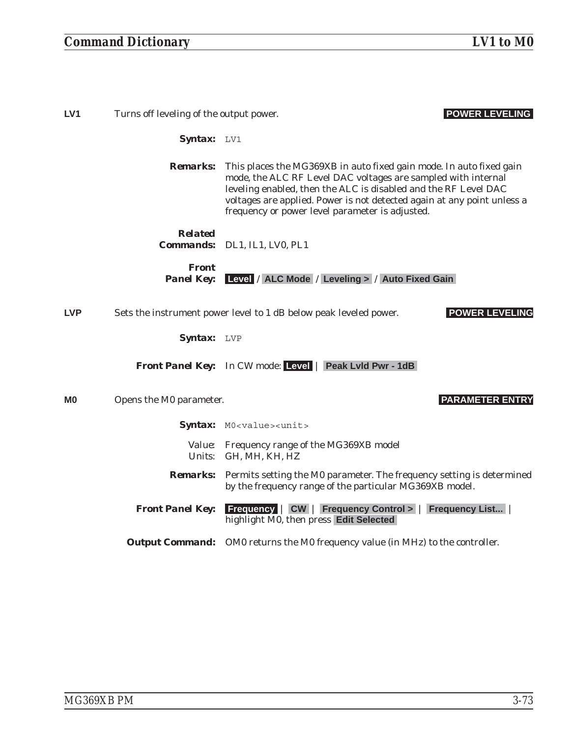| LV <sub>1</sub>                                                                       | Turns off leveling of the output power.                                                                                                                                                                                                                                                                                                                  | <b>POWER LEVELING</b>                                                                                                                            |
|---------------------------------------------------------------------------------------|----------------------------------------------------------------------------------------------------------------------------------------------------------------------------------------------------------------------------------------------------------------------------------------------------------------------------------------------------------|--------------------------------------------------------------------------------------------------------------------------------------------------|
|                                                                                       | Syntax: LV1                                                                                                                                                                                                                                                                                                                                              |                                                                                                                                                  |
|                                                                                       | This places the MG369XB in auto fixed gain mode. In auto fixed gain<br><b>Remarks:</b><br>mode, the ALC RF Level DAC voltages are sampled with internal<br>leveling enabled, then the ALC is disabled and the RF Level DAC<br>voltages are applied. Power is not detected again at any point unless a<br>frequency or power level parameter is adjusted. |                                                                                                                                                  |
|                                                                                       | <b>Related</b>                                                                                                                                                                                                                                                                                                                                           | Commands: DL1, IL1, LV0, PL1                                                                                                                     |
|                                                                                       | <b>Front</b><br><b>Panel Key:</b>                                                                                                                                                                                                                                                                                                                        | Level / ALC Mode / Leveling > / Auto Fixed Gain                                                                                                  |
| <b>LVP</b>                                                                            |                                                                                                                                                                                                                                                                                                                                                          | <b>POWER LEVELING</b><br>Sets the instrument power level to 1 dB below peak leveled power.                                                       |
|                                                                                       | Syntax: LVP                                                                                                                                                                                                                                                                                                                                              |                                                                                                                                                  |
|                                                                                       |                                                                                                                                                                                                                                                                                                                                                          | <b>Front Panel Key:</b> In CW mode: Level   Peak Lyld Pwr - 1dB                                                                                  |
| M0                                                                                    | Opens the M0 parameter.                                                                                                                                                                                                                                                                                                                                  | <b>PARAMETER ENTRY</b>                                                                                                                           |
|                                                                                       |                                                                                                                                                                                                                                                                                                                                                          | Syntax: MO <value><unit></unit></value>                                                                                                          |
|                                                                                       |                                                                                                                                                                                                                                                                                                                                                          | Value: Frequency range of the MG369XB model<br>Units: GH, MH, KH, HZ                                                                             |
|                                                                                       |                                                                                                                                                                                                                                                                                                                                                          | <b>Remarks:</b> Permits setting the M0 parameter. The frequency setting is determined<br>by the frequency range of the particular MG369XB model. |
|                                                                                       | Frequency   CW   Frequency Control >   Frequency List<br><b>Front Panel Key:</b><br>highlight M0, then press Edit Selected                                                                                                                                                                                                                               |                                                                                                                                                  |
| <b>Output Command:</b> OM0 returns the M0 frequency value (in MHz) to the controller. |                                                                                                                                                                                                                                                                                                                                                          |                                                                                                                                                  |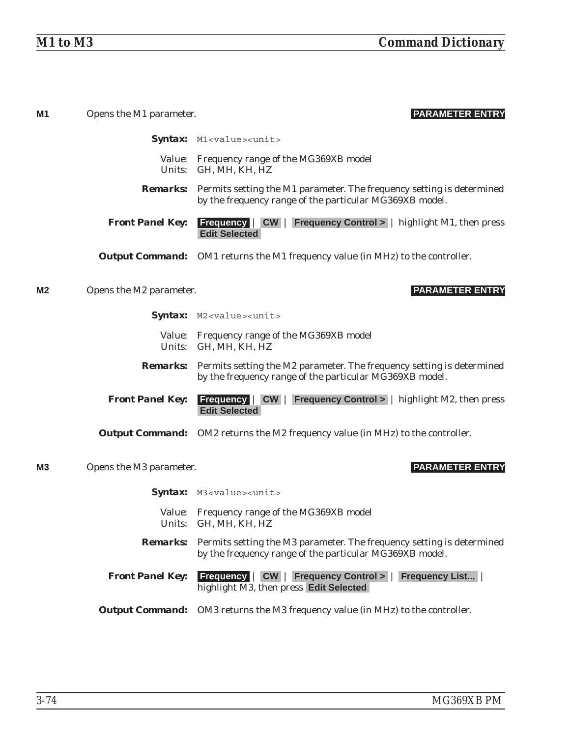| M <sub>1</sub> | Opens the M1 parameter. | <b>PARAMETER ENTRY</b>                                                                                                                           |  |
|----------------|-------------------------|--------------------------------------------------------------------------------------------------------------------------------------------------|--|
|                |                         | Syntax: M1 <value><unit></unit></value>                                                                                                          |  |
|                |                         | Value: Frequency range of the MG369XB model<br>Units: GH, MH, KH, HZ                                                                             |  |
|                |                         | <b>Remarks:</b> Permits setting the M1 parameter. The frequency setting is determined<br>by the frequency range of the particular MG369XB model. |  |
|                | <b>Front Panel Key:</b> | <b>Frequency</b> $\vert$ CW $\vert$ Frequency Control > $\vert$ highlight M1, then press<br><b>Edit Selected</b>                                 |  |
|                |                         | <b>Output Command:</b> OM1 returns the M1 frequency value (in MHz) to the controller.                                                            |  |
| M <sub>2</sub> | Opens the M2 parameter. | <b>PARAMETER ENTRY</b>                                                                                                                           |  |
|                |                         | Syntax: M2 <value><unit></unit></value>                                                                                                          |  |
|                |                         | Value: Frequency range of the MG369XB model<br>Units: GH, MH, KH, HZ                                                                             |  |
|                |                         | <b>Remarks:</b> Permits setting the M2 parameter. The frequency setting is determined<br>by the frequency range of the particular MG369XB model. |  |
|                | <b>Front Panel Key:</b> | <b>Frequency</b> $\vert$ <b>CW</b> $\vert$ <b>Frequency Control</b> > $\vert$ highlight M2, then press<br><b>Edit Selected</b>                   |  |
|                |                         | <b>Output Command:</b> OM2 returns the M2 frequency value (in MHz) to the controller.                                                            |  |
| M <sub>3</sub> | Opens the M3 parameter. | <b>PARAMETER ENTRY</b>                                                                                                                           |  |
|                |                         | Syntax: M3 <value><unit></unit></value>                                                                                                          |  |
|                |                         | Value: Frequency range of the MG369XB model<br>Units: GH, MH, KH, HZ                                                                             |  |
|                |                         | <b>Remarks:</b> Permits setting the M3 parameter. The frequency setting is determined<br>by the frequency range of the particular MG369XB model. |  |
|                | <b>Front Panel Key:</b> | <b>Frequency   CW   Frequency Control &gt;  </b><br><b>Frequency List</b><br>highlight M3, then press Edit Selected                              |  |
|                |                         | <b>Output Command:</b> OM3 returns the M3 frequency value (in MHz) to the controller.                                                            |  |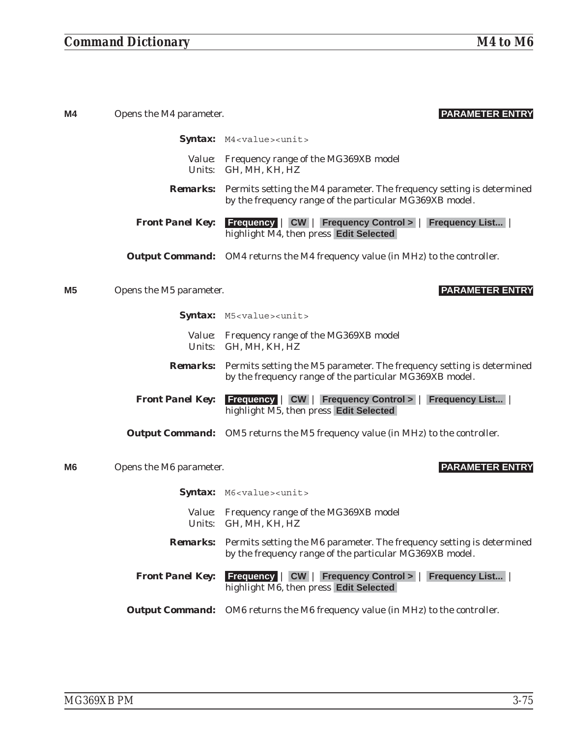# *Command Dictionary M4 to M6*

| M4 | Opens the M4 parameter. | <b>PARAMETER ENTRY</b>                                                                                                                           |  |
|----|-------------------------|--------------------------------------------------------------------------------------------------------------------------------------------------|--|
|    |                         | Syntax: M4 <value><unit></unit></value>                                                                                                          |  |
|    |                         | Value: Frequency range of the MG369XB model<br>Units: GH, MH, KH, HZ                                                                             |  |
|    |                         | <b>Remarks:</b> Permits setting the M4 parameter. The frequency setting is determined<br>by the frequency range of the particular MG369XB model. |  |
|    | <b>Front Panel Key:</b> | <b>Frequency   CW   Frequency Control &gt;   Frequency List  </b><br>highlight M4, then press Edit Selected                                      |  |
|    |                         | <b>Output Command:</b> OM4 returns the M4 frequency value (in MHz) to the controller.                                                            |  |
| M5 | Opens the M5 parameter. | <b>PARAMETER ENTRY</b>                                                                                                                           |  |
|    |                         | Syntax: M5 <value><unit></unit></value>                                                                                                          |  |
|    |                         | Value: Frequency range of the MG369XB model<br>Units: GH, MH, KH, HZ                                                                             |  |
|    |                         | <b>Remarks:</b> Permits setting the M5 parameter. The frequency setting is determined<br>by the frequency range of the particular MG369XB model. |  |
|    | <b>Front Panel Key:</b> | <b>Frequency   CW   Frequency Control &gt;   Frequency List</b><br>highlight M5, then press Edit Selected                                        |  |
|    |                         | <b>Output Command:</b> OM5 returns the M5 frequency value (in MHz) to the controller.                                                            |  |
| M6 | Opens the M6 parameter. | <b>PARAMETER ENTRY</b>                                                                                                                           |  |
|    |                         | Syntax: M6 <value><unit></unit></value>                                                                                                          |  |
|    |                         | Value: Frequency range of the MG369XB model<br>Units: GH, MH, KH, HZ                                                                             |  |
|    |                         | <b>Remarks:</b> Permits setting the M6 parameter. The frequency setting is determined<br>by the frequency range of the particular MG369XB model. |  |
|    | <b>Front Panel Key:</b> | <b>Frequency   CW   Frequency Control &gt;   Frequency List  </b><br>highlight M6, then press Edit Selected                                      |  |
|    |                         | <b>Output Command:</b> OM6 returns the M6 frequency value (in MHz) to the controller.                                                            |  |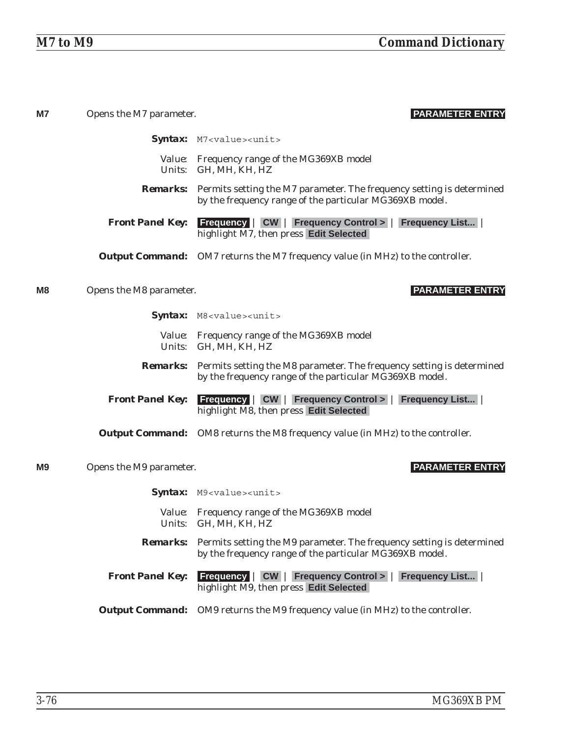| M7                                                                | Opens the M7 parameter. | <b>PARAMETER ENTRY</b>                                                                                                                           |  |
|-------------------------------------------------------------------|-------------------------|--------------------------------------------------------------------------------------------------------------------------------------------------|--|
|                                                                   |                         | Syntax: M7 <value><unit></unit></value>                                                                                                          |  |
|                                                                   |                         | Value: Frequency range of the MG369XB model<br>Units: GH, MH, KH, HZ                                                                             |  |
| <b>Front Panel Key:</b><br>highlight M7, then press Edit Selected |                         | <b>Remarks:</b> Permits setting the M7 parameter. The frequency setting is determined<br>by the frequency range of the particular MG369XB model. |  |
|                                                                   |                         | <b>Frequency   CW   Frequency Control &gt;   Frequency List</b>                                                                                  |  |
|                                                                   |                         | <b>Output Command:</b> OM7 returns the M7 frequency value (in MHz) to the controller.                                                            |  |
| M <sub>8</sub>                                                    | Opens the M8 parameter. | <b>PARAMETER ENTRY</b>                                                                                                                           |  |
|                                                                   |                         | Syntax: M8 <value><unit></unit></value>                                                                                                          |  |
|                                                                   |                         | Value: Frequency range of the MG369XB model<br>Units: GH, MH, KH, HZ                                                                             |  |
|                                                                   |                         | <b>Remarks:</b> Permits setting the M8 parameter. The frequency setting is determined<br>by the frequency range of the particular MG369XB model. |  |
|                                                                   | <b>Front Panel Key:</b> | <b>Frequency   CW   Frequency Control &gt;   Frequency List</b><br>highlight M8, then press Edit Selected                                        |  |
|                                                                   |                         | <b>Output Command:</b> OM8 returns the M8 frequency value (in MHz) to the controller.                                                            |  |
| M9                                                                | Opens the M9 parameter. | <b>PARAMETER ENTRY</b>                                                                                                                           |  |
|                                                                   |                         | Syntax: M9 <value><unit></unit></value>                                                                                                          |  |
|                                                                   |                         | Value: Frequency range of the MG369XB model<br>Units: GH, MH, KH, HZ                                                                             |  |
|                                                                   | <b>Remarks:</b>         | Permits setting the M9 parameter. The frequency setting is determined<br>by the frequency range of the particular MG369XB model.                 |  |
|                                                                   | <b>Front Panel Key:</b> | <b>Frequency   CW   Frequency Control &gt;   Frequency List  </b><br>highlight M9, then press Edit Selected                                      |  |
|                                                                   |                         | <b>Output Command:</b> OM9 returns the M9 frequency value (in MHz) to the controller.                                                            |  |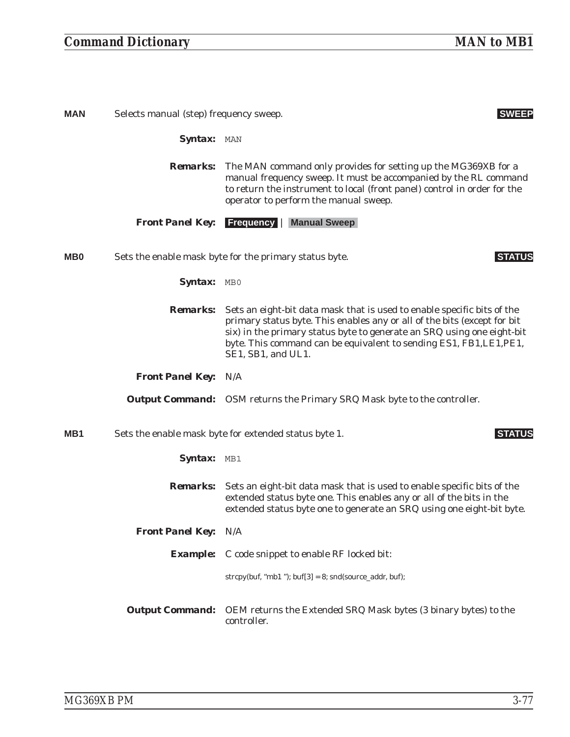# *Command Dictionary MAN to MB1*

| <b>MAN</b>      | Selects manual (step) frequency sweep. | <b>SWEEP</b>                                                                                                                                                                                                                                                                                                               |
|-----------------|----------------------------------------|----------------------------------------------------------------------------------------------------------------------------------------------------------------------------------------------------------------------------------------------------------------------------------------------------------------------------|
|                 | Syntax: MAN                            |                                                                                                                                                                                                                                                                                                                            |
|                 |                                        | <b>Remarks:</b> The MAN command only provides for setting up the MG369XB for a<br>manual frequency sweep. It must be accompanied by the RL command<br>to return the instrument to local (front panel) control in order for the<br>operator to perform the manual sweep.                                                    |
|                 |                                        | <b>Front Panel Key:</b> Frequency   Manual Sweep                                                                                                                                                                                                                                                                           |
| M <sub>B</sub>  |                                        | Sets the enable mask byte for the primary status byte.<br><b>STATUS</b>                                                                                                                                                                                                                                                    |
|                 | <b>Syntax:</b> MBO                     |                                                                                                                                                                                                                                                                                                                            |
|                 | <i>Remarks:</i>                        | Sets an eight-bit data mask that is used to enable specific bits of the<br>primary status byte. This enables any or all of the bits (except for bit<br>six) in the primary status byte to generate an SRQ using one eight-bit<br>byte. This command can be equivalent to sending ES1, FB1, LE1, PE1,<br>SE1, SB1, and UL1. |
|                 | <b>Front Panel Key: N/A</b>            |                                                                                                                                                                                                                                                                                                                            |
|                 |                                        | <b>Output Command:</b> OSM returns the Primary SRQ Mask byte to the controller.                                                                                                                                                                                                                                            |
| MB <sub>1</sub> |                                        | Sets the enable mask byte for extended status byte 1.<br><b>STATUS</b>                                                                                                                                                                                                                                                     |
|                 | Syntax: MB1                            |                                                                                                                                                                                                                                                                                                                            |
|                 | <i><b>Remarks:</b></i>                 | Sets an eight-bit data mask that is used to enable specific bits of the<br>extended status byte one. This enables any or all of the bits in the<br>extended status byte one to generate an SRQ using one eight-bit byte.                                                                                                   |
|                 | <b>Front Panel Key: N/A</b>            |                                                                                                                                                                                                                                                                                                                            |
|                 |                                        | <b>Example:</b> C code snippet to enable RF locked bit:                                                                                                                                                                                                                                                                    |
|                 |                                        | strcpy(buf, "mb1"); buf[3] = $8$ ; snd(source_addr, buf);                                                                                                                                                                                                                                                                  |
|                 | <b>Output Command:</b>                 | OEM returns the Extended SRQ Mask bytes (3 binary bytes) to the<br>controller.                                                                                                                                                                                                                                             |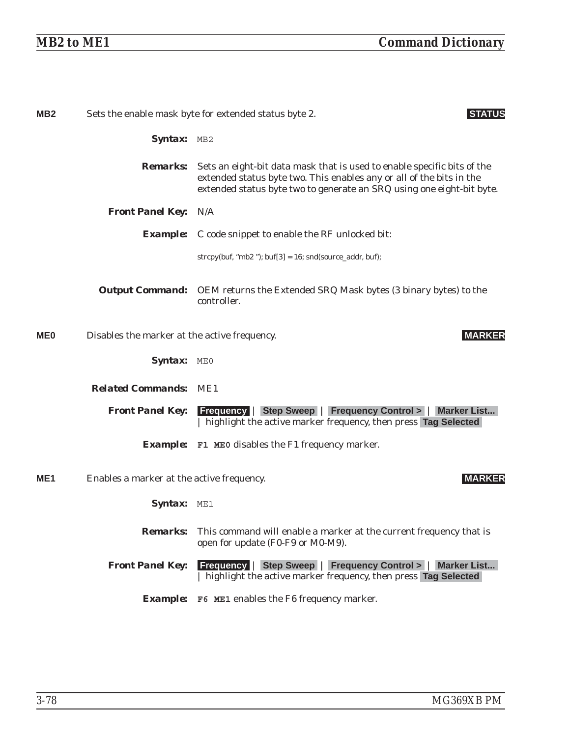| MB <sub>2</sub> |                                              | Sets the enable mask byte for extended status byte 2.<br><b>STATUS</b>                                                                                                                                                   |
|-----------------|----------------------------------------------|--------------------------------------------------------------------------------------------------------------------------------------------------------------------------------------------------------------------------|
|                 | Syntax: MB2                                  |                                                                                                                                                                                                                          |
|                 | <i><b>Remarks:</b></i>                       | Sets an eight-bit data mask that is used to enable specific bits of the<br>extended status byte two. This enables any or all of the bits in the<br>extended status byte two to generate an SRQ using one eight-bit byte. |
|                 | <b>Front Panel Key: N/A</b>                  |                                                                                                                                                                                                                          |
|                 |                                              | <b>Example:</b> C code snippet to enable the RF unlocked bit:                                                                                                                                                            |
|                 |                                              | strcpy(buf, "mb2"); buf[3] = $16$ ; snd(source_addr, buf);                                                                                                                                                               |
|                 |                                              | <b>Output Command:</b> OEM returns the Extended SRQ Mask bytes (3 binary bytes) to the<br>controller.                                                                                                                    |
| <b>ME0</b>      | Disables the marker at the active frequency. | <b>MARKER</b>                                                                                                                                                                                                            |
|                 | Syntax: MEO                                  |                                                                                                                                                                                                                          |
|                 | <b>Related Commands: ME1</b>                 |                                                                                                                                                                                                                          |
|                 | <b>Front Panel Key:</b>                      | <b>Frequency   Step Sweep   Frequency Control &gt;   Marker List</b><br>highlight the active marker frequency, then press Tag Selected                                                                                   |
|                 |                                              | <b>Example:</b> F1 ME0 disables the F1 frequency marker.                                                                                                                                                                 |
| ME <sub>1</sub> | Enables a marker at the active frequency.    | <b>MARKER</b>                                                                                                                                                                                                            |
|                 | Syntax:                                      | ME1                                                                                                                                                                                                                      |
|                 | <b>Remarks:</b>                              | This command will enable a marker at the current frequency that is<br>open for update (F0-F9 or M0-M9).                                                                                                                  |
|                 | <b>Front Panel Key:</b>                      | <b>Frequency   Step Sweep   Frequency Control &gt;   Marker List</b><br>highlight the active marker frequency, then press Tag Selected                                                                                   |
|                 |                                              | <b>Example:</b> F6 ME1 enables the F6 frequency marker.                                                                                                                                                                  |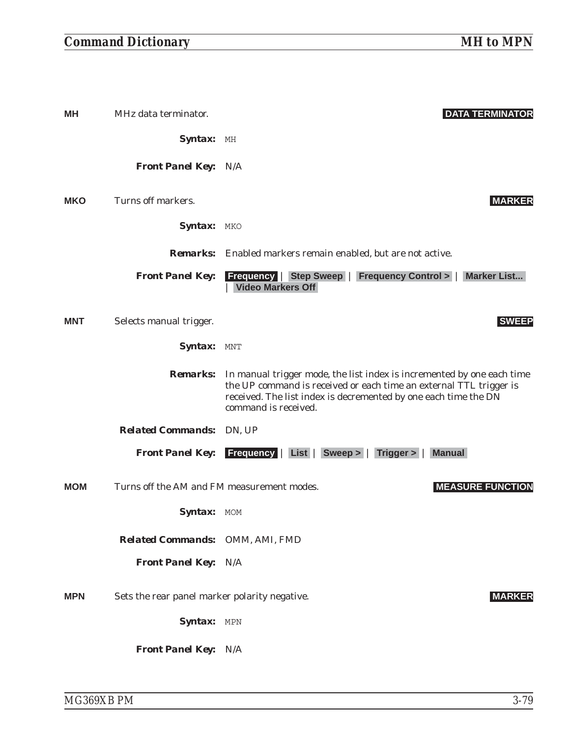| MН         | MHz data terminator.                          | <b>DATA TERMINATOR</b>                                                                                                                                                                                                                                  |
|------------|-----------------------------------------------|---------------------------------------------------------------------------------------------------------------------------------------------------------------------------------------------------------------------------------------------------------|
|            | Syntax: MH                                    |                                                                                                                                                                                                                                                         |
|            | <b>Front Panel Key: N/A</b>                   |                                                                                                                                                                                                                                                         |
| <b>MKO</b> | Turns off markers.                            | <b>MARKER</b>                                                                                                                                                                                                                                           |
|            | Syntax: MKO                                   |                                                                                                                                                                                                                                                         |
|            |                                               | <b>Remarks:</b> Enabled markers remain enabled, but are not active.                                                                                                                                                                                     |
|            | <b>Front Panel Key:</b>                       | <b>Frequency   Step Sweep   Frequency Control &gt;   Marker List</b><br><b>Video Markers Off</b>                                                                                                                                                        |
| <b>MNT</b> | Selects manual trigger.                       | <b>SWEEP</b>                                                                                                                                                                                                                                            |
|            | Syntax: MNT                                   |                                                                                                                                                                                                                                                         |
|            |                                               | <b>Remarks:</b> In manual trigger mode, the list index is incremented by one each time<br>the UP command is received or each time an external TTL trigger is<br>received. The list index is decremented by one each time the DN<br>command is received. |
|            | <b>Related Commands:</b> DN, UP               |                                                                                                                                                                                                                                                         |
|            |                                               | Front Panel Key: Frequency   List   Sweep >   Trigger >  <br><b>Manual</b>                                                                                                                                                                              |
| <b>MOM</b> | Turns off the AM and FM measurement modes.    | <b>MEASURE FUNCTION</b>                                                                                                                                                                                                                                 |
|            | <b>Syntax:</b> MOM                            |                                                                                                                                                                                                                                                         |
|            | Related Commands: OMM, AMI, FMD               |                                                                                                                                                                                                                                                         |
|            | <b>Front Panel Key: N/A</b>                   |                                                                                                                                                                                                                                                         |
| <b>MPN</b> | Sets the rear panel marker polarity negative. | <b>MARKER</b>                                                                                                                                                                                                                                           |
|            | Syntax: MPN                                   |                                                                                                                                                                                                                                                         |
|            | Front Panel Key: N/A                          |                                                                                                                                                                                                                                                         |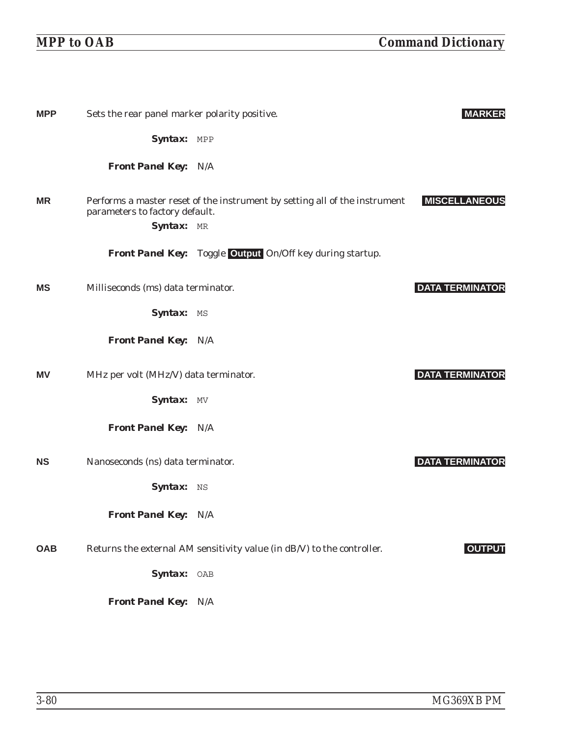| <b>MPP</b> | Sets the rear panel marker polarity positive. |                                                                            | <b>MARKER</b>          |
|------------|-----------------------------------------------|----------------------------------------------------------------------------|------------------------|
|            | Syntax: MPP                                   |                                                                            |                        |
|            | <b>Front Panel Key: N/A</b>                   |                                                                            |                        |
| <b>MR</b>  | parameters to factory default.<br>Syntax: MR  | Performs a master reset of the instrument by setting all of the instrument | <b>MISCELLANEOUS</b>   |
|            |                                               | <b>Front Panel Key:</b> Toggle Output On/Off key during startup.           |                        |
| <b>MS</b>  | Milliseconds (ms) data terminator.            |                                                                            | <b>DATA TERMINATOR</b> |
|            | Syntax: MS                                    |                                                                            |                        |
|            | <b>Front Panel Key: N/A</b>                   |                                                                            |                        |
| <b>MV</b>  | MHz per volt (MHz/V) data terminator.         |                                                                            | <b>DATA TERMINATOR</b> |
|            | Syntax: MV                                    |                                                                            |                        |
|            | <b>Front Panel Key: N/A</b>                   |                                                                            |                        |
| <b>NS</b>  | Nanoseconds (ns) data terminator.             |                                                                            | <b>DATA TERMINATOR</b> |
|            | Syntax: NS                                    |                                                                            |                        |
|            | <b>Front Panel Key: N/A</b>                   |                                                                            |                        |
| <b>OAB</b> |                                               | Returns the external AM sensitivity value (in dB/V) to the controller.     | <b>OUTPUT</b>          |
|            | Syntax: OAB                                   |                                                                            |                        |
|            | <b>Front Panel Key: N/A</b>                   |                                                                            |                        |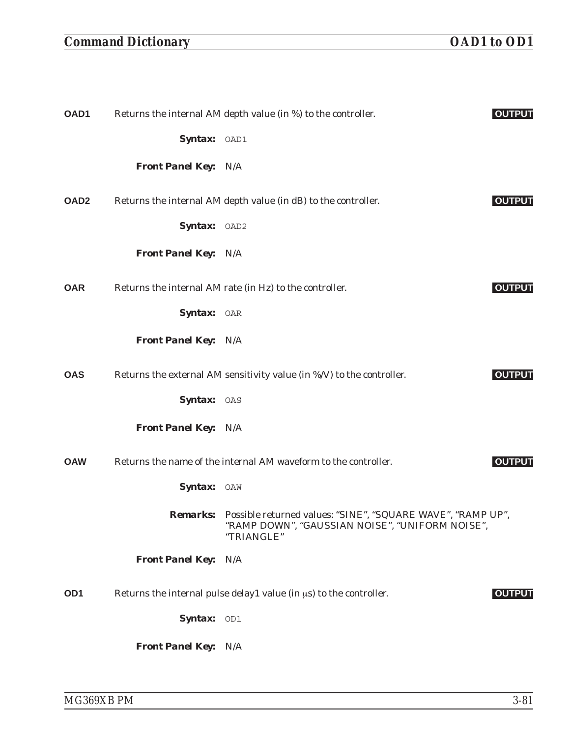## *Command Dictionary OAD1 to OD1*

| OAD1             |                             | Returns the internal AM depth value (in %) to the controller.                                                                         | <b>OUTPUT</b> |
|------------------|-----------------------------|---------------------------------------------------------------------------------------------------------------------------------------|---------------|
|                  | Syntax: OAD1                |                                                                                                                                       |               |
|                  | <b>Front Panel Key: N/A</b> |                                                                                                                                       |               |
| OAD <sub>2</sub> |                             | Returns the internal AM depth value (in dB) to the controller.                                                                        | <b>OUTPUT</b> |
|                  | Syntax: OAD2                |                                                                                                                                       |               |
|                  | <b>Front Panel Key: N/A</b> |                                                                                                                                       |               |
| <b>OAR</b>       |                             | Returns the internal AM rate (in Hz) to the controller.                                                                               | <b>OUTPUT</b> |
|                  | Syntax: OAR                 |                                                                                                                                       |               |
|                  | <b>Front Panel Key: N/A</b> |                                                                                                                                       |               |
| <b>OAS</b>       |                             | Returns the external AM sensitivity value (in %/V) to the controller.                                                                 | <b>OUTPUT</b> |
|                  | Syntax: OAS                 |                                                                                                                                       |               |
|                  | <b>Front Panel Key: N/A</b> |                                                                                                                                       |               |
| <b>OAW</b>       |                             | Returns the name of the internal AM waveform to the controller.                                                                       | <b>OUTPUT</b> |
|                  | Syntax: OAW                 |                                                                                                                                       |               |
|                  |                             | Remarks: Possible returned values: "SINE", "SQUARE WAVE", "RAMP UP",<br>"RAMP DOWN", "GAUSSIAN NOISE", "UNIFORM NOISE",<br>"TRIANGLE" |               |
|                  | Front Panel Key: N/A        |                                                                                                                                       |               |
| OD <sub>1</sub>  |                             | Returns the internal pulse delay1 value (in us) to the controller.                                                                    | <b>OUTPUT</b> |
|                  | Syntax: OD1                 |                                                                                                                                       |               |
|                  | <b>Front Panel Key: N/A</b> |                                                                                                                                       |               |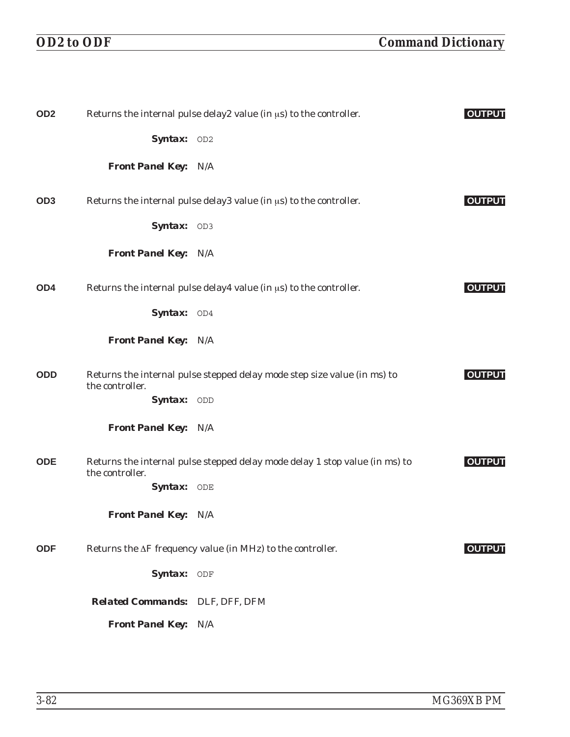| OD <sub>2</sub> |                                 | Returns the internal pulse delay2 value (in $\mu$ s) to the controller.     | <b>OUTPUT</b> |
|-----------------|---------------------------------|-----------------------------------------------------------------------------|---------------|
|                 | Syntax: OD2                     |                                                                             |               |
|                 | <b>Front Panel Key: N/A</b>     |                                                                             |               |
| OD <sub>3</sub> |                                 | Returns the internal pulse delay3 value (in $\mu$ s) to the controller.     | <b>OUTPUT</b> |
|                 | Syntax: OD3                     |                                                                             |               |
|                 | <b>Front Panel Key: N/A</b>     |                                                                             |               |
| OD <sub>4</sub> |                                 | Returns the internal pulse delay4 value (in $\mu$ s) to the controller.     | <b>OUTPUT</b> |
|                 | Syntax: OD4                     |                                                                             |               |
|                 | <b>Front Panel Key: N/A</b>     |                                                                             |               |
| <b>ODD</b>      | the controller.                 | Returns the internal pulse stepped delay mode step size value (in ms) to    | <b>OUTPUT</b> |
|                 | Syntax: ODD                     |                                                                             |               |
|                 | <b>Front Panel Key: N/A</b>     |                                                                             |               |
| <b>ODE</b>      | the controller.                 | Returns the internal pulse stepped delay mode delay 1 stop value (in ms) to | <b>OUTPUT</b> |
|                 | Syntax: ODE                     |                                                                             |               |
|                 | <b>Front Panel Key: N/A</b>     |                                                                             |               |
| <b>ODF</b>      |                                 | Returns the $\Delta F$ frequency value (in MHz) to the controller.          | <b>OUTPUT</b> |
|                 | Syntax: ODF                     |                                                                             |               |
|                 | Related Commands: DLF, DFF, DFM |                                                                             |               |
|                 | Front Panel Key: N/A            |                                                                             |               |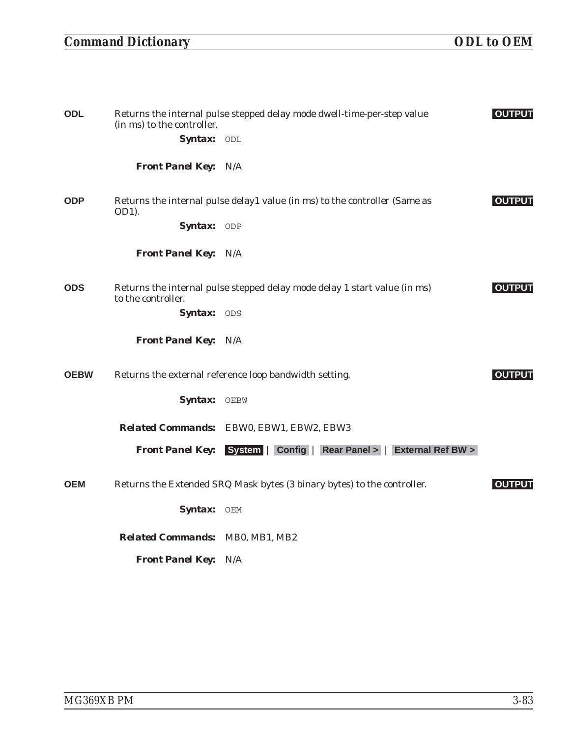## *Command Dictionary ODL to OEM*

| <b>ODL</b>  | (in ms) to the controller.<br>Syntax: ODL | Returns the internal pulse stepped delay mode dwell-time-per-step value    | <b>OUTPUT</b> |
|-------------|-------------------------------------------|----------------------------------------------------------------------------|---------------|
|             | <b>Front Panel Key: N/A</b>               |                                                                            |               |
| <b>ODP</b>  | OD1).                                     | Returns the internal pulse delay1 value (in ms) to the controller (Same as | <b>OUTPUT</b> |
|             | Syntax: ODP                               |                                                                            |               |
|             | <b>Front Panel Key: N/A</b>               |                                                                            |               |
| <b>ODS</b>  | to the controller.                        | Returns the internal pulse stepped delay mode delay 1 start value (in ms)  | <b>OUTPUT</b> |
|             | Syntax: ODS                               |                                                                            |               |
|             | <b>Front Panel Key: N/A</b>               |                                                                            |               |
| <b>OEBW</b> |                                           | Returns the external reference loop bandwidth setting.                     | <b>OUTPUT</b> |
|             | Syntax: OEBW                              |                                                                            |               |
|             |                                           | Related Commands: EBW0, EBW1, EBW2, EBW3                                   |               |
|             | <b>Front Panel Key:</b>                   | System   Config   Rear Panel >   External Ref BW >                         |               |
| <b>OEM</b>  |                                           | Returns the Extended SRQ Mask bytes (3 binary bytes) to the controller.    | <b>OUTPUT</b> |
|             | Syntax: OEM                               |                                                                            |               |
|             | <b>Related Commands: MB0, MB1, MB2</b>    |                                                                            |               |
|             | Front Panel Key: N/A                      |                                                                            |               |
|             |                                           |                                                                            |               |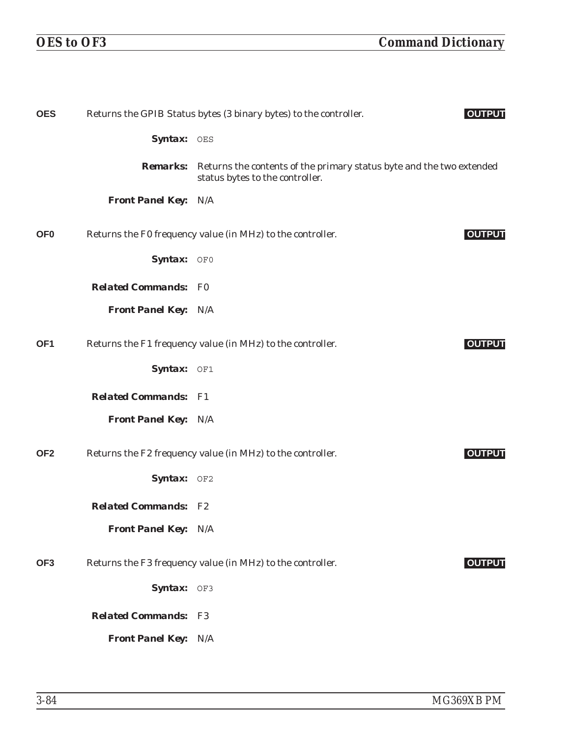| <b>OES</b>      |                             | Returns the GPIB Status bytes (3 binary bytes) to the controller.                                       | <b>OUTPUT</b> |
|-----------------|-----------------------------|---------------------------------------------------------------------------------------------------------|---------------|
|                 | Syntax: OES                 |                                                                                                         |               |
|                 | <b>Remarks:</b>             | Returns the contents of the primary status byte and the two extended<br>status bytes to the controller. |               |
|                 | <b>Front Panel Key: N/A</b> |                                                                                                         |               |
| OF <sub>0</sub> |                             | Returns the F0 frequency value (in MHz) to the controller.                                              | <b>OUTPUT</b> |
|                 | Syntax: OF0                 |                                                                                                         |               |
|                 | <b>Related Commands: F0</b> |                                                                                                         |               |
|                 | <b>Front Panel Key: N/A</b> |                                                                                                         |               |
| OF <sub>1</sub> |                             | Returns the F1 frequency value (in MHz) to the controller.                                              | <b>OUTPUT</b> |
|                 | Syntax: OF1                 |                                                                                                         |               |
|                 | <b>Related Commands: F1</b> |                                                                                                         |               |
|                 | <b>Front Panel Key: N/A</b> |                                                                                                         |               |
| OF <sub>2</sub> |                             | Returns the F2 frequency value (in MHz) to the controller.                                              | <b>OUTPUT</b> |
|                 | Syntax: OF2                 |                                                                                                         |               |
|                 | <b>Related Commands: F2</b> |                                                                                                         |               |
|                 | Front Panel Key: N/A        |                                                                                                         |               |
| OF3             |                             | Returns the F3 frequency value (in MHz) to the controller.                                              | <b>OUTPUT</b> |
|                 | Syntax: OF3                 |                                                                                                         |               |
|                 | <b>Related Commands:</b>    | F3                                                                                                      |               |
|                 | <b>Front Panel Key: N/A</b> |                                                                                                         |               |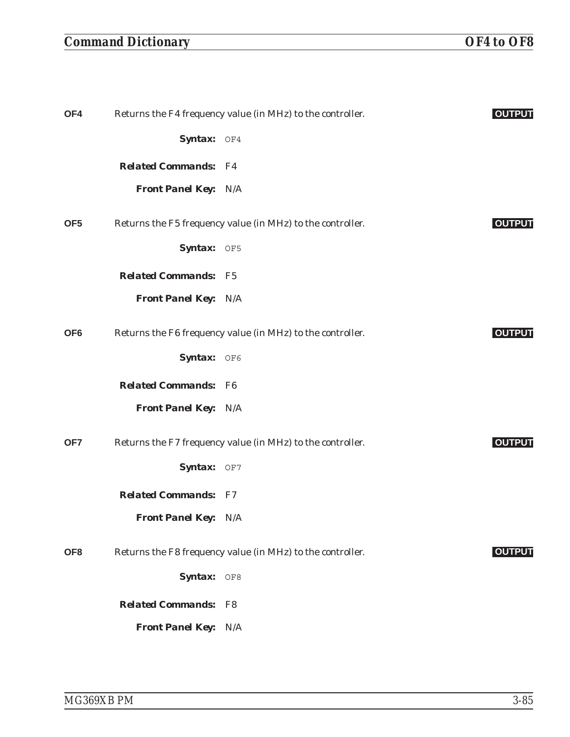## *Command Dictionary OF4 to OF8*

| OF4             |                             | Returns the F4 frequency value (in MHz) to the controller. | <b>OUTPUT</b> |
|-----------------|-----------------------------|------------------------------------------------------------|---------------|
|                 | Syntax: OF4                 |                                                            |               |
|                 | <b>Related Commands: F4</b> |                                                            |               |
|                 | Front Panel Key: N/A        |                                                            |               |
| OF <sub>5</sub> |                             | Returns the F5 frequency value (in MHz) to the controller. | <b>OUTPUT</b> |
|                 | Syntax: OF5                 |                                                            |               |
|                 | <b>Related Commands: F5</b> |                                                            |               |
|                 | <b>Front Panel Key: N/A</b> |                                                            |               |
| OF <sub>6</sub> |                             | Returns the F6 frequency value (in MHz) to the controller. | <b>OUTPUT</b> |
|                 | Syntax: OF6                 |                                                            |               |
|                 | <b>Related Commands: F6</b> |                                                            |               |
|                 | <b>Front Panel Key: N/A</b> |                                                            |               |
| OF7             |                             | Returns the F7 frequency value (in MHz) to the controller. | <b>OUTPUT</b> |
|                 | Syntax: OF7                 |                                                            |               |
|                 | <b>Related Commands: F7</b> |                                                            |               |
|                 | <b>Front Panel Key: N/A</b> |                                                            |               |
| OF <sub>8</sub> |                             | Returns the F8 frequency value (in MHz) to the controller. | <b>OUTPUT</b> |
|                 | Syntax: OF8                 |                                                            |               |
|                 | <b>Related Commands:</b>    | $_{\rm F8}$                                                |               |
|                 | Front Panel Key: N/A        |                                                            |               |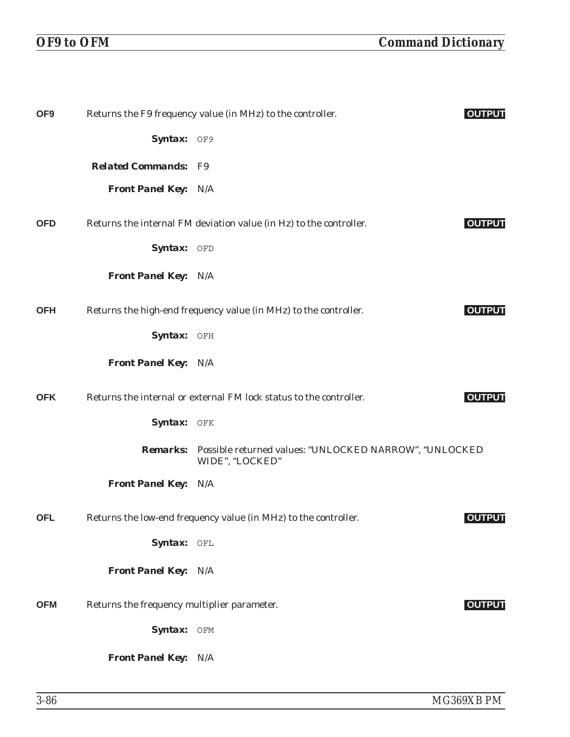| OF <sub>9</sub> |                                             | Returns the F9 frequency value (in MHz) to the controller.                         | <b>OUTPUT</b> |
|-----------------|---------------------------------------------|------------------------------------------------------------------------------------|---------------|
|                 | Syntax: OF9                                 |                                                                                    |               |
|                 | <b>Related Commands: F9</b>                 |                                                                                    |               |
|                 | <b>Front Panel Key: N/A</b>                 |                                                                                    |               |
| <b>OFD</b>      |                                             | Returns the internal FM deviation value (in Hz) to the controller.                 | <b>OUTPUT</b> |
|                 | Syntax: OFD                                 |                                                                                    |               |
|                 | <b>Front Panel Key: N/A</b>                 |                                                                                    |               |
| <b>OFH</b>      |                                             | Returns the high-end frequency value (in MHz) to the controller.                   | <b>OUTPUT</b> |
|                 | Syntax: OFH                                 |                                                                                    |               |
|                 | <b>Front Panel Key: N/A</b>                 |                                                                                    |               |
| <b>OFK</b>      |                                             | Returns the internal or external FM lock status to the controller.                 | <b>OUTPUT</b> |
|                 | Syntax: OFK                                 |                                                                                    |               |
|                 |                                             | Remarks: Possible returned values: "UNLOCKED NARROW", "UNLOCKED<br>WIDE", "LOCKED" |               |
|                 | <b>Front Panel Key: N/A</b>                 |                                                                                    |               |
| <b>OFL</b>      |                                             | Returns the low-end frequency value (in MHz) to the controller.                    | <b>OUTPUT</b> |
|                 | Syntax: OFL                                 |                                                                                    |               |
|                 | <b>Front Panel Key: N/A</b>                 |                                                                                    |               |
| <b>OFM</b>      | Returns the frequency multiplier parameter. |                                                                                    | <b>OUTPUT</b> |
|                 | Syntax: OFM                                 |                                                                                    |               |
|                 | <b>Front Panel Key: N/A</b>                 |                                                                                    |               |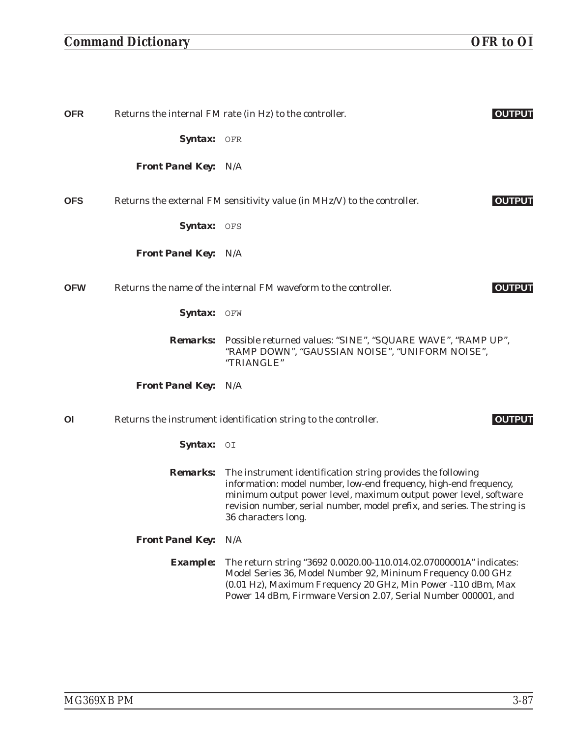# *Command Dictionary OFR to OI*

| OFR        |                             | Returns the internal FM rate (in Hz) to the controller.                                                                                                                                                                                                                                                | <b>OUTPUT</b> |
|------------|-----------------------------|--------------------------------------------------------------------------------------------------------------------------------------------------------------------------------------------------------------------------------------------------------------------------------------------------------|---------------|
|            | Syntax: OFR                 |                                                                                                                                                                                                                                                                                                        |               |
|            | <b>Front Panel Key: N/A</b> |                                                                                                                                                                                                                                                                                                        |               |
| <b>OFS</b> |                             | Returns the external FM sensitivity value (in MHz/V) to the controller.                                                                                                                                                                                                                                | <b>OUTPUT</b> |
|            | Syntax: OFS                 |                                                                                                                                                                                                                                                                                                        |               |
|            | <b>Front Panel Key: N/A</b> |                                                                                                                                                                                                                                                                                                        |               |
| <b>OFW</b> |                             | Returns the name of the internal FM waveform to the controller.                                                                                                                                                                                                                                        | <b>OUTPUT</b> |
|            | Syntax: OFW                 |                                                                                                                                                                                                                                                                                                        |               |
|            |                             | Remarks: Possible returned values: "SINE", "SQUARE WAVE", "RAMP UP",<br>"RAMP DOWN", "GAUSSIAN NOISE", "UNIFORM NOISE",<br>"TRIANGLE"                                                                                                                                                                  |               |
|            | <b>Front Panel Key: N/A</b> |                                                                                                                                                                                                                                                                                                        |               |
| ΟI         |                             | Returns the instrument identification string to the controller.                                                                                                                                                                                                                                        | <b>OUTPUT</b> |
|            | <b>Syntax:</b> $OI$         |                                                                                                                                                                                                                                                                                                        |               |
|            | <b>Remarks:</b>             | The instrument identification string provides the following<br>information: model number, low-end frequency, high-end frequency,<br>minimum output power level, maximum output power level, software<br>revision number, serial number, model prefix, and series. The string is<br>36 characters long. |               |
|            | <b>Front Panel Key:</b>     | N/A                                                                                                                                                                                                                                                                                                    |               |
|            | <b>Example:</b>             | The return string "3692 0.0020.00-110.014.02.07000001A" indicates:<br>Model Series 36, Model Number 92, Mininum Frequency 0.00 GHz<br>(0.01 Hz), Maximum Frequency 20 GHz, Min Power -110 dBm, Max<br>Power 14 dBm, Firmware Version 2.07, Serial Number 000001, and                                   |               |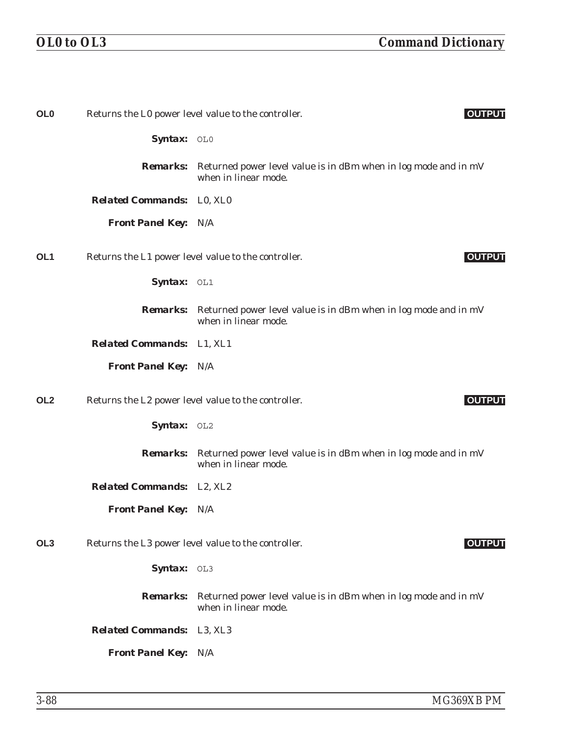| OL <sub>0</sub> |                                  | Returns the L0 power level value to the controller.<br><b>OUTPUT</b>                                    |
|-----------------|----------------------------------|---------------------------------------------------------------------------------------------------------|
|                 | <b>Syntax:</b> $OL0$             |                                                                                                         |
|                 | <b>Remarks:</b>                  | Returned power level value is in dBm when in log mode and in mV<br>when in linear mode.                 |
|                 | <b>Related Commands:</b> L0, XL0 |                                                                                                         |
|                 | <b>Front Panel Key: N/A</b>      |                                                                                                         |
| OL <sub>1</sub> |                                  | Returns the L1 power level value to the controller.<br><b>OUTPUT</b>                                    |
|                 | Syntax: OL1                      |                                                                                                         |
|                 | <i><b>Remarks:</b></i>           | Returned power level value is in dBm when in log mode and in mV<br>when in linear mode.                 |
|                 | <b>Related Commands:</b> L1, XL1 |                                                                                                         |
|                 | <b>Front Panel Key: N/A</b>      |                                                                                                         |
| OL <sub>2</sub> |                                  | Returns the L2 power level value to the controller.<br><b>OUTPUT</b>                                    |
|                 | Syntax: OL2                      |                                                                                                         |
|                 |                                  | <b>Remarks:</b> Returned power level value is in dBm when in log mode and in mV<br>when in linear mode. |
|                 | <b>Related Commands:</b> L2, XL2 |                                                                                                         |
|                 | <b>Front Panel Key: N/A</b>      |                                                                                                         |
| OL <sub>3</sub> |                                  | Returns the L3 power level value to the controller.<br><b>OUTPUT</b>                                    |
|                 | <b>Syntax:</b> $OL3$             |                                                                                                         |
|                 | <b>Remarks:</b>                  | Returned power level value is in dBm when in log mode and in mV<br>when in linear mode.                 |
|                 | <b>Related Commands:</b> L3, XL3 |                                                                                                         |
|                 | <b>Front Panel Key: N/A</b>      |                                                                                                         |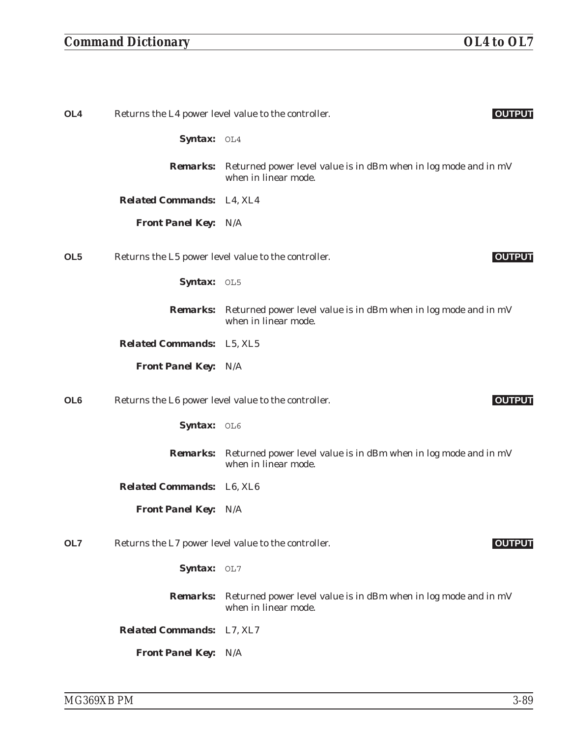## *Command Dictionary OL4 to OL7*

| OL <sub>4</sub>                  | Returns the L4 power level value to the controller.<br><b>OUTPUT</b>                                    |
|----------------------------------|---------------------------------------------------------------------------------------------------------|
| Syntax: OL4                      |                                                                                                         |
|                                  | <b>Remarks:</b> Returned power level value is in dBm when in log mode and in mV<br>when in linear mode. |
| <b>Related Commands:</b> L4, XL4 |                                                                                                         |
| <b>Front Panel Key: N/A</b>      |                                                                                                         |
| OL <sub>5</sub>                  | Returns the L5 power level value to the controller.<br><b>OUTPUT</b>                                    |
| Syntax: OL5                      |                                                                                                         |
|                                  | <b>Remarks:</b> Returned power level value is in dBm when in log mode and in mV<br>when in linear mode. |
| <b>Related Commands:</b> L5, XL5 |                                                                                                         |
| <b>Front Panel Key: N/A</b>      |                                                                                                         |
| OL <sub>6</sub>                  | Returns the L6 power level value to the controller.<br><b>OUTPUT</b>                                    |
| Syntax: OL6                      |                                                                                                         |
|                                  | <b>Remarks:</b> Returned power level value is in dBm when in log mode and in mV<br>when in linear mode. |
| <b>Related Commands:</b> L6, XL6 |                                                                                                         |
| <b>Front Panel Key: N/A</b>      |                                                                                                         |
| OL7                              | Returns the L7 power level value to the controller.<br><b>OUTPUT</b>                                    |
| Syntax: OL7                      |                                                                                                         |
|                                  | <b>Remarks:</b> Returned power level value is in dBm when in log mode and in mV<br>when in linear mode. |
| <b>Related Commands:</b> L7, XL7 |                                                                                                         |
| <b>Front Panel Key: N/A</b>      |                                                                                                         |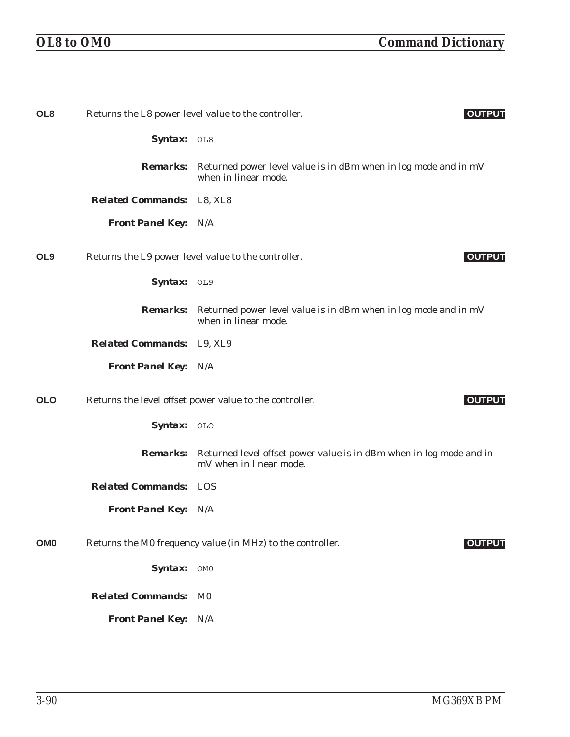| OL <sub>8</sub> |                                  | Returns the L8 power level value to the controller.<br><b>OUTPUT</b>                                           |
|-----------------|----------------------------------|----------------------------------------------------------------------------------------------------------------|
|                 | Syntax: OL8                      |                                                                                                                |
|                 |                                  | <b>Remarks:</b> Returned power level value is in dBm when in log mode and in mV<br>when in linear mode.        |
|                 | <b>Related Commands:</b> L8, XL8 |                                                                                                                |
|                 | <b>Front Panel Key: N/A</b>      |                                                                                                                |
| OL <sub>9</sub> |                                  | Returns the L9 power level value to the controller.<br><b>OUTPUT</b>                                           |
|                 | Syntax: OL9                      |                                                                                                                |
|                 |                                  | <b>Remarks:</b> Returned power level value is in dBm when in log mode and in mV<br>when in linear mode.        |
|                 | <b>Related Commands:</b> L9, XL9 |                                                                                                                |
|                 | <b>Front Panel Key: N/A</b>      |                                                                                                                |
| <b>OLO</b>      |                                  | Returns the level offset power value to the controller.<br><b>OUTPUT</b>                                       |
|                 | Syntax: OLO                      |                                                                                                                |
|                 |                                  | <b>Remarks:</b> Returned level offset power value is in dBm when in log mode and in<br>mV when in linear mode. |
|                 | <b>Related Commands: LOS</b>     |                                                                                                                |
|                 | <b>Front Panel Key: N/A</b>      |                                                                                                                |
| OM <sub>0</sub> |                                  | Returns the M0 frequency value (in MHz) to the controller.<br><b>OUTPUT</b>                                    |
|                 | Syntax: OMO                      |                                                                                                                |
|                 | <b>Related Commands:</b>         | M <sub>0</sub>                                                                                                 |
|                 | <b>Front Panel Key: N/A</b>      |                                                                                                                |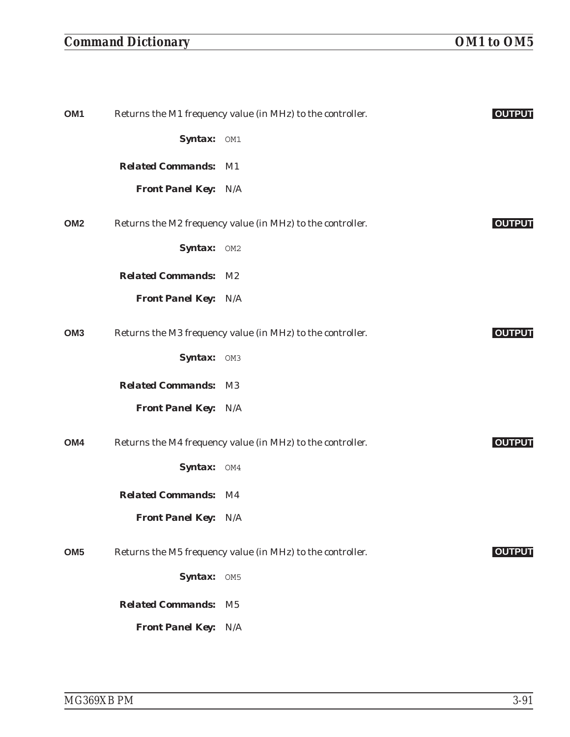## *Command Dictionary OM1 to OM5*

| OM <sub>1</sub> |                             | Returns the M1 frequency value (in MHz) to the controller. | <b>OUTPUT</b> |
|-----------------|-----------------------------|------------------------------------------------------------|---------------|
|                 | Syntax: OM1                 |                                                            |               |
|                 | <b>Related Commands: M1</b> |                                                            |               |
|                 | <b>Front Panel Key: N/A</b> |                                                            |               |
| OM <sub>2</sub> |                             | Returns the M2 frequency value (in MHz) to the controller. | <b>OUTPUT</b> |
|                 | Syntax: OM2                 |                                                            |               |
|                 | <b>Related Commands: M2</b> |                                                            |               |
|                 | <b>Front Panel Key: N/A</b> |                                                            |               |
| OM <sub>3</sub> |                             | Returns the M3 frequency value (in MHz) to the controller. | <b>OUTPUT</b> |
|                 | Syntax: OM3                 |                                                            |               |
|                 | <b>Related Commands: M3</b> |                                                            |               |
|                 | <b>Front Panel Key: N/A</b> |                                                            |               |
| OM4             |                             | Returns the M4 frequency value (in MHz) to the controller. | <b>OUTPUT</b> |
|                 | Syntax: OM4                 |                                                            |               |
|                 | <b>Related Commands: M4</b> |                                                            |               |
|                 | <b>Front Panel Key: N/A</b> |                                                            |               |
| OM <sub>5</sub> |                             | Returns the M5 frequency value (in MHz) to the controller. | <b>OUTPUT</b> |
|                 | Syntax: OM5                 |                                                            |               |
|                 | <b>Related Commands:</b>    | $\mathbf{M}5$                                              |               |
|                 | <b>Front Panel Key: N/A</b> |                                                            |               |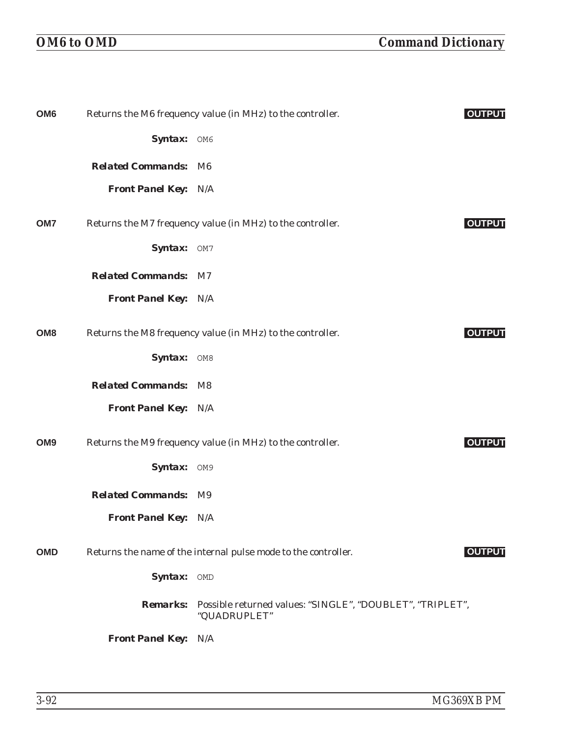| OM <sub>6</sub> |                             | Returns the M6 frequency value (in MHz) to the controller.                         | <b>OUTPUT</b> |
|-----------------|-----------------------------|------------------------------------------------------------------------------------|---------------|
|                 | Syntax: OM6                 |                                                                                    |               |
|                 | <b>Related Commands: M6</b> |                                                                                    |               |
|                 | <b>Front Panel Key: N/A</b> |                                                                                    |               |
| OM7             |                             | Returns the M7 frequency value (in MHz) to the controller.                         | <b>OUTPUT</b> |
|                 | Syntax: OM7                 |                                                                                    |               |
|                 | <b>Related Commands: M7</b> |                                                                                    |               |
|                 | <b>Front Panel Key: N/A</b> |                                                                                    |               |
| OM <sub>8</sub> |                             | Returns the M8 frequency value (in MHz) to the controller.                         | <b>OUTPUT</b> |
|                 | Syntax: OM8                 |                                                                                    |               |
|                 | <b>Related Commands: M8</b> |                                                                                    |               |
|                 | <b>Front Panel Key: N/A</b> |                                                                                    |               |
| OM <sub>9</sub> |                             | Returns the M9 frequency value (in MHz) to the controller.                         | <b>OUTPUT</b> |
|                 | Syntax: OM9                 |                                                                                    |               |
|                 | <b>Related Commands: M9</b> |                                                                                    |               |
|                 | <b>Front Panel Key: N/A</b> |                                                                                    |               |
| <b>OMD</b>      |                             | Returns the name of the internal pulse mode to the controller.                     | <b>OUTPUT</b> |
|                 | Syntax: OMD                 |                                                                                    |               |
|                 |                             | Remarks: Possible returned values: "SINGLE", "DOUBLET", "TRIPLET",<br>"QUADRUPLET" |               |
|                 | <b>Front Panel Key: N/A</b> |                                                                                    |               |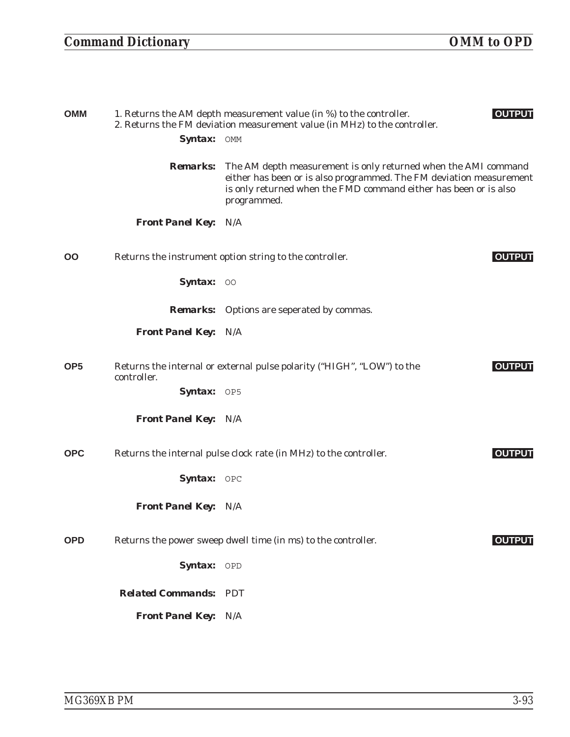| <b>MMO</b>      |                             | 1. Returns the AM depth measurement value (in %) to the controller.<br>2. Returns the FM deviation measurement value (in MHz) to the controller.                                                                         | <b>OUTPUT</b> |
|-----------------|-----------------------------|--------------------------------------------------------------------------------------------------------------------------------------------------------------------------------------------------------------------------|---------------|
|                 | Syntax: OMM                 |                                                                                                                                                                                                                          |               |
|                 | <b>Remarks:</b>             | The AM depth measurement is only returned when the AMI command<br>either has been or is also programmed. The FM deviation measurement<br>is only returned when the FMD command either has been or is also<br>programmed. |               |
|                 | <b>Front Panel Key: N/A</b> |                                                                                                                                                                                                                          |               |
| OO              |                             | Returns the instrument option string to the controller.                                                                                                                                                                  | <b>OUTPUT</b> |
|                 | Syntax: 00                  |                                                                                                                                                                                                                          |               |
|                 |                             | <b>Remarks:</b> Options are seperated by commas.                                                                                                                                                                         |               |
|                 | <b>Front Panel Key: N/A</b> |                                                                                                                                                                                                                          |               |
| OP <sub>5</sub> | controller.                 | Returns the internal or external pulse polarity ("HIGH", "LOW") to the                                                                                                                                                   | <b>OUTPUT</b> |
|                 | Syntax: OP5                 |                                                                                                                                                                                                                          |               |
|                 | <b>Front Panel Key: N/A</b> |                                                                                                                                                                                                                          |               |
| OPC             |                             | Returns the internal pulse clock rate (in MHz) to the controller.                                                                                                                                                        | <b>OUTPUT</b> |
|                 | Syntax: OPC                 |                                                                                                                                                                                                                          |               |
|                 | <b>Front Panel Key: N/A</b> |                                                                                                                                                                                                                          |               |
| <b>OPD</b>      |                             | Returns the power sweep dwell time (in ms) to the controller.                                                                                                                                                            | <b>OUTPUT</b> |
|                 | Syntax: OPD                 |                                                                                                                                                                                                                          |               |
|                 | <b>Related Commands:</b>    | <b>PDT</b>                                                                                                                                                                                                               |               |
|                 | <b>Front Panel Key: N/A</b> |                                                                                                                                                                                                                          |               |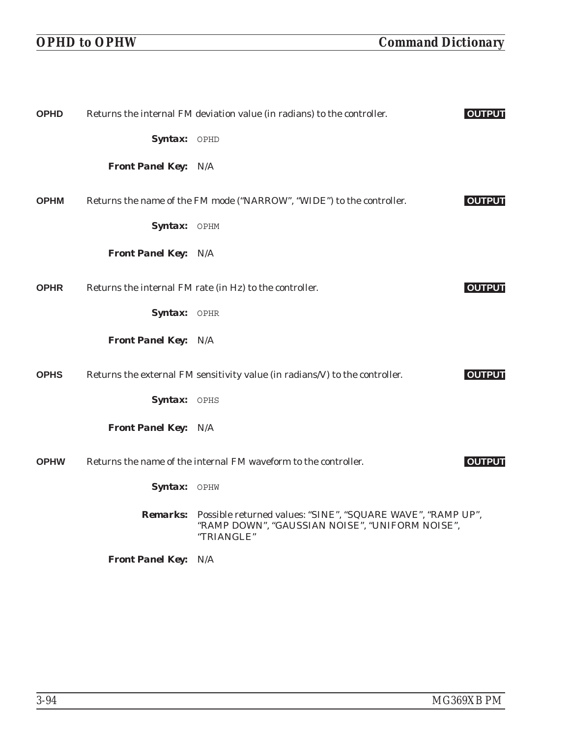| <b>OPHD</b> |                             | Returns the internal FM deviation value (in radians) to the controller.                                                      | <b>OUTPUT</b> |
|-------------|-----------------------------|------------------------------------------------------------------------------------------------------------------------------|---------------|
|             | Syntax: OPHD                |                                                                                                                              |               |
|             | <b>Front Panel Key: N/A</b> |                                                                                                                              |               |
| <b>OPHM</b> |                             | Returns the name of the FM mode ("NARROW", "WIDE") to the controller.                                                        | <b>OUTPUT</b> |
|             | Syntax: OPHM                |                                                                                                                              |               |
|             | <b>Front Panel Key: N/A</b> |                                                                                                                              |               |
| <b>OPHR</b> |                             | Returns the internal FM rate (in Hz) to the controller.                                                                      | <b>OUTPUT</b> |
|             | Syntax: OPHR                |                                                                                                                              |               |
|             | <b>Front Panel Key: N/A</b> |                                                                                                                              |               |
| <b>OPHS</b> |                             | Returns the external FM sensitivity value (in radians/V) to the controller.                                                  | <b>OUTPUT</b> |
|             | Syntax: OPHS                |                                                                                                                              |               |
|             | <b>Front Panel Key: N/A</b> |                                                                                                                              |               |
| <b>OPHW</b> |                             | Returns the name of the internal FM waveform to the controller.                                                              | <b>OUTPUT</b> |
|             | Syntax: OPHW                |                                                                                                                              |               |
|             | <b>Remarks:</b>             | Possible returned values: "SINE", "SQUARE WAVE", "RAMP UP",<br>"RAMP DOWN", "GAUSSIAN NOISE", "UNIFORM NOISE",<br>"TRIANGLE" |               |
|             | <b>Front Panel Key: N/A</b> |                                                                                                                              |               |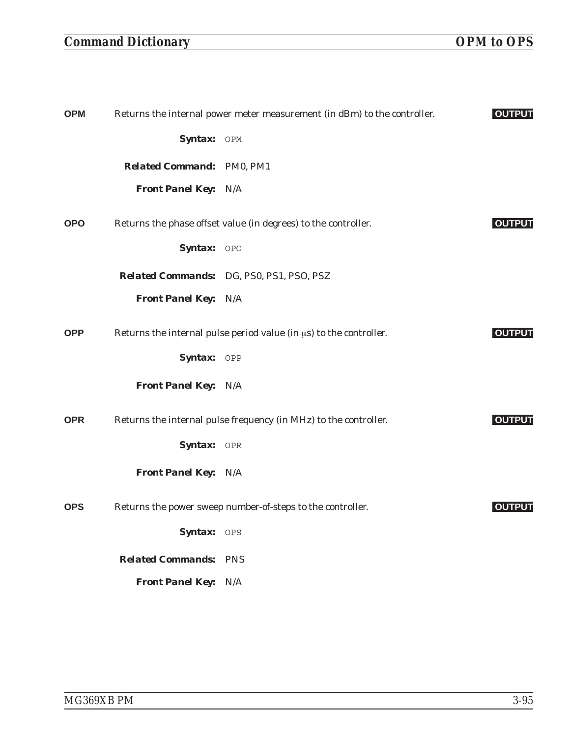## *Command Dictionary OPM to OPS*

| <b>OPM</b> |                                  | Returns the internal power meter measurement (in dBm) to the controller. | <b>OUTPUT</b> |
|------------|----------------------------------|--------------------------------------------------------------------------|---------------|
|            | Syntax: OPM                      |                                                                          |               |
|            | <b>Related Command: PM0, PM1</b> |                                                                          |               |
|            | Front Panel Key: N/A             |                                                                          |               |
| <b>OPO</b> |                                  | Returns the phase offset value (in degrees) to the controller.           | <b>OUTPUT</b> |
|            | Syntax: OPO                      |                                                                          |               |
|            |                                  | Related Commands: DG, PS0, PS1, PS0, PSZ                                 |               |
|            | Front Panel Key: N/A             |                                                                          |               |
| <b>OPP</b> |                                  | Returns the internal pulse period value (in $\mu s$ ) to the controller. | <b>OUTPUT</b> |
|            | Syntax: OPP                      |                                                                          |               |
|            | Front Panel Key: N/A             |                                                                          |               |
| <b>OPR</b> |                                  | Returns the internal pulse frequency (in MHz) to the controller.         | <b>OUTPUT</b> |
|            | Syntax: OPR                      |                                                                          |               |
|            | Front Panel Key: N/A             |                                                                          |               |
| <b>OPS</b> |                                  | Returns the power sweep number-of-steps to the controller.               | <b>OUTPUT</b> |
|            | Syntax: OPS                      |                                                                          |               |
|            | <b>Related Commands: PNS</b>     |                                                                          |               |
|            | <b>Front Panel Key: N/A</b>      |                                                                          |               |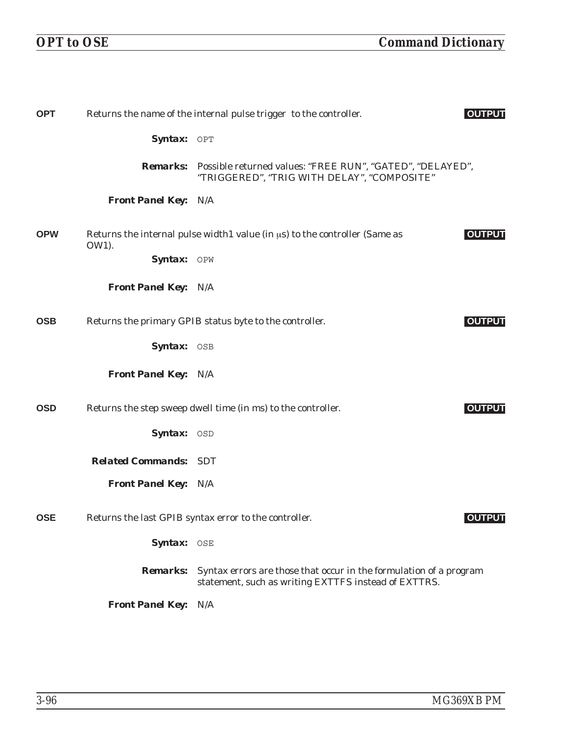| <b>OPT</b> |                              | Returns the name of the internal pulse trigger to the controller.                                                          | <b>OUTPUT</b> |
|------------|------------------------------|----------------------------------------------------------------------------------------------------------------------------|---------------|
|            | Syntax: OPT                  |                                                                                                                            |               |
|            |                              | <b>Remarks:</b> Possible returned values: "FREE RUN", "GATED", "DELAYED",<br>"TRIGGERED", "TRIG WITH DELAY", "COMPOSITE"   |               |
|            | <b>Front Panel Key: N/A</b>  |                                                                                                                            |               |
| <b>OPW</b> | OW1).                        | Returns the internal pulse width1 value (in $\mu s$ ) to the controller (Same as                                           | <b>OUTPUT</b> |
|            | Syntax: OPW                  |                                                                                                                            |               |
|            | <b>Front Panel Key: N/A</b>  |                                                                                                                            |               |
| <b>OSB</b> |                              | Returns the primary GPIB status byte to the controller.                                                                    | <b>OUTPUT</b> |
|            | Syntax: OSB                  |                                                                                                                            |               |
|            | <b>Front Panel Key: N/A</b>  |                                                                                                                            |               |
| <b>OSD</b> |                              | Returns the step sweep dwell time (in ms) to the controller.                                                               | <b>OUTPUT</b> |
|            | Syntax: OSD                  |                                                                                                                            |               |
|            | <b>Related Commands: SDT</b> |                                                                                                                            |               |
|            | <b>Front Panel Key: N/A</b>  |                                                                                                                            |               |
| <b>OSE</b> |                              | Returns the last GPIB syntax error to the controller.                                                                      | <b>OUTPUT</b> |
|            | Syntax: OSE                  |                                                                                                                            |               |
|            | <b>Remarks:</b>              | Syntax errors are those that occur in the formulation of a program<br>statement, such as writing EXTTFS instead of EXTTRS. |               |
|            | <b>Front Panel Key:</b>      | N/A                                                                                                                        |               |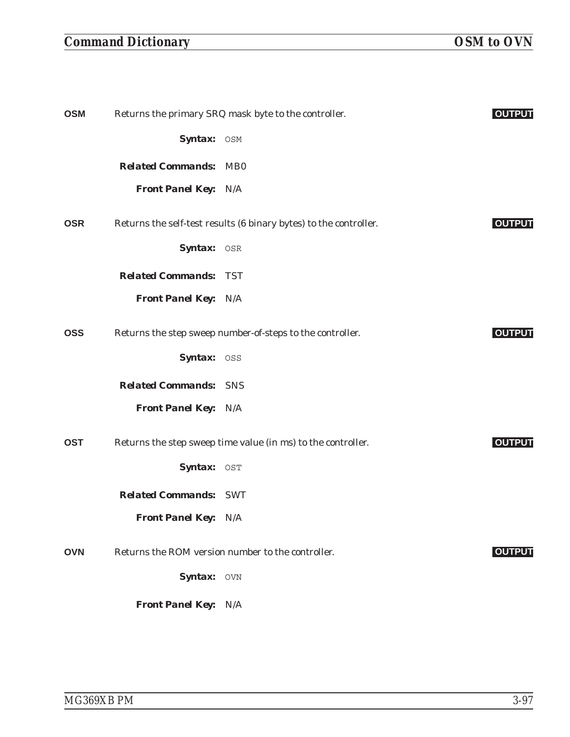## *Command Dictionary OSM to OVN*

| OSM        |                              | Returns the primary SRQ mask byte to the controller.              | <b>OUTPUT</b> |
|------------|------------------------------|-------------------------------------------------------------------|---------------|
|            | Syntax: OSM                  |                                                                   |               |
|            | <b>Related Commands: MB0</b> |                                                                   |               |
|            | <b>Front Panel Key: N/A</b>  |                                                                   |               |
| <b>OSR</b> |                              | Returns the self-test results (6 binary bytes) to the controller. | <b>OUTPUT</b> |
|            | Syntax: OSR                  |                                                                   |               |
|            | <b>Related Commands: TST</b> |                                                                   |               |
|            | <b>Front Panel Key: N/A</b>  |                                                                   |               |
| OSS        |                              | Returns the step sweep number-of-steps to the controller.         | <b>OUTPUT</b> |
|            | Syntax: OSS                  |                                                                   |               |
|            | <b>Related Commands: SNS</b> |                                                                   |               |
|            | <b>Front Panel Key: N/A</b>  |                                                                   |               |
| <b>OST</b> |                              | Returns the step sweep time value (in ms) to the controller.      | <b>OUTPUT</b> |
|            | Syntax: OST                  |                                                                   |               |
|            | <b>Related Commands: SWT</b> |                                                                   |               |
|            | Front Panel Key: N/A         |                                                                   |               |
| <b>OVN</b> |                              | Returns the ROM version number to the controller.                 | <b>OUTPUT</b> |
|            | Syntax: OVN                  |                                                                   |               |
|            | Front Panel Key: N/A         |                                                                   |               |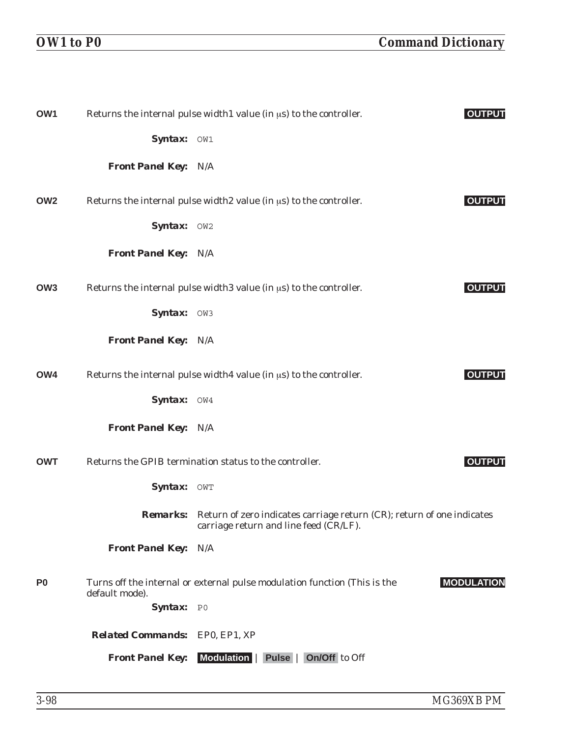| OW1             |                                | Returns the internal pulse width1 value (in $\mu$ s) to the controller.                                                          | <b>OUTPUT</b>     |
|-----------------|--------------------------------|----------------------------------------------------------------------------------------------------------------------------------|-------------------|
|                 | Syntax: OW1                    |                                                                                                                                  |                   |
|                 | <b>Front Panel Key: N/A</b>    |                                                                                                                                  |                   |
| OW <sub>2</sub> |                                | Returns the internal pulse width 2 value (in $\mu$ s) to the controller.                                                         | <b>OUTPUT</b>     |
|                 | Syntax: OW2                    |                                                                                                                                  |                   |
|                 | <b>Front Panel Key: N/A</b>    |                                                                                                                                  |                   |
| OW <sub>3</sub> |                                | Returns the internal pulse width 3 value (in $\mu$ s) to the controller.                                                         | <b>OUTPUT</b>     |
|                 | Syntax: OW3                    |                                                                                                                                  |                   |
|                 | <b>Front Panel Key: N/A</b>    |                                                                                                                                  |                   |
| OW4             |                                | Returns the internal pulse width4 value (in $\mu$ s) to the controller.                                                          | <b>OUTPUT</b>     |
|                 | Syntax: OW4                    |                                                                                                                                  |                   |
|                 | <b>Front Panel Key: N/A</b>    |                                                                                                                                  |                   |
| <b>OWT</b>      |                                | Returns the GPIB termination status to the controller.                                                                           | <b>OUTPUT</b>     |
|                 | <b>Syntax:</b>                 | OWT                                                                                                                              |                   |
|                 |                                | <b>Remarks:</b> Return of zero indicates carriage return (CR); return of one indicates<br>carriage return and line feed (CR/LF). |                   |
|                 | <b>Front Panel Key:</b>        | N/A                                                                                                                              |                   |
| P <sub>0</sub>  | default mode).                 | Turns off the internal or external pulse modulation function (This is the                                                        | <b>MODULATION</b> |
|                 | Syntax: PO                     |                                                                                                                                  |                   |
|                 | Related Commands: EP0, EP1, XP |                                                                                                                                  |                   |
|                 | <b>Front Panel Key:</b>        | Modulation   Pulse   On/Off to Off                                                                                               |                   |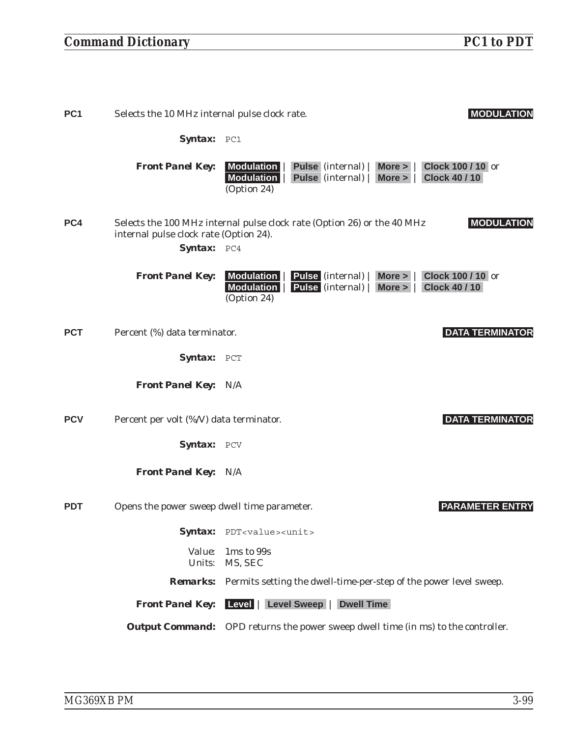## *Command Dictionary PC1 to PDT*

| PC <sub>1</sub> | Selects the 10 MHz internal pulse clock rate.         |                                                                                                       | <b>MODULATION</b>                                |
|-----------------|-------------------------------------------------------|-------------------------------------------------------------------------------------------------------|--------------------------------------------------|
|                 | Syntax: PC1                                           |                                                                                                       |                                                  |
|                 | <b>Front Panel Key:</b>                               | Modulation<br>Pulse (internal)  <br>More ><br>Modulation<br>Pulse (internal)<br>More ><br>(Option 24) | Clock 100 / 10 or<br><b>Clock 40 / 10</b>        |
| PC4             | internal pulse clock rate (Option 24).<br>Syntax: PC4 | Selects the 100 MHz internal pulse clock rate (Option 26) or the 40 MHz                               | <b>MODULATION</b>                                |
|                 | <b>Front Panel Key:</b>                               | Modulation<br>Pulse (internal)  <br>More ><br>Modulation<br>Pulse (internal)   More ><br>(Option 24)  | <b>Clock 100 / 10 or</b><br><b>Clock 40 / 10</b> |
| <b>PCT</b>      | Percent (%) data terminator.                          |                                                                                                       | <b>DATA TERMINATOR</b>                           |
|                 | Syntax: PCT                                           |                                                                                                       |                                                  |
|                 | <b>Front Panel Key: N/A</b>                           |                                                                                                       |                                                  |
| <b>PCV</b>      | Percent per volt (%/V) data terminator.               |                                                                                                       | <b>DATA TERMINATOR</b>                           |
|                 | <b>Syntax:</b>                                        | PCV                                                                                                   |                                                  |
|                 | <b>Front Panel Key:</b>                               | N/A                                                                                                   |                                                  |
| <b>PDT</b>      | Opens the power sweep dwell time parameter.           |                                                                                                       | <b>PARAMETER ENTRY</b>                           |
|                 |                                                       | Syntax: PDT <value><unit></unit></value>                                                              |                                                  |
|                 | Value:<br>Units:                                      | 1ms to 99s<br>MS, SEC                                                                                 |                                                  |
|                 | <b>Remarks:</b>                                       | Permits setting the dwell-time-per-step of the power level sweep.                                     |                                                  |
|                 | <b>Front Panel Key:</b>                               | Level   Level Sweep  <br><b>Dwell Time</b>                                                            |                                                  |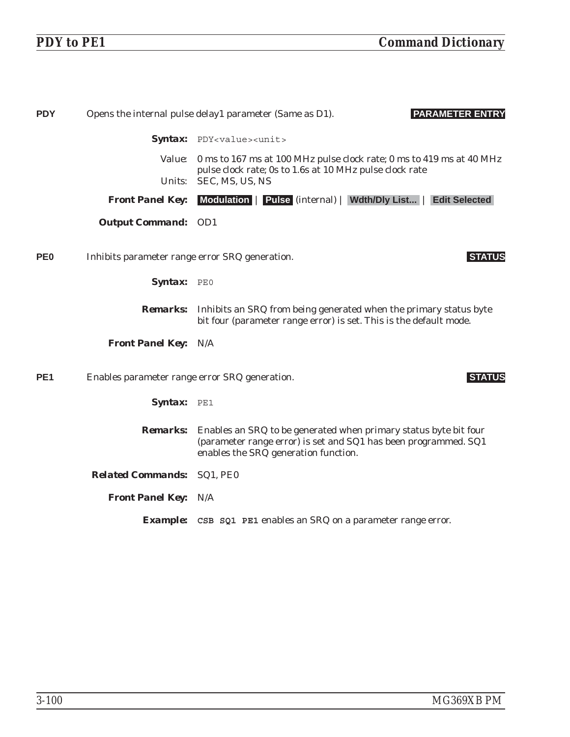| <b>PDY</b>      |                                                | <b>PARAMETER ENTRY</b><br>Opens the internal pulse delay1 parameter (Same as D1).                                                                                           |
|-----------------|------------------------------------------------|-----------------------------------------------------------------------------------------------------------------------------------------------------------------------------|
|                 |                                                | Syntax: PDY <value><unit></unit></value>                                                                                                                                    |
|                 | <i>Value:</i>                                  | 0 ms to 167 ms at 100 MHz pulse clock rate; 0 ms to 419 ms at 40 MHz<br>pulse clock rate; 0s to 1.6s at 10 MHz pulse clock rate                                             |
|                 | Units:                                         | SEC, MS, US, NS                                                                                                                                                             |
|                 | <b>Front Panel Key:</b>                        | Modulation   Pulse (internal)   Wdth/Dly List   Edit Selected                                                                                                               |
|                 | <b>Output Command: OD1</b>                     |                                                                                                                                                                             |
| PE <sub>0</sub> | Inhibits parameter range error SRQ generation. | <b>STATUS</b>                                                                                                                                                               |
|                 | Syntax: PEO                                    |                                                                                                                                                                             |
|                 |                                                | <b>Remarks:</b> Inhibits an SRQ from being generated when the primary status byte<br>bit four (parameter range error) is set. This is the default mode.                     |
|                 | <b>Front Panel Key: N/A</b>                    |                                                                                                                                                                             |
| PE <sub>1</sub> | Enables parameter range error SRQ generation.  | <b>STATUS</b>                                                                                                                                                               |
|                 | Syntax: PE1                                    |                                                                                                                                                                             |
|                 | <i><b>Remarks:</b></i>                         | Enables an SRQ to be generated when primary status byte bit four<br>(parameter range error) is set and SQ1 has been programmed. SQ1<br>enables the SRQ generation function. |
|                 | <b>Related Commands: SQ1, PE0</b>              |                                                                                                                                                                             |
|                 | <b>Front Panel Key: N/A</b>                    |                                                                                                                                                                             |
|                 |                                                | <b>Example:</b> CSB SQ1 PE1 enables an SRQ on a parameter range error.                                                                                                      |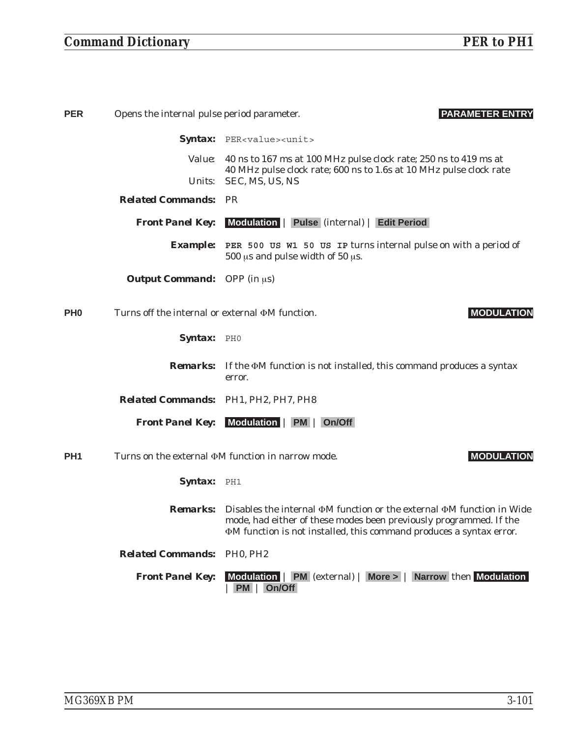## *Command Dictionary PER to PH1*

| <b>PER</b>      | Opens the internal pulse period parameter.            | <b>PARAMETER ENTRY</b>                                                                                                                                                                                                                         |
|-----------------|-------------------------------------------------------|------------------------------------------------------------------------------------------------------------------------------------------------------------------------------------------------------------------------------------------------|
|                 |                                                       | Syntax: PER <value><unit></unit></value>                                                                                                                                                                                                       |
|                 | <i>Value:</i>                                         | 40 ns to 167 ms at 100 MHz pulse clock rate; 250 ns to 419 ms at                                                                                                                                                                               |
|                 | <i>Units:</i>                                         | 40 MHz pulse clock rate; 600 ns to 1.6s at 10 MHz pulse clock rate<br>SEC, MS, US, NS                                                                                                                                                          |
|                 | <b>Related Commands: PR</b>                           |                                                                                                                                                                                                                                                |
|                 | <b>Front Panel Key:</b>                               | Modulation   Pulse (internal)   Edit Period                                                                                                                                                                                                    |
|                 | <i><b>Example:</b></i>                                | PER 500 US W1 50 US IP turns internal pulse on with a period of<br>500 $\mu$ s and pulse width of 50 $\mu$ s.                                                                                                                                  |
|                 | <b>Output Command:</b> OPP (in $\mu$ s)               |                                                                                                                                                                                                                                                |
| PH <sub>0</sub> | Turns off the internal or external $\Phi M$ function. | <b>MODULATION</b>                                                                                                                                                                                                                              |
|                 | Syntax: PHO                                           |                                                                                                                                                                                                                                                |
|                 | <i><b>Remarks:</b></i>                                | If the $\Phi$ M function is not installed, this command produces a syntax<br>error.                                                                                                                                                            |
|                 | Related Commands: PH1, PH2, PH7, PH8                  |                                                                                                                                                                                                                                                |
|                 |                                                       | <b>Front Panel Key:</b> Modulation   PM   On/Off                                                                                                                                                                                               |
| PH <sub>1</sub> |                                                       | Turns on the external $\Phi M$ function in narrow mode.<br><b>MODULATION</b>                                                                                                                                                                   |
|                 | Syntax: PH1                                           |                                                                                                                                                                                                                                                |
|                 |                                                       | <b>Remarks:</b> Disables the internal $\Phi$ M function or the external $\Phi$ M function in Wide<br>mode, had either of these modes been previously programmed. If the<br>ΦM function is not installed, this command produces a syntax error. |
|                 | <b>Related Commands: PH0, PH2</b>                     |                                                                                                                                                                                                                                                |
|                 | <b>Front Panel Key:</b>                               | Modulation   PM (external)   More >   Narrow then Modulation<br><b>PM</b><br>On/Off                                                                                                                                                            |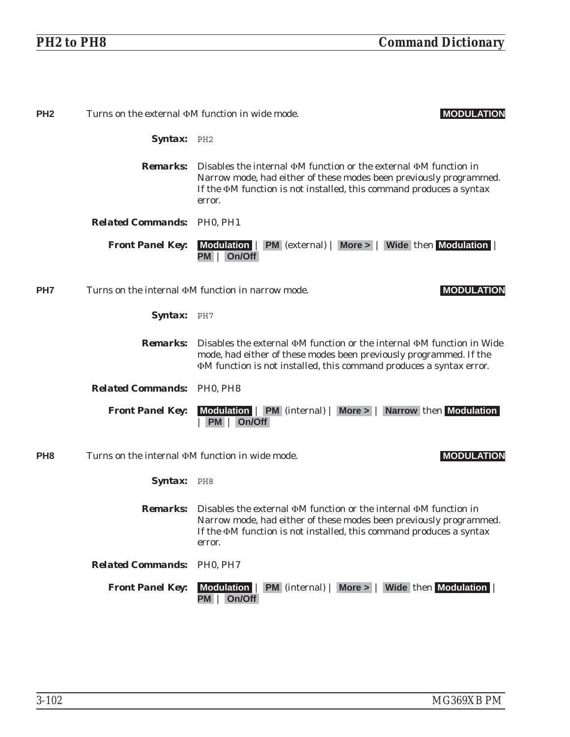| PH <sub>2</sub> | Turns on the external $\Phi M$ function in wide mode. | <b>MODULATION</b>                                                                                                                                                                                                                                         |
|-----------------|-------------------------------------------------------|-----------------------------------------------------------------------------------------------------------------------------------------------------------------------------------------------------------------------------------------------------------|
|                 | Syntax: PH2                                           |                                                                                                                                                                                                                                                           |
|                 |                                                       | <b>Remarks:</b> Disables the internal $\Phi$ M function or the external $\Phi$ M function in<br>Narrow mode, had either of these modes been previously programmed.<br>If the $\Phi M$ function is not installed, this command produces a syntax<br>error. |
|                 | <b>Related Commands: PH0, PH1</b>                     |                                                                                                                                                                                                                                                           |
|                 | <b>Front Panel Key:</b>                               | Modulation   PM (external)   More >   Wide then Modulation<br>On/Off<br>PM I                                                                                                                                                                              |
| PH <sub>7</sub> |                                                       | Turns on the internal $\Phi M$ function in narrow mode.<br><b>MODULATION</b>                                                                                                                                                                              |
|                 | Syntax: PH7                                           |                                                                                                                                                                                                                                                           |
|                 | <i><b>Remarks:</b></i>                                | Disables the external $\Phi M$ function or the internal $\Phi M$ function in Wide<br>mode, had either of these modes been previously programmed. If the<br><b>M</b> function is not installed, this command produces a syntax error.                      |
|                 | <b>Related Commands: PH0, PH8</b>                     |                                                                                                                                                                                                                                                           |
|                 | <b>Front Panel Key:</b>                               | Modulation   PM (internal)   More >   Narrow then Modulation<br>On/Off<br>PM                                                                                                                                                                              |
| PH <sub>8</sub> | Turns on the internal $\Phi M$ function in wide mode. | <b>MODULATION</b>                                                                                                                                                                                                                                         |
|                 | Syntax: PH8                                           |                                                                                                                                                                                                                                                           |
|                 |                                                       | Remarks: Disables the external $\Phi M$ function or the internal $\Phi M$ function in<br>Narrow mode, had either of these modes been previously programmed.<br>If the $\Phi M$ function is not installed, this command produces a syntax<br>error.        |
|                 | <b>Related Commands:</b>                              | PH <sub>0</sub> , PH <sub>7</sub>                                                                                                                                                                                                                         |
|                 | <b>Front Panel Key:</b>                               | Modulation   PM (internal)   More >   Wide then Modulation  <br>On/Off<br>PM I                                                                                                                                                                            |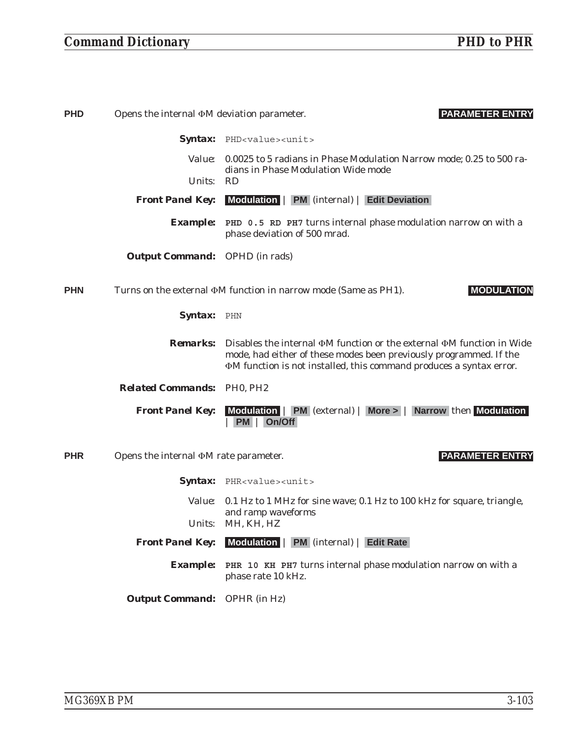## *Command Dictionary PHD to PHR*

| <b>PHD</b> | Opens the internal $\Phi M$ deviation parameter. | <b>PARAMETER ENTRY</b>                                                                                                                                                                                                                                |
|------------|--------------------------------------------------|-------------------------------------------------------------------------------------------------------------------------------------------------------------------------------------------------------------------------------------------------------|
|            |                                                  | <b>Syntax:</b> PHD <value><unit></unit></value>                                                                                                                                                                                                       |
|            | <i>Value:</i>                                    | 0.0025 to 5 radians in Phase Modulation Narrow mode; 0.25 to 500 ra-                                                                                                                                                                                  |
|            | Units:                                           | dians in Phase Modulation Wide mode<br><b>RD</b>                                                                                                                                                                                                      |
|            | <b>Front Panel Key:</b>                          | Modulation   PM (internal)   Edit Deviation                                                                                                                                                                                                           |
|            | <i>Example:</i>                                  | PHD 0.5 RD PH7 turns internal phase modulation narrow on with a<br>phase deviation of 500 mrad.                                                                                                                                                       |
|            | <b>Output Command:</b> OPHD (in rads)            |                                                                                                                                                                                                                                                       |
| <b>PHN</b> |                                                  | Turns on the external $\Phi M$ function in narrow mode (Same as PH1).<br><b>MODULATION</b>                                                                                                                                                            |
|            | Syntax: PHN                                      |                                                                                                                                                                                                                                                       |
|            |                                                  | <b>Remarks:</b> Disables the internal $\Phi M$ function or the external $\Phi M$ function in Wide<br>mode, had either of these modes been previously programmed. If the<br><b>OM</b> function is not installed, this command produces a syntax error. |
|            | <b>Related Commands: PH0, PH2</b>                |                                                                                                                                                                                                                                                       |
|            | <b>Front Panel Key:</b>                          | Modulation   PM (external)   More >   Narrow then Modulation<br><b>PM</b> On/Off                                                                                                                                                                      |
| <b>PHR</b> | Opens the internal $\Phi M$ rate parameter.      | <b>PARAMETER ENTRY</b>                                                                                                                                                                                                                                |
|            |                                                  | <b>Syntax:</b> PHR <value><unit></unit></value>                                                                                                                                                                                                       |
|            | <i>Value:</i>                                    | 0.1 Hz to 1 MHz for sine wave; 0.1 Hz to 100 kHz for square, triangle,                                                                                                                                                                                |
|            | <i>Units:</i>                                    | and ramp waveforms<br>MH, KH, HZ                                                                                                                                                                                                                      |
|            |                                                  | <b>Front Panel Key:</b> Modulation   PM (internal)   Edit Rate                                                                                                                                                                                        |
|            | <i><b>Example:</b></i>                           | PHR 10 KH PH7 turns internal phase modulation narrow on with a<br>phase rate 10 kHz.                                                                                                                                                                  |

*Output Command:* OPHR (in Hz)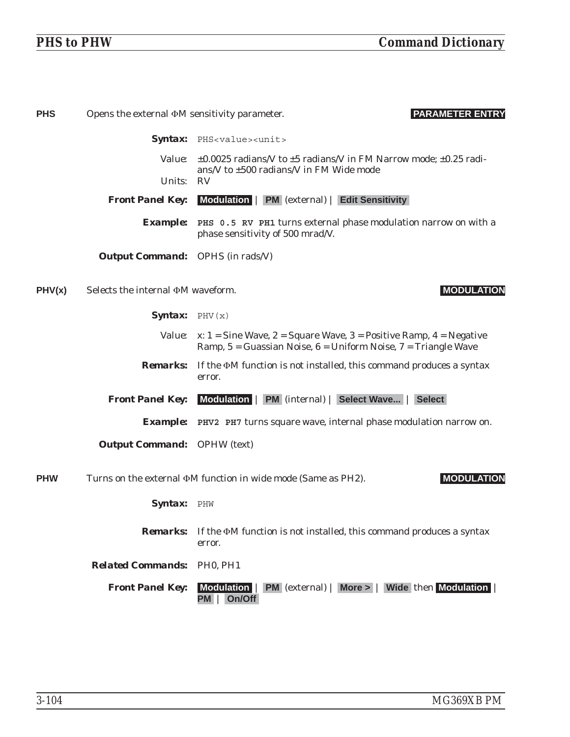| <b>PHS</b> | Opens the external $\Phi M$ sensitivity parameter. | <b>PARAMETER ENTRY</b>                                                                                                                                           |
|------------|----------------------------------------------------|------------------------------------------------------------------------------------------------------------------------------------------------------------------|
|            |                                                    | Syntax: PHS <value><unit></unit></value>                                                                                                                         |
|            | <i>Value:</i>                                      | $\pm 0.0025$ radians/V to $\pm 5$ radians/V in FM Narrow mode; $\pm 0.25$ radi-<br>ans/V to ±500 radians/V in FM Wide mode                                       |
|            | Units:                                             | <b>RV</b>                                                                                                                                                        |
|            | <b>Front Panel Key:</b>                            | Modulation   PM (external)   Edit Sensitivity                                                                                                                    |
|            |                                                    | <b>Example:</b> PHS 0.5 RV PH1 turns external phase modulation narrow on with a<br>phase sensitivity of 500 mrad/V.                                              |
|            | <b>Output Command:</b> OPHS (in rads/V)            |                                                                                                                                                                  |
| PHV(x)     | Selects the internal $\Phi M$ waveform.            | <b>MODULATION</b>                                                                                                                                                |
|            | <b>Syntax:</b> PHV $(x)$                           |                                                                                                                                                                  |
|            |                                                    | <i>Value:</i> $x: 1 =$ Sine Wave, $2 =$ Square Wave, $3 =$ Positive Ramp, $4 =$ Negative<br>Ramp, $5 =$ Guassian Noise, $6 =$ Uniform Noise, $7 =$ Triangle Wave |
|            |                                                    | <b>Remarks:</b> If the $\Phi M$ function is not installed, this command produces a syntax<br>error.                                                              |
|            | <b>Front Panel Key:</b>                            | Modulation   PM (internal)   Select Wave   Select                                                                                                                |
|            |                                                    | <b>Example:</b> PHV2 PH7 turns square wave, internal phase modulation narrow on.                                                                                 |
|            | <b>Output Command:</b> OPHW (text)                 |                                                                                                                                                                  |
| <b>PHW</b> |                                                    | Turns on the external $\Phi M$ function in wide mode (Same as PH2).<br><b>MODULATION</b>                                                                         |
|            | Syntax: PHW                                        |                                                                                                                                                                  |
|            |                                                    | <b>Remarks:</b> If the $\Phi M$ function is not installed, this command produces a syntax<br>error.                                                              |
|            | <b>Related Commands: PH0, PH1</b>                  |                                                                                                                                                                  |
|            | <b>Front Panel Key:</b>                            | <b>PM</b> (external)   More >   Wide then Modulation  <br><b>Modulation</b><br>On/Off<br>PM                                                                      |
|            |                                                    |                                                                                                                                                                  |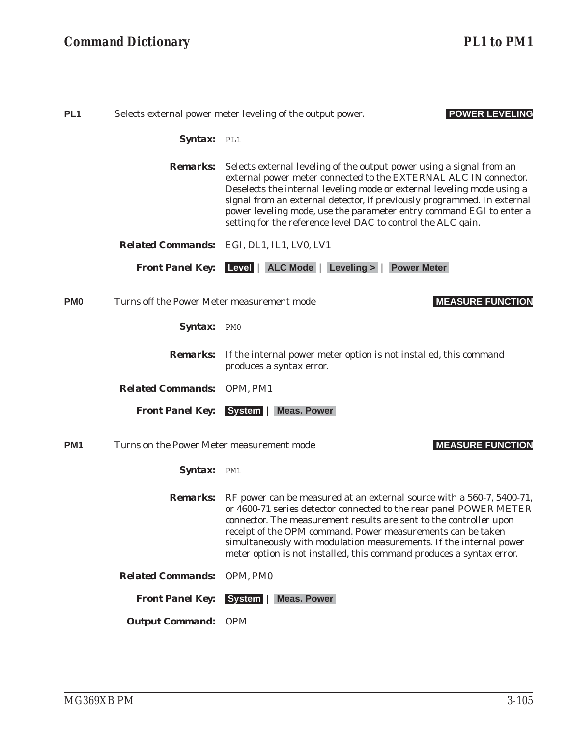| PL <sub>1</sub>            | <b>POWER LEVELING</b><br>Selects external power meter leveling of the output power. |                                                                                                                                                                                                                                                                                                                                                                                                                                      |
|----------------------------|-------------------------------------------------------------------------------------|--------------------------------------------------------------------------------------------------------------------------------------------------------------------------------------------------------------------------------------------------------------------------------------------------------------------------------------------------------------------------------------------------------------------------------------|
|                            | Syntax: PL1                                                                         |                                                                                                                                                                                                                                                                                                                                                                                                                                      |
|                            | <i><b>Remarks:</b></i>                                                              | Selects external leveling of the output power using a signal from an<br>external power meter connected to the EXTERNAL ALC IN connector.<br>Deselects the internal leveling mode or external leveling mode using a<br>signal from an external detector, if previously programmed. In external<br>power leveling mode, use the parameter entry command EGI to enter a<br>setting for the reference level DAC to control the ALC gain. |
|                            |                                                                                     | <b>Related Commands:</b> EGI, DL1, IL1, LV0, LV1                                                                                                                                                                                                                                                                                                                                                                                     |
|                            |                                                                                     | <b>Front Panel Key:</b> Level   ALC Mode   Leveling >   Power Meter                                                                                                                                                                                                                                                                                                                                                                  |
| PM <sub>0</sub>            | Turns off the Power Meter measurement mode                                          | <b>MEASURE FUNCTION</b>                                                                                                                                                                                                                                                                                                                                                                                                              |
|                            | Syntax: PMO                                                                         |                                                                                                                                                                                                                                                                                                                                                                                                                                      |
|                            |                                                                                     | <b>Remarks:</b> If the internal power meter option is not installed, this command<br>produces a syntax error.                                                                                                                                                                                                                                                                                                                        |
|                            | Related Commands: OPM, PM1                                                          |                                                                                                                                                                                                                                                                                                                                                                                                                                      |
|                            |                                                                                     | <b>Front Panel Key:</b> System   Meas. Power                                                                                                                                                                                                                                                                                                                                                                                         |
| PM <sub>1</sub>            | Turns on the Power Meter measurement mode                                           | <b>MEASURE FUNCTION</b>                                                                                                                                                                                                                                                                                                                                                                                                              |
|                            | Syntax: PM1                                                                         |                                                                                                                                                                                                                                                                                                                                                                                                                                      |
|                            | <i><b>Remarks:</b></i>                                                              | RF power can be measured at an external source with a 560-7, 5400-71,<br>or 4600-71 series detector connected to the rear panel POWER METER<br>connector. The measurement results are sent to the controller upon<br>receipt of the OPM command. Power measurements can be taken<br>simultaneously with modulation measurements. If the internal power<br>meter option is not installed, this command produces a syntax error.       |
|                            | <b>Related Commands:</b>                                                            | OPM, PM0                                                                                                                                                                                                                                                                                                                                                                                                                             |
|                            | <b>Front Panel Key:</b>                                                             | <b>Meas. Power</b><br>System                                                                                                                                                                                                                                                                                                                                                                                                         |
| <b>Output Command: OPM</b> |                                                                                     |                                                                                                                                                                                                                                                                                                                                                                                                                                      |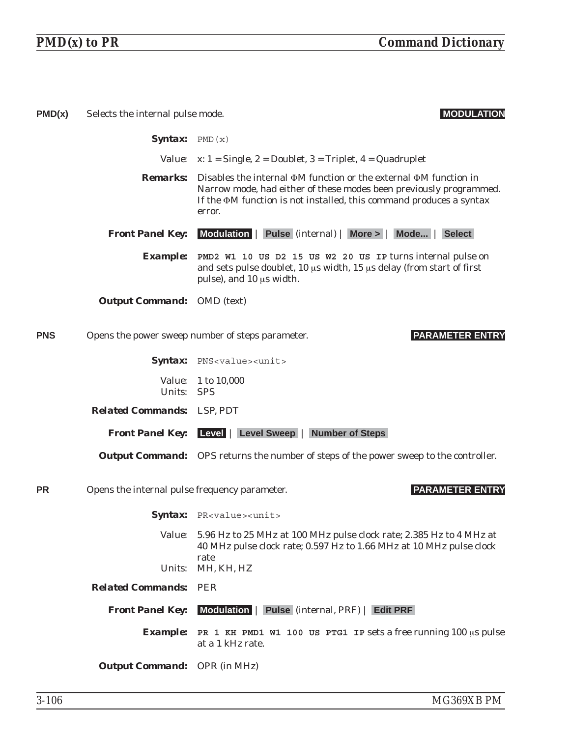| PMD(x)     | Selects the internal pulse mode.              | <b>MODULATION</b>                                                                                                                                                                                                                                   |
|------------|-----------------------------------------------|-----------------------------------------------------------------------------------------------------------------------------------------------------------------------------------------------------------------------------------------------------|
|            | <b>Syntax:</b> PMD $(x)$                      |                                                                                                                                                                                                                                                     |
|            |                                               | <i>Value:</i> $x: 1 =$ Single, 2 = Doublet, 3 = Triplet, 4 = Quadruplet                                                                                                                                                                             |
|            |                                               | <b>Remarks:</b> Disables the internal $\Phi$ M function or the external $\Phi$ M function in<br>Narrow mode, had either of these modes been previously programmed.<br>If the OM function is not installed, this command produces a syntax<br>error. |
|            | <b>Front Panel Key:</b>                       | Modulation   Pulse (internal)   More >   Mode   Select                                                                                                                                                                                              |
|            |                                               | <b>Example:</b> PMD2 W1 10 US D2 15 US W2 20 US IP turns internal pulse on<br>and sets pulse doublet, 10 µs width, 15 µs delay (from start of first<br>pulse), and 10 µs width.                                                                     |
|            | <b>Output Command:</b> OMD (text)             |                                                                                                                                                                                                                                                     |
| <b>PNS</b> |                                               | <b>PARAMETER ENTRY</b><br>Opens the power sweep number of steps parameter.                                                                                                                                                                          |
|            |                                               | Syntax: PNS <value><unit></unit></value>                                                                                                                                                                                                            |
|            | Units: SPS                                    | <i>Value:</i> 1 to 10,000                                                                                                                                                                                                                           |
|            | <b>Related Commands:</b> LSP, PDT             |                                                                                                                                                                                                                                                     |
|            | <b>Front Panel Key:</b>                       | Level   Level Sweep   Number of Steps                                                                                                                                                                                                               |
|            |                                               | <b>Output Command:</b> OPS returns the number of steps of the power sweep to the controller.                                                                                                                                                        |
| <b>PR</b>  | Opens the internal pulse frequency parameter. | <b>PARAMETER ENTRY</b>                                                                                                                                                                                                                              |
|            |                                               | Syntax: PR <value><unit></unit></value>                                                                                                                                                                                                             |
|            |                                               | Value: 5.96 Hz to 25 MHz at 100 MHz pulse clock rate; 2.385 Hz to 4 MHz at<br>40 MHz pulse clock rate; 0.597 Hz to 1.66 MHz at 10 MHz pulse clock<br>rate                                                                                           |
|            |                                               | Units: MH, KH, HZ                                                                                                                                                                                                                                   |
|            | <b>Related Commands:</b>                      | PER                                                                                                                                                                                                                                                 |
|            | <b>Front Panel Key:</b>                       | Modulation   Pulse (internal, PRF)   Edit PRF                                                                                                                                                                                                       |
|            | <i><b>Example:</b></i>                        | PR 1 KH PMD1 W1 100 US PTG1 IP sets a free running 100 µs pulse<br>at a 1 kHz rate.                                                                                                                                                                 |
|            | <b>Output Command:</b> OPR (in MHz)           |                                                                                                                                                                                                                                                     |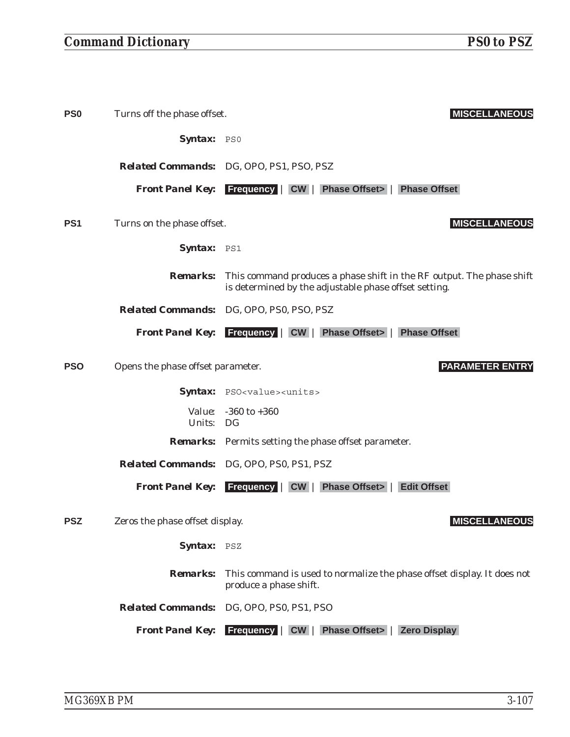| PS0 | Turns off the phase offset.       | <b>MISCELLANEOUS</b>                                                                                                           |
|-----|-----------------------------------|--------------------------------------------------------------------------------------------------------------------------------|
|     | Syntax: PSO                       |                                                                                                                                |
|     |                                   | <b>Related Commands:</b> DG, OPO, PS1, PSO, PSZ                                                                                |
|     |                                   | <b>Front Panel Key:</b> Frequency   CW   Phase Offset>   Phase Offset                                                          |
| PS1 | Turns on the phase offset.        | <b>MISCELLANEOUS</b>                                                                                                           |
|     | Syntax: PS1                       |                                                                                                                                |
|     | <b>Remarks:</b>                   | This command produces a phase shift in the RF output. The phase shift<br>is determined by the adjustable phase offset setting. |
|     |                                   | Related Commands: DG, OPO, PS0, PSO, PSZ                                                                                       |
|     |                                   | <b>Front Panel Key:</b> Frequency   CW   Phase Offset>   Phase Offset                                                          |
| PSO | Opens the phase offset parameter. | <b>PARAMETER ENTRY</b>                                                                                                         |
|     |                                   | Syntax: PSO <value><units></units></value>                                                                                     |
|     | Units: DG                         | <i>Value:</i> -360 to +360                                                                                                     |
|     |                                   | <b>Remarks:</b> Permits setting the phase offset parameter.                                                                    |
|     |                                   | Related Commands: DG, OPO, PS0, PS1, PSZ                                                                                       |
|     |                                   | <b>Front Panel Key:</b> Frequency   CW   Phase Offset>  <br><b>Edit Offset</b>                                                 |
| PSZ | Zeros the phase offset display.   | <b>MISCELLANEOUS</b>                                                                                                           |
|     | Syntax:                           | PSZ                                                                                                                            |
|     | <b>Remarks:</b>                   | This command is used to normalize the phase offset display. It does not<br>produce a phase shift.                              |
|     | <b>Related Commands:</b>          | DG, OPO, PS0, PS1, PSO                                                                                                         |
|     | <b>Front Panel Key:</b>           | <b>Frequency</b><br><b>Phase Offset&gt;</b>  <br><b>Zero Display</b><br>CW                                                     |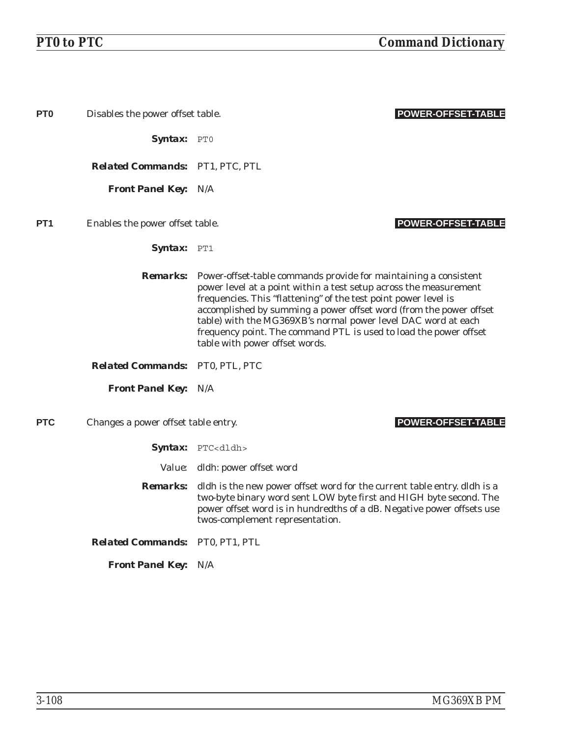| PT <sub>0</sub> | Disables the power offset table.       | <b>POWER-OFFSET-TABLE</b>                                                                                                                                                                                                                                                                                                                                                                                                                                              |
|-----------------|----------------------------------------|------------------------------------------------------------------------------------------------------------------------------------------------------------------------------------------------------------------------------------------------------------------------------------------------------------------------------------------------------------------------------------------------------------------------------------------------------------------------|
|                 | $Syntax: PT0$                          |                                                                                                                                                                                                                                                                                                                                                                                                                                                                        |
|                 | <b>Related Commands: PT1, PTC, PTL</b> |                                                                                                                                                                                                                                                                                                                                                                                                                                                                        |
|                 | <b>Front Panel Key: N/A</b>            |                                                                                                                                                                                                                                                                                                                                                                                                                                                                        |
| PT <sub>1</sub> | Enables the power offset table.        | <b>POWER-OFFSET-TABLE</b>                                                                                                                                                                                                                                                                                                                                                                                                                                              |
|                 | Syntax: PT1                            |                                                                                                                                                                                                                                                                                                                                                                                                                                                                        |
|                 |                                        | <b>Remarks:</b> Power-offset-table commands provide for maintaining a consistent<br>power level at a point within a test setup across the measurement<br>frequencies. This "flattening" of the test point power level is<br>accomplished by summing a power offset word (from the power offset<br>table) with the MG369XB's normal power level DAC word at each<br>frequency point. The command PTL is used to load the power offset<br>table with power offset words. |
|                 | Related Commands: PT0, PTL, PTC        |                                                                                                                                                                                                                                                                                                                                                                                                                                                                        |
|                 | <b>Front Panel Key: N/A</b>            |                                                                                                                                                                                                                                                                                                                                                                                                                                                                        |
| <b>PTC</b>      | Changes a power offset table entry.    | <b>POWER-OFFSET-TABLE</b>                                                                                                                                                                                                                                                                                                                                                                                                                                              |
|                 |                                        | Syntax: PTC <dldh></dldh>                                                                                                                                                                                                                                                                                                                                                                                                                                              |
|                 |                                        | Value: dldh: power offset word                                                                                                                                                                                                                                                                                                                                                                                                                                         |
|                 | <i>Remarks:</i>                        | dldh is the new power offset word for the current table entry. dldh is a<br>two-byte binary word sent LOW byte first and HIGH byte second. The<br>power offset word is in hundredths of a dB. Negative power offsets use<br>twos-complement representation.                                                                                                                                                                                                            |
|                 | Related Commands: PT0, PT1, PTL        |                                                                                                                                                                                                                                                                                                                                                                                                                                                                        |
|                 | <b>Front Panel Key: N/A</b>            |                                                                                                                                                                                                                                                                                                                                                                                                                                                                        |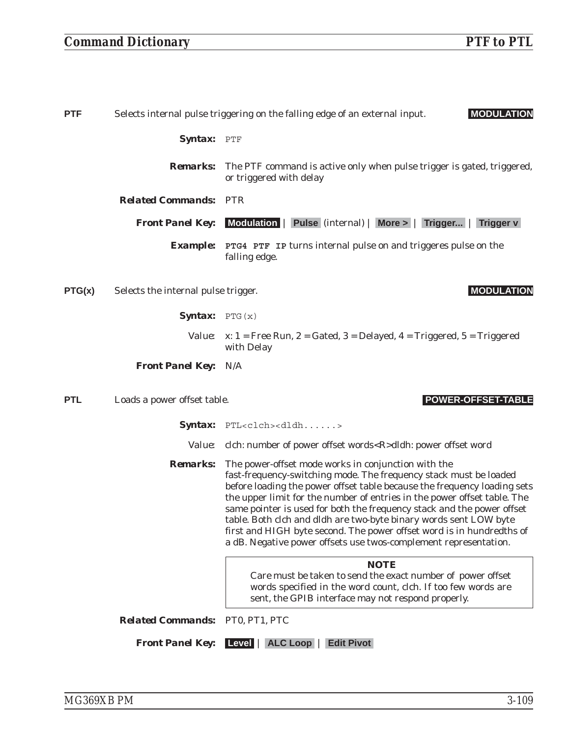| <b>PTF</b> |                                     | Selects internal pulse triggering on the falling edge of an external input.<br><b>MODULATION</b>                                                                                                                                                                                                                                                                                                                                                                                                                                                                             |
|------------|-------------------------------------|------------------------------------------------------------------------------------------------------------------------------------------------------------------------------------------------------------------------------------------------------------------------------------------------------------------------------------------------------------------------------------------------------------------------------------------------------------------------------------------------------------------------------------------------------------------------------|
|            | Syntax: PTF                         |                                                                                                                                                                                                                                                                                                                                                                                                                                                                                                                                                                              |
|            | <b>Remarks:</b>                     | The PTF command is active only when pulse trigger is gated, triggered,<br>or triggered with delay                                                                                                                                                                                                                                                                                                                                                                                                                                                                            |
|            | <b>Related Commands: PTR</b>        |                                                                                                                                                                                                                                                                                                                                                                                                                                                                                                                                                                              |
|            | <b>Front Panel Key:</b>             | Modulation   Pulse (internal)   More >   Trigger  <br><b>Trigger v</b>                                                                                                                                                                                                                                                                                                                                                                                                                                                                                                       |
|            |                                     | <b>Example:</b> PTG4 PTF IP turns internal pulse on and triggeres pulse on the<br>falling edge.                                                                                                                                                                                                                                                                                                                                                                                                                                                                              |
| PTG(x)     | Selects the internal pulse trigger. | <b>MODULATION</b>                                                                                                                                                                                                                                                                                                                                                                                                                                                                                                                                                            |
|            | <b>Syntax:</b> PTG $(x)$            |                                                                                                                                                                                                                                                                                                                                                                                                                                                                                                                                                                              |
|            |                                     | <i>Value:</i> $x: 1$ = Free Run, 2 = Gated, 3 = Delayed, 4 = Triggered, 5 = Triggered<br>with Delay                                                                                                                                                                                                                                                                                                                                                                                                                                                                          |
|            | <b>Front Panel Key: N/A</b>         |                                                                                                                                                                                                                                                                                                                                                                                                                                                                                                                                                                              |
| <b>PTL</b> | Loads a power offset table.         | <b>POWER-OFFSET-TABLE</b>                                                                                                                                                                                                                                                                                                                                                                                                                                                                                                                                                    |
|            |                                     | $\mathit{Syntax:}$ PTL <clch><dldh></dldh></clch>                                                                                                                                                                                                                                                                                                                                                                                                                                                                                                                            |
|            |                                     | Value: clch: number of power offset words <r>dldh: power offset word</r>                                                                                                                                                                                                                                                                                                                                                                                                                                                                                                     |
|            | <b>Remarks:</b>                     | The power-offset mode works in conjunction with the<br>fast-frequency-switching mode. The frequency stack must be loaded<br>before loading the power offset table because the frequency loading sets<br>the upper limit for the number of entries in the power offset table. The<br>same pointer is used for both the frequency stack and the power offset<br>table. Both clch and dldh are two-byte binary words sent LOW byte<br>first and HIGH byte second. The power offset word is in hundredths of<br>a dB. Negative power offsets use twos-complement representation. |
|            |                                     | <b>NOTE</b><br>Care must be taken to send the exact number of power offset<br>words specified in the word count, clch. If too few words are<br>sent, the GPIB interface may not respond properly.                                                                                                                                                                                                                                                                                                                                                                            |
|            | <b>Related Commands:</b>            | PT0, PT1, PTC                                                                                                                                                                                                                                                                                                                                                                                                                                                                                                                                                                |
|            | <b>Front Panel Key:</b>             | Level   ALC Loop<br><b>Edit Pivot</b>                                                                                                                                                                                                                                                                                                                                                                                                                                                                                                                                        |
|            |                                     |                                                                                                                                                                                                                                                                                                                                                                                                                                                                                                                                                                              |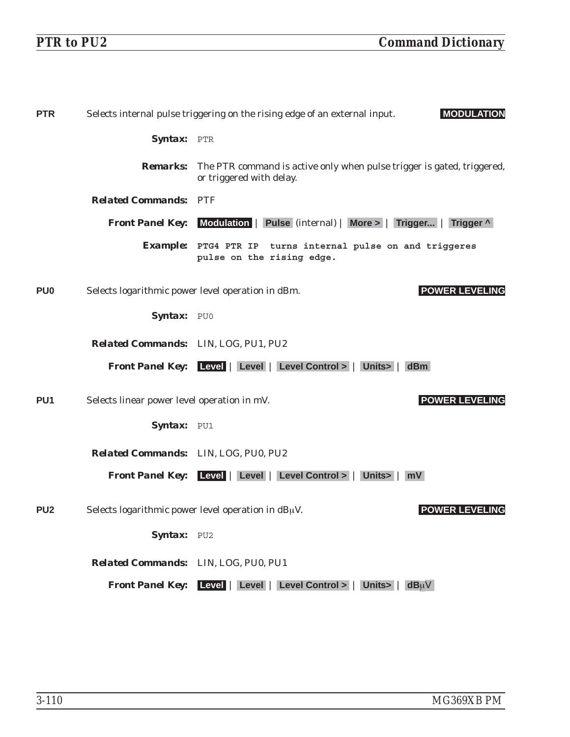| <b>PTR</b>      |                                             | Selects internal pulse triggering on the rising edge of an external input.<br><b>MODULATION</b>    |
|-----------------|---------------------------------------------|----------------------------------------------------------------------------------------------------|
|                 | Syntax: PTR                                 |                                                                                                    |
|                 | <b>Remarks:</b>                             | The PTR command is active only when pulse trigger is gated, triggered,<br>or triggered with delay. |
|                 | <b>Related Commands: PTF</b>                |                                                                                                    |
|                 |                                             | <b>Front Panel Key:</b> Modulation   Pulse (internal)   More >   Trigger  <br>Trigger ^            |
|                 |                                             | Example: PTG4 PTR IP turns internal pulse on and triggeres<br>pulse on the rising edge.            |
| PU <sub>0</sub> |                                             | <b>POWER LEVELING</b><br>Selects logarithmic power level operation in dBm.                         |
|                 | Syntax: PU0                                 |                                                                                                    |
|                 | <b>Related Commands:</b> LIN, LOG, PU1, PU2 |                                                                                                    |
|                 |                                             | <b>Front Panel Key:</b> Level   Level   Level Control >   Units>  <br>dBm                          |
| PU <sub>1</sub> | Selects linear power level operation in mV. | <b>POWER LEVELING</b>                                                                              |
|                 | Syntax: PU1                                 |                                                                                                    |
|                 | <b>Related Commands:</b> LIN, LOG, PU0, PU2 |                                                                                                    |
|                 |                                             | Front Panel Key: Level   Level   Level Control >   Units >   mV                                    |
| PU <sub>2</sub> |                                             | Selects logarithmic power level operation in $dB\mu V$ .<br><b>POWER LEVEL</b><br>ING              |
|                 | Syntax: PU2                                 |                                                                                                    |
|                 | Related Commands: LIN, LOG, PU0, PU1        |                                                                                                    |
|                 |                                             | Front Panel Key: Level   Level   Level Control >   Units   $dB_{\mu}V$                             |
|                 |                                             |                                                                                                    |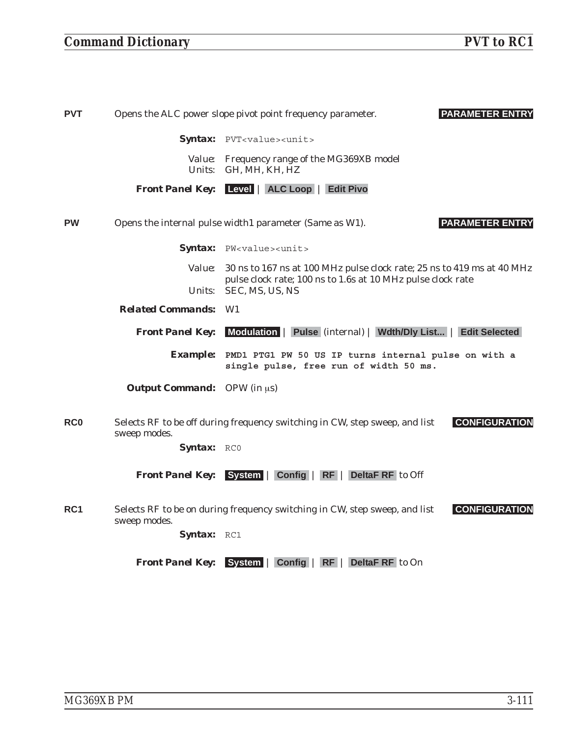## *Command Dictionary PVT to RC1*

| <b>PVT</b> | <b>PARAMETER ENTRY</b><br>Opens the ALC power slope pivot point frequency parameter. |                                                                                                     |
|------------|--------------------------------------------------------------------------------------|-----------------------------------------------------------------------------------------------------|
|            |                                                                                      | Syntax: PVT <value><unit></unit></value>                                                            |
|            |                                                                                      | Value: Frequency range of the MG369XB model<br>Units: GH, MH, KH, HZ                                |
|            |                                                                                      | <b>Front Panel Key:</b> Level   ALC Loop   Edit Pivo                                                |
| <b>PW</b>  |                                                                                      | <b>PARAMETER ENTRY</b><br>Opens the internal pulse width1 parameter (Same as W1).                   |
|            |                                                                                      | Syntax: PW <value><unit></unit></value>                                                             |
|            | <i>Value:</i>                                                                        | 30 ns to 167 ns at 100 MHz pulse clock rate; 25 ns to 419 ms at 40 MHz                              |
|            | Units:                                                                               | pulse clock rate; 100 ns to 1.6s at 10 MHz pulse clock rate<br>SEC, MS, US, NS                      |
|            | <b>Related Commands: W1</b>                                                          |                                                                                                     |
|            | <b>Front Panel Key:</b>                                                              | Modulation   Pulse (internal)   Wdth/Dly List  <br><b>Edit Selected</b>                             |
|            | <b>Example:</b>                                                                      | PMD1 PTG1 PW 50 US IP turns internal pulse on with a<br>single pulse, free run of width 50 ms.      |
|            | <b>Output Command:</b> OPW (in $\mu$ s)                                              |                                                                                                     |
| <b>RC0</b> | sweep modes.                                                                         | <b>CONFIGURATION</b><br>Selects RF to be off during frequency switching in CW, step sweep, and list |
|            | Syntax: RCO                                                                          |                                                                                                     |
|            | <b>Front Panel Key:</b>                                                              | System   Config   RF   DeltaF RF to Off                                                             |
| RC1        | sweep modes.                                                                         | Selects RF to be on during frequency switching in CW, step sweep, and list<br><b>CONFIGURATION</b>  |
|            | Syntax: RC1                                                                          |                                                                                                     |

*Front Panel Key:* **System** | **Config** | **RF** | **DeltaF RF** to On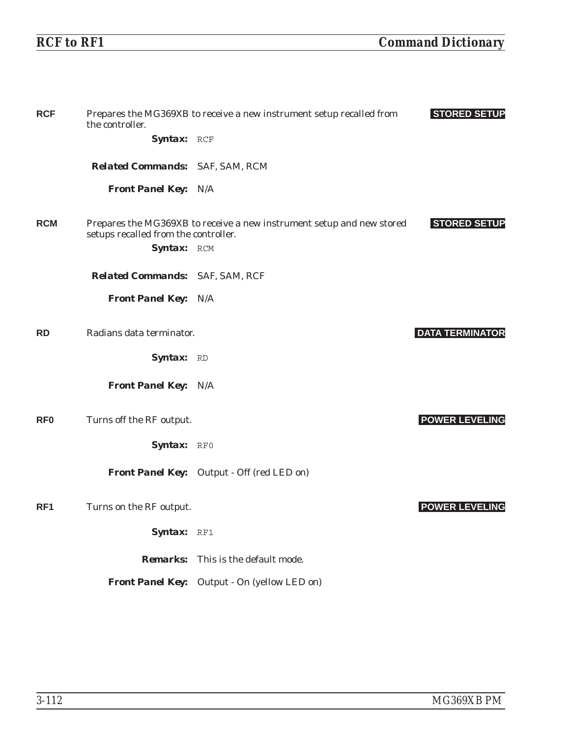| <b>RCF</b>      | the controller.                        | Prepares the MG369XB to receive a new instrument setup recalled from  | <b>STORED SETUP</b>    |
|-----------------|----------------------------------------|-----------------------------------------------------------------------|------------------------|
|                 | Syntax: RCF                            |                                                                       |                        |
|                 | <b>Related Commands:</b> SAF, SAM, RCM |                                                                       |                        |
|                 | <b>Front Panel Key: N/A</b>            |                                                                       |                        |
| <b>RCM</b>      | setups recalled from the controller.   | Prepares the MG369XB to receive a new instrument setup and new stored | <b>STORED SETUP</b>    |
|                 | Syntax: RCM                            |                                                                       |                        |
|                 | Related Commands: SAF, SAM, RCF        |                                                                       |                        |
|                 | <b>Front Panel Key: N/A</b>            |                                                                       |                        |
| <b>RD</b>       | Radians data terminator.               |                                                                       | <b>DATA TERMINATOR</b> |
|                 | Syntax: RD                             |                                                                       |                        |
|                 | <b>Front Panel Key: N/A</b>            |                                                                       |                        |
| RF <sub>0</sub> | Turns off the RF output.               |                                                                       | <b>POWER LEVELING</b>  |
|                 | Syntax: RFO                            |                                                                       |                        |
|                 |                                        | <b>Front Panel Key:</b> Output - Off (red LED on)                     |                        |
| RF <sub>1</sub> | Turns on the RF output.                |                                                                       | <b>POWER LEVELING</b>  |
|                 | Syntax: RF1                            |                                                                       |                        |
|                 |                                        | <b>Remarks:</b> This is the default mode.                             |                        |
|                 |                                        | Front Panel Key: Output - On (yellow LED on)                          |                        |
|                 |                                        |                                                                       |                        |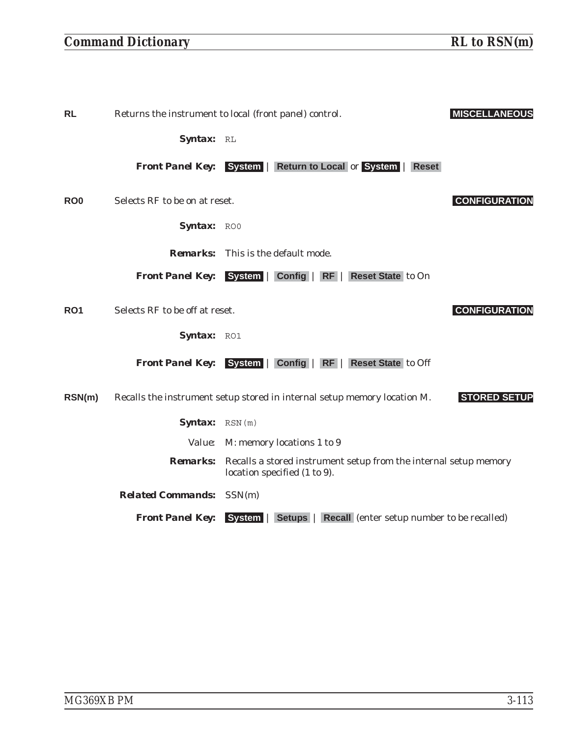## *Command Dictionary RL to RSN(m)*

*Syntax:* RL *Front Panel Key:* **System** | **Return to Local** or **System** | **Reset** Syntax: ROO *Remarks:* This is the default mode. *Front Panel Key:* **System** | **Config** | **RF** | **Reset State** to On Syntax: RO1 *Front Panel Key:* **System** | **Config** | **RF** | **Reset State** to Off *Syntax:* RSN(m) *Value:* M: memory locations 1 to 9 *Remarks:* Recalls a stored instrument setup from the internal setup memory location specified (1 to 9). *Related Commands:* SSN(m) *Front Panel Key:* **System** | **Setups** | **Recall** (enter setup number to be recalled)

| RO <sub>0</sub> | Selects RF to be on at reset.  |                                                                          | <b>CONFIGURATION</b> |
|-----------------|--------------------------------|--------------------------------------------------------------------------|----------------------|
|                 | Syntax: ROO                    |                                                                          |                      |
|                 |                                | <b>Remarks:</b> This is the default mode.                                |                      |
|                 |                                | Front Panel Key: System   Config   RF   Reset State to On                |                      |
| RO <sub>1</sub> | Selects RF to be off at reset. |                                                                          | <b>CONFIGURATION</b> |
|                 | Syntax: RO1                    |                                                                          |                      |
|                 | <b>Front Panel Key:</b>        | System   Config   RF   Reset State to Off                                |                      |
| RSN(m)          |                                | Recalls the instrument setup stored in internal setup memory location M. | <b>STORED SETUP</b>  |
|                 | Syntax: RSN(m)                 |                                                                          |                      |
|                 |                                | <i>Value:</i> M: memory locations 1 to 9                                 |                      |

RL Returns the instrument to local (front panel) control. **MISCELLANEOUS**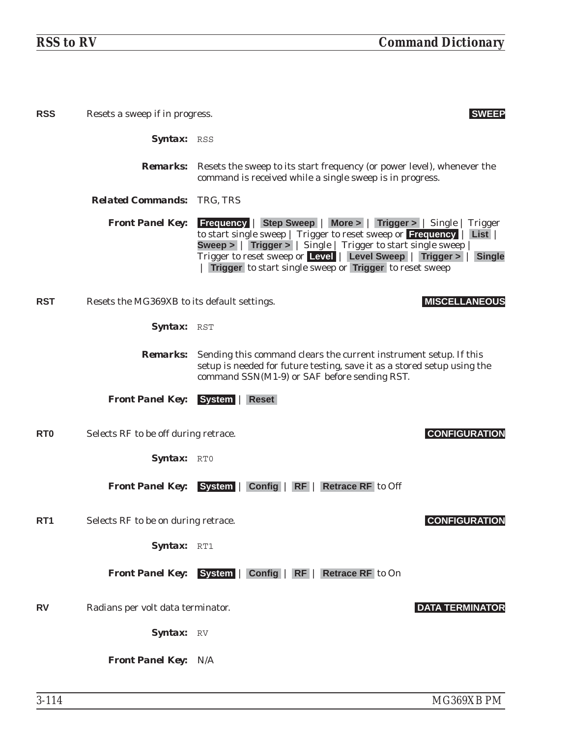| <b>RSS</b>       | Resets a sweep if in progress.              | <b>SWEEP</b>                                                                                                                                                                                                                                                                                                                                                                 |
|------------------|---------------------------------------------|------------------------------------------------------------------------------------------------------------------------------------------------------------------------------------------------------------------------------------------------------------------------------------------------------------------------------------------------------------------------------|
|                  | <b>Syntax: RSS</b>                          |                                                                                                                                                                                                                                                                                                                                                                              |
|                  |                                             | <b>Remarks:</b> Resets the sweep to its start frequency (or power level), whenever the<br>command is received while a single sweep is in progress.                                                                                                                                                                                                                           |
|                  | <b>Related Commands: TRG, TRS</b>           |                                                                                                                                                                                                                                                                                                                                                                              |
|                  | <b>Front Panel Key:</b>                     | <b>Frequency   Step Sweep   More &gt;   Trigger &gt;   Single   Trigger</b><br>to start single sweep   Trigger to reset sweep or Frequency  <br>List<br><b>Sweep &gt;   Trigger &gt;   Single   Trigger to start single sweep</b><br>Trigger to reset sweep or Level   Level Sweep   Trigger >  <br><b>Single</b><br>Trigger to start single sweep or Trigger to reset sweep |
| <b>RST</b>       | Resets the MG369XB to its default settings. | <b>MISCELLANEOUS</b>                                                                                                                                                                                                                                                                                                                                                         |
|                  | <b>Syntax:</b> RST                          |                                                                                                                                                                                                                                                                                                                                                                              |
|                  | <i><b>Remarks:</b></i>                      | Sending this command clears the current instrument setup. If this<br>setup is needed for future testing, save it as a stored setup using the<br>command SSN(M1-9) or SAF before sending RST.                                                                                                                                                                                 |
|                  | <b>Front Panel Key:</b>                     | System   Reset                                                                                                                                                                                                                                                                                                                                                               |
| R <sub>T</sub> O | Selects RF to be off during retrace.        | <b>CONFIGURATION</b>                                                                                                                                                                                                                                                                                                                                                         |
|                  | Syntax: RTO                                 |                                                                                                                                                                                                                                                                                                                                                                              |
|                  | <b>Front Panel Key:</b>                     | System   Config   RF   Retrace RF to Off                                                                                                                                                                                                                                                                                                                                     |
| RT <sub>1</sub>  | Selects RF to be on during retrace.         | <b>CONFIGURATION</b>                                                                                                                                                                                                                                                                                                                                                         |
|                  | Syntax: RT1                                 |                                                                                                                                                                                                                                                                                                                                                                              |
|                  |                                             | Front Panel Key: System   Config   RF   Retrace RF to On                                                                                                                                                                                                                                                                                                                     |
| <b>RV</b>        | Radians per volt data terminator.           | <b>DATA TERMINATOR</b>                                                                                                                                                                                                                                                                                                                                                       |
|                  | Syntax: RV                                  |                                                                                                                                                                                                                                                                                                                                                                              |
|                  | <b>Front Panel Key: N/A</b>                 |                                                                                                                                                                                                                                                                                                                                                                              |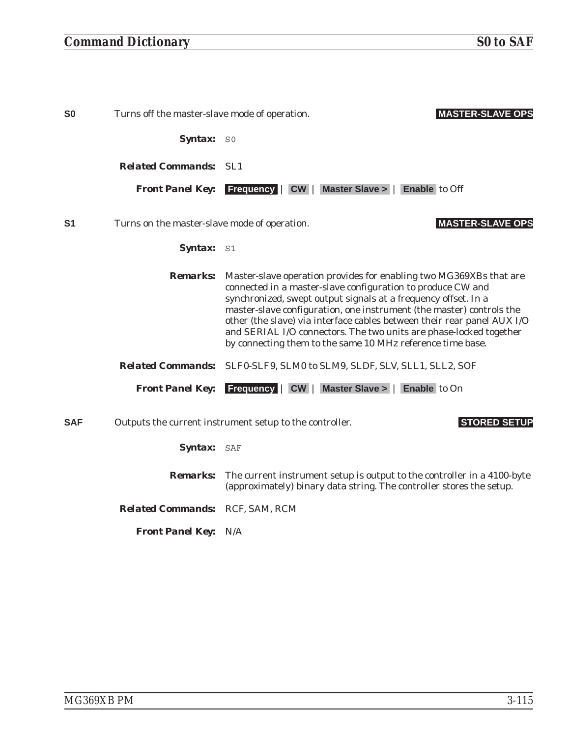| <b>SO</b>      | Turns off the master-slave mode of operation. | <b>MASTER-SLAVE OPS</b>                                                                                                                                                                                                                                                                                                                                                                                                                                                                    |
|----------------|-----------------------------------------------|--------------------------------------------------------------------------------------------------------------------------------------------------------------------------------------------------------------------------------------------------------------------------------------------------------------------------------------------------------------------------------------------------------------------------------------------------------------------------------------------|
|                | <b>Syntax:</b> SO                             |                                                                                                                                                                                                                                                                                                                                                                                                                                                                                            |
|                | <b>Related Commands: SL1</b>                  |                                                                                                                                                                                                                                                                                                                                                                                                                                                                                            |
|                | <b>Front Panel Key:</b>                       | <b>Frequency   CW   Master Slave &gt;   Enable to Off</b>                                                                                                                                                                                                                                                                                                                                                                                                                                  |
| S <sub>1</sub> | Turns on the master-slave mode of operation.  | <b>MASTER-SLAVE OPS</b>                                                                                                                                                                                                                                                                                                                                                                                                                                                                    |
|                | <b>Syntax:</b> S1                             |                                                                                                                                                                                                                                                                                                                                                                                                                                                                                            |
|                | <b>Remarks:</b>                               | Master-slave operation provides for enabling two MG369XBs that are<br>connected in a master-slave configuration to produce CW and<br>synchronized, swept output signals at a frequency offset. In a<br>master-slave configuration, one instrument (the master) controls the<br>other (the slave) via interface cables between their rear panel AUX I/O<br>and SERIAL I/O connectors. The two units are phase-locked together<br>by connecting them to the same 10 MHz reference time base. |
|                |                                               | Related Commands: SLF0-SLF9, SLM0 to SLM9, SLDF, SLV, SLL1, SLL2, SOF                                                                                                                                                                                                                                                                                                                                                                                                                      |
|                |                                               | <b>Front Panel Key:</b> Frequency   CW   Master Slave >   Enable to On                                                                                                                                                                                                                                                                                                                                                                                                                     |
| <b>SAF</b>     |                                               | <b>STORED SETUP</b><br>Outputs the current instrument setup to the controller.                                                                                                                                                                                                                                                                                                                                                                                                             |
|                | Syntax: SAF                                   |                                                                                                                                                                                                                                                                                                                                                                                                                                                                                            |
|                | <i><b>Remarks:</b></i>                        | The current instrument setup is output to the controller in a 4100-byte<br>(approximately) binary data string. The controller stores the setup.                                                                                                                                                                                                                                                                                                                                            |
|                | Related Commands: RCF, SAM, RCM               |                                                                                                                                                                                                                                                                                                                                                                                                                                                                                            |
|                | <b>Front Panel Key: N/A</b>                   |                                                                                                                                                                                                                                                                                                                                                                                                                                                                                            |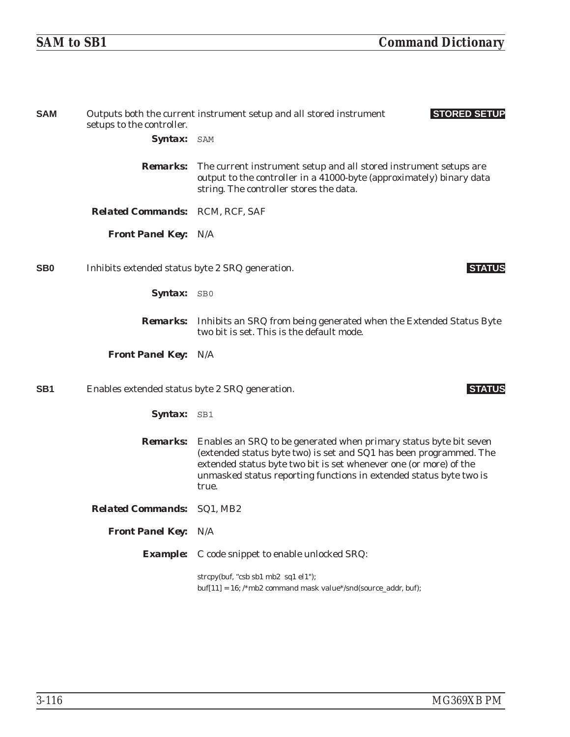| <b>SAM</b>      | setups to the controller.                       | <b>STORED SETUP</b><br>Outputs both the current instrument setup and all stored instrument                                                                                                                                                                                                  |
|-----------------|-------------------------------------------------|---------------------------------------------------------------------------------------------------------------------------------------------------------------------------------------------------------------------------------------------------------------------------------------------|
|                 | Syntax: SAM                                     |                                                                                                                                                                                                                                                                                             |
|                 | <b>Remarks:</b>                                 | The current instrument setup and all stored instrument setups are<br>output to the controller in a 41000-byte (approximately) binary data<br>string. The controller stores the data.                                                                                                        |
|                 | Related Commands: RCM, RCF, SAF                 |                                                                                                                                                                                                                                                                                             |
|                 | <b>Front Panel Key: N/A</b>                     |                                                                                                                                                                                                                                                                                             |
| S <sub>B</sub>  | Inhibits extended status byte 2 SRQ generation. | <b>STATUS</b>                                                                                                                                                                                                                                                                               |
|                 | Syntax: SB0                                     |                                                                                                                                                                                                                                                                                             |
|                 |                                                 | <b>Remarks:</b> Inhibits an SRQ from being generated when the Extended Status Byte<br>two bit is set. This is the default mode.                                                                                                                                                             |
|                 | <b>Front Panel Key: N/A</b>                     |                                                                                                                                                                                                                                                                                             |
| SB <sub>1</sub> | Enables extended status byte 2 SRQ generation.  | <b>STATUS</b>                                                                                                                                                                                                                                                                               |
|                 | Syntax: SB1                                     |                                                                                                                                                                                                                                                                                             |
|                 | <i><b>Remarks:</b></i>                          | Enables an SRQ to be generated when primary status byte bit seven<br>(extended status byte two) is set and SQ1 has been programmed. The<br>extended status byte two bit is set whenever one (or more) of the<br>unmasked status reporting functions in extended status byte two is<br>true. |
|                 | <b>Related Commands:</b> SQ1, MB2               |                                                                                                                                                                                                                                                                                             |
|                 | <b>Front Panel Key: N/A</b>                     |                                                                                                                                                                                                                                                                                             |
|                 |                                                 | <b>Example:</b> C code snippet to enable unlocked SRQ:                                                                                                                                                                                                                                      |
|                 |                                                 | strcpy(buf, "csb sb1 mb2 sq1 el1");<br>$buf[11] = 16$ ; /*mb2 command mask value*/snd(source_addr, buf);                                                                                                                                                                                    |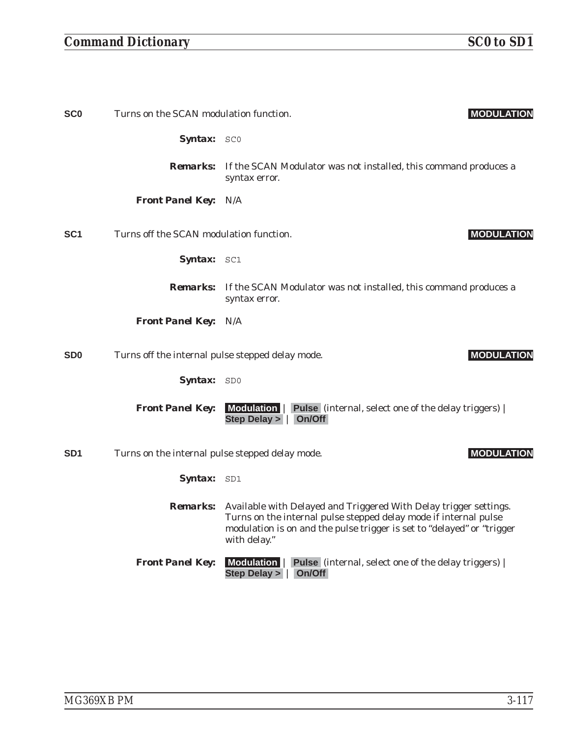## *Command Dictionary SC0 to SD1*

| <b>SCO</b>      | Turns on the SCAN modulation function.           |                                                                                                                                                                                                                                          | <b>MODULATION</b> |
|-----------------|--------------------------------------------------|------------------------------------------------------------------------------------------------------------------------------------------------------------------------------------------------------------------------------------------|-------------------|
|                 | Syntax: SCO                                      |                                                                                                                                                                                                                                          |                   |
|                 |                                                  | <b>Remarks:</b> If the SCAN Modulator was not installed, this command produces a<br>syntax error.                                                                                                                                        |                   |
|                 | <b>Front Panel Key: N/A</b>                      |                                                                                                                                                                                                                                          |                   |
| SC <sub>1</sub> | Turns off the SCAN modulation function.          |                                                                                                                                                                                                                                          | <b>MODULATION</b> |
|                 | Syntax: SC1                                      |                                                                                                                                                                                                                                          |                   |
|                 |                                                  | <b>Remarks:</b> If the SCAN Modulator was not installed, this command produces a<br>syntax error.                                                                                                                                        |                   |
|                 | <b>Front Panel Key: N/A</b>                      |                                                                                                                                                                                                                                          |                   |
| SD <sub>0</sub> | Turns off the internal pulse stepped delay mode. |                                                                                                                                                                                                                                          | <b>MODULATION</b> |
|                 | Syntax: SD0                                      |                                                                                                                                                                                                                                          |                   |
|                 | <b>Front Panel Key:</b>                          | Modulation   Pulse (internal, select one of the delay triggers)  <br>Step Delay >   On/Off                                                                                                                                               |                   |
| SD <sub>1</sub> | Turns on the internal pulse stepped delay mode.  |                                                                                                                                                                                                                                          | <b>MODULATION</b> |
|                 | Syntax: SD1                                      |                                                                                                                                                                                                                                          |                   |
|                 |                                                  | Remarks: Available with Delayed and Triggered With Delay trigger settings.<br>Turns on the internal pulse stepped delay mode if internal pulse<br>modulation is on and the pulse trigger is set to "delayed" or "trigger<br>with delay." |                   |
|                 | <b>Front Panel Key:</b>                          | Modulation   Pulse (internal, select one of the delay triggers)  <br>Step Delay >   On/Off                                                                                                                                               |                   |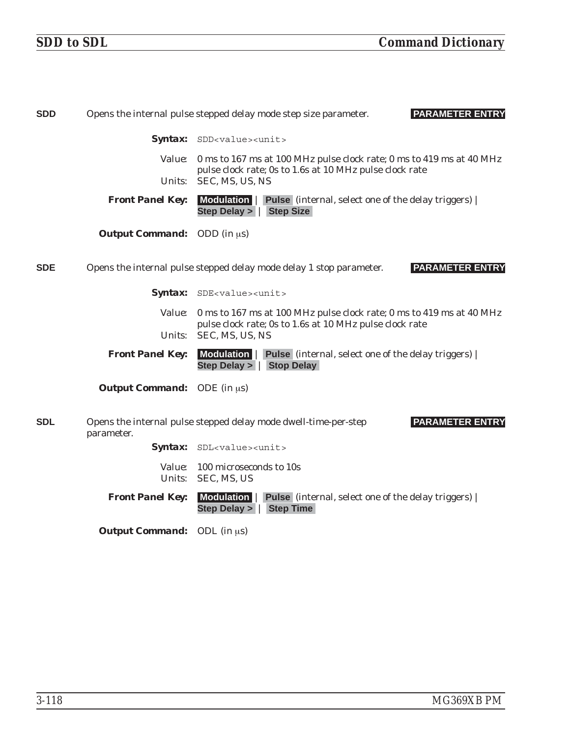| <b>SDD</b> |                                    | Opens the internal pulse stepped delay mode step size parameter.<br><b>PARAMETER ENTRY</b>                                       |
|------------|------------------------------------|----------------------------------------------------------------------------------------------------------------------------------|
|            |                                    | Syntax: SDD <value><unit></unit></value>                                                                                         |
|            |                                    | Value: 0 ms to 167 ms at 100 MHz pulse clock rate; 0 ms to 419 ms at 40 MHz                                                      |
|            | <i>Units:</i>                      | pulse clock rate; 0s to 1.6s at 10 MHz pulse clock rate<br>SEC, MS, US, NS                                                       |
|            | <b>Front Panel Key:</b>            | Modulation   Pulse (internal, select one of the delay triggers)  <br>Step Delay $>$  <br><b>Step Size</b>                        |
|            | <b>Output Command:</b> ODD (in µs) |                                                                                                                                  |
| <b>SDE</b> |                                    | <b>PARAMETER ENTRY</b><br>Opens the internal pulse stepped delay mode delay 1 stop parameter.                                    |
|            |                                    | Syntax: SDE <value><unit></unit></value>                                                                                         |
|            | <i>Value:</i>                      | 0 ms to 167 ms at 100 MHz pulse clock rate; 0 ms to 419 ms at 40 MHz<br>pulse clock rate; 0s to 1.6s at 10 MHz pulse clock rate  |
|            | Units:                             | SEC, MS, US, NS                                                                                                                  |
|            | <b>Front Panel Key:</b>            | Modulation   Pulse (internal, select one of the delay triggers)  <br><b>Stop Delay</b><br><b>Step Delay &gt;</b><br>$\mathbf{I}$ |
|            | <b>Output Command:</b> ODE (in us) |                                                                                                                                  |
| <b>SDL</b> | parameter.                         | <b>PARAMETER ENTRY</b><br>Opens the internal pulse stepped delay mode dwell-time-per-step                                        |
|            | <i><b>Syntax:</b></i>              | SDL <value><unit></unit></value>                                                                                                 |
|            |                                    | <i>Value:</i> 100 microseconds to 10s<br>Units: SEC, MS, US                                                                      |
|            | <b>Front Panel Key:</b>            | Modulation   Pulse (internal, select one of the delay triggers)  <br>Step Delay >   Step Time                                    |
|            | <b>Output Command:</b> ODL (in us) |                                                                                                                                  |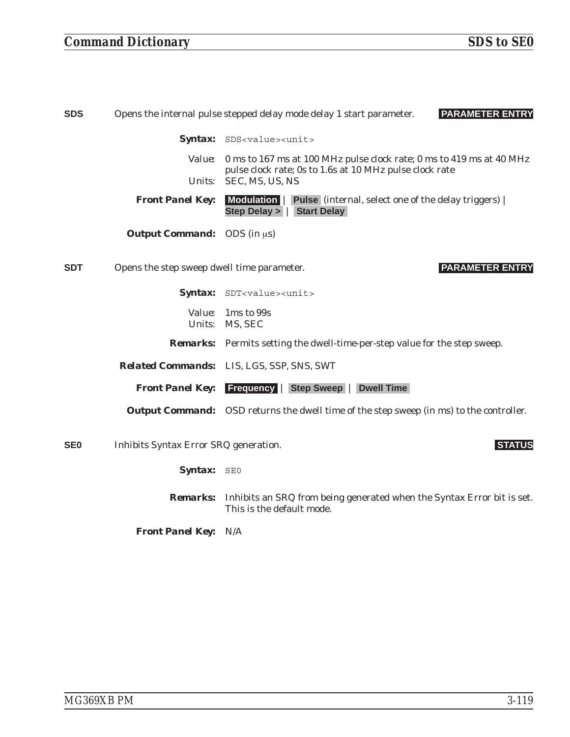### *Command Dictionary SDS to SE0*

| <b>SDS</b> |                                            | <b>PARAMETER ENTRY</b><br>Opens the internal pulse stepped delay mode delay 1 start parameter.                                  |
|------------|--------------------------------------------|---------------------------------------------------------------------------------------------------------------------------------|
|            |                                            | Syntax: SDS <value><unit></unit></value>                                                                                        |
|            | <i>Value:</i>                              | 0 ms to 167 ms at 100 MHz pulse clock rate; 0 ms to 419 ms at 40 MHz<br>pulse clock rate; 0s to 1.6s at 10 MHz pulse clock rate |
|            | <i>Units:</i>                              | SEC, MS, US, NS                                                                                                                 |
|            | <b>Front Panel Key:</b>                    | Modulation   Pulse (internal, select one of the delay triggers)  <br>Step Delay >   Start Delay                                 |
|            | <b>Output Command:</b> ODS (in $\mu$ s)    |                                                                                                                                 |
| <b>SDT</b> | Opens the step sweep dwell time parameter. | <b>PARAMETER ENTRY</b>                                                                                                          |
|            |                                            | Syntax: SDT <value><unit></unit></value>                                                                                        |
|            |                                            | <i>Value:</i> 1 ms to 99s<br>Units: MS, SEC                                                                                     |
|            |                                            | <b>Remarks:</b> Permits setting the dwell-time-per-step value for the step sweep.                                               |
|            |                                            | <b>Related Commands:</b> LIS, LGS, SSP, SNS, SWT                                                                                |
|            | <b>Front Panel Key:</b>                    | <b>Frequency   Step Sweep   Dwell Time</b>                                                                                      |
|            |                                            | <b>Output Command:</b> OSD returns the dwell time of the step sweep (in ms) to the controller.                                  |

**SE0** Inhibits Syntax Error SRQ generation. **STATUS**

Syntax: SE0

*Remarks:* Inhibits an SRQ from being generated when the Syntax Error bit is set. This is the default mode.

*Front Panel Key:* N/A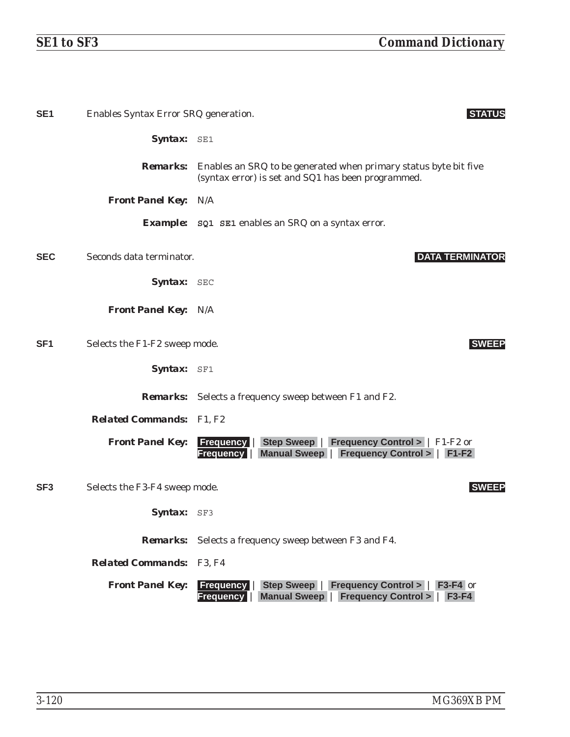| SE <sub>1</sub> | Enables Syntax Error SRQ generation. | <b>STATUS</b>                                                                                                                                                   |
|-----------------|--------------------------------------|-----------------------------------------------------------------------------------------------------------------------------------------------------------------|
|                 | Syntax: SE1                          |                                                                                                                                                                 |
|                 | <b>Remarks:</b>                      | Enables an SRQ to be generated when primary status byte bit five<br>(syntax error) is set and SQ1 has been programmed.                                          |
|                 | <b>Front Panel Key: N/A</b>          |                                                                                                                                                                 |
|                 |                                      | <b>Example:</b> SQ1 SE1 enables an SRQ on a syntax error.                                                                                                       |
| <b>SEC</b>      | Seconds data terminator.             | <b>DATA TERMINATOR</b>                                                                                                                                          |
|                 | Syntax: SEC                          |                                                                                                                                                                 |
|                 | <b>Front Panel Key: N/A</b>          |                                                                                                                                                                 |
| SF <sub>1</sub> | Selects the F1-F2 sweep mode.        | <b>SWEEP</b>                                                                                                                                                    |
|                 | Syntax: SF1                          |                                                                                                                                                                 |
|                 |                                      | <b>Remarks:</b> Selects a frequency sweep between F1 and F2.                                                                                                    |
|                 | <b>Related Commands:</b> F1, F2      |                                                                                                                                                                 |
|                 | <b>Front Panel Key:</b>              | Step Sweep   Frequency Control >   F1-F2 or<br><b>Frequency</b><br>Manual Sweep   Frequency Control >   F1-F2<br><b>Frequency</b>                               |
| SF <sub>3</sub> | Selects the F3-F4 sweep mode.        | <b>SWEEP</b>                                                                                                                                                    |
|                 | Syntax: SF3                          |                                                                                                                                                                 |
|                 |                                      | <b>Remarks:</b> Selects a frequency sweep between F3 and F4.                                                                                                    |
|                 | <b>Related Commands:</b>             | F3, F4                                                                                                                                                          |
|                 | <b>Front Panel Key:</b>              | <b>Frequency   Step Sweep   Frequency Control &gt;  </b><br>$F3-F4$ or<br><b>Frequency Control &gt;</b><br><b>Manual Sweep</b>  <br><b>Frequency</b><br>$F3-F4$ |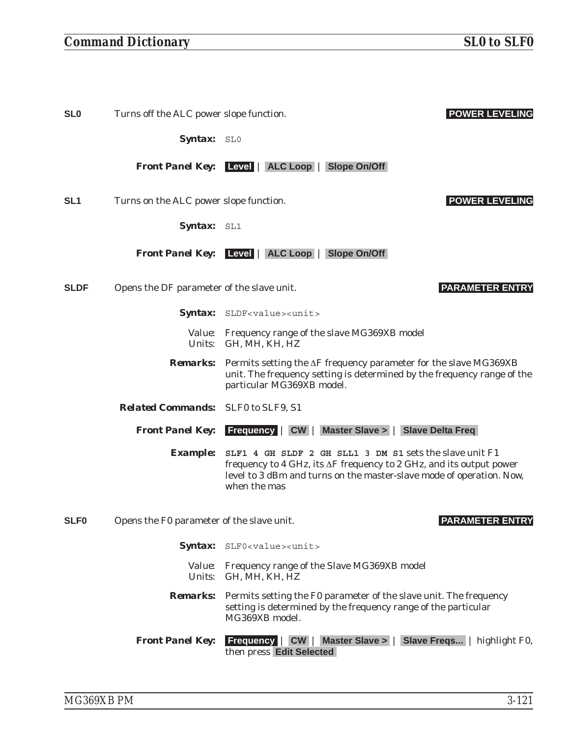**SL0** Turns off the ALC power slope function. **POWER LEVELING**

Syntax: SL0

*Front Panel Key:* **Level** | **ALC Loop** | **Slope On/Off**

**SL1** Turns on the ALC power slope function. **POWER LEVELING**

Syntax: SL1

*Front Panel Key:* **Level** | **ALC Loop** | **Slope On/Off**

**SLDF** Opens the DF parameter of the slave unit. **PARAMETER ENTRY**

Syntax: SLDF<value><unit>

*Value:* Frequency range of the slave MG369XB model *Units:* GH, MH, KH, HZ

**Remarks:** Permits setting the  $\Delta F$  frequency parameter for the slave MG369XB unit. The frequency setting is determined by the frequency range of the particular MG369XB model.

*Related Commands:* SLF0 to SLF9, S1

*Front Panel Key:* **Frequency** | **CW** | **Master Slave >** | **Slave Delta Freq**

*Example:* **SLF1 4 GH SLDF 2 GH SLL1 3 DM S1** sets the slave unit F1 frequency to 4 GHz, its  $\Delta F$  frequency to 2 GHz, and its output power level to 3 dBm and turns on the master-slave mode of operation. Now, when the mas

**SLF0** Opens the F0 parameter of the slave unit. **PARAMETER ENTRY**

- Syntax: SLF0<value><unit>
	- *Value:* Frequency range of the Slave MG369XB model *Units:* GH, MH, KH, HZ
- *Remarks:* Permits setting the F0 parameter of the slave unit. The frequency setting is determined by the frequency range of the particular MG369XB model.

*Front Panel Key:* **Frequency** | **CW** | **Master Slave >** | **Slave Freqs...** | highlight F0, then press **Edit Selected**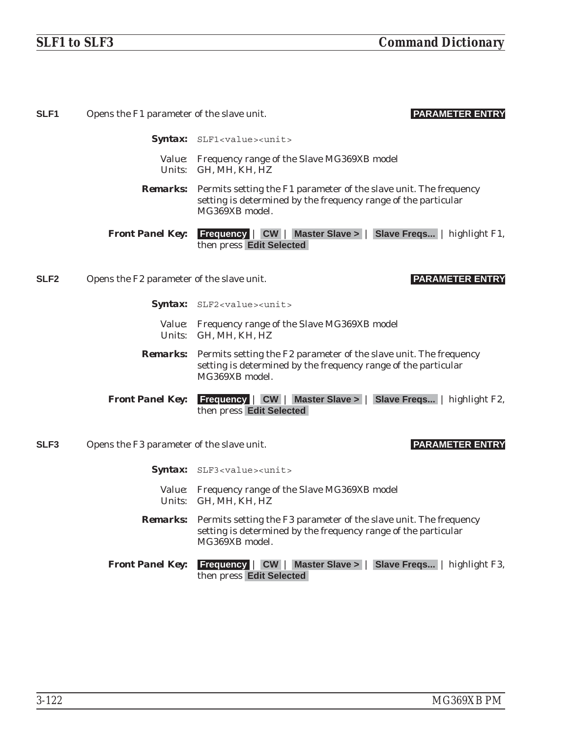| SLF <sub>1</sub> | Opens the F1 parameter of the slave unit. | <b>PARAMETER ENTRY</b>                                                                                                                                                |
|------------------|-------------------------------------------|-----------------------------------------------------------------------------------------------------------------------------------------------------------------------|
|                  |                                           | Syntax: SLF1 <value><unit></unit></value>                                                                                                                             |
|                  |                                           | Value: Frequency range of the Slave MG369XB model<br>Units: GH, MH, KH, HZ                                                                                            |
|                  |                                           | <b>Remarks:</b> Permits setting the F1 parameter of the slave unit. The frequency<br>setting is determined by the frequency range of the particular<br>MG369XB model. |
|                  | <b>Front Panel Key:</b>                   | <b>Frequency   CW   Master Slave &gt;   Slave Freqs</b>   highlight F1,<br>then press Edit Selected                                                                   |
| SLF <sub>2</sub> | Opens the F2 parameter of the slave unit. | <b>PARAMETER ENTRY</b>                                                                                                                                                |
|                  |                                           | Syntax: SLF2 <value><unit></unit></value>                                                                                                                             |
|                  |                                           | Value: Frequency range of the Slave MG369XB model<br>Units: GH, MH, KH, HZ                                                                                            |
|                  | <i>Remarks:</i>                           | Permits setting the F2 parameter of the slave unit. The frequency<br>setting is determined by the frequency range of the particular<br>MG369XB model.                 |
|                  | <b>Front Panel Key:</b>                   | <b>Frequency   CW   Master Slave &gt;   Slave Freqs   highlight F2,</b><br>then press Edit Selected                                                                   |
| SLF3             | Opens the F3 parameter of the slave unit. | <b>PARAMETER ENTRY</b>                                                                                                                                                |
|                  |                                           | Syntax: SLF3 <value><unit></unit></value>                                                                                                                             |
|                  |                                           | Value: Frequency range of the Slave MG369XB model<br>Units: GH, MH, KH, HZ                                                                                            |
|                  |                                           | <b>Remarks:</b> Permits setting the F3 parameter of the slave unit. The frequency<br>setting is determined by the frequency range of the particular<br>MG369XB model. |
|                  | <b>Front Panel Key:</b>                   | <b>Frequency   CW   Master Slave &gt;   Slave Freqs   highlight F3,</b><br>then press Edit Selected                                                                   |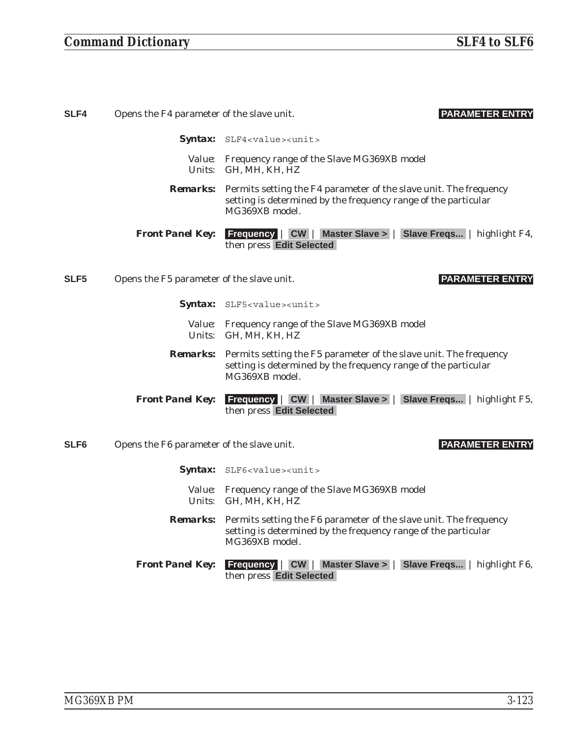| SLF4             | <b>PARAMETER ENTRY</b><br>Opens the F4 parameter of the slave unit. |                                                                                                                                                                       |
|------------------|---------------------------------------------------------------------|-----------------------------------------------------------------------------------------------------------------------------------------------------------------------|
|                  |                                                                     | <b>Syntax:</b> SLF4 <value><unit></unit></value>                                                                                                                      |
|                  | <i>Units:</i>                                                       | <i>Value:</i> Frequency range of the Slave MG369XB model<br>GH, MH, KH, HZ                                                                                            |
|                  |                                                                     | <b>Remarks:</b> Permits setting the F4 parameter of the slave unit. The frequency<br>setting is determined by the frequency range of the particular<br>MG369XB model. |
|                  | <b>Front Panel Key:</b>                                             | <b>Frequency   CW   Master Slave &gt;   Slave Freqs   highlight F4,</b><br>then press Edit Selected                                                                   |
| SLF <sub>5</sub> | Opens the F5 parameter of the slave unit.                           | <b>PARAMETER ENTRY</b>                                                                                                                                                |
|                  |                                                                     | <b>Syntax:</b> SLF5 <value><unit></unit></value>                                                                                                                      |
|                  |                                                                     | Value: Frequency range of the Slave MG369XB model<br>Units: GH, MH, KH, HZ                                                                                            |

- *Remarks:* Permits setting the F5 parameter of the slave unit. The frequency setting is determined by the frequency range of the particular MG369XB model.
- *Front Panel Key:* **Frequency** | **CW** | **Master Slave >** | **Slave Freqs...** | highlight F5, then press **Edit Selected**
- **SLF6** Opens the F6 parameter of the slave unit. **PARAMETER ENTRY**

- Syntax: SLF6<value><unit>
	- *Value:* Frequency range of the Slave MG369XB model *Units:* GH, MH, KH, HZ
- *Remarks:* Permits setting the F6 parameter of the slave unit. The frequency setting is determined by the frequency range of the particular MG369XB model.
- *Front Panel Key:* **Frequency** | **CW** | **Master Slave >** | **Slave Freqs...** | highlight F6, then press **Edit Selected**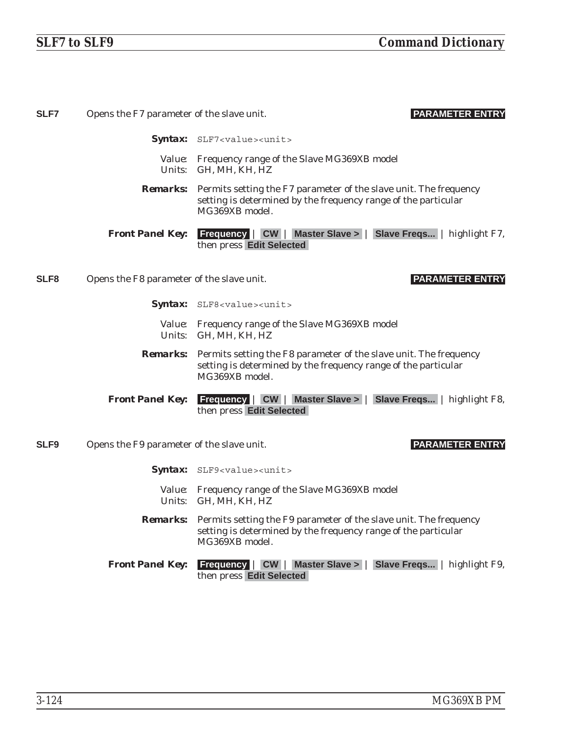| <b>SLF7</b>      | Opens the F7 parameter of the slave unit. | <b>PARAMETER ENTRY</b>                                                                                                                                                |
|------------------|-------------------------------------------|-----------------------------------------------------------------------------------------------------------------------------------------------------------------------|
|                  |                                           | Syntax: SLF7 <value><unit></unit></value>                                                                                                                             |
|                  |                                           | Value: Frequency range of the Slave MG369XB model<br>Units: GH, MH, KH, HZ                                                                                            |
|                  |                                           | <b>Remarks:</b> Permits setting the F7 parameter of the slave unit. The frequency<br>setting is determined by the frequency range of the particular<br>MG369XB model. |
|                  | <b>Front Panel Key:</b>                   | Frequency   CW   Master Slave >   Slave Freqs   highlight F7,<br>then press Edit Selected                                                                             |
| SLF <sub>8</sub> | Opens the F8 parameter of the slave unit. | <b>PARAMETER ENTRY</b>                                                                                                                                                |
|                  |                                           | <b>Syntax:</b> SLF8 <value><unit></unit></value>                                                                                                                      |
|                  |                                           | Value: Frequency range of the Slave MG369XB model<br>Units: GH, MH, KH, HZ                                                                                            |
|                  |                                           | <b>Remarks:</b> Permits setting the F8 parameter of the slave unit. The frequency<br>setting is determined by the frequency range of the particular<br>MG369XB model. |
|                  | <b>Front Panel Key:</b>                   | Frequency   CW   Master Slave >   Slave Freqs   highlight F8,<br>then press Edit Selected                                                                             |
| SLF <sub>9</sub> | Opens the F9 parameter of the slave unit. | <b>PARAMETER ENTRY</b>                                                                                                                                                |
|                  |                                           | <b>Syntax:</b> SLF9 <value><unit></unit></value>                                                                                                                      |
|                  |                                           | Value: Frequency range of the Slave MG369XB model<br>Units: GH, MH, KH, HZ                                                                                            |
|                  |                                           | <b>Remarks:</b> Permits setting the F9 parameter of the slave unit. The frequency<br>setting is determined by the frequency range of the particular<br>MG369XB model. |
|                  | <b>Front Panel Key:</b>                   | Frequency   CW   Master Slave >   Slave Freqs   highlight F9,<br>then press Edit Selected                                                                             |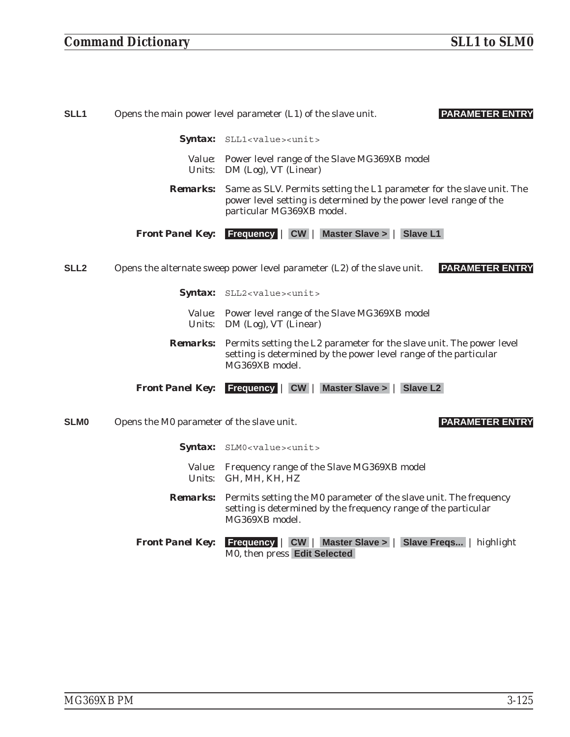| SLL1             |                         | <b>PARAMETER ENTRY</b><br>Opens the main power level parameter (L1) of the slave unit.                                                                                     |
|------------------|-------------------------|----------------------------------------------------------------------------------------------------------------------------------------------------------------------------|
|                  |                         | Syntax: SLL1 <value><unit></unit></value>                                                                                                                                  |
|                  | <i>Units:</i>           | Value: Power level range of the Slave MG369XB model<br>DM (Log), VT (Linear)                                                                                               |
|                  | <i>Remarks:</i>         | Same as SLV. Permits setting the L1 parameter for the slave unit. The<br>power level setting is determined by the power level range of the<br>particular MG369XB model.    |
|                  |                         | <b>Front Panel Key:</b> Frequency   CW   Master Slave >  <br><b>Slave L1</b>                                                                                               |
| SLL <sub>2</sub> |                         | <b>PARAMETER ENTRY</b><br>Opens the alternate sweep power level parameter (L2) of the slave unit.                                                                          |
|                  |                         | Syntax: SLL2 <value><unit></unit></value>                                                                                                                                  |
|                  | <i>Units:</i>           | Value: Power level range of the Slave MG369XB model<br>DM (Log), VT (Linear)                                                                                               |
|                  |                         | <b>Remarks:</b> Permits setting the L2 parameter for the slave unit. The power level<br>setting is determined by the power level range of the particular<br>MG369XB model. |
|                  | <b>Front Panel Key:</b> | $\vert$ CW $\vert$<br><b>Master Slave &gt;</b><br><b>Slave L2</b><br><b>Frequency</b>                                                                                      |

**SLM0** Opens the M0 parameter of the slave unit. **PARAMETER ENTRY**

- Syntax: SLM0<value><unit>
	- *Value:* Frequency range of the Slave MG369XB model *Units:* GH, MH, KH, HZ
- *Remarks:* Permits setting the M0 parameter of the slave unit. The frequency setting is determined by the frequency range of the particular MG369XB model.
- *Front Panel Key:* **Frequency** | **CW** | **Master Slave >** | **Slave Freqs...** | highlight M0, then press **Edit Selected**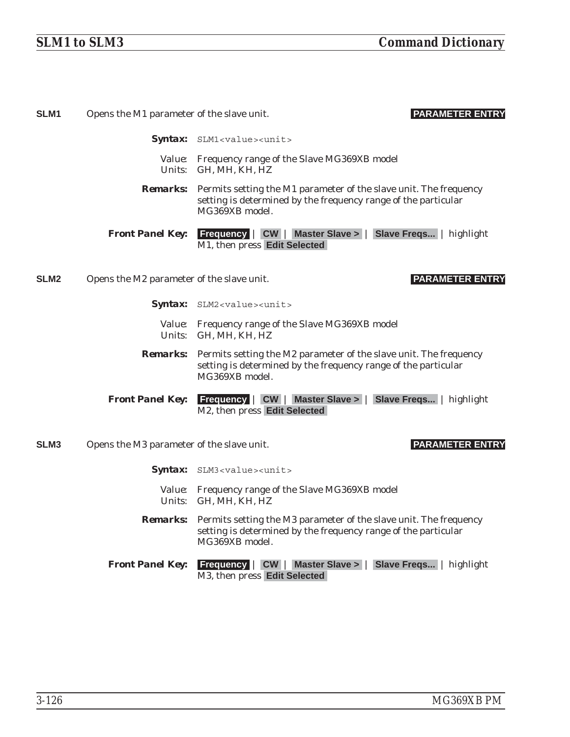| SLM <sub>1</sub> | Opens the M1 parameter of the slave unit. | <b>PARAMETER ENTRY</b>                                                                                                                                                |
|------------------|-------------------------------------------|-----------------------------------------------------------------------------------------------------------------------------------------------------------------------|
|                  |                                           | Syntax: SLM1 <value><unit></unit></value>                                                                                                                             |
|                  |                                           | Value: Frequency range of the Slave MG369XB model<br>Units: GH, MH, KH, HZ                                                                                            |
|                  |                                           | <b>Remarks:</b> Permits setting the M1 parameter of the slave unit. The frequency<br>setting is determined by the frequency range of the particular<br>MG369XB model. |
|                  | <b>Front Panel Key:</b>                   | Frequency   CW   Master Slave >   Slave Freqs   highlight<br>M1, then press Edit Selected                                                                             |
| SLM <sub>2</sub> | Opens the M2 parameter of the slave unit. | <b>PARAMETER ENTRY</b>                                                                                                                                                |
|                  |                                           | Syntax: SLM2 <value><unit></unit></value>                                                                                                                             |
|                  |                                           | Value: Frequency range of the Slave MG369XB model<br>Units: GH, MH, KH, HZ                                                                                            |
|                  | <i><b>Remarks:</b></i>                    | Permits setting the M2 parameter of the slave unit. The frequency<br>setting is determined by the frequency range of the particular<br>MG369XB model.                 |
|                  | <b>Front Panel Key:</b>                   | <b>Frequency   CW   Master Slave &gt;   Slave Freqs   highlight</b><br>M2, then press Edit Selected                                                                   |
| <b>SLM3</b>      | Opens the M3 parameter of the slave unit. | <b>PARAMETER ENTRY</b>                                                                                                                                                |
|                  |                                           | <b>Syntax:</b> SLM3 <value><unit></unit></value>                                                                                                                      |
|                  |                                           | Value: Frequency range of the Slave MG369XB model<br>Units: GH, MH, KH, HZ                                                                                            |
|                  | <i><b>Remarks:</b></i>                    | Permits setting the M3 parameter of the slave unit. The frequency<br>setting is determined by the frequency range of the particular<br>MG369XB model.                 |
|                  | <b>Front Panel Key:</b>                   | <b>Frequency   CW   Master Slave &gt;   Slave Freqs</b>   highlight<br>M3, then press Edit Selected                                                                   |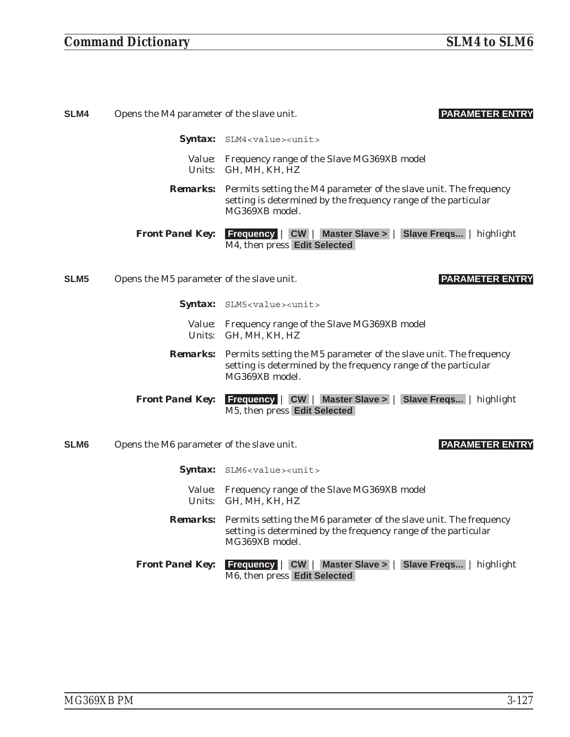### *Command Dictionary SLM4 to SLM6*

| SLM4             | <b>PARAMETER ENTRY</b><br>Opens the M4 parameter of the slave unit. |                                                                                                                                                                       |
|------------------|---------------------------------------------------------------------|-----------------------------------------------------------------------------------------------------------------------------------------------------------------------|
|                  |                                                                     | <b>Syntax:</b> SLM4 <value><unit></unit></value>                                                                                                                      |
|                  | Units:                                                              | Value: Frequency range of the Slave MG369XB model<br>GH, MH, KH, HZ                                                                                                   |
|                  |                                                                     | <b>Remarks:</b> Permits setting the M4 parameter of the slave unit. The frequency<br>setting is determined by the frequency range of the particular<br>MG369XB model. |
|                  | <b>Front Panel Key:</b>                                             | <b>Frequency   CW   Master Slave &gt;   Slave Freqs</b>   highlight<br>M4, then press Edit Selected                                                                   |
| SLM <sub>5</sub> | Opens the M5 parameter of the slave unit.                           | <b>PARAMETER ENTRY</b>                                                                                                                                                |
|                  |                                                                     | <b>Syntax:</b> SLM5 <value><unit></unit></value>                                                                                                                      |
|                  | Units:                                                              | Value: Frequency range of the Slave MG369XB model<br>GH, MH, KH, HZ                                                                                                   |
|                  |                                                                     | <b>Remarks:</b> Permits setting the M5 parameter of the slave unit. The frequency<br>setting is determined by the frequency range of the particular<br>MG369XB model. |
|                  | <b>Front Panel Key:</b>                                             | <b>Frequency   CW   Master Slave &gt;   Slave Freqs   highlight</b><br>M5, then press Edit Selected                                                                   |

### **SLM6** Opens the M6 parameter of the slave unit. **PARAMETER ENTRY**

- Syntax: SLM6<value><unit>
	- *Value:* Frequency range of the Slave MG369XB model *Units:* GH, MH, KH, HZ
- *Remarks:* Permits setting the M6 parameter of the slave unit. The frequency setting is determined by the frequency range of the particular MG369XB model.
- *Front Panel Key:* **Frequency** | **CW** | **Master Slave >** | **Slave Freqs...** | highlight M6, then press **Edit Selected**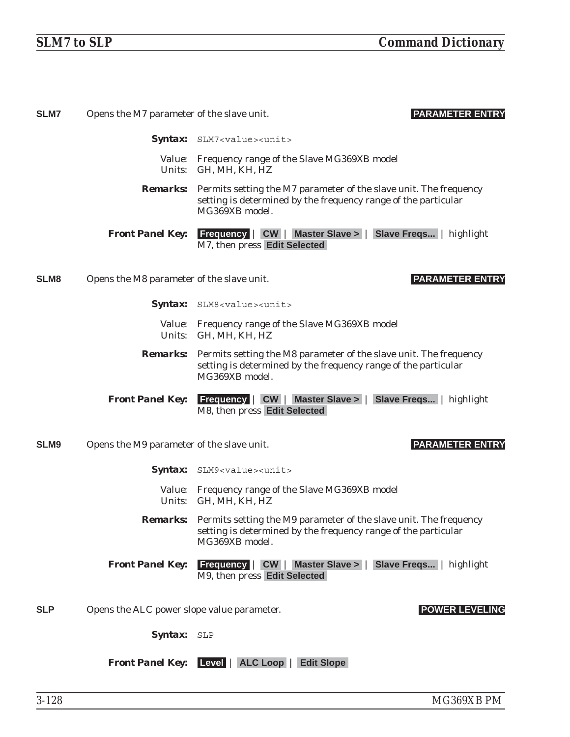| <b>SLM7</b>      | Opens the M7 parameter of the slave unit.  | <b>PARAMETER ENTRY</b>                                                                                                                                                |
|------------------|--------------------------------------------|-----------------------------------------------------------------------------------------------------------------------------------------------------------------------|
|                  |                                            | Syntax: SLM7 <value><unit></unit></value>                                                                                                                             |
|                  |                                            | Value: Frequency range of the Slave MG369XB model<br>Units: GH, MH, KH, HZ                                                                                            |
|                  |                                            | <b>Remarks:</b> Permits setting the M7 parameter of the slave unit. The frequency<br>setting is determined by the frequency range of the particular<br>MG369XB model. |
|                  | <b>Front Panel Key:</b>                    | <b>Frequency   CW   Master Slave &gt;   Slave Freqs</b>   highlight<br>M7, then press Edit Selected                                                                   |
| SLM <sub>8</sub> | Opens the M8 parameter of the slave unit.  | <b>PARAMETER ENTRY</b>                                                                                                                                                |
|                  |                                            | Syntax: SLM8 <value><unit></unit></value>                                                                                                                             |
|                  |                                            | Value: Frequency range of the Slave MG369XB model<br>Units: GH, MH, KH, HZ                                                                                            |
|                  |                                            | <b>Remarks:</b> Permits setting the M8 parameter of the slave unit. The frequency<br>setting is determined by the frequency range of the particular<br>MG369XB model. |
|                  | <b>Front Panel Key:</b>                    | <b>Frequency   CW   Master Slave &gt;   Slave Freqs   highlight</b><br>M8, then press Edit Selected                                                                   |
| SLM <sub>9</sub> | Opens the M9 parameter of the slave unit.  | <b>PARAMETER ENTRY</b>                                                                                                                                                |
|                  |                                            | Syntax: SLM9 <value><unit></unit></value>                                                                                                                             |
|                  |                                            | Value: Frequency range of the Slave MG369XB model<br>Units: GH, MH, KH, HZ                                                                                            |
|                  |                                            | <b>Remarks:</b> Permits setting the M9 parameter of the slave unit. The frequency<br>setting is determined by the frequency range of the particular<br>MG369XB model. |
|                  | <b>Front Panel Key:</b>                    | <b>Frequency   CW   Master Slave &gt;   Slave Freqs   highlight</b><br>M9, then press Edit Selected                                                                   |
| <b>SLP</b>       | Opens the ALC power slope value parameter. | <b>POWER LEVELING</b>                                                                                                                                                 |
|                  | Syntax: SLP                                |                                                                                                                                                                       |
|                  |                                            | <b>Front Panel Key:</b> Level   ALC Loop   Edit Slope                                                                                                                 |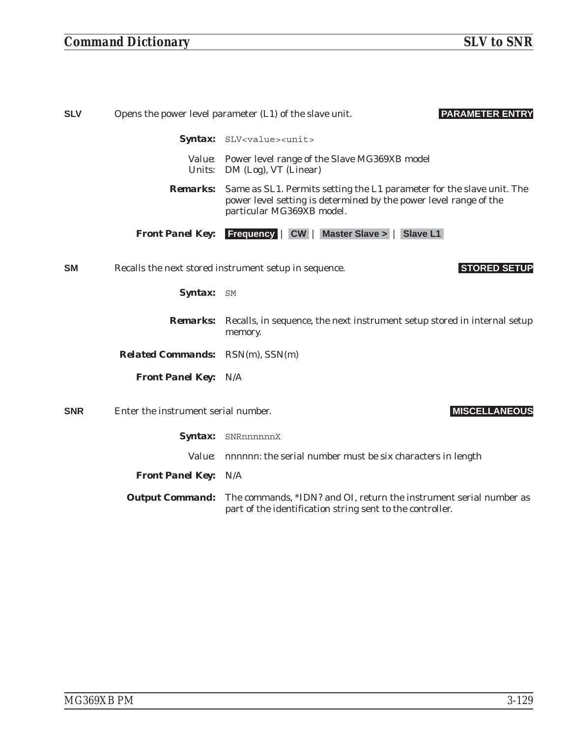## *Command Dictionary SLV to SNR*

| <b>SLV</b> | <b>PARAMETER ENTRY</b><br>Opens the power level parameter (L1) of the slave unit. |                                                                                                                                                                         |
|------------|-----------------------------------------------------------------------------------|-------------------------------------------------------------------------------------------------------------------------------------------------------------------------|
|            |                                                                                   | Syntax: SLV <value><unit></unit></value>                                                                                                                                |
|            |                                                                                   | Value: Power level range of the Slave MG369XB model<br>Units: DM (Log), VT (Linear)                                                                                     |
|            | <b>Remarks:</b>                                                                   | Same as SL1. Permits setting the L1 parameter for the slave unit. The<br>power level setting is determined by the power level range of the<br>particular MG369XB model. |
|            | <b>Front Panel Key:</b>                                                           | <b>Frequency   CW   Master Slave &gt;   Slave L1</b>                                                                                                                    |
| <b>SM</b>  |                                                                                   | <b>STORED SETUP</b><br>Recalls the next stored instrument setup in sequence.                                                                                            |
|            | Syntax: SM                                                                        |                                                                                                                                                                         |
|            | <i><b>Remarks:</b></i>                                                            | Recalls, in sequence, the next instrument setup stored in internal setup<br>memory.                                                                                     |
|            | <b>Related Commands:</b> RSN(m), SSN(m)                                           |                                                                                                                                                                         |
|            | <b>Front Panel Key: N/A</b>                                                       |                                                                                                                                                                         |
| <b>SNR</b> | Enter the instrument serial number.                                               | <b>MISCELLANEOUS</b>                                                                                                                                                    |
|            |                                                                                   | Syntax: SNRnnnnnnX                                                                                                                                                      |
|            |                                                                                   | Value: nnnnnn: the serial number must be six characters in length                                                                                                       |
|            | <b>Front Panel Key: N/A</b>                                                       |                                                                                                                                                                         |
|            | <b>Output Command:</b>                                                            | The commands, *IDN? and OI, return the instrument serial number as<br>part of the identification string sent to the controller.                                         |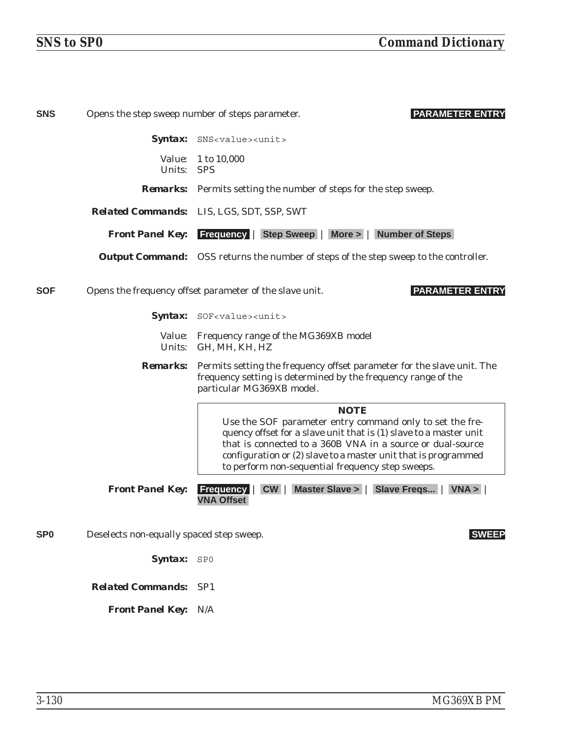| <b>SNS</b>      |                                          | <b>PARAMETER ENTRY</b><br>Opens the step sweep number of steps parameter.                                                                                                                                                                                                                                                        |
|-----------------|------------------------------------------|----------------------------------------------------------------------------------------------------------------------------------------------------------------------------------------------------------------------------------------------------------------------------------------------------------------------------------|
|                 |                                          | Syntax: SNS <value><unit></unit></value>                                                                                                                                                                                                                                                                                         |
|                 | Units: SPS                               | Value: 1 to 10,000                                                                                                                                                                                                                                                                                                               |
|                 |                                          | <b>Remarks:</b> Permits setting the number of steps for the step sweep.                                                                                                                                                                                                                                                          |
|                 |                                          | <b>Related Commands:</b> LIS, LGS, SDT, SSP, SWT                                                                                                                                                                                                                                                                                 |
|                 |                                          | <b>Front Panel Key:</b> Frequency   Step Sweep   More >   Number of Steps                                                                                                                                                                                                                                                        |
|                 |                                          | <b>Output Command:</b> OSS returns the number of steps of the step sweep to the controller.                                                                                                                                                                                                                                      |
| <b>SOF</b>      |                                          | <b>PARAMETER ENTRY</b><br>Opens the frequency offset parameter of the slave unit.                                                                                                                                                                                                                                                |
|                 |                                          | Syntax: SOF <value><unit></unit></value>                                                                                                                                                                                                                                                                                         |
|                 |                                          | Value: Frequency range of the MG369XB model<br>Units: GH, MH, KH, HZ                                                                                                                                                                                                                                                             |
|                 |                                          | <b>Remarks:</b> Permits setting the frequency offset parameter for the slave unit. The<br>frequency setting is determined by the frequency range of the<br>particular MG369XB model.                                                                                                                                             |
|                 |                                          | <b>NOTE</b><br>Use the SOF parameter entry command only to set the fre-<br>quency offset for a slave unit that is (1) slave to a master unit<br>that is connected to a 360B VNA in a source or dual-source<br>configuration or (2) slave to a master unit that is programmed<br>to perform non-sequential frequency step sweeps. |
|                 | <b>Front Panel Key:</b>                  | Frequency   CW   Master Slave >   Slave Freqs   VNA ><br><b>VNA Offset</b>                                                                                                                                                                                                                                                       |
| SP <sub>0</sub> | Deselects non-equally spaced step sweep. | <b>SWEEP</b>                                                                                                                                                                                                                                                                                                                     |
|                 | Syntax: SPO                              |                                                                                                                                                                                                                                                                                                                                  |
|                 | <b>Related Commands: SP1</b>             |                                                                                                                                                                                                                                                                                                                                  |
|                 | <b>Front Panel Key: N/A</b>              |                                                                                                                                                                                                                                                                                                                                  |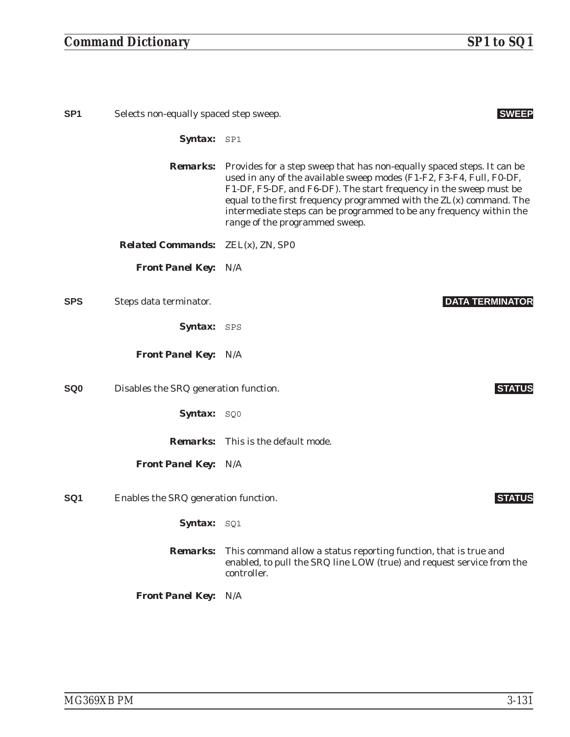## *Command Dictionary SP1 to SQ1*

| SP <sub>1</sub> | Selects non-equally spaced step sweep.   | <b>SWEEP</b>                                                                                                                                                                                                                                                                                                                                                                                         |
|-----------------|------------------------------------------|------------------------------------------------------------------------------------------------------------------------------------------------------------------------------------------------------------------------------------------------------------------------------------------------------------------------------------------------------------------------------------------------------|
|                 | Syntax: SP1                              |                                                                                                                                                                                                                                                                                                                                                                                                      |
|                 | <b>Remarks:</b>                          | Provides for a step sweep that has non-equally spaced steps. It can be<br>used in any of the available sweep modes (F1-F2, F3-F4, Full, F0-DF,<br>F1-DF, F5-DF, and F6-DF). The start frequency in the sweep must be<br>equal to the first frequency programmed with the ZL(x) command. The<br>intermediate steps can be programmed to be any frequency within the<br>range of the programmed sweep. |
|                 | <b>Related Commands:</b> ZEL(x), ZN, SP0 |                                                                                                                                                                                                                                                                                                                                                                                                      |
|                 | <b>Front Panel Key: N/A</b>              |                                                                                                                                                                                                                                                                                                                                                                                                      |
| <b>SPS</b>      | Steps data terminator.                   | <b>DATA TERMINATOR</b>                                                                                                                                                                                                                                                                                                                                                                               |
|                 | <b>Syntax:</b> SPS                       |                                                                                                                                                                                                                                                                                                                                                                                                      |
|                 | <b>Front Panel Key: N/A</b>              |                                                                                                                                                                                                                                                                                                                                                                                                      |
| SQ0             | Disables the SRQ generation function.    | <b>STATUS</b>                                                                                                                                                                                                                                                                                                                                                                                        |
|                 | Syntax: SQ0                              |                                                                                                                                                                                                                                                                                                                                                                                                      |
|                 |                                          | <b>Remarks:</b> This is the default mode.                                                                                                                                                                                                                                                                                                                                                            |
|                 | <b>Front Panel Key: N/A</b>              |                                                                                                                                                                                                                                                                                                                                                                                                      |
| SQ1             | Enables the SRQ generation function.     | <b>STATUS</b>                                                                                                                                                                                                                                                                                                                                                                                        |
|                 | Syntax: SQ1                              |                                                                                                                                                                                                                                                                                                                                                                                                      |
|                 | <b>Remarks:</b>                          | This command allow a status reporting function, that is true and<br>enabled, to pull the SRQ line LOW (true) and request service from the<br>controller.                                                                                                                                                                                                                                             |

*Front Panel Key:* N/A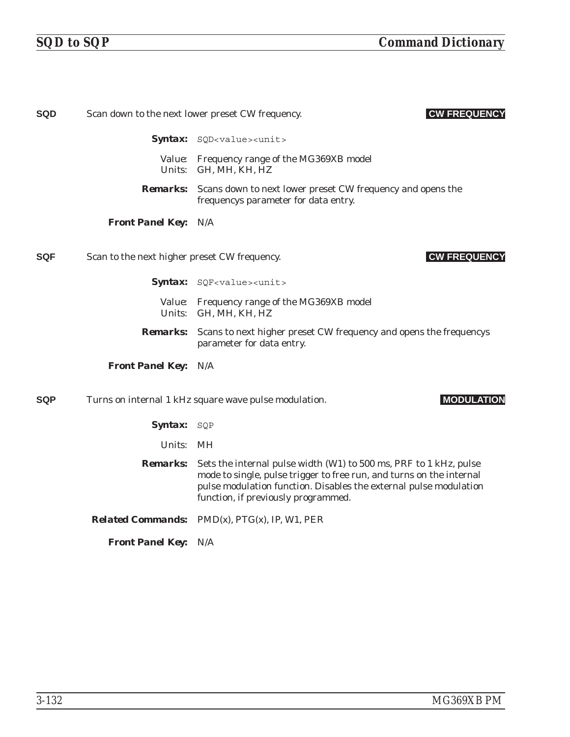| <b>SQD</b> |                                              | <b>CW FREQUENCY</b><br>Scan down to the next lower preset CW frequency.                                                                                                                                                                               |
|------------|----------------------------------------------|-------------------------------------------------------------------------------------------------------------------------------------------------------------------------------------------------------------------------------------------------------|
|            |                                              | Syntax: SQD <value><unit></unit></value>                                                                                                                                                                                                              |
|            |                                              | Value: Frequency range of the MG369XB model<br>Units: GH, MH, KH, HZ                                                                                                                                                                                  |
|            | <b>Remarks:</b>                              | Scans down to next lower preset CW frequency and opens the<br>frequencys parameter for data entry.                                                                                                                                                    |
|            | <b>Front Panel Key: N/A</b>                  |                                                                                                                                                                                                                                                       |
| <b>SQF</b> | Scan to the next higher preset CW frequency. | <b>CW FREQUENCY</b>                                                                                                                                                                                                                                   |
|            |                                              | Syntax: SQF <value><unit></unit></value>                                                                                                                                                                                                              |
|            |                                              | Value: Frequency range of the MG369XB model<br>Units: GH, MH, KH, HZ                                                                                                                                                                                  |
|            | <b>Remarks:</b>                              | Scans to next higher preset CW frequency and opens the frequencys<br>parameter for data entry.                                                                                                                                                        |
|            | <b>Front Panel Key: N/A</b>                  |                                                                                                                                                                                                                                                       |
| <b>SQP</b> |                                              | <b>MODULATION</b><br>Turns on internal 1 kHz square wave pulse modulation.                                                                                                                                                                            |
|            | Syntax: SQP                                  |                                                                                                                                                                                                                                                       |
|            | Units: MH                                    |                                                                                                                                                                                                                                                       |
|            | <i><b>Remarks:</b></i>                       | Sets the internal pulse width (W1) to 500 ms, PRF to 1 kHz, pulse<br>mode to single, pulse trigger to free run, and turns on the internal<br>pulse modulation function. Disables the external pulse modulation<br>function, if previously programmed. |
|            |                                              | <i>Related Commands:</i> $PMD(x)$ , $PTG(x)$ , IP, W1, PER                                                                                                                                                                                            |
|            | <b>Front Panel Key: N/A</b>                  |                                                                                                                                                                                                                                                       |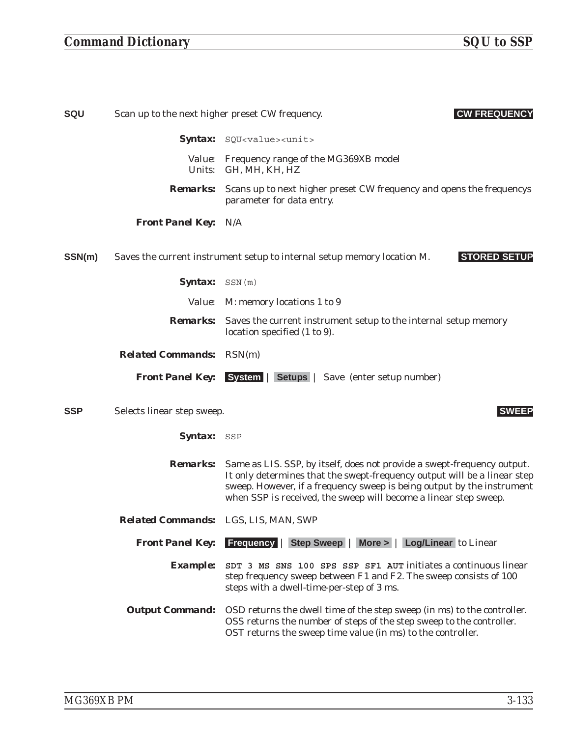## *Command Dictionary SQU to SSP*

| SQU        | Scan up to the next higher preset CW frequency. | <b>CW FREQUENCY</b>                                                                                                                                                                                                                                                                               |
|------------|-------------------------------------------------|---------------------------------------------------------------------------------------------------------------------------------------------------------------------------------------------------------------------------------------------------------------------------------------------------|
|            |                                                 | Syntax: SQU <value><unit></unit></value>                                                                                                                                                                                                                                                          |
|            |                                                 | Value: Frequency range of the MG369XB model<br>Units: GH, MH, KH, HZ                                                                                                                                                                                                                              |
|            | <i><b>Remarks:</b></i>                          | Scans up to next higher preset CW frequency and opens the frequencys<br>parameter for data entry.                                                                                                                                                                                                 |
|            | <b>Front Panel Key: N/A</b>                     |                                                                                                                                                                                                                                                                                                   |
| SSN(m)     |                                                 | <b>STORED SETUP</b><br>Saves the current instrument setup to internal setup memory location M.                                                                                                                                                                                                    |
|            | Syntax: SSN(m)                                  |                                                                                                                                                                                                                                                                                                   |
|            |                                                 | <i>Value:</i> M: memory locations 1 to 9                                                                                                                                                                                                                                                          |
|            |                                                 | <b>Remarks:</b> Saves the current instrument setup to the internal setup memory<br>location specified (1 to 9).                                                                                                                                                                                   |
|            | <b>Related Commands:</b> RSN(m)                 |                                                                                                                                                                                                                                                                                                   |
|            |                                                 | <b>Front Panel Key:</b> System   Setups   Save (enter setup number)                                                                                                                                                                                                                               |
| <b>SSP</b> | Selects linear step sweep.                      | <b>SWEEP</b>                                                                                                                                                                                                                                                                                      |
|            | Syntax: SSP                                     |                                                                                                                                                                                                                                                                                                   |
|            | <b>Remarks:</b>                                 | Same as LIS. SSP, by itself, does not provide a swept-frequency output.<br>It only determines that the swept-frequency output will be a linear step<br>sweep. However, if a frequency sweep is being output by the instrument<br>when SSP is received, the sweep will become a linear step sweep. |
|            | Related Commands: LGS, LIS, MAN, SWP            |                                                                                                                                                                                                                                                                                                   |
|            | <b>Front Panel Key:</b>                         | <b>Frequency   Step Sweep   More &gt;   Log/Linear to Linear</b>                                                                                                                                                                                                                                  |
|            | <b>Example:</b>                                 | SDT 3 MS SNS 100 SPS SSP SF1 AUT initiates a continuous linear<br>step frequency sweep between F1 and F2. The sweep consists of 100<br>steps with a dwell-time-per-step of 3 ms.                                                                                                                  |
|            | <b>Output Command:</b>                          | OSD returns the dwell time of the step sweep (in ms) to the controller.<br>OSS returns the number of steps of the step sweep to the controller.<br>OST returns the sweep time value (in ms) to the controller.                                                                                    |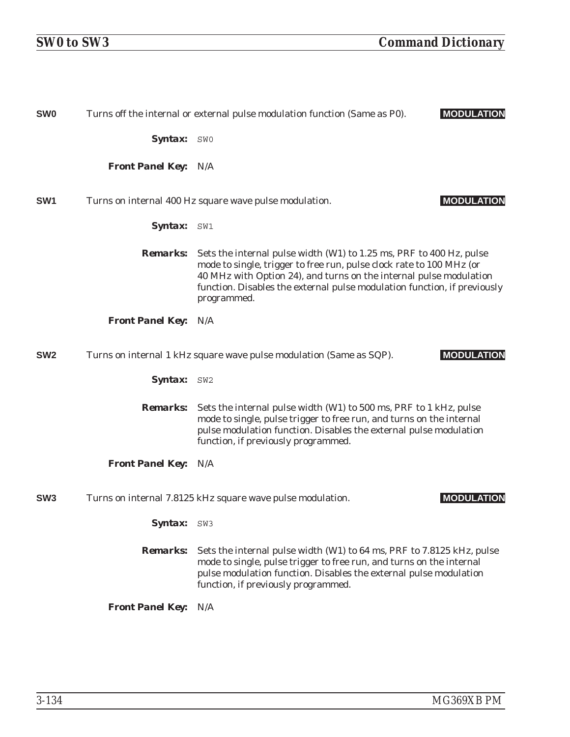| <b>SW0</b>      |                             | <b>MODULATION</b><br>Turns off the internal or external pulse modulation function (Same as P0).                                                                                                                                                                                                              |
|-----------------|-----------------------------|--------------------------------------------------------------------------------------------------------------------------------------------------------------------------------------------------------------------------------------------------------------------------------------------------------------|
|                 | <b>Syntax:</b> SWO          |                                                                                                                                                                                                                                                                                                              |
|                 | <b>Front Panel Key: N/A</b> |                                                                                                                                                                                                                                                                                                              |
| SW <sub>1</sub> |                             | <b>MODULATION</b><br>Turns on internal 400 Hz square wave pulse modulation.                                                                                                                                                                                                                                  |
|                 | Syntax: SW1                 |                                                                                                                                                                                                                                                                                                              |
|                 | <i><b>Remarks:</b></i>      | Sets the internal pulse width (W1) to 1.25 ms, PRF to 400 Hz, pulse<br>mode to single, trigger to free run, pulse clock rate to 100 MHz (or<br>40 MHz with Option 24), and turns on the internal pulse modulation<br>function. Disables the external pulse modulation function, if previously<br>programmed. |
|                 | <b>Front Panel Key:</b>     | N/A                                                                                                                                                                                                                                                                                                          |
| SW <sub>2</sub> |                             | <b>MODULATION</b><br>Turns on internal 1 kHz square wave pulse modulation (Same as SQP).                                                                                                                                                                                                                     |
|                 | <b>Syntax:</b> SW2          |                                                                                                                                                                                                                                                                                                              |
|                 | <b>Remarks:</b>             | Sets the internal pulse width (W1) to 500 ms, PRF to 1 kHz, pulse<br>mode to single, pulse trigger to free run, and turns on the internal<br>pulse modulation function. Disables the external pulse modulation<br>function, if previously programmed.                                                        |
|                 | <b>Front Panel Key: N/A</b> |                                                                                                                                                                                                                                                                                                              |
| SW <sub>3</sub> |                             | Turns on internal 7.8125 kHz square wave pulse modulation.<br><b>MODULATION</b>                                                                                                                                                                                                                              |
|                 | <b>Syntax:</b>              | SW3                                                                                                                                                                                                                                                                                                          |
|                 | <b>Remarks:</b>             | Sets the internal pulse width (W1) to 64 ms, PRF to 7.8125 kHz, pulse<br>mode to single, pulse trigger to free run, and turns on the internal<br>pulse modulation function. Disables the external pulse modulation<br>function, if previously programmed.                                                    |
|                 | <b>Front Panel Key:</b>     | N/A                                                                                                                                                                                                                                                                                                          |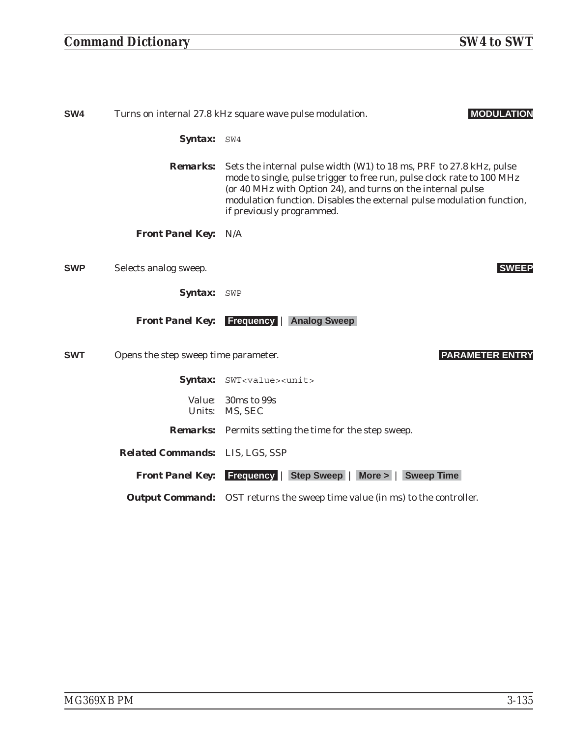## *Command Dictionary SW4 to SWT*

| SW4        |                                      | <b>MODULATION</b><br>Turns on internal 27.8 kHz square wave pulse modulation.                                                                                                                                                                                                                                      |
|------------|--------------------------------------|--------------------------------------------------------------------------------------------------------------------------------------------------------------------------------------------------------------------------------------------------------------------------------------------------------------------|
|            | Syntax: SW4                          |                                                                                                                                                                                                                                                                                                                    |
|            | <i>Remarks:</i>                      | Sets the internal pulse width (W1) to 18 ms, PRF to 27.8 kHz, pulse<br>mode to single, pulse trigger to free run, pulse clock rate to 100 MHz<br>(or 40 MHz with Option 24), and turns on the internal pulse<br>modulation function. Disables the external pulse modulation function,<br>if previously programmed. |
|            | <b>Front Panel Key: N/A</b>          |                                                                                                                                                                                                                                                                                                                    |
| <b>SWP</b> | Selects analog sweep.                | <b>SWEEP</b>                                                                                                                                                                                                                                                                                                       |
|            | <b>Syntax:</b> SWP                   |                                                                                                                                                                                                                                                                                                                    |
|            | <b>Front Panel Key:</b>              | <b>Frequency   Analog Sweep</b>                                                                                                                                                                                                                                                                                    |
| <b>SWT</b> | Opens the step sweep time parameter. | <b>PARAMETER ENTRY</b>                                                                                                                                                                                                                                                                                             |
|            |                                      | Syntax: SWT <value><unit></unit></value>                                                                                                                                                                                                                                                                           |
|            |                                      | <i>Value:</i> 30ms to 99s<br>Units: MS, SEC                                                                                                                                                                                                                                                                        |
|            |                                      | <b>Remarks:</b> Permits setting the time for the step sweep.                                                                                                                                                                                                                                                       |
|            | Related Commands: LIS, LGS, SSP      |                                                                                                                                                                                                                                                                                                                    |
|            |                                      | <b>Front Panel Key:</b> Frequency   Step Sweep   More >   Sweep Time                                                                                                                                                                                                                                               |
|            |                                      | <b>Output Command:</b> OST returns the sweep time value (in ms) to the controller.                                                                                                                                                                                                                                 |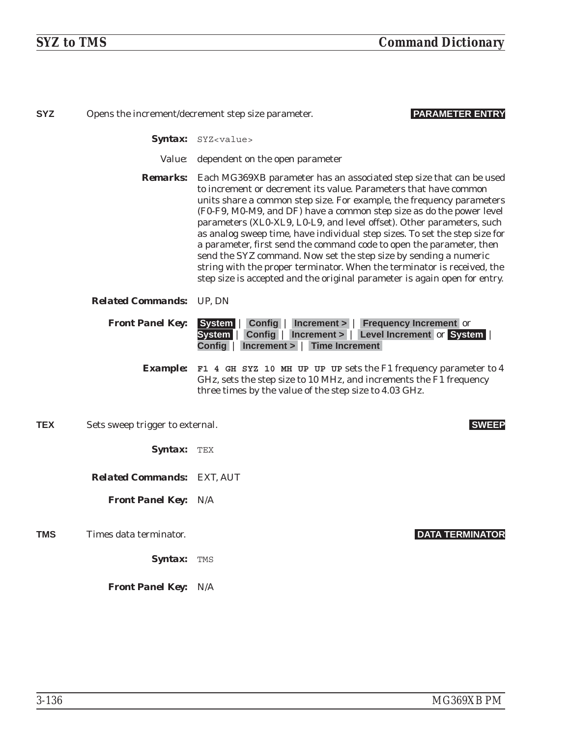| <b>SYZ</b> |                                   | <b>PARAMETER ENTRY</b><br>Opens the increment/decrement step size parameter.                                                                                                                                                                                                                                                                                                                                                                                                                                                                                                                                                                                                                                                                                        |
|------------|-----------------------------------|---------------------------------------------------------------------------------------------------------------------------------------------------------------------------------------------------------------------------------------------------------------------------------------------------------------------------------------------------------------------------------------------------------------------------------------------------------------------------------------------------------------------------------------------------------------------------------------------------------------------------------------------------------------------------------------------------------------------------------------------------------------------|
|            |                                   | Syntax: SYZ <value></value>                                                                                                                                                                                                                                                                                                                                                                                                                                                                                                                                                                                                                                                                                                                                         |
|            |                                   | <i>Value:</i> dependent on the open parameter                                                                                                                                                                                                                                                                                                                                                                                                                                                                                                                                                                                                                                                                                                                       |
|            |                                   | <b>Remarks:</b> Each MG369XB parameter has an associated step size that can be used<br>to increment or decrement its value. Parameters that have common<br>units share a common step size. For example, the frequency parameters<br>(F0-F9, M0-M9, and DF) have a common step size as do the power level<br>parameters (XL0-XL9, L0-L9, and level offset). Other parameters, such<br>as analog sweep time, have individual step sizes. To set the step size for<br>a parameter, first send the command code to open the parameter, then<br>send the SYZ command. Now set the step size by sending a numeric<br>string with the proper terminator. When the terminator is received, the<br>step size is accepted and the original parameter is again open for entry. |
|            | <b>Related Commands:</b> UP, DN   |                                                                                                                                                                                                                                                                                                                                                                                                                                                                                                                                                                                                                                                                                                                                                                     |
|            | <b>Front Panel Key:</b>           | <b>Config   Increment &gt;   Frequency Increment or</b><br>System  <br>Config   Increment >   Level Increment or System<br>System  <br>Increment >   Time Increment<br>Config                                                                                                                                                                                                                                                                                                                                                                                                                                                                                                                                                                                       |
|            | <i><b>Example:</b></i>            | F1 4 GH SYZ 10 MH UP UP UP sets the F1 frequency parameter to 4<br>GHz, sets the step size to 10 MHz, and increments the F1 frequency<br>three times by the value of the step size to 4.03 GHz.                                                                                                                                                                                                                                                                                                                                                                                                                                                                                                                                                                     |
| <b>TEX</b> | Sets sweep trigger to external.   | <b>SWEEP</b>                                                                                                                                                                                                                                                                                                                                                                                                                                                                                                                                                                                                                                                                                                                                                        |
|            | <b>Syntax:</b> TEX                |                                                                                                                                                                                                                                                                                                                                                                                                                                                                                                                                                                                                                                                                                                                                                                     |
|            | <b>Related Commands: EXT, AUT</b> |                                                                                                                                                                                                                                                                                                                                                                                                                                                                                                                                                                                                                                                                                                                                                                     |
|            | <b>Front Panel Key: N/A</b>       |                                                                                                                                                                                                                                                                                                                                                                                                                                                                                                                                                                                                                                                                                                                                                                     |
| TMS        | Times data terminator.            | <b>DATA TERMINATOR</b>                                                                                                                                                                                                                                                                                                                                                                                                                                                                                                                                                                                                                                                                                                                                              |
|            | Syntax:                           | TMS                                                                                                                                                                                                                                                                                                                                                                                                                                                                                                                                                                                                                                                                                                                                                                 |
|            | <b>Front Panel Key: N/A</b>       |                                                                                                                                                                                                                                                                                                                                                                                                                                                                                                                                                                                                                                                                                                                                                                     |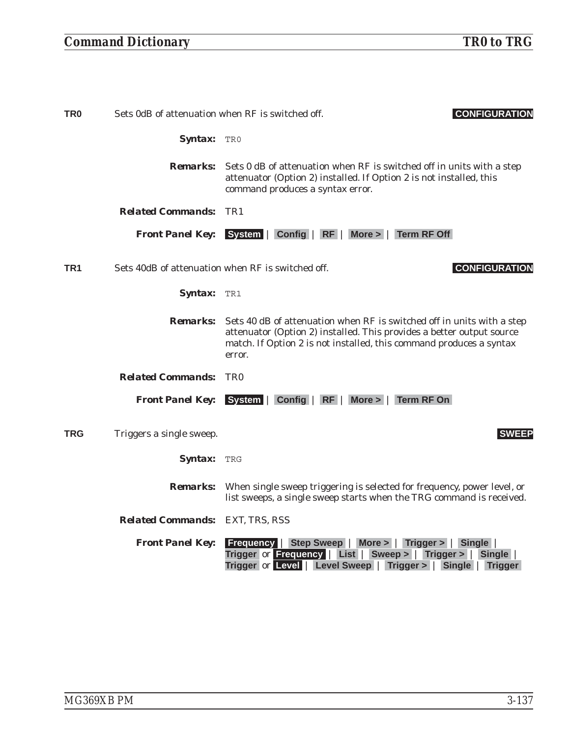## *Command Dictionary TR0 to TRG*

| TR <sub>0</sub> | Sets 0dB of attenuation when RF is switched off.  | <b>CONFIGURATION</b>                                                                                                                                                                                                             |
|-----------------|---------------------------------------------------|----------------------------------------------------------------------------------------------------------------------------------------------------------------------------------------------------------------------------------|
|                 | <b>Syntax:</b> TRO                                |                                                                                                                                                                                                                                  |
|                 | <i><b>Remarks:</b></i>                            | Sets 0 dB of attenuation when RF is switched off in units with a step<br>attenuator (Option 2) installed. If Option 2 is not installed, this<br>command produces a syntax error.                                                 |
|                 | <b>Related Commands:</b>                          | TR1                                                                                                                                                                                                                              |
|                 |                                                   | Front Panel Key: System   Config   RF   More >   Term RF Off                                                                                                                                                                     |
| TR <sub>1</sub> | Sets 40dB of attenuation when RF is switched off. | <b>CONFIGURATION</b>                                                                                                                                                                                                             |
|                 | Syntax: TR1                                       |                                                                                                                                                                                                                                  |
|                 | <i>Remarks:</i>                                   | Sets 40 dB of attenuation when RF is switched off in units with a step<br>attenuator (Option 2) installed. This provides a better output source<br>match. If Option 2 is not installed, this command produces a syntax<br>error. |
|                 | <b>Related Commands:</b>                          | <b>TRO</b>                                                                                                                                                                                                                       |
|                 |                                                   | Front Panel Key: System   Config   RF   More >   Term RF On                                                                                                                                                                      |
| TRG             | Triggers a single sweep.                          | <b>SWEEP</b>                                                                                                                                                                                                                     |
|                 | Syntax: TRG                                       |                                                                                                                                                                                                                                  |
|                 | <i><b>Remarks:</b></i>                            | When single sweep triggering is selected for frequency, power level, or<br>list sweeps, a single sweep starts when the TRG command is received.                                                                                  |
|                 | <b>Related Commands: EXT, TRS, RSS</b>            |                                                                                                                                                                                                                                  |
|                 | <b>Front Panel Key:</b>                           | <b>Frequency   Step Sweep   More &gt;   Trigger &gt;   Single  </b><br>Trigger or Frequency   List   Sweep >   Trigger >   Single<br>Trigger or Level   Level Sweep   Trigger >   Single   Trigger                               |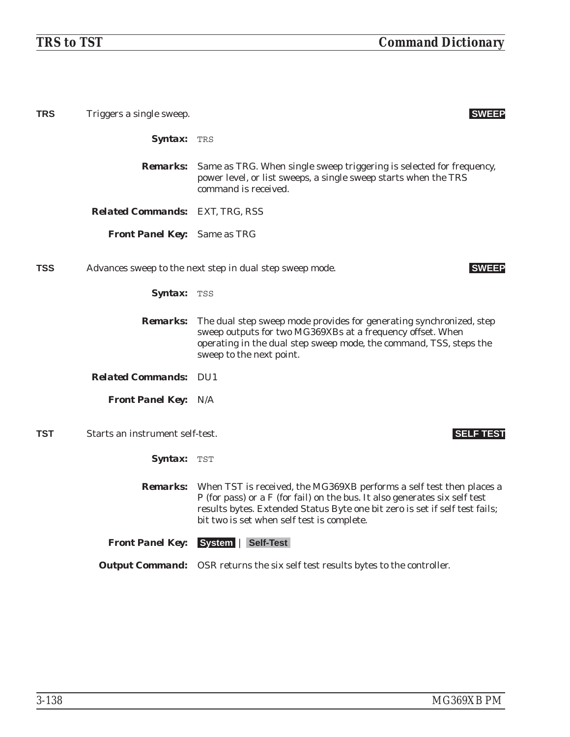| <b>TRS</b> | Triggers a single sweep.               | <b>SWEEP</b>                                                                                                                                                                                                                                                                                    |
|------------|----------------------------------------|-------------------------------------------------------------------------------------------------------------------------------------------------------------------------------------------------------------------------------------------------------------------------------------------------|
|            | <b>Syntax:</b> TRS                     |                                                                                                                                                                                                                                                                                                 |
|            | <i>Remarks:</i>                        | Same as TRG. When single sweep triggering is selected for frequency,<br>power level, or list sweeps, a single sweep starts when the TRS<br>command is received.                                                                                                                                 |
|            | <b>Related Commands: EXT, TRG, RSS</b> |                                                                                                                                                                                                                                                                                                 |
|            | <b>Front Panel Key:</b> Same as TRG    |                                                                                                                                                                                                                                                                                                 |
| <b>TSS</b> |                                        | Advances sweep to the next step in dual step sweep mode.<br><b>SWEEP</b>                                                                                                                                                                                                                        |
|            | <b>Syntax: TSS</b>                     |                                                                                                                                                                                                                                                                                                 |
|            | <i><b>Remarks:</b></i>                 | The dual step sweep mode provides for generating synchronized, step<br>sweep outputs for two MG369XBs at a frequency offset. When<br>operating in the dual step sweep mode, the command, TSS, steps the<br>sweep to the next point.                                                             |
|            | <b>Related Commands: DU1</b>           |                                                                                                                                                                                                                                                                                                 |
|            | <b>Front Panel Key: N/A</b>            |                                                                                                                                                                                                                                                                                                 |
| TST        | Starts an instrument self-test.        | <b>SELF TEST</b>                                                                                                                                                                                                                                                                                |
|            | <b>Syntax:</b> TST                     |                                                                                                                                                                                                                                                                                                 |
|            |                                        | <b>Remarks:</b> When TST is received, the MG369XB performs a self test then places a<br>P (for pass) or a F (for fail) on the bus. It also generates six self test<br>results bytes. Extended Status Byte one bit zero is set if self test fails;<br>bit two is set when self test is complete. |
|            | <b>Front Panel Key:</b>                | System   Self-Test                                                                                                                                                                                                                                                                              |
|            |                                        | <b>Output Command:</b> OSR returns the six self test results bytes to the controller.                                                                                                                                                                                                           |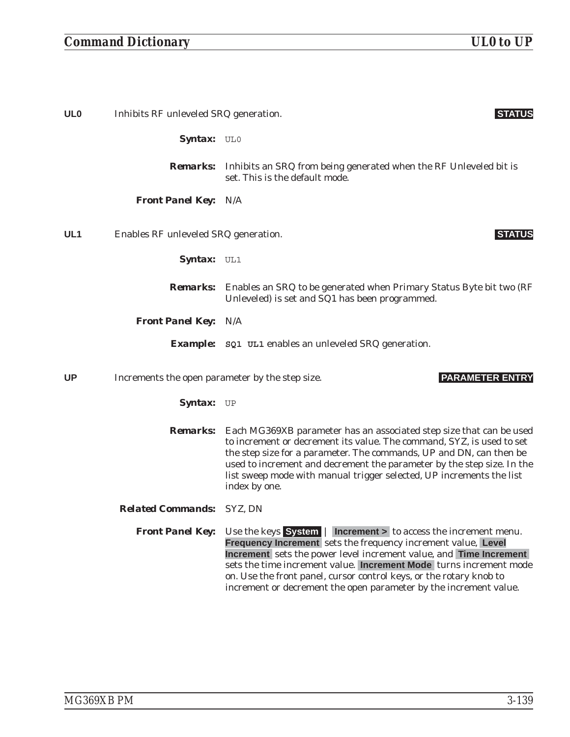### *Command Dictionary UL0 to UP*

**UL0** Inhibits RF unleveled SRQ generation. **STATUS** Syntax: UL0 *Remarks:* Inhibits an SRQ from being generated when the RF Unleveled bit is set. This is the default mode. *Front Panel Key:* N/A **UL1** Enables RF unleveled SRQ generation. **STATUS** Syntax: UL1 *Remarks:* Enables an SRQ to be generated when Primary Status Byte bit two (RF Unleveled) is set and SQ1 has been programmed. *Front Panel Key:* N/A *Example:* **SQ1 UL1** enables an unleveled SRQ generation. **UP** Increments the open parameter by the step size. **PARAMETER ENTRY** Syntax: UP *Remarks:* Each MG369XB parameter has an associated step size that can be used to increment or decrement its value. The command, SYZ, is used to set the step size for a parameter. The commands, UP and DN, can then be used to increment and decrement the parameter by the step size. In the list sweep mode with manual trigger selected, UP increments the list index by one. *Related Commands:* SYZ, DN *Front Panel Key:* Use the keys **System** | **Increment >** to access the increment menu. **Frequency Increment** sets the frequency increment value, **Level Increment** sets the power level increment value, and **Time Increment** sets the time increment value. **Increment Mode** turns increment mode on. Use the front panel, cursor control keys, or the rotary knob to increment or decrement the open parameter by the increment value.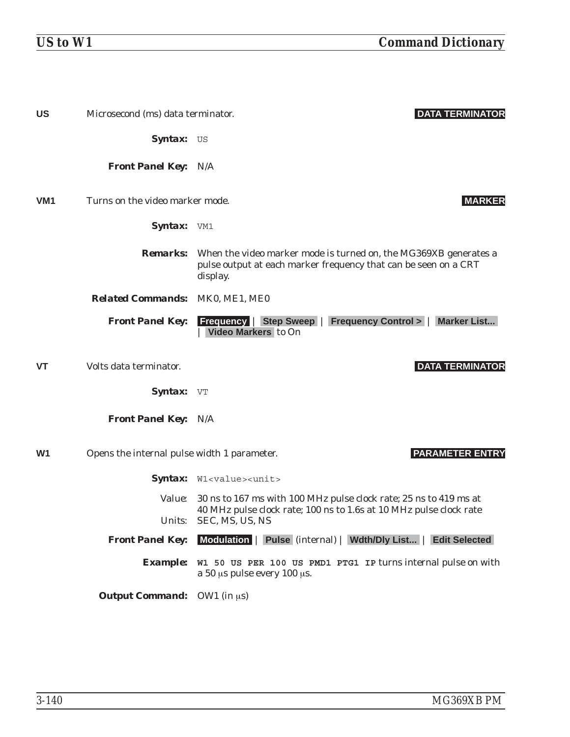| <b>US</b>       | Microsecond (ms) data terminator.           | <b>DATA TERMINATOR</b>                                                                                                                                          |
|-----------------|---------------------------------------------|-----------------------------------------------------------------------------------------------------------------------------------------------------------------|
|                 | Syntax: US                                  |                                                                                                                                                                 |
|                 | <b>Front Panel Key: N/A</b>                 |                                                                                                                                                                 |
| VM <sub>1</sub> | Turns on the video marker mode.             | <b>MARKER</b>                                                                                                                                                   |
|                 | Syntax: VM1                                 |                                                                                                                                                                 |
|                 |                                             | <b>Remarks:</b> When the video marker mode is turned on, the MG369XB generates a<br>pulse output at each marker frequency that can be seen on a CRT<br>display. |
|                 | Related Commands: MK0, ME1, ME0             |                                                                                                                                                                 |
|                 | <b>Front Panel Key:</b>                     | <b>Frequency   Step Sweep  </b><br><b>Frequency Control &gt;   Marker List</b><br>Video Markers to On                                                           |
| <b>VT</b>       | Volts data terminator.                      | <b>DATA TERMINATOR</b>                                                                                                                                          |
|                 | Syntax: VT                                  |                                                                                                                                                                 |
|                 | <b>Front Panel Key: N/A</b>                 |                                                                                                                                                                 |
| W <sub>1</sub>  | Opens the internal pulse width 1 parameter. | <b>PARAMETER ENTRY</b>                                                                                                                                          |
|                 |                                             | Syntax: W1 <value><unit></unit></value>                                                                                                                         |
|                 | <i>Value:</i>                               | 30 ns to 167 ms with 100 MHz pulse clock rate; 25 ns to 419 ms at<br>40 MHz pulse clock rate; 100 ns to 1.6s at 10 MHz pulse clock rate                         |
|                 |                                             | Units: SEC, MS, US, NS                                                                                                                                          |
|                 |                                             | <b>Front Panel Key:</b> Modulation   Pulse (internal)   Wdth/Dly List   Edit Selected                                                                           |
|                 |                                             | <b>Example:</b> W1 50 US PER 100 US PMD1 PTG1 IP turns internal pulse on with<br>a 50 µs pulse every 100 µs.                                                    |
|                 | <b>Output Command:</b> OW1 (in $\mu$ s)     |                                                                                                                                                                 |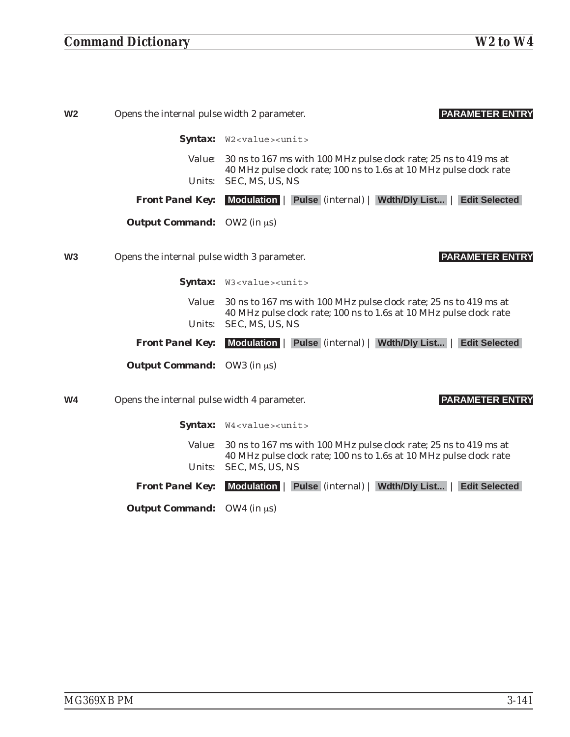## *Command Dictionary W2 to W4*

| W <sub>2</sub> | Opens the internal pulse width 2 parameter.    | <b>PARAMETER ENTRY</b>                                                                                                                  |
|----------------|------------------------------------------------|-----------------------------------------------------------------------------------------------------------------------------------------|
|                |                                                | Syntax: W2 <value><unit></unit></value>                                                                                                 |
|                | <i>Value:</i>                                  | 30 ns to 167 ms with 100 MHz pulse clock rate; 25 ns to 419 ms at<br>40 MHz pulse clock rate; 100 ns to 1.6s at 10 MHz pulse clock rate |
|                | Units:                                         | SEC, MS, US, NS                                                                                                                         |
|                | <b>Front Panel Key:</b>                        | Modulation   Pulse (internal)   Wdth/Dly List  <br><b>Edit Selected</b>                                                                 |
|                | <b><i>Output Command:</i></b> OW2 (in $\mu$ s) |                                                                                                                                         |
| W <sub>3</sub> | Opens the internal pulse width 3 parameter.    | <b>PARAMETER ENTRY</b>                                                                                                                  |
|                |                                                | Syntax: W3 <value><unit></unit></value>                                                                                                 |
|                | <i>Value:</i>                                  | 30 ns to 167 ms with 100 MHz pulse clock rate; 25 ns to 419 ms at<br>40 MHz pulse clock rate; 100 ns to 1.6s at 10 MHz pulse clock rate |
|                | Units:                                         | SEC, MS, US, NS                                                                                                                         |
|                | <b>Front Panel Key:</b>                        | Modulation   Pulse (internal)   Wdth/Dly List   Edit Selected                                                                           |
|                | <b>Output Command:</b> OW3 (in $\mu$ s)        |                                                                                                                                         |
| W <sub>4</sub> | Opens the internal pulse width 4 parameter.    | <b>PARAMETER ENTRY</b>                                                                                                                  |
|                |                                                | Syntax: W4 <value><unit></unit></value>                                                                                                 |
|                | <i>Value:</i>                                  | 30 ns to 167 ms with 100 MHz pulse clock rate; 25 ns to 419 ms at<br>40 MHz pulse clock rate; 100 ns to 1.6s at 10 MHz pulse clock rate |
|                | Units:                                         | SEC, MS, US, NS                                                                                                                         |
|                | <b>Front Panel Key:</b>                        | <b>Modulation</b><br>Wdth/Dly List<br><b>Edit Selected</b><br><b>Pulse</b> (internal)                                                   |

*Output Command:* OW4 (in  $\mu$ s)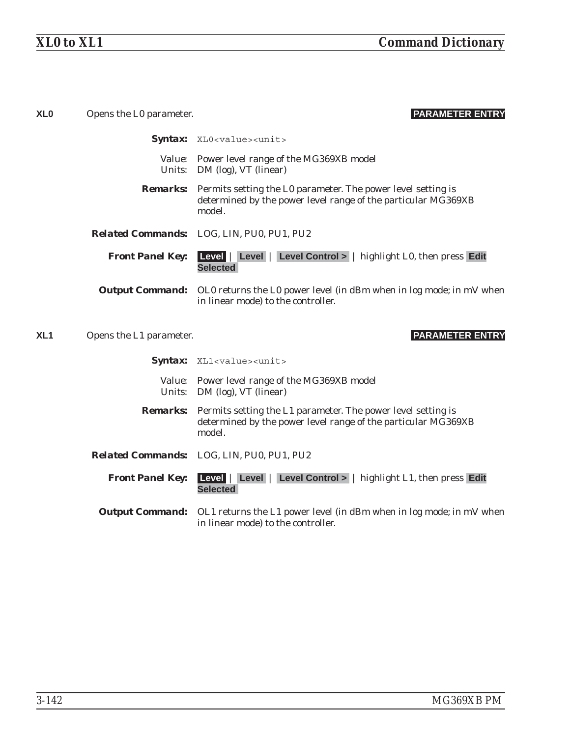| <b>XLO</b>      | Opens the L0 parameter. | <b>PARAMETER ENTRY</b>                                                                                                                                  |
|-----------------|-------------------------|---------------------------------------------------------------------------------------------------------------------------------------------------------|
|                 |                         | Syntax: XLO <value><unit></unit></value>                                                                                                                |
|                 |                         | Value: Power level range of the MG369XB model<br><i>Units:</i> DM (log), VT (linear)                                                                    |
|                 |                         | <b>Remarks:</b> Permits setting the L0 parameter. The power level setting is<br>determined by the power level range of the particular MG369XB<br>model. |
|                 |                         | <b>Related Commands:</b> LOG, LIN, PU0, PU1, PU2                                                                                                        |
|                 | <b>Front Panel Key:</b> | Level   Level   Level Control >   highlight L0, then press Edit<br><b>Selected</b>                                                                      |
|                 |                         | <b>Output Command:</b> OLO returns the LO power level (in dBm when in log mode; in mV when<br>in linear mode) to the controller.                        |
|                 |                         |                                                                                                                                                         |
| XL <sub>1</sub> | Opens the L1 parameter. | <b>PARAMETER ENTRY</b>                                                                                                                                  |
|                 |                         | Syntax: XL1 <value><unit></unit></value>                                                                                                                |
|                 |                         | Value: Power level range of the MG369XB model<br>Units: DM (log), VT (linear)                                                                           |
|                 |                         | <b>Remarks:</b> Permits setting the L1 parameter. The power level setting is<br>determined by the power level range of the particular MG369XB<br>model. |
|                 |                         | Related Commands: LOG, LIN, PU0, PU1, PU2                                                                                                               |
|                 | <b>Front Panel Key:</b> | Level   Level   Level Control >   highlight L1, then press Edit<br><b>Selected</b>                                                                      |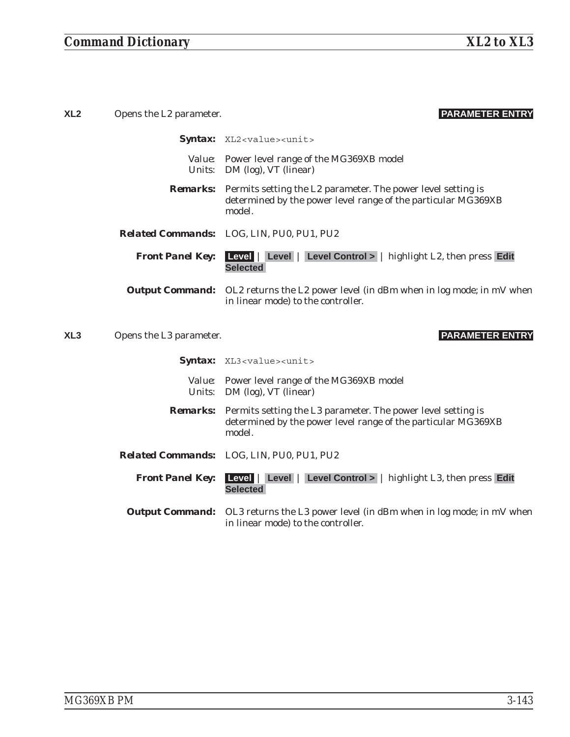| XL <sub>2</sub> | Opens the L2 parameter. | <b>PARAMETER ENTRY</b>                                                                                                                                  |
|-----------------|-------------------------|---------------------------------------------------------------------------------------------------------------------------------------------------------|
|                 |                         | Syntax: XL2 <value><unit></unit></value>                                                                                                                |
|                 |                         | Value: Power level range of the MG369XB model<br>Units: DM (log), VT (linear)                                                                           |
|                 |                         | <b>Remarks:</b> Permits setting the L2 parameter. The power level setting is<br>determined by the power level range of the particular MG369XB<br>model. |
|                 |                         | Related Commands: LOG, LIN, PU0, PU1, PU2                                                                                                               |
|                 |                         | <b>Front Panel Key:</b> Level   Level   Level Control >   highlight L2, then press Edit<br><b>Selected</b>                                              |
|                 |                         | <b>Output Command:</b> OL2 returns the L2 power level (in dBm when in log mode; in mV when<br>in linear mode) to the controller.                        |
|                 |                         |                                                                                                                                                         |
| XL <sub>3</sub> | Opens the L3 parameter. | <b>PARAMETER ENTRY</b>                                                                                                                                  |
|                 |                         | Syntax: XL3 <value><unit></unit></value>                                                                                                                |
|                 |                         | Value: Power level range of the MG369XB model<br>Units: DM (log), VT (linear)                                                                           |
|                 |                         | <b>Remarks:</b> Permits setting the L3 parameter. The power level setting is<br>determined by the power level range of the particular MG369XB<br>model. |
|                 |                         | Related Commands: LOG, LIN, PU0, PU1, PU2                                                                                                               |
|                 | <b>Front Panel Key:</b> | <b>Level</b>   Level   Level Control >   highlight L3, then press Edit<br><b>Selected</b>                                                               |
|                 |                         | <b>Output Command:</b> OL3 returns the L3 power level (in dBm when in log mode; in mV when<br>in linear mode) to the controller.                        |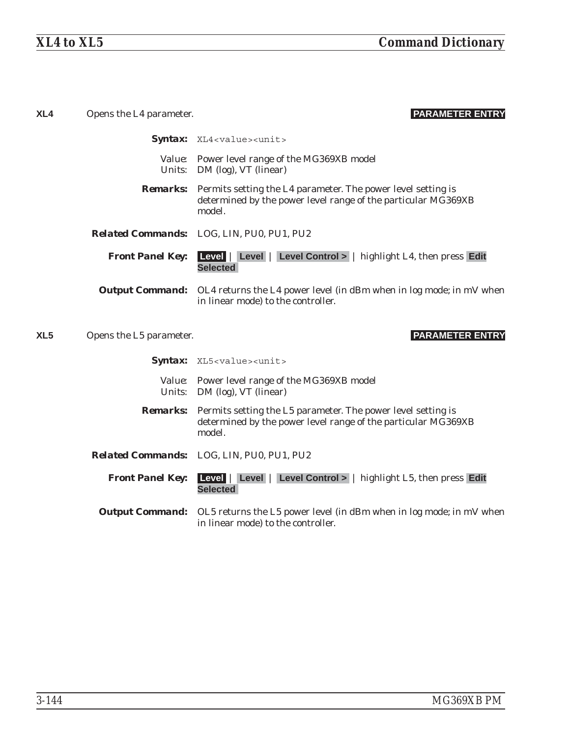| XL4             | Opens the L4 parameter. | <b>PARAMETER ENTRY</b>                                                                                                                                  |
|-----------------|-------------------------|---------------------------------------------------------------------------------------------------------------------------------------------------------|
|                 |                         | Syntax: XL4 <value><unit></unit></value>                                                                                                                |
|                 |                         | Value: Power level range of the MG369XB model<br>Units: DM (log), VT (linear)                                                                           |
|                 |                         | <b>Remarks:</b> Permits setting the L4 parameter. The power level setting is<br>determined by the power level range of the particular MG369XB<br>model. |
|                 |                         | <b>Related Commands:</b> LOG, LIN, PU0, PU1, PU2                                                                                                        |
|                 | <b>Front Panel Key:</b> | <b>Level</b>   Level   Level Control >   highlight L4, then press Edit<br><b>Selected</b>                                                               |
|                 |                         | <b>Output Command:</b> OL4 returns the L4 power level (in dBm when in log mode; in mV when<br>in linear mode) to the controller.                        |
| XL <sub>5</sub> | Opens the L5 parameter. | <b>PARAMETER ENTRY</b>                                                                                                                                  |
|                 |                         |                                                                                                                                                         |
|                 |                         | Syntax: XL5 <value><unit></unit></value>                                                                                                                |
|                 |                         | Value: Power level range of the MG369XB model<br>Units: DM (log), VT (linear)                                                                           |
|                 |                         | <b>Remarks:</b> Permits setting the L5 parameter. The power level setting is<br>determined by the power level range of the particular MG369XB<br>model. |
|                 |                         | <b>Related Commands:</b> LOG, LIN, PU0, PU1, PU2                                                                                                        |
|                 | <b>Front Panel Key:</b> | Level   Level   Level Control >   highlight L5, then press Edit<br><b>Selected</b>                                                                      |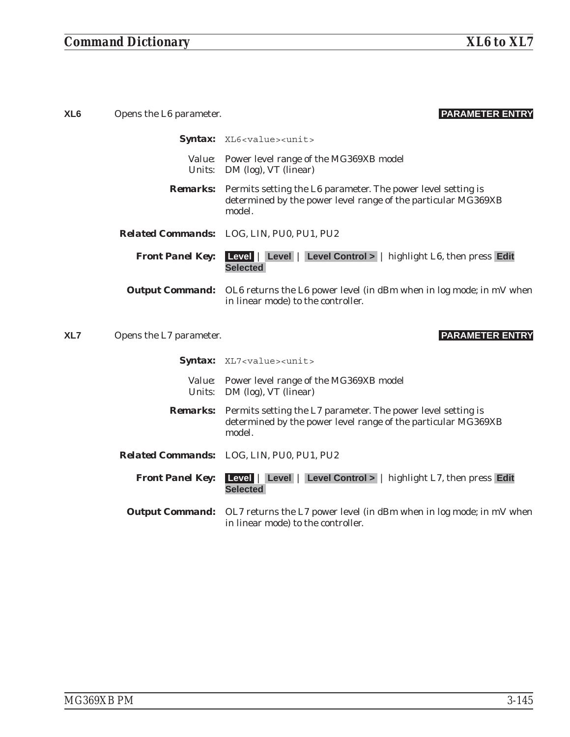| XL <sub>6</sub> | Opens the L6 parameter. | <b>PARAMETER ENTRY</b>                                                                                                                                  |
|-----------------|-------------------------|---------------------------------------------------------------------------------------------------------------------------------------------------------|
|                 |                         | Syntax: XL6 <value><unit></unit></value>                                                                                                                |
|                 |                         | Value: Power level range of the MG369XB model<br>Units: DM (log), VT (linear)                                                                           |
|                 |                         | <b>Remarks:</b> Permits setting the L6 parameter. The power level setting is<br>determined by the power level range of the particular MG369XB<br>model. |
|                 |                         | Related Commands: LOG, LIN, PU0, PU1, PU2                                                                                                               |
|                 | <b>Front Panel Key:</b> | Level   Level   Level Control >   highlight L6, then press Edit<br><b>Selected</b>                                                                      |
|                 |                         | Output Command: OL6 returns the L6 power level (in dBm when in log mode; in mV when<br>in linear mode) to the controller.                               |
| XL7             | Opens the L7 parameter. | <b>PARAMETER ENTRY</b>                                                                                                                                  |
|                 |                         |                                                                                                                                                         |
|                 |                         | Syntax: XL7 <value><unit></unit></value>                                                                                                                |
|                 |                         | Value: Power level range of the MG369XB model<br>Units: DM (log), VT (linear)                                                                           |
|                 |                         | <b>Remarks:</b> Permits setting the L7 parameter. The power level setting is<br>determined by the power level range of the particular MG369XB<br>model. |
|                 |                         | Related Commands: LOG, LIN, PU0, PU1, PU2                                                                                                               |
|                 | <b>Front Panel Key:</b> | <b>Level</b>   Level   Level Control >   highlight L7, then press Edit<br><b>Selected</b>                                                               |
|                 |                         | Output Command: OL7 returns the L7 power level (in dBm when in log mode; in mV when<br>in linear mode) to the controller.                               |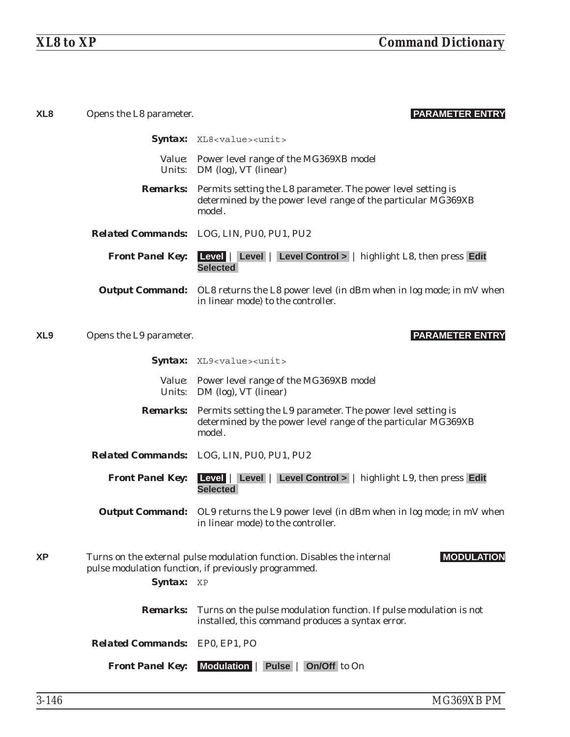| XL <sub>8</sub> | Opens the L8 parameter.               | <b>PARAMETER ENTRY</b>                                                                                                                                  |
|-----------------|---------------------------------------|---------------------------------------------------------------------------------------------------------------------------------------------------------|
|                 |                                       | Syntax: XL8 <value><unit></unit></value>                                                                                                                |
|                 |                                       | Value: Power level range of the MG369XB model<br><i>Units:</i> DM (log), VT (linear)                                                                    |
|                 |                                       | <b>Remarks:</b> Permits setting the L8 parameter. The power level setting is<br>determined by the power level range of the particular MG369XB<br>model. |
|                 |                                       | Related Commands: LOG, LIN, PU0, PU1, PU2                                                                                                               |
|                 | <b>Front Panel Key:</b>               | Level   Level   Level Control >   highlight L8, then press Edit<br><b>Selected</b>                                                                      |
|                 |                                       | <b>Output Command:</b> OL8 returns the L8 power level (in dBm when in log mode; in mV when<br>in linear mode) to the controller.                        |
| XL <sub>9</sub> | Opens the L9 parameter.               | <b>PARAMETER ENTRY</b>                                                                                                                                  |
|                 |                                       | Syntax: XL9 <value><unit></unit></value>                                                                                                                |
|                 |                                       | Value: Power level range of the MG369XB model<br><i>Units:</i> DM (log), VT (linear)                                                                    |
|                 |                                       | <b>Remarks:</b> Permits setting the L9 parameter. The power level setting is<br>determined by the power level range of the particular MG369XB<br>model. |
|                 |                                       | Related Commands: LOG, LIN, PU0, PU1, PU2                                                                                                               |
|                 | <b>Front Panel Key:</b>               | Level   Level   Level Control >   highlight L9, then press Edit<br><b>Selected</b>                                                                      |
|                 |                                       | <b>Output Command:</b> OL9 returns the L9 power level (in dBm when in log mode; in mV when<br>in linear mode) to the controller.                        |
| <b>XP</b>       | Syntax: XP                            | Turns on the external pulse modulation function. Disables the internal<br><b>MODULATION</b><br>pulse modulation function, if previously programmed.     |
|                 | <b>Remarks:</b>                       | Turns on the pulse modulation function. If pulse modulation is not<br>installed, this command produces a syntax error.                                  |
|                 | <b>Related Commands:</b> EP0, EP1, PO |                                                                                                                                                         |
|                 | <b>Front Panel Key:</b>               | Modulation   Pulse   On/Off to On                                                                                                                       |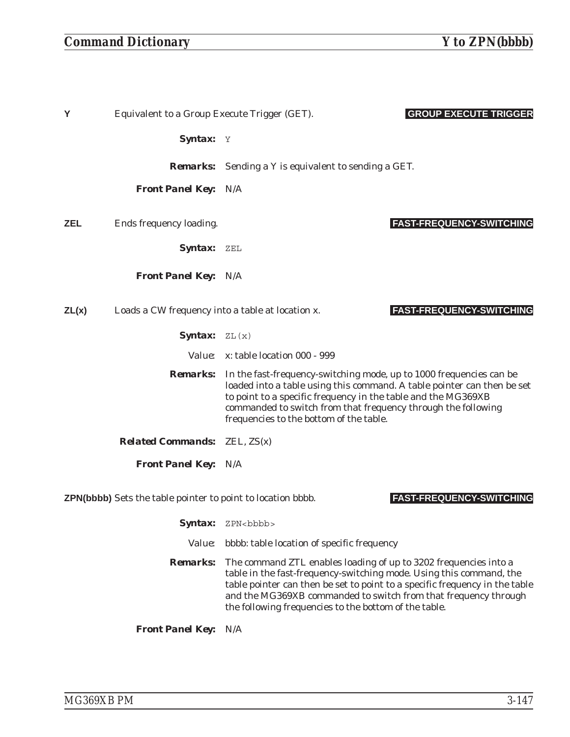## *Command Dictionary Y to ZPN(bbbb)*

| Y     | Equivalent to a Group Execute Trigger (GET).                                                          | <b>GROUP EXECUTE TRIGGER</b>                                                                                                                                                                                                                                                                                                                       |  |
|-------|-------------------------------------------------------------------------------------------------------|----------------------------------------------------------------------------------------------------------------------------------------------------------------------------------------------------------------------------------------------------------------------------------------------------------------------------------------------------|--|
|       | Syntax: Y                                                                                             |                                                                                                                                                                                                                                                                                                                                                    |  |
|       |                                                                                                       | <b>Remarks:</b> Sending a Y is equivalent to sending a GET.                                                                                                                                                                                                                                                                                        |  |
|       | <b>Front Panel Key: N/A</b>                                                                           |                                                                                                                                                                                                                                                                                                                                                    |  |
| ZEL   | Ends frequency loading.                                                                               | <b>FAST-FREQUENCY-SWITCHING</b>                                                                                                                                                                                                                                                                                                                    |  |
|       | Syntax: ZEL                                                                                           |                                                                                                                                                                                                                                                                                                                                                    |  |
|       | <b>Front Panel Key: N/A</b>                                                                           |                                                                                                                                                                                                                                                                                                                                                    |  |
| ZL(x) | Loads a CW frequency into a table at location x.                                                      | <b>FAST-FREQUENCY-SWITCHING</b>                                                                                                                                                                                                                                                                                                                    |  |
|       | <b>Syntax:</b> $ZL(x)$                                                                                |                                                                                                                                                                                                                                                                                                                                                    |  |
|       |                                                                                                       | Value: x: table location 000 - 999                                                                                                                                                                                                                                                                                                                 |  |
|       |                                                                                                       | <b>Remarks:</b> In the fast-frequency-switching mode, up to 1000 frequencies can be<br>loaded into a table using this command. A table pointer can then be set<br>to point to a specific frequency in the table and the MG369XB<br>commanded to switch from that frequency through the following<br>frequencies to the bottom of the table.        |  |
|       | <b>Related Commands:</b> ZEL, ZS(x)                                                                   |                                                                                                                                                                                                                                                                                                                                                    |  |
|       | <b>Front Panel Key: N/A</b>                                                                           |                                                                                                                                                                                                                                                                                                                                                    |  |
|       | <b>FAST-FREQUENCY-SWITCHING</b><br><b>ZPN(bbbb)</b> Sets the table pointer to point to location bbbb. |                                                                                                                                                                                                                                                                                                                                                    |  |
|       | <b>Syntax:</b>                                                                                        | ZPN<br>bbb>                                                                                                                                                                                                                                                                                                                                        |  |
|       | <i>Value:</i>                                                                                         | bbbb: table location of specific frequency                                                                                                                                                                                                                                                                                                         |  |
|       | <b>Remarks:</b>                                                                                       | The command ZTL enables loading of up to 3202 frequencies into a<br>table in the fast-frequency-switching mode. Using this command, the<br>table pointer can then be set to point to a specific frequency in the table<br>and the MG369XB commanded to switch from that frequency through<br>the following frequencies to the bottom of the table. |  |
|       | <b>Front Panel Key:</b>                                                                               | N/A                                                                                                                                                                                                                                                                                                                                                |  |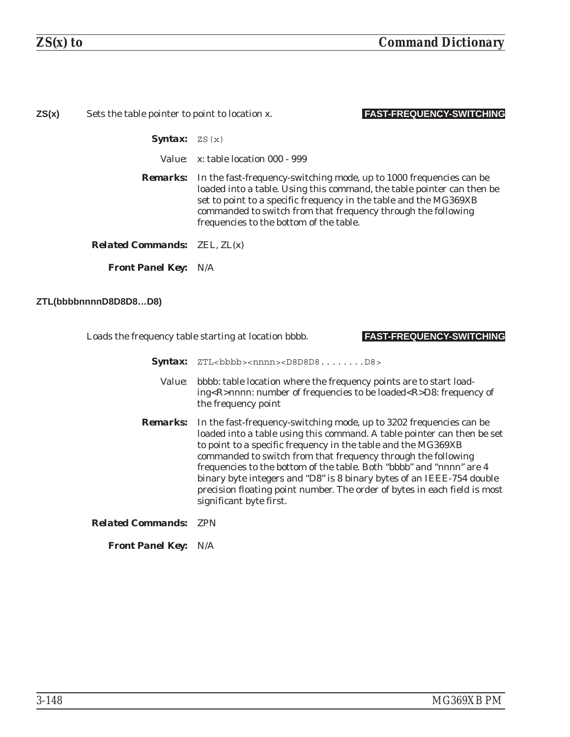| ZS(x) | Sets the table pointer to point to location x. | <b>FAST-FREQUENCY-SWITCHING</b>                                                                                                                                                                                                                                                                                                                |
|-------|------------------------------------------------|------------------------------------------------------------------------------------------------------------------------------------------------------------------------------------------------------------------------------------------------------------------------------------------------------------------------------------------------|
|       | <b>Syntax:</b> $ZS(x)$                         |                                                                                                                                                                                                                                                                                                                                                |
|       |                                                | <i>Value:</i> x: table location 000 - 999                                                                                                                                                                                                                                                                                                      |
|       |                                                | <b>Remarks:</b> In the fast-frequency-switching mode, up to 1000 frequencies can be<br>loaded into a table. Using this command, the table pointer can then be<br>set to point to a specific frequency in the table and the MG369XB<br>commanded to switch from that frequency through the following<br>frequencies to the bottom of the table. |
|       | <b>Related Commands:</b> $ZEL, ZL(x)$          |                                                                                                                                                                                                                                                                                                                                                |
|       | <b>Front Panel Key: N/A</b>                    |                                                                                                                                                                                                                                                                                                                                                |

**ZTL(bbbbnnnnD8D8D8…D8)**

Loads the frequency table starting at location bbbb. **FAST-FREQUENCY-SWITCHING**

**Syntax:** ZTL<bbbb><nnnn><D8D8D8........D8>

- *Value:* bbbb: table location where the frequency points are to start loading<R>nnnn: number of frequencies to be loaded<R>D8: frequency of the frequency point
- **Remarks:** In the fast-frequency-switching mode, up to 3202 frequencies can be loaded into a table using this command. A table pointer can then be set to point to a specific frequency in the table and the MG369XB commanded to switch from that frequency through the following frequencies to the bottom of the table. Both "bbbb" and "nnnn" are 4 binary byte integers and "D8" is 8 binary bytes of an IEEE-754 double precision floating point number. The order of bytes in each field is most significant byte first.

### *Related Commands:* ZPN

*Front Panel Key:* N/A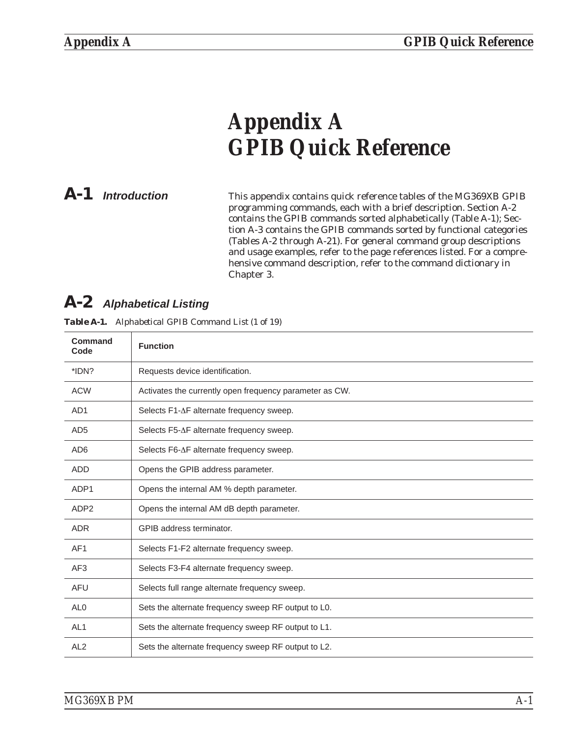# <span id="page-248-0"></span>*Appendix A GPIB Quick Reference*

*A-1 Introduction* This appendix contains quick reference tables of the MG369XB GPIB programming commands, each with a brief description. Section A-2 contains the GPIB commands sorted alphabetically (Table A-1); Section A-3 contains the GPIB commands sorted by functional categories (Tables A-2 through A-21). For general command group descriptions and usage examples, refer to the page references listed. For a comprehensive command description, refer to the command dictionary in Chapter 3.

### *A-2 Alphabetical Listing*

| Command<br>Code  | <b>Function</b>                                         |
|------------------|---------------------------------------------------------|
| *IDN?            | Requests device identification.                         |
| <b>ACW</b>       | Activates the currently open frequency parameter as CW. |
| AD <sub>1</sub>  | Selects F1-∆F alternate frequency sweep.                |
| AD <sub>5</sub>  | Selects F5-∆F alternate frequency sweep.                |
| AD <sub>6</sub>  | Selects F6-∆F alternate frequency sweep.                |
| <b>ADD</b>       | Opens the GPIB address parameter.                       |
| ADP1             | Opens the internal AM % depth parameter.                |
| ADP <sub>2</sub> | Opens the internal AM dB depth parameter.               |
| <b>ADR</b>       | GPIB address terminator.                                |
| AF <sub>1</sub>  | Selects F1-F2 alternate frequency sweep.                |
| AF <sub>3</sub>  | Selects F3-F4 alternate frequency sweep.                |
| <b>AFU</b>       | Selects full range alternate frequency sweep.           |
| AL <sub>0</sub>  | Sets the alternate frequency sweep RF output to L0.     |
| AL <sub>1</sub>  | Sets the alternate frequency sweep RF output to L1.     |
| AL <sub>2</sub>  | Sets the alternate frequency sweep RF output to L2.     |

*Table [A-1](#page-248-0). Alphabetical GPIB Command List (1 of 19)*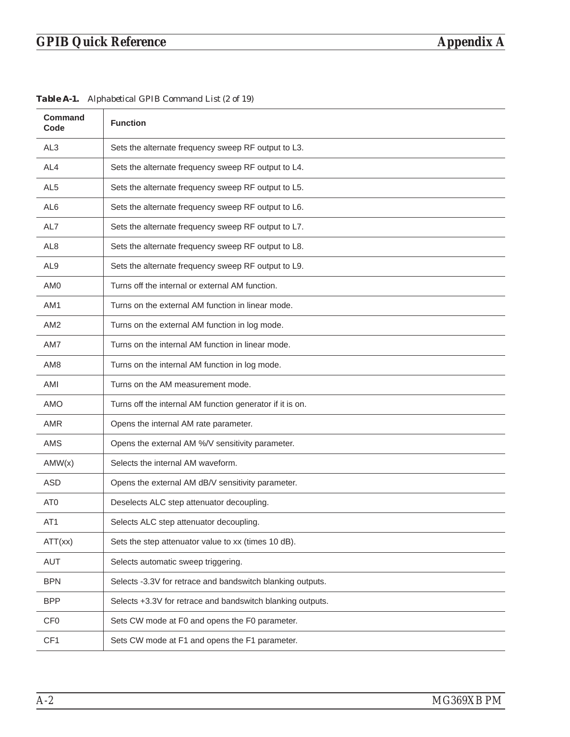# *GPIB Quick Reference Appendix A*

| <b>Command</b><br>Code | <b>Function</b>                                            |
|------------------------|------------------------------------------------------------|
| AL <sub>3</sub>        | Sets the alternate frequency sweep RF output to L3.        |
| AL4                    | Sets the alternate frequency sweep RF output to L4.        |
| AL <sub>5</sub>        | Sets the alternate frequency sweep RF output to L5.        |
| AL <sub>6</sub>        | Sets the alternate frequency sweep RF output to L6.        |
| AL7                    | Sets the alternate frequency sweep RF output to L7.        |
| AL <sub>8</sub>        | Sets the alternate frequency sweep RF output to L8.        |
| AL <sub>9</sub>        | Sets the alternate frequency sweep RF output to L9.        |
| AM <sub>0</sub>        | Turns off the internal or external AM function.            |
| AM1                    | Turns on the external AM function in linear mode.          |
| AM <sub>2</sub>        | Turns on the external AM function in log mode.             |
| AM7                    | Turns on the internal AM function in linear mode.          |
| AM <sub>8</sub>        | Turns on the internal AM function in log mode.             |
| AMI                    | Turns on the AM measurement mode.                          |
| <b>AMO</b>             | Turns off the internal AM function generator if it is on.  |
| AMR                    | Opens the internal AM rate parameter.                      |
| <b>AMS</b>             | Opens the external AM %/V sensitivity parameter.           |
| AMW(x)                 | Selects the internal AM waveform.                          |
| <b>ASD</b>             | Opens the external AM dB/V sensitivity parameter.          |
| AT0                    | Deselects ALC step attenuator decoupling.                  |
| AT <sub>1</sub>        | Selects ALC step attenuator decoupling.                    |
| ATT(xx)                | Sets the step attenuator value to xx (times 10 dB).        |
| <b>AUT</b>             | Selects automatic sweep triggering.                        |
| <b>BPN</b>             | Selects -3.3V for retrace and bandswitch blanking outputs. |
| <b>BPP</b>             | Selects +3.3V for retrace and bandswitch blanking outputs. |
| CF <sub>0</sub>        | Sets CW mode at F0 and opens the F0 parameter.             |
| CF1                    | Sets CW mode at F1 and opens the F1 parameter.             |

*Table [A-1](#page-248-0). Alphabetical GPIB Command List (2 of 19)*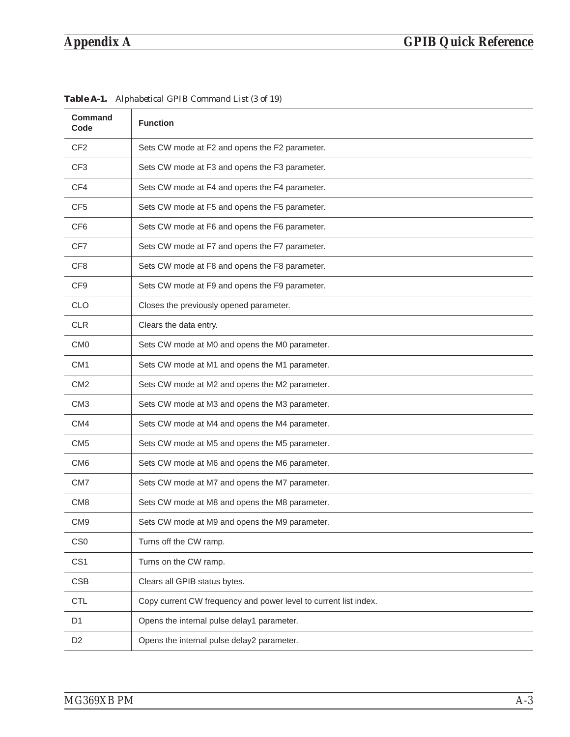| <b>Command</b><br>Code | <b>Function</b>                                                  |
|------------------------|------------------------------------------------------------------|
| CF <sub>2</sub>        | Sets CW mode at F2 and opens the F2 parameter.                   |
| CF <sub>3</sub>        | Sets CW mode at F3 and opens the F3 parameter.                   |
| CF4                    | Sets CW mode at F4 and opens the F4 parameter.                   |
| CF <sub>5</sub>        | Sets CW mode at F5 and opens the F5 parameter.                   |
| CF <sub>6</sub>        | Sets CW mode at F6 and opens the F6 parameter.                   |
| CF7                    | Sets CW mode at F7 and opens the F7 parameter.                   |
| CF <sub>8</sub>        | Sets CW mode at F8 and opens the F8 parameter.                   |
| CF <sub>9</sub>        | Sets CW mode at F9 and opens the F9 parameter.                   |
| <b>CLO</b>             | Closes the previously opened parameter.                          |
| <b>CLR</b>             | Clears the data entry.                                           |
| CM <sub>0</sub>        | Sets CW mode at M0 and opens the M0 parameter.                   |
| CM <sub>1</sub>        | Sets CW mode at M1 and opens the M1 parameter.                   |
| CM <sub>2</sub>        | Sets CW mode at M2 and opens the M2 parameter.                   |
| CM <sub>3</sub>        | Sets CW mode at M3 and opens the M3 parameter.                   |
| CM4                    | Sets CW mode at M4 and opens the M4 parameter.                   |
| CM <sub>5</sub>        | Sets CW mode at M5 and opens the M5 parameter.                   |
| CM <sub>6</sub>        | Sets CW mode at M6 and opens the M6 parameter.                   |
| CM <sub>7</sub>        | Sets CW mode at M7 and opens the M7 parameter.                   |
| CM <sub>8</sub>        | Sets CW mode at M8 and opens the M8 parameter.                   |
| CM <sub>9</sub>        | Sets CW mode at M9 and opens the M9 parameter.                   |
| CS <sub>0</sub>        | Turns off the CW ramp.                                           |
| CS <sub>1</sub>        | Turns on the CW ramp.                                            |
| <b>CSB</b>             | Clears all GPIB status bytes.                                    |
| <b>CTL</b>             | Copy current CW frequency and power level to current list index. |
| D <sub>1</sub>         | Opens the internal pulse delay1 parameter.                       |
| D <sub>2</sub>         | Opens the internal pulse delay2 parameter.                       |

*Table [A-1](#page-248-0). Alphabetical GPIB Command List (3 of 19)*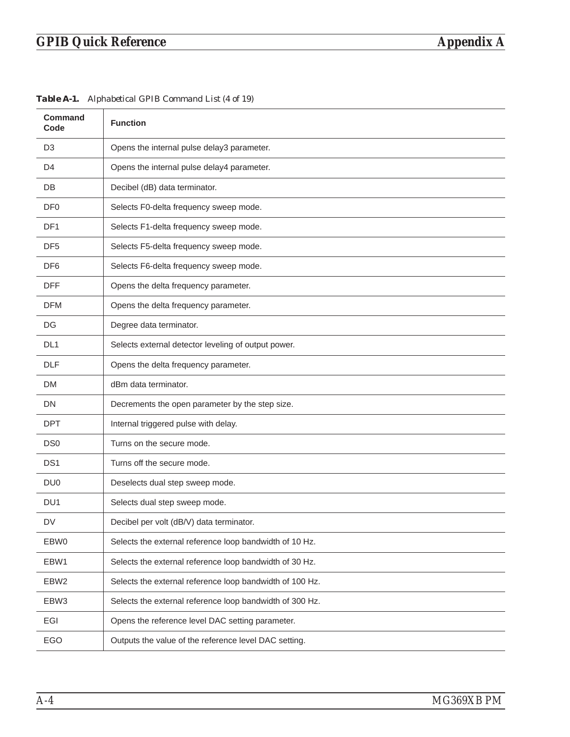# *GPIB Quick Reference Appendix A*

| <b>Command</b><br>Code | <b>Function</b>                                          |
|------------------------|----------------------------------------------------------|
| D <sub>3</sub>         | Opens the internal pulse delay3 parameter.               |
| D4                     | Opens the internal pulse delay4 parameter.               |
| <b>DB</b>              | Decibel (dB) data terminator.                            |
| DF <sub>0</sub>        | Selects F0-delta frequency sweep mode.                   |
| DF1                    | Selects F1-delta frequency sweep mode.                   |
| DF <sub>5</sub>        | Selects F5-delta frequency sweep mode.                   |
| DF <sub>6</sub>        | Selects F6-delta frequency sweep mode.                   |
| <b>DFF</b>             | Opens the delta frequency parameter.                     |
| <b>DFM</b>             | Opens the delta frequency parameter.                     |
| DG                     | Degree data terminator.                                  |
| DL <sub>1</sub>        | Selects external detector leveling of output power.      |
| <b>DLF</b>             | Opens the delta frequency parameter.                     |
| DM                     | dBm data terminator.                                     |
| DN                     | Decrements the open parameter by the step size.          |
| <b>DPT</b>             | Internal triggered pulse with delay.                     |
| DS <sub>0</sub>        | Turns on the secure mode.                                |
| DS <sub>1</sub>        | Turns off the secure mode.                               |
| DU <sub>0</sub>        | Deselects dual step sweep mode.                          |
| DU <sub>1</sub>        | Selects dual step sweep mode.                            |
| DV                     | Decibel per volt (dB/V) data terminator.                 |
| EBW0                   | Selects the external reference loop bandwidth of 10 Hz.  |
| EBW1                   | Selects the external reference loop bandwidth of 30 Hz.  |
| EBW <sub>2</sub>       | Selects the external reference loop bandwidth of 100 Hz. |
| EBW3                   | Selects the external reference loop bandwidth of 300 Hz. |
| EGI                    | Opens the reference level DAC setting parameter.         |
| EGO                    | Outputs the value of the reference level DAC setting.    |

*Table [A-1](#page-248-0). Alphabetical GPIB Command List (4 of 19)*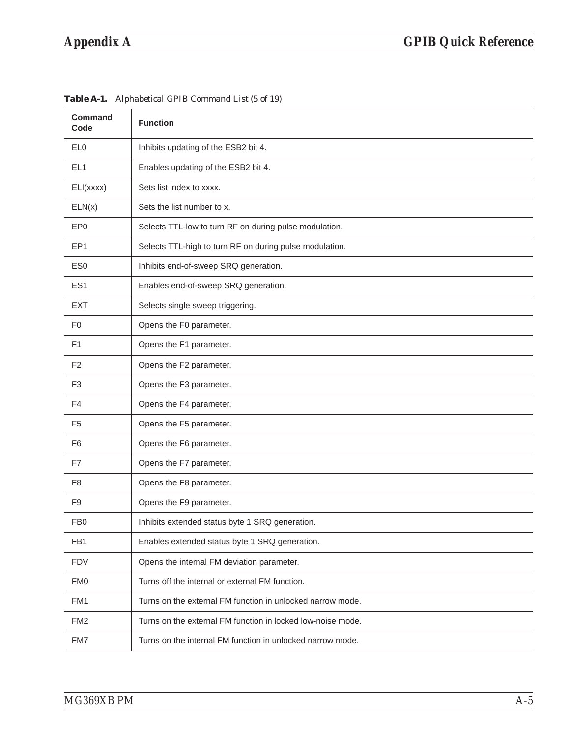### *Appendix A GPIB Quick Reference*

| <b>Command</b><br>Code | <b>Function</b>                                             |
|------------------------|-------------------------------------------------------------|
| EL <sub>0</sub>        | Inhibits updating of the ESB2 bit 4.                        |
| EL <sub>1</sub>        | Enables updating of the ESB2 bit 4.                         |
| ELI(xxxx)              | Sets list index to xxxx.                                    |
| ELN(x)                 | Sets the list number to x.                                  |
| EP <sub>0</sub>        | Selects TTL-low to turn RF on during pulse modulation.      |
| EP <sub>1</sub>        | Selects TTL-high to turn RF on during pulse modulation.     |
| ES <sub>0</sub>        | Inhibits end-of-sweep SRQ generation.                       |
| ES <sub>1</sub>        | Enables end-of-sweep SRQ generation.                        |
| <b>EXT</b>             | Selects single sweep triggering.                            |
| F <sub>0</sub>         | Opens the F0 parameter.                                     |
| F <sub>1</sub>         | Opens the F1 parameter.                                     |
| F <sub>2</sub>         | Opens the F2 parameter.                                     |
| F <sub>3</sub>         | Opens the F3 parameter.                                     |
| F <sub>4</sub>         | Opens the F4 parameter.                                     |
| F <sub>5</sub>         | Opens the F5 parameter.                                     |
| F <sub>6</sub>         | Opens the F6 parameter.                                     |
| F7                     | Opens the F7 parameter.                                     |
| F <sub>8</sub>         | Opens the F8 parameter.                                     |
| F <sub>9</sub>         | Opens the F9 parameter.                                     |
| FB <sub>0</sub>        | Inhibits extended status byte 1 SRQ generation.             |
| FB1                    | Enables extended status byte 1 SRQ generation.              |
| <b>FDV</b>             | Opens the internal FM deviation parameter.                  |
| <b>FMO</b>             | Turns off the internal or external FM function.             |
| FM1                    | Turns on the external FM function in unlocked narrow mode.  |
| FM <sub>2</sub>        | Turns on the external FM function in locked low-noise mode. |
| FM7                    | Turns on the internal FM function in unlocked narrow mode.  |

*Table [A-1](#page-248-0). Alphabetical GPIB Command List (5 of 19)*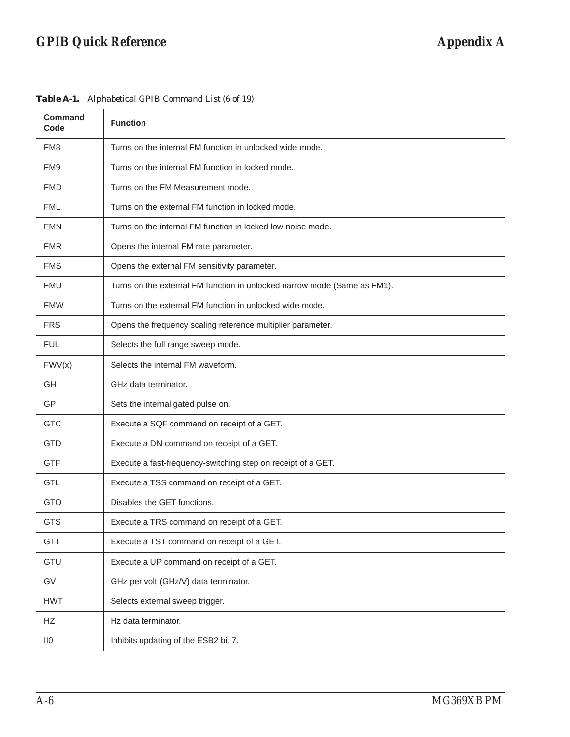| <b>Command</b><br>Code | <b>Function</b>                                                          |
|------------------------|--------------------------------------------------------------------------|
| FM8                    | Turns on the internal FM function in unlocked wide mode.                 |
| FM <sub>9</sub>        | Turns on the internal FM function in locked mode.                        |
| <b>FMD</b>             | Turns on the FM Measurement mode.                                        |
| <b>FML</b>             | Turns on the external FM function in locked mode.                        |
| <b>FMN</b>             | Turns on the internal FM function in locked low-noise mode.              |
| <b>FMR</b>             | Opens the internal FM rate parameter.                                    |
| <b>FMS</b>             | Opens the external FM sensitivity parameter.                             |
| <b>FMU</b>             | Turns on the external FM function in unlocked narrow mode (Same as FM1). |
| <b>FMW</b>             | Turns on the external FM function in unlocked wide mode.                 |
| <b>FRS</b>             | Opens the frequency scaling reference multiplier parameter.              |
| <b>FUL</b>             | Selects the full range sweep mode.                                       |
| FWV(x)                 | Selects the internal FM waveform.                                        |
| GH                     | GHz data terminator.                                                     |
| GP                     | Sets the internal gated pulse on.                                        |
| <b>GTC</b>             | Execute a SQF command on receipt of a GET.                               |
| <b>GTD</b>             | Execute a DN command on receipt of a GET.                                |
| <b>GTF</b>             | Execute a fast-frequency-switching step on receipt of a GET.             |
| <b>GTL</b>             | Execute a TSS command on receipt of a GET.                               |
| <b>GTO</b>             | Disables the GET functions.                                              |
| <b>GTS</b>             | Execute a TRS command on receipt of a GET.                               |
| <b>GTT</b>             | Execute a TST command on receipt of a GET.                               |
| GTU                    | Execute a UP command on receipt of a GET.                                |
| GV                     | GHz per volt (GHz/V) data terminator.                                    |
| <b>HWT</b>             | Selects external sweep trigger.                                          |
| HZ                     | Hz data terminator.                                                      |
| $\mathsf{II0}$         | Inhibits updating of the ESB2 bit 7.                                     |

*Table [A-1](#page-248-0). Alphabetical GPIB Command List (6 of 19)*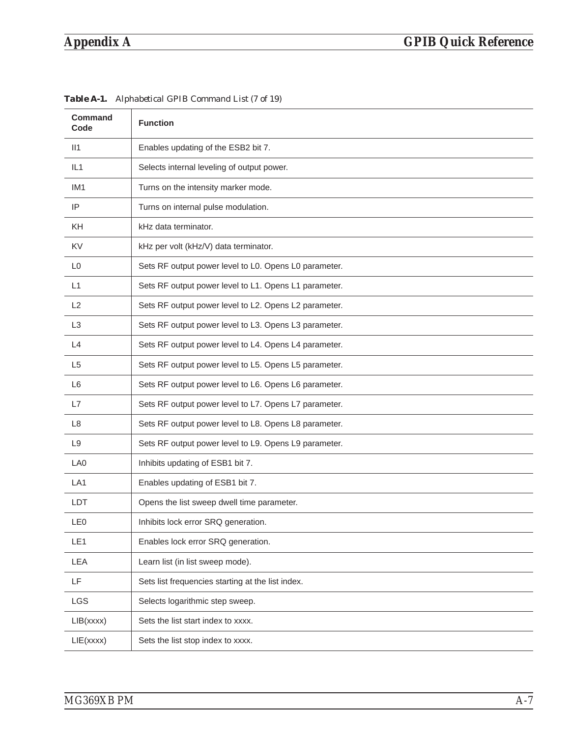| <b>Command</b><br>Code | <b>Function</b>                                       |
|------------------------|-------------------------------------------------------|
| II1                    | Enables updating of the ESB2 bit 7.                   |
| IL1                    | Selects internal leveling of output power.            |
| IM <sub>1</sub>        | Turns on the intensity marker mode.                   |
| IP                     | Turns on internal pulse modulation.                   |
| <b>KH</b>              | kHz data terminator.                                  |
| <b>KV</b>              | kHz per volt (kHz/V) data terminator.                 |
| L <sub>0</sub>         | Sets RF output power level to L0. Opens L0 parameter. |
| L1                     | Sets RF output power level to L1. Opens L1 parameter. |
| L2                     | Sets RF output power level to L2. Opens L2 parameter. |
| L <sub>3</sub>         | Sets RF output power level to L3. Opens L3 parameter. |
| L4                     | Sets RF output power level to L4. Opens L4 parameter. |
| L <sub>5</sub>         | Sets RF output power level to L5. Opens L5 parameter. |
| L <sub>6</sub>         | Sets RF output power level to L6. Opens L6 parameter. |
| L7                     | Sets RF output power level to L7. Opens L7 parameter. |
| L <sub>8</sub>         | Sets RF output power level to L8. Opens L8 parameter. |
| L <sub>9</sub>         | Sets RF output power level to L9. Opens L9 parameter. |
| LA0                    | Inhibits updating of ESB1 bit 7.                      |
| LA <sub>1</sub>        | Enables updating of ESB1 bit 7.                       |
| LDT                    | Opens the list sweep dwell time parameter.            |
| LE <sub>0</sub>        | Inhibits lock error SRQ generation.                   |
| LE1                    | Enables lock error SRQ generation.                    |
| LEA                    | Learn list (in list sweep mode).                      |
| LF                     | Sets list frequencies starting at the list index.     |
| LGS                    | Selects logarithmic step sweep.                       |
| LIB(xxxx)              | Sets the list start index to xxxx.                    |
| LIE(xxxx)              | Sets the list stop index to xxxx.                     |

*Table A-1. Alphabetical GPIB Command List (7 of 19)*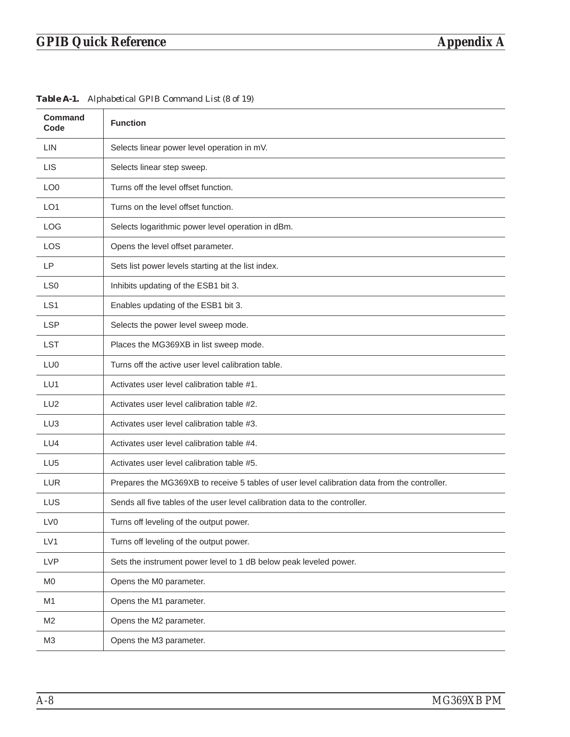| <b>Command</b><br>Code | <b>Function</b>                                                                              |
|------------------------|----------------------------------------------------------------------------------------------|
| <b>LIN</b>             | Selects linear power level operation in mV.                                                  |
| <b>LIS</b>             | Selects linear step sweep.                                                                   |
| LO <sub>0</sub>        | Turns off the level offset function.                                                         |
| LO <sub>1</sub>        | Turns on the level offset function.                                                          |
| <b>LOG</b>             | Selects logarithmic power level operation in dBm.                                            |
| <b>LOS</b>             | Opens the level offset parameter.                                                            |
| <b>LP</b>              | Sets list power levels starting at the list index.                                           |
| LS <sub>0</sub>        | Inhibits updating of the ESB1 bit 3.                                                         |
| LS <sub>1</sub>        | Enables updating of the ESB1 bit 3.                                                          |
| <b>LSP</b>             | Selects the power level sweep mode.                                                          |
| <b>LST</b>             | Places the MG369XB in list sweep mode.                                                       |
| LU <sub>0</sub>        | Turns off the active user level calibration table.                                           |
| LU1                    | Activates user level calibration table #1.                                                   |
| LU <sub>2</sub>        | Activates user level calibration table #2.                                                   |
| LU <sub>3</sub>        | Activates user level calibration table #3.                                                   |
| LU4                    | Activates user level calibration table #4.                                                   |
| LU <sub>5</sub>        | Activates user level calibration table #5.                                                   |
| <b>LUR</b>             | Prepares the MG369XB to receive 5 tables of user level calibration data from the controller. |
| LUS                    | Sends all five tables of the user level calibration data to the controller.                  |
| LV <sub>0</sub>        | Turns off leveling of the output power.                                                      |
| LV1                    | Turns off leveling of the output power.                                                      |
| <b>LVP</b>             | Sets the instrument power level to 1 dB below peak leveled power.                            |
| M <sub>0</sub>         | Opens the M0 parameter.                                                                      |
| M1                     | Opens the M1 parameter.                                                                      |
| M <sub>2</sub>         | Opens the M2 parameter.                                                                      |
| M <sub>3</sub>         | Opens the M3 parameter.                                                                      |

*Table A-1. Alphabetical GPIB Command List (8 of 19)*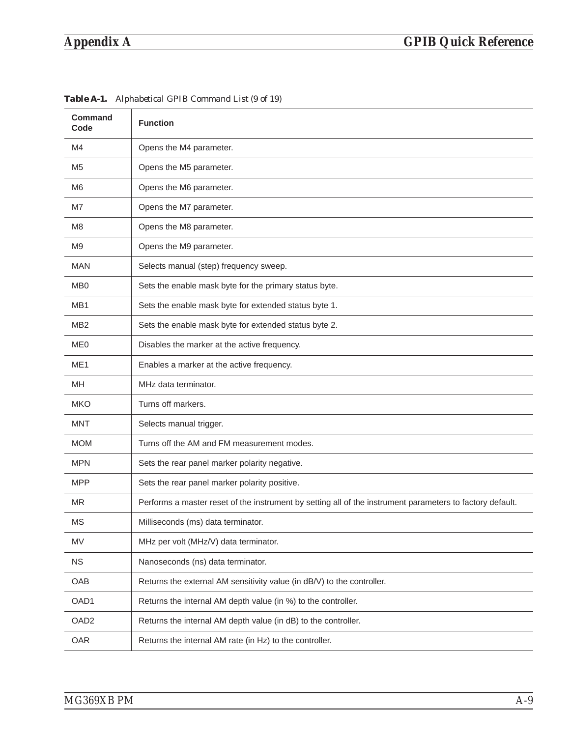| <b>Command</b><br>Code | <b>Function</b>                                                                                           |
|------------------------|-----------------------------------------------------------------------------------------------------------|
| M4                     | Opens the M4 parameter.                                                                                   |
| M <sub>5</sub>         | Opens the M5 parameter.                                                                                   |
| M <sub>6</sub>         | Opens the M6 parameter.                                                                                   |
| M7                     | Opens the M7 parameter.                                                                                   |
| M <sub>8</sub>         | Opens the M8 parameter.                                                                                   |
| M <sub>9</sub>         | Opens the M9 parameter.                                                                                   |
| <b>MAN</b>             | Selects manual (step) frequency sweep.                                                                    |
| M <sub>B</sub>         | Sets the enable mask byte for the primary status byte.                                                    |
| MB1                    | Sets the enable mask byte for extended status byte 1.                                                     |
| MB <sub>2</sub>        | Sets the enable mask byte for extended status byte 2.                                                     |
| ME <sub>0</sub>        | Disables the marker at the active frequency.                                                              |
| ME <sub>1</sub>        | Enables a marker at the active frequency.                                                                 |
| MН                     | MHz data terminator.                                                                                      |
| <b>MKO</b>             | Turns off markers.                                                                                        |
| <b>MNT</b>             | Selects manual trigger.                                                                                   |
| <b>MOM</b>             | Turns off the AM and FM measurement modes.                                                                |
| <b>MPN</b>             | Sets the rear panel marker polarity negative.                                                             |
| <b>MPP</b>             | Sets the rear panel marker polarity positive.                                                             |
| <b>MR</b>              | Performs a master reset of the instrument by setting all of the instrument parameters to factory default. |
| MS                     | Milliseconds (ms) data terminator.                                                                        |
| MV                     | MHz per volt (MHz/V) data terminator.                                                                     |
| <b>NS</b>              | Nanoseconds (ns) data terminator.                                                                         |
| OAB                    | Returns the external AM sensitivity value (in dB/V) to the controller.                                    |
| OAD1                   | Returns the internal AM depth value (in %) to the controller.                                             |
| OAD <sub>2</sub>       | Returns the internal AM depth value (in dB) to the controller.                                            |
| OAR                    | Returns the internal AM rate (in Hz) to the controller.                                                   |

*Table A-1. Alphabetical GPIB Command List (9 of 19)*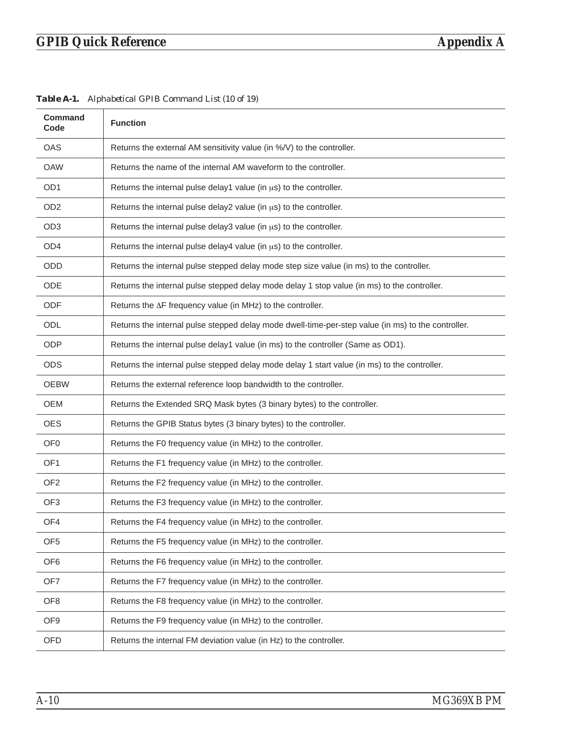| <b>Command</b><br>Code | <b>Function</b>                                                                                    |
|------------------------|----------------------------------------------------------------------------------------------------|
| OAS                    | Returns the external AM sensitivity value (in %/V) to the controller.                              |
| <b>OAW</b>             | Returns the name of the internal AM waveform to the controller.                                    |
| OD <sub>1</sub>        | Returns the internal pulse delay1 value (in $\mu s$ ) to the controller.                           |
| OD <sub>2</sub>        | Returns the internal pulse delay2 value (in us) to the controller.                                 |
| OD <sub>3</sub>        | Returns the internal pulse delay3 value (in us) to the controller.                                 |
| OD4                    | Returns the internal pulse delay4 value (in us) to the controller.                                 |
| <b>ODD</b>             | Returns the internal pulse stepped delay mode step size value (in ms) to the controller.           |
| ODE                    | Returns the internal pulse stepped delay mode delay 1 stop value (in ms) to the controller.        |
| ODF                    | Returns the $\Delta F$ frequency value (in MHz) to the controller.                                 |
| ODL                    | Returns the internal pulse stepped delay mode dwell-time-per-step value (in ms) to the controller. |
| <b>ODP</b>             | Returns the internal pulse delay1 value (in ms) to the controller (Same as OD1).                   |
| <b>ODS</b>             | Returns the internal pulse stepped delay mode delay 1 start value (in ms) to the controller.       |
| <b>OEBW</b>            | Returns the external reference loop bandwidth to the controller.                                   |
| OEM                    | Returns the Extended SRQ Mask bytes (3 binary bytes) to the controller.                            |
| <b>OES</b>             | Returns the GPIB Status bytes (3 binary bytes) to the controller.                                  |
| OF <sub>0</sub>        | Returns the F0 frequency value (in MHz) to the controller.                                         |
| OF <sub>1</sub>        | Returns the F1 frequency value (in MHz) to the controller.                                         |
| OF <sub>2</sub>        | Returns the F2 frequency value (in MHz) to the controller.                                         |
| OF <sub>3</sub>        | Returns the F3 frequency value (in MHz) to the controller.                                         |
| OF4                    | Returns the F4 frequency value (in MHz) to the controller.                                         |
| OF <sub>5</sub>        | Returns the F5 frequency value (in MHz) to the controller.                                         |
| OF <sub>6</sub>        | Returns the F6 frequency value (in MHz) to the controller.                                         |
| OF7                    | Returns the F7 frequency value (in MHz) to the controller.                                         |
| OF <sub>8</sub>        | Returns the F8 frequency value (in MHz) to the controller.                                         |
| OF <sub>9</sub>        | Returns the F9 frequency value (in MHz) to the controller.                                         |
| <b>OFD</b>             | Returns the internal FM deviation value (in Hz) to the controller.                                 |

*Table A-1. Alphabetical GPIB Command List (10 of 19)*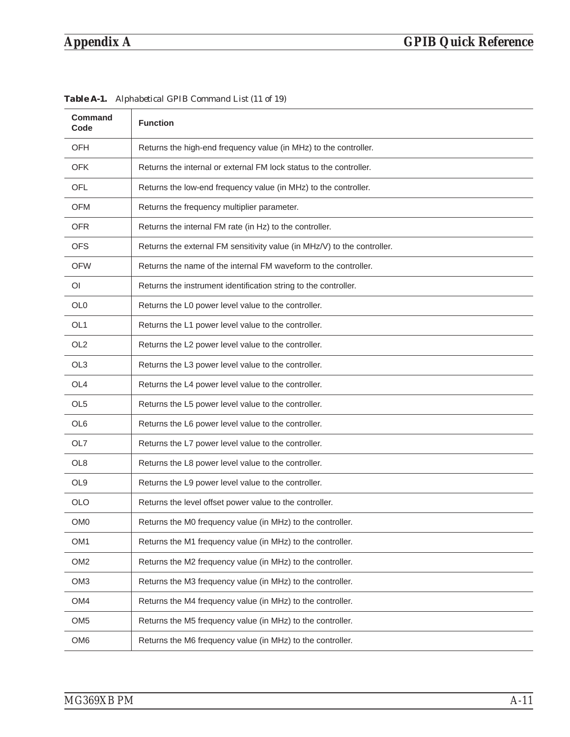| <b>Command</b><br>Code | <b>Function</b>                                                         |
|------------------------|-------------------------------------------------------------------------|
| <b>OFH</b>             | Returns the high-end frequency value (in MHz) to the controller.        |
| <b>OFK</b>             | Returns the internal or external FM lock status to the controller.      |
| <b>OFL</b>             | Returns the low-end frequency value (in MHz) to the controller.         |
| OFM                    | Returns the frequency multiplier parameter.                             |
| <b>OFR</b>             | Returns the internal FM rate (in Hz) to the controller.                 |
| <b>OFS</b>             | Returns the external FM sensitivity value (in MHz/V) to the controller. |
| <b>OFW</b>             | Returns the name of the internal FM waveform to the controller.         |
| OI.                    | Returns the instrument identification string to the controller.         |
| OL <sub>0</sub>        | Returns the L0 power level value to the controller.                     |
| OL <sub>1</sub>        | Returns the L1 power level value to the controller.                     |
| OL <sub>2</sub>        | Returns the L2 power level value to the controller.                     |
| OL <sub>3</sub>        | Returns the L3 power level value to the controller.                     |
| OL <sub>4</sub>        | Returns the L4 power level value to the controller.                     |
| OL <sub>5</sub>        | Returns the L5 power level value to the controller.                     |
| OL <sub>6</sub>        | Returns the L6 power level value to the controller.                     |
| OL7                    | Returns the L7 power level value to the controller.                     |
| OL <sub>8</sub>        | Returns the L8 power level value to the controller.                     |
| OL <sub>9</sub>        | Returns the L9 power level value to the controller.                     |
| <b>OLO</b>             | Returns the level offset power value to the controller.                 |
| OM0                    | Returns the M0 frequency value (in MHz) to the controller.              |
| OM <sub>1</sub>        | Returns the M1 frequency value (in MHz) to the controller.              |
| OM <sub>2</sub>        | Returns the M2 frequency value (in MHz) to the controller.              |
| OM <sub>3</sub>        | Returns the M3 frequency value (in MHz) to the controller.              |
| OM4                    | Returns the M4 frequency value (in MHz) to the controller.              |
| OM <sub>5</sub>        | Returns the M5 frequency value (in MHz) to the controller.              |
| OM <sub>6</sub>        | Returns the M6 frequency value (in MHz) to the controller.              |

*Table A-1. Alphabetical GPIB Command List (11 of 19)*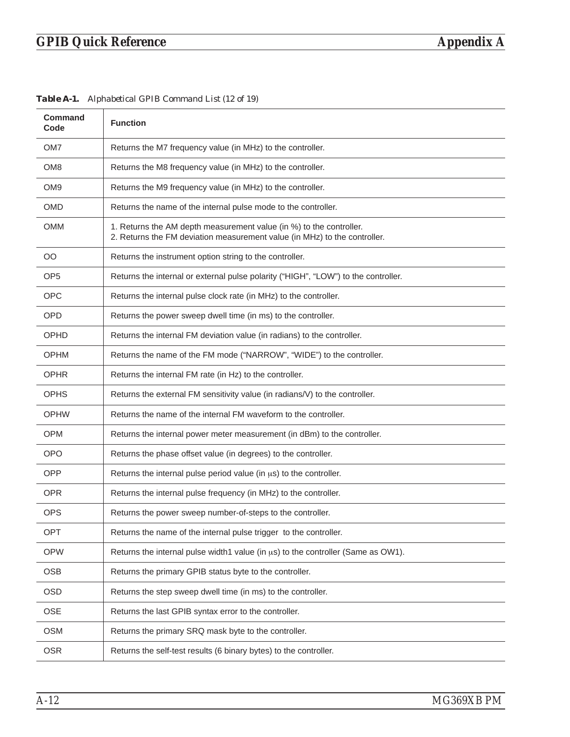| <b>Command</b><br>Code | <b>Function</b>                                                                                                                                  |
|------------------------|--------------------------------------------------------------------------------------------------------------------------------------------------|
| OM7                    | Returns the M7 frequency value (in MHz) to the controller.                                                                                       |
| OM <sub>8</sub>        | Returns the M8 frequency value (in MHz) to the controller.                                                                                       |
| OM <sub>9</sub>        | Returns the M9 frequency value (in MHz) to the controller.                                                                                       |
| <b>OMD</b>             | Returns the name of the internal pulse mode to the controller.                                                                                   |
| OMM                    | 1. Returns the AM depth measurement value (in %) to the controller.<br>2. Returns the FM deviation measurement value (in MHz) to the controller. |
| OO                     | Returns the instrument option string to the controller.                                                                                          |
| OP <sub>5</sub>        | Returns the internal or external pulse polarity ("HIGH", "LOW") to the controller.                                                               |
| <b>OPC</b>             | Returns the internal pulse clock rate (in MHz) to the controller.                                                                                |
| <b>OPD</b>             | Returns the power sweep dwell time (in ms) to the controller.                                                                                    |
| OPHD                   | Returns the internal FM deviation value (in radians) to the controller.                                                                          |
| <b>OPHM</b>            | Returns the name of the FM mode ("NARROW", "WIDE") to the controller.                                                                            |
| <b>OPHR</b>            | Returns the internal FM rate (in Hz) to the controller.                                                                                          |
| <b>OPHS</b>            | Returns the external FM sensitivity value (in radians/V) to the controller.                                                                      |
| <b>OPHW</b>            | Returns the name of the internal FM waveform to the controller.                                                                                  |
| <b>OPM</b>             | Returns the internal power meter measurement (in dBm) to the controller.                                                                         |
| <b>OPO</b>             | Returns the phase offset value (in degrees) to the controller.                                                                                   |
| <b>OPP</b>             | Returns the internal pulse period value (in $\mu s$ ) to the controller.                                                                         |
| <b>OPR</b>             | Returns the internal pulse frequency (in MHz) to the controller.                                                                                 |
| OPS                    | Returns the power sweep number-of-steps to the controller.                                                                                       |
| OPT                    | Returns the name of the internal pulse trigger to the controller.                                                                                |
| <b>OPW</b>             | Returns the internal pulse width1 value (in $\mu s$ ) to the controller (Same as OW1).                                                           |
| <b>OSB</b>             | Returns the primary GPIB status byte to the controller.                                                                                          |
| <b>OSD</b>             | Returns the step sweep dwell time (in ms) to the controller.                                                                                     |
| <b>OSE</b>             | Returns the last GPIB syntax error to the controller.                                                                                            |
| <b>OSM</b>             | Returns the primary SRQ mask byte to the controller.                                                                                             |
| <b>OSR</b>             | Returns the self-test results (6 binary bytes) to the controller.                                                                                |

*Table A-1. Alphabetical GPIB Command List (12 of 19)*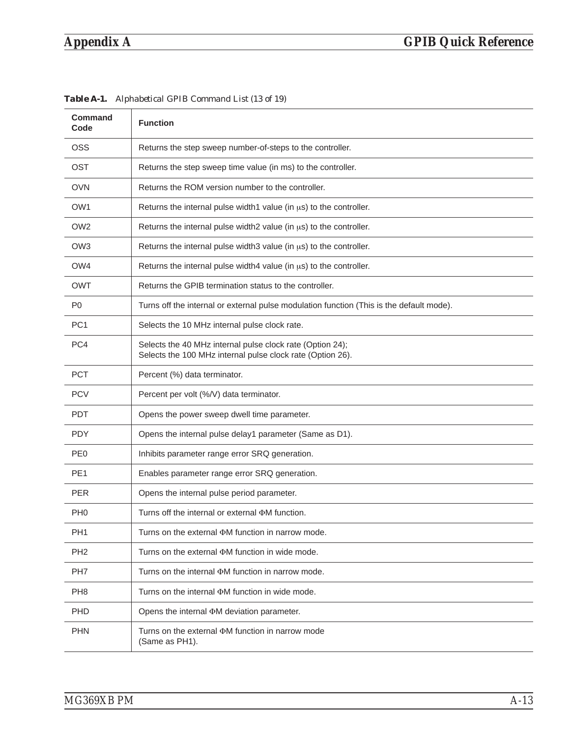| <b>Command</b><br>Code | <b>Function</b>                                                                                                         |
|------------------------|-------------------------------------------------------------------------------------------------------------------------|
| <b>OSS</b>             | Returns the step sweep number-of-steps to the controller.                                                               |
| <b>OST</b>             | Returns the step sweep time value (in ms) to the controller.                                                            |
| <b>OVN</b>             | Returns the ROM version number to the controller.                                                                       |
| OW <sub>1</sub>        | Returns the internal pulse width1 value (in us) to the controller.                                                      |
| OW <sub>2</sub>        | Returns the internal pulse width2 value (in us) to the controller.                                                      |
| OW <sub>3</sub>        | Returns the internal pulse width 3 value (in $\mu s$ ) to the controller.                                               |
| OW4                    | Returns the internal pulse width4 value (in us) to the controller.                                                      |
| OWT                    | Returns the GPIB termination status to the controller.                                                                  |
| P <sub>0</sub>         | Turns off the internal or external pulse modulation function (This is the default mode).                                |
| PC <sub>1</sub>        | Selects the 10 MHz internal pulse clock rate.                                                                           |
| PC4                    | Selects the 40 MHz internal pulse clock rate (Option 24);<br>Selects the 100 MHz internal pulse clock rate (Option 26). |
| <b>PCT</b>             | Percent (%) data terminator.                                                                                            |
| <b>PCV</b>             | Percent per volt (%/V) data terminator.                                                                                 |
| <b>PDT</b>             | Opens the power sweep dwell time parameter.                                                                             |
| <b>PDY</b>             | Opens the internal pulse delay1 parameter (Same as D1).                                                                 |
| PE <sub>0</sub>        | Inhibits parameter range error SRQ generation.                                                                          |
| PE <sub>1</sub>        | Enables parameter range error SRQ generation.                                                                           |
| <b>PER</b>             | Opens the internal pulse period parameter.                                                                              |
| PH <sub>0</sub>        | Turns off the internal or external $\Phi M$ function.                                                                   |
| PH <sub>1</sub>        | Turns on the external $\Phi M$ function in narrow mode.                                                                 |
| PH <sub>2</sub>        | Turns on the external $\Phi M$ function in wide mode.                                                                   |
| PH <sub>7</sub>        | Turns on the internal $\Phi M$ function in narrow mode.                                                                 |
| PH <sub>8</sub>        | Turns on the internal $\Phi M$ function in wide mode.                                                                   |
| <b>PHD</b>             | Opens the internal $\Phi M$ deviation parameter.                                                                        |
| <b>PHN</b>             | Turns on the external $\Phi M$ function in narrow mode<br>(Same as PH1).                                                |

*Table A-1. Alphabetical GPIB Command List (13 of 19)*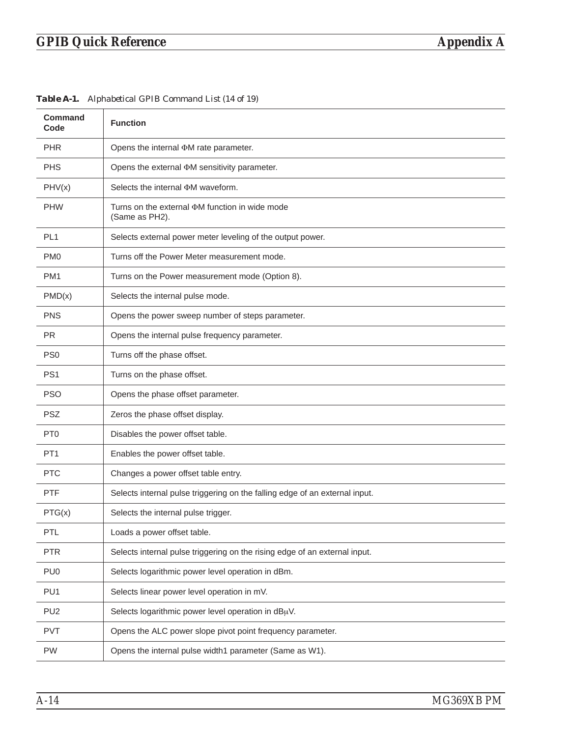| <b>Command</b><br>Code | <b>Function</b>                                                             |
|------------------------|-----------------------------------------------------------------------------|
| <b>PHR</b>             | Opens the internal $\Phi M$ rate parameter.                                 |
| <b>PHS</b>             | Opens the external $\Phi M$ sensitivity parameter.                          |
| PHV(x)                 | Selects the internal $\Phi$ M waveform.                                     |
| <b>PHW</b>             | Turns on the external $\Phi M$ function in wide mode<br>(Same as PH2).      |
| PL <sub>1</sub>        | Selects external power meter leveling of the output power.                  |
| PM <sub>0</sub>        | Turns off the Power Meter measurement mode.                                 |
| PM <sub>1</sub>        | Turns on the Power measurement mode (Option 8).                             |
| PMD(x)                 | Selects the internal pulse mode.                                            |
| <b>PNS</b>             | Opens the power sweep number of steps parameter.                            |
| <b>PR</b>              | Opens the internal pulse frequency parameter.                               |
| PS <sub>0</sub>        | Turns off the phase offset.                                                 |
| PS <sub>1</sub>        | Turns on the phase offset.                                                  |
| <b>PSO</b>             | Opens the phase offset parameter.                                           |
| <b>PSZ</b>             | Zeros the phase offset display.                                             |
| PT <sub>0</sub>        | Disables the power offset table.                                            |
| PT <sub>1</sub>        | Enables the power offset table.                                             |
| <b>PTC</b>             | Changes a power offset table entry.                                         |
| <b>PTF</b>             | Selects internal pulse triggering on the falling edge of an external input. |
| PTG(x)                 | Selects the internal pulse trigger.                                         |
| PTL                    | Loads a power offset table.                                                 |
| <b>PTR</b>             | Selects internal pulse triggering on the rising edge of an external input.  |
| PU <sub>0</sub>        | Selects logarithmic power level operation in dBm.                           |
| PU <sub>1</sub>        | Selects linear power level operation in mV.                                 |
| PU <sub>2</sub>        | Selects logarithmic power level operation in dBuV.                          |
| <b>PVT</b>             | Opens the ALC power slope pivot point frequency parameter.                  |
| PW                     | Opens the internal pulse width1 parameter (Same as W1).                     |

*Table A-1. Alphabetical GPIB Command List (14 of 19)*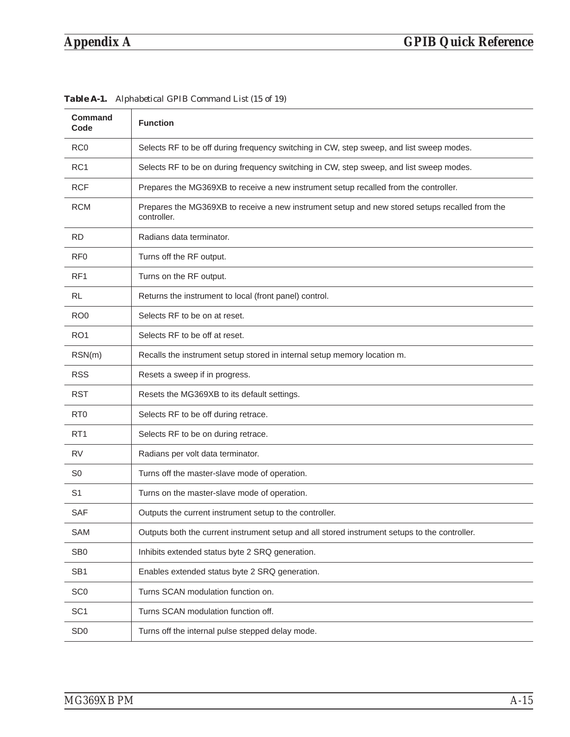| Command<br>Code | <b>Function</b>                                                                                               |
|-----------------|---------------------------------------------------------------------------------------------------------------|
| RC <sub>0</sub> | Selects RF to be off during frequency switching in CW, step sweep, and list sweep modes.                      |
| RC <sub>1</sub> | Selects RF to be on during frequency switching in CW, step sweep, and list sweep modes.                       |
| <b>RCF</b>      | Prepares the MG369XB to receive a new instrument setup recalled from the controller.                          |
| <b>RCM</b>      | Prepares the MG369XB to receive a new instrument setup and new stored setups recalled from the<br>controller. |
| <b>RD</b>       | Radians data terminator.                                                                                      |
| RF <sub>0</sub> | Turns off the RF output.                                                                                      |
| RF <sub>1</sub> | Turns on the RF output.                                                                                       |
| <b>RL</b>       | Returns the instrument to local (front panel) control.                                                        |
| RO <sub>0</sub> | Selects RF to be on at reset.                                                                                 |
| RO <sub>1</sub> | Selects RF to be off at reset.                                                                                |
| RSN(m)          | Recalls the instrument setup stored in internal setup memory location m.                                      |
| <b>RSS</b>      | Resets a sweep if in progress.                                                                                |
| <b>RST</b>      | Resets the MG369XB to its default settings.                                                                   |
| R <sub>T0</sub> | Selects RF to be off during retrace.                                                                          |
| RT <sub>1</sub> | Selects RF to be on during retrace.                                                                           |
| <b>RV</b>       | Radians per volt data terminator.                                                                             |
| S <sub>0</sub>  | Turns off the master-slave mode of operation.                                                                 |
| S <sub>1</sub>  | Turns on the master-slave mode of operation.                                                                  |
| <b>SAF</b>      | Outputs the current instrument setup to the controller.                                                       |
| SAM             | Outputs both the current instrument setup and all stored instrument setups to the controller.                 |
| SB <sub>0</sub> | Inhibits extended status byte 2 SRQ generation.                                                               |
| SB <sub>1</sub> | Enables extended status byte 2 SRQ generation.                                                                |
| SC <sub>0</sub> | Turns SCAN modulation function on.                                                                            |
| SC <sub>1</sub> | Turns SCAN modulation function off.                                                                           |
| SD <sub>0</sub> | Turns off the internal pulse stepped delay mode.                                                              |

*Table A-1. Alphabetical GPIB Command List (15 of 19)*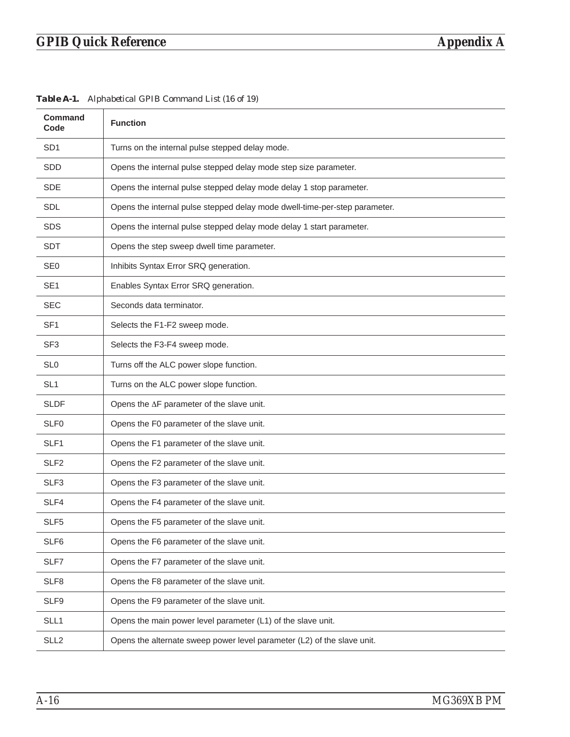| <b>Command</b><br>Code | <b>Function</b>                                                            |
|------------------------|----------------------------------------------------------------------------|
| SD <sub>1</sub>        | Turns on the internal pulse stepped delay mode.                            |
| SDD                    | Opens the internal pulse stepped delay mode step size parameter.           |
| <b>SDE</b>             | Opens the internal pulse stepped delay mode delay 1 stop parameter.        |
| SDL                    | Opens the internal pulse stepped delay mode dwell-time-per-step parameter. |
| <b>SDS</b>             | Opens the internal pulse stepped delay mode delay 1 start parameter.       |
| <b>SDT</b>             | Opens the step sweep dwell time parameter.                                 |
| SE <sub>0</sub>        | Inhibits Syntax Error SRQ generation.                                      |
| SE <sub>1</sub>        | Enables Syntax Error SRQ generation.                                       |
| <b>SEC</b>             | Seconds data terminator.                                                   |
| SF <sub>1</sub>        | Selects the F1-F2 sweep mode.                                              |
| SF <sub>3</sub>        | Selects the F3-F4 sweep mode.                                              |
| SL <sub>0</sub>        | Turns off the ALC power slope function.                                    |
| SL <sub>1</sub>        | Turns on the ALC power slope function.                                     |
| <b>SLDF</b>            | Opens the $\Delta F$ parameter of the slave unit.                          |
| SLF <sub>0</sub>       | Opens the F0 parameter of the slave unit.                                  |
| SLF1                   | Opens the F1 parameter of the slave unit.                                  |
| SLF <sub>2</sub>       | Opens the F2 parameter of the slave unit.                                  |
| SLF3                   | Opens the F3 parameter of the slave unit.                                  |
| SLF4                   | Opens the F4 parameter of the slave unit.                                  |
| SLF <sub>5</sub>       | Opens the F5 parameter of the slave unit.                                  |
| SLF6                   | Opens the F6 parameter of the slave unit.                                  |
| SLF7                   | Opens the F7 parameter of the slave unit.                                  |
| SLF8                   | Opens the F8 parameter of the slave unit.                                  |
| SLF9                   | Opens the F9 parameter of the slave unit.                                  |
| SLL1                   | Opens the main power level parameter (L1) of the slave unit.               |
| SLL <sub>2</sub>       | Opens the alternate sweep power level parameter (L2) of the slave unit.    |

*Table A-1. Alphabetical GPIB Command List (16 of 19)*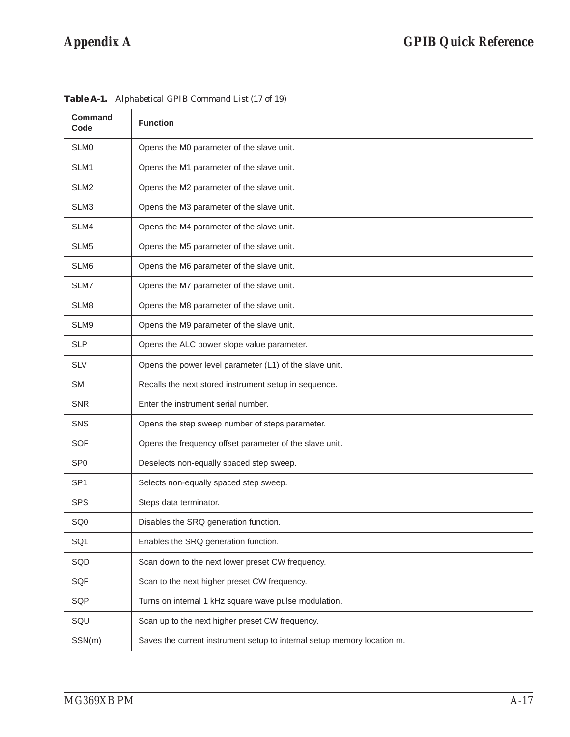| <b>Command</b><br>Code | <b>Function</b>                                                         |
|------------------------|-------------------------------------------------------------------------|
| SLM <sub>0</sub>       | Opens the M0 parameter of the slave unit.                               |
| SLM1                   | Opens the M1 parameter of the slave unit.                               |
| SLM <sub>2</sub>       | Opens the M2 parameter of the slave unit.                               |
| SLM3                   | Opens the M3 parameter of the slave unit.                               |
| SLM4                   | Opens the M4 parameter of the slave unit.                               |
| SLM <sub>5</sub>       | Opens the M5 parameter of the slave unit.                               |
| SLM <sub>6</sub>       | Opens the M6 parameter of the slave unit.                               |
| SLM7                   | Opens the M7 parameter of the slave unit.                               |
| SLM <sub>8</sub>       | Opens the M8 parameter of the slave unit.                               |
| SLM9                   | Opens the M9 parameter of the slave unit.                               |
| <b>SLP</b>             | Opens the ALC power slope value parameter.                              |
| <b>SLV</b>             | Opens the power level parameter (L1) of the slave unit.                 |
| <b>SM</b>              | Recalls the next stored instrument setup in sequence.                   |
| <b>SNR</b>             | Enter the instrument serial number.                                     |
| <b>SNS</b>             | Opens the step sweep number of steps parameter.                         |
| <b>SOF</b>             | Opens the frequency offset parameter of the slave unit.                 |
| SP <sub>0</sub>        | Deselects non-equally spaced step sweep.                                |
| SP <sub>1</sub>        | Selects non-equally spaced step sweep.                                  |
| <b>SPS</b>             | Steps data terminator.                                                  |
| SQ <sub>0</sub>        | Disables the SRQ generation function.                                   |
| SQ1                    | Enables the SRQ generation function.                                    |
| SQD                    | Scan down to the next lower preset CW frequency.                        |
| <b>SQF</b>             | Scan to the next higher preset CW frequency.                            |
| SQP                    | Turns on internal 1 kHz square wave pulse modulation.                   |
| SQU                    | Scan up to the next higher preset CW frequency.                         |
| SSN(m)                 | Saves the current instrument setup to internal setup memory location m. |

*Table A-1. Alphabetical GPIB Command List (17 of 19)*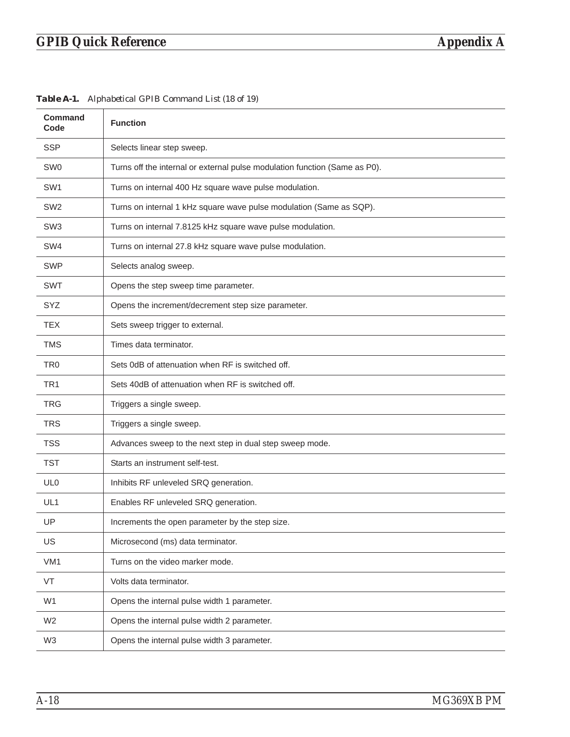| <b>Command</b><br>Code | <b>Function</b>                                                            |
|------------------------|----------------------------------------------------------------------------|
| <b>SSP</b>             | Selects linear step sweep.                                                 |
| SW <sub>0</sub>        | Turns off the internal or external pulse modulation function (Same as P0). |
| SW <sub>1</sub>        | Turns on internal 400 Hz square wave pulse modulation.                     |
| SW <sub>2</sub>        | Turns on internal 1 kHz square wave pulse modulation (Same as SQP).        |
| SW <sub>3</sub>        | Turns on internal 7.8125 kHz square wave pulse modulation.                 |
| SW <sub>4</sub>        | Turns on internal 27.8 kHz square wave pulse modulation.                   |
| <b>SWP</b>             | Selects analog sweep.                                                      |
| <b>SWT</b>             | Opens the step sweep time parameter.                                       |
| SYZ                    | Opens the increment/decrement step size parameter.                         |
| <b>TEX</b>             | Sets sweep trigger to external.                                            |
| <b>TMS</b>             | Times data terminator.                                                     |
| TR <sub>0</sub>        | Sets 0dB of attenuation when RF is switched off.                           |
| TR <sub>1</sub>        | Sets 40dB of attenuation when RF is switched off.                          |
| <b>TRG</b>             | Triggers a single sweep.                                                   |
| <b>TRS</b>             | Triggers a single sweep.                                                   |
| <b>TSS</b>             | Advances sweep to the next step in dual step sweep mode.                   |
| <b>TST</b>             | Starts an instrument self-test.                                            |
| UL <sub>0</sub>        | Inhibits RF unleveled SRQ generation.                                      |
| UL <sub>1</sub>        | Enables RF unleveled SRQ generation.                                       |
| UP                     | Increments the open parameter by the step size.                            |
| US                     | Microsecond (ms) data terminator.                                          |
| VM1                    | Turns on the video marker mode.                                            |
| VT                     | Volts data terminator.                                                     |
| W <sub>1</sub>         | Opens the internal pulse width 1 parameter.                                |
| W <sub>2</sub>         | Opens the internal pulse width 2 parameter.                                |
| W3                     | Opens the internal pulse width 3 parameter.                                |

*Table A-1. Alphabetical GPIB Command List (18 of 19)*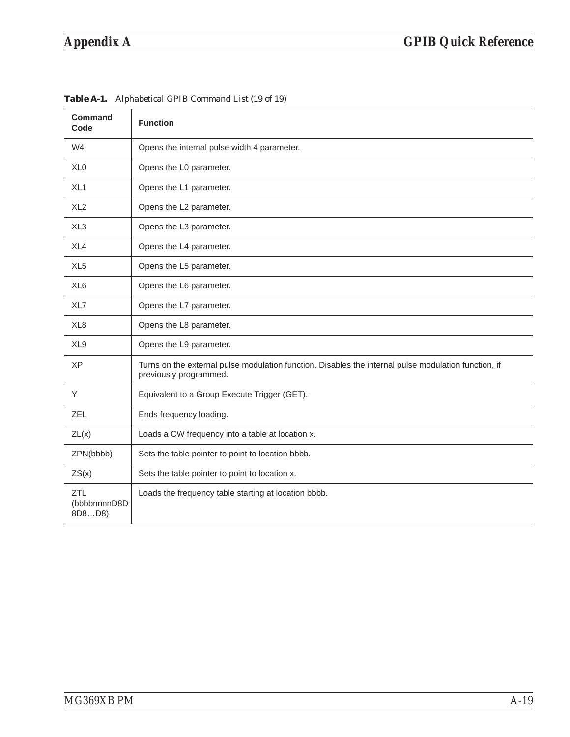| Command<br>Code               | <b>Function</b>                                                                                                                |
|-------------------------------|--------------------------------------------------------------------------------------------------------------------------------|
| W <sub>4</sub>                | Opens the internal pulse width 4 parameter.                                                                                    |
| XL <sub>0</sub>               | Opens the L0 parameter.                                                                                                        |
| XL <sub>1</sub>               | Opens the L1 parameter.                                                                                                        |
| XL <sub>2</sub>               | Opens the L2 parameter.                                                                                                        |
| XL <sub>3</sub>               | Opens the L3 parameter.                                                                                                        |
| XL4                           | Opens the L4 parameter.                                                                                                        |
| XL <sub>5</sub>               | Opens the L5 parameter.                                                                                                        |
| XL <sub>6</sub>               | Opens the L6 parameter.                                                                                                        |
| XL7                           | Opens the L7 parameter.                                                                                                        |
| XL <sub>8</sub>               | Opens the L8 parameter.                                                                                                        |
| XL <sub>9</sub>               | Opens the L9 parameter.                                                                                                        |
| <b>XP</b>                     | Turns on the external pulse modulation function. Disables the internal pulse modulation function, if<br>previously programmed. |
| Y                             | Equivalent to a Group Execute Trigger (GET).                                                                                   |
| <b>ZEL</b>                    | Ends frequency loading.                                                                                                        |
| ZL(x)                         | Loads a CW frequency into a table at location x.                                                                               |
| ZPN(bbbb)                     | Sets the table pointer to point to location bbbb.                                                                              |
| ZS(x)                         | Sets the table pointer to point to location x.                                                                                 |
| ZTL<br>(bbbbnnnnD8D<br>8D8D8) | Loads the frequency table starting at location bbbb.                                                                           |

*Table A-1. Alphabetical GPIB Command List (19 of 19)*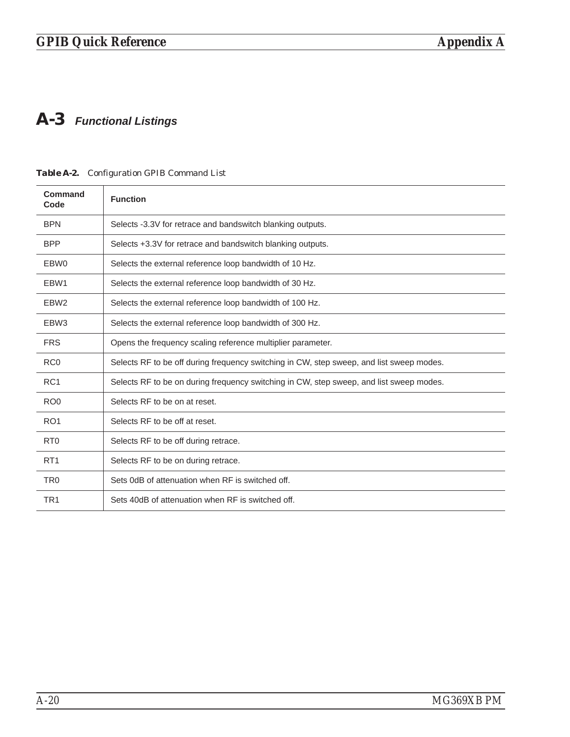### <span id="page-267-0"></span>*A-3 Functional Listings*

| Command<br>Code  | <b>Function</b>                                                                          |  |
|------------------|------------------------------------------------------------------------------------------|--|
| <b>BPN</b>       | Selects -3.3V for retrace and bandswitch blanking outputs.                               |  |
| <b>BPP</b>       | Selects +3.3V for retrace and bandswitch blanking outputs.                               |  |
| EBW0             | Selects the external reference loop bandwidth of 10 Hz.                                  |  |
| EBW1             | Selects the external reference loop bandwidth of 30 Hz.                                  |  |
| EBW <sub>2</sub> | Selects the external reference loop bandwidth of 100 Hz.                                 |  |
| EBW <sub>3</sub> | Selects the external reference loop bandwidth of 300 Hz.                                 |  |
| <b>FRS</b>       | Opens the frequency scaling reference multiplier parameter.                              |  |
| RC <sub>0</sub>  | Selects RF to be off during frequency switching in CW, step sweep, and list sweep modes. |  |
| RC <sub>1</sub>  | Selects RF to be on during frequency switching in CW, step sweep, and list sweep modes.  |  |
| RO <sub>0</sub>  | Selects RF to be on at reset.                                                            |  |
| RO <sub>1</sub>  | Selects RF to be off at reset.                                                           |  |
| R <sub>T0</sub>  | Selects RF to be off during retrace.                                                     |  |
| RT <sub>1</sub>  | Selects RF to be on during retrace.                                                      |  |
| TR <sub>0</sub>  | Sets 0dB of attenuation when RF is switched off.                                         |  |
| TR <sub>1</sub>  | Sets 40dB of attenuation when RF is switched off.                                        |  |

### *Table [A](#page-267-0)-2. Configuration GPIB Command List*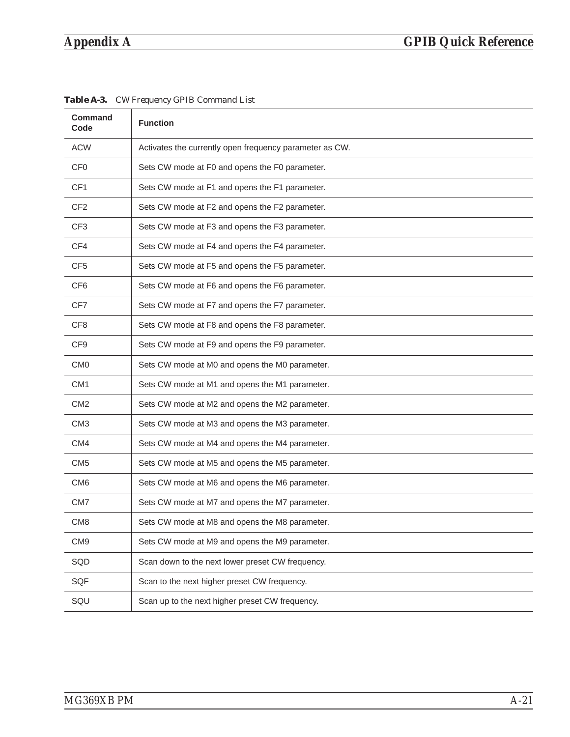| <b>Command</b><br>Code | <b>Function</b>                                         |
|------------------------|---------------------------------------------------------|
| <b>ACW</b>             | Activates the currently open frequency parameter as CW. |
| CF <sub>0</sub>        | Sets CW mode at F0 and opens the F0 parameter.          |
| CF <sub>1</sub>        | Sets CW mode at F1 and opens the F1 parameter.          |
| CF <sub>2</sub>        | Sets CW mode at F2 and opens the F2 parameter.          |
| CF <sub>3</sub>        | Sets CW mode at F3 and opens the F3 parameter.          |
| CF4                    | Sets CW mode at F4 and opens the F4 parameter.          |
| CF <sub>5</sub>        | Sets CW mode at F5 and opens the F5 parameter.          |
| CF <sub>6</sub>        | Sets CW mode at F6 and opens the F6 parameter.          |
| CF7                    | Sets CW mode at F7 and opens the F7 parameter.          |
| CF <sub>8</sub>        | Sets CW mode at F8 and opens the F8 parameter.          |
| CF <sub>9</sub>        | Sets CW mode at F9 and opens the F9 parameter.          |
| CM <sub>0</sub>        | Sets CW mode at M0 and opens the M0 parameter.          |
| CM <sub>1</sub>        | Sets CW mode at M1 and opens the M1 parameter.          |
| CM <sub>2</sub>        | Sets CW mode at M2 and opens the M2 parameter.          |
| CM <sub>3</sub>        | Sets CW mode at M3 and opens the M3 parameter.          |
| CM4                    | Sets CW mode at M4 and opens the M4 parameter.          |
| CM <sub>5</sub>        | Sets CW mode at M5 and opens the M5 parameter.          |
| CM <sub>6</sub>        | Sets CW mode at M6 and opens the M6 parameter.          |
| CM <sub>7</sub>        | Sets CW mode at M7 and opens the M7 parameter.          |
| CM <sub>8</sub>        | Sets CW mode at M8 and opens the M8 parameter.          |
| CM <sub>9</sub>        | Sets CW mode at M9 and opens the M9 parameter.          |
| SQD                    | Scan down to the next lower preset CW frequency.        |
| SQF                    | Scan to the next higher preset CW frequency.            |
| SQU                    | Scan up to the next higher preset CW frequency.         |

*Table A-3. CW Frequency GPIB Command List*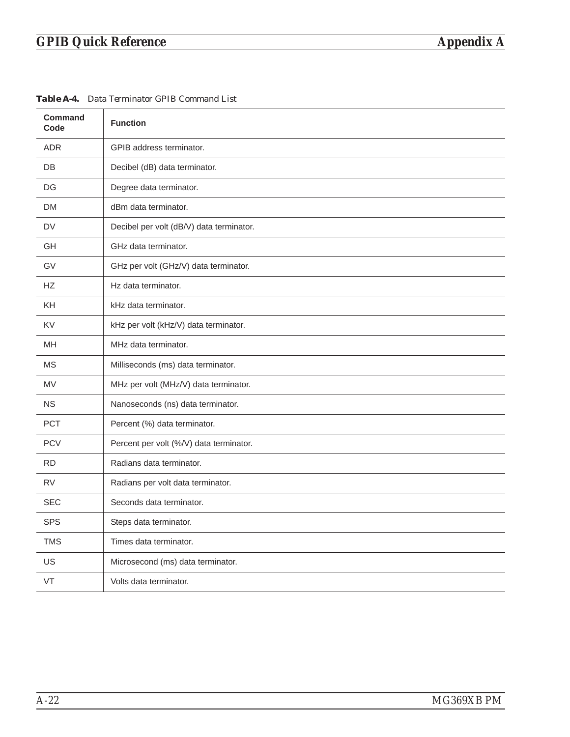| Command<br>Code | <b>Function</b>                          |
|-----------------|------------------------------------------|
| <b>ADR</b>      | GPIB address terminator.                 |
| DB              | Decibel (dB) data terminator.            |
| DG              | Degree data terminator.                  |
| <b>DM</b>       | dBm data terminator.                     |
| <b>DV</b>       | Decibel per volt (dB/V) data terminator. |
| GH              | GHz data terminator.                     |
| GV              | GHz per volt (GHz/V) data terminator.    |
| <b>HZ</b>       | Hz data terminator.                      |
| KH              | kHz data terminator.                     |
| <b>KV</b>       | kHz per volt (kHz/V) data terminator.    |
| MH              | MHz data terminator.                     |
| <b>MS</b>       | Milliseconds (ms) data terminator.       |
| <b>MV</b>       | MHz per volt (MHz/V) data terminator.    |
| <b>NS</b>       | Nanoseconds (ns) data terminator.        |
| <b>PCT</b>      | Percent (%) data terminator.             |
| <b>PCV</b>      | Percent per volt (%/V) data terminator.  |
| <b>RD</b>       | Radians data terminator.                 |
| <b>RV</b>       | Radians per volt data terminator.        |
| <b>SEC</b>      | Seconds data terminator.                 |
| <b>SPS</b>      | Steps data terminator.                   |
| <b>TMS</b>      | Times data terminator.                   |
| US              | Microsecond (ms) data terminator.        |
| VT              | Volts data terminator.                   |

*Table A-4. Data Terminator GPIB Command List*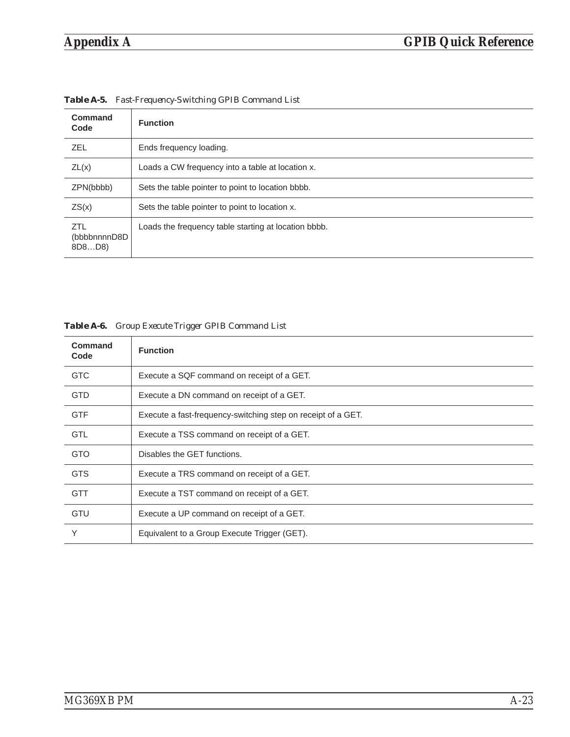| Command<br>Code                      | <b>Function</b>                                      |
|--------------------------------------|------------------------------------------------------|
| <b>ZEL</b>                           | Ends frequency loading.                              |
| ZL(x)                                | Loads a CW frequency into a table at location x.     |
| ZPN(bbbb)                            | Sets the table pointer to point to location bbbb.    |
| ZS(x)                                | Sets the table pointer to point to location x.       |
| <b>ZTL</b><br>(bbbbnnnnD8D<br>8D8D8) | Loads the frequency table starting at location bbbb. |

*Table A-5. Fast-Frequency-Switching GPIB Command List*

|  | Table A-6. Group Execute Trigger GPIB Command List |
|--|----------------------------------------------------|
|  |                                                    |

| Command<br>Code | <b>Function</b>                                              |
|-----------------|--------------------------------------------------------------|
| <b>GTC</b>      | Execute a SQF command on receipt of a GET.                   |
| <b>GTD</b>      | Execute a DN command on receipt of a GET.                    |
| <b>GTF</b>      | Execute a fast-frequency-switching step on receipt of a GET. |
| <b>GTL</b>      | Execute a TSS command on receipt of a GET.                   |
| <b>GTO</b>      | Disables the GET functions.                                  |
| <b>GTS</b>      | Execute a TRS command on receipt of a GET.                   |
| <b>GTT</b>      | Execute a TST command on receipt of a GET.                   |
| <b>GTU</b>      | Execute a UP command on receipt of a GET.                    |
| Υ               | Equivalent to a Group Execute Trigger (GET).                 |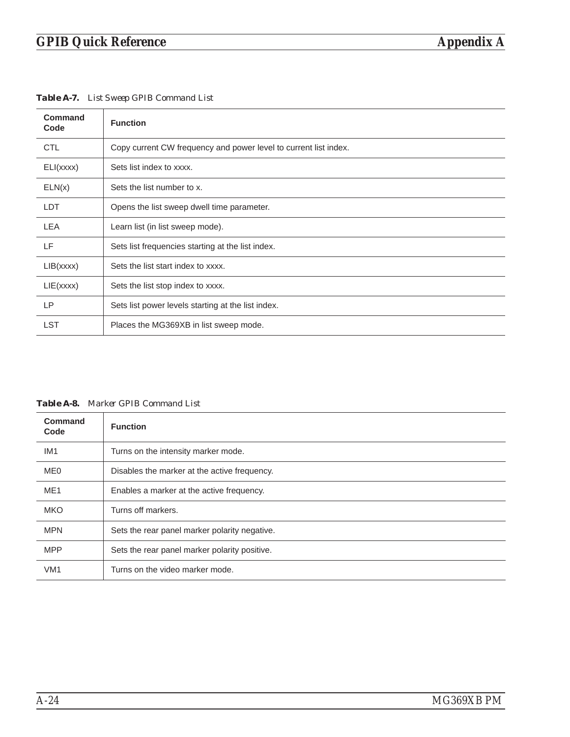T

*Table A-7. List Sweep GPIB Command List*

| <b>Function</b>                                                  |
|------------------------------------------------------------------|
| Copy current CW frequency and power level to current list index. |
| Sets list index to xxxx.                                         |
| Sets the list number to x.                                       |
| Opens the list sweep dwell time parameter.                       |
| Learn list (in list sweep mode).                                 |
| Sets list frequencies starting at the list index.                |
| Sets the list start index to xxxx.                               |
| Sets the list stop index to xxxx.                                |
| Sets list power levels starting at the list index.               |
| Places the MG369XB in list sweep mode.                           |
|                                                                  |

*Table A-8. Marker GPIB Command List*

| Command<br>Code | <b>Function</b>                               |
|-----------------|-----------------------------------------------|
| IM <sub>1</sub> | Turns on the intensity marker mode.           |
| ME <sub>0</sub> | Disables the marker at the active frequency.  |
| ME <sub>1</sub> | Enables a marker at the active frequency.     |
| <b>MKO</b>      | Turns off markers.                            |
| <b>MPN</b>      | Sets the rear panel marker polarity negative. |
| <b>MPP</b>      | Sets the rear panel marker polarity positive. |
| VM <sub>1</sub> | Turns on the video marker mode.               |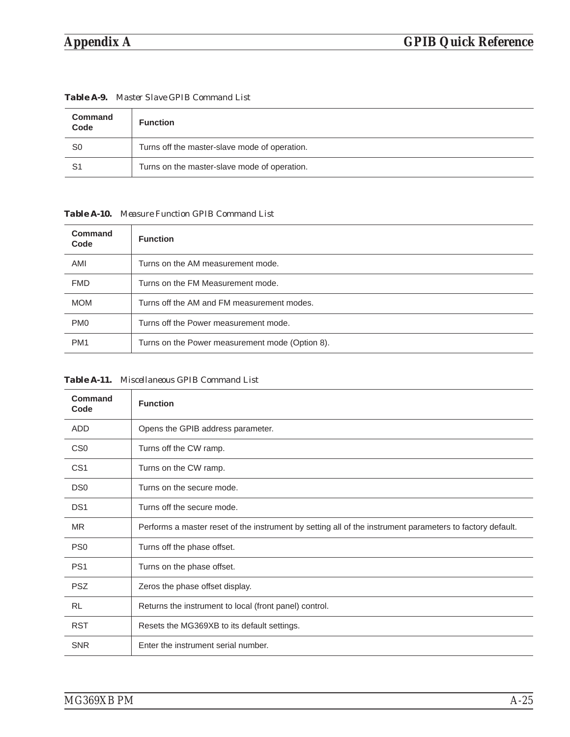| <b>Command</b><br>Code | <b>Function</b>                               |
|------------------------|-----------------------------------------------|
| S0                     | Turns off the master-slave mode of operation. |
| S1                     | Turns on the master-slave mode of operation.  |

*Table A-9. Master Slave GPIB Command List*

*Table A-10. Measure Function GPIB Command List*

| Command<br>Code | <b>Function</b>                                 |
|-----------------|-------------------------------------------------|
| AMI             | Turns on the AM measurement mode.               |
| <b>FMD</b>      | Turns on the FM Measurement mode.               |
| <b>MOM</b>      | Turns off the AM and FM measurement modes.      |
| PM <sub>0</sub> | Turns off the Power measurement mode.           |
| PM <sub>1</sub> | Turns on the Power measurement mode (Option 8). |

*Table A-11. Miscellaneous GPIB Command List*

| Command<br>Code | <b>Function</b>                                                                                           |
|-----------------|-----------------------------------------------------------------------------------------------------------|
| <b>ADD</b>      | Opens the GPIB address parameter.                                                                         |
| CS <sub>0</sub> | Turns off the CW ramp.                                                                                    |
| CS <sub>1</sub> | Turns on the CW ramp.                                                                                     |
| DS <sub>0</sub> | Turns on the secure mode.                                                                                 |
| DS <sub>1</sub> | Turns off the secure mode.                                                                                |
| <b>MR</b>       | Performs a master reset of the instrument by setting all of the instrument parameters to factory default. |
| PS <sub>0</sub> | Turns off the phase offset.                                                                               |
| PS <sub>1</sub> | Turns on the phase offset.                                                                                |
| <b>PSZ</b>      | Zeros the phase offset display.                                                                           |
| <b>RL</b>       | Returns the instrument to local (front panel) control.                                                    |
| <b>RST</b>      | Resets the MG369XB to its default settings.                                                               |
| <b>SNR</b>      | Enter the instrument serial number.                                                                       |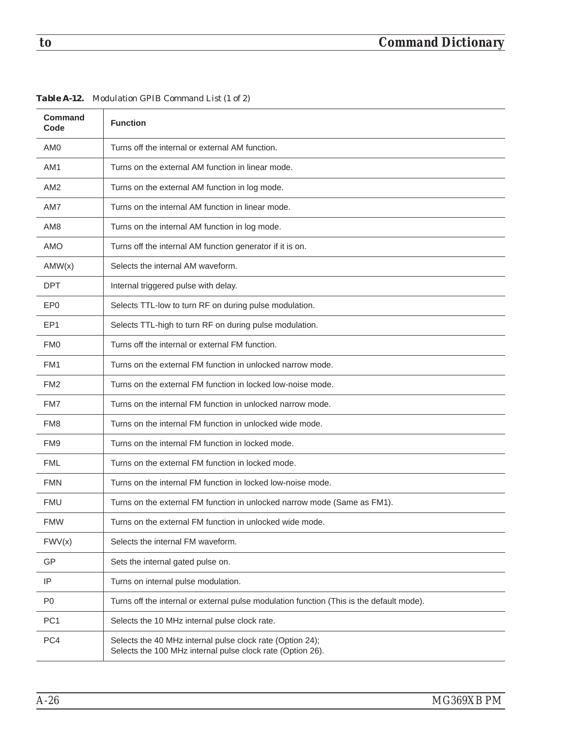| <b>Command</b><br>Code | <b>Function</b>                                                                                                         |
|------------------------|-------------------------------------------------------------------------------------------------------------------------|
| AM <sub>0</sub>        | Turns off the internal or external AM function.                                                                         |
| AM1                    | Turns on the external AM function in linear mode.                                                                       |
| AM <sub>2</sub>        | Turns on the external AM function in log mode.                                                                          |
| AM7                    | Turns on the internal AM function in linear mode.                                                                       |
| AM8                    | Turns on the internal AM function in log mode.                                                                          |
| <b>AMO</b>             | Turns off the internal AM function generator if it is on.                                                               |
| AMW(x)                 | Selects the internal AM waveform.                                                                                       |
| <b>DPT</b>             | Internal triggered pulse with delay.                                                                                    |
| EP <sub>0</sub>        | Selects TTL-low to turn RF on during pulse modulation.                                                                  |
| EP1                    | Selects TTL-high to turn RF on during pulse modulation.                                                                 |
| FM <sub>0</sub>        | Turns off the internal or external FM function.                                                                         |
| FM1                    | Turns on the external FM function in unlocked narrow mode.                                                              |
| FM <sub>2</sub>        | Turns on the external FM function in locked low-noise mode.                                                             |
| FM7                    | Turns on the internal FM function in unlocked narrow mode.                                                              |
| FM <sub>8</sub>        | Turns on the internal FM function in unlocked wide mode.                                                                |
| FM9                    | Turns on the internal FM function in locked mode.                                                                       |
| <b>FML</b>             | Turns on the external FM function in locked mode.                                                                       |
| <b>FMN</b>             | Turns on the internal FM function in locked low-noise mode.                                                             |
| <b>FMU</b>             | Turns on the external FM function in unlocked narrow mode (Same as FM1).                                                |
| <b>FMW</b>             | Turns on the external FM function in unlocked wide mode.                                                                |
| FWV(x)                 | Selects the internal FM waveform.                                                                                       |
| <b>GP</b>              | Sets the internal gated pulse on.                                                                                       |
| IP                     | Turns on internal pulse modulation.                                                                                     |
| P <sub>0</sub>         | Turns off the internal or external pulse modulation function (This is the default mode).                                |
| PC <sub>1</sub>        | Selects the 10 MHz internal pulse clock rate.                                                                           |
| PC4                    | Selects the 40 MHz internal pulse clock rate (Option 24);<br>Selects the 100 MHz internal pulse clock rate (Option 26). |
|                        |                                                                                                                         |

*Table A-12. Modulation GPIB Command List (1 of 2)*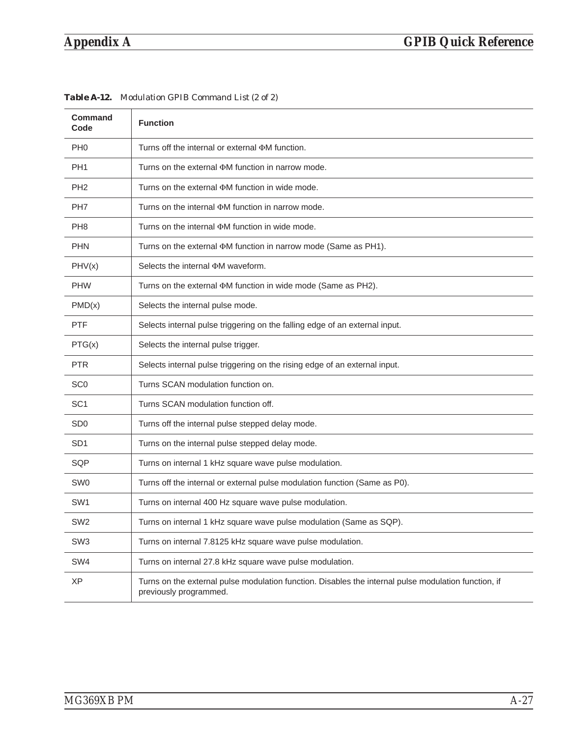| <b>Command</b><br>Code      | <b>Function</b>                                                                                                                |
|-----------------------------|--------------------------------------------------------------------------------------------------------------------------------|
| PH <sub>0</sub>             | Turns off the internal or external $\Phi M$ function.                                                                          |
| PH <sub>1</sub>             | Turns on the external $\Phi$ M function in narrow mode.                                                                        |
| PH <sub>2</sub>             | Turns on the external $\Phi M$ function in wide mode.                                                                          |
| PH <sub>7</sub>             | Turns on the internal $\Phi M$ function in narrow mode.                                                                        |
| PH <sub>8</sub>             | Turns on the internal $\Phi M$ function in wide mode.                                                                          |
| <b>PHN</b>                  | Turns on the external $\Phi M$ function in narrow mode (Same as PH1).                                                          |
| PHV(x)                      | Selects the internal $\Phi$ M waveform.                                                                                        |
| <b>PHW</b>                  | Turns on the external $\Phi M$ function in wide mode (Same as PH2).                                                            |
| PMD(x)                      | Selects the internal pulse mode.                                                                                               |
| <b>PTF</b>                  | Selects internal pulse triggering on the falling edge of an external input.                                                    |
| PTG(x)                      | Selects the internal pulse trigger.                                                                                            |
| <b>PTR</b>                  | Selects internal pulse triggering on the rising edge of an external input.                                                     |
| SC <sub>0</sub>             | Turns SCAN modulation function on.                                                                                             |
| SC <sub>1</sub>             | Turns SCAN modulation function off.                                                                                            |
| S <sub>D</sub> <sub>0</sub> | Turns off the internal pulse stepped delay mode.                                                                               |
| SD <sub>1</sub>             | Turns on the internal pulse stepped delay mode.                                                                                |
| SQP                         | Turns on internal 1 kHz square wave pulse modulation.                                                                          |
| SW <sub>0</sub>             | Turns off the internal or external pulse modulation function (Same as P0).                                                     |
| SW <sub>1</sub>             | Turns on internal 400 Hz square wave pulse modulation.                                                                         |
| SW <sub>2</sub>             | Turns on internal 1 kHz square wave pulse modulation (Same as SQP).                                                            |
| SW <sub>3</sub>             | Turns on internal 7.8125 kHz square wave pulse modulation.                                                                     |
| SW4                         | Turns on internal 27.8 kHz square wave pulse modulation.                                                                       |
| <b>XP</b>                   | Turns on the external pulse modulation function. Disables the internal pulse modulation function, if<br>previously programmed. |

*Table A-12. Modulation GPIB Command List (2 of 2)*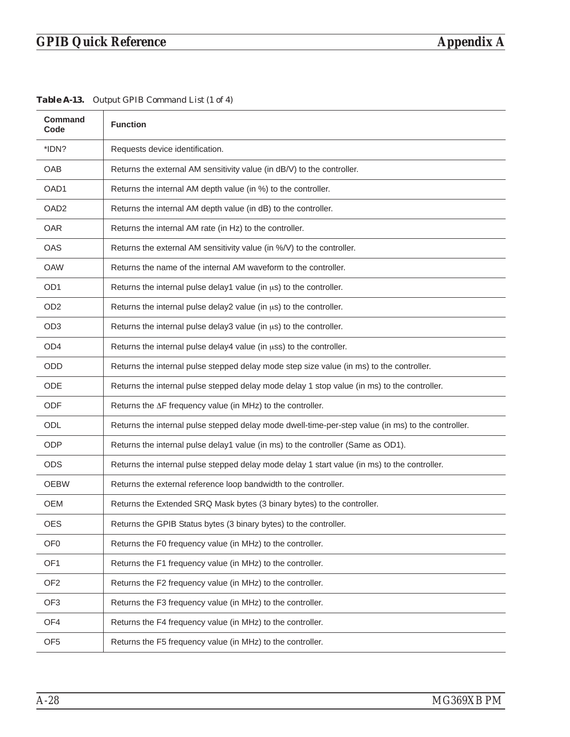| Table A-13. Output GPIB Command List (1 of 4) |  |  |  |
|-----------------------------------------------|--|--|--|
|                                               |  |  |  |

| <b>Command</b><br>Code | <b>Function</b>                                                                                    |
|------------------------|----------------------------------------------------------------------------------------------------|
| *IDN?                  | Requests device identification.                                                                    |
| OAB                    | Returns the external AM sensitivity value (in dB/V) to the controller.                             |
| OAD1                   | Returns the internal AM depth value (in %) to the controller.                                      |
| OAD <sub>2</sub>       | Returns the internal AM depth value (in dB) to the controller.                                     |
| <b>OAR</b>             | Returns the internal AM rate (in Hz) to the controller.                                            |
| <b>OAS</b>             | Returns the external AM sensitivity value (in %/V) to the controller.                              |
| <b>OAW</b>             | Returns the name of the internal AM waveform to the controller.                                    |
| OD <sub>1</sub>        | Returns the internal pulse delay1 value (in us) to the controller.                                 |
| OD <sub>2</sub>        | Returns the internal pulse delay2 value (in $\mu s$ ) to the controller.                           |
| OD <sub>3</sub>        | Returns the internal pulse delay3 value (in us) to the controller.                                 |
| OD <sub>4</sub>        | Returns the internal pulse delay4 value (in uss) to the controller.                                |
| <b>ODD</b>             | Returns the internal pulse stepped delay mode step size value (in ms) to the controller.           |
| <b>ODE</b>             | Returns the internal pulse stepped delay mode delay 1 stop value (in ms) to the controller.        |
| <b>ODF</b>             | Returns the $\Delta F$ frequency value (in MHz) to the controller.                                 |
| ODL                    | Returns the internal pulse stepped delay mode dwell-time-per-step value (in ms) to the controller. |
| <b>ODP</b>             | Returns the internal pulse delay1 value (in ms) to the controller (Same as OD1).                   |
| <b>ODS</b>             | Returns the internal pulse stepped delay mode delay 1 start value (in ms) to the controller.       |
| <b>OEBW</b>            | Returns the external reference loop bandwidth to the controller.                                   |
| OEM                    | Returns the Extended SRQ Mask bytes (3 binary bytes) to the controller.                            |
| <b>OES</b>             | Returns the GPIB Status bytes (3 binary bytes) to the controller.                                  |
| OF <sub>0</sub>        | Returns the F0 frequency value (in MHz) to the controller.                                         |
| OF <sub>1</sub>        | Returns the F1 frequency value (in MHz) to the controller.                                         |
| OF <sub>2</sub>        | Returns the F2 frequency value (in MHz) to the controller.                                         |
| OF <sub>3</sub>        | Returns the F3 frequency value (in MHz) to the controller.                                         |
| OF4                    | Returns the F4 frequency value (in MHz) to the controller.                                         |
| OF <sub>5</sub>        | Returns the F5 frequency value (in MHz) to the controller.                                         |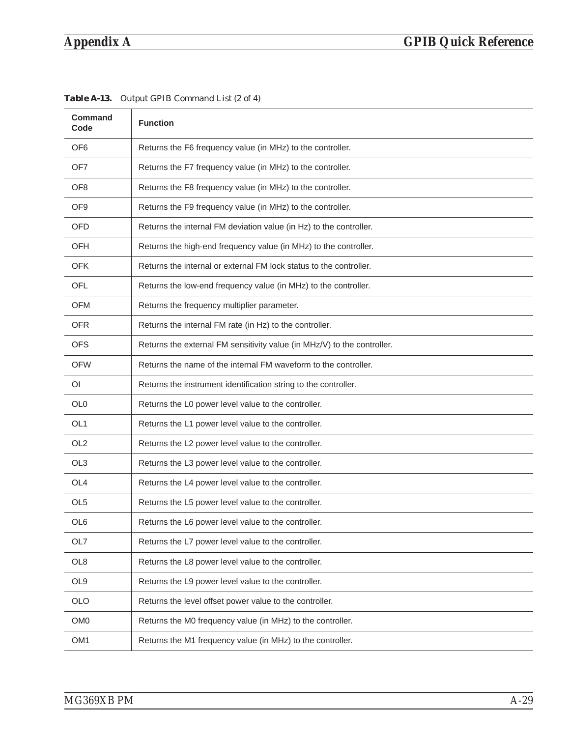### *Appendix A GPIB Quick Reference*

| OF <sub>6</sub><br>Returns the F6 frequency value (in MHz) to the controller.<br>OF <sub>7</sub><br>Returns the F7 frequency value (in MHz) to the controller.<br>Returns the F8 frequency value (in MHz) to the controller.<br>OF <sub>8</sub><br>Returns the F9 frequency value (in MHz) to the controller.<br>OF <sub>9</sub><br><b>OFD</b><br>Returns the internal FM deviation value (in Hz) to the controller.<br><b>OFH</b><br>Returns the high-end frequency value (in MHz) to the controller.<br><b>OFK</b><br>Returns the internal or external FM lock status to the controller.<br>Returns the low-end frequency value (in MHz) to the controller.<br>OFL<br>Returns the frequency multiplier parameter.<br><b>OFM</b><br><b>OFR</b><br>Returns the internal FM rate (in Hz) to the controller.<br><b>OFS</b><br>Returns the external FM sensitivity value (in MHz/V) to the controller.<br>Returns the name of the internal FM waveform to the controller.<br><b>OFW</b><br>Returns the instrument identification string to the controller.<br>ΟI<br>Returns the L0 power level value to the controller.<br>OL <sub>0</sub><br>OL <sub>1</sub><br>Returns the L1 power level value to the controller.<br>OL <sub>2</sub><br>Returns the L2 power level value to the controller.<br>OL <sub>3</sub><br>Returns the L3 power level value to the controller.<br>OL <sub>4</sub><br>Returns the L4 power level value to the controller.<br>OL <sub>5</sub><br>Returns the L5 power level value to the controller.<br>OL6<br>Returns the L6 power level value to the controller.<br>OL7<br>Returns the L7 power level value to the controller.<br>Returns the L8 power level value to the controller.<br>OL <sub>8</sub><br>OL <sub>9</sub><br>Returns the L9 power level value to the controller.<br><b>OLO</b><br>Returns the level offset power value to the controller.<br>OM <sub>0</sub><br>Returns the M0 frequency value (in MHz) to the controller.<br>OM <sub>1</sub><br>Returns the M1 frequency value (in MHz) to the controller. | Command<br>Code | <b>Function</b> |
|------------------------------------------------------------------------------------------------------------------------------------------------------------------------------------------------------------------------------------------------------------------------------------------------------------------------------------------------------------------------------------------------------------------------------------------------------------------------------------------------------------------------------------------------------------------------------------------------------------------------------------------------------------------------------------------------------------------------------------------------------------------------------------------------------------------------------------------------------------------------------------------------------------------------------------------------------------------------------------------------------------------------------------------------------------------------------------------------------------------------------------------------------------------------------------------------------------------------------------------------------------------------------------------------------------------------------------------------------------------------------------------------------------------------------------------------------------------------------------------------------------------------------------------------------------------------------------------------------------------------------------------------------------------------------------------------------------------------------------------------------------------------------------------------------------------------------------------------------------------------------------------------------------------------------------------------------------------------------------------------------------------------------------------------------|-----------------|-----------------|
|                                                                                                                                                                                                                                                                                                                                                                                                                                                                                                                                                                                                                                                                                                                                                                                                                                                                                                                                                                                                                                                                                                                                                                                                                                                                                                                                                                                                                                                                                                                                                                                                                                                                                                                                                                                                                                                                                                                                                                                                                                                      |                 |                 |
|                                                                                                                                                                                                                                                                                                                                                                                                                                                                                                                                                                                                                                                                                                                                                                                                                                                                                                                                                                                                                                                                                                                                                                                                                                                                                                                                                                                                                                                                                                                                                                                                                                                                                                                                                                                                                                                                                                                                                                                                                                                      |                 |                 |
|                                                                                                                                                                                                                                                                                                                                                                                                                                                                                                                                                                                                                                                                                                                                                                                                                                                                                                                                                                                                                                                                                                                                                                                                                                                                                                                                                                                                                                                                                                                                                                                                                                                                                                                                                                                                                                                                                                                                                                                                                                                      |                 |                 |
|                                                                                                                                                                                                                                                                                                                                                                                                                                                                                                                                                                                                                                                                                                                                                                                                                                                                                                                                                                                                                                                                                                                                                                                                                                                                                                                                                                                                                                                                                                                                                                                                                                                                                                                                                                                                                                                                                                                                                                                                                                                      |                 |                 |
|                                                                                                                                                                                                                                                                                                                                                                                                                                                                                                                                                                                                                                                                                                                                                                                                                                                                                                                                                                                                                                                                                                                                                                                                                                                                                                                                                                                                                                                                                                                                                                                                                                                                                                                                                                                                                                                                                                                                                                                                                                                      |                 |                 |
|                                                                                                                                                                                                                                                                                                                                                                                                                                                                                                                                                                                                                                                                                                                                                                                                                                                                                                                                                                                                                                                                                                                                                                                                                                                                                                                                                                                                                                                                                                                                                                                                                                                                                                                                                                                                                                                                                                                                                                                                                                                      |                 |                 |
|                                                                                                                                                                                                                                                                                                                                                                                                                                                                                                                                                                                                                                                                                                                                                                                                                                                                                                                                                                                                                                                                                                                                                                                                                                                                                                                                                                                                                                                                                                                                                                                                                                                                                                                                                                                                                                                                                                                                                                                                                                                      |                 |                 |
|                                                                                                                                                                                                                                                                                                                                                                                                                                                                                                                                                                                                                                                                                                                                                                                                                                                                                                                                                                                                                                                                                                                                                                                                                                                                                                                                                                                                                                                                                                                                                                                                                                                                                                                                                                                                                                                                                                                                                                                                                                                      |                 |                 |
|                                                                                                                                                                                                                                                                                                                                                                                                                                                                                                                                                                                                                                                                                                                                                                                                                                                                                                                                                                                                                                                                                                                                                                                                                                                                                                                                                                                                                                                                                                                                                                                                                                                                                                                                                                                                                                                                                                                                                                                                                                                      |                 |                 |
|                                                                                                                                                                                                                                                                                                                                                                                                                                                                                                                                                                                                                                                                                                                                                                                                                                                                                                                                                                                                                                                                                                                                                                                                                                                                                                                                                                                                                                                                                                                                                                                                                                                                                                                                                                                                                                                                                                                                                                                                                                                      |                 |                 |
|                                                                                                                                                                                                                                                                                                                                                                                                                                                                                                                                                                                                                                                                                                                                                                                                                                                                                                                                                                                                                                                                                                                                                                                                                                                                                                                                                                                                                                                                                                                                                                                                                                                                                                                                                                                                                                                                                                                                                                                                                                                      |                 |                 |
|                                                                                                                                                                                                                                                                                                                                                                                                                                                                                                                                                                                                                                                                                                                                                                                                                                                                                                                                                                                                                                                                                                                                                                                                                                                                                                                                                                                                                                                                                                                                                                                                                                                                                                                                                                                                                                                                                                                                                                                                                                                      |                 |                 |
|                                                                                                                                                                                                                                                                                                                                                                                                                                                                                                                                                                                                                                                                                                                                                                                                                                                                                                                                                                                                                                                                                                                                                                                                                                                                                                                                                                                                                                                                                                                                                                                                                                                                                                                                                                                                                                                                                                                                                                                                                                                      |                 |                 |
|                                                                                                                                                                                                                                                                                                                                                                                                                                                                                                                                                                                                                                                                                                                                                                                                                                                                                                                                                                                                                                                                                                                                                                                                                                                                                                                                                                                                                                                                                                                                                                                                                                                                                                                                                                                                                                                                                                                                                                                                                                                      |                 |                 |
|                                                                                                                                                                                                                                                                                                                                                                                                                                                                                                                                                                                                                                                                                                                                                                                                                                                                                                                                                                                                                                                                                                                                                                                                                                                                                                                                                                                                                                                                                                                                                                                                                                                                                                                                                                                                                                                                                                                                                                                                                                                      |                 |                 |
|                                                                                                                                                                                                                                                                                                                                                                                                                                                                                                                                                                                                                                                                                                                                                                                                                                                                                                                                                                                                                                                                                                                                                                                                                                                                                                                                                                                                                                                                                                                                                                                                                                                                                                                                                                                                                                                                                                                                                                                                                                                      |                 |                 |
|                                                                                                                                                                                                                                                                                                                                                                                                                                                                                                                                                                                                                                                                                                                                                                                                                                                                                                                                                                                                                                                                                                                                                                                                                                                                                                                                                                                                                                                                                                                                                                                                                                                                                                                                                                                                                                                                                                                                                                                                                                                      |                 |                 |
|                                                                                                                                                                                                                                                                                                                                                                                                                                                                                                                                                                                                                                                                                                                                                                                                                                                                                                                                                                                                                                                                                                                                                                                                                                                                                                                                                                                                                                                                                                                                                                                                                                                                                                                                                                                                                                                                                                                                                                                                                                                      |                 |                 |
|                                                                                                                                                                                                                                                                                                                                                                                                                                                                                                                                                                                                                                                                                                                                                                                                                                                                                                                                                                                                                                                                                                                                                                                                                                                                                                                                                                                                                                                                                                                                                                                                                                                                                                                                                                                                                                                                                                                                                                                                                                                      |                 |                 |
|                                                                                                                                                                                                                                                                                                                                                                                                                                                                                                                                                                                                                                                                                                                                                                                                                                                                                                                                                                                                                                                                                                                                                                                                                                                                                                                                                                                                                                                                                                                                                                                                                                                                                                                                                                                                                                                                                                                                                                                                                                                      |                 |                 |
|                                                                                                                                                                                                                                                                                                                                                                                                                                                                                                                                                                                                                                                                                                                                                                                                                                                                                                                                                                                                                                                                                                                                                                                                                                                                                                                                                                                                                                                                                                                                                                                                                                                                                                                                                                                                                                                                                                                                                                                                                                                      |                 |                 |
|                                                                                                                                                                                                                                                                                                                                                                                                                                                                                                                                                                                                                                                                                                                                                                                                                                                                                                                                                                                                                                                                                                                                                                                                                                                                                                                                                                                                                                                                                                                                                                                                                                                                                                                                                                                                                                                                                                                                                                                                                                                      |                 |                 |
|                                                                                                                                                                                                                                                                                                                                                                                                                                                                                                                                                                                                                                                                                                                                                                                                                                                                                                                                                                                                                                                                                                                                                                                                                                                                                                                                                                                                                                                                                                                                                                                                                                                                                                                                                                                                                                                                                                                                                                                                                                                      |                 |                 |
|                                                                                                                                                                                                                                                                                                                                                                                                                                                                                                                                                                                                                                                                                                                                                                                                                                                                                                                                                                                                                                                                                                                                                                                                                                                                                                                                                                                                                                                                                                                                                                                                                                                                                                                                                                                                                                                                                                                                                                                                                                                      |                 |                 |
|                                                                                                                                                                                                                                                                                                                                                                                                                                                                                                                                                                                                                                                                                                                                                                                                                                                                                                                                                                                                                                                                                                                                                                                                                                                                                                                                                                                                                                                                                                                                                                                                                                                                                                                                                                                                                                                                                                                                                                                                                                                      |                 |                 |
|                                                                                                                                                                                                                                                                                                                                                                                                                                                                                                                                                                                                                                                                                                                                                                                                                                                                                                                                                                                                                                                                                                                                                                                                                                                                                                                                                                                                                                                                                                                                                                                                                                                                                                                                                                                                                                                                                                                                                                                                                                                      |                 |                 |

*Table A-13. Output GPIB Command List (2 of 4)*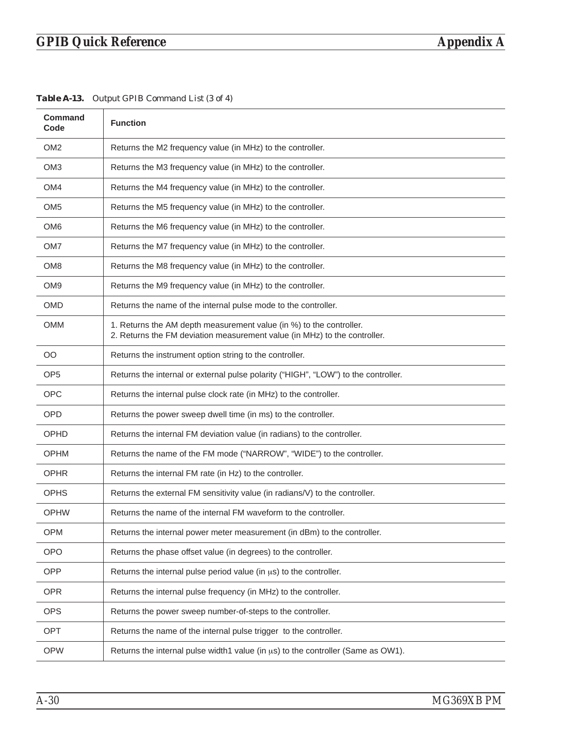| <b>Command</b><br>Code | <b>Function</b>                                                                                                                                  |
|------------------------|--------------------------------------------------------------------------------------------------------------------------------------------------|
| OM <sub>2</sub>        | Returns the M2 frequency value (in MHz) to the controller.                                                                                       |
| OM <sub>3</sub>        | Returns the M3 frequency value (in MHz) to the controller.                                                                                       |
| OM4                    | Returns the M4 frequency value (in MHz) to the controller.                                                                                       |
| OM <sub>5</sub>        | Returns the M5 frequency value (in MHz) to the controller.                                                                                       |
| OM <sub>6</sub>        | Returns the M6 frequency value (in MHz) to the controller.                                                                                       |
| OM7                    | Returns the M7 frequency value (in MHz) to the controller.                                                                                       |
| OM <sub>8</sub>        | Returns the M8 frequency value (in MHz) to the controller.                                                                                       |
| OM9                    | Returns the M9 frequency value (in MHz) to the controller.                                                                                       |
| OMD                    | Returns the name of the internal pulse mode to the controller.                                                                                   |
| OMM                    | 1. Returns the AM depth measurement value (in %) to the controller.<br>2. Returns the FM deviation measurement value (in MHz) to the controller. |
| <b>OO</b>              | Returns the instrument option string to the controller.                                                                                          |
| OP <sub>5</sub>        | Returns the internal or external pulse polarity ("HIGH", "LOW") to the controller.                                                               |
| <b>OPC</b>             | Returns the internal pulse clock rate (in MHz) to the controller.                                                                                |
| <b>OPD</b>             | Returns the power sweep dwell time (in ms) to the controller.                                                                                    |
| <b>OPHD</b>            | Returns the internal FM deviation value (in radians) to the controller.                                                                          |
| <b>OPHM</b>            | Returns the name of the FM mode ("NARROW", "WIDE") to the controller.                                                                            |
| <b>OPHR</b>            | Returns the internal FM rate (in Hz) to the controller.                                                                                          |
| <b>OPHS</b>            | Returns the external FM sensitivity value (in radians/V) to the controller.                                                                      |
| <b>OPHW</b>            | Returns the name of the internal FM waveform to the controller.                                                                                  |
| <b>OPM</b>             | Returns the internal power meter measurement (in dBm) to the controller.                                                                         |
| <b>OPO</b>             | Returns the phase offset value (in degrees) to the controller.                                                                                   |
| OPP                    | Returns the internal pulse period value (in $\mu s$ ) to the controller.                                                                         |
| <b>OPR</b>             | Returns the internal pulse frequency (in MHz) to the controller.                                                                                 |
| <b>OPS</b>             | Returns the power sweep number-of-steps to the controller.                                                                                       |
| <b>OPT</b>             | Returns the name of the internal pulse trigger to the controller.                                                                                |
| <b>OPW</b>             | Returns the internal pulse width1 value (in $\mu s$ ) to the controller (Same as OW1).                                                           |

*Table A-13. Output GPIB Command List (3 of 4)*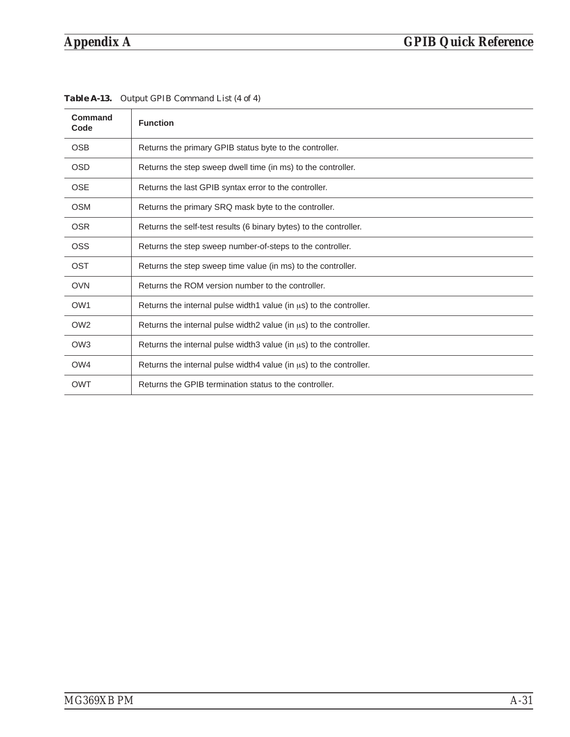| Command<br>Code | <b>Function</b>                                                          |
|-----------------|--------------------------------------------------------------------------|
| <b>OSB</b>      | Returns the primary GPIB status byte to the controller.                  |
| <b>OSD</b>      | Returns the step sweep dwell time (in ms) to the controller.             |
| <b>OSE</b>      | Returns the last GPIB syntax error to the controller.                    |
| <b>OSM</b>      | Returns the primary SRQ mask byte to the controller.                     |
| <b>OSR</b>      | Returns the self-test results (6 binary bytes) to the controller.        |
| OSS             | Returns the step sweep number-of-steps to the controller.                |
| OST             | Returns the step sweep time value (in ms) to the controller.             |
| <b>OVN</b>      | Returns the ROM version number to the controller.                        |
| OW <sub>1</sub> | Returns the internal pulse width1 value (in us) to the controller.       |
| OW <sub>2</sub> | Returns the internal pulse width 2 value (in $\mu$ s) to the controller. |
| OW <sub>3</sub> | Returns the internal pulse width 3 value (in $\mu$ s) to the controller. |
| OW4             | Returns the internal pulse width 4 value (in $\mu$ s) to the controller. |
| <b>OWT</b>      | Returns the GPIB termination status to the controller.                   |

*Table A-13. Output GPIB Command List (4 of 4)*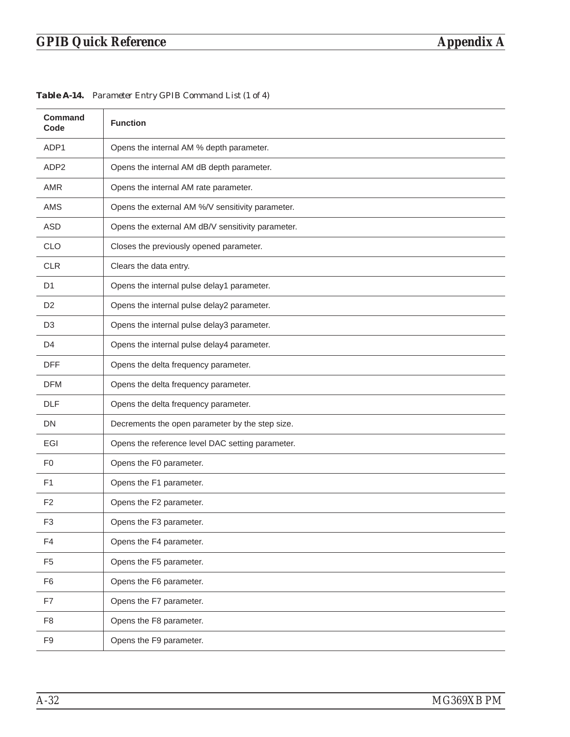| <b>Command</b><br>Code | <b>Function</b>                                   |
|------------------------|---------------------------------------------------|
| ADP1                   | Opens the internal AM % depth parameter.          |
| ADP <sub>2</sub>       | Opens the internal AM dB depth parameter.         |
| <b>AMR</b>             | Opens the internal AM rate parameter.             |
| <b>AMS</b>             | Opens the external AM %/V sensitivity parameter.  |
| <b>ASD</b>             | Opens the external AM dB/V sensitivity parameter. |
| <b>CLO</b>             | Closes the previously opened parameter.           |
| <b>CLR</b>             | Clears the data entry.                            |
| D <sub>1</sub>         | Opens the internal pulse delay1 parameter.        |
| D <sub>2</sub>         | Opens the internal pulse delay2 parameter.        |
| D <sub>3</sub>         | Opens the internal pulse delay3 parameter.        |
| D <sub>4</sub>         | Opens the internal pulse delay4 parameter.        |
| <b>DFF</b>             | Opens the delta frequency parameter.              |
| <b>DFM</b>             | Opens the delta frequency parameter.              |
| <b>DLF</b>             | Opens the delta frequency parameter.              |
| DN                     | Decrements the open parameter by the step size.   |
| EGI                    | Opens the reference level DAC setting parameter.  |
| F <sub>0</sub>         | Opens the F0 parameter.                           |
| F <sub>1</sub>         | Opens the F1 parameter.                           |
| F <sub>2</sub>         | Opens the F2 parameter.                           |
| F <sub>3</sub>         | Opens the F3 parameter.                           |
| F4                     | Opens the F4 parameter.                           |
| F <sub>5</sub>         | Opens the F5 parameter.                           |
| F6                     | Opens the F6 parameter.                           |
| F7                     | Opens the F7 parameter.                           |
| F <sub>8</sub>         | Opens the F8 parameter.                           |
| F9                     | Opens the F9 parameter.                           |

*Table A-14. Parameter Entry GPIB Command List (1 of 4)*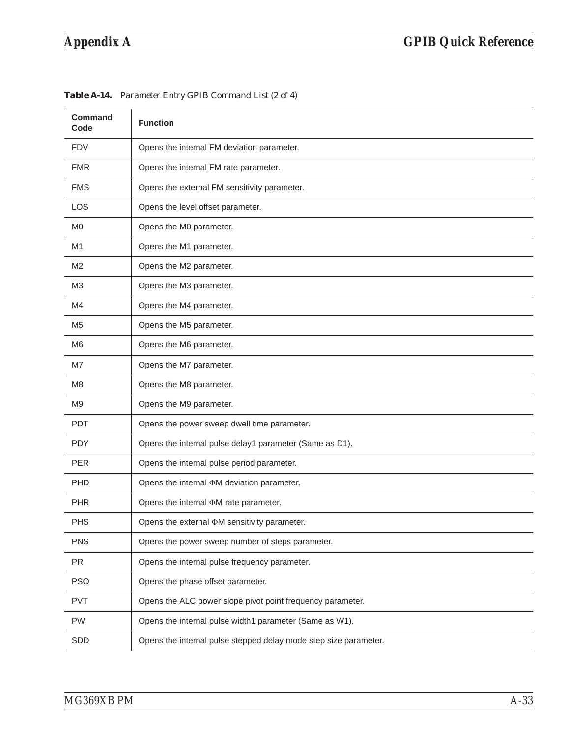| <b>Command</b><br>Code | <b>Function</b>                                                  |
|------------------------|------------------------------------------------------------------|
| <b>FDV</b>             | Opens the internal FM deviation parameter.                       |
| <b>FMR</b>             | Opens the internal FM rate parameter.                            |
| <b>FMS</b>             | Opens the external FM sensitivity parameter.                     |
| <b>LOS</b>             | Opens the level offset parameter.                                |
| M <sub>0</sub>         | Opens the M0 parameter.                                          |
| M1                     | Opens the M1 parameter.                                          |
| M <sub>2</sub>         | Opens the M2 parameter.                                          |
| M <sub>3</sub>         | Opens the M3 parameter.                                          |
| M4                     | Opens the M4 parameter.                                          |
| M <sub>5</sub>         | Opens the M5 parameter.                                          |
| M <sub>6</sub>         | Opens the M6 parameter.                                          |
| M7                     | Opens the M7 parameter.                                          |
| M8                     | Opens the M8 parameter.                                          |
| M <sub>9</sub>         | Opens the M9 parameter.                                          |
| <b>PDT</b>             | Opens the power sweep dwell time parameter.                      |
| <b>PDY</b>             | Opens the internal pulse delay1 parameter (Same as D1).          |
| <b>PER</b>             | Opens the internal pulse period parameter.                       |
| PHD                    | Opens the internal OM deviation parameter.                       |
| <b>PHR</b>             | Opens the internal $\Phi M$ rate parameter.                      |
| <b>PHS</b>             | Opens the external $\Phi M$ sensitivity parameter.               |
| <b>PNS</b>             | Opens the power sweep number of steps parameter.                 |
| PR                     | Opens the internal pulse frequency parameter.                    |
| <b>PSO</b>             | Opens the phase offset parameter.                                |
| <b>PVT</b>             | Opens the ALC power slope pivot point frequency parameter.       |
| PW                     | Opens the internal pulse width1 parameter (Same as W1).          |
| SDD                    | Opens the internal pulse stepped delay mode step size parameter. |

*Table A-14. Parameter Entry GPIB Command List (2 of 4)*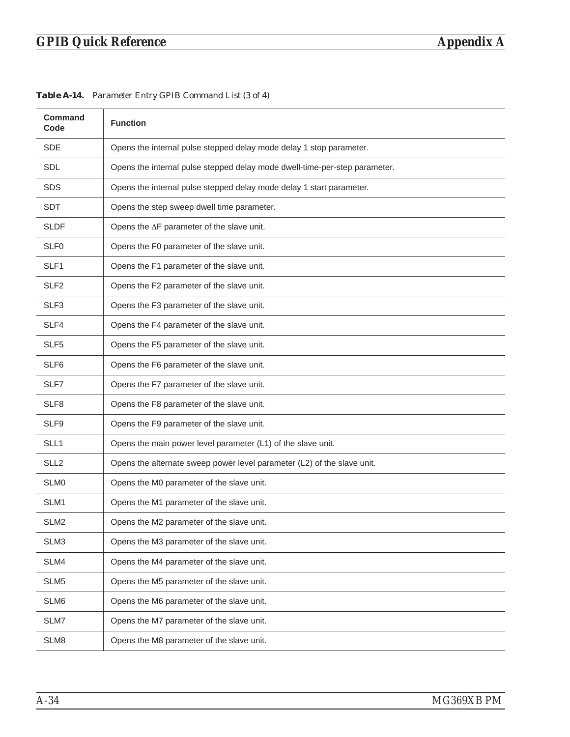| <b>Command</b><br>Code | <b>Function</b>                                                            |
|------------------------|----------------------------------------------------------------------------|
| <b>SDE</b>             | Opens the internal pulse stepped delay mode delay 1 stop parameter.        |
| <b>SDL</b>             | Opens the internal pulse stepped delay mode dwell-time-per-step parameter. |
| <b>SDS</b>             | Opens the internal pulse stepped delay mode delay 1 start parameter.       |
| <b>SDT</b>             | Opens the step sweep dwell time parameter.                                 |
| <b>SLDF</b>            | Opens the AF parameter of the slave unit.                                  |
| SLF <sub>0</sub>       | Opens the F0 parameter of the slave unit.                                  |
| SLF <sub>1</sub>       | Opens the F1 parameter of the slave unit.                                  |
| SLF <sub>2</sub>       | Opens the F2 parameter of the slave unit.                                  |
| SLF3                   | Opens the F3 parameter of the slave unit.                                  |
| SLF4                   | Opens the F4 parameter of the slave unit.                                  |
| SLF <sub>5</sub>       | Opens the F5 parameter of the slave unit.                                  |
| SLF6                   | Opens the F6 parameter of the slave unit.                                  |
| SLF7                   | Opens the F7 parameter of the slave unit.                                  |
| SLF <sub>8</sub>       | Opens the F8 parameter of the slave unit.                                  |
| SLF9                   | Opens the F9 parameter of the slave unit.                                  |
| SLL1                   | Opens the main power level parameter (L1) of the slave unit.               |
| SLL <sub>2</sub>       | Opens the alternate sweep power level parameter (L2) of the slave unit.    |
| SLM0                   | Opens the M0 parameter of the slave unit.                                  |
| SLM1                   | Opens the M1 parameter of the slave unit.                                  |
| SLM <sub>2</sub>       | Opens the M2 parameter of the slave unit.                                  |
| SLM3                   | Opens the M3 parameter of the slave unit.                                  |
| SLM4                   | Opens the M4 parameter of the slave unit.                                  |
| SLM5                   | Opens the M5 parameter of the slave unit.                                  |
| SLM6                   | Opens the M6 parameter of the slave unit.                                  |
| SLM7                   | Opens the M7 parameter of the slave unit.                                  |
| SLM8                   | Opens the M8 parameter of the slave unit.                                  |

*Table A-14. Parameter Entry GPIB Command List (3 of 4)*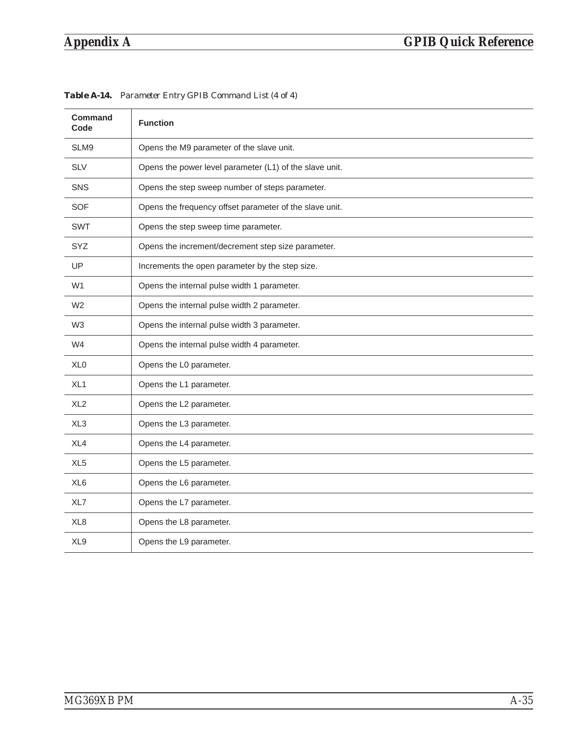| <b>Command</b><br>Code | <b>Function</b>                                         |
|------------------------|---------------------------------------------------------|
| SLM9                   | Opens the M9 parameter of the slave unit.               |
| <b>SLV</b>             | Opens the power level parameter (L1) of the slave unit. |
| <b>SNS</b>             | Opens the step sweep number of steps parameter.         |
| <b>SOF</b>             | Opens the frequency offset parameter of the slave unit. |
| <b>SWT</b>             | Opens the step sweep time parameter.                    |
| <b>SYZ</b>             | Opens the increment/decrement step size parameter.      |
| UP                     | Increments the open parameter by the step size.         |
| W <sub>1</sub>         | Opens the internal pulse width 1 parameter.             |
| W <sub>2</sub>         | Opens the internal pulse width 2 parameter.             |
| W <sub>3</sub>         | Opens the internal pulse width 3 parameter.             |
| W4                     | Opens the internal pulse width 4 parameter.             |
| XL <sub>0</sub>        | Opens the L0 parameter.                                 |
| XL <sub>1</sub>        | Opens the L1 parameter.                                 |
| XL <sub>2</sub>        | Opens the L2 parameter.                                 |
| XL <sub>3</sub>        | Opens the L3 parameter.                                 |
| XL4                    | Opens the L4 parameter.                                 |
| XL <sub>5</sub>        | Opens the L5 parameter.                                 |
| XL <sub>6</sub>        | Opens the L6 parameter.                                 |
| XL7                    | Opens the L7 parameter.                                 |
| XL <sub>8</sub>        | Opens the L8 parameter.                                 |
| XL9                    | Opens the L9 parameter.                                 |

*Table A-14. Parameter Entry GPIB Command List (4 of 4)*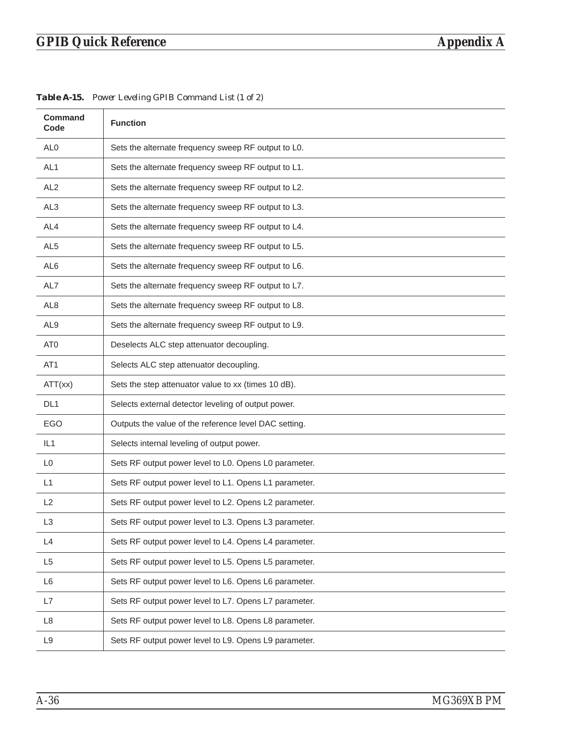| <b>Command</b><br>Code | <b>Function</b>                                       |
|------------------------|-------------------------------------------------------|
| AL <sub>0</sub>        | Sets the alternate frequency sweep RF output to L0.   |
| AL <sub>1</sub>        | Sets the alternate frequency sweep RF output to L1.   |
| AL <sub>2</sub>        | Sets the alternate frequency sweep RF output to L2.   |
| AL <sub>3</sub>        | Sets the alternate frequency sweep RF output to L3.   |
| AL4                    | Sets the alternate frequency sweep RF output to L4.   |
| AL <sub>5</sub>        | Sets the alternate frequency sweep RF output to L5.   |
| AL <sub>6</sub>        | Sets the alternate frequency sweep RF output to L6.   |
| AL7                    | Sets the alternate frequency sweep RF output to L7.   |
| AL <sub>8</sub>        | Sets the alternate frequency sweep RF output to L8.   |
| AL <sub>9</sub>        | Sets the alternate frequency sweep RF output to L9.   |
| AT <sub>0</sub>        | Deselects ALC step attenuator decoupling.             |
| AT <sub>1</sub>        | Selects ALC step attenuator decoupling.               |
| ATT(xx)                | Sets the step attenuator value to xx (times 10 dB).   |
| DL <sub>1</sub>        | Selects external detector leveling of output power.   |
| EGO                    | Outputs the value of the reference level DAC setting. |
| IL1                    | Selects internal leveling of output power.            |
| L <sub>0</sub>         | Sets RF output power level to L0. Opens L0 parameter. |
| L1                     | Sets RF output power level to L1. Opens L1 parameter. |
| L2                     | Sets RF output power level to L2. Opens L2 parameter. |
| L <sub>3</sub>         | Sets RF output power level to L3. Opens L3 parameter. |
| L4                     | Sets RF output power level to L4. Opens L4 parameter. |
| L <sub>5</sub>         | Sets RF output power level to L5. Opens L5 parameter. |
| L6                     | Sets RF output power level to L6. Opens L6 parameter. |
| L7                     | Sets RF output power level to L7. Opens L7 parameter. |
| L8                     | Sets RF output power level to L8. Opens L8 parameter. |
| L9                     | Sets RF output power level to L9. Opens L9 parameter. |

*Table A-15. Power Leveling GPIB Command List (1 of 2)*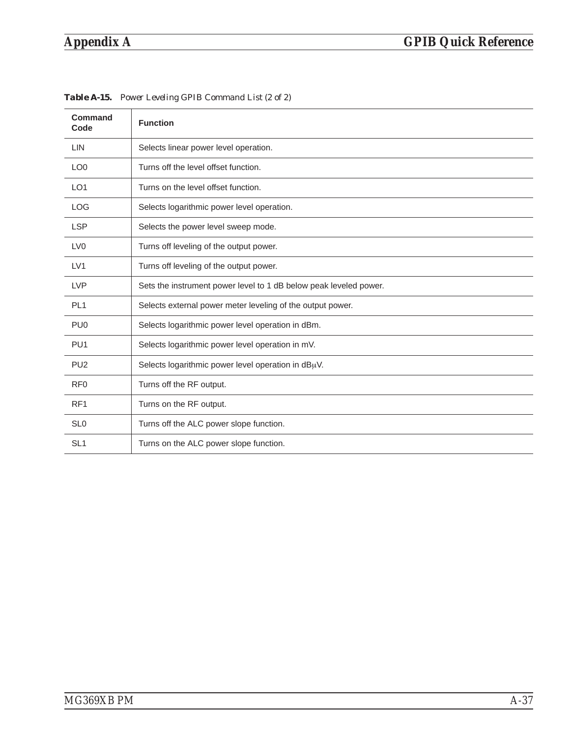| <b>Command</b><br>Code | <b>Function</b>                                                   |
|------------------------|-------------------------------------------------------------------|
| LIN                    | Selects linear power level operation.                             |
| LO <sub>0</sub>        | Turns off the level offset function.                              |
| LO <sub>1</sub>        | Turns on the level offset function.                               |
| <b>LOG</b>             | Selects logarithmic power level operation.                        |
| <b>LSP</b>             | Selects the power level sweep mode.                               |
| LV <sub>0</sub>        | Turns off leveling of the output power.                           |
| LV1                    | Turns off leveling of the output power.                           |
| <b>LVP</b>             | Sets the instrument power level to 1 dB below peak leveled power. |
| PL <sub>1</sub>        | Selects external power meter leveling of the output power.        |
| PU <sub>0</sub>        | Selects logarithmic power level operation in dBm.                 |
| PU <sub>1</sub>        | Selects logarithmic power level operation in mV.                  |
| PU <sub>2</sub>        | Selects logarithmic power level operation in $dB\mu V$ .          |
| RF <sub>0</sub>        | Turns off the RF output.                                          |
| RF <sub>1</sub>        | Turns on the RF output.                                           |
| SL <sub>0</sub>        | Turns off the ALC power slope function.                           |
| SL <sub>1</sub>        | Turns on the ALC power slope function.                            |

*Table A-15. Power Leveling GPIB Command List (2 of 2)*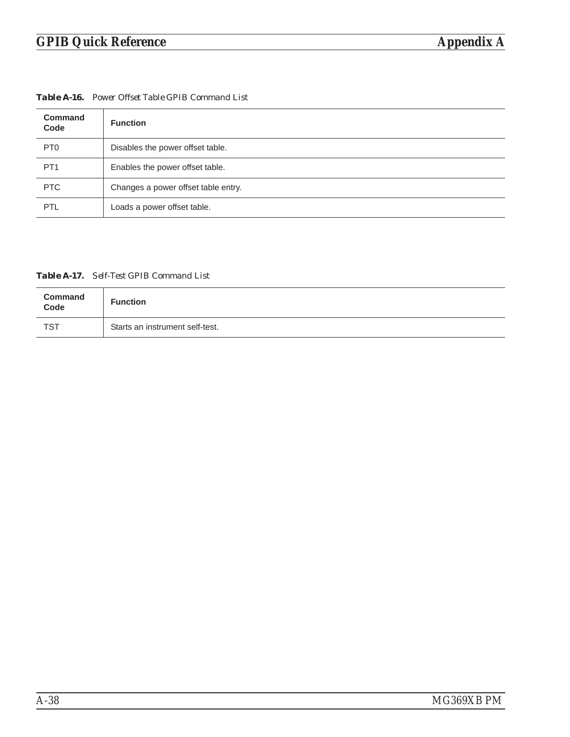| <b>Table A-16.</b> Power Offset Table GPIB Command List |  |
|---------------------------------------------------------|--|
|---------------------------------------------------------|--|

| <b>Command</b><br>Code | <b>Function</b>                     |
|------------------------|-------------------------------------|
| PT <sub>0</sub>        | Disables the power offset table.    |
| PT <sub>1</sub>        | Enables the power offset table.     |
| <b>PTC</b>             | Changes a power offset table entry. |
| PTL                    | Loads a power offset table.         |

*Table A-17. Self-Test GPIB Command List*

| Command<br>Code | <b>Function</b>                 |
|-----------------|---------------------------------|
| <b>TST</b>      | Starts an instrument self-test. |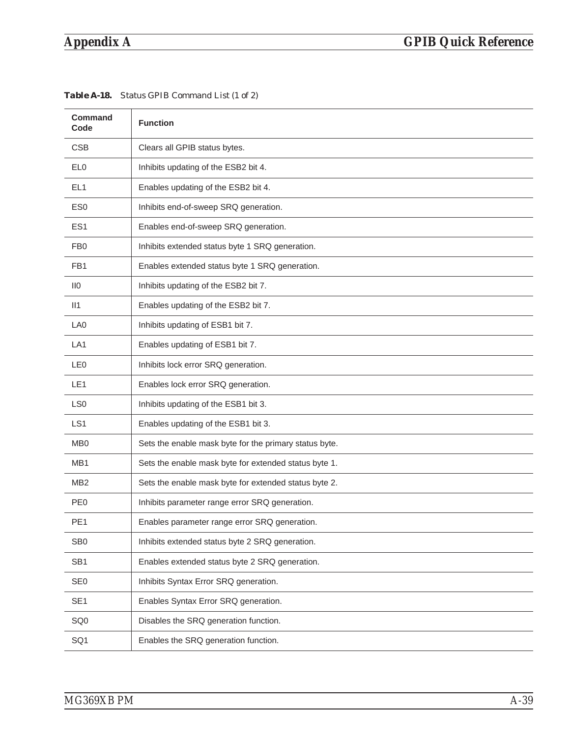| <b>Command</b><br>Code | <b>Function</b>                                        |
|------------------------|--------------------------------------------------------|
| <b>CSB</b>             | Clears all GPIB status bytes.                          |
| EL <sub>0</sub>        | Inhibits updating of the ESB2 bit 4.                   |
| EL <sub>1</sub>        | Enables updating of the ESB2 bit 4.                    |
| ES <sub>0</sub>        | Inhibits end-of-sweep SRQ generation.                  |
| ES <sub>1</sub>        | Enables end-of-sweep SRQ generation.                   |
| FB <sub>0</sub>        | Inhibits extended status byte 1 SRQ generation.        |
| FB <sub>1</sub>        | Enables extended status byte 1 SRQ generation.         |
| $\overline{110}$       | Inhibits updating of the ESB2 bit 7.                   |
| II1                    | Enables updating of the ESB2 bit 7.                    |
| LA <sub>0</sub>        | Inhibits updating of ESB1 bit 7.                       |
| LA <sub>1</sub>        | Enables updating of ESB1 bit 7.                        |
| LE <sub>0</sub>        | Inhibits lock error SRQ generation.                    |
| LE <sub>1</sub>        | Enables lock error SRQ generation.                     |
| LS0                    | Inhibits updating of the ESB1 bit 3.                   |
| LS <sub>1</sub>        | Enables updating of the ESB1 bit 3.                    |
| M <sub>B</sub>         | Sets the enable mask byte for the primary status byte. |
| MB1                    | Sets the enable mask byte for extended status byte 1.  |
| MB <sub>2</sub>        | Sets the enable mask byte for extended status byte 2.  |
| PE <sub>0</sub>        | Inhibits parameter range error SRQ generation.         |
| PE <sub>1</sub>        | Enables parameter range error SRQ generation.          |
| SB <sub>0</sub>        | Inhibits extended status byte 2 SRQ generation.        |
| SB <sub>1</sub>        | Enables extended status byte 2 SRQ generation.         |
| SE <sub>0</sub>        | Inhibits Syntax Error SRQ generation.                  |
| SE <sub>1</sub>        | Enables Syntax Error SRQ generation.                   |
| SQ <sub>0</sub>        | Disables the SRQ generation function.                  |
| SQ1                    | Enables the SRQ generation function.                   |

*Table A-18. Status GPIB Command List (1 of 2)*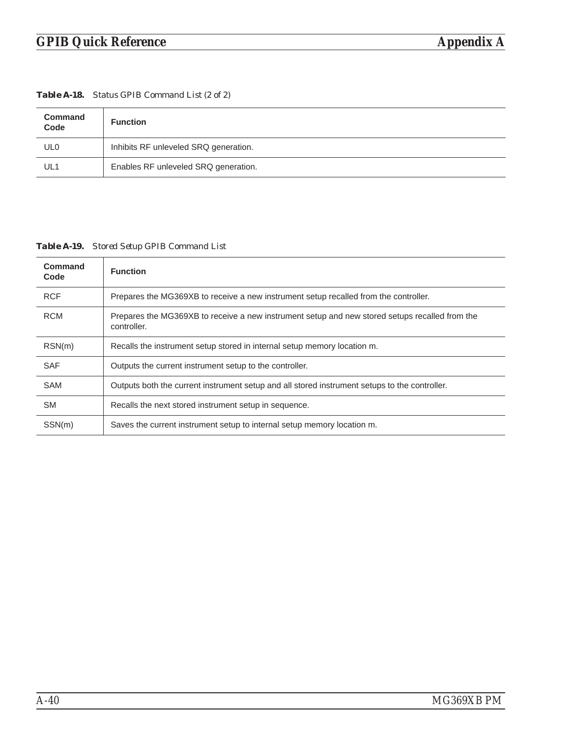| <b>Table A-18.</b> Status GPIB Command List (2 of 2) |  |  |  |  |  |  |
|------------------------------------------------------|--|--|--|--|--|--|
|------------------------------------------------------|--|--|--|--|--|--|

| Command<br>Code | <b>Function</b>                       |
|-----------------|---------------------------------------|
| UL <sub>0</sub> | Inhibits RF unleveled SRQ generation. |
| UL1             | Enables RF unleveled SRQ generation.  |

*Table A-19. Stored Setup GPIB Command List*

| Command<br>Code | <b>Function</b>                                                                                               |
|-----------------|---------------------------------------------------------------------------------------------------------------|
| <b>RCF</b>      | Prepares the MG369XB to receive a new instrument setup recalled from the controller.                          |
| <b>RCM</b>      | Prepares the MG369XB to receive a new instrument setup and new stored setups recalled from the<br>controller. |
| RSN(m)          | Recalls the instrument setup stored in internal setup memory location m.                                      |
| <b>SAF</b>      | Outputs the current instrument setup to the controller.                                                       |
| <b>SAM</b>      | Outputs both the current instrument setup and all stored instrument setups to the controller.                 |
| <b>SM</b>       | Recalls the next stored instrument setup in sequence.                                                         |
| SSN(m)          | Saves the current instrument setup to internal setup memory location m.                                       |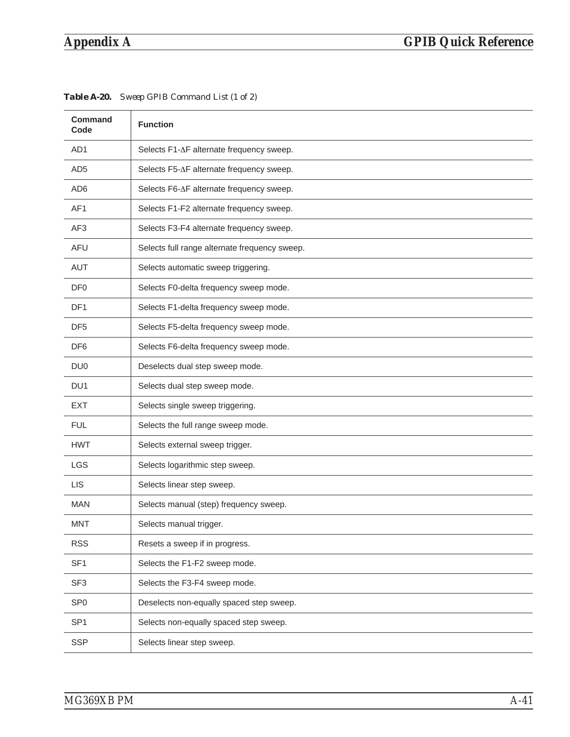| <b>Command</b><br>Code | <b>Function</b>                               |
|------------------------|-----------------------------------------------|
| AD <sub>1</sub>        | Selects F1-∆F alternate frequency sweep.      |
| AD <sub>5</sub>        | Selects F5-∆F alternate frequency sweep.      |
| AD <sub>6</sub>        | Selects F6-∆F alternate frequency sweep.      |
| AF1                    | Selects F1-F2 alternate frequency sweep.      |
| AF <sub>3</sub>        | Selects F3-F4 alternate frequency sweep.      |
| <b>AFU</b>             | Selects full range alternate frequency sweep. |
| AUT                    | Selects automatic sweep triggering.           |
| DF <sub>0</sub>        | Selects F0-delta frequency sweep mode.        |
| DF <sub>1</sub>        | Selects F1-delta frequency sweep mode.        |
| DF <sub>5</sub>        | Selects F5-delta frequency sweep mode.        |
| DF <sub>6</sub>        | Selects F6-delta frequency sweep mode.        |
| DU <sub>0</sub>        | Deselects dual step sweep mode.               |
| DU <sub>1</sub>        | Selects dual step sweep mode.                 |
| <b>EXT</b>             | Selects single sweep triggering.              |
| <b>FUL</b>             | Selects the full range sweep mode.            |
| <b>HWT</b>             | Selects external sweep trigger.               |
| <b>LGS</b>             | Selects logarithmic step sweep.               |
| <b>LIS</b>             | Selects linear step sweep.                    |
| <b>MAN</b>             | Selects manual (step) frequency sweep.        |
| <b>MNT</b>             | Selects manual trigger.                       |
| <b>RSS</b>             | Resets a sweep if in progress.                |
| SF <sub>1</sub>        | Selects the F1-F2 sweep mode.                 |
| SF <sub>3</sub>        | Selects the F3-F4 sweep mode.                 |
| SP <sub>0</sub>        | Deselects non-equally spaced step sweep.      |
| SP <sub>1</sub>        | Selects non-equally spaced step sweep.        |
| <b>SSP</b>             | Selects linear step sweep.                    |

| Table A-20. Sweep GPIB Command List (1 of 2) |  |
|----------------------------------------------|--|
|                                              |  |